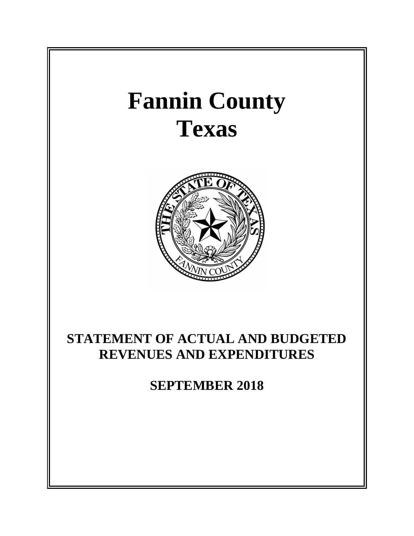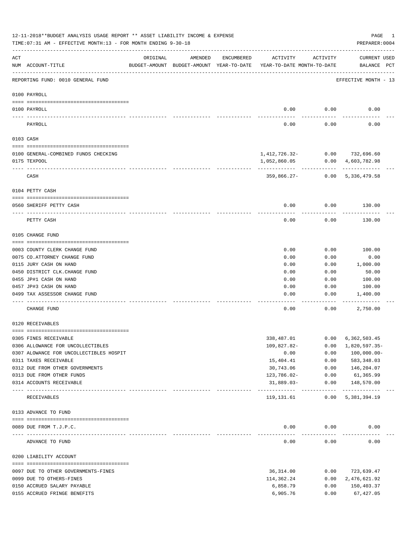|           | 12-11-2018**BUDGET ANALYSIS USAGE REPORT ** ASSET LIABILITY INCOME & EXPENSE<br>TIME: 07:31 AM - EFFECTIVE MONTH: 13 - FOR MONTH ENDING 9-30-18 |                             |                                                     |            |                                            |              | PAGE<br>PREPARER: 0004          | 1 |
|-----------|-------------------------------------------------------------------------------------------------------------------------------------------------|-----------------------------|-----------------------------------------------------|------------|--------------------------------------------|--------------|---------------------------------|---|
| ACT       | NUM ACCOUNT-TITLE                                                                                                                               | ORIGINAL                    | AMENDED<br>BUDGET-AMOUNT BUDGET-AMOUNT YEAR-TO-DATE | ENCUMBERED | ACTIVITY<br>YEAR-TO-DATE MONTH-TO-DATE     | ACTIVITY     | CURRENT USED<br>BALANCE PCT     |   |
|           | REPORTING FUND: 0010 GENERAL FUND                                                                                                               |                             |                                                     |            |                                            |              | EFFECTIVE MONTH - 13            |   |
|           | 0100 PAYROLL                                                                                                                                    |                             |                                                     |            |                                            |              |                                 |   |
|           | 0100 PAYROLL                                                                                                                                    |                             |                                                     |            | 0.00                                       | 0.00         | 0.00                            |   |
|           | PAYROLL                                                                                                                                         |                             |                                                     |            | 0.00                                       | 0.00         | 0.00                            |   |
|           | 0103 CASH                                                                                                                                       |                             |                                                     |            |                                            |              |                                 |   |
|           |                                                                                                                                                 |                             |                                                     |            |                                            |              |                                 |   |
|           | 0100 GENERAL-COMBINED FUNDS CHECKING<br>0175 TEXPOOL                                                                                            |                             |                                                     |            |                                            | 0.00         | 1,412,726.32- 0.00 732,696.60   |   |
|           |                                                                                                                                                 |                             |                                                     |            | 1,052,860.05                               |              | 4,603,782.98                    |   |
|           | CASH                                                                                                                                            |                             |                                                     |            | 359,866.27-                                |              | $0.00$ 5,336,479.58             |   |
|           | 0104 PETTY CASH                                                                                                                                 |                             |                                                     |            |                                            |              |                                 |   |
|           | 0560 SHERIFF PETTY CASH                                                                                                                         |                             |                                                     |            | 0.00                                       | 0.00         | 130.00                          |   |
|           | PETTY CASH                                                                                                                                      |                             |                                                     |            | 0.00                                       | 0.00         | 130.00                          |   |
|           | 0105 CHANGE FUND                                                                                                                                |                             |                                                     |            |                                            |              |                                 |   |
|           | 0003 COUNTY CLERK CHANGE FUND                                                                                                                   |                             |                                                     |            | 0.00                                       | 0.00         | 100.00                          |   |
|           | 0075 CO. ATTORNEY CHANGE FUND                                                                                                                   |                             |                                                     |            | 0.00                                       | 0.00         | 0.00                            |   |
|           | 0115 JURY CASH ON HAND                                                                                                                          |                             |                                                     |            | 0.00                                       | 0.00         | 1,000.00                        |   |
|           | 0450 DISTRICT CLK. CHANGE FUND                                                                                                                  |                             |                                                     |            | 0.00                                       | 0.00         | 50.00                           |   |
|           | 0455 JP#1 CASH ON HAND                                                                                                                          |                             |                                                     |            | 0.00                                       | 0.00         | 100.00                          |   |
|           | 0457 JP#3 CASH ON HAND<br>0499 TAX ASSESSOR CHANGE FUND                                                                                         |                             |                                                     |            | 0.00<br>0.00                               | 0.00<br>0.00 | 100.00<br>1,400.00              |   |
|           | CHANGE FUND                                                                                                                                     |                             |                                                     |            | 0.00                                       | 0.00         | 2,750.00                        |   |
|           | 0120 RECEIVABLES                                                                                                                                |                             |                                                     |            |                                            |              |                                 |   |
|           | 0305 FINES RECEIVABLE                                                                                                                           |                             |                                                     |            | 338,487.01                                 | 0.00         | 6, 362, 503.45                  |   |
|           | 0306 ALLOWANCE FOR UNCOLLECTIBLES                                                                                                               |                             |                                                     |            | 109,827.82-                                | 0.00         | 1,820,597.35-                   |   |
|           | 0307 ALOWANCE FOR UNCOLLECTIBLES HOSPIT                                                                                                         |                             |                                                     |            | 0.00                                       | 0.00         | $100,000.00 -$                  |   |
|           | 0311 TAXES RECEIVABLE                                                                                                                           |                             |                                                     |            | 15,404.41                                  | 0.00         | 583, 348.03                     |   |
|           | 0312 DUE FROM OTHER GOVERNMENTS<br>0313 DUE FROM OTHER FUNDS                                                                                    |                             |                                                     |            | 30,743.06<br>123,786.02-                   | 0.00<br>0.00 | 146,204.07<br>61,365.99         |   |
|           | 0314 ACCOUNTS RECEIVABLE                                                                                                                        |                             |                                                     |            | $31,889.03-$                               | 0.00         | 148,570.00                      |   |
| $- - - -$ | RECEIVABLES                                                                                                                                     | ------------ -------------- |                                                     |            | ----------------------------<br>119,131.61 | 0.00         | -------------<br>5, 381, 394.19 |   |
|           | 0133 ADVANCE TO FUND                                                                                                                            |                             |                                                     |            |                                            |              |                                 |   |
|           | 0089 DUE FROM T.J.P.C.                                                                                                                          |                             |                                                     |            | 0.00                                       | 0.00         | 0.00                            |   |
|           | ADVANCE TO FUND                                                                                                                                 |                             |                                                     |            | 0.00                                       | 0.00         | 0.00                            |   |
|           | 0200 LIABILITY ACCOUNT                                                                                                                          |                             |                                                     |            |                                            |              |                                 |   |
|           |                                                                                                                                                 |                             |                                                     |            |                                            |              |                                 |   |
|           | 0097 DUE TO OTHER GOVERNMENTS-FINES<br>0099 DUE TO OTHERS-FINES                                                                                 |                             |                                                     |            | 36, 314.00<br>114,362.24                   | 0.00<br>0.00 | 723,639.47<br>2,476,621.92      |   |
|           | 0150 ACCRUED SALARY PAYABLE                                                                                                                     |                             |                                                     |            | 6,858.79                                   | 0.00         | 150,403.37                      |   |
|           | 0155 ACCRUED FRINGE BENEFITS                                                                                                                    |                             |                                                     |            | 6,905.76                                   | 0.00         | 67, 427.05                      |   |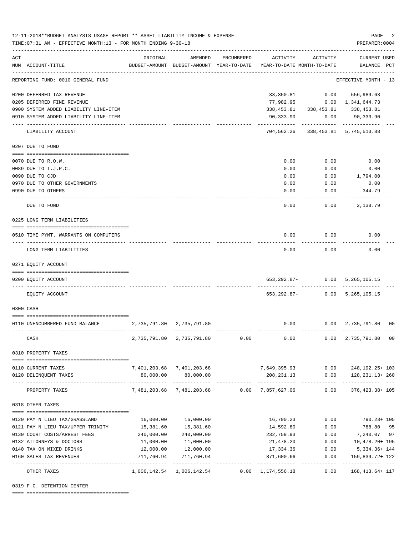|     | 12-11-2018**BUDGET ANALYSIS USAGE REPORT ** ASSET LIABILITY INCOME & EXPENSE<br>TIME: 07:31 AM - EFFECTIVE MONTH: 13 - FOR MONTH ENDING 9-30-18 |                             |                                                                                |            |                                 |                                     | PAGE<br>PREPARER: 0004             | 2 |
|-----|-------------------------------------------------------------------------------------------------------------------------------------------------|-----------------------------|--------------------------------------------------------------------------------|------------|---------------------------------|-------------------------------------|------------------------------------|---|
| ACT | NUM ACCOUNT-TITLE                                                                                                                               | ORIGINAL                    | AMENDED<br>BUDGET-AMOUNT BUDGET-AMOUNT YEAR-TO-DATE YEAR-TO-DATE MONTH-TO-DATE | ENCUMBERED | ACTIVITY                        | ACTIVITY                            | CURRENT USED<br>BALANCE PCT        |   |
|     | REPORTING FUND: 0010 GENERAL FUND                                                                                                               |                             |                                                                                |            |                                 |                                     | EFFECTIVE MONTH - 13               |   |
|     | 0200 DEFERRED TAX REVENUE                                                                                                                       |                             |                                                                                |            | 33,350.81                       | 0.00                                | 556,989.63                         |   |
|     | 0205 DEFERRED FINE REVENUE                                                                                                                      |                             |                                                                                |            |                                 | 77,982.95 0.00 1,341,644.73         |                                    |   |
|     | 0900 SYSTEM ADDED LIABILITY LINE-ITEM                                                                                                           |                             |                                                                                |            |                                 | 338, 453.81 338, 453.81 338, 453.81 |                                    |   |
|     | 0910 SYSTEM ADDED LIABILITY LINE-ITEM                                                                                                           |                             |                                                                                |            | 90,333.90                       |                                     | $0.00$ 90,333.90                   |   |
|     | LIABILITY ACCOUNT                                                                                                                               |                             |                                                                                |            |                                 | 704,562.26 338,453.81 5,745,513.88  |                                    |   |
|     | 0207 DUE TO FUND                                                                                                                                |                             |                                                                                |            |                                 |                                     |                                    |   |
|     |                                                                                                                                                 |                             |                                                                                |            |                                 |                                     |                                    |   |
|     | 0070 DUE TO R.O.W.                                                                                                                              |                             |                                                                                |            | 0.00                            | 0.00                                | 0.00                               |   |
|     | 0089 DUE TO T.J.P.C.                                                                                                                            |                             |                                                                                |            | 0.00                            | 0.00                                | 0.00                               |   |
|     | 0090 DUE TO CJD                                                                                                                                 |                             |                                                                                |            | 0.00                            | 0.00                                | 1,794.00                           |   |
|     | 0970 DUE TO OTHER GOVERNMENTS                                                                                                                   |                             |                                                                                |            | 0.00                            | 0.00                                | 0.00                               |   |
|     | 0990 DUE TO OTHERS                                                                                                                              |                             |                                                                                |            | 0.00                            | 0.00                                | 344.79                             |   |
|     | DUE TO FUND                                                                                                                                     |                             |                                                                                |            | 0.00                            | 0.00                                | 2,138.79                           |   |
|     | 0225 LONG TERM LIABILITIES                                                                                                                      |                             |                                                                                |            |                                 |                                     |                                    |   |
|     | 0510 TIME PYMT. WARRANTS ON COMPUTERS                                                                                                           |                             |                                                                                |            | 0.00                            | 0.00                                | 0.00                               |   |
|     | LONG TERM LIABILITIES                                                                                                                           |                             |                                                                                |            | 0.00                            | 0.00                                | 0.00                               |   |
|     | 0271 EQUITY ACCOUNT                                                                                                                             |                             |                                                                                |            |                                 |                                     |                                    |   |
|     | 0200 EQUITY ACCOUNT                                                                                                                             |                             |                                                                                |            |                                 | 653, 292.87 - 0.00 5, 265, 105.15   |                                    |   |
|     | EQUITY ACCOUNT                                                                                                                                  |                             |                                                                                |            | 653,292.87-                     |                                     | 0.00 5, 265, 105.15                |   |
|     | 0300 CASH                                                                                                                                       |                             |                                                                                |            |                                 |                                     |                                    |   |
|     | 0110 UNENCUMBERED FUND BALANCE                                                                                                                  | 2,735,791.80 2,735,791.80   |                                                                                |            | 0.00                            |                                     | $0.00 \quad 2,735,791.80 \quad 00$ |   |
|     | CASH                                                                                                                                            |                             | 2,735,791.80 2,735,791.80                                                      | 0.00       | 0.00                            | 0.00                                | 2,735,791.80 00                    |   |
|     | 0310 PROPERTY TAXES                                                                                                                             |                             |                                                                                |            |                                 |                                     |                                    |   |
|     |                                                                                                                                                 |                             |                                                                                |            |                                 |                                     |                                    |   |
|     | 0110 CURRENT TAXES                                                                                                                              |                             | 7,401,203.68 7,401,203.68                                                      |            | 7,649,395.93                    | 0.00                                | 248, 192. 25+ 103                  |   |
|     | 0120 DELINQUENT TAXES                                                                                                                           | 80,000.00<br>-------------- | 80,000.00<br>-------------                                                     |            | 208,231.13<br>------------      | 0.00<br>------------                | 128, 231. 13+ 260<br>----------    |   |
|     | PROPERTY TAXES                                                                                                                                  |                             | 7,481,203.68 7,481,203.68                                                      | 0.00       | 7,857,627.06                    | 0.00                                | 376, 423.38+ 105                   |   |
|     | 0318 OTHER TAXES                                                                                                                                |                             |                                                                                |            |                                 |                                     |                                    |   |
|     | 0120 PAY N LIEU TAX/GRASSLAND                                                                                                                   | 16,000.00                   | 16,000.00                                                                      |            | 16,790.23                       | 0.00                                | 790.23+ 105                        |   |
|     | 0121 PAY N LIEU TAX/UPPER TRINITY                                                                                                               | 15,381.60                   | 15,381.60                                                                      |            | 14,592.80                       | 0.00                                | 788.80 95                          |   |
|     | 0130 COURT COSTS/ARREST FEES                                                                                                                    | 240,000.00                  | 240,000.00                                                                     |            | 232,759.93                      | 0.00                                | 7,240.07 97                        |   |
|     | 0132 ATTORNEYS & DOCTORS                                                                                                                        | 11,000.00                   | 11,000.00                                                                      |            | 21,478.20                       | 0.00                                | 10,478.20+ 195                     |   |
|     | 0140 TAX ON MIXED DRINKS                                                                                                                        | 12,000.00                   | 12,000.00                                                                      |            | 17,334.36                       | 0.00                                | 5, 334.36+ 144                     |   |
|     | 0160 SALES TAX REVENUES                                                                                                                         | 711,760.94<br>------------- | 711,760.94                                                                     |            | 871,600.66                      | 0.00                                | 159,839.72+ 122                    |   |
|     | OTHER TAXES                                                                                                                                     | 1,006,142.54                | -------------<br>1,006,142.54                                                  | 0.00       | ------------<br>1, 174, 556. 18 | $- - - - -$<br>0.00                 | 168, 413. 64+ 117                  |   |

0319 F.C. DETENTION CENTER

==== ===================================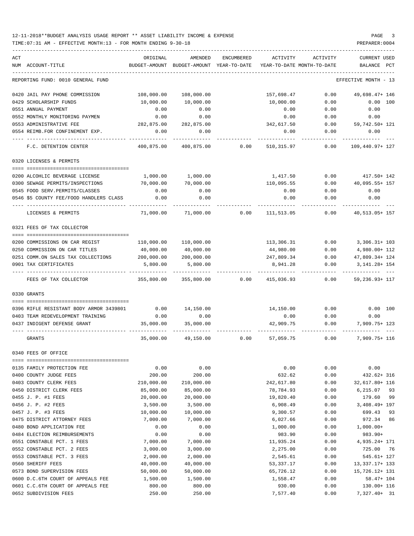TIME:07:31 AM - EFFECTIVE MONTH:13 - FOR MONTH ENDING 9-30-18 PREPARER:0004

| ACT                                     | ORIGINAL      | AMENDED                    | ENCUMBERED | ACTIVITY                   | ACTIVITY | <b>CURRENT USED</b>  |
|-----------------------------------------|---------------|----------------------------|------------|----------------------------|----------|----------------------|
| NUM ACCOUNT-TITLE                       | BUDGET-AMOUNT | BUDGET-AMOUNT YEAR-TO-DATE |            | YEAR-TO-DATE MONTH-TO-DATE |          | BALANCE<br>PCT       |
| REPORTING FUND: 0010 GENERAL FUND       |               |                            |            |                            |          | EFFECTIVE MONTH - 13 |
| 0420 JAIL PAY PHONE COMMISSION          | 108,000.00    | 108,000.00                 |            | 157,698.47                 | 0.00     | 49,698.47+ 146       |
| 0429 SCHOLARSHIP FUNDS                  | 10,000.00     | 10,000.00                  |            | 10,000.00                  | 0.00     | 0.00 100             |
| 0551 ANNUAL PAYMENT                     | 0.00          | 0.00                       |            | 0.00                       | 0.00     | 0.00                 |
| 0552 MONTHLY MONITORING PAYMEN          | 0.00          | 0.00                       |            | 0.00                       | 0.00     | 0.00                 |
| 0553 ADMINISTRATIVE FEE                 | 282,875.00    | 282,875.00                 |            | 342,617.50                 | 0.00     | 59,742.50+ 121       |
| 0554 REIMB.FOR CONFINEMENT EXP.         | 0.00          | 0.00                       |            | 0.00                       | 0.00     | 0.00                 |
| F.C. DETENTION CENTER                   | 400,875.00    | 400,875.00                 | 0.00       | 510,315.97                 | 0.00     | 109,440.97+ 127      |
| 0320 LICENSES & PERMITS                 |               |                            |            |                            |          |                      |
| 0200 ALCOHLIC BEVERAGE LICENSE          | 1,000.00      | 1,000.00                   |            | 1,417.50                   | 0.00     | $417.50 + 142$       |
| 0300 SEWAGE PERMITS/INSPECTIONS         | 70,000.00     | 70,000.00                  |            | 110,095.55                 | 0.00     | 40,095.55+ 157       |
| 0545 FOOD SERV. PERMITS/CLASSES         | 0.00          | 0.00                       |            | 0.00                       | 0.00     | 0.00                 |
| 0546 \$5 COUNTY FEE/FOOD HANDLERS CLASS | 0.00          | 0.00                       |            | 0.00                       | 0.00     | 0.00                 |
| LICENSES & PERMITS                      | 71,000.00     | 71,000.00                  | 0.00       | 111,513.05                 | 0.00     | 40, 513.05+ 157      |
| 0321 FEES OF TAX COLLECTOR              |               |                            |            |                            |          |                      |
|                                         |               |                            |            |                            |          |                      |
| 0200 COMMISSIONS ON CAR REGIST          | 110,000.00    | 110,000.00                 |            | 113,306.31                 | 0.00     | $3,306.31 + 103$     |
| 0250 COMMISSION ON CAR TITLES           | 40,000.00     | 40,000.00                  |            | 44,980.00                  | 0.00     | 4,980.00+ 112        |
| 0251 COMM.ON SALES TAX COLLECTIONS      | 200,000.00    | 200,000.00                 |            | 247,809.34                 | 0.00     | 47,809.34+ 124       |
| 0901 TAX CERTIFICATES                   | 5,800.00      | 5,800.00                   |            | 8,941.28                   | 0.00     | 3, 141. 28+ 154      |
| FEES OF TAX COLLECTOR                   | 355,800.00    | 355,800.00                 | 0.00       | 415,036.93                 | 0.00     | 59, 236. 93+ 117     |
| 0330 GRANTS                             |               |                            |            |                            |          |                      |
| 0396 RIFLE RESISTANT BODY ARMOR 3439801 | 0.00          | 14,150.00                  |            | 14,150.00                  | 0.00     | 0.00 100             |
| 0403 TEAM REDEVELOPMENT TRAINING        | 0.00          | 0.00                       |            | 0.00                       | 0.00     | 0.00                 |
| 0437 INDIGENT DEFENSE GRANT             | 35,000.00     | 35,000.00                  |            | 42,909.75                  | 0.00     | 7,909.75+ 123        |
| GRANTS                                  | 35,000.00     | 49,150.00                  | 0.00       | 57,059.75                  | 0.00     | 7,909.75+ 116        |
| 0340 FEES OF OFFICE                     |               |                            |            |                            |          |                      |
| 0135 FAMILY PROTECTION FEE              | 0.00          | 0.00                       |            | 0.00                       | 0.00     | 0.00                 |
| 0400 COUNTY JUDGE FEES                  | 200.00        | 200.00                     |            | 632.62                     | 0.00     | $432.62 + 316$       |
| 0403 COUNTY CLERK FEES                  | 210,000.00    | 210,000.00                 |            | 242,617.80                 | 0.00     | 32,617.80+ 116       |
| 0450 DISTRICT CLERK FEES                | 85,000.00     | 85,000.00                  |            | 78,784.93                  | 0.00     | 6,215.07<br>93       |
| 0455 J. P. #1 FEES                      | 20,000.00     | 20,000.00                  |            | 19,820.40                  | 0.00     | 179.60<br>99         |
| 0456 J. P. #2 FEES                      | 3,500.00      | 3,500.00                   |            | 6,908.49                   | 0.00     | 3,408.49+ 197        |
| 0457 J. P. #3 FEES                      | 10,000.00     | 10,000.00                  |            | 9,300.57                   | 0.00     | 699.43<br>93         |
| 0475 DISTRICT ATTORNEY FEES             | 7,000.00      | 7,000.00                   |            | 6,027.66                   | 0.00     | 972.34<br>86         |
| 0480 BOND APPLICATION FEE               | 0.00          | 0.00                       |            | 1,000.00                   | 0.00     | $1,000.00+$          |
| 0484 ELECTION REIMBURSEMENTS            | 0.00          | 0.00                       |            | 983.90                     | 0.00     | 983.90+              |
| 0551 CONSTABLE PCT. 1 FEES              | 7,000.00      | 7,000.00                   |            | 11,935.24                  | 0.00     | 4,935.24+ 171        |
| 0552 CONSTABLE PCT. 2 FEES              | 3,000.00      | 3,000.00                   |            | 2,275.00                   | 0.00     | 725.00<br>76         |
| 0553 CONSTABLE PCT. 3 FEES              | 2,000.00      | 2,000.00                   |            | 2,545.61                   | 0.00     | 545.61+ 127          |
| 0560 SHERIFF FEES                       | 40,000.00     | 40,000.00                  |            | 53, 337. 17                | 0.00     | 13, 337. 17+ 133     |
| 0573 BOND SUPERVISION FEES              | 50,000.00     | 50,000.00                  |            | 65,726.12                  | 0.00     | 15,726.12+ 131       |
| 0600 D.C.6TH COURT OF APPEALS FEE       | 1,500.00      | 1,500.00                   |            | 1,558.47                   | 0.00     | 58.47+ 104           |
| 0601 C.C.6TH COURT OF APPEALS FEE       | 800.00        | 800.00                     |            | 930.00                     | 0.00     | 130.00+ 116          |

0652 SUBDIVISION FEES 250.00 250.00 7,577.40 0.00 7,327.40+ 31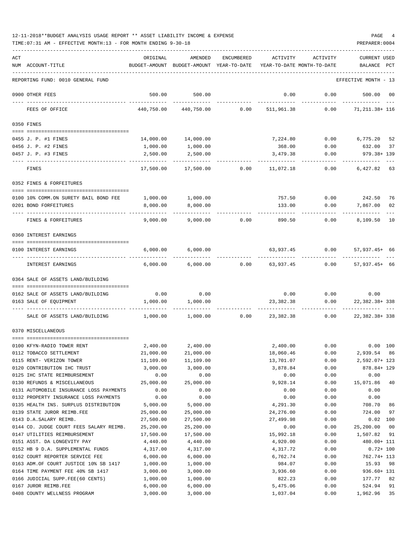| ACT |                                                             | ORIGINAL               | AMENDED                                                             | ENCUMBERED       | ACTIVITY               | ACTIVITY     | <b>CURRENT USED</b>             |              |
|-----|-------------------------------------------------------------|------------------------|---------------------------------------------------------------------|------------------|------------------------|--------------|---------------------------------|--------------|
|     | NUM ACCOUNT-TITLE                                           |                        | BUDGET-AMOUNT BUDGET-AMOUNT YEAR-TO-DATE YEAR-TO-DATE MONTH-TO-DATE |                  |                        |              | BALANCE PCT                     |              |
|     | REPORTING FUND: 0010 GENERAL FUND                           |                        |                                                                     |                  |                        |              | EFFECTIVE MONTH - 13            |              |
|     | 0900 OTHER FEES                                             | 500.00                 | 500.00                                                              |                  | 0.00                   | 0.00         | 500.00 00                       |              |
|     | FEES OF OFFICE                                              | 440,750.00             | 440,750.00                                                          | 0.00             | 511,961.38             | 0.00         | -----------<br>71,211.38+ 116   |              |
|     | 0350 FINES                                                  |                        |                                                                     |                  |                        |              |                                 |              |
|     |                                                             |                        |                                                                     |                  |                        |              |                                 |              |
|     | 0455 J. P. #1 FINES<br>0456 J. P. #2 FINES                  |                        | 14,000.00 14,000.00<br>1,000.00                                     |                  | 7,224.80<br>368.00     | 0.00         | $0.00$ 6,775.20 52<br>632.00 37 |              |
|     | 0457 J. P. #3 FINES                                         | 1,000.00<br>2,500.00   | 2,500.00                                                            |                  | 3,479.38               | 0.00         | 979.38+ 139                     |              |
|     |                                                             |                        |                                                                     |                  |                        |              |                                 |              |
|     | FINES                                                       | 17,500.00              | 17,500.00                                                           | 0.00             | 11,072.18              | 0.00         | 6,427.82 63                     |              |
|     | 0352 FINES & FORFEITURES                                    |                        |                                                                     |                  |                        |              |                                 |              |
|     | 0100 10% COMM.ON SURETY BAIL BOND FEE                       |                        | 1,000.00 1,000.00                                                   |                  | 757.50                 |              | $0.00$ 242.50                   | 76           |
|     | 0201 BOND FORFEITURES                                       | 8,000.00               | 8,000.00                                                            |                  | 133.00                 | 0.00         | 7,867.00                        | 02           |
|     | _____ ______________                                        | ---------              | ---------                                                           |                  | ----------             |              |                                 |              |
|     | FINES & FORFEITURES                                         | 9,000.00               | 9,000.00                                                            | 0.00             | 890.50                 | 0.00         | 8,109.50 10                     |              |
|     | 0360 INTEREST EARNINGS                                      |                        |                                                                     |                  |                        |              |                                 |              |
|     | 0100 INTEREST EARNINGS                                      |                        | 6,000.00 6,000.00                                                   |                  | 63,937.45              | 0.00         | $57,937.45+66$                  |              |
|     | INTEREST EARNINGS                                           | 6,000.00               | 6,000.00                                                            | $0.00$ 63,937.45 |                        | 0.00         | $57,937.45+66$                  |              |
|     | 0364 SALE OF ASSETS LAND/BUILDING                           |                        |                                                                     |                  |                        |              |                                 |              |
|     |                                                             |                        |                                                                     |                  |                        |              |                                 |              |
|     | 0162 SALE OF ASSETS LAND/BUILDING                           | 0.00                   | 0.00                                                                |                  | 0.00                   | 0.00         | 0.00                            |              |
|     | 0163 SALE OF EQUIPMENT                                      | 1,000.00               | 1,000.00                                                            |                  | 23, 382.38             | 0.00         | 22, 382. 38+ 338                |              |
|     | SALE OF ASSETS LAND/BUILDING                                | 1,000.00               | 1,000.00                                                            | 0.00             | 23,382.38              | 0.00         | 22, 382. 38+ 338                |              |
|     | 0370 MISCELLANEOUS                                          |                        |                                                                     |                  |                        |              |                                 |              |
|     |                                                             |                        |                                                                     |                  |                        |              |                                 |              |
|     | 0100 KFYN-RADIO TOWER RENT                                  | 2,400.00               | 2,400.00                                                            |                  | 2,400.00               | 0.00         |                                 | 0.00 100     |
|     | 0112 TOBACCO SETTLEMENT<br>0115 RENT- VERIZON TOWER         | 21,000.00<br>11,109.00 | 21,000.00<br>11,109.00                                              |                  | 18,060.46<br>13,701.07 | 0.00<br>0.00 | 2,939.54 86<br>2,592.07+ 123    |              |
|     | 0120 CONTRIBUTION IHC TRUST                                 | 3,000.00               | 3,000.00                                                            |                  | 3,878.84               | 0.00         | 878.84+ 129                     |              |
|     | 0125 IHC STATE REIMBURSEMENT                                | 0.00                   | 0.00                                                                |                  | 0.00                   | 0.00         | 0.00                            |              |
|     | 0130 REFUNDS & MISCELLANEOUS                                | 25,000.00              | 25,000.00                                                           |                  | 9,928.14               | 0.00         | 15,071.86                       | 40           |
|     | 0131 AUTOMOBILE INSURANCE LOSS PAYMENTS                     | 0.00                   | 0.00                                                                |                  | 0.00                   | 0.00         | 0.00                            |              |
|     | 0132 PROPERTY INSURANCE LOSS PAYMENTS                       | 0.00                   | 0.00                                                                |                  | 0.00                   | 0.00         | 0.00                            |              |
|     | 0135 HEALTH INS. SURPLUS DISTRIBUTION                       | 5,000.00               | 5,000.00                                                            |                  | 4,291.30               | 0.00         | 708.70                          | 86           |
|     | 0139 STATE JUROR REIMB.FEE                                  | 25,000.00              | 25,000.00                                                           |                  | 24,276.00              | 0.00         | 724.00                          | 97           |
|     | 0143 D.A.SALARY REIMB.                                      | 27,500.00              | 27,500.00                                                           |                  | 27,499.98              | 0.00         |                                 | $0.02$ 100   |
|     | 0144 CO. JUDGE COURT FEES SALARY REIMB.                     | 25,200.00              | 25,200.00                                                           |                  | 0.00                   | 0.00         | 25,200.00                       | 00           |
|     | 0147 UTILITIES REIMBURSEMENT<br>0151 ASST. DA LONGEVITY PAY | 17,500.00<br>4,440.00  | 17,500.00<br>4,440.00                                               |                  | 15,992.18<br>4,920.00  | 0.00<br>0.00 | 1,507.82<br>480.00+ 111         | 91           |
|     | 0152 HB 9 D.A. SUPPLEMENTAL FUNDS                           | 4,317.00               | 4,317.00                                                            |                  | 4,317.72               | 0.00         |                                 | $0.72 + 100$ |
|     | 0162 COURT REPORTER SERVICE FEE                             | 6,000.00               | 6,000.00                                                            |                  | 6,762.74               | 0.00         | 762.74+ 113                     |              |
|     | 0163 ADM.OF COURT JUSTICE 10% SB 1417                       | 1,000.00               | 1,000.00                                                            |                  | 984.07                 | 0.00         | 15.93                           | 98           |
|     | 0164 TIME PAYMENT FEE 40% SB 1417                           | 3,000.00               | 3,000.00                                                            |                  | 3,936.60               | 0.00         | 936.60+ 131                     |              |
|     | 0166 JUDICIAL SUPP.FEE(60 CENTS)                            | 1,000.00               | 1,000.00                                                            |                  | 822.23                 | 0.00         | 177.77                          | 82           |
|     | 0167 JUROR REIMB.FEE                                        | 6,000.00               | 6,000.00                                                            |                  | 5,475.06               | 0.00         | 524.94                          | 91           |
|     | 0408 COUNTY WELLNESS PROGRAM                                | 3,000.00               | 3,000.00                                                            |                  | 1,037.04               | 0.00         | 1,962.96                        | 35           |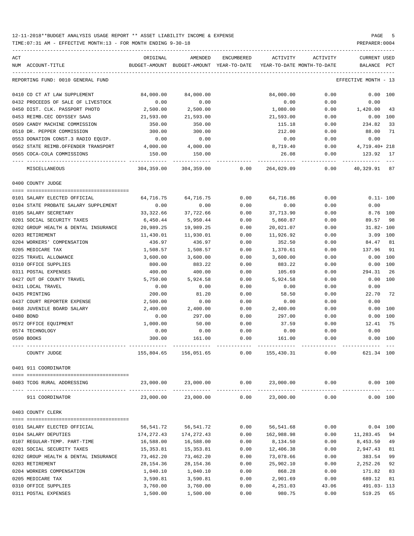TIME:07:31 AM - EFFECTIVE MONTH:13 - FOR MONTH ENDING 9-30-18 PREPARER:0004 ----------------------------------------------------------------------------------------------------------------------------------- ACT ORIGINAL AMENDED ENCUMBERED ACTIVITY ACTIVITY CURRENT USED NUM ACCOUNT-TITLE BUDGET-AMOUNT BUDGET-AMOUNT YEAR-TO-DATE YEAR-TO-DATE MONTH-TO-DATE BALANCE PCT ----------------------------------------------------------------------------------------------------------------------------------- REPORTING FUND: 0010 GENERAL FUND EFFECTIVE MONTH - 13 0410 CO CT AT LAW SUPPLEMENT 84,000.00 84,000.00 84,000.00 84,000.00 0.00 0.00 0.00 100 0432 PROCEEDS OF SALE OF LIVESTOCK 0.00 0.00 0.00 0.00 0.00 0450 DIST. CLK. PASSPORT PHOTO 2,500.00 2,500.00 1,080.00 0.00 1,420.00 43 0453 REIMB.CEC ODYSSEY SAAS 21,593.00 21,593.00 21,593.00 0.00 0.00 100 0509 CANDY MACHINE COMMISSION 350.00 350.00 350.00 350.00 115.18 0.00 234.82 33 0510 DR. PEPPER COMMISSION 300.00 300.00 212.00 0.00 88.00 71 0553 DONATION CONST.3 RADIO EQUIP. 0.00 0.00 0.00 0.00 0.00 0562 STATE REIMB.OFFENDER TRANSPORT 4,000.00 4,000.00 8,719.40 0.00 4,719.40+ 218 0565 COCA-COLA COMMISSIONS 150.00 150.00 26.08 0.00 123.92 17 ---- ---------------------------------- ------------- ------------- ------------ ------------- ------------ ------------- --- MISCELLANEOUS 304,359.00 304,359.00 0.00 264,029.09 0.00 40,329.91 87 0400 COUNTY JUDGE ==== =================================== 0101 SALARY ELECTED OFFICIAL 64,716.75 64,716.75 0.00 64,716.86 0.00 0.11- 100 0104 STATE PROBATE SALARY SUPPLEMENT  $0.00$  0.00 0.00 0.00 0.00 0.00 0.00 0.00 0105 SALARY SECRETARY 33,322.66 37,722.66 0.00 37,713.90 0.00 8.76 100 0201 SOCIAL SECURITY TAXES 6,450.44 5,950.44 0.00 5,860.87 0.00 89.57 98 0202 GROUP HEALTH & DENTAL INSURANCE 20,989.25 19,989.25 0.00 20,021.07 0.00 31.82- 100 0203 RETIREMENT 11,430.01 11,930.01 0.00 11,926.92 0.00 3.09 100 0204 WORKERS' COMPENSATION 436.97 436.97 0.00 352.50 0.00 84.47 81 0205 MEDICARE TAX 1,508.57 1,508.57 0.00 1,370.61 0.00 137.96 91 0225 TRAVEL ALLOWANCE 3,600.00 3,600.00 0.00 3,600.00 0.00 0.00 100 0310 OFFICE SUPPLIES 800.00 883.22 0.00 883.22 0.00 0.00 100 0311 POSTAL EXPENSES 400.00 400.00 0.00 105.69 0.00 294.31 26 0427 OUT OF COUNTY TRAVEL 5,750.00 5,924.58 0.00 5,924.58 0.00 0.00 100 0431 LOCAL TRAVEL 0.00 0.00 0.00 0.00 0.00 0.00 0435 PRINTING 200.00 81.20 0.00 58.50 0.00 22.70 72 0437 COURT REPORTER EXPENSE  $2,500.00$  0.00 0.00 0.00 0.00 0.00 0.00 0468 JUVENILE BOARD SALARY 2,400.00 2,400.00 0.00 2,400.00 0.00 0.00 100 0480 BOND 0.00 297.00 0.00 297.00 0.00 0.00 100 0572 OFFICE EQUIPMENT 1,000.00 50.00 0.00 37.59 0.00 12.41 75 0574 TECHNOLOGY 0.00 0.00 0.00 0.00 0.00 0.00 0590 BOOKS 300.00 161.00 0.00 161.00 0.00 0.00 100 ---- ---------------------------------- ------------- ------------- ------------ ------------- ------------ ------------- --- COUNTY JUDGE 155,804.65 156,051.65 0.00 155,430.31 0.00 621.34 100 0401 911 COORDINATOR ==== =================================== 0403 TCOG RURAL ADDRESSING 23,000.00 23,000.00 0.00 23,000.00 0.00 0.00 100 ---- ---------------------------------- ------------- ------------- ------------ ------------- ------------ ------------- --- 911 COORDINATOR 23,000.00 23,000.00 0.00 23,000.00 0.00 0.00 100 0403 COUNTY CLERK ==== =================================== 0101 SALARY ELECTED OFFICIAL 56,541.72 56,541.72 0.00 56,541.68 0.00 0.04 100 0104 SALARY DEPUTIES 6 174,272.43 174,272.43 0.00 162,988.98 0.00 11,283.45 94 0107 REGULAR-TEMP. PART-TIME 16,588.00 16,588.00 0.00 8,134.50 0.00 8,453.50 49 0201 SOCIAL SECURITY TAXES 15,353.81 15,353.81 0.00 12,406.38 0.00 2,947.43 81 0202 GROUP HEALTH & DENTAL INSURANCE 73,462.20 73,462.20 0.00 73,078.66 0.00 383.54 99 0203 RETIREMENT 28,154.36 28,154.36 0.00 25,902.10 0.00 2,252.26 92 0204 WORKERS COMPENSATION 1,040.10 1,040.10 0.00 868.28 0.00 171.82 83

0205 MEDICARE TAX 689.12 81 3,590.81 3,590.81 3,590.81 0.00 2,901.69 0.00 689.12 81 0310 OFFICE SUPPLIES 600 2,760.00 3,760.00 0.00 4,251.03 43.06 491.03- 113 0311 POSTAL EXPENSES 1,500.00 1,500.00 0.00 980.75 0.00 519.25 65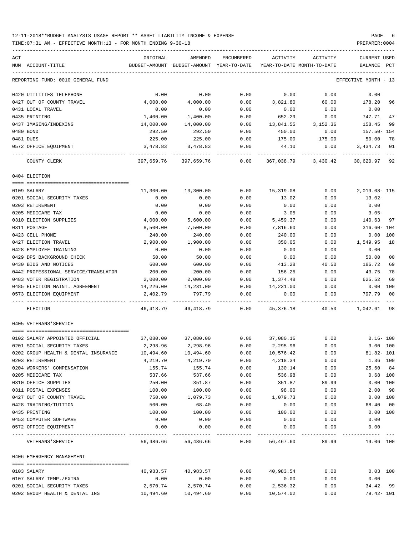| ACT                                  | ORIGINAL  | AMENDED                                                             | ENCUMBERED | ACTIVITY         | ACTIVITY            | CURRENT USED               |
|--------------------------------------|-----------|---------------------------------------------------------------------|------------|------------------|---------------------|----------------------------|
| NUM ACCOUNT-TITLE                    |           | BUDGET-AMOUNT BUDGET-AMOUNT YEAR-TO-DATE YEAR-TO-DATE MONTH-TO-DATE |            |                  |                     | BALANCE<br>PCT             |
| REPORTING FUND: 0010 GENERAL FUND    |           |                                                                     |            |                  |                     | EFFECTIVE MONTH - 13       |
| 0420 UTILITIES TELEPHONE             | 0.00      | 0.00                                                                | 0.00       | 0.00             | 0.00                | 0.00                       |
| 0427 OUT OF COUNTY TRAVEL            | 4,000.00  | 4,000.00                                                            | 0.00       | 3,821.80         | 60.00               | 178.20<br>96               |
| 0431 LOCAL TRAVEL                    | 0.00      | 0.00                                                                | 0.00       | 0.00             | 0.00                | 0.00                       |
| 0435 PRINTING                        | 1,400.00  | 1,400.00                                                            | 0.00       | 652.29           | 0.00                | 747.71<br>47               |
| 0437 IMAGING/INDEXING                | 14,000.00 | 14,000.00                                                           | 0.00       | 13,841.55        | 3,152.36            | 158.45<br>99               |
| 0480 BOND                            | 292.50    | 292.50                                                              | 0.00       | 450.00           | 0.00                | 157.50- 154                |
| 0481 DUES                            | 225.00    | 225.00                                                              | 0.00       | 175.00           | 175.00              | 50.00<br>78                |
| 0572 OFFICE EQUIPMENT                | 3,478.83  | 3,478.83                                                            | 0.00       | 44.10            | 0.00                | 3,434.73<br>01             |
| COUNTY CLERK                         |           | 397,659.76 397,659.76 0.00                                          |            |                  | 367,038.79 3,430.42 | 30,620.97 92               |
| 0404 ELECTION                        |           |                                                                     |            |                  |                     |                            |
|                                      |           |                                                                     |            |                  |                     |                            |
| 0109 SALARY                          | 11,300.00 | 13,300.00                                                           | 0.00       | 15,319.08        | 0.00                | 2,019.08-115               |
| 0201 SOCIAL SECURITY TAXES           | 0.00      | 0.00                                                                | 0.00       | 13.02            | 0.00                | $13.02-$                   |
| 0203 RETIREMENT                      | 0.00      | 0.00                                                                | 0.00       | 0.00             | 0.00                | 0.00                       |
| 0205 MEDICARE TAX                    | 0.00      | 0.00                                                                | 0.00       | 3.05             | 0.00                | $3.05-$                    |
| 0310 ELECTION SUPPLIES               | 4,000.00  | 5,600.00                                                            | 0.00       | 5,459.37         | 0.00                | 140.63 97                  |
| 0311 POSTAGE                         | 8,500.00  | 7,500.00                                                            | 0.00       | 7,816.60         | 0.00                | 316.60- 104                |
| 0423 CELL PHONE                      | 240.00    | 240.00                                                              | 0.00       | 240.00           | 0.00                | $0.00$ 100                 |
| 0427 ELECTION TRAVEL                 | 2,900.00  | 1,900.00                                                            | 0.00       | 350.05           | 0.00                | 1,549.95<br>18             |
| 0428 EMPLOYEE TRAINING               | 0.00      | 0.00                                                                | 0.00       | 0.00             | 0.00                | 0.00                       |
| 0429 DPS BACKGROUND CHECK            | 50.00     | 50.00                                                               | 0.00       | 0.00             | 0.00                | 50.00<br>00                |
| 0430 BIDS AND NOTICES                | 600.00    | 600.00                                                              | 0.00       | 413.28           | 40.50               | 186.72<br>69               |
| 0442 PROFESSIONAL SERVICE/TRANSLATOR | 200.00    | 200.00                                                              | 0.00       | 156.25           | 0.00                | 43.75<br>78                |
| 0483 VOTER REGISTRATION              | 2,000.00  | 2,000.00                                                            | 0.00       | 1,374.48         | 0.00                | 625.52<br>69               |
| 0485 ELECTION MAINT. AGREEMENT       | 14,226.00 | 14,231.00                                                           | 0.00       | 14,231.00        | 0.00                | $0.00$ 100                 |
| 0573 ELECTION EQUIPMENT              | 2,402.79  | 797.79                                                              | 0.00       | 0.00             | 0.00                | 797.79<br>00<br>---------- |
| ELECTION                             |           | 46,418.79 46,418.79 0.00                                            |            | 45,376.18        |                     | 40.50 1,042.61 98          |
| 0405 VETERANS'SERVICE                |           |                                                                     |            |                  |                     |                            |
| 0102 SALARY APPOINTED OFFICIAL       | 37,080.00 | $37,080.00$ 0.00                                                    |            | 37,080.16 0.00   |                     | $0.16 - 100$               |
| 0201 SOCIAL SECURITY TAXES           | 2,298.96  | 2,298.96                                                            | 0.00       | 2,295.96         | 0.00                | 3.00 100                   |
| 0202 GROUP HEALTH & DENTAL INSURANCE | 10,494.60 | 10,494.60                                                           | 0.00       | 10,576.42        | 0.00                | $81.82 - 101$              |
| 0203 RETIREMENT                      | 4,219.70  | 4,219.70                                                            | 0.00       | 4,218.34         | 0.00                | 1.36 100                   |
| 0204 WORKERS' COMPENSATION           | 155.74    | 155.74                                                              | 0.00       | 130.14           | 0.00                | 25.60 84                   |
| 0205 MEDICARE TAX                    | 537.66    | 537.66                                                              | 0.00       | 536.98           | 0.00                | $0.68$ 100                 |
| 0310 OFFICE SUPPLIES                 | 250.00    | 351.87                                                              | 0.00       | 351.87           | 89.99               | 0.00 100                   |
| 0311 POSTAL EXPENSES                 | 100.00    | 100.00                                                              | 0.00       | 98.00            | 0.00                | 2.00<br>98                 |
| 0427 OUT OF COUNTY TRAVEL            | 750.00    | 1,079.73                                                            | 0.00       | 1,079.73         | 0.00                | 0.00 100                   |
| 0428 TRAINING/TUITION                | 500.00    | 68.40                                                               | 0.00       | 0.00             | 0.00                | 68.40<br>00                |
| 0435 PRINTING                        | 100.00    | 100.00                                                              | 0.00       | 100.00           | 0.00                | 0.00 100                   |
| 0453 COMPUTER SOFTWARE               | 0.00      | 0.00                                                                | 0.00       | 0.00             | 0.00                | 0.00                       |
| 0572 OFFICE EQUIPMENT                | 0.00      | 0.00                                                                | 0.00       | 0.00             | 0.00                | 0.00                       |
|                                      |           |                                                                     |            |                  |                     |                            |
| VETERANS ' SERVICE                   |           | 56,486.66 56,486.66                                                 |            | $0.00$ 56,467.60 | 89.99               | 19.06 100                  |
| 0406 EMERGENCY MANAGEMENT            |           |                                                                     |            |                  |                     |                            |
| 0103 SALARY                          | 40,983.57 | 40,983.57                                                           | 0.00       | 40,983.54        | 0.00                | $0.03$ 100                 |
| 0107 SALARY TEMP./EXTRA              | 0.00      | 0.00                                                                | 0.00       | 0.00             | 0.00                | 0.00                       |
| 0201 SOCIAL SECURITY TAXES           | 2,570.74  | 2,570.74                                                            | 0.00       | 2,536.32         | 0.00                | 34.42 99                   |
| 0202 GROUP HEALTH & DENTAL INS       | 10,494.60 | 10,494.60                                                           | 0.00       | 10,574.02        | 0.00                | 79.42- 101                 |
|                                      |           |                                                                     |            |                  |                     |                            |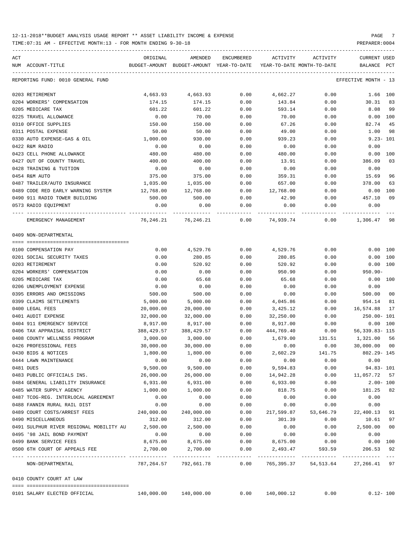| ACT           | NUM ACCOUNT-TITLE                                | ORIGINAL<br>BUDGET-AMOUNT | AMENDED<br>BUDGET-AMOUNT YEAR-TO-DATE | <b>ENCUMBERED</b> | ACTIVITY<br>YEAR-TO-DATE MONTH-TO-DATE | ACTIVITY  | CURRENT USED<br>BALANCE<br>PCT       |
|---------------|--------------------------------------------------|---------------------------|---------------------------------------|-------------------|----------------------------------------|-----------|--------------------------------------|
|               |                                                  |                           |                                       |                   |                                        |           |                                      |
|               | REPORTING FUND: 0010 GENERAL FUND                |                           |                                       |                   |                                        |           | EFFECTIVE MONTH<br>$-13$             |
|               | 0203 RETIREMENT                                  | 4,663.93                  | 4,663.93                              | 0.00              | 4,662.27                               | 0.00      | 1.66 100                             |
|               | 0204 WORKERS' COMPENSATION                       | 174.15                    | 174.15                                | 0.00              | 143.84                                 | 0.00      | 30.31<br>83                          |
|               | 0205 MEDICARE TAX                                | 601.22                    | 601.22                                | 0.00              | 593.14                                 | 0.00      | 8.08<br>99                           |
|               | 0225 TRAVEL ALLOWANCE                            | 0.00                      | 70.00                                 | 0.00              | 70.00                                  | 0.00      | 0.00 100                             |
|               | 0310 OFFICE SUPPLIES                             | 150.00                    | 150.00                                | 0.00              | 67.26                                  | 0.00      | 82.74<br>45                          |
|               | 0311 POSTAL EXPENSE                              | 50.00                     | 50.00                                 | 0.00              | 49.00                                  | 0.00      | 1.00<br>98                           |
|               | 0330 AUTO EXPENSE-GAS & OIL                      | 1,000.00                  | 930.00                                | 0.00              | 939.23                                 | 0.00      | $9.23 - 101$                         |
|               | 0422 R&M RADIO                                   | 0.00                      | 0.00                                  | 0.00              | 0.00                                   | 0.00      | 0.00                                 |
|               | 0423 CELL PHONE ALLOWANCE                        | 480.00                    | 480.00                                | 0.00              | 480.00                                 | 0.00      | 0.00<br>100                          |
|               | 0427 OUT OF COUNTY TRAVEL                        | 400.00                    | 400.00                                | 0.00              | 13.91                                  | 0.00      | 386.09<br>03                         |
|               | 0428 TRAINING & TUITION                          | 0.00                      | 0.00                                  | 0.00              | 0.00                                   | 0.00      | 0.00                                 |
| 0454 R&M AUTO |                                                  | 375.00                    | 375.00                                | 0.00              | 359.31                                 | 0.00      | 15.69<br>96                          |
|               | 0487 TRAILER/AUTO INSURANCE                      | 1,035.00                  | 1,035.00                              | 0.00              | 657.00                                 | 0.00      | 378.00<br>63                         |
|               | 0489 CODE RED EARLY WARNING SYSTEM               | 12,768.00                 | 12,768.00                             | 0.00              | 12,768.00                              | 0.00      | 0.00<br>100                          |
|               | 0490 911 RADIO TOWER BUILDING                    | 500.00                    | 500.00                                | 0.00              | 42.90                                  | 0.00      | 09<br>457.10                         |
|               | 0573 RADIO EQUIPMENT                             | 0.00                      | 0.00                                  | 0.00              | 0.00                                   | 0.00      | 0.00                                 |
|               | EMERGENCY MANAGEMENT                             | 76,246.21                 | 76,246.21                             | 0.00              | 74,939.74                              | 0.00      | 1,306.47<br>98                       |
|               | 0409 NON-DEPARTMENTAL                            |                           |                                       |                   |                                        |           |                                      |
|               | 0100 COMPENSATION PAY                            | 0.00                      | 4,529.76                              | 0.00              | 4,529.76                               | 0.00      | 0.00 100                             |
|               | 0201 SOCIAL SECURITY TAXES                       | 0.00                      | 280.85                                | 0.00              | 280.85                                 | 0.00      | 0.00<br>100                          |
|               | 0203 RETIREMENT                                  | 0.00                      | 520.92                                | 0.00              | 520.92                                 | 0.00      | 0.00 100                             |
|               | 0204 WORKERS' COMPENSATION                       | 0.00                      | 0.00                                  | 0.00              | 950.90                                 | 0.00      | 950.90-                              |
|               | 0205 MEDICARE TAX                                | 0.00                      | 65.68                                 | 0.00              | 65.68                                  | 0.00      | $0.00$ 100                           |
|               | 0206 UNEMPLOYMENT EXPENSE                        | 0.00                      | 0.00                                  | 0.00              | 0.00                                   | 0.00      | 0.00                                 |
|               | 0395 ERRORS AND OMISSIONS                        | 500.00                    | 500.00                                | 0.00              | 0.00                                   | 0.00      | 500.00<br>00                         |
|               | 0399 CLAIMS SETTLEMENTS                          | 5,000.00                  | 5,000.00                              | 0.00              | 4,045.86                               | 0.00      | 954.14<br>81                         |
|               | 0400 LEGAL FEES                                  | 20,000.00                 | 20,000.00                             | 0.00              | 3,425.12                               | 0.00      | 16,574.88<br>17                      |
|               | 0401 AUDIT EXPENSE                               | 32,000.00                 | 32,000.00                             | 0.00              | 32,250.00                              | 0.00      | 250.00- 101                          |
|               | 0404 911 EMERGENCY SERVICE                       | 8,917.00                  | 8,917.00                              | 0.00              | 8,917.00                               | 0.00      | 0.00<br>100                          |
|               | 0406 TAX APPRAISAL DISTRICT                      | 388,429.57                | 388, 429.57                           | 0.00              | 444,769.40                             | 0.00      | $56, 339.83 - 115$                   |
|               | 0408 COUNTY WELLNESS PROGRAM                     | 3,000.00                  | 3,000.00                              | 0.00              | 1,679.00                               | 131.51    | 1,321.00<br>56                       |
|               | 0426 PROFESSIONAL FEES                           | 30,000.00                 | 30,000.00                             | 0.00              | 0.00                                   | 0.00      | 30,000.00<br>0 <sup>0</sup>          |
|               | 0430 BIDS & NOTICES                              | 1,800.00                  | 1,800.00                              | 0.00              | 2,602.29                               | 141.75    | $802.29 - 145$                       |
|               | 0444 LAWN MAINTENANCE                            | 0.00                      | 0.00                                  | 0.00              | 0.00                                   | 0.00      | 0.00                                 |
| 0481 DUES     |                                                  | 9,500.00                  | 9,500.00                              | 0.00              | 9,594.83                               | 0.00      | $94.83 - 101$                        |
|               | 0483 PUBLIC OFFICIALS INS.                       | 26,000.00                 | 26,000.00                             | 0.00              | 14,942.28                              | 0.00      | 11,057.72 57                         |
|               | 0484 GENERAL LIABILITY INSURANCE                 | 6,931.00                  | 6,931.00                              | 0.00              | 6,933.00                               | 0.00      | $2.00 - 100$                         |
|               | 0485 WATER SUPPLY AGENCY                         | 1,000.00                  | 1,000.00                              | 0.00              | 818.75                                 | 0.00      | 181.25<br>82                         |
|               | 0487 TCOG-REG. INTERLOCAL AGREEMENT              | 0.00                      | 0.00                                  | 0.00              | 0.00                                   | 0.00      | 0.00                                 |
|               | 0488 FANNIN RURAL RAIL DIST                      | 0.00                      | 0.00                                  | 0.00              | 0.00                                   | 0.00      | 0.00                                 |
|               | 0489 COURT COSTS/ARREST FEES                     | 240,000.00                | 240,000.00                            | 0.00              | 217,599.87                             | 53,646.79 | 22,400.13<br>91                      |
|               | 0490 MISCELLANEOUS                               | 312.00                    | 312.00                                | 0.00              | 301.39                                 | 0.00      | 10.61<br>97                          |
|               | 0491 SULPHUR RIVER REGIONAL MOBILITY AU 2,500.00 |                           | 2,500.00                              | 0.00              | 0.00                                   | 0.00      | 2,500.00<br>00                       |
|               | 0495 '98 JAIL BOND PAYMENT                       | 0.00                      | 0.00                                  | 0.00              | 0.00                                   | 0.00      | 0.00                                 |
|               | 0499 BANK SERVICE FEES                           | 8,675.00                  | 8,675.00                              | 0.00              | 8,675.00                               | 0.00      | $0.00$ 100                           |
|               | 0500 6TH COURT OF APPEALS FEE                    | 2,700.00                  | 2,700.00                              | 0.00              | 2,493.47                               | 593.59    | 206.53<br>92                         |
|               | NON-DEPARTMENTAL                                 |                           | 787,264.57 792,661.78                 | 0.00              |                                        |           | 765, 395.37 54, 513.64 27, 266.41 97 |
|               | 0410 COUNTY COURT AT LAW                         |                           |                                       |                   |                                        |           |                                      |
|               | 0101 SALARY ELECTED OFFICIAL                     |                           | 140,000.00 140,000.00                 | 0.00              | 140,000.12                             | 0.00      | $0.12 - 100$                         |
|               |                                                  |                           |                                       |                   |                                        |           |                                      |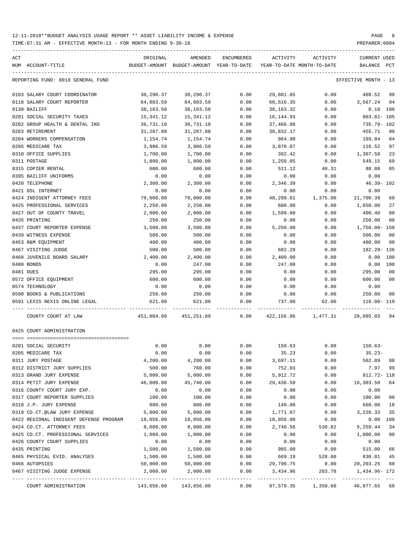| ACT |                                        | ORIGINAL   | AMENDED                                  | ENCUMBERED | ACTIVITY                   | ACTIVITY | CURRENT USED                                                                                                     |
|-----|----------------------------------------|------------|------------------------------------------|------------|----------------------------|----------|------------------------------------------------------------------------------------------------------------------|
|     | NUM ACCOUNT-TITLE                      |            | BUDGET-AMOUNT BUDGET-AMOUNT YEAR-TO-DATE |            | YEAR-TO-DATE MONTH-TO-DATE |          | BALANCE<br>$_{\rm PCT}$                                                                                          |
|     | REPORTING FUND: 0010 GENERAL FUND      |            |                                          |            |                            |          | EFFECTIVE MONTH - 13                                                                                             |
|     | 0103 SALARY COURT COORDINATOR          | 30,290.37  | 30,290.37                                | 0.00       | 29,881.85                  | 0.00     | 408.52 99                                                                                                        |
|     | 0110 SALARY COURT REPORTER             | 64,083.59  | 64,083.59                                | 0.00       | 60,516.35                  |          | $0.00$ 3,567.24 94                                                                                               |
|     | 0130 BAILIFF                           | 38,163.50  | 38,163.50                                | 0.00       | 38,163.32                  | 0.00     | $0.18$ 100                                                                                                       |
|     | 0201 SOCIAL SECURITY TAXES             | 15,341.12  | 15,341.12                                | 0.00       | 16,144.93                  | 0.00     | $803.81 - 105$                                                                                                   |
|     | 0202 GROUP HEALTH & DENTAL INS         | 36,731.10  | 36,731.10                                | 0.00       | 37,466.88                  | 0.00     | 735.78- 102                                                                                                      |
|     | 0203 RETIREMENT                        | 31,287.88  | 31,287.88                                | 0.00       | 30,832.17                  | 0.00     | 455.71<br>99                                                                                                     |
|     | 0204 WORKERS COMPENSATION              | 1,154.74   | 1,154.74                                 | 0.00       | 964.90                     | 0.00     | 189.84<br>84                                                                                                     |
|     | 0205 MEDICARE TAX                      | 3,986.59   | 3,986.59                                 | 0.00       | 3,870.07                   | 0.00     | 97<br>116.52                                                                                                     |
|     | 0310 OFFICE SUPPLIES                   | 1,700.00   | 1,700.00                                 | 0.00       | 392.42                     | 0.00     | 23<br>1,307.58                                                                                                   |
|     | 0311 POSTAGE                           | 1,800.00   | 1,800.00                                 | 0.00       | 1,250.85                   | 0.00     | 69<br>549.15                                                                                                     |
|     | 0315 COPIER RENTAL                     | 600.00     | 600.00                                   | 0.00       | 511.12                     | 40.31    | 88.88<br>85                                                                                                      |
|     | 0395 BAILIFF UNIFORMS                  | 0.00       | 0.00                                     | 0.00       | 0.00                       | 0.00     | 0.00                                                                                                             |
|     | 0420 TELEPHONE                         | 2,300.00   | 2,300.00                                 | 0.00       | 2,346.39                   | 0.00     | 46.39-102                                                                                                        |
|     | 0421 DSL INTERNET                      | 0.00       | 0.00                                     | 0.00       | 0.00                       | 0.00     | 0.00                                                                                                             |
|     | 0424 INDIGENT ATTORNEY FEES            | 70,000.00  | 70,000.00                                | 0.00       | 48,299.61                  | 1,375.00 | 21,700.39<br>69                                                                                                  |
|     | 0425 PROFESSIONAL SERVICES             | 2,250.00   | 2,250.00                                 | 0.00       | 600.00                     | 0.00     | 1,650.00<br>27                                                                                                   |
|     | 0427 OUT OF COUNTY TRAVEL              | 2,000.00   | 2,000.00                                 | 0.00       | 1,599.60                   | 0.00     | 400.40<br>80                                                                                                     |
|     | 0435 PRINTING                          | 250.00     | 250.00                                   | 0.00       | 0.00                       | 0.00     | 250.00<br>00                                                                                                     |
|     | 0437 COURT REPORTER EXPENSE            | 3,500.00   | 3,500.00                                 | 0.00       | 5,250.00                   | 0.00     | 1,750.00-150                                                                                                     |
|     | 0439 WITNESS EXPENSE                   | 500.00     | 500.00                                   | 0.00       | 0.00                       | 0.00     | 500.00<br>00                                                                                                     |
|     | 0453 R&M EQUIPMENT                     | 400.00     | 400.00                                   | 0.00       | 0.00                       | 0.00     | 400.00<br>$_{00}$                                                                                                |
|     | 0467 VISITING JUDGE                    | 500.00     | 500.00                                   | 0.00       | 682.28                     | 0.00     | 182.28- 136                                                                                                      |
|     | 0468 JUVENILE BOARD SALARY             | 2,400.00   | 2,400.00                                 | 0.00       | 2,400.00                   | 0.00     | 0.00<br>100                                                                                                      |
|     | 0480 BONDS                             | 0.00       | 247.00                                   | 0.00       | 247.00                     | 0.00     | $0.00$ 100                                                                                                       |
|     | 0481 DUES                              | 295.00     | 295.00                                   | 0.00       | 0.00                       | 0.00     | 295.00<br>00                                                                                                     |
|     | 0572 OFFICE EQUIPMENT                  | 600.00     | 600.00                                   | 0.00       | 0.00                       | 0.00     | 600.00 00                                                                                                        |
|     | 0574 TECHNOLOGY                        | 0.00       | 0.00                                     | 0.00       | 0.00                       | 0.00     | 0.00                                                                                                             |
|     | 0590 BOOKS & PUBLICATIONS              | 250.00     | 250.00                                   | 0.00       | 0.00                       | 0.00     | 250.00 00                                                                                                        |
|     | 0591 LEXIS NEXIS ONLINE LEGAL          | 621.00     | 621.00                                   | 0.00       | 737.00                     | 62.00    | 116.00- 119                                                                                                      |
|     |                                        |            |                                          |            |                            |          |                                                                                                                  |
|     | COUNTY COURT AT LAW                    |            |                                          |            |                            |          | 451,004.89 451,251.89              0.00              422,156.86             1,477.31             29,095.03    94 |
|     | 0425 COURT ADMINISTRATION              |            |                                          |            |                            |          |                                                                                                                  |
|     |                                        |            |                                          |            |                            |          |                                                                                                                  |
|     | 0201 SOCIAL SECURITY                   | 0.00       | 0.00                                     | 0.00       | 150.63                     | 0.00     | $150.63-$                                                                                                        |
|     | 0205 MEDICARE TAX                      | 0.00       | 0.00                                     | 0.00       | 35.23                      | 0.00     | $35.23-$                                                                                                         |
|     | 0311 JURY POSTAGE                      | 4,200.00   | 4,200.00                                 | 0.00       | 3,697.11                   | 0.00     | 502.89<br>88                                                                                                     |
|     | 0312 DISTRICT JURY SUPPLIES            | 500.00     | 760.00                                   | 0.00       | 752.03                     | 0.00     | 7.97<br>99                                                                                                       |
|     | 0313 GRAND JURY EXPENSE                | 5,000.00   | 5,000.00                                 | 0.00       | 5,912.72                   | 0.00     | 912.72- 118                                                                                                      |
|     | 0314 PETIT JURY EXPENSE                | 46,000.00  | 45,740.00                                | 0.00       | 29,436.50                  | 0.00     | 16,303.50<br>64                                                                                                  |
|     | 0316 COUNTY COURT JURY EXP.            | 0.00       | 0.00                                     | 0.00       | 0.00                       | 0.00     | 0.00                                                                                                             |
|     | 0317 COURT REPORTER SUPPLIES           | 100.00     | 100.00                                   | 0.00       | 0.00                       | 0.00     | 100.00<br>00                                                                                                     |
|     | 0318 J.P. JURY EXPENSE                 | 800.00     | 800.00                                   | 0.00       | 140.00                     | 0.00     | 660.00<br>18                                                                                                     |
|     | 0319 CO.CT.@LAW JURY EXPENSE           | 5,000.00   | 5,000.00                                 | 0.00       | 1,771.67                   | 0.00     | 3,228.33<br>35                                                                                                   |
|     | 0422 REGIONAL INDIGENT DEFENSE PROGRAM | 18,056.00  | 18,056.00                                | 0.00       | 18,056.00                  | 0.00     | 0.00<br>100                                                                                                      |
|     | 0424 CO.CT. ATTORNEY FEES              | 8,000.00   | 8,000.00                                 | 0.00       | 2,740.56                   | 538.82   | 5,259.44<br>34                                                                                                   |
|     | 0425 CO.CT. PROFESSIONAL SERVICES      | 1,000.00   | 1,000.00                                 | 0.00       | 0.00                       | 0.00     | 1,000.00<br>00                                                                                                   |
|     | 0426 COUNTY COURT SUPPLIES             | 0.00       | 0.00                                     | 0.00       | 0.00                       | 0.00     | 0.00                                                                                                             |
|     | 0435 PRINTING                          | 1,500.00   | 1,500.00                                 | 0.00       | 985.00                     | 0.00     | 515.00<br>66                                                                                                     |
|     | 0465 PHYSICAL EVID. ANALYSES           | 1,500.00   | 1,500.00                                 | 0.00       | 669.19                     | 528.00   | 830.81<br>45                                                                                                     |
|     | 0466 AUTOPSIES                         | 50,000.00  | 50,000.00                                | 0.00       | 29,796.75                  | 0.00     | 20, 203. 25<br>60                                                                                                |
|     | 0467 VISITING JUDGE EXPENSE            | 2,000.00   | 2,000.00                                 | 0.00       | 3,434.96                   | 283.78   | 1,434.96- 172                                                                                                    |
|     | COURT ADMINISTRATION                   | 143,656.00 | 143,656.00                               | 0.00       | 97,578.35                  | 1,350.60 | 46,077.65 68                                                                                                     |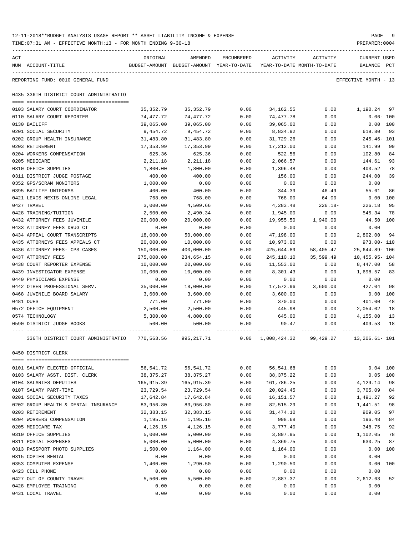| 12-11-2018**BUDGET ANALYSIS USAGE REPORT ** ASSET LIABILITY INCOME & EXPENSE | PAGE           |
|------------------------------------------------------------------------------|----------------|
| TIME:07:31 AM - EFFECTIVE MONTH:13 - FOR MONTH ENDING 9-30-18                | PREPARER: 0004 |

| ACT | NUM ACCOUNT-TITLE                                           | ORIGINAL               | AMENDED<br>BUDGET-AMOUNT BUDGET-AMOUNT YEAR-TO-DATE YEAR-TO-DATE MONTH-TO-DATE | <b>ENCUMBERED</b> | ACTIVITY               | ACTIVITY     | CURRENT USED<br>BALANCE PCT |     |
|-----|-------------------------------------------------------------|------------------------|--------------------------------------------------------------------------------|-------------------|------------------------|--------------|-----------------------------|-----|
|     |                                                             |                        |                                                                                |                   |                        |              | EFFECTIVE MONTH - 13        |     |
|     | REPORTING FUND: 0010 GENERAL FUND                           |                        |                                                                                |                   |                        |              |                             |     |
|     | 0435 336TH DISTRICT COURT ADMINISTRATIO                     |                        |                                                                                |                   |                        |              |                             |     |
|     |                                                             |                        |                                                                                |                   |                        |              |                             | 97  |
|     | 0103 SALARY COURT COORDINATOR<br>0110 SALARY COURT REPORTER | 35,352.79<br>74,477.72 | 35, 352.79<br>74,477.72                                                        | 0.00<br>0.00      | 34,162.55<br>74,477.78 | 0.00<br>0.00 | 1,190.24<br>$0.06 - 100$    |     |
|     | 0130 BAILIFF                                                | 39,065.00              | 39,065.00                                                                      | 0.00              | 39,065.00              | 0.00         | 0.00 100                    |     |
|     | 0201 SOCIAL SECURITY                                        | 9,454.72               | 9,454.72                                                                       | 0.00              | 8,834.92               | 0.00         | 619.80                      | 93  |
|     | 0202 GROUP HEALTH INSURANCE                                 | 31,483.80              | 31,483.80                                                                      | 0.00              | 31,729.26              | 0.00         | 245.46- 101                 |     |
|     | 0203 RETIREMENT                                             | 17,353.99              | 17,353.99                                                                      | 0.00              | 17,212.00              | 0.00         | 141.99                      | 99  |
|     | 0204 WORKERS COMPENSATION                                   | 625.36                 | 625.36                                                                         | 0.00              | 522.56                 | 0.00         | 102.80                      | 84  |
|     | 0205 MEDICARE                                               | 2,211.18               | 2,211.18                                                                       | 0.00              | 2,066.57               | 0.00         | 144.61                      | 93  |
|     | 0310 OFFICE SUPPLIES                                        | 1,800.00               | 1,800.00                                                                       | 0.00              | 1,396.48               | 0.00         | 403.52                      | 78  |
|     | 0311 DISTRICT JUDGE POSTAGE                                 | 400.00                 | 400.00                                                                         | 0.00              | 156.00                 | 0.00         | 244.00                      | 39  |
|     | 0352 GPS/SCRAM MONITORS                                     | 1,000.00               | 0.00                                                                           | 0.00              | 0.00                   | 0.00         | 0.00                        |     |
|     | 0395 BAILIFF UNIFORMS                                       | 400.00                 | 400.00                                                                         | 0.00              | 344.39                 | 46.49        | 55.61                       | 86  |
|     | 0421 LEXIS NEXIS ONLINE LEGAL                               | 768.00                 | 768.00                                                                         | 0.00              | 768.00                 | 64.00        | 0.00                        | 100 |
|     | 0427 TRAVEL                                                 | 3,000.00               | 4,509.66                                                                       | 0.00              | 4,283.48               | $226.18-$    | 226.18                      | 95  |
|     | 0428 TRAINING/TUITION                                       | 2,500.00               | 2,490.34                                                                       | 0.00              | 1,945.00               | 0.00         | 545.34                      | 78  |
|     | 0432 ATTORNEY FEES JUVENILE                                 | 20,000.00              | 20,000.00                                                                      | 0.00              | 19,955.50              | 1,940.00     | 44.50 100                   |     |
|     | 0433 ATTORNEY FEES DRUG CT                                  | 0.00                   | 0.00                                                                           | 0.00              | 0.00                   | 0.00         | 0.00                        |     |
|     | 0434 APPEAL COURT TRANSCRIPTS                               | 18,000.00              | 50,000.00                                                                      | 0.00              | 47,198.00              | 0.00         | 2,802.00                    | 94  |
|     | 0435 ATTORNEYS FEES APPEALS CT                              | 20,000.00              | 10,000.00                                                                      | 0.00              | 10,973.00              | 0.00         | 973.00- 110                 |     |
|     | 0436 ATTORNEY FEES- CPS CASES                               | 150,000.00             | 400,000.00                                                                     | 0.00              | 425,644.89             | 58,405.47    | 25,644.89- 106              |     |
|     | 0437 ATTORNEY FEES                                          | 275,000.00             | 234,654.15                                                                     | 0.00              | 245,110.10             | 35,599.49    | 10,455.95- 104              |     |
|     | 0438 COURT REPORTER EXPENSE                                 | 10,000.00              | 20,000.00                                                                      | 0.00              | 11,553.00              | 0.00         | 8,447.00                    | 58  |
|     | 0439 INVESTIGATOR EXPENSE                                   | 10,000.00              | 10,000.00                                                                      | 0.00              | 8,301.43               | 0.00         | 1,698.57                    | 83  |
|     | 0440 PHYSICIANS EXPENSE                                     | 0.00                   | 0.00                                                                           | 0.00              | 0.00                   | 0.00         | 0.00                        |     |
|     | 0442 OTHER PROFESSIONAL SERV.                               | 35,000.00              | 18,000.00                                                                      | 0.00              | 17,572.96              | 3,600.00     | 427.04                      | 98  |
|     | 0468 JUVENILE BOARD SALARY                                  | 3,600.00               | 3,600.00                                                                       | 0.00              | 3,600.00               | 0.00         | 0.00                        | 100 |
|     | 0481 DUES                                                   | 771.00                 | 771.00                                                                         | 0.00              | 370.00                 | 0.00         | 401.00                      | 48  |
|     | 0572 OFFICE EQUIPMENT                                       | 2,500.00               | 2,500.00                                                                       | 0.00              | 445.98                 | 0.00         | 2,054.02                    | 18  |
|     | 0574 TECHNOLOGY                                             | 5,300.00               | 4,800.00                                                                       | 0.00              | 645.00                 | 0.00         | 4,155.00                    | 13  |
|     | 0590 DISTRICT JUDGE BOOKS                                   | 500.00                 | 500.00                                                                         | 0.00              | 90.47                  | 0.00         | 409.53                      | 18  |
|     | 336TH DISTRICT COURT ADMINISTRATIO                          | 770,563.56             | 995,217.71                                                                     | 0.00              | 1,008,424.32           | 99,429.27    | 13,206.61- 101              |     |
|     | 0450 DISTRICT CLERK                                         |                        |                                                                                |                   |                        |              |                             |     |
|     |                                                             |                        |                                                                                |                   |                        |              |                             |     |
|     | 0101 SALARY ELECTED OFFICIAL                                | 56,541.72              | 56, 541.72                                                                     | 0.00              | 56,541.68              | 0.00         | $0.04$ 100                  |     |
|     | 0103 SALARY ASST. DIST. CLERK                               | 38, 375. 27            | 38, 375. 27                                                                    | 0.00              | 38, 375. 22            | 0.00         | 0.05                        | 100 |
|     | 0104 SALARIES DEPUTIES                                      | 165,915.39             | 165,915.39                                                                     | 0.00              | 161,786.25             | 0.00         | 4,129.14                    | 98  |
|     | 0107 SALARY PART-TIME                                       | 23,729.54              | 23,729.54                                                                      | 0.00              | 20,024.45              | 0.00         | 3,705.09                    | 84  |
|     | 0201 SOCIAL SECURITY TAXES                                  | 17,642.84              | 17,642.84                                                                      | 0.00              | 16,151.57              | 0.00         | 1,491.27                    | 92  |
|     | 0202 GROUP HEALTH & DENTAL INSURANCE                        | 83,956.80              | 83,956.80                                                                      | 0.00              | 82,515.29              | 0.00         | 1,441.51                    | 98  |
|     | 0203 RETIREMENT                                             | 32,383.15              | 32,383.15                                                                      | 0.00              | 31,474.10              | 0.00         | 909.05                      | 97  |
|     | 0204 WORKERS COMPENSATION                                   | 1,195.16               | 1,195.16                                                                       | 0.00              | 998.68                 | 0.00         | 196.48                      | 84  |
|     | 0205 MEDICARE TAX                                           | 4,126.15               | 4,126.15                                                                       | 0.00              | 3,777.40               | 0.00         | 348.75                      | 92  |
|     | 0310 OFFICE SUPPLIES                                        | 5,000.00               | 5,000.00                                                                       | 0.00              | 3,897.95               | 0.00         | 1,102.05                    | 78  |
|     | 0311 POSTAL EXPENSES                                        | 5,000.00               | 5,000.00                                                                       | 0.00              | 4,369.75               | 0.00         | 630.25                      | 87  |
|     | 0313 PASSPORT PHOTO SUPPLIES                                | 1,500.00               | 1,164.00                                                                       | 0.00              | 1,164.00               | 0.00         | 0.00                        | 100 |
|     | 0315 COPIER RENTAL                                          | 0.00                   | 0.00<br>1,290.50                                                               | 0.00              | 0.00                   | 0.00         | 0.00                        | 100 |
|     | 0353 COMPUTER EXPENSE<br>0423 CELL PHONE                    | 1,400.00<br>0.00       | 0.00                                                                           | 0.00              | 1,290.50<br>0.00       | 0.00<br>0.00 | 0.00<br>0.00                |     |
|     | 0427 OUT OF COUNTY TRAVEL                                   | 5,500.00               | 5,500.00                                                                       | 0.00<br>0.00      | 2,887.37               | 0.00         | 2,612.63                    | 52  |
|     |                                                             |                        |                                                                                |                   |                        |              |                             |     |

0428 EMPLOYEE TRAINING 0.00 0.00 0.00 0.00 0.00 0.00 0431 LOCAL TRAVEL 0.00 0.00 0.00 0.00 0.00 0.00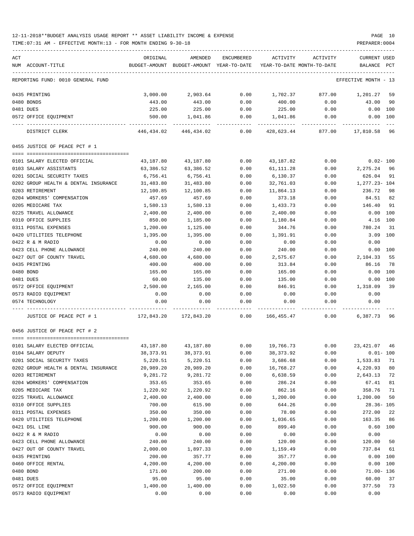TIME:07:31 AM - EFFECTIVE MONTH:13 - FOR MONTH ENDING 9-30-18 PREPARER:0004

| ACT |                                                                        | ORIGINAL      | AMENDED                    | ENCUMBERED | ACTIVITY                   | ACTIVITY | <b>CURRENT USED</b>  |              |
|-----|------------------------------------------------------------------------|---------------|----------------------------|------------|----------------------------|----------|----------------------|--------------|
|     | NUM ACCOUNT-TITLE                                                      | BUDGET-AMOUNT | BUDGET-AMOUNT YEAR-TO-DATE |            | YEAR-TO-DATE MONTH-TO-DATE |          | BALANCE              | $_{\rm PCT}$ |
|     |                                                                        |               |                            |            |                            |          |                      |              |
|     | REPORTING FUND: 0010 GENERAL FUND                                      |               |                            |            |                            |          | EFFECTIVE MONTH - 13 |              |
|     | 0435 PRINTING                                                          | 3,000.00      | 2,903.64                   | 0.00       | 1,702.37                   | 877.00   | 1,201.27             | 59           |
|     | 0480 BONDS                                                             | 443.00        | 443.00                     | 0.00       | 400.00                     | 0.00     | 43.00                | 90           |
|     | 0481 DUES                                                              | 225.00        | 225.00                     | 0.00       | 225.00                     | 0.00     | 0.00                 | 100          |
|     | 0572 OFFICE EQUIPMENT                                                  | 500.00        | 1,041.86                   | 0.00       | 1,041.86                   | 0.00     |                      | 0.00 100     |
|     | DISTRICT CLERK                                                         | 446,434.02    | 446,434.02                 | 0.00       | 428,623.44                 | 877.00   | 17,810.58 96         |              |
|     | 0455 JUSTICE OF PEACE PCT # 1                                          |               |                            |            |                            |          |                      |              |
|     |                                                                        |               |                            |            |                            |          |                      |              |
|     | 0101 SALARY ELECTED OFFICIAL                                           | 43,187.80     | 43,187.80                  | 0.00       | 43,187.82                  | 0.00     | $0.02 - 100$         |              |
|     | 0103 SALARY ASSISTANTS                                                 | 63,386.52     | 63,386.52                  | 0.00       | 61,111.28                  | 0.00     | 2,275.24             | 96           |
|     | 0201 SOCIAL SECURITY TAXES                                             | 6,756.41      | 6,756.41                   | 0.00       | 6,130.37                   | 0.00     | 626.04               | 91           |
|     | 0202 GROUP HEALTH & DENTAL INSURANCE                                   | 31,483.80     | 31,483.80                  | 0.00       | 32,761.03                  | 0.00     | 1,277.23- 104        |              |
|     | 0203 RETIREMENT                                                        | 12,100.85     | 12,100.85                  | 0.00       | 11,864.13                  | 0.00     | 236.72               | 98           |
|     | 0204 WORKERS' COMPENSATION                                             | 457.69        | 457.69                     | 0.00       | 373.18                     | 0.00     | 84.51                | 82           |
|     | 0205 MEDICARE TAX                                                      | 1,580.13      | 1,580.13                   | 0.00       | 1,433.73                   | 0.00     | 146.40               | 91           |
|     | 0225 TRAVEL ALLOWANCE                                                  | 2,400.00      | 2,400.00                   | 0.00       | 2,400.00                   | 0.00     | 0.00                 | 100          |
|     | 0310 OFFICE SUPPLIES                                                   | 850.00        | 1,185.00                   | 0.00       | 1,180.84                   | 0.00     | 4.16                 | 100          |
|     | 0311 POSTAL EXPENSES                                                   | 1,200.00      | 1,125.00                   | 0.00       | 344.76                     | 0.00     | 780.24               | 31           |
|     | 0420 UTILITIES TELEPHONE                                               | 1,395.00      | 1,395.00                   | 0.00       | 1,391.91                   | 0.00     | 3.09                 | 100          |
|     | 0422 R & M RADIO                                                       | 0.00          | 0.00                       | 0.00       | 0.00                       | 0.00     | 0.00                 |              |
|     | 0423 CELL PHONE ALLOWANCE                                              | 240.00        | 240.00                     | 0.00       | 240.00                     | 0.00     | 0.00                 | 100          |
|     | 0427 OUT OF COUNTY TRAVEL                                              | 4,680.00      | 4,680.00                   | 0.00       | 2,575.67                   | 0.00     | 2,104.33             | 55           |
|     | 0435 PRINTING                                                          | 400.00        | 400.00                     | 0.00       | 313.84                     | 0.00     | 86.16                | 78           |
|     | 0480 BOND                                                              | 165.00        | 165.00                     | 0.00       | 165.00                     | 0.00     | 0.00                 | 100          |
|     | 0481 DUES                                                              | 60.00         | 135.00                     | 0.00       | 135.00                     | 0.00     | 0.00                 | 100          |
|     | 0572 OFFICE EQUIPMENT                                                  | 2,500.00      | 2,165.00                   | 0.00       | 846.91                     | 0.00     | 1,318.09             | 39           |
|     | 0573 RADIO EQUIPMENT                                                   | 0.00          | 0.00                       | 0.00       | 0.00                       | 0.00     | 0.00                 |              |
|     |                                                                        |               |                            |            |                            |          |                      |              |
|     | 0574 TECHNOLOGY                                                        | 0.00          | 0.00                       | 0.00       | 0.00                       | 0.00     | 0.00                 |              |
|     | JUSTICE OF PEACE PCT # 1                                               | 172,843.20    | 172,843.20                 | 0.00       | 166, 455.47                | 0.00     | 6,387.73             | 96           |
|     | 0456 JUSTICE OF PEACE PCT # 2                                          |               |                            |            |                            |          |                      |              |
|     | ======================================<br>0101 SALARY ELECTED OFFICIAL | 43,187.80     | 43,187.80                  | 0.00       | 19,766.73                  | 0.00     | 23,421.07            | 46           |
|     | 0104 SALARY DEPUTY                                                     | 38, 373.91    | 38, 373.91                 | 0.00       | 38, 373.92                 | 0.00     |                      | $0.01 - 100$ |
|     | 0201 SOCIAL SECURITY TAXES                                             | 5,220.51      | 5,220.51                   | 0.00       | 3,686.68                   | 0.00     | 1,533.83             | 71           |
|     | 0202 GROUP HEALTH & DENTAL INSURANCE                                   | 20,989.20     | 20,989.20                  | 0.00       | 16,768.27                  | 0.00     | 4,220.93             | 80           |
|     | 0203 RETIREMENT                                                        | 9,281.72      | 9,281.72                   | 0.00       | 6,638.59                   | 0.00     | 2,643.13             | 72           |
|     | 0204 WORKERS' COMPENSATION                                             | 353.65        | 353.65                     | 0.00       | 286.24                     | 0.00     | 67.41                | 81           |
|     | 0205 MEDICARE TAX                                                      | 1,220.92      | 1,220.92                   | 0.00       | 862.16                     | 0.00     | 358.76               | 71           |
|     | 0225 TRAVEL ALLOWANCE                                                  | 2,400.00      | 2,400.00                   | 0.00       | 1,200.00                   | 0.00     | 1,200.00             | 50           |
|     | 0310 OFFICE SUPPLIES                                                   | 700.00        | 615.90                     | 0.00       | 644.26                     | 0.00     | $28.36 - 105$        |              |
|     | 0311 POSTAL EXPENSES                                                   | 350.00        | 350.00                     | 0.00       | 78.00                      | 0.00     | 272.00               | 22           |
|     | 0420 UTILITIES TELEPHONE                                               | 1,200.00      | 1,200.00                   | 0.00       | 1,036.65                   | 0.00     | 163.35               | 86           |
|     |                                                                        |               |                            |            |                            |          |                      |              |
|     | 0421 DSL LINE                                                          | 900.00        | 900.00                     | 0.00       | 899.40                     | 0.00     | 0.60                 | 100          |
|     | 0422 R & M RADIO                                                       | 0.00          | 0.00                       | 0.00       | 0.00                       | 0.00     | 0.00                 |              |
|     | 0423 CELL PHONE ALLOWANCE                                              | 240.00        | 240.00                     | 0.00       | 120.00                     | 0.00     | 120.00               | 50           |
|     | 0427 OUT OF COUNTY TRAVEL                                              | 2,000.00      | 1,897.33                   | 0.00       | 1,159.49                   | 0.00     | 737.84               | 61           |
|     | 0435 PRINTING                                                          | 200.00        | 357.77                     | 0.00       | 357.77                     | 0.00     | 0.00                 | 100          |
|     | 0460 OFFICE RENTAL                                                     | 4,200.00      | 4,200.00                   | 0.00       | 4,200.00                   | 0.00     | 0.00                 | 100          |
|     | 0480 BOND                                                              | 171.00        | 200.00                     | 0.00       | 271.00                     | 0.00     | 71.00- 136           |              |
|     | 0481 DUES                                                              | 95.00         | 95.00                      | 0.00       | 35.00                      | 0.00     | 60.00                | 37           |
|     | 0572 OFFICE EQUIPMENT                                                  | 1,400.00      | 1,400.00                   | 0.00       | 1,022.50                   | 0.00     | 377.50               | 73           |

0573 RADIO EQUIPMENT 0.00 0.00 0.00 0.00 0.00 0.00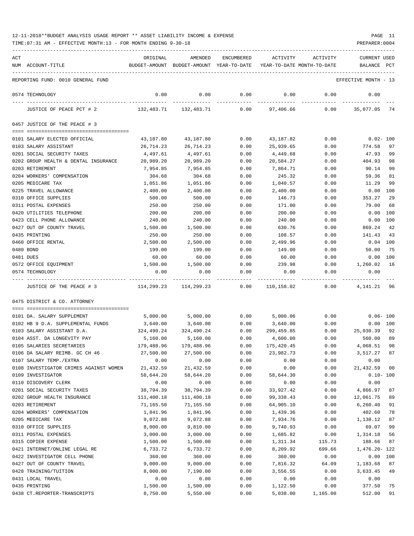| ACT                                       | ORIGINAL                                      | AMENDED                                             | ENCUMBERED   | ACTIVITY                   | ACTIVITY         | <b>CURRENT USED</b>   |              |
|-------------------------------------------|-----------------------------------------------|-----------------------------------------------------|--------------|----------------------------|------------------|-----------------------|--------------|
| NUM ACCOUNT-TITLE                         |                                               | BUDGET-AMOUNT BUDGET-AMOUNT YEAR-TO-DATE            |              | YEAR-TO-DATE MONTH-TO-DATE |                  | BALANCE PCT           |              |
| REPORTING FUND: 0010 GENERAL FUND         |                                               |                                                     |              |                            |                  | EFFECTIVE MONTH - 13  |              |
| 0574 TECHNOLOGY                           | 0.00                                          | 0.00                                                | 0.00         | 0.00                       | 0.00             | 0.00                  |              |
| JUSTICE OF PEACE PCT # 2                  |                                               | $132,483.71$ $132,483.71$ $0.00$ $97,406.66$ $0.00$ |              |                            |                  | 35,077.05 74          |              |
| 0457 JUSTICE OF THE PEACE # 3             |                                               |                                                     |              |                            |                  |                       |              |
| 0101 SALARY ELECTED OFFICIAL              | 43,187.80                                     | 43,187.80                                           | 0.00         | 43,187.82                  | 0.00             | 0.02- 100             |              |
| 0103 SALARY ASSISTANT                     | 26,714.23                                     | 26,714.23                                           | 0.00         | 25,939.65                  | 0.00             | 774.58                | 97           |
| 0201 SOCIAL SECURITY TAXES                | 4,497.61                                      | 4,497.61                                            | 0.00         | 4,449.68                   | 0.00             | 47.93                 | 99           |
| 0202 GROUP HEALTH & DENTAL INSURANCE      | 20,989.20                                     | 20,989.20                                           | 0.00         | 20,584.27                  | 0.00             | 404.93                | 98           |
| 0203 RETIREMENT                           | 7,954.85                                      | 7,954.85                                            | 0.00         | 7,864.71                   | 0.00             | 90.14                 | 99           |
| 0204 WORKERS' COMPENSATION                | 304.68                                        | 304.68                                              | 0.00         | 245.32                     | 0.00             | 59.36                 | 81           |
| 0205 MEDICARE TAX                         | 1,051.86                                      | 1,051.86                                            | 0.00         | 1,040.57                   | 0.00             | 11.29                 | 99           |
| 0225 TRAVEL ALLOWANCE                     | 2,400.00                                      | 2,400.00                                            | 0.00         | 2,400.00                   | 0.00             | 0.00                  | 100          |
| 0310 OFFICE SUPPLIES                      | 500.00                                        | 500.00                                              | 0.00         | 146.73                     | 0.00             | 353.27                | 29           |
| 0311 POSTAL EXPENSES                      | 250.00                                        | 250.00                                              | 0.00         | 171.00                     | 0.00             | 79.00                 | 68           |
| 0420 UTILITIES TELEPHONE                  | 200.00                                        | 200.00                                              | 0.00         | 200.00                     | 0.00             | 0.00                  | 100          |
| 0423 CELL PHONE ALLOWANCE                 | 240.00                                        | 240.00                                              | 0.00         | 240.00                     | 0.00             | 0.00                  | 100          |
| 0427 OUT OF COUNTY TRAVEL                 | 1,500.00                                      | 1,500.00                                            | 0.00         | 630.76                     | 0.00             | 869.24                | 42           |
| 0435 PRINTING                             | 250.00                                        | 250.00                                              | 0.00         | 108.57                     | 0.00             | 141.43                | 43           |
| 0460 OFFICE RENTAL                        | 2,500.00                                      | 2,500.00                                            | 0.00         | 2,499.96                   | 0.00             | $0.04$ $100$          |              |
| 0480 BOND                                 | 199.00                                        | 199.00                                              | 0.00         | 149.00                     | 0.00             | 50.00                 | 75           |
| 0481 DUES                                 | 60.00                                         | 60.00                                               | 0.00         | 60.00                      | 0.00             | 0.00                  | 100          |
| 0572 OFFICE EQUIPMENT                     | 1,500.00                                      | 1,500.00                                            | 0.00         | 239.98                     | 0.00             | 1,260.02              | 16           |
| 0574 TECHNOLOGY                           | 0.00                                          | 0.00                                                | 0.00         | 0.00                       | 0.00             | 0.00                  |              |
| JUSTICE OF THE PEACE # 3                  | $114,299.23$ $114,299.23$ $0.00$ $110,158.02$ |                                                     |              |                            |                  | 0.00<br>4, 141. 21 96 |              |
| 0475 DISTRICT & CO. ATTORNEY              |                                               |                                                     |              |                            |                  |                       |              |
| 0101 DA. SALARY SUPPLEMENT                | 5,000.00                                      | 5,000.00                                            | 0.00         | 5,000.06                   | 0.00             |                       | $0.06 - 100$ |
| 0102 HB 9 D.A. SUPPLEMENTAL FUNDS         | 3,640.00                                      | 3,640.00                                            | 0.00         | 3,640.00                   | 0.00             |                       | 0.00 100     |
| 0103 SALARY ASSISTANT D.A.                | 324,490.24                                    | 324,490.24                                          | 0.00         | 299,459.85                 | 0.00             | 25,030.39             | 92           |
| 0104 ASST. DA LONGEVITY PAY               | 5,160.00                                      | 5,160.00                                            | 0.00         | 4,600.00                   | 0.00             | 560.00                | 89           |
| 0105 SALARIES SECRETARIES                 | 179,488.96                                    | 179,488.96                                          | 0.00         | 175,420.45                 | 0.00             | 4,068.51              | 98           |
| 0106 DA SALARY REIMB. GC CH 46            | 27,500.00                                     | 27,500.00                                           | 0.00         | 23,982.73                  | 0.00             | 3,517.27              | 87           |
| 0107 SALARY TEMP./EXTRA                   | 0.00                                          | 0.00                                                | 0.00         | 0.00                       | 0.00             | 0.00                  |              |
| 0108 INVESTIGATOR CRIMES AGAINST WOMEN    | 21,432.59                                     | 21, 432.59                                          | 0.00         | 0.00                       | 0.00             | 21, 432.59            | 00           |
| 0109 INVESTIGATOR                         | 58,644.20                                     | 58,644.20                                           | 0.00         | 58,644.30                  | 0.00             |                       | $0.10 - 100$ |
| 0110 DISCOVERY CLERK                      | 0.00                                          | 0.00                                                | 0.00         | 0.00                       | 0.00             | 0.00                  |              |
| 0201 SOCIAL SECURITY TAXES                | 38,794.39                                     | 38,794.39                                           | 0.00         | 33,927.42                  | 0.00             | 4,866.97              | 87           |
| 0202 GROUP HEALTH INSURANCE               | 111,400.18                                    | 111,400.18                                          | 0.00         | 99,338.43                  | 0.00             | 12,061.75             | 89           |
| 0203 RETIREMENT                           | 71,165.50                                     | 71,165.50                                           | 0.00         | 64,905.10                  | 0.00             | 6, 260.40             | 91           |
| 0204 WORKERS' COMPENSATION                | 1,841.96                                      | 1,841.96                                            | 0.00         | 1,439.36                   | 0.00             | 402.60                | 78           |
| 0205 MEDICARE TAX<br>0310 OFFICE SUPPLIES | 9,072.88                                      | 9,072.88                                            | 0.00         | 7,934.76                   | 0.00             | 1,138.12              | 87           |
| 0311 POSTAL EXPENSES                      | 8,000.00<br>3,000.00                          | 9,810.00<br>3,000.00                                | 0.00<br>0.00 | 9,740.93                   | 0.00<br>0.00     | 69.07<br>1,314.18     | 99<br>56     |
| 0315 COPIER EXPENSE                       | 1,500.00                                      | 1,500.00                                            | 0.00         | 1,685.82                   |                  | 188.66                | 87           |
| 0421 INTERNET/ONLINE LEGAL RE             | 6,733.72                                      | 6,733.72                                            | 0.00         | 1,311.34<br>8,209.92       | 115.73<br>699.66 | 1,476.20- 122         |              |
| 0422 INVESTIGATOR CELL PHONE              | 360.00                                        | 360.00                                              | 0.00         | 360.00                     | 0.00             |                       | 0.00 100     |
| 0427 OUT OF COUNTY TRAVEL                 | 9,000.00                                      | 9,000.00                                            | 0.00         | 7,816.32                   | 64.09            | 1,183.68              | 87           |
| 0428 TRAINING/TUITION                     | 8,000.00                                      | 7,190.00                                            | 0.00         | 3,556.55                   | 0.00             | 3,633.45              | 49           |
| 0431 LOCAL TRAVEL                         | 0.00                                          | 0.00                                                | 0.00         | 0.00                       | 0.00             | 0.00                  |              |
| 0435 PRINTING                             | 1,500.00                                      | 1,500.00                                            | 0.00         | 1,122.50                   | 0.00             | 377.50                | 75           |
| 0438 CT.REPORTER-TRANSCRIPTS              | 8,750.00                                      | 5,550.00                                            | 0.00         | 5,038.00                   | 1,165.00         | 512.00                | 91           |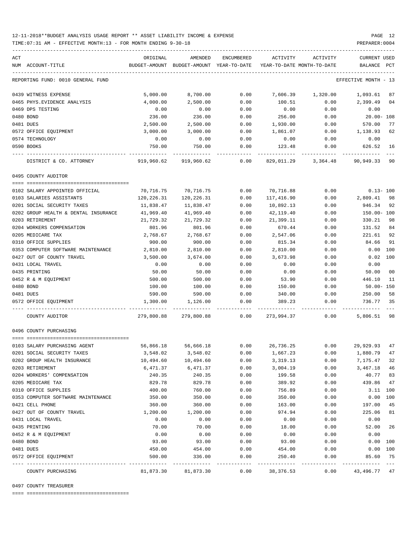TIME:07:31 AM - EFFECTIVE MONTH:13 - FOR MONTH ENDING 9-30-18 PREPARER:0004

| ACT                                  | ORIGINAL           | AMENDED                                  | ENCUMBERED   | ACTIVITY                   | ACTIVITY                                   | CURRENT USED         |     |
|--------------------------------------|--------------------|------------------------------------------|--------------|----------------------------|--------------------------------------------|----------------------|-----|
| NUM ACCOUNT-TITLE                    |                    | BUDGET-AMOUNT BUDGET-AMOUNT YEAR-TO-DATE |              | YEAR-TO-DATE MONTH-TO-DATE |                                            | BALANCE              | PCT |
| REPORTING FUND: 0010 GENERAL FUND    |                    |                                          |              |                            |                                            | EFFECTIVE MONTH - 13 |     |
| 0439 WITNESS EXPENSE                 | 5,000.00           | 8,700.00                                 | 0.00         |                            | 7,606.39 1,320.00 1,093.61                 |                      | 87  |
| 0465 PHYS. EVIDENCE ANALYSIS         | 4,000.00           | 2,500.00                                 | 0.00         | 100.51                     | 0.00                                       | 2,399.49             | 04  |
| 0469 DPS TESTING                     | 0.00               | 0.00                                     | 0.00         | 0.00                       | 0.00                                       | 0.00                 |     |
| 0480 BOND                            | 236.00             | 236.00                                   | 0.00         | 256.00                     | 0.00                                       | $20.00 - 108$        |     |
| 0481 DUES                            | 2,500.00           | 2,500.00                                 | 0.00         | 1,930.00                   | 0.00                                       | 570.00               | 77  |
| 0572 OFFICE EQUIPMENT                | 3,000.00           | 3,000.00                                 | 0.00         | 1,861.07                   | 0.00                                       | 1,138.93             | 62  |
| 0574 TECHNOLOGY                      | 0.00               | 0.00                                     | 0.00         | 0.00                       | 0.00                                       | 0.00                 |     |
| 0590 BOOKS                           | 750.00             | 750.00                                   | 0.00         | 123.48                     | 0.00                                       | 626.52               | 16  |
| DISTRICT & CO. ATTORNEY              | 919,960.62         | 919,960.62                               | 0.00         |                            | 829,011.29 3,364.48 90,949.33 90           |                      |     |
| 0495 COUNTY AUDITOR                  |                    |                                          |              |                            |                                            |                      |     |
|                                      |                    |                                          |              |                            |                                            |                      |     |
| 0102 SALARY APPOINTED OFFICIAL       | 70,716.75          | 70,716.75                                | 0.00         | 70,716.88                  | 0.00                                       | 0.13- 100            |     |
| 0103 SALARIES ASSISTANTS             | 120,226.31         | 120,226.31                               | 0.00         | 117,416.90                 | 0.00                                       | 2,809.41 98          |     |
| 0201 SOCIAL SECURITY TAXES           | 11,838.47          | 11,838.47                                | 0.00         | 10,892.13                  | 0.00                                       | 946.34 92            |     |
| 0202 GROUP HEALTH & DENTAL INSURANCE | 41,969.40          | 41,969.40                                | 0.00         | 42,119.40                  | 0.00                                       | 150.00- 100          |     |
| 0203 RETIREMENT                      | 21,729.32          | 21,729.32                                | 0.00         | 21,399.11                  | 0.00                                       | 330.21               | 98  |
| 0204 WORKERS COMPENSATION            | 801.96             | 801.96                                   | 0.00         | 670.44                     | 0.00                                       | 131.52               | 84  |
| 0205 MEDICARE TAX                    | 2,768.67           | 2,768.67                                 | 0.00         | 2,547.06                   | 0.00                                       | 221.61 92            |     |
| 0310 OFFICE SUPPLIES                 | 900.00             | 900.00                                   | 0.00         | 815.34                     | 0.00                                       | 84.66                | 91  |
| 0353 COMPUTER SOFTWARE MAINTENANCE   | 2,810.00           | 2,810.00                                 | 0.00         | 2,810.00                   | 0.00                                       | $0.00$ 100           |     |
| 0427 OUT OF COUNTY TRAVEL            | 3,500.00           | 3,674.00                                 | 0.00         | 3,673.98                   | 0.00                                       | $0.02$ 100           |     |
| 0431 LOCAL TRAVEL                    | 0.00               | 0.00                                     | 0.00         | 0.00                       | 0.00                                       | 0.00                 |     |
| 0435 PRINTING                        | 50.00              | 50.00                                    | 0.00         | 0.00                       | 0.00                                       | 50.00                | 00  |
| 0452 R & M EQUIPMENT                 | 500.00             | 500.00                                   | 0.00         | 53.90                      | 0.00                                       | 446.10               | 11  |
| 0480 BOND                            | 100.00             | 100.00                                   | 0.00         | 150.00                     | 0.00                                       | $50.00 - 150$        |     |
| 0481 DUES<br>0572 OFFICE EQUIPMENT   | 590.00<br>1,300.00 | 590.00<br>1,126.00                       | 0.00<br>0.00 | 340.00<br>389.23           | 0.00<br>0.00                               | 250.00<br>736.77 35  | 58  |
| COUNTY AUDITOR                       |                    |                                          |              |                            | 279,800.88 279,800.88 0.00 273,994.37 0.00 | 5,806.51 98          |     |
| 0496 COUNTY PURCHASING               |                    |                                          |              |                            |                                            |                      |     |
|                                      |                    |                                          |              |                            |                                            |                      |     |
| 0103 SALARY PURCHASING AGENT         | 56,866.18          | 56,666.18                                | 0.00         | 26,736.25                  |                                            | $0.00$ 29,929.93 47  |     |
| 0201 SOCIAL SECURITY TAXES           | 3,548.02           | 3,548.02                                 | 0.00         | 1,667.23                   | 0.00                                       | 1,880.79             | 47  |
| 0202 GROUP HEALTH INSURANCE          | 10,494.60          | 10,494.60                                | 0.00         | 3,319.13                   | 0.00                                       | 7,175.47             | 32  |
| 0203 RETIREMENT                      | 6,471.37           | 6,471.37                                 | 0.00         | 3,004.19                   | 0.00                                       | 3,467.18             | 46  |
| 0204 WORKERS' COMPENSATION           | 240.35             | 240.35                                   | 0.00         | 199.58                     | 0.00                                       | 40.77                | 83  |
| 0205 MEDICARE TAX                    | 829.78             | 829.78                                   | 0.00         | 389.92                     | 0.00                                       | 439.86               | 47  |
| 0310 OFFICE SUPPLIES                 | 400.00             | 760.00                                   | 0.00         | 756.89                     | 0.00                                       | 3.11 100             |     |
| 0353 COMPUTER SOFTWARE MAINTENANCE   | 350.00             | 350.00                                   | 0.00         | 350.00                     | 0.00                                       | 0.00                 | 100 |
| 0421 CELL PHONE                      | 360.00             | 360.00                                   | 0.00         | 163.00                     | 0.00                                       | 197.00               | 45  |
| 0427 OUT OF COUNTY TRAVEL            | 1,200.00           | 1,200.00                                 | 0.00         | 974.94                     | 0.00                                       | 225.06               | 81  |
| 0431 LOCAL TRAVEL                    | 0.00               | 0.00                                     | 0.00         | 0.00                       | 0.00                                       | 0.00                 |     |
| 0435 PRINTING                        | 70.00              | 70.00                                    | 0.00         | 18.00                      | 0.00                                       | 52.00                | 26  |
| 0452 R & M EQUIPMENT                 | 0.00               | 0.00                                     | 0.00         | 0.00                       | 0.00                                       | 0.00                 |     |
| 0480 BOND                            | 93.00              | 93.00                                    | 0.00         | 93.00                      | 0.00                                       | 0.00                 | 100 |
| 0481 DUES<br>0572 OFFICE EQUIPMENT   | 450.00<br>500.00   | 454.00<br>336.00                         | 0.00<br>0.00 | 454.00<br>250.40           | 0.00<br>0.00                               | 0.00 100<br>85.60    | 75  |
| COUNTY PURCHASING                    | 81,873.30          | 81,873.30                                | 0.00         | 38,376.53                  | 0.00                                       | 43,496.77            | 47  |
|                                      |                    |                                          |              |                            |                                            |                      |     |

0497 COUNTY TREASURER

==== ===================================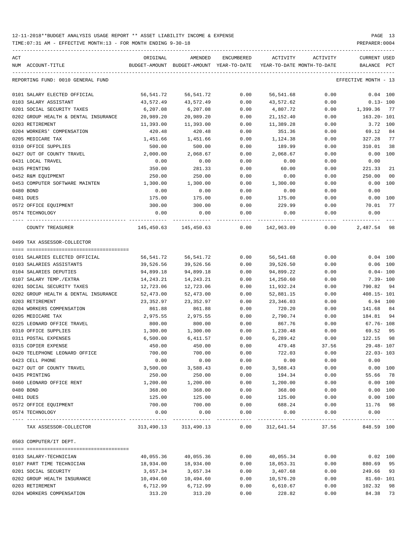TIME:07:31 AM - EFFECTIVE MONTH:13 - FOR MONTH ENDING 9-30-18 PREPARER:0004

| ACT                                                  | ORIGINAL           | AMENDED                                  | ENCUMBERED       | ACTIVITY                 | ACTIVITY                   | <b>CURRENT USED</b>     |                |
|------------------------------------------------------|--------------------|------------------------------------------|------------------|--------------------------|----------------------------|-------------------------|----------------|
| NUM ACCOUNT-TITLE                                    |                    | BUDGET-AMOUNT BUDGET-AMOUNT YEAR-TO-DATE |                  |                          | YEAR-TO-DATE MONTH-TO-DATE | BALANCE PCT             |                |
| REPORTING FUND: 0010 GENERAL FUND                    |                    |                                          |                  |                          |                            | EFFECTIVE MONTH - 13    |                |
| 0101 SALARY ELECTED OFFICIAL                         | 56,541.72          | 56,541.72                                | 0.00             | 56,541.68                | 0.00                       | $0.04$ 100              |                |
| 0103 SALARY ASSISTANT                                | 43,572.49          | 43,572.49                                | 0.00             | 43,572.62                | 0.00                       | $0.13 - 100$            |                |
| 0201 SOCIAL SECURITY TAXES                           | 6,207.08           | 6,207.08                                 | 0.00             | 4,807.72                 | 0.00                       | 1,399.36                | 77             |
| 0202 GROUP HEALTH & DENTAL INSURANCE                 | 20,989.20          | 20,989.20                                | 0.00             | 21,152.40                | 0.00                       | 163.20- 101             |                |
| 0203 RETIREMENT                                      | 11,393.00          | 11,393.00                                | 0.00             | 11,389.28                | 0.00                       | 3.72 100                |                |
| 0204 WORKERS' COMPENSATION                           | 420.48             | 420.48                                   | 0.00             | 351.36                   | 0.00                       | 69.12                   | 84             |
| 0205 MEDICARE TAX                                    | 1,451.66           | 1,451.66                                 | 0.00             | 1,124.38                 | 0.00                       | 327.28                  | 77             |
| 0310 OFFICE SUPPLIES                                 | 500.00             | 500.00                                   | 0.00             | 189.99                   | 0.00                       | 310.01                  | 38             |
| 0427 OUT OF COUNTY TRAVEL                            | 2,000.00           | 2,068.67                                 | 0.00             | 2,068.67                 | 0.00                       | 0.00 100                |                |
| 0431 LOCAL TRAVEL                                    | 0.00               | 0.00                                     | 0.00             | 0.00                     | 0.00                       | 0.00                    |                |
| 0435 PRINTING                                        | 350.00             | 281.33                                   | 0.00             | 60.00                    | 0.00                       | 221.33                  | 21             |
| 0452 R&M EQUIPMENT                                   | 250.00             | 250.00                                   | 0.00             | 0.00                     | 0.00                       | 250.00                  | 0 <sub>0</sub> |
| 0453 COMPUTER SOFTWARE MAINTEN                       | 1,300.00           | 1,300.00                                 | 0.00             | 1,300.00                 | 0.00                       | 0.00 100                |                |
| 0480 BOND                                            | 0.00               | 0.00                                     | 0.00             | 0.00                     | 0.00                       | 0.00                    |                |
| 0481 DUES                                            | 175.00             | 175.00                                   | 0.00             | 175.00                   | 0.00                       | $0.00$ 100              |                |
| 0572 OFFICE EQUIPMENT                                | 300.00             | 300.00                                   | 0.00             | 229.99                   | 0.00                       | 70.01                   | 77             |
| 0574 TECHNOLOGY                                      | 0.00               | 0.00                                     | 0.00             | 0.00                     | 0.00                       | 0.00                    |                |
| COUNTY TREASURER                                     |                    | 145,450.63 145,450.63                    |                  | $0.00$ 142,963.09        | 0.00                       | 2,487.54                | 98             |
| 0499 TAX ASSESSOR-COLLECTOR                          |                    |                                          |                  |                          |                            |                         |                |
|                                                      |                    |                                          |                  |                          |                            |                         |                |
| 0101 SALARIES ELECTED OFFICIAL                       | 56,541.72          | 56,541.72                                | 0.00             | 56,541.68                | 0.00                       | $0.04$ 100              |                |
| 0103 SALARIES ASSISTANTS                             | 39,526.56          | 39,526.56                                | 0.00             | 39,526.50                | 0.00                       | $0.06$ 100              |                |
| 0104 SALARIES DEPUTIES                               | 94,899.18          | 94,899.18                                | 0.00             | 94,899.22                | 0.00                       | $0.04 - 100$            |                |
| 0107 SALARY TEMP./EXTRA                              | 14,243.21          | 14,243.21                                | 0.00             | 14,250.60                | 0.00                       | $7.39 - 100$            |                |
| 0201 SOCIAL SECURITY TAXES                           | 12,723.06          | 12,723.06                                | 0.00             | 11,932.24                | 0.00                       | 790.82                  | 94             |
| 0202 GROUP HEALTH & DENTAL INSURANCE                 | 52,473.00          | 52,473.00                                | 0.00             | 52,881.15                | 0.00                       | $408.15 - 101$          |                |
| 0203 RETIREMENT                                      | 23,352.97          | 23,352.97                                | 0.00             | 23, 346.03               | 0.00                       | 6.94 100                |                |
| 0204 WORKERS COMPENSATION                            | 861.88             | 861.88                                   | 0.00             | 720.20                   | 0.00                       | 141.68                  | 84             |
| 0205 MEDICARE TAX                                    | 2,975.55           | 2,975.55                                 | 0.00             | 2,790.74                 | 0.00                       | 184.81                  | 94             |
| 0225 LEONARD OFFICE TRAVEL                           | 800.00             | 800.00                                   | 0.00             | 867.76                   | 0.00                       | $67.76 - 108$           |                |
| 0310 OFFICE SUPPLIES                                 | 1,300.00           | 1,300.00                                 | 0.00             | 1,230.48<br>6,289.42     | 0.00                       | 69.52                   | 95<br>98       |
| 0311 POSTAL EXPENSES                                 | 6,500.00<br>450.00 | 6,411.57<br>450.00                       | 0.00<br>0.00     | 479.48                   | 0.00                       | 122.15<br>$29.48 - 107$ |                |
| 0315 COPIER EXPENSE<br>0420 TELEPHONE LEONARD OFFICE | 700.00             | 700.00                                   | 0.00             | 722.03                   | 37.56<br>0.00              | $22.03 - 103$           |                |
| 0423 CELL PHONE                                      | 0.00               | 0.00                                     | 0.00             | 0.00                     | 0.00                       | 0.00                    |                |
| 0427 OUT OF COUNTY TRAVEL                            | 3,500.00           | 3,588.43                                 | 0.00             | 3,588.43                 | 0.00                       | 0.00 100                |                |
| 0435 PRINTING                                        | 250.00             | 250.00                                   | 0.00             | 194.34                   | 0.00                       | 55.66                   | 78             |
| 0460 LEONARD OFFICE RENT                             | 1,200.00           | 1,200.00                                 | 0.00             | 1,200.00                 | 0.00                       | 0.00 100                |                |
| 0480 BOND                                            | 368.00             | 368.00                                   | 0.00             | 368.00                   | 0.00                       | 0.00 100                |                |
| 0481 DUES                                            | 125.00             | 125.00                                   | 0.00             | 125.00                   | 0.00                       | 0.00 100                |                |
| 0572 OFFICE EQUIPMENT                                | 700.00             | 700.00                                   | 0.00             | 688.24                   | 0.00                       | 11.76                   | 98             |
| 0574 TECHNOLOGY                                      | 0.00               | 0.00                                     | 0.00             | 0.00                     | 0.00                       | 0.00                    |                |
| TAX ASSESSOR-COLLECTOR                               | 313,490.13         | 313,490.13                               | $------$<br>0.00 | ----------<br>312,641.54 | 37.56                      | 848.59 100              |                |
| 0503 COMPUTER/IT DEPT.                               |                    |                                          |                  |                          |                            |                         |                |
|                                                      |                    |                                          |                  |                          |                            |                         |                |
| 0103 SALARY-TECHNICIAN                               | 40,055.36          | 40,055.36                                | 0.00             | 40,055.34                | 0.00                       | $0.02$ 100              |                |
| 0107 PART TIME TECHNICIAN                            | 18,934.00          | 18,934.00                                | 0.00             | 18,053.31                | 0.00                       | 880.69                  | 95             |
| 0201 SOCIAL SECURITY                                 | 3,657.34           | 3,657.34                                 | 0.00             | 3,407.68                 | 0.00                       | 249.66                  | 93             |
| 0202 GROUP HEALTH INSURANCE                          | 10,494.60          | 10,494.60                                | 0.00             | 10,576.20                | 0.00                       | $81.60 - 101$           |                |
| 0203 RETIREMENT                                      | 6,712.99           | 6,712.99                                 | 0.00             | 6,610.67                 | 0.00                       | 102.32                  | 98             |

0204 WORKERS COMPENSATION 313.20 313.20 0.00 228.82 0.00 84.38 73

-----------------------------------------------------------------------------------------------------------------------------------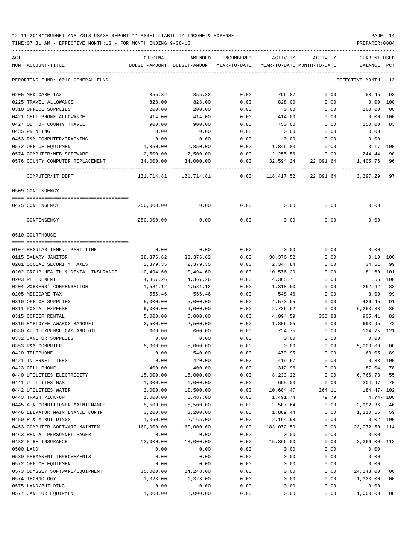| ACT<br>NUM ACCOUNT-TITLE                      | ORIGINAL                   | AMENDED<br>BUDGET-AMOUNT BUDGET-AMOUNT YEAR-TO-DATE | ENCUMBERED           | ACTIVITY<br>YEAR-TO-DATE MONTH-TO-DATE | ACTIVITY  | CURRENT USED<br>BALANCE | PCT    |
|-----------------------------------------------|----------------------------|-----------------------------------------------------|----------------------|----------------------------------------|-----------|-------------------------|--------|
|                                               |                            |                                                     |                      |                                        |           |                         |        |
| REPORTING FUND: 0010 GENERAL FUND             |                            |                                                     |                      |                                        |           | EFFECTIVE MONTH - 13    |        |
| 0205 MEDICARE TAX                             | 855.32                     | 855.32                                              | 0.00                 | 796.87                                 | 0.00      | 58.45                   | 93     |
| 0225 TRAVEL ALLOWANCE                         | 828.00                     | 828.00                                              | 0.00                 | 828.00                                 | 0.00      | $0.00$ $100$            |        |
| 0310 OFFICE SUPPLIES                          | 200.00                     | 200.00                                              | 0.00                 | 0.00                                   | 0.00      | 200.00                  | 00     |
| 0421 CELL PHONE ALLOWANCE                     | 414.00                     | 414.00                                              | 0.00                 | 414.00                                 | 0.00      | $0.00$ 100              |        |
| 0427 OUT OF COUNTY TRAVEL                     | 900.00                     | 900.00                                              | 0.00                 | 750.00                                 | 0.00      | 150.00                  | 83     |
| 0435 PRINTING                                 | 0.00                       | 0.00                                                | 0.00                 | 0.00                                   | 0.00      | 0.00                    |        |
| 0453 R&M COMPUTER/TRAINING                    | 0.00                       | 0.00                                                | 0.00                 | 0.00                                   | 0.00      | 0.00                    |        |
| 0572 OFFICE EQUIPMENT                         | 1,850.00                   | 1,850.00                                            | 0.00                 | 1,846.83                               | 0.00      | 3.17 100                |        |
| 0574 COMPUTER/WEB SOFTWARE                    | 2,500.00                   | 2,500.00                                            | 0.00                 | 2,255.56                               | 0.00      | 244.44                  | 90     |
| 0576 COUNTY COMPUTER REPLACEMENT              | 34,000.00                  | 34,000.00                                           | 0.00                 | 32,594.24                              | 22,091.64 | 1,405.76 96             |        |
| COMPUTER/IT DEPT.                             | ------------<br>121,714.81 | -------------<br>121,714.81                         | ------------<br>0.00 | 118,417.52                             | 22,091.64 | 3,297.29                | 97     |
| 0509 CONTINGENCY                              |                            |                                                     |                      |                                        |           |                         |        |
| 0475 CONTINGENCY                              | 250,000.00                 | 0.00                                                | 0.00                 | 0.00                                   | 0.00      | 0.00                    |        |
|                                               |                            |                                                     |                      |                                        |           |                         |        |
| CONTINGENCY                                   | 250,000.00                 | 0.00                                                | 0.00                 | 0.00                                   | 0.00      | 0.00                    |        |
| 0510 COURTHOUSE                               |                            |                                                     |                      |                                        |           |                         |        |
| 0107 REGULAR TEMP.- PART TIME                 | 0.00                       | 0.00                                                | 0.00                 | 0.00                                   | 0.00      | 0.00                    |        |
| 0115 SALARY JANITOR                           | 38,376.62                  | 38,376.62                                           | 0.00                 | 38,376.52                              | 0.00      | $0.10$ 100              |        |
| 0201 SOCIAL SECURITY TAXES                    | 2,379.35                   | 2,379.35                                            | 0.00                 | 2,344.84                               | 0.00      | 34.51                   | 99     |
| 0202 GROUP HEALTH & DENTAL INSURANCE          | 10,494.60                  | 10,494.60                                           | 0.00                 | 10,576.20                              | 0.00      | $81.60 - 101$           |        |
| 0203 RETIREMENT                               | 4,367.26                   | 4,367.26                                            | 0.00                 | 4,365.71                               | 0.00      | 1.55 100                |        |
| 0204 WORKERS' COMPENSATION                    | 1,581.12                   | 1,581.12                                            | 0.00                 | 1,318.50                               | 0.00      | 262.62                  | 83     |
| 0205 MEDICARE TAX                             | 556.46                     | 556.46                                              | 0.00                 | 548.46                                 | 0.00      | 8.00                    | 99     |
| 0310 OFFICE SUPPLIES                          | 5,000.00                   | 5,000.00                                            | 0.00                 | 4,573.55                               | 0.00      | 426.45                  | 91     |
| 0311 POSTAL EXPENSE                           | 9,000.00                   | 9,000.00                                            | 0.00                 | 2,736.62                               | 0.00      | 6,263.38                | 30     |
| 0315 COPIER RENTAL                            | 5,000.00                   | 5,000.00                                            | 0.00                 | 4,094.59                               | 336.83    | 905.41                  | 82     |
| 0316 EMPLOYEE AWARDS BANQUET                  | 2,500.00                   | 2,500.00                                            | 0.00                 | 1,806.05                               | 0.00      | 693.95                  | 72     |
| 0330 AUTO EXPENSE-GAS AND OIL                 | 600.00                     | 600.00                                              | 0.00                 | 724.75                                 | 0.00      | 124.75- 121             |        |
| 0332 JANITOR SUPPLIES                         | 0.00                       | 0.00                                                | 0.00                 | 0.00                                   | 0.00      | 0.00                    |        |
| 0353 R&M COMPUTER                             | 5,000.00                   | 5,000.00                                            | 0.00                 | 0.00                                   |           | 5,000.00 00             |        |
|                                               |                            | 540.00                                              |                      |                                        | 0.00      | 60.05 89                |        |
| 0420 TELEPHONE                                | 0.00                       |                                                     | 0.00                 | 479.95                                 | 0.00      |                         |        |
| 0421 INTERNET LINES                           | 0.00<br>400.00             | 420.00<br>400.00                                    | 0.00<br>0.00         | 419.67                                 | 0.00      | $0.33$ 100<br>87.04     |        |
| 0423 CELL PHONE<br>0440 UTILITIES ELECTRICITY |                            |                                                     |                      | 312.96                                 | 0.00      |                         | 78     |
|                                               | 15,000.00                  | 15,000.00                                           | 0.00                 | 8,233.22                               | 0.00      | 6,766.78 55             |        |
| 0441 UTILITIES GAS                            | 1,000.00<br>2,000.00       | 1,000.00                                            | 0.00                 | 695.03                                 | 0.00      | 304.97 70               |        |
| 0442 UTILITIES WATER                          |                            | 10,500.00                                           | 0.00                 | 10,684.47                              | 264.11    | 184.47- 102             |        |
| 0443 TRASH PICK-UP                            | 1,000.00                   | 1,487.00                                            | 0.00                 | 1,491.74                               | 79.79     | $4.74 - 100$            |        |
| 0445 AIR CONDITIONER MAINTENANCE              | 5,500.00                   | 5,500.00                                            | 0.00                 | 2,507.64                               | 0.00      | 2,992.36 46             |        |
| 0446 ELEVATOR MAINTENANCE CONTR               | 3,200.00                   | 3,200.00                                            | 0.00                 | 1,889.44                               | 0.00      | 1,310.56 59             |        |
| 0450 R & M BUILDINGS                          | 1,360.00                   | 2,165.00                                            | 0.00                 | 2,164.98                               | 0.00      | $0.02$ 100              |        |
| 0453 COMPUTER SOFTWARE MAINTEN                | 160,000.00                 | 160,000.00                                          | 0.00                 | 183,072.50                             | 0.00      | 23,072.50- 114          |        |
| 0463 RENTAL PERSONNEL PAGER                   | 0.00                       | 0.00                                                | 0.00                 | 0.00                                   | 0.00      | 0.00                    |        |
| 0482 FIRE INSURANCE                           | 13,000.00                  | 13,000.00                                           | 0.00                 | 15,366.00                              | 0.00      | 2,366.00- 118           |        |
| 0500 LAND                                     | 0.00                       | 0.00                                                | 0.00                 | 0.00                                   | 0.00      | 0.00                    |        |
| 0530 PERMANENT IMPROVEMENTS                   | 0.00                       | 0.00                                                | 0.00                 | 0.00                                   | 0.00      | 0.00                    |        |
| 0572 OFFICE EQUIPMENT                         | 0.00                       | 0.00                                                | 0.00                 | 0.00                                   | 0.00      | 0.00                    |        |
| 0573 ODYSSEY SOFTWARE/EQUIPMENT               | 35,000.00                  | 24, 248.00                                          | 0.00                 | 0.00                                   | 0.00      | 24, 248.00              | 00     |
| 0574 TECHNOLOGY                               | 1,323.00                   | 1,323.00                                            | 0.00                 | 0.00                                   | 0.00      | 1,323.00                | 00     |
| 0575 LAND/BUILDING                            | 0.00                       | 0.00                                                | 0.00                 | 0.00                                   | 0.00      | 0.00                    |        |
| 0577 JANITOR EQUIPMENT                        | 1,000.00                   | 1,000.00                                            | 0.00                 | 0.00                                   | 0.00      | 1,000.00                | $00\,$ |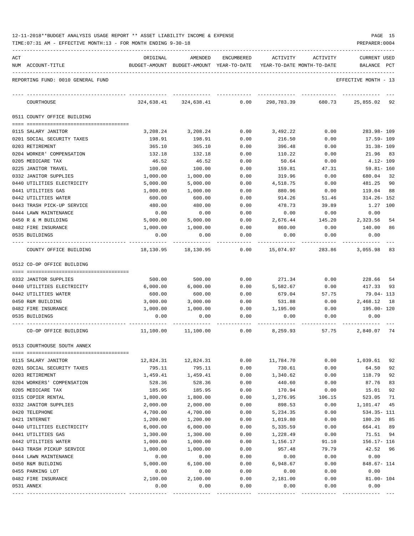|     | TIME: 07:31 AM - EFFECTIVE MONTH: 13 - FOR MONTH ENDING 9-30-18 |                      |                                          |              |                            |                | PREPARER: 0004          |          |
|-----|-----------------------------------------------------------------|----------------------|------------------------------------------|--------------|----------------------------|----------------|-------------------------|----------|
| ACT |                                                                 | ORIGINAL             | AMENDED                                  | ENCUMBERED   | ACTIVITY                   | ACTIVITY       | CURRENT USED            |          |
|     | NUM ACCOUNT-TITLE                                               |                      | BUDGET-AMOUNT BUDGET-AMOUNT YEAR-TO-DATE |              | YEAR-TO-DATE MONTH-TO-DATE |                | BALANCE PCT             |          |
|     | REPORTING FUND: 0010 GENERAL FUND                               |                      |                                          |              |                            |                | EFFECTIVE MONTH - 13    |          |
|     | COURTHOUSE                                                      |                      | 324,638.41 324,638.41                    | 0.00         | 298,783.39                 | 680.73         | 25,855.02 92            |          |
|     | 0511 COUNTY OFFICE BUILDING                                     |                      |                                          |              |                            |                |                         |          |
|     | 0115 SALARY JANITOR                                             | 3,208.24             | 3,208.24                                 | 0.00         | 3,492.22                   | 0.00           | 283.98-109              |          |
|     | 0201 SOCIAL SECURITY TAXES                                      | 198.91               | 198.91                                   | 0.00         | 216.50                     | 0.00           | 17.59- 109              |          |
|     | 0203 RETIREMENT                                                 | 365.10               | 365.10                                   | 0.00         | 396.48                     | 0.00           | $31.38 - 109$           |          |
|     | 0204 WORKER' COMPENSATION                                       | 132.18               | 132.18                                   | 0.00         | 110.22                     | 0.00           | 21.96 83                |          |
|     | 0205 MEDICARE TAX                                               | 46.52                | 46.52                                    | 0.00         | 50.64                      | 0.00           | 4.12- 109               |          |
|     | 0225 JANITOR TRAVEL                                             | 100.00               | 100.00                                   | 0.00         | 159.81                     | 47.31          | $59.81 - 160$           |          |
|     | 0332 JANITOR SUPPLIES                                           | 1,000.00             | 1,000.00                                 | 0.00         | 319.96                     | 0.00           | 680.04                  | 32       |
|     | 0440 UTILITIES ELECTRICITY                                      | 5,000.00             | 5,000.00                                 | 0.00         | 4,518.75                   | 0.00           | 481.25                  | 90       |
|     | 0441 UTILITIES GAS                                              | 1,000.00             | 1,000.00                                 | 0.00         | 880.96                     | 0.00           | 119.04                  | 88       |
|     | 0442 UTILITIES WATER                                            | 600.00               | 600.00                                   | 0.00         | 914.26                     | 51.46          | 314.26- 152             |          |
|     | 0443 TRASH PICK-UP SERVICE                                      | 480.00               | 480.00                                   | 0.00         | 478.73                     | 39.89          | 1.27 100                |          |
|     | 0444 LAWN MAINTENANCE                                           | 0.00                 | 0.00                                     | 0.00         | 0.00                       | 0.00           | 0.00                    |          |
|     | 0450 R & M BUILDING<br>0482 FIRE INSURANCE                      | 5,000.00<br>1,000.00 | 5,000.00<br>1,000.00                     | 0.00<br>0.00 | 2,676.44<br>860.00         | 145.20<br>0.00 | 2,323.56<br>140.00      | 54<br>86 |
|     | 0535 BUILDINGS                                                  | 0.00                 | 0.00                                     | 0.00         | 0.00                       | 0.00           | 0.00                    |          |
|     | COUNTY OFFICE BUILDING                                          | 18,130.95            | 18,130.95                                | 0.00         | 15,074.97                  | 283.86         | 3,055.98                | 83       |
|     | 0512 CO-OP OFFICE BUILDING                                      |                      |                                          |              |                            |                |                         |          |
|     |                                                                 |                      |                                          |              |                            |                |                         |          |
|     | 0332 JANITOR SUPPLIES                                           | 500.00               | 500.00                                   | 0.00         | 271.34                     | 0.00           | 228.66                  | 54       |
|     | 0440 UTILITIES ELECTRICITY                                      | 6,000.00             | 6,000.00                                 | 0.00         | 5,582.67                   | 0.00           | 417.33                  | 93       |
|     | 0442 UTILITIES WATER                                            | 600.00               | 600.00                                   | 0.00         | 679.04                     | 57.75          | 79.04– 113              |          |
|     | 0450 R&M BUILDING                                               | 3,000.00             | 3,000.00                                 | 0.00         | 531.88                     | 0.00           | 2,468.12                | 18       |
|     | 0482 FIRE INSURANCE                                             | 1,000.00             | 1,000.00                                 | 0.00         | 1,195.00                   | 0.00           | 195.00- 120             |          |
|     | 0535 BUILDINGS                                                  | 0.00                 | 0.00                                     | 0.00         | 0.00                       | 0.00           | 0.00                    |          |
|     | CO-OP OFFICE BUILDING                                           | 11,100.00            | 11,100.00                                | 0.00         | 8,259.93                   | 57.75          | 2,840.07                | 74       |
|     | 0513 COURTHOUSE SOUTH ANNEX                                     |                      |                                          |              |                            |                |                         |          |
|     | 0115 SALARY JANITOR                                             | 12,824.31            | 12,824.31                                | 0.00         | 11,784.70                  | 0.00           | 1,039.61                | 92       |
|     | 0201 SOCIAL SECURITY TAXES                                      | 795.11               | 795.11                                   | 0.00         | 730.61                     | 0.00           | 64.50                   | 92       |
|     | 0203 RETIREMENT                                                 | 1,459.41             | 1,459.41                                 | 0.00         | 1,340.62                   | 0.00           | 118.79                  | 92       |
|     | 0204 WORKERS' COMPENSATION                                      | 528.36               | 528.36                                   | 0.00         | 440.60                     | 0.00           | 87.76                   | 83       |
|     | 0205 MEDICARE TAX                                               | 185.95               | 185.95                                   | 0.00         | 170.94                     | 0.00           | 15.01                   | 92       |
|     | 0315 COPIER RENTAL                                              | 1,800.00             | 1,800.00                                 | 0.00         | 1,276.95                   | 106.15         | 523.05                  | 71       |
|     | 0332 JANITOR SUPPLIES                                           | 2,000.00             | 2,000.00                                 | 0.00         | 898.53                     | 0.00           | 1,101.47                | 45       |
|     | 0420 TELEPHONE                                                  | 4,700.00             | 4,700.00                                 | 0.00         | 5,234.35                   | 0.00           | 534.35- 111             |          |
|     | 0421 INTERNET                                                   | 1,200.00             | 1,200.00                                 | 0.00         | 1,019.80                   | 0.00           | 180.20                  | 85       |
|     | 0440 UTILITIES ELECTRICITY                                      | 6,000.00             | 6,000.00                                 | 0.00         | 5,335.59                   | 0.00           | 664.41                  | 89       |
|     | 0441 UTILITIES GAS                                              | 1,300.00             | 1,300.00                                 | 0.00         | 1,228.49                   | 0.00           | 71.51                   | 94       |
|     | 0442 UTILITIES WATER<br>0443 TRASH PICKUP SERVICE               | 1,000.00             | 1,000.00<br>1,000.00                     | 0.00         | 1,156.17                   | 91.10<br>79.79 | $156.17 - 116$<br>42.52 | 96       |
|     | 0444 LAWN MAINTENANCE                                           | 1,000.00<br>0.00     | 0.00                                     | 0.00<br>0.00 | 957.48<br>0.00             | 0.00           | 0.00                    |          |
|     | 0450 R&M BUILDING                                               | 5,000.00             | 6,100.00                                 | 0.00         | 6,948.67                   | 0.00           | 848.67- 114             |          |
|     | 0455 PARKING LOT                                                | 0.00                 | 0.00                                     | 0.00         | 0.00                       | 0.00           | 0.00                    |          |
|     | 0482 FIRE INSURANCE                                             | 2,100.00             | 2,100.00                                 | 0.00         | 2,181.00                   | 0.00           | $81.00 - 104$           |          |
|     | 0531 ANNEX                                                      | 0.00                 | 0.00                                     | 0.00         | 0.00                       | 0.00           | 0.00                    |          |
|     |                                                                 |                      |                                          |              |                            |                |                         |          |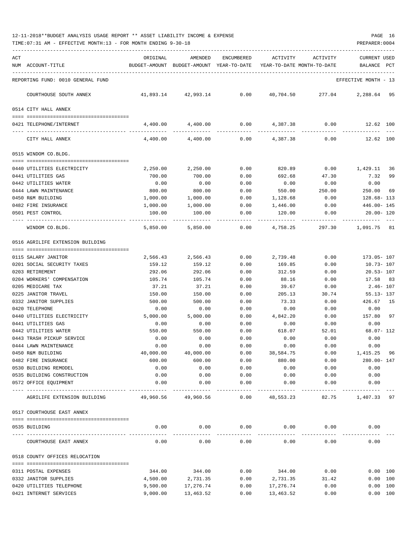| ACT |                                                  | ORIGINAL         | AMENDED                                  | <b>ENCUMBERED</b> | ACTIVITY                   | ACTIVITY       | <b>CURRENT USED</b>  |          |
|-----|--------------------------------------------------|------------------|------------------------------------------|-------------------|----------------------------|----------------|----------------------|----------|
|     | NUM ACCOUNT-TITLE                                |                  | BUDGET-AMOUNT BUDGET-AMOUNT YEAR-TO-DATE |                   | YEAR-TO-DATE MONTH-TO-DATE |                | BALANCE              | PCT      |
|     | REPORTING FUND: 0010 GENERAL FUND                |                  |                                          |                   |                            |                | EFFECTIVE MONTH - 13 |          |
|     | COURTHOUSE SOUTH ANNEX                           | 41,893.14        | 42,993.14                                | 0.00              | 40,704.50                  | 277.04         | 2,288.64             | 95       |
|     | 0514 CITY HALL ANNEX                             |                  |                                          |                   |                            |                |                      |          |
|     | 0421 TELEPHONE/INTERNET                          | 4,400.00         | 4,400.00                                 | 0.00              | 4,387.38                   | 0.00           | 12.62 100            |          |
|     | CITY HALL ANNEX                                  | 4,400.00         | 4,400.00                                 | 0.00              | 4,387.38                   | 0.00           | 12.62 100            |          |
|     | 0515 WINDOM CO.BLDG.                             |                  |                                          |                   |                            |                |                      |          |
|     |                                                  |                  |                                          |                   |                            |                |                      |          |
|     | 0440 UTILITIES ELECTRICITY                       | 2,250.00         | 2,250.00                                 | 0.00              | 820.89                     | 0.00           | 1,429.11             | 36       |
|     | 0441 UTILITIES GAS                               | 700.00           | 700.00<br>0.00                           | 0.00              | 692.68                     | 47.30          | 7.32<br>0.00         | 99       |
|     | 0442 UTILITIES WATER<br>0444 LAWN MAINTENANCE    | 0.00<br>800.00   | 800.00                                   | 0.00<br>0.00      | 0.00<br>550.00             | 0.00<br>250.00 | 250.00               | 69       |
|     | 0450 R&M BUILDING                                | 1,000.00         | 1,000.00                                 | 0.00              | 1,128.68                   | 0.00           | $128.68 - 113$       |          |
|     | 0482 FIRE INSURANCE                              | 1,000.00         | 1,000.00                                 | 0.00              | 1,446.00                   | 0.00           | 446.00- 145          |          |
|     | 0501 PEST CONTROL                                | 100.00           | 100.00                                   | 0.00              | 120.00                     | 0.00           | $20.00 - 120$        |          |
|     | WINDOM CO.BLDG.                                  | 5,850,00         | 5,850.00                                 | 0.00              | 4,758.25                   | 297.30         | 1,091.75             | 81       |
|     | 0516 AGRILIFE EXTENSION BUILDING                 |                  |                                          |                   |                            |                |                      |          |
|     |                                                  |                  |                                          |                   |                            |                |                      |          |
|     | 0115 SALARY JANITOR                              | 2,566.43         | 2,566.43                                 | 0.00              | 2,739.48                   | 0.00           | 173.05- 107          |          |
|     | 0201 SOCIAL SECURITY TAXES                       | 159.12           | 159.12                                   | 0.00              | 169.85                     | 0.00           | $10.73 - 107$        |          |
|     | 0203 RETIREMENT                                  | 292.06           | 292.06                                   | 0.00              | 312.59                     | 0.00           | $20.53 - 107$        |          |
|     | 0204 WORKERS' COMPENSATION                       | 105.74           | 105.74                                   | 0.00              | 88.16                      | 0.00           | 17.58                | - 83     |
|     | 0205 MEDICARE TAX                                | 37.21            | 37.21                                    | 0.00              | 39.67                      | 0.00           | $2.46 - 107$         |          |
|     | 0225 JANITOR TRAVEL                              | 150.00           | 150.00                                   | 0.00              | 205.13                     | 30.74          | $55.13 - 137$        |          |
|     | 0332 JANITOR SUPPLIES                            | 500.00           | 500.00                                   | 0.00              | 73.33                      | 0.00           | 426.67               | 15       |
|     | 0420 TELEPHONE                                   | 0.00<br>5,000.00 | 0.00<br>5,000.00                         | 0.00              | 0.00<br>4,842.20           | 0.00<br>0.00   | 0.00<br>157.80       | 97       |
|     | 0440 UTILITIES ELECTRICITY<br>0441 UTILITIES GAS | 0.00             | 0.00                                     | 0.00<br>0.00      | 0.00                       | 0.00           | 0.00                 |          |
|     | 0442 UTILITIES WATER                             | 550.00           | 550.00                                   | 0.00              | 618.07                     | 52.01          | $68.07 - 112$        |          |
|     | 0443 TRASH PICKUP SERVICE                        | 0.00             | 0.00                                     | 0.00              | 0.00                       | 0.00           | 0.00                 |          |
|     | 0444 LAWN MAINTENANCE                            | 0.00             | 0.00                                     | 0.00              | 0.00                       | 0.00           | 0.00                 |          |
|     | 0450 R&M BUILDING                                | 40,000.00        | 40,000.00                                | 0.00              | 38,584.75                  | 0.00           | 1,415.25 96          |          |
|     | 0482 FIRE INSURANCE                              | 600.00           | 600.00                                   | 0.00              | 880.00                     | 0.00           | 280.00- 147          |          |
|     | 0530 BUILDING REMODEL                            | 0.00             | 0.00                                     | 0.00              | 0.00                       | 0.00           | 0.00                 |          |
|     | 0535 BUILDING CONSTRUCTION                       | 0.00             | 0.00                                     | 0.00              | 0.00                       | 0.00           | 0.00                 |          |
|     | 0572 OFFICE EQUIPMENT                            | 0.00             | 0.00                                     | 0.00              | 0.00                       | 0.00           | 0.00                 |          |
|     | AGRILIFE EXTENSION BUILDING                      | 49,960.56        | 49,960.56                                | 0.00              | 48,553.23                  | 82.75          | 1,407.33 97          |          |
|     | 0517 COURTHOUSE EAST ANNEX                       |                  |                                          |                   |                            |                |                      |          |
|     |                                                  |                  |                                          |                   |                            |                |                      |          |
|     | 0535 BUILDING                                    | 0.00             | 0.00                                     | 0.00              | 0.00                       | 0.00           | 0.00                 |          |
|     | COURTHOUSE EAST ANNEX                            | 0.00             | 0.00                                     | 0.00              | 0.00                       | 0.00           | 0.00                 |          |
|     | 0518 COUNTY OFFICES RELOCATION                   |                  |                                          |                   |                            |                |                      |          |
|     | 0311 POSTAL EXPENSES                             | 344.00           | 344.00                                   | 0.00              | 344.00                     | 0.00           |                      | 0.00 100 |
|     | 0332 JANITOR SUPPLIES                            | 4,500.00         | 2,731.35                                 | 0.00              | 2,731.35                   | 31.42          |                      | 0.00 100 |
|     | 0420 UTILITIES TELEPHONE                         | 9,500.00         | 17,276.74                                | 0.00              | 17,276.74                  | 0.00           |                      | 0.00 100 |
|     | 0421 INTERNET SERVICES                           | 9,000.00         | 13,463.52                                | 0.00              | 13,463.52                  | 0.00           |                      | 0.00 100 |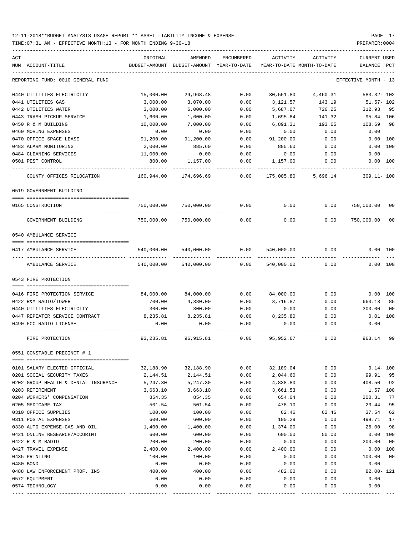TIME:07:31 AM - EFFECTIVE MONTH:13 - FOR MONTH ENDING 9-30-18

| ACT                      |                                      | ORIGINAL           | AMENDED                    | ENCUMBERED   | ACTIVITY         | ACTIVITY                   | <b>CURRENT USED</b>  |                       |
|--------------------------|--------------------------------------|--------------------|----------------------------|--------------|------------------|----------------------------|----------------------|-----------------------|
| NUM ACCOUNT-TITLE        |                                      | BUDGET-AMOUNT      | BUDGET-AMOUNT YEAR-TO-DATE |              |                  | YEAR-TO-DATE MONTH-TO-DATE | BALANCE PCT          |                       |
|                          | REPORTING FUND: 0010 GENERAL FUND    |                    |                            |              |                  |                            | EFFECTIVE MONTH - 13 |                       |
|                          | 0440 UTILITIES ELECTRICITY           | 15,000.00          | 29,968.48                  | 0.00         | 30,551.80        | 4,460.31                   | 583.32- 102          |                       |
| 0441 UTILITIES GAS       |                                      | 3,000.00           | 3,070.00                   | 0.00         | 3,121.57         | 143.19                     | $51.57 - 102$        |                       |
| 0442 UTILITIES WATER     |                                      | 3,000.00           | 6,000.00                   | 0.00         | 5,687.07         | 726.25                     | 312.93               | 95                    |
|                          | 0443 TRASH PICKUP SERVICE            | 1,600.00           | 1,600.00                   | 0.00         | 1,695.84         | 141.32                     | $95.84 - 106$        |                       |
| 0450 R & M BUILDING      |                                      | 10,000.00          | 7,000.00                   | 0.00         | 6,891.31         | 193.65                     | 108.69               | 98                    |
| 0460 MOVING EXPENSES     |                                      | 0.00               | 0.00                       | 0.00         | 0.00             | 0.00                       | 0.00                 |                       |
| 0470 OFFICE SPACE LEASE  |                                      | 91,200.00          | 91,200.00                  | 0.00         | 91,200.00        | 0.00                       | 0.00 100             |                       |
| 0483 ALARM MONITORING    |                                      | 2,000.00           | 885.60                     | 0.00         | 885.60           | 0.00                       | 0.00 100             |                       |
| 0484 CLEANING SERVICES   |                                      | 11,000.00          | 0.00                       | 0.00         | 0.00             | 0.00                       | 0.00                 |                       |
| 0501 PEST CONTROL        |                                      | 800.00             | 1,157.00                   | 0.00         | 1,157.00         | 0.00                       | 0.00 100             |                       |
|                          | COUNTY OFFICES RELOCATION            | 160,944.00         | 174,696.69                 | 0.00         | 175,005.80       | 5,696.14                   | $309.11 - 100$       |                       |
| 0519 GOVERNMENT BUILDING |                                      |                    |                            |              |                  |                            |                      |                       |
| 0165 CONSTRUCTION        |                                      |                    | 750,000.00 750,000.00      | 0.00         | 0.00             |                            | 0.00 750,000.00      | 00                    |
|                          | GOVERNMENT BUILDING                  | 750,000.00         | 750,000.00                 | 0.00         | 0.00             | 0.00                       | 750,000.00           | 0 <sub>0</sub>        |
| 0540 AMBULANCE SERVICE   |                                      |                    |                            |              |                  |                            |                      |                       |
|                          |                                      |                    |                            |              |                  |                            |                      |                       |
| 0417 AMBULANCE SERVICE   |                                      | 540,000.00         | 540,000.00                 | 0.00         | 540,000.00       | 0.00                       | 0.00 100             |                       |
|                          | AMBULANCE SERVICE                    | 540,000.00         | 540,000.00                 | 0.00         | 540,000.00       | 0.00                       | 0.00 100             |                       |
| 0543 FIRE PROTECTION     |                                      |                    |                            |              |                  |                            |                      |                       |
|                          | 0416 FIRE PROTECTION SERVICE         | 84,000.00          | 84,000.00                  | 0.00         | 84,000.00        | 0.00                       | $0.00$ 100           |                       |
| 0422 R&M RADIO/TOWER     |                                      | 700.00             | 4,380.00                   | 0.00         | 3,716.87         | 0.00                       | 663.13               | 85                    |
|                          | 0440 UTILITIES ELECTRICITY           | 300.00             | 300.00                     | 0.00         | 0.00             | 0.00                       | 300.00               | 0 <sub>0</sub>        |
|                          | 0447 REPEATER SERVICE CONTRACT       | 8,235.81           | 8,235.81                   | 0.00         | 8,235.80         | 0.00                       | $0.01$ 100           |                       |
| 0490 FCC RADIO LICENSE   |                                      | 0.00               | 0.00                       | 0.00         | 0.00             | 0.00                       | 0.00                 |                       |
| FIRE PROTECTION          |                                      | 93,235.81          | 96,915.81                  | 0.00         | 95,952.67        | 0.00                       | 963.14               | 99                    |
|                          | 0551 CONSTABLE PRECINCT # 1          |                    |                            |              |                  |                            |                      |                       |
|                          |                                      |                    |                            |              |                  |                            |                      |                       |
|                          | 0101 SALARY ELECTED OFFICIAL         | 32,188.90          | 32,188.90                  | 0.00         | 32,189.04        | 0.00                       | $0.14 - 100$         |                       |
|                          | 0201 SOCIAL SECURITY TAXES           | 2,144.51           | 2,144.51                   | 0.00         | 2,044.60         | 0.00                       | 99.91                | 95                    |
|                          | 0202 GROUP HEALTH & DENTAL INSURANCE | 5,247.30           | 5,247.30                   | 0.00         | 4,838.80         | 0.00                       | 408.50               | 92                    |
| 0203 RETIREMENT          |                                      | 3,663.10           | 3,663.10                   | 0.00         | 3,661.53         | 0.00                       | 1.57                 | 100                   |
|                          | 0204 WORKERS' COMPENSATION           | 854.35             | 854.35                     | 0.00         | 654.04           | 0.00                       | 200.31               | 77                    |
| 0205 MEDICARE TAX        |                                      | 501.54             | 501.54                     | 0.00         | 478.10           | 0.00                       | 23.44                | 95                    |
| 0310 OFFICE SUPPLIES     |                                      | 100.00             | 100.00                     | 0.00         | 62.46            | 62.46                      | 37.54                | 62                    |
| 0311 POSTAL EXPENSES     |                                      | 600.00             | 600.00                     | 0.00         | 100.29           | 0.00                       | 499.71               | 17                    |
|                          | 0330 AUTO EXPENSE-GAS AND OIL        | 1,400.00           | 1,400.00                   | 0.00         | 1,374.00         | 0.00                       | 26.00                | 98                    |
| 0422 R & M RADIO         | 0421 ONLINE RESEARCH/ACCURINT        | 600.00             | 600.00                     | 0.00<br>0.00 | 600.00           | 50.00                      | 0.00<br>200.00       | 100<br>0 <sub>0</sub> |
| 0427 TRAVEL EXPENSE      |                                      | 200.00<br>2,400.00 | 200.00<br>2,400.00         | 0.00         | 0.00<br>2,400.00 | 0.00<br>0.00               | 0.00                 | 100                   |
| 0435 PRINTING            |                                      | 100.00             | 100.00                     | 0.00         | 0.00             | 0.00                       | 100.00               | 0 <sub>0</sub>        |
| 0480 BOND                |                                      | 0.00               | 0.00                       | 0.00         | 0.00             | 0.00                       | 0.00                 |                       |
|                          | 0488 LAW ENFORCEMENT PROF. INS       | 400.00             | 400.00                     | 0.00         | 482.00           | 0.00                       | $82.00 - 121$        |                       |
| 0572 EQUIPMENT           |                                      | 0.00               | 0.00                       | 0.00         | 0.00             | 0.00                       | 0.00                 |                       |
| 0574 TECHNOLOGY          |                                      | 0.00               | 0.00                       | 0.00         | 0.00             | 0.00                       | 0.00                 |                       |
|                          |                                      |                    |                            |              |                  |                            |                      |                       |

---- ---------------------------------- ------------- ------------- ------------ ------------- ------------ ------------- ---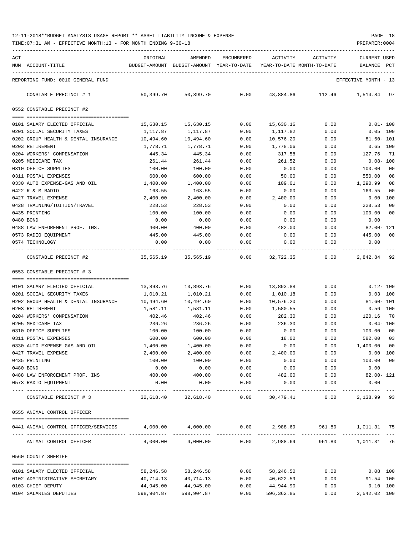TIME:07:31 AM - EFFECTIVE MONTH:13 - FOR MONTH ENDING 9-30-18 PREPARER:0004

| ACT |                                      | ORIGINAL   | AMENDED                                                             | ENCUMBERED    | ACTIVITY    | ACTIVITY                                                              | <b>CURRENT USED</b>  |              |
|-----|--------------------------------------|------------|---------------------------------------------------------------------|---------------|-------------|-----------------------------------------------------------------------|----------------------|--------------|
|     | NUM ACCOUNT-TITLE                    |            | BUDGET-AMOUNT BUDGET-AMOUNT YEAR-TO-DATE YEAR-TO-DATE MONTH-TO-DATE |               |             |                                                                       | BALANCE              | $_{\rm PCT}$ |
|     | REPORTING FUND: 0010 GENERAL FUND    |            |                                                                     |               |             |                                                                       | EFFECTIVE MONTH - 13 |              |
|     |                                      |            |                                                                     |               |             |                                                                       |                      |              |
|     | CONSTABLE PRECINCT # 1               | 50,399.70  | 50,399.70                                                           | 0.00          |             | 48,884.86 112.46 1,514.84 97                                          |                      |              |
|     | 0552 CONSTABLE PRECINCT #2           |            |                                                                     |               |             |                                                                       |                      |              |
|     | 0101 SALARY ELECTED OFFICIAL         |            | 15,630.15 15,630.15                                                 | 0.00          | 15,630.16   | 0.00                                                                  | $0.01-100$           |              |
|     | 0201 SOCIAL SECURITY TAXES           | 1,117.87   | 1,117.87                                                            | 0.00          | 1,117.82    | 0.00                                                                  | $0.05$ 100           |              |
|     | 0202 GROUP HEALTH & DENTAL INSURANCE | 10,494.60  | 10,494.60                                                           | 0.00          | 10,576.20   | 0.00                                                                  | $81.60 - 101$        |              |
|     | 0203 RETIREMENT                      | 1,778.71   | 1,778.71                                                            | 0.00          | 1,778.06    | 0.00                                                                  | $0.65$ 100           |              |
|     | 0204 WORKERS' COMPENSATION           | 445.34     | 445.34                                                              | 0.00          | 317.58      | 0.00                                                                  | 127.76 71            |              |
|     | 0205 MEDICARE TAX                    | 261.44     | 261.44                                                              | 0.00          | 261.52      | 0.00                                                                  | $0.08-100$           |              |
|     | 0310 OFFICE SUPPLIES                 | 100.00     | 100.00                                                              | 0.00          | 0.00        | 0.00                                                                  | 100.00               | 00           |
|     | 0311 POSTAL EXPENSES                 | 600.00     | 600.00                                                              | 0.00          | 50.00       | 0.00                                                                  | 550.00               | 08           |
|     | 0330 AUTO EXPENSE-GAS AND OIL        | 1,400.00   | 1,400.00                                                            | 0.00          | 109.01      | 0.00                                                                  | 1,290.99             | 08           |
|     | 0422 R & M RADIO                     | 163.55     | 163.55                                                              | 0.00          | 0.00        | 0.00                                                                  | 163.55               | 00           |
|     | 0427 TRAVEL EXPENSE                  | 2,400.00   | 2,400.00                                                            | 0.00          | 2,400.00    | 0.00                                                                  | $0.00$ $100$         |              |
|     | 0428 TRAINING/TUITION/TRAVEL         | 228.53     | 228.53                                                              | 0.00          | 0.00        | 0.00                                                                  | 228.53               | 00           |
|     | 0435 PRINTING                        | 100.00     | 100.00                                                              | 0.00          | 0.00        | 0.00                                                                  | 100.00               | 00           |
|     | 0480 BOND                            | 0.00       | 0.00                                                                | 0.00          | 0.00        | 0.00                                                                  | 0.00                 |              |
|     | 0488 LAW ENFOREMENT PROF. INS.       | 400.00     | 400.00                                                              | 0.00          | 482.00      | 0.00                                                                  | 82.00- 121           |              |
|     | 0573 RADIO EQUIPMENT                 | 445.00     | 445.00                                                              | 0.00          | 0.00        | 0.00                                                                  | 445.00 00            |              |
|     | 0574 TECHNOLOGY                      | 0.00       | 0.00                                                                | 0.00          | 0.00        | 0.00                                                                  | 0.00                 |              |
|     |                                      |            |                                                                     |               | ----------- |                                                                       |                      |              |
|     | CONSTABLE PRECINCT #2                |            |                                                                     |               |             | 35,565.19   35,565.19      0.00   32,722.35      0.00    2,842.84  92 |                      |              |
|     | 0553 CONSTABLE PRECINCT # 3          |            |                                                                     |               |             |                                                                       |                      |              |
|     |                                      |            |                                                                     |               |             |                                                                       |                      |              |
|     | 0101 SALARY ELECTED OFFICIAL         | 13,893.76  | 13,893.76                                                           | 0.00          | 13,893.88   | 0.00                                                                  | $0.12 - 100$         |              |
|     | 0201 SOCIAL SECURITY TAXES           | 1,010.21   | 1,010.21                                                            | 0.00          | 1,010.18    | 0.00                                                                  | $0.03$ 100           |              |
|     | 0202 GROUP HEALTH & DENTAL INSURANCE | 10,494.60  | 10,494.60                                                           | 0.00          | 10,576.20   | 0.00                                                                  | $81.60 - 101$        |              |
|     | 0203 RETIREMENT                      | 1,581.11   | 1,581.11                                                            | 0.00          | 1,580.55    | 0.00                                                                  | $0.56$ 100           |              |
|     | 0204 WORKERS' COMPENSATION           | 402.46     | 402.46                                                              | 0.00          | 282.30      | 0.00                                                                  | 120.16 70            |              |
|     | 0205 MEDICARE TAX                    | 236.26     | 236.26                                                              | 0.00          | 236.30      | 0.00                                                                  | $0.04-100$           |              |
|     | 0310 OFFICE SUPPLIES                 | 100.00     | 100.00                                                              | 0.00          | 0.00        | 0.00                                                                  | 100.00               | 00           |
|     | 0311 POSTAL EXPENSES                 | 600.00     | 600.00                                                              | 0.00          | 18.00       | 0.00                                                                  | 582.00 03            |              |
|     | 0330 AUTO EXPENSE-GAS AND OIL        | 1,400.00   | 1,400.00                                                            | 0.00          | 0.00        | 0.00                                                                  | 1,400.00             | 00           |
|     | 0427 TRAVEL EXPENSE                  | 2,400.00   | 2,400.00                                                            | 0.00          | 2,400.00    | 0.00                                                                  | $0.00$ 100           |              |
|     | 0435 PRINTING                        | 100.00     | 100.00                                                              | 0.00          | 0.00        | 0.00                                                                  | 100.00 00            |              |
|     | 0480 BOND                            | 0.00       | 0.00                                                                | 0.00          | 0.00        | 0.00                                                                  | 0.00                 |              |
|     | 0488 LAW ENFORCEMENT PROF. INS       | 400.00     | 400.00                                                              | 0.00          | 482.00      | 0.00                                                                  | $82.00 - 121$        |              |
|     | 0573 RADIO EQUIPMENT                 | 0.00       | 0.00                                                                | 0.00          | 0.00        | 0.00                                                                  | 0.00                 |              |
|     |                                      |            | -------------                                                       | $- - - - - -$ | ----------- | ------------                                                          | --------- ---        |              |
|     | CONSTABLE PRECINCT # 3               | 32,618.40  | 32,618.40                                                           | 0.00          | 30,479.41   | 0.00                                                                  | 2,138.99 93          |              |
|     | 0555 ANIMAL CONTROL OFFICER          |            |                                                                     |               |             |                                                                       |                      |              |
|     | 0441 ANIMAL CONTROL OFFICER/SERVICES | 4,000.00   | 4,000.00                                                            | 0.00          |             | 2,988.69 961.80 1,011.31 75                                           |                      |              |
|     |                                      |            | --------------                                                      |               |             | ------------- --------------                                          |                      |              |
|     | ANIMAL CONTROL OFFICER               | 4,000.00   | 4,000.00                                                            | 0.00          | 2,988.69    |                                                                       | 961.80 1,011.31 75   |              |
|     | 0560 COUNTY SHERIFF                  |            |                                                                     |               |             |                                                                       |                      |              |
|     |                                      |            |                                                                     |               |             |                                                                       |                      |              |
|     | 0101 SALARY ELECTED OFFICIAL         | 58,246.58  | 58,246.58                                                           | 0.00          | 58,246.50   | 0.00                                                                  | $0.08$ 100           |              |
|     | 0102 ADMINISTRATIVE SECRETARY        |            | 40, 714. 13 40, 714. 13                                             | 0.00          | 40,622.59   | 0.00                                                                  | 91.54 100            |              |
|     | 0103 CHIEF DEPUTY                    | 44,945.00  | 44,945.00                                                           | 0.00          | 44,944.90   | 0.00                                                                  | $0.10$ 100           |              |
|     | 0104 SALARIES DEPUTIES               | 598,904.87 | 598,904.87                                                          | 0.00          | 596,362.85  | 0.00                                                                  | 2,542.02 100         |              |

-----------------------------------------------------------------------------------------------------------------------------------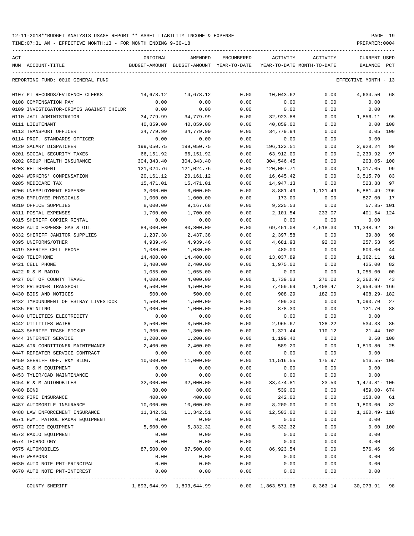TIME:07:31 AM - EFFECTIVE MONTH:13 - FOR MONTH ENDING 9-30-18 PREPARER:0004

----------------------------------------------------------------------------------------------------------------------------------- ACT ORIGINAL AMENDED ENCUMBERED ACTIVITY ACTIVITY CURRENT USED NUM ACCOUNT-TITLE BUDGET-AMOUNT BUDGET-AMOUNT YEAR-TO-DATE YEAR-TO-DATE MONTH-TO-DATE BALANCE PCT ----------------------------------------------------------------------------------------------------------------------------------- REPORTING FUND: 0010 GENERAL FUND EFFECTIVE MONTH - 13 0107 PT RECORDS/EVIDENCE CLERKS  $14,678.12$   $14,678.12$  0.00  $10,043.62$  0.00  $4,634.50$  68 0108 COMPENSATION PAY 0.00 0.00 0.00 0.00 0.00 0.00 0109 INVESTIGATOR-CRIMES AGAINST CHILDR 0.00 0.00 0.00 0.00 0.00 0.00 0110 JAIL ADMINISTRATOR 34,779.99 34,779.99 0.00 32,923.88 0.00 1,856.11 95 0111 LIEUTENANT 40,859.00 40,859.00 0.00 40,859.00 0.00 0.00 100 0113 TRANSPORT OFFICER 34,779.99 34,779.99 0.00 34,779.94 0.00 0.05 100 0114 PROF. STANDARDS OFFICER 0.00 0.00 0.00 0.00 0.00 0.00 0120 SALARY DISPATCHER 199,050.75 199,050.75 0.00 196,122.51 0.00 2,928.24 99 0201 SOCIAL SECURITY TAXES 66,151.92 66,151.92 0.00 63,912.00 0.00 2,239.92 97 0202 GROUP HEALTH INSURANCE 304,343.40 304,343.40 0.00 304,546.45 0.00 203.05- 100

| 0203 RETIREMENT                       | 121,024.76                | 121,024.76 | 0.00 | 120,007.71 | 0.00     | 1,017.05<br>99                          |
|---------------------------------------|---------------------------|------------|------|------------|----------|-----------------------------------------|
| 0204 WORKERS' COMPENSATION            | 20,161.12                 | 20,161.12  | 0.00 | 16,645.42  | 0.00     | 3,515.70 83                             |
| 0205 MEDICARE TAX                     | $15\,, 471\,.01$          | 15,471.01  | 0.00 | 14,947.13  | 0.00     | 523.88<br>97                            |
| 0206 UNEMPLOYMENT EXPENSE             | 3,000.00                  | 3,000.00   | 0.00 | 8,881.49   | 1,121.49 | 5,881.49-296                            |
| 0250 EMPLOYEE PHYSICALS               | 1,000.00                  | 1,000.00   | 0.00 | 173.00     | 0.00     | 827.00<br>17                            |
| 0310 OFFICE SUPPLIES                  | 8,000.00                  | 9,167.68   | 0.00 | 9,225.53   | 0.00     | $57.85 - 101$                           |
| 0311 POSTAL EXPENSES                  | 1,700.00                  | 1,700.00   | 0.00 | 2,101.54   | 233.07   | 401.54- 124                             |
| 0315 SHERIFF COPIER RENTAL            | 0.00                      | 0.00       | 0.00 | 0.00       | 0.00     | 0.00                                    |
| 0330 AUTO EXPENSE GAS & OIL           | 84,000.00                 | 80,800.00  | 0.00 | 69,451.08  | 4,618.30 | 11,348.92<br>86                         |
| 0332 SHERIFF JANITOR SUPPLIES         | 1,237.38                  | 2,437.38   | 0.00 | 2,397.58   | 0.00     | 39.80<br>98                             |
| 0395 UNIFORMS/OTHER                   | 4,939.46                  | 4,939.46   | 0.00 | 4,681.93   | 92.00    | 257.53<br>95                            |
| 0419 SHERIFF CELL PHONE               | 1,080.00                  | 1,080.00   | 0.00 | 480.00     | 0.00     | 600.00<br>44                            |
| 0420 TELEPHONE                        | 14,400.00                 | 14,400.00  | 0.00 | 13,037.89  | 0.00     | 1,362.11<br>91                          |
| 0421 CELL PHONE                       | 2,400.00                  | 2,400.00   | 0.00 | 1,975.00   | 0.00     | 425.00<br>82                            |
| 0422 R & M RADIO                      | 1,055.00                  | 1,055.00   | 0.00 | 0.00       | 0.00     | 1,055.00<br>0 <sub>0</sub>              |
| 0427 OUT OF COUNTY TRAVEL             | 4,000.00                  | 4,000.00   | 0.00 | 1,739.03   | 270.00   | 2,260.97<br>43                          |
| 0428 PRISONER TRANSPORT               | 4,500.00                  | 4,500.00   | 0.00 | 7,459.69   | 1,408.47 | $2,959.69 - 166$                        |
| 0430 BIDS AND NOTICES                 | 500.00                    | 500.00     | 0.00 | 908.29     | 182.00   | $408.29 - 182$                          |
| 0432 IMPOUNDMENT OF ESTRAY LIVESTOCK  | 1,500.00                  | 1,500.00   | 0.00 | 409.30     | 0.00     | 1,090.70<br>27                          |
| 0435 PRINTING                         | 1,000.00                  | 1,000.00   | 0.00 | 878.30     | 0.00     | 121.70<br>88                            |
| 0440 UTILITIES ELECTRICITY            | 0.00                      | 0.00       | 0.00 | 0.00       | 0.00     | 0.00                                    |
| 0442 UTILITIES WATER                  | 3,500.00                  | 3,500.00   | 0.00 | 2,965.67   | 128.22   | 534.33<br>85                            |
| 0443 SHERIFF TRASH PICKUP             | 1,300.00                  | 1,300.00   | 0.00 | 1,321.44   | 110.12   | $21.44 - 102$                           |
| 0444 INTERNET SERVICE                 | 1,200.00                  | 1,200.00   | 0.00 | 1,199.40   | 0.00     | 0.60 100                                |
| 0445 AIR CONDITIONER MAINTENANCE      | 2,400.00                  | 2,400.00   | 0.00 | 589.20     | 0.00     | 1,810.80<br>25                          |
| 0447 REPEATER SERVICE CONTRACT        | 0.00                      | 0.00       | 0.00 | 0.00       | 0.00     | 0.00                                    |
| 0450 SHERIFF OFF. R&M BLDG.           | 10,000.00                 | 11,000.00  | 0.00 | 11,516.55  | 175.97   | $516.55 - 105$                          |
| 0452 R & M EQUIPMENT                  | 0.00                      | 0.00       | 0.00 | 0.00       | 0.00     | 0.00                                    |
| 0453 TYLER/CAD MAINTENANCE            | 0.00                      | 0.00       | 0.00 | 0.00       | 0.00     | 0.00                                    |
| 0454 R & M AUTOMOBILES                | 32,000.00                 | 32,000.00  | 0.00 | 33, 474.81 | 23.50    | 1, 474.81- 105                          |
| 0480 BOND                             | 80.00                     | 80.00      | 0.00 | 539.00     | 0.00     | 459.00- 674                             |
| 0482 FIRE INSURANCE                   | 400.00                    | 400.00     | 0.00 | 242.00     | 0.00     | 158.00 61                               |
| 0487 AUTOMOBILE INSURANCE             | 10,000.00                 | 10,000.00  | 0.00 | 8,200.00   | 0.00     | 1,800.00 82                             |
| 0488 LAW ENFORCEMENT INSURANCE        | 11,342.51                 | 11,342.51  | 0.00 | 12,503.00  | 0.00     | 1,160.49- 110                           |
| 0571 HWY. PATROL RADAR EQUIPMENT      | 0.00                      | 0.00       | 0.00 | 0.00       | 0.00     | 0.00                                    |
| 0572 OFFICE EQUIPMENT                 | 5,500.00                  | 5,332.32   | 0.00 | 5,332.32   | 0.00     | 0.00 100                                |
| 0573 RADIO EQUIPMENT                  | 0.00                      | 0.00       | 0.00 | 0.00       | 0.00     | 0.00                                    |
| 0574 TECHNOLOGY                       | 0.00                      | 0.00       | 0.00 | 0.00       | 0.00     | 0.00                                    |
| 0575 AUTOMOBILES                      | 87,500.00                 | 87,500.00  | 0.00 | 86,923.54  | 0.00     | 576.46<br>99                            |
| 0579 WEAPONS                          | 0.00                      | 0.00       | 0.00 | 0.00       | 0.00     | 0.00                                    |
| 0630 AUTO NOTE PMT-PRINCIPAL          | 0.00                      | 0.00       | 0.00 | 0.00       | 0.00     | 0.00                                    |
| 0670 AUTO NOTE PMT-INTEREST           | 0.00                      | 0.00       | 0.00 | 0.00       | 0.00     | 0.00                                    |
| ----------------- .<br>COUNTY SHERIFF | 1,893,644.99 1,893,644.99 |            |      |            |          | 0.00 1,863,571.08 8,363.14 30,073.91 98 |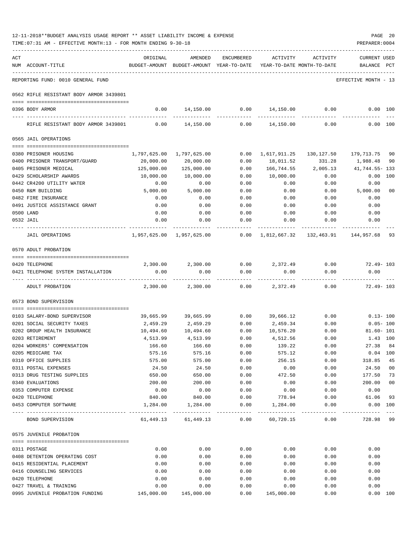| ACT | NUM ACCOUNT-TITLE                                     | ORIGINAL                 | AMENDED<br>BUDGET-AMOUNT BUDGET-AMOUNT YEAR-TO-DATE YEAR-TO-DATE MONTH-TO-DATE | ENCUMBERED    | ACTIVITY                                | ACTIVITY             | <b>CURRENT USED</b><br>BALANCE PCT |                |
|-----|-------------------------------------------------------|--------------------------|--------------------------------------------------------------------------------|---------------|-----------------------------------------|----------------------|------------------------------------|----------------|
|     | REPORTING FUND: 0010 GENERAL FUND                     | ------------------------ |                                                                                |               |                                         |                      | EFFECTIVE MONTH - 13               |                |
|     | 0562 RIFLE RESISTANT BODY ARMOR 3439801               |                          |                                                                                |               |                                         |                      |                                    |                |
|     | 0396 BODY ARMOR                                       |                          | $0.00$ 14,150.00 0.00 14,150.00 0.00 0.00 100                                  |               |                                         |                      |                                    |                |
|     | RIFLE RESISTANT BODY ARMOR 3439801 0.00 14,150.00     |                          |                                                                                | ------------- | 0.00 14,150.00                          | 0.00                 |                                    | 0.00 100       |
|     | 0565 JAIL OPERATIONS                                  |                          |                                                                                |               |                                         |                      |                                    |                |
|     |                                                       |                          |                                                                                |               |                                         |                      |                                    |                |
|     | 0380 PRISONER HOUSING                                 |                          | 1,797,625.00 1,797,625.00                                                      |               | 0.00 1,617,911.25 130,127.50 179,713.75 |                      |                                    | 90             |
|     | 0400 PRISONER TRANSPORT/GUARD                         | 20,000.00                | 20,000.00                                                                      | 0.00          | 18,011.52                               | 331.28               | 1,988.48                           | 90             |
|     | 0405 PRISONER MEDICAL                                 | 125,000.00               | 125,000.00                                                                     | 0.00          | 166,744.55                              | 2,005.13             | 41,744.55– 133                     |                |
|     | 0429 SCHOLARSHIP AWARDS<br>0442 CR4200 UTILITY WATER  | 10,000.00<br>0.00        | 10,000.00<br>0.00                                                              | 0.00<br>0.00  | 10,000.00<br>0.00                       | 0.00<br>0.00         | 0.00                               | 0.00 100       |
|     | 0450 R&M BUILDING                                     | 5,000.00                 | 5,000.00                                                                       | 0.00          | 0.00                                    | 0.00                 | 5,000.00                           | 00             |
|     | 0482 FIRE INSURANCE                                   | 0.00                     | 0.00                                                                           | 0.00          | 0.00                                    | 0.00                 | 0.00                               |                |
|     | 0491 JUSTICE ASSISTANCE GRANT                         | 0.00                     | 0.00                                                                           | 0.00          | 0.00                                    | 0.00                 | 0.00                               |                |
|     | 0500 LAND                                             | 0.00                     | 0.00                                                                           | 0.00          | 0.00                                    | 0.00                 | 0.00                               |                |
|     | 0532 JAIL                                             | 0.00                     | 0.00                                                                           | 0.00          | 0.00                                    | 0.00                 | 0.00                               |                |
|     | JAIL OPERATIONS                                       |                          | 1,957,625.00 1,957,625.00      0.00 1,812,667.32   132,463.91   144,957.68     |               |                                         |                      |                                    | 93             |
|     | 0570 ADULT PROBATION                                  |                          |                                                                                |               |                                         |                      |                                    |                |
|     |                                                       |                          |                                                                                |               |                                         |                      |                                    |                |
|     | 0420 TELEPHONE                                        |                          | 2,300.00 2,300.00                                                              |               | $0.00$ $2.372.49$ $0.00$ $72.49 - 103$  |                      |                                    |                |
|     | 0421 TELEPHONE SYSTEM INSTALLATION                    | 0.00                     | 0.00                                                                           | 0.00          | 0.00<br>-------------                   | 0.00<br>------------ | 0.00                               |                |
|     | ADULT PROBATION                                       | 2,300.00                 | 2,300.00                                                                       |               | $0.00$ 2,372.49                         | 0.00                 | $72.49 - 103$                      |                |
|     | 0573 BOND SUPERVISION                                 |                          |                                                                                |               |                                         |                      |                                    |                |
|     | 0103 SALARY-BOND SUPERVISOR                           |                          | $39,665.99$ $39,665.99$ 0.00 $39,666.12$ 0.00 0.13-100                         |               |                                         |                      |                                    |                |
|     | 0201 SOCIAL SECURITY TAXES                            | 2,459.29                 | 2,459.29                                                                       |               | $0.00$ 2,459.34                         | 0.00                 | $0.05 - 100$                       |                |
|     | 0202 GROUP HEALTH INSURANCE                           | 10,494.60                | 10,494.60                                                                      | 0.00          | 10,576.20                               | 0.00                 | $81.60 - 101$                      |                |
|     | 0203 RETIREMENT                                       | 4,513.99                 | 4,513.99                                                                       | 0.00          | 4,512.56                                | 0.00                 | 1.43 100                           |                |
|     | 0204 WORKERS' COMPENSATION                            | 166.60                   | 166.60                                                                         | 0.00          | 139.22                                  | 0.00                 | 27.38                              | 84             |
|     | 0205 MEDICARE TAX                                     | 575.16                   | 575.16                                                                         | 0.00          | 575.12                                  | 0.00                 | $0.04$ 100                         |                |
|     | 0310 OFFICE SUPPLIES                                  | 575.00                   | 575.00                                                                         | 0.00          | 256.15                                  | 0.00                 | 318.85                             | 45             |
|     | 0311 POSTAL EXPENSES                                  | 24.50                    | 24.50                                                                          | 0.00          | 0.00                                    | 0.00                 | 24.50                              | 0 <sub>0</sub> |
|     | 0313 DRUG TESTING SUPPLIES                            | 650.00                   | 650.00                                                                         | 0.00          | 472.50                                  | 0.00                 | 177.50                             | 73             |
|     | 0340 EVALUATIONS                                      | 200.00                   | 200.00                                                                         | 0.00          | 0.00                                    | 0.00                 | 200.00                             | 0 <sub>0</sub> |
|     | 0353 COMPUTER EXPENSE                                 | 0.00                     | 0.00                                                                           | 0.00          | 0.00                                    | 0.00                 | 0.00                               |                |
|     | 0420 TELEPHONE                                        | 840.00                   | 840.00                                                                         | 0.00          | 778.94                                  | 0.00                 | 61.06                              | 93             |
|     | 0453 COMPUTER SOFTWARE                                |                          | $1,284.00$ $1,284.00$ $0.00$ $1,284.00$                                        |               |                                         |                      | $0.00$ $0.00$ $100$                |                |
|     | BOND SUPERVISION                                      |                          | 61,449.13 61,449.13 0.00 60,720.15                                             |               |                                         |                      | 0.00 728.98 99                     |                |
|     | 0575 JUVENILE PROBATION                               |                          |                                                                                |               |                                         |                      |                                    |                |
|     |                                                       |                          |                                                                                |               |                                         |                      |                                    |                |
|     | 0311 POSTAGE                                          | 0.00                     | 0.00                                                                           | 0.00          | 0.00                                    | 0.00                 | 0.00                               |                |
|     | 0408 DETENTION OPERATING COST                         | 0.00                     | 0.00                                                                           | 0.00          | 0.00                                    | 0.00                 | 0.00                               |                |
|     | 0415 RESIDENTIAL PLACEMENT                            | 0.00                     | 0.00                                                                           | 0.00          | 0.00                                    | 0.00                 | 0.00                               |                |
|     | 0416 COUNSELING SERVICES                              | 0.00                     | 0.00                                                                           | 0.00          | 0.00                                    | 0.00                 | 0.00                               |                |
|     | 0420 TELEPHONE                                        | 0.00                     | 0.00                                                                           | 0.00          | 0.00                                    | 0.00                 | 0.00                               |                |
|     | 0427 TRAVEL & TRAINING                                | 0.00                     | 0.00                                                                           | 0.00          | 0.00                                    | 0.00                 | 0.00                               |                |
|     | 0995 JUVENILE PROBATION FUNDING 145,000.00 145,000.00 |                          |                                                                                | 0.00          | 145,000.00                              | 0.00                 |                                    | 0.00 100       |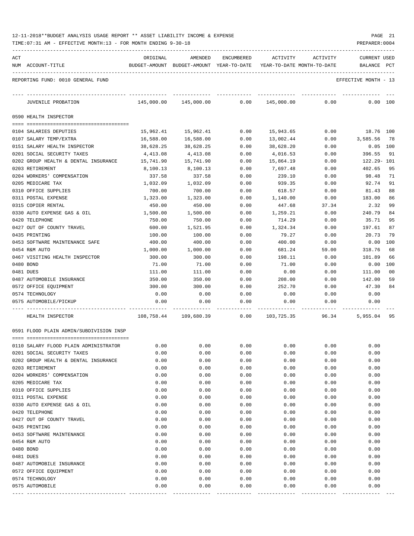| 12-11-2018**BUDGET ANALYSIS USAGE REPORT ** ASSET LIABILITY INCOME & EXPENSE | PAGE | -21 |
|------------------------------------------------------------------------------|------|-----|
|------------------------------------------------------------------------------|------|-----|

TIME:07:31 AM - EFFECTIVE MONTH:13 - FOR MONTH ENDING 9-30-18 PREPARER:0004

| ACT |                                            | ORIGINAL         | AMENDED                                  | <b>ENCUMBERED</b> | ACTIVITY          | ACTIVITY                   | CURRENT USED         |          |
|-----|--------------------------------------------|------------------|------------------------------------------|-------------------|-------------------|----------------------------|----------------------|----------|
|     | NUM ACCOUNT-TITLE                          |                  | BUDGET-AMOUNT BUDGET-AMOUNT YEAR-TO-DATE |                   |                   | YEAR-TO-DATE MONTH-TO-DATE | BALANCE              | PCT      |
|     | REPORTING FUND: 0010 GENERAL FUND          |                  |                                          |                   |                   |                            | EFFECTIVE MONTH - 13 |          |
|     | JUVENILE PROBATION                         | 145,000.00       | 145,000.00                               | 0.00              | 145,000.00        | 0.00                       | 0.00 100             |          |
|     | 0590 HEALTH INSPECTOR                      |                  |                                          |                   |                   |                            |                      |          |
|     | 0104 SALARIES DEPUTIES                     | 15,962.41        | 15,962.41                                | 0.00              | 15,943.65         | 0.00                       | 18.76 100            |          |
|     | 0107 SALARY TEMP/EXTRA                     | 16,588.00        | 16,588.00                                | 0.00              | 13,002.44         | 0.00                       | 3,585.56             | - 78     |
|     | 0151 SALARY HEALTH INSPECTOR               | 38,628.25        | 38,628.25                                | 0.00              | 38,628.20         | 0.00                       | 0.05                 | 100      |
|     | 0201 SOCIAL SECURITY TAXES                 | 4,413.08         | 4,413.08                                 | 0.00              | 4,016.53          | 0.00                       | 396.55               | 91       |
|     | 0202 GROUP HEALTH & DENTAL INSURANCE       | 15,741.90        | 15,741.90                                | 0.00              | 15,864.19         | 0.00                       | 122.29- 101          |          |
|     | 0203 RETIREMENT                            | 8,100.13         | 8,100.13                                 | 0.00              | 7,697.48          | 0.00                       | 402.65               | 95       |
|     | 0204 WORKERS' COMPENSATION                 | 337.58           | 337.58                                   | 0.00              | 239.10            | 0.00                       | 98.48                | 71       |
|     | 0205 MEDICARE TAX                          | 1,032.09         | 1,032.09                                 | 0.00              | 939.35            | 0.00                       | 92.74                | 91       |
|     | 0310 OFFICE SUPPLIES                       | 700.00           | 700.00                                   | 0.00              | 618.57            | 0.00                       | 81.43                | 88       |
|     | 0311 POSTAL EXPENSE                        | 1,323.00         | 1,323.00                                 | 0.00              | 1,140.00          | 0.00                       | 183.00               | 86       |
|     | 0315 COPIER RENTAL                         | 450.00           | 450.00                                   | 0.00              | 447.68            | 37.34                      | 2.32                 | 99       |
|     | 0330 AUTO EXPENSE GAS & OIL                | 1,500.00         | 1,500.00                                 | 0.00              | 1,259.21          | 0.00                       | 240.79               | 84       |
|     | 0420 TELEPHONE                             | 750.00           | 750.00                                   | 0.00              | 714.29            | 0.00                       | 35.71                | 95       |
|     | 0427 OUT OF COUNTY TRAVEL<br>0435 PRINTING | 600.00<br>100.00 | 1,521.95<br>100.00                       | 0.00<br>0.00      | 1,324.34<br>79.27 | 0.00<br>0.00               | 197.61<br>20.73      | 87<br>79 |
|     | 0453 SOFTWARE MAINTENANCE SAFE             | 400.00           | 400.00                                   | 0.00              | 400.00            | 0.00                       | 0.00                 | 100      |
|     | 0454 R&M AUTO                              | 1,000.00         | 1,000.00                                 | 0.00              | 681.24            | 59.00                      | 318.76               | 68       |
|     | 0467 VISITING HEALTH INSPECTOR             | 300.00           | 300.00                                   | 0.00              | 198.11            | 0.00                       | 101.89               | 66       |
|     | 0480 BOND                                  | 71.00            | 71.00                                    | 0.00              | 71.00             | 0.00                       | 0.00                 | 100      |
|     | 0481 DUES                                  | 111.00           | 111.00                                   | 0.00              | 0.00              | 0.00                       | 111.00               | 00       |
|     | 0487 AUTOMOBILE INSURANCE                  | 350.00           | 350.00                                   | 0.00              | 208.00            | 0.00                       | 142.00               | 59       |
|     | 0572 OFFICE EQUIPMENT                      | 300.00           | 300.00                                   | 0.00              | 252.70            | 0.00                       | 47.30                | 84       |
|     | 0574 TECHNOLOGY                            | 0.00             | 0.00                                     | 0.00              | 0.00              | 0.00                       | 0.00                 |          |
|     | 0575 AUTOMOBILE/PICKUP                     | 0.00             | 0.00                                     | 0.00              | 0.00              | 0.00                       | 0.00                 |          |
|     | HEALTH INSPECTOR                           | 108,758.44       | 109,680.39                               | 0.00              | 103,725.35        | 96.34                      | 5,955.04             | 95       |
|     | 0591 FLOOD PLAIN ADMIN/SUBDIVISION INSP    |                  |                                          |                   |                   |                            |                      |          |
|     | 0110 SALARY FLOOD PLAIN ADMINISTRATOR      | 0.00             | 0.00                                     | 0.00              | 0.00              | 0.00                       | 0.00                 |          |
|     | 0201 SOCIAL SECURITY TAXES                 | 0.00             | 0.00                                     | 0.00              | 0.00              | 0.00                       | 0.00                 |          |
|     | 0202 GROUP HEALTH & DENTAL INSURANCE       | 0.00             | 0.00                                     | 0.00              | 0.00              | 0.00                       | 0.00                 |          |
|     | 0203 RETIREMENT                            | 0.00             | 0.00                                     | 0.00              | 0.00              | 0.00                       | 0.00                 |          |
|     | 0204 WORKERS' COMPENSATION                 | 0.00             | 0.00                                     | 0.00              | 0.00              | 0.00                       | 0.00                 |          |
|     | 0205 MEDICARE TAX                          | 0.00             | 0.00                                     | 0.00              | 0.00              | 0.00                       | 0.00                 |          |
|     | 0310 OFFICE SUPPLIES                       | 0.00             | 0.00                                     | 0.00              | 0.00              | 0.00                       | 0.00                 |          |
|     | 0311 POSTAL EXPENSE                        | 0.00             | 0.00                                     | 0.00              | 0.00              | 0.00                       | 0.00                 |          |
|     | 0330 AUTO EXPENSE GAS & OIL                | 0.00             | 0.00                                     | 0.00              | 0.00              | 0.00                       | 0.00                 |          |
|     | 0420 TELEPHONE                             | 0.00             | 0.00                                     | 0.00              | 0.00              | 0.00                       | 0.00                 |          |
|     | 0427 OUT OF COUNTY TRAVEL<br>0435 PRINTING | 0.00             | 0.00                                     | 0.00              | 0.00              | 0.00                       | 0.00                 |          |
|     | 0453 SOFTWARE MAINTENANCE                  | 0.00<br>0.00     | 0.00<br>0.00                             | 0.00<br>0.00      | 0.00<br>0.00      | 0.00<br>0.00               | 0.00<br>0.00         |          |
|     | 0454 R&M AUTO                              | 0.00             | 0.00                                     | 0.00              | 0.00              | 0.00                       | 0.00                 |          |
|     | 0480 BOND                                  | 0.00             | 0.00                                     | 0.00              | 0.00              | 0.00                       | 0.00                 |          |
|     | 0481 DUES                                  | 0.00             | 0.00                                     | 0.00              | 0.00              | 0.00                       | 0.00                 |          |
|     | 0487 AUTOMOBILE INSURANCE                  | 0.00             | 0.00                                     | 0.00              | 0.00              | 0.00                       | 0.00                 |          |
|     | 0572 OFFICE EQUIPMENT                      | 0.00             | 0.00                                     | 0.00              | 0.00              | 0.00                       | 0.00                 |          |
|     | 0574 TECHNOLOGY                            | 0.00             | 0.00                                     | 0.00              | 0.00              | 0.00                       | 0.00                 |          |
|     | 0575 AUTOMOBILE                            | 0.00             | 0.00                                     | 0.00              | 0.00              | 0.00                       | 0.00                 |          |

---- ---------------------------------- ------------- ------------- ------------ ------------- ------------ ------------- ---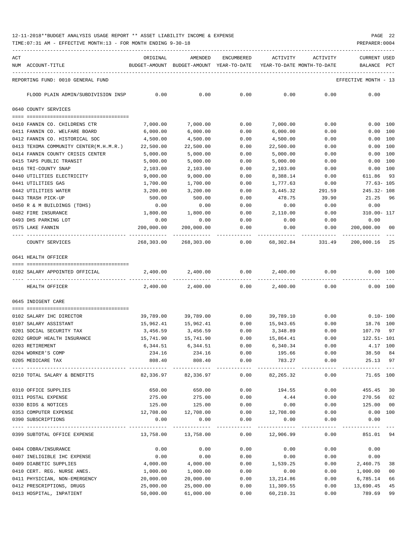TIME:07:31 AM - EFFECTIVE MONTH:13 - FOR MONTH ENDING 9-30-18 PREPARER:0004

| ACT | NUM ACCOUNT-TITLE                                  | ORIGINAL             | AMENDED<br>BUDGET-AMOUNT BUDGET-AMOUNT YEAR-TO-DATE YEAR-TO-DATE MONTH-TO-DATE | ENCUMBERED                   | ACTIVITY             | ACTIVITY     | <b>CURRENT USED</b><br>BALANCE PCT |                |
|-----|----------------------------------------------------|----------------------|--------------------------------------------------------------------------------|------------------------------|----------------------|--------------|------------------------------------|----------------|
|     |                                                    |                      |                                                                                |                              |                      |              |                                    |                |
|     | REPORTING FUND: 0010 GENERAL FUND                  |                      |                                                                                |                              |                      |              | EFFECTIVE MONTH - 13               |                |
|     | FLOOD PLAIN ADMIN/SUBDIVISION INSP                 | 0.00                 | 0.00                                                                           | 0.00                         | 0.00                 | 0.00         | 0.00                               |                |
|     | 0640 COUNTY SERVICES                               |                      |                                                                                |                              |                      |              |                                    |                |
|     |                                                    |                      |                                                                                |                              |                      |              |                                    |                |
|     | 0410 FANNIN CO. CHILDRENS CTR                      | 7,000.00             | 7,000.00                                                                       | 0.00                         | 7,000.00             | 0.00         | 0.00 100                           |                |
|     | 0411 FANNIN CO. WELFARE BOARD                      | 6,000.00             | 6,000.00                                                                       | 0.00                         | 6,000.00             | 0.00         | 0.00 100                           |                |
|     | 0412 FANNIN CO. HISTORICAL SOC                     | 4,500.00             | 4,500.00                                                                       | 0.00                         | 4,500.00             | 0.00         | 0.00 100                           |                |
|     | 0413 TEXOMA COMMUNITY CENTER(M.H.M.R.)             | 22,500.00            | 22,500.00                                                                      | 0.00                         | 22,500.00            | 0.00         | 0.00 100                           |                |
|     | 0414 FANNIN COUNTY CRISIS CENTER                   | 5,000.00             | 5,000.00                                                                       | 0.00                         | 5,000.00             | 0.00         | 0.00 100                           |                |
|     | 0415 TAPS PUBLIC TRANSIT                           | 5,000.00             | 5,000.00                                                                       | 0.00                         | 5,000.00             | 0.00         | 0.00 100                           |                |
|     | 0416 TRI-COUNTY SNAP<br>0440 UTILITIES ELECTRICITY | 2,103.00<br>9,000.00 | 2,103.00<br>9,000.00                                                           | 0.00<br>0.00                 | 2,103.00             | 0.00<br>0.00 | 0.00 100<br>611.86                 | 93             |
|     | 0441 UTILITIES GAS                                 | 1,700.00             | 1,700.00                                                                       | 0.00                         | 8,388.14<br>1,777.63 | 0.00         | 77.63- 105                         |                |
|     | 0442 UTILITIES WATER                               | 3,200.00             | 3,200.00                                                                       | 0.00                         | 3,445.32             | 291.59       | 245.32- 108                        |                |
|     | 0443 TRASH PICK-UP                                 | 500.00               | 500.00                                                                         | 0.00                         | 478.75               | 39.90        | 21.25                              | 96             |
|     | 0450 R & M BUILDINGS (TDHS)                        | 0.00                 | 0.00                                                                           | 0.00                         | 0.00                 | 0.00         | 0.00                               |                |
|     | 0482 FIRE INSURANCE                                | 1,800.00             | 1,800.00                                                                       | 0.00                         | 2,110.00             | 0.00         | 310.00- 117                        |                |
|     | 0493 DHS PARKING LOT                               | 0.00                 | 0.00                                                                           | 0.00                         | 0.00                 | 0.00         | 0.00                               |                |
|     | 0575 LAKE FANNIN                                   | 200,000.00           | 200,000.00                                                                     | 0.00                         | 0.00                 | 0.00         | 200,000.00                         | 00             |
|     |                                                    |                      |                                                                                |                              |                      |              |                                    |                |
|     | COUNTY SERVICES                                    | 268,303.00           | 268,303.00                                                                     | 0.00                         | 68,302.84            | 331.49       | 200,000.16                         | 25             |
|     | 0641 HEALTH OFFICER                                |                      |                                                                                |                              |                      |              |                                    |                |
|     |                                                    |                      |                                                                                |                              |                      |              |                                    |                |
|     | 0102 SALARY APPOINTED OFFICIAL                     | 2,400.00             | 2,400.00                                                                       | 0.00                         | 2,400.00             | 0.00         | 0.00 100                           |                |
|     |                                                    |                      |                                                                                |                              |                      |              |                                    |                |
|     | HEALTH OFFICER                                     | 2,400.00             | 2,400.00                                                                       |                              | $0.00$ 2,400.00      | 0.00         | 0.00 100                           |                |
|     | 0645 INDIGENT CARE                                 |                      |                                                                                |                              |                      |              |                                    |                |
|     |                                                    |                      |                                                                                |                              |                      |              |                                    |                |
|     | 0102 SALARY IHC DIRECTOR                           | 39,789.00            | 39,789.00                                                                      | 0.00                         | 39,789.10            | 0.00         | $0.10 - 100$                       |                |
|     | 0107 SALARY ASSISTANT                              | 15,962.41            | 15,962.41                                                                      | 0.00                         | 15,943.65            | 0.00         | 18.76 100                          |                |
|     | 0201 SOCIAL SECURITY TAX                           | 3,456.59             | 3,456.59                                                                       | 0.00                         | 3,348.89             | 0.00         | 107.70 97                          |                |
|     | 0202 GROUP HEALTH INSURANCE                        | 15,741.90            | 15,741.90                                                                      | 0.00                         | 15,864.41            | 0.00         | $122.51 - 101$                     |                |
|     | 0203 RETIREMENT                                    | 6,344.51             | 6,344.51                                                                       | 0.00                         | 6,340.34             | 0.00         | 4.17 100                           |                |
|     | 0204 WORKER'S COMP                                 | 234.16               | 234.16                                                                         | 0.00                         | 195.66               | 0.00         | 38.50 84                           |                |
|     | 0205 MEDICARE TAX                                  | 808.40               | 808.40                                                                         | 0.00                         | 783.27               | 0.00         | 25.13 97<br>-----------            |                |
|     | 0210 TOTAL SALARY & BENEFITS                       |                      | $82,336.97$ $82,336.97$ $0.00$ $82,265.32$                                     |                              |                      |              | 0.00<br>71.65 100                  |                |
|     | 0310 OFFICE SUPPLIES                               | 650.00               | 650.00                                                                         | 0.00                         | 194.55               | 0.00         | 455.45 30                          |                |
|     | 0311 POSTAL EXPENSE                                | 275.00               | 275.00                                                                         | 0.00                         | 4.44                 | 0.00         | 270.56 02                          |                |
|     | 0330 BIDS & NOTICES                                | 125.00               | 125.00                                                                         | 0.00                         | 0.00                 | 0.00         | 125.00                             | 0 <sub>0</sub> |
|     | 0353 COMPUTER EXPENSE                              | 12,708.00            |                                                                                | 12,708.00   0.00   12,708.00 |                      | 0.00         | $0.00$ 100                         |                |
|     | 0390 SUBSCRIPTIONS                                 | 0.00                 | 0.00                                                                           | 0.00                         | 0.00                 | 0.00         | 0.00                               |                |
|     | 0399 SUBTOTAL OFFICE EXPENSE                       |                      | 13,758.00    13,758.00                                                         |                              | $0.00$ 12,906.99     | 0.00         | -----------<br>851.01 94           |                |
|     | 0404 COBRA/INSURANCE                               | 0.00                 | 0.00                                                                           | 0.00                         | 0.00                 | 0.00         | 0.00                               |                |
|     | 0407 INELIGIBLE IHC EXPENSE                        | 0.00                 | 0.00                                                                           | 0.00                         | 0.00                 | 0.00         | 0.00                               |                |
|     | 0409 DIABETIC SUPPLIES                             | 4,000.00             | 4,000.00                                                                       | 0.00                         | 1,539.25             | 0.00         | 2,460.75                           | 38             |
|     | 0410 CERT. REG. NURSE ANES.                        | 1,000.00             | 1,000.00                                                                       | 0.00                         | 0.00                 | 0.00         | 1,000.00                           | 0 <sub>0</sub> |
|     | 0411 PHYSICIAN, NON-EMERGENCY                      | 20,000.00            | 20,000.00                                                                      | 0.00                         | 13,214.86            | 0.00         | 6,785.14                           | 66             |
|     | 0412 PRESCRIPTIONS, DRUGS                          | 25,000.00            | 25,000.00                                                                      | 0.00                         | 11,309.55            | 0.00         | 13,690.45                          | 45             |

0413 HOSPITAL, INPATIENT 50,000.00 61,000.00 0.00 60,210.31 0.00 789.69 99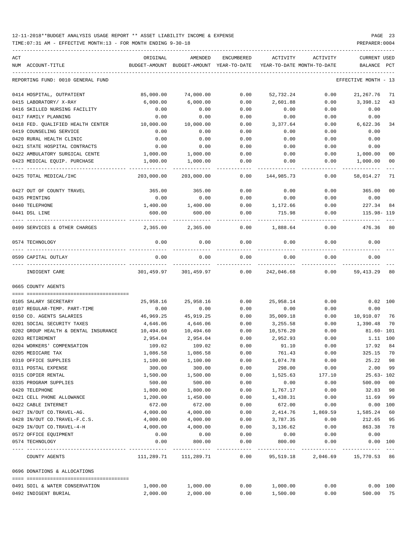| ACT<br>NUM ACCOUNT-TITLE                                 | ORIGINAL<br>BUDGET-AMOUNT | AMENDED<br>BUDGET-AMOUNT YEAR-TO-DATE | ENCUMBERED            | ACTIVITY              | ACTIVITY<br>YEAR-TO-DATE MONTH-TO-DATE | CURRENT USED<br>BALANCE | PCT            |
|----------------------------------------------------------|---------------------------|---------------------------------------|-----------------------|-----------------------|----------------------------------------|-------------------------|----------------|
| REPORTING FUND: 0010 GENERAL FUND                        |                           |                                       |                       |                       |                                        | EFFECTIVE MONTH - 13    |                |
| 0414 HOSPITAL, OUTPATIENT                                | 85,000.00                 | 74,000.00                             | 0.00                  | 52,732.24             | 0.00                                   | 21, 267.76              | 71             |
| 0415 LABORATORY/ X-RAY                                   | 6,000.00                  | 6,000.00                              | 0.00                  | 2,601.88              | 0.00                                   | 3,398.12                | 43             |
| 0416 SKILLED NURSING FACILITY                            | 0.00                      | 0.00                                  | 0.00                  | 0.00                  | 0.00                                   | 0.00                    |                |
| 0417 FAMILY PLANNING                                     | 0.00                      | 0.00                                  | 0.00                  | 0.00                  | 0.00                                   | 0.00                    |                |
| 0418 FED. QUALIFIED HEALTH CENTER                        | 10,000.00                 | 10,000.00                             | 0.00                  | 3,377.64              | 0.00                                   | 6,622.36                | 34             |
| 0419 COUNSELING SERVICE                                  | 0.00                      | 0.00                                  | 0.00                  | 0.00                  | 0.00                                   | 0.00                    |                |
| 0420 RURAL HEALTH CLINIC                                 | 0.00                      | 0.00                                  | 0.00                  | 0.00                  | 0.00                                   | 0.00                    |                |
| 0421 STATE HOSPITAL CONTRACTS                            | 0.00                      | 0.00                                  | 0.00                  | 0.00                  | 0.00                                   | 0.00                    |                |
| 0422 AMBULATORY SURGICAL CENTE                           | 1,000.00                  | 1,000.00                              | 0.00                  | 0.00                  | 0.00                                   | 1,000.00                | 0 <sub>0</sub> |
| 0423 MEDICAL EQUIP. PURCHASE                             | 1,000.00                  | 1,000.00                              | 0.00                  | 0.00                  | 0.00                                   | 1,000.00                | 00             |
| 0425 TOTAL MEDICAL/IHC                                   | 203,000.00                | 203,000.00                            | 0.00                  | 144,985.73            | 0.00                                   | 58,014.27               | 71             |
| 0427 OUT OF COUNTY TRAVEL                                | 365.00                    | 365.00                                | 0.00                  | 0.00                  | 0.00                                   | 365.00                  | 0 <sub>0</sub> |
| 0435 PRINTING                                            | 0.00                      | 0.00                                  | 0.00                  | 0.00                  | 0.00                                   | 0.00                    |                |
| 0440 TELEPHONE                                           | 1,400.00                  | 1,400.00                              | 0.00                  | 1,172.66              | 0.00                                   | 227.34                  | 84             |
| 0441 DSL LINE                                            | 600.00                    | 600.00                                | 0.00                  | 715.98                | 0.00                                   | 115.98-119              |                |
| 0499 SERVICES & OTHER CHARGES                            | 2,365.00                  | 2,365.00                              | 0.00                  | 1,888.64              | 0.00                                   | 476.36                  | 80             |
| 0574 TECHNOLOGY                                          | 0.00                      | 0.00                                  | 0.00                  | 0.00                  | 0.00                                   | 0.00                    |                |
| 0599 CAPITAL OUTLAY                                      | 0.00                      | 0.00                                  | 0.00                  | 0.00                  | 0.00                                   | 0.00                    |                |
| INDIGENT CARE                                            | 301,459.97                | 301,459.97                            | 0.00                  | 242,046.68            | 0.00                                   | 59,413.29               | 80             |
| 0665 COUNTY AGENTS                                       |                           |                                       |                       |                       |                                        |                         |                |
|                                                          |                           |                                       |                       |                       |                                        |                         |                |
| 0105 SALARY SECRETARY                                    | 25,958.16                 | 25,958.16                             | 0.00                  | 25,958.14             | 0.00                                   | 0.02 100                |                |
| 0107 REGULAR-TEMP. PART-TIME<br>0150 CO. AGENTS SALARIES | 0.00<br>46,969.25         | 0.00<br>45,919.25                     | 0.00                  | 0.00                  | 0.00                                   | 0.00<br>10,910.07 76    |                |
| 0201 SOCIAL SECURITY TAXES                               | 4,646.06                  | 4,646.06                              | 0.00<br>0.00          | 35,009.18<br>3,255.58 | 0.00<br>0.00                           | 1,390.48                | 70             |
| 0202 GROUP HEALTH & DENTAL INSURANCE                     | 10,494.60                 | 10,494.60                             | 0.00                  | 10,576.20             | 0.00                                   | $81.60 - 101$           |                |
| 0203 RETIREMENT                                          | 2,954.04                  | 2,954.04                              | 0.00                  | 2,952.93              | 0.00                                   | 1.11 100                |                |
| 0204 WORKERS' COMPENSATION                               | 109.02                    | 109.02                                | 0.00                  | 91.10                 | 0.00                                   | 17.92                   | 84             |
| 0205 MEDICARE TAX                                        | 1,086.58                  | 1,086.58                              | 0.00                  | 761.43                | 0.00                                   | 325.15 70               |                |
| 0310 OFFICE SUPPLIES                                     | 1,100.00                  | 1,100.00                              | 0.00                  | 1,074.78              | 0.00                                   | 25.22                   | 98             |
| 0311 POSTAL EXPENSE                                      | 300.00                    | 300.00                                | 0.00                  | 298.00                | 0.00                                   | 2.00                    | 99             |
| 0315 COPIER RENTAL                                       | 1,500.00                  | 1,500.00                              | 0.00                  | 1,525.63              | 177.10                                 | $25.63 - 102$           |                |
| 0335 PROGRAM SUPPLIES                                    | 500.00                    | 500.00                                | 0.00                  | 0.00                  | 0.00                                   | 500.00                  | 0 <sub>0</sub> |
| 0420 TELEPHONE                                           | 1,800.00                  | 1,800.00                              | 0.00                  | 1,767.17              | 0.00                                   | 32.83                   | 98             |
| 0421 CELL PHONE ALLOWANCE                                | 1,200.00                  | 1,450.00                              | 0.00                  | 1,438.31              | 0.00                                   | 11.69                   | 99             |
| 0422 CABLE INTERNET                                      | 672.00                    | 672.00                                | 0.00                  | 672.00                | 0.00                                   | 0.00 100                |                |
| 0427 IN/OUT CO.TRAVEL-AG.                                | 4,000.00                  | 4,000.00                              | 0.00                  | 2,414.76              | 1,869.59                               | 1,585.24                | 60             |
| 0428 IN/OUT CO.TRAVEL-F.C.S.                             | 4,000.00                  | 4,000.00                              | 0.00                  | 3,787.35              | 0.00                                   | 212.65                  | 95             |
| 0429 IN/OUT CO.TRAVEL-4-H                                | 4,000.00                  | 4,000.00                              | 0.00                  | 3,136.62              | 0.00                                   | 863.38                  | 78             |
| 0572 OFFICE EQUIPMENT                                    | 0.00                      | 0.00                                  | 0.00                  | 0.00                  | 0.00                                   | 0.00                    |                |
| 0574 TECHNOLOGY                                          | 0.00                      | 800.00<br>-------------               | 0.00<br>$- - - - - -$ | 800.00<br>---------   | 0.00                                   | 0.00 100<br>----------- |                |
| COUNTY AGENTS                                            | 111,289.71                | 111,289.71                            | 0.00                  | 95,519.18             | 2,046.69                               | 15,770.53 86            |                |
| 0696 DONATIONS & ALLOCATIONS                             |                           |                                       |                       |                       |                                        |                         |                |
| 0491 SOIL & WATER CONSERVATION                           | 1,000.00                  | 1,000.00                              | 0.00                  | 1,000.00              | 0.00                                   | 0.00 100                |                |
| 0492 INDIGENT BURIAL                                     | 2,000.00                  | 2,000.00                              | 0.00                  | 1,500.00              | 0.00                                   | 500.00 75               |                |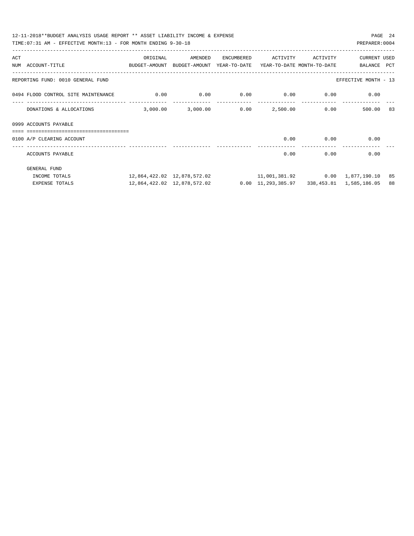|                                     | 12-11-2018**BUDGET ANALYSIS USAGE REPORT ** ASSET LIABILITY INCOME & EXPENSE<br>PAGE 24<br>TIME: 07:31 AM - EFFECTIVE MONTH: 13 - FOR MONTH ENDING 9-30-18<br>PREPARER: 0004 |                             |            |                                     |          |                                                                  |    |  |  |  |  |
|-------------------------------------|------------------------------------------------------------------------------------------------------------------------------------------------------------------------------|-----------------------------|------------|-------------------------------------|----------|------------------------------------------------------------------|----|--|--|--|--|
|                                     |                                                                                                                                                                              |                             |            |                                     |          |                                                                  |    |  |  |  |  |
| ACT                                 | ORIGINAL                                                                                                                                                                     | AMENDED                     | ENCUMBERED | ACTIVITY                            | ACTIVITY | <b>CURRENT USED</b>                                              |    |  |  |  |  |
| NUM ACCOUNT-TITLE                   | BUDGET-AMOUNT BUDGET-AMOUNT YEAR-TO-DATE YEAR-TO-DATE MONTH-TO-DATE                                                                                                          |                             |            |                                     |          | BALANCE PCT                                                      |    |  |  |  |  |
| REPORTING FUND: 0010 GENERAL FUND   |                                                                                                                                                                              |                             |            |                                     |          | EFFECTIVE MONTH - 13                                             |    |  |  |  |  |
| 0494 FLOOD CONTROL SITE MAINTENANCE | $0.00$ 0.00                                                                                                                                                                  |                             |            | $0.00$ $0.00$ $0.00$ $0.00$         |          | 0.00                                                             |    |  |  |  |  |
| DONATIONS & ALLOCATIONS             | 3,000.00                                                                                                                                                                     |                             |            | $3,000.00$ $0.00$ $2,500.00$ $0.00$ |          | 500.00                                                           | 83 |  |  |  |  |
| 0999 ACCOUNTS PAYABLE               |                                                                                                                                                                              |                             |            |                                     |          |                                                                  |    |  |  |  |  |
| ===========================         |                                                                                                                                                                              |                             |            |                                     |          |                                                                  |    |  |  |  |  |
| 0100 A/P CLEARING ACCOUNT           |                                                                                                                                                                              |                             |            | 0.00                                | 0.00     | 0.00                                                             |    |  |  |  |  |
| ACCOUNTS PAYABLE                    |                                                                                                                                                                              |                             |            | 0.00                                | 0.00     | 0.00                                                             |    |  |  |  |  |
| GENERAL FUND                        |                                                                                                                                                                              |                             |            |                                     |          |                                                                  |    |  |  |  |  |
| INCOME TOTALS                       |                                                                                                                                                                              |                             |            |                                     |          | 11,001,381.92   0.00   1,877,190.10   85                         |    |  |  |  |  |
| EXPENSE TOTALS                      |                                                                                                                                                                              | 12,864,422.02 12,878,572.02 |            |                                     |          | $0.00 \quad 11,293,385.97 \qquad 338,453.81 \qquad 1,585,186.05$ | 88 |  |  |  |  |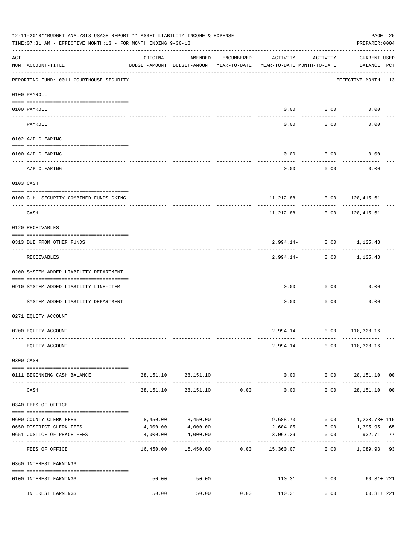| 12-11-2018**BUDGET ANALYSIS USAGE REPORT ** ASSET LIABILITY INCOME & EXPENSE<br>TIME: 07:31 AM - EFFECTIVE MONTH: 13 - FOR MONTH ENDING 9-30-18<br>PREPARER: 0004 |                                                                                |           |                                                     |            |                                            |                       |                                        |  |  |
|-------------------------------------------------------------------------------------------------------------------------------------------------------------------|--------------------------------------------------------------------------------|-----------|-----------------------------------------------------|------------|--------------------------------------------|-----------------------|----------------------------------------|--|--|
| ACT                                                                                                                                                               | NUM ACCOUNT-TITLE                                                              | ORIGINAL  | AMENDED<br>BUDGET-AMOUNT BUDGET-AMOUNT YEAR-TO-DATE | ENCUMBERED | ACTIVITY<br>YEAR-TO-DATE MONTH-TO-DATE     | ACTIVITY              | CURRENT USED<br>BALANCE PCT            |  |  |
|                                                                                                                                                                   | ----------------------------------<br>REPORTING FUND: 0011 COURTHOUSE SECURITY |           |                                                     |            |                                            |                       | EFFECTIVE MONTH - 13                   |  |  |
|                                                                                                                                                                   | 0100 PAYROLL                                                                   |           |                                                     |            |                                            |                       |                                        |  |  |
|                                                                                                                                                                   | 0100 PAYROLL                                                                   |           |                                                     |            | 0.00                                       | 0.00                  | 0.00                                   |  |  |
|                                                                                                                                                                   | ----- ----<br>PAYROLL                                                          |           |                                                     |            | 0.00                                       | -------<br>0.00       | 0.00                                   |  |  |
|                                                                                                                                                                   | 0102 A/P CLEARING                                                              |           |                                                     |            |                                            |                       |                                        |  |  |
|                                                                                                                                                                   | 0100 A/P CLEARING                                                              |           |                                                     |            | 0.00                                       | 0.00                  | 0.00                                   |  |  |
|                                                                                                                                                                   | A/P CLEARING                                                                   |           |                                                     |            | 0.00                                       | 0.00                  | 0.00                                   |  |  |
|                                                                                                                                                                   | 0103 CASH                                                                      |           |                                                     |            |                                            |                       |                                        |  |  |
|                                                                                                                                                                   | 0100 C.H. SECURITY-COMBINED FUNDS CKING                                        |           |                                                     |            |                                            |                       | 11, 212.88 0.00 128, 415.61            |  |  |
|                                                                                                                                                                   | CASH                                                                           |           |                                                     |            | 11,212.88                                  | 0.00                  | .<br>128,415.61                        |  |  |
|                                                                                                                                                                   | 0120 RECEIVABLES                                                               |           |                                                     |            |                                            |                       |                                        |  |  |
|                                                                                                                                                                   | 0313 DUE FROM OTHER FUNDS                                                      |           |                                                     |            |                                            |                       | 2,994.14- 0.00 1,125.43                |  |  |
|                                                                                                                                                                   | RECEIVABLES                                                                    |           |                                                     |            |                                            |                       | -----------<br>2,994.14- 0.00 1,125.43 |  |  |
|                                                                                                                                                                   | 0200 SYSTEM ADDED LIABILITY DEPARTMENT                                         |           |                                                     |            |                                            |                       |                                        |  |  |
|                                                                                                                                                                   | 0910 SYSTEM ADDED LIABILITY LINE-ITEM                                          |           |                                                     |            | 0.00                                       | 0.00                  | 0.00                                   |  |  |
|                                                                                                                                                                   | SYSTEM ADDED LIABILITY DEPARTMENT                                              |           |                                                     |            | 0.00                                       | 0.00                  | 0.00                                   |  |  |
|                                                                                                                                                                   | 0271 EQUITY ACCOUNT                                                            |           |                                                     |            |                                            |                       |                                        |  |  |
|                                                                                                                                                                   | 0200 EQUITY ACCOUNT                                                            |           |                                                     |            |                                            |                       | 2,994.14- 0.00 118,328.16              |  |  |
|                                                                                                                                                                   | EQUITY ACCOUNT                                                                 |           |                                                     |            |                                            |                       | 2,994.14- 0.00 118,328.16              |  |  |
|                                                                                                                                                                   | 0300 CASH                                                                      |           |                                                     |            |                                            |                       |                                        |  |  |
|                                                                                                                                                                   | 0111 BEGINNING CASH BALANCE                                                    |           | 28, 151. 10 28, 151. 10                             |            |                                            |                       | $0.00$ $0.00$ $28,151.10$ 00           |  |  |
|                                                                                                                                                                   | CASH                                                                           | 28,151.10 | 28,151.10                                           | 0.00       | --------------<br>0.00                     | ----------- -<br>0.00 | .<br>28,151.10 00                      |  |  |
|                                                                                                                                                                   | 0340 FEES OF OFFICE                                                            |           |                                                     |            |                                            |                       |                                        |  |  |
|                                                                                                                                                                   | 0600 COUNTY CLERK FEES                                                         | 8,450.00  | 8,450.00                                            |            |                                            | 9,688.73 0.00         | 1,238.73+ 115                          |  |  |
|                                                                                                                                                                   | 0650 DISTRICT CLERK FEES                                                       | 4,000.00  | 4,000.00                                            |            | 2,604.05                                   | 0.00                  | 1,395.95 65                            |  |  |
|                                                                                                                                                                   | 0651 JUSTICE OF PEACE FEES                                                     | 4,000.00  | 4,000.00<br>-------------                           |            | 3,067.29                                   | 0.00                  | 932.71 77                              |  |  |
|                                                                                                                                                                   | FEES OF OFFICE                                                                 |           |                                                     |            | $16,450.00$ $16,450.00$ $0.00$ $15,360.07$ |                       | $0.00$ 1,089.93 93                     |  |  |
|                                                                                                                                                                   | 0360 INTEREST EARNINGS                                                         |           |                                                     |            |                                            |                       |                                        |  |  |
|                                                                                                                                                                   | 0100 INTEREST EARNINGS                                                         | 50.00     | 50.00                                               | .          | -------------                              | ------------          | 110.31 0.00 60.31+221<br>------------- |  |  |
|                                                                                                                                                                   | INTEREST EARNINGS                                                              | 50.00     | 50.00                                               | 0.00       | 110.31                                     | 0.00                  | $60.31 + 221$                          |  |  |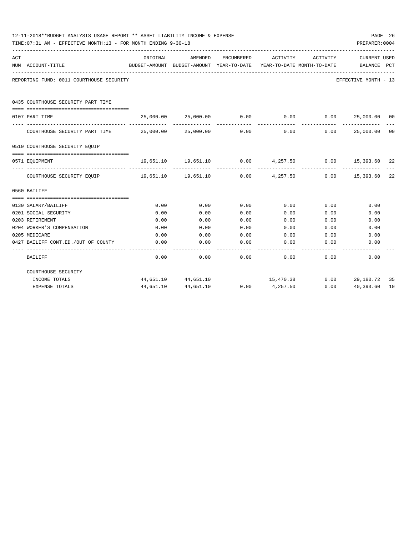|     | 12-11-2018**BUDGET ANALYSIS USAGE REPORT ** ASSET LIABILITY INCOME & EXPENSE<br>PAGE 26<br>TIME: 07:31 AM - EFFECTIVE MONTH: 13 - FOR MONTH ENDING 9-30-18<br>PREPARER: 0004 |                                   |                                                                                |            |                        |          |                                                               |    |  |  |
|-----|------------------------------------------------------------------------------------------------------------------------------------------------------------------------------|-----------------------------------|--------------------------------------------------------------------------------|------------|------------------------|----------|---------------------------------------------------------------|----|--|--|
| ACT | NUM ACCOUNT-TITLE                                                                                                                                                            | ORIGINAL<br>--------------------- | AMENDED<br>BUDGET-AMOUNT BUDGET-AMOUNT YEAR-TO-DATE YEAR-TO-DATE MONTH-TO-DATE | ENCUMBERED | ACTIVITY               | ACTIVITY | CURRENT USED<br>BALANCE PCT                                   |    |  |  |
|     | REPORTING FUND: 0011 COURTHOUSE SECURITY                                                                                                                                     |                                   |                                                                                |            |                        |          | EFFECTIVE MONTH - 13                                          |    |  |  |
|     | 0435 COURTHOUSE SECURITY PART TIME                                                                                                                                           |                                   |                                                                                |            |                        |          |                                                               |    |  |  |
|     | 0107 PART TIME                                                                                                                                                               |                                   |                                                                                |            |                        |          | $25,000.00$ $25,000.00$ $0.00$ $0.00$ $0.00$ $25,000.00$ $00$ |    |  |  |
|     | COURTHOUSE SECURITY PART TIME $25,000.00$ $25,000.00$                                                                                                                        |                                   |                                                                                | 0.00       | --------------<br>0.00 | 0.00     | 25,000.00                                                     | 00 |  |  |
|     | 0510 COURTHOUSE SECURITY EQUIP                                                                                                                                               |                                   |                                                                                |            |                        |          |                                                               |    |  |  |
|     | 0571 EOUIPMENT                                                                                                                                                               |                                   |                                                                                |            |                        |          | 19,651.10 19,651.10 0.00 4,257.50 0.00 15,393.60 22           |    |  |  |
|     | COURTHOUSE SECURITY EQUIP 19,651.10 19,651.10 0.00                                                                                                                           |                                   |                                                                                |            | 4,257.50               |          | $0.00$ 15,393.60                                              | 22 |  |  |
|     | 0560 BAILIFF                                                                                                                                                                 |                                   |                                                                                |            |                        |          |                                                               |    |  |  |
|     |                                                                                                                                                                              |                                   |                                                                                |            |                        |          |                                                               |    |  |  |
|     | 0130 SALARY/BAILIFF                                                                                                                                                          | 0.00                              | 0.00                                                                           | 0.00       | 0.00                   | 0.00     | 0.00                                                          |    |  |  |
|     | 0201 SOCIAL SECURITY                                                                                                                                                         | 0.00                              | 0.00                                                                           | 0.00       | 0.00                   | 0.00     | 0.00                                                          |    |  |  |
|     | 0203 RETIREMENT                                                                                                                                                              | 0.00                              | 0.00                                                                           | 0.00       | 0.00                   | 0.00     | 0.00                                                          |    |  |  |
|     | 0204 WORKER'S COMPENSATION                                                                                                                                                   | 0.00                              | 0.00                                                                           | 0.00       | 0.00                   | 0.00     | 0.00                                                          |    |  |  |
|     | 0205 MEDICARE                                                                                                                                                                | 0.00                              | 0.00                                                                           | 0.00       | 0.00                   | 0.00     | 0.00                                                          |    |  |  |
|     | 0427 BAILIFF CONT.ED./OUT OF COUNTY                                                                                                                                          | 0.00                              | 0.00                                                                           | 0.00       | 0.00                   | 0.00     | 0.00                                                          |    |  |  |
|     | <b>BAILIFF</b>                                                                                                                                                               | 0.00                              | 0.00                                                                           | 0.00       | 0.00                   | 0.00     | 0.00                                                          |    |  |  |
|     | COURTHOUSE SECURITY                                                                                                                                                          |                                   |                                                                                |            |                        |          |                                                               |    |  |  |
|     | INCOME TOTALS                                                                                                                                                                |                                   | 44,651.10 44,651.10                                                            |            |                        |          | 15,470.38 0.00 29,180.72                                      | 35 |  |  |
|     | <b>EXPENSE TOTALS</b>                                                                                                                                                        |                                   | 44,651.10 44,651.10 0.00 4,257.50                                              |            |                        |          | $0.00$ 40,393.60                                              | 10 |  |  |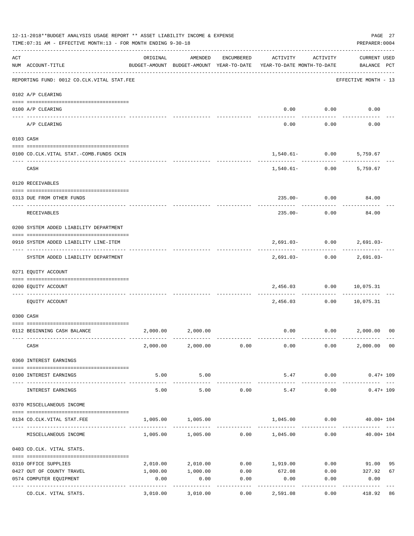| 12-11-2018**BUDGET ANALYSIS USAGE REPORT ** ASSET LIABILITY INCOME & EXPENSE<br>TIME: 07:31 AM - EFFECTIVE MONTH: 13 - FOR MONTH ENDING 9-30-18<br>PREPARER: 0004 |                                                           |                                |                        |            |                                                                                 |                               |                                          |    |
|-------------------------------------------------------------------------------------------------------------------------------------------------------------------|-----------------------------------------------------------|--------------------------------|------------------------|------------|---------------------------------------------------------------------------------|-------------------------------|------------------------------------------|----|
| ACT                                                                                                                                                               | NUM ACCOUNT-TITLE                                         | ORIGINAL                       | AMENDED                | ENCUMBERED | ACTIVITY<br>BUDGET-AMOUNT BUDGET-AMOUNT YEAR-TO-DATE YEAR-TO-DATE MONTH-TO-DATE | ACTIVITY                      | <b>CURRENT USED</b><br>BALANCE PCT       |    |
|                                                                                                                                                                   | REPORTING FUND: 0012 CO.CLK.VITAL STAT.FEE                |                                |                        |            |                                                                                 |                               | ----------------<br>EFFECTIVE MONTH - 13 |    |
|                                                                                                                                                                   | 0102 A/P CLEARING                                         |                                |                        |            |                                                                                 |                               |                                          |    |
|                                                                                                                                                                   | 0100 A/P CLEARING                                         |                                |                        |            |                                                                                 | $0.00$ $0.00$                 | 0.00                                     |    |
|                                                                                                                                                                   | A/P CLEARING                                              |                                |                        |            | $- - - - -$<br>0.00                                                             | ----------<br>0.00            | 0.00                                     |    |
|                                                                                                                                                                   | 0103 CASH                                                 |                                |                        |            |                                                                                 |                               |                                          |    |
|                                                                                                                                                                   | 0100 CO.CLK.VITAL STAT.-COMB.FUNDS CKIN                   |                                |                        |            |                                                                                 | $1,540.61 - 0.00$             | 5,759.67                                 |    |
|                                                                                                                                                                   | CASH                                                      |                                |                        |            | ----------- ------------                                                        | $1,540.61 - 0.00$             | 5,759.67                                 |    |
|                                                                                                                                                                   | 0120 RECEIVABLES                                          |                                |                        |            |                                                                                 |                               |                                          |    |
|                                                                                                                                                                   | 0313 DUE FROM OTHER FUNDS                                 |                                |                        |            |                                                                                 | $235.00 - 0.00$               | 84.00                                    |    |
|                                                                                                                                                                   | RECEIVABLES                                               |                                |                        |            | $235.00 -$                                                                      | 0.00                          | 84.00                                    |    |
|                                                                                                                                                                   | 0200 SYSTEM ADDED LIABILITY DEPARTMENT                    |                                |                        |            |                                                                                 |                               |                                          |    |
|                                                                                                                                                                   |                                                           |                                |                        |            |                                                                                 |                               |                                          |    |
|                                                                                                                                                                   | 0910 SYSTEM ADDED LIABILITY LINE-ITEM                     |                                |                        |            | ---------- ------------                                                         | 2,691.03- 0.00 2,691.03-      | -------------                            |    |
|                                                                                                                                                                   | SYSTEM ADDED LIABILITY DEPARTMENT                         |                                |                        |            |                                                                                 | 2,691.03- 0.00 2,691.03-      |                                          |    |
|                                                                                                                                                                   | 0271 EQUITY ACCOUNT                                       |                                |                        |            |                                                                                 |                               |                                          |    |
|                                                                                                                                                                   | 0200 EQUITY ACCOUNT                                       |                                |                        |            |                                                                                 | 2,456.03 0.00 10,075.31       |                                          |    |
|                                                                                                                                                                   | EOUITY ACCOUNT                                            |                                |                        |            | 2,456.03                                                                        | 0.00                          | 10,075.31                                |    |
|                                                                                                                                                                   | 0300 CASH                                                 |                                |                        |            |                                                                                 |                               |                                          |    |
|                                                                                                                                                                   | 0112 BEGINNING CASH BALANCE                               |                                | 2,000.00 2,000.00      |            |                                                                                 | $0.00$ $0.00$ $2,000.00$ $00$ |                                          |    |
|                                                                                                                                                                   | CASH                                                      |                                | 2,000.00 2,000.00 0.00 |            | 0.00                                                                            | 0.00                          | 2,000.00 00                              |    |
|                                                                                                                                                                   | 0360 INTEREST EARNINGS                                    |                                |                        |            |                                                                                 |                               |                                          |    |
|                                                                                                                                                                   |                                                           | 5.00                           | 5.00                   |            |                                                                                 | 5.47 0.00                     | $0.47 + 109$                             |    |
|                                                                                                                                                                   | 0100 INTEREST EARNINGS                                    | -------------- --------------- | -----------            |            |                                                                                 | ----------                    |                                          |    |
|                                                                                                                                                                   | INTEREST EARNINGS                                         | 5.00                           | 5.00                   | 0.00       | 5.47                                                                            | 0.00                          | $0.47 + 109$                             |    |
|                                                                                                                                                                   | 0370 MISCELLANEOUS INCOME                                 |                                |                        |            |                                                                                 |                               |                                          |    |
|                                                                                                                                                                   | 0134 CO.CLK.VITAL STAT.FEE                                | 1,005.00                       | 1,005.00               |            |                                                                                 | 1,045.00 0.00                 | 40.00+ 104                               |    |
|                                                                                                                                                                   | MISCELLANEOUS INCOME                                      |                                |                        |            | $1,005.00$ $1,005.00$ $0.00$ $1,045.00$ $0.00$                                  |                               | $40.00 + 104$                            |    |
|                                                                                                                                                                   | 0403 CO.CLK. VITAL STATS.                                 |                                |                        |            |                                                                                 |                               |                                          |    |
|                                                                                                                                                                   | 0310 OFFICE SUPPLIES                                      |                                | 2,010.00 2,010.00      |            | $0.00$ 1,919.00                                                                 |                               | $0.00$ 91.00                             | 95 |
|                                                                                                                                                                   | 0427 OUT OF COUNTY TRAVEL                                 | 1,000.00                       | 1,000.00               | 0.00       | 672.08                                                                          | $0.00$ 327.92                 |                                          | 67 |
|                                                                                                                                                                   | 0574 COMPUTER EQUIPMENT<br>--------------- -------------- | 0.00                           | 0.00                   | 0.00<br>.  | 0.00                                                                            | 0.00                          | 0.00                                     |    |
|                                                                                                                                                                   | CO.CLK. VITAL STATS.                                      | 3,010.00                       | 3,010.00               | 0.00       | 2,591.08                                                                        | 0.00                          | 418.92                                   | 86 |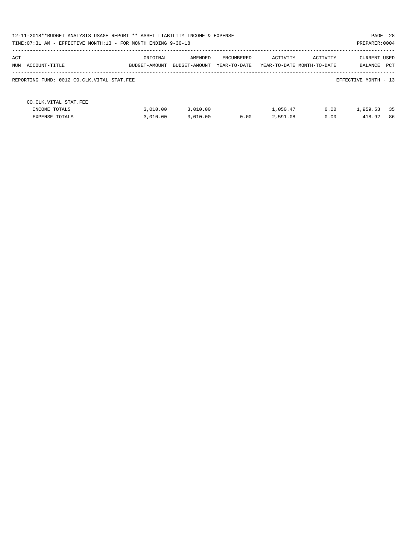| 12-11-2018**BUDGET ANALYSIS USAGE REPORT ** ASSET LIABILITY INCOME & EXPENSE<br>TIME: 07:31 AM - EFFECTIVE MONTH: 13 - FOR MONTH ENDING 9-30-18 |               |               |              |          |                            | PREPARER: 0004       | PAGE 28 |
|-------------------------------------------------------------------------------------------------------------------------------------------------|---------------|---------------|--------------|----------|----------------------------|----------------------|---------|
|                                                                                                                                                 |               |               |              |          |                            |                      |         |
| ACT                                                                                                                                             | ORIGINAL      | AMENDED       | ENCUMBERED   | ACTIVITY | ACTIVITY                   | <b>CURRENT USED</b>  |         |
| NUM ACCOUNT-TITLE                                                                                                                               | BUDGET-AMOUNT | BUDGET-AMOUNT | YEAR-TO-DATE |          | YEAR-TO-DATE MONTH-TO-DATE | BALANCE              | PCT     |
| REPORTING FUND: 0012 CO.CLK.VITAL STAT.FEE                                                                                                      |               |               |              |          |                            | EFFECTIVE MONTH - 13 |         |
| CO. CLK. VITAL STAT. FEE                                                                                                                        |               |               |              |          |                            |                      |         |
| INCOME TOTALS                                                                                                                                   | 3,010.00      | 3,010.00      |              | 1,050.47 | 0.00                       | 1,959.53             | 35      |
| <b>EXPENSE TOTALS</b>                                                                                                                           | 3,010.00      | 3,010.00      | 0.00         | 2,591.08 | 0.00                       | 418.92               | 86      |
|                                                                                                                                                 |               |               |              |          |                            |                      |         |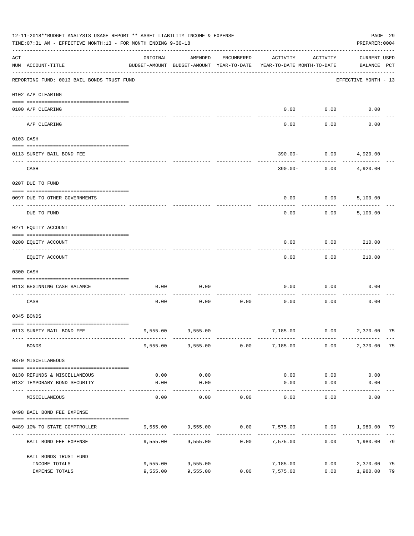|     | 12-11-2018**BUDGET ANALYSIS USAGE REPORT ** ASSET LIABILITY INCOME & EXPENSE<br>TIME: 07:31 AM - EFFECTIVE MONTH: 13 - FOR MONTH ENDING 9-30-18 |                      |                                                     |            |                                                           |                   | PREPARER: 0004                     | PAGE 29  |
|-----|-------------------------------------------------------------------------------------------------------------------------------------------------|----------------------|-----------------------------------------------------|------------|-----------------------------------------------------------|-------------------|------------------------------------|----------|
| ACT | NUM ACCOUNT-TITLE                                                                                                                               | ORIGINAL             | AMENDED<br>BUDGET-AMOUNT BUDGET-AMOUNT YEAR-TO-DATE | ENCUMBERED | ACTIVITY<br>YEAR-TO-DATE MONTH-TO-DATE                    | ACTIVITY          | <b>CURRENT USED</b><br>BALANCE PCT |          |
|     | REPORTING FUND: 0013 BAIL BONDS TRUST FUND                                                                                                      |                      |                                                     |            |                                                           |                   | EFFECTIVE MONTH - 13               |          |
|     | 0102 A/P CLEARING                                                                                                                               |                      |                                                     |            |                                                           |                   |                                    |          |
|     | 0100 A/P CLEARING<br>---- ----------<br>-------------------- -------                                                                            |                      |                                                     |            | 0.00                                                      | 0.00              | 0.00                               |          |
|     | A/P CLEARING                                                                                                                                    |                      |                                                     |            | 0.00                                                      | 0.00              | 0.00                               |          |
|     | 0103 CASH                                                                                                                                       |                      |                                                     |            |                                                           |                   |                                    |          |
|     | 0113 SURETY BAIL BOND FEE                                                                                                                       |                      |                                                     |            | $390.00 -$                                                | 0.00              | 4,920.00                           |          |
|     | CASH                                                                                                                                            |                      |                                                     |            | $390.00 -$                                                | ---------<br>0.00 | 4,920.00                           |          |
|     | 0207 DUE TO FUND                                                                                                                                |                      |                                                     |            |                                                           |                   |                                    |          |
|     |                                                                                                                                                 |                      |                                                     |            |                                                           |                   |                                    |          |
|     | 0097 DUE TO OTHER GOVERNMENTS                                                                                                                   |                      |                                                     |            | 0.00                                                      | 0.00              | 5,100.00                           |          |
|     | DUE TO FUND                                                                                                                                     |                      |                                                     |            | 0.00                                                      | 0.00              | 5,100.00                           |          |
|     | 0271 EQUITY ACCOUNT                                                                                                                             |                      |                                                     |            |                                                           |                   |                                    |          |
|     | 0200 EQUITY ACCOUNT                                                                                                                             |                      |                                                     |            | 0.00                                                      | 0.00              | 210.00                             |          |
|     | EQUITY ACCOUNT                                                                                                                                  |                      |                                                     |            | 0.00                                                      | 0.00              | 210.00                             |          |
|     | 0300 CASH                                                                                                                                       |                      |                                                     |            |                                                           |                   |                                    |          |
|     | 0113 BEGINNING CASH BALANCE                                                                                                                     | 0.00                 | 0.00                                                |            | 0.00                                                      | 0.00              | 0.00                               |          |
|     | CASH                                                                                                                                            | 0.00                 | 0.00                                                | 0.00       | 0.00                                                      | 0.00              | 0.00                               |          |
|     | 0345 BONDS                                                                                                                                      |                      |                                                     |            |                                                           |                   |                                    |          |
|     | 0113 SURETY BAIL BOND FEE                                                                                                                       |                      | 9,555.00 9,555.00                                   |            |                                                           |                   |                                    |          |
|     | <b>BONDS</b>                                                                                                                                    |                      | 9,555.00 9,555.00                                   | 0.00       |                                                           | 7,185.00 0.00     | 2,370.00 75                        |          |
|     | 0370 MISCELLANEOUS                                                                                                                              |                      |                                                     |            |                                                           |                   |                                    |          |
|     | 0130 REFUNDS & MISCELLANEOUS                                                                                                                    | 0.00                 | 0.00                                                |            | 0.00                                                      | 0.00              | 0.00                               |          |
|     | 0132 TEMPORARY BOND SECURITY                                                                                                                    | 0.00                 | 0.00<br>----------                                  |            | 0.00                                                      | 0.00<br>--------- | 0.00                               |          |
|     | MISCELLANEOUS                                                                                                                                   | 0.00                 | 0.00                                                | 0.00       | 0.00                                                      | 0.00              | 0.00                               |          |
|     | 0498 BAIL BOND FEE EXPENSE                                                                                                                      |                      |                                                     |            |                                                           |                   |                                    |          |
|     | 0489 10% TO STATE COMPTROLLER                                                                                                                   |                      |                                                     |            | $9,555.00$ $9,555.00$ $0.00$ $7,575.00$ $0.00$ $1,980.00$ |                   |                                    | 79       |
|     | BAIL BOND FEE EXPENSE                                                                                                                           | 9,555.00             | 9,555.00                                            | 0.00       | 7,575.00                                                  | 0.00              | 1,980.00                           | 79       |
|     | BAIL BONDS TRUST FUND                                                                                                                           |                      |                                                     |            |                                                           |                   |                                    |          |
|     | INCOME TOTALS<br>EXPENSE TOTALS                                                                                                                 | 9,555.00<br>9,555.00 | 9,555.00<br>9,555.00                                | 0.00       | 7,185.00<br>7,575.00                                      | 0.00<br>0.00      | 2,370.00<br>1,980.00               | 75<br>79 |
|     |                                                                                                                                                 |                      |                                                     |            |                                                           |                   |                                    |          |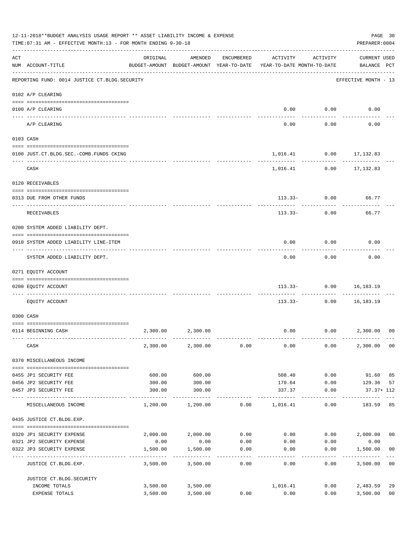|     | 12-11-2018**BUDGET ANALYSIS USAGE REPORT ** ASSET LIABILITY INCOME & EXPENSE<br>TIME: 07:31 AM - EFFECTIVE MONTH: 13 - FOR MONTH ENDING 9-30-18<br>PREPARER: 0004<br>------------------------------ |          |                                                                                |                   |                                        |                                        |                                    |                |  |  |
|-----|-----------------------------------------------------------------------------------------------------------------------------------------------------------------------------------------------------|----------|--------------------------------------------------------------------------------|-------------------|----------------------------------------|----------------------------------------|------------------------------------|----------------|--|--|
| ACT | NUM ACCOUNT-TITLE                                                                                                                                                                                   | ORIGINAL | AMENDED<br>BUDGET-AMOUNT BUDGET-AMOUNT YEAR-TO-DATE YEAR-TO-DATE MONTH-TO-DATE | ENCUMBERED        | ACTIVITY                               | ACTIVITY                               | <b>CURRENT USED</b><br>BALANCE PCT |                |  |  |
|     | REPORTING FUND: 0014 JUSTICE CT. BLDG. SECURITY                                                                                                                                                     |          |                                                                                |                   |                                        |                                        | EFFECTIVE MONTH - 13               |                |  |  |
|     | 0102 A/P CLEARING                                                                                                                                                                                   |          |                                                                                |                   |                                        |                                        |                                    |                |  |  |
|     | 0100 A/P CLEARING                                                                                                                                                                                   |          |                                                                                |                   | 0.00                                   | 0.00                                   | 0.00                               |                |  |  |
|     | ---- ----------<br>A/P CLEARING                                                                                                                                                                     |          |                                                                                |                   | 0.00                                   | ---------<br>0.00                      | 0.00                               |                |  |  |
|     | 0103 CASH                                                                                                                                                                                           |          |                                                                                |                   |                                        |                                        |                                    |                |  |  |
|     | 0100 JUST.CT.BLDG.SEC.-COMB.FUNDS CKING                                                                                                                                                             |          |                                                                                |                   |                                        | 1,016.41 0.00 17,132.83                |                                    |                |  |  |
|     | CASH                                                                                                                                                                                                |          |                                                                                |                   |                                        | -----------<br>1,016.41 0.00 17,132.83 |                                    |                |  |  |
|     | 0120 RECEIVABLES                                                                                                                                                                                    |          |                                                                                |                   |                                        |                                        |                                    |                |  |  |
|     | 0313 DUE FROM OTHER FUNDS                                                                                                                                                                           |          |                                                                                |                   |                                        | $113.33 - 0.00$                        | 66.77                              |                |  |  |
|     | RECEIVABLES                                                                                                                                                                                         |          |                                                                                |                   | 113.33-                                | 0.00                                   | 66.77                              |                |  |  |
|     | 0200 SYSTEM ADDED LIABILITY DEPT.                                                                                                                                                                   |          |                                                                                |                   |                                        |                                        |                                    |                |  |  |
|     | 0910 SYSTEM ADDED LIABILITY LINE-ITEM                                                                                                                                                               |          |                                                                                |                   | 0.00                                   | 0.00                                   | 0.00                               |                |  |  |
|     | SYSTEM ADDED LIABILITY DEPT.                                                                                                                                                                        |          |                                                                                |                   | 0.00                                   | 0.00                                   | 0.00                               |                |  |  |
|     | 0271 EQUITY ACCOUNT                                                                                                                                                                                 |          |                                                                                |                   |                                        |                                        |                                    |                |  |  |
|     | 0200 EQUITY ACCOUNT                                                                                                                                                                                 |          |                                                                                |                   |                                        | 113.33- 0.00 16,183.19                 |                                    |                |  |  |
|     | EQUITY ACCOUNT                                                                                                                                                                                      |          |                                                                                |                   | $113.33-$                              |                                        | $0.00$ 16,183.19                   |                |  |  |
|     | 0300 CASH                                                                                                                                                                                           |          |                                                                                |                   |                                        |                                        |                                    |                |  |  |
|     |                                                                                                                                                                                                     |          |                                                                                |                   |                                        |                                        |                                    |                |  |  |
|     | 0114 BEGINNING CASH                                                                                                                                                                                 | 2,300.00 | 2,300.00                                                                       |                   | 0.00                                   |                                        | $0.00$ 2,300.00                    | 00             |  |  |
|     | CASH                                                                                                                                                                                                |          | 2,300.00 2,300.00                                                              | 0.00              | 0.00                                   | 0.00                                   | 2,300.00                           | 00             |  |  |
|     | 0370 MISCELLANEOUS INCOME                                                                                                                                                                           |          |                                                                                |                   |                                        |                                        |                                    |                |  |  |
|     | 0455 JP1 SECURITY FEE                                                                                                                                                                               | 600.00   | 600.00                                                                         |                   | 508.40                                 | 0.00                                   | 91.60                              | 85             |  |  |
|     | 0456 JP2 SECURITY FEE                                                                                                                                                                               | 300.00   | 300.00                                                                         |                   | 170.64                                 | 0.00                                   | 129.36                             | 57             |  |  |
|     | 0457 JP3 SECURITY FEE<br>---- ----------------                                                                                                                                                      | 300.00   | 300.00                                                                         |                   | 337.37<br>-----------                  | 0.00<br>-----------                    | 37.37+ 112                         |                |  |  |
|     | MISCELLANEOUS INCOME                                                                                                                                                                                | 1,200.00 | 1,200.00                                                                       | 0.00              | 1,016.41                               | 0.00                                   | 183.59                             | 85             |  |  |
|     | 0435 JUSTICE CT.BLDG.EXP.                                                                                                                                                                           |          |                                                                                |                   |                                        |                                        |                                    |                |  |  |
|     | 0320 JP1 SECURITY EXPENSE                                                                                                                                                                           |          | 2,000.00 2,000.00                                                              |                   | $0.00$ $0.00$ $0.00$ $0.00$ $2,000.00$ |                                        |                                    | 0 <sub>0</sub> |  |  |
|     | 0321 JP2 SECURITY EXPENSE                                                                                                                                                                           | 0.00     | 0.00                                                                           | 0.00              | 0.00                                   | 0.00                                   | 0.00                               |                |  |  |
|     | 0322 JP3 SECURITY EXPENSE                                                                                                                                                                           | 1,500.00 | 1,500.00<br>----------                                                         | 0.00<br>--------- | 0.00                                   | 0.00<br>--------                       | 1,500.00                           | 0 <sub>0</sub> |  |  |
|     | JUSTICE CT.BLDG.EXP.                                                                                                                                                                                | 3,500.00 | 3,500.00                                                                       | 0.00              | 0.00                                   | 0.00                                   | 3,500.00                           | 0 <sub>0</sub> |  |  |
|     | JUSTICE CT.BLDG.SECURITY                                                                                                                                                                            |          |                                                                                |                   |                                        |                                        |                                    |                |  |  |
|     | INCOME TOTALS                                                                                                                                                                                       |          | 3,500.00 3,500.00                                                              |                   | 1,016.41                               | 0.00                                   | 2,483.59                           | 29             |  |  |
|     | EXPENSE TOTALS                                                                                                                                                                                      | 3,500.00 | 3,500.00                                                                       | 0.00              | 0.00                                   | 0.00                                   | 3,500.00                           | 0 <sub>0</sub> |  |  |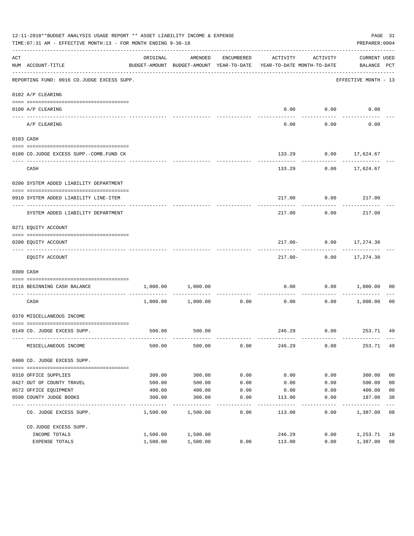|     | 12-11-2018**BUDGET ANALYSIS USAGE REPORT ** ASSET LIABILITY INCOME & EXPENSE<br>TIME: 07:31 AM - EFFECTIVE MONTH: 13 - FOR MONTH ENDING 9-30-18 |          |                                                     |            |                                        |                  | PREPARER: 0004                        | PAGE 31        |
|-----|-------------------------------------------------------------------------------------------------------------------------------------------------|----------|-----------------------------------------------------|------------|----------------------------------------|------------------|---------------------------------------|----------------|
| ACT | NUM ACCOUNT-TITLE                                                                                                                               | ORIGINAL | AMENDED<br>BUDGET-AMOUNT BUDGET-AMOUNT YEAR-TO-DATE | ENCUMBERED | ACTIVITY<br>YEAR-TO-DATE MONTH-TO-DATE | ACTIVITY         | CURRENT USED<br>BALANCE PCT           |                |
|     | REPORTING FUND: 0016 CO.JUDGE EXCESS SUPP.                                                                                                      |          |                                                     |            |                                        |                  | EFFECTIVE MONTH - 13                  |                |
|     | 0102 A/P CLEARING                                                                                                                               |          |                                                     |            |                                        |                  |                                       |                |
|     | 0100 A/P CLEARING                                                                                                                               |          |                                                     |            |                                        | $0.00$ $0.00$    | 0.00                                  |                |
|     | ---- -------------<br>A/P CLEARING                                                                                                              |          |                                                     |            | $-- - -$<br>0.00                       | --------<br>0.00 | 0.00                                  |                |
|     | 0103 CASH                                                                                                                                       |          |                                                     |            |                                        |                  |                                       |                |
|     | 0100 CO.JUDGE EXCESS SUPP.-COMB.FUND CK                                                                                                         |          |                                                     |            |                                        |                  | 133.29 0.00 17,624.67                 |                |
|     | CASH                                                                                                                                            |          |                                                     |            | 133.29                                 |                  | $0.00$ 17,624.67                      |                |
|     | 0200 SYSTEM ADDED LIABILITY DEPARTMENT                                                                                                          |          |                                                     |            |                                        |                  |                                       |                |
|     | 0910 SYSTEM ADDED LIABILITY LINE-ITEM                                                                                                           |          |                                                     |            | 217.00                                 | 0.00             | 217.00                                |                |
|     | SYSTEM ADDED LIABILITY DEPARTMENT                                                                                                               |          |                                                     |            | 217.00                                 | 0.00             | 217.00                                |                |
|     | 0271 EQUITY ACCOUNT                                                                                                                             |          |                                                     |            |                                        |                  |                                       |                |
|     | 0200 EQUITY ACCOUNT                                                                                                                             |          |                                                     |            |                                        | ----------       | 217.00- 0.00 17,274.38<br>----------- |                |
|     | EQUITY ACCOUNT                                                                                                                                  |          |                                                     |            |                                        |                  | 217.00- 0.00 17,274.38                |                |
|     | 0300 CASH                                                                                                                                       |          |                                                     |            |                                        |                  |                                       |                |
|     | 0116 BEGINNING CASH BALANCE<br>---------------------------- -----                                                                               |          | 1,000.00 1,000.00                                   |            | 0.00                                   |                  | 0.00 1,000.00                         | 00             |
|     | CASH                                                                                                                                            |          | 1,000.00 1,000.00                                   | 0.00       | 0.00                                   | 0.00             | 1,000.00 00                           |                |
|     | 0370 MISCELLANEOUS INCOME                                                                                                                       |          |                                                     |            |                                        |                  |                                       |                |
|     | 0149 CO. JUDGE EXCESS SUPP.                                                                                                                     | 500.00   | 500.00                                              |            |                                        |                  | 246.29 0.00 253.71 49                 |                |
|     | MISCELLANEOUS INCOME                                                                                                                            | 500.00   | 500.00                                              | 0.00       | 246.29                                 | 0.00             | 253.71 49                             |                |
|     | 0400 CO. JUDGE EXCESS SUPP.                                                                                                                     |          |                                                     |            |                                        |                  |                                       |                |
|     | 0310 OFFICE SUPPLIES                                                                                                                            | 300.00   | 300.00                                              | 0.00       | 0.00                                   | 0.00             | 300.00                                | 0 <sub>0</sub> |
|     | 0427 OUT OF COUNTY TRAVEL                                                                                                                       | 500.00   | 500.00                                              | 0.00       | 0.00                                   | 0.00             | 500.00                                | 0 <sub>0</sub> |
|     | 0572 OFFICE EQUIPMENT                                                                                                                           | 400.00   | 400.00                                              | 0.00       | 0.00                                   | 0.00             | 400.00                                | 0 <sub>0</sub> |
|     | 0590 COUNTY JUDGE BOOKS                                                                                                                         | 300.00   | 300.00                                              | 0.00       | 113.00                                 | 0.00             | 187.00                                | 38             |
|     | CO. JUDGE EXCESS SUPP.                                                                                                                          | 1,500.00 | 1,500.00                                            | 0.00       | 113.00                                 | 0.00             | 1,387.00                              | 08             |
|     | CO.JUDGE EXCESS SUPP.                                                                                                                           |          |                                                     |            |                                        |                  |                                       |                |
|     | INCOME TOTALS                                                                                                                                   | 1,500.00 | 1,500.00                                            |            | 246.29                                 | 0.00             | 1,253.71                              | 16             |
|     | EXPENSE TOTALS                                                                                                                                  | 1,500.00 | 1,500.00                                            | 0.00       | 113.00                                 | 0.00             | 1,387.00                              | 08             |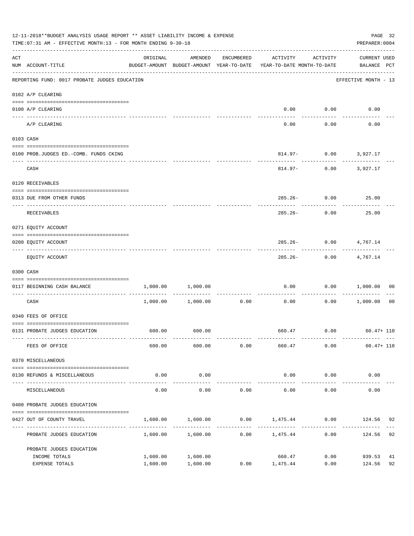|     | 12-11-2018**BUDGET ANALYSIS USAGE REPORT ** ASSET LIABILITY INCOME & EXPENSE<br>TIME: 07:31 AM - EFFECTIVE MONTH: 13 - FOR MONTH ENDING 9-30-18 |          |                     |            |                                                                                             |                                       |                             |    |  |  |
|-----|-------------------------------------------------------------------------------------------------------------------------------------------------|----------|---------------------|------------|---------------------------------------------------------------------------------------------|---------------------------------------|-----------------------------|----|--|--|
| ACT | NUM ACCOUNT-TITLE                                                                                                                               | ORIGINAL | AMENDED             | ENCUMBERED | ACTIVITY<br>BUDGET-AMOUNT BUDGET-AMOUNT YEAR-TO-DATE YEAR-TO-DATE MONTH-TO-DATE BALANCE PCT | ACTIVITY                              | CURRENT USED                |    |  |  |
|     | REPORTING FUND: 0017 PROBATE JUDGES EDUCATION                                                                                                   |          |                     |            |                                                                                             |                                       | EFFECTIVE MONTH - 13        |    |  |  |
|     | 0102 A/P CLEARING                                                                                                                               |          |                     |            |                                                                                             |                                       |                             |    |  |  |
|     | 0100 A/P CLEARING                                                                                                                               |          |                     |            |                                                                                             | $0.00$ 0.00                           | 0.00                        |    |  |  |
|     | A/P CLEARING                                                                                                                                    |          |                     |            | 0.00                                                                                        | 0.00                                  | 0.00                        |    |  |  |
|     | 0103 CASH                                                                                                                                       |          |                     |            |                                                                                             |                                       |                             |    |  |  |
|     | 0100 PROB.JUDGES ED. - COMB. FUNDS CKING                                                                                                        |          |                     |            |                                                                                             | 814.97- 0.00 3,927.17                 | ------------                |    |  |  |
|     | CASH                                                                                                                                            |          |                     |            |                                                                                             | ------------<br>814.97- 0.00 3,927.17 |                             |    |  |  |
|     | 0120 RECEIVABLES                                                                                                                                |          |                     |            |                                                                                             |                                       |                             |    |  |  |
|     | 0313 DUE FROM OTHER FUNDS                                                                                                                       |          |                     |            |                                                                                             | 285.26- 0.00 25.00                    |                             |    |  |  |
|     | RECEIVABLES                                                                                                                                     |          |                     |            | 285.26-                                                                                     | 0.00                                  | 25.00                       |    |  |  |
|     | 0271 EQUITY ACCOUNT                                                                                                                             |          |                     |            |                                                                                             |                                       |                             |    |  |  |
|     | 0200 EQUITY ACCOUNT                                                                                                                             |          |                     |            |                                                                                             | 285.26- 0.00 4,767.14                 |                             |    |  |  |
|     | EQUITY ACCOUNT                                                                                                                                  |          |                     |            |                                                                                             | -----------<br>285.26- 0.00 4,767.14  |                             |    |  |  |
|     | 0300 CASH                                                                                                                                       |          |                     |            |                                                                                             |                                       |                             |    |  |  |
|     | 0117 BEGINNING CASH BALANCE                                                                                                                     | 1,000.00 | 1,000.00            |            |                                                                                             | ----------                            | $0.00$ $0.00$ $1,000.00$ 00 |    |  |  |
|     | CASH                                                                                                                                            |          |                     |            | $1,000.00$ $1,000.00$ $0.00$ $0.00$ $0.00$                                                  |                                       | $0.00$ 1,000.00             | 00 |  |  |
|     | 0340 FEES OF OFFICE                                                                                                                             |          |                     |            |                                                                                             |                                       |                             |    |  |  |
|     | 0131 PROBATE JUDGES EDUCATION                                                                                                                   |          | 600.00 600.00       |            | 660.47 0.00 60.47+110                                                                       |                                       |                             |    |  |  |
|     | FEES OF OFFICE                                                                                                                                  | 600.00   | 600.00              | 0.00       | 660.47                                                                                      | 0.00                                  | $60.47 + 110$               |    |  |  |
|     | 0370 MISCELLANEOUS                                                                                                                              |          |                     |            |                                                                                             |                                       |                             |    |  |  |
|     | 0130 REFUNDS & MISCELLANEOUS                                                                                                                    | 0.00     | 0.00                |            | 0.00                                                                                        | 0.00                                  | 0.00                        |    |  |  |
|     | MISCELLANEOUS                                                                                                                                   | 0.00     | -----------<br>0.00 | 0.00       | ______________<br>0.00                                                                      | -------------<br>0.00                 | ---------<br>0.00           |    |  |  |
|     | 0400 PROBATE JUDGES EDUCATION                                                                                                                   |          |                     |            |                                                                                             |                                       |                             |    |  |  |
|     | 0427 OUT OF COUNTY TRAVEL                                                                                                                       | 1,600.00 | 1,600.00            |            | $0.00$ 1,475.44                                                                             | 0.00                                  | 124.56                      | 92 |  |  |
|     | PROBATE JUDGES EDUCATION                                                                                                                        |          | 1,600.00 1,600.00   | 0.00       | 1,475.44                                                                                    | ----------<br>0.00                    | 124.56                      | 92 |  |  |
|     | PROBATE JUDGES EDUCATION                                                                                                                        |          |                     |            |                                                                                             |                                       |                             |    |  |  |
|     | INCOME TOTALS                                                                                                                                   | 1,600.00 | 1,600.00            | 0.00       | 660.47                                                                                      | 0.00                                  | 939.53                      | 41 |  |  |
|     | EXPENSE TOTALS                                                                                                                                  | 1,600.00 | 1,600.00            |            | 1,475.44                                                                                    | 0.00                                  | 124.56                      | 92 |  |  |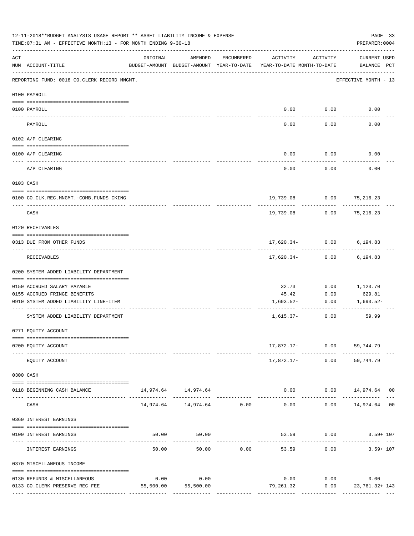|     | 12-11-2018**BUDGET ANALYSIS USAGE REPORT ** ASSET LIABILITY INCOME & EXPENSE<br>TIME: 07:31 AM - EFFECTIVE MONTH: 13 - FOR MONTH ENDING 9-30-18 |          |                                |            |                                                                                 |                             | PAGE 33<br>PREPARER: 0004                  |
|-----|-------------------------------------------------------------------------------------------------------------------------------------------------|----------|--------------------------------|------------|---------------------------------------------------------------------------------|-----------------------------|--------------------------------------------|
| ACT | NUM ACCOUNT-TITLE                                                                                                                               | ORIGINAL | AMENDED                        | ENCUMBERED | ACTIVITY<br>BUDGET-AMOUNT BUDGET-AMOUNT YEAR-TO-DATE YEAR-TO-DATE MONTH-TO-DATE | ACTIVITY                    | CURRENT USED<br>BALANCE PCT                |
|     | REPORTING FUND: 0018 CO.CLERK RECORD MNGMT.                                                                                                     |          |                                |            |                                                                                 |                             | EFFECTIVE MONTH - 13                       |
|     | 0100 PAYROLL                                                                                                                                    |          |                                |            |                                                                                 |                             |                                            |
|     | 0100 PAYROLL                                                                                                                                    |          |                                |            |                                                                                 | $0.00$ $0.00$               | 0.00                                       |
|     | PAYROLL                                                                                                                                         |          |                                |            | 0.00                                                                            | 0.00                        | 0.00                                       |
|     | 0102 A/P CLEARING                                                                                                                               |          |                                |            |                                                                                 |                             |                                            |
|     | 0100 A/P CLEARING                                                                                                                               |          |                                |            | 0.00                                                                            | 0.00                        | 0.00                                       |
|     | A/P CLEARING                                                                                                                                    |          |                                |            | 0.00                                                                            | 0.00                        | 0.00                                       |
|     | 0103 CASH                                                                                                                                       |          |                                |            |                                                                                 |                             |                                            |
|     | 0100 CO.CLK.REC.MNGMT.-COMB.FUNDS CKING                                                                                                         |          |                                |            |                                                                                 | 19,739.08 0.00 75,216.23    |                                            |
|     | ----------------------------<br>CASH                                                                                                            |          |                                |            | 19,739.08                                                                       | 0.00                        | ---------<br>75,216.23                     |
|     | 0120 RECEIVABLES                                                                                                                                |          |                                |            |                                                                                 |                             |                                            |
|     | 0313 DUE FROM OTHER FUNDS                                                                                                                       |          |                                |            |                                                                                 | $17,620.34 - 0.00$ 6,194.83 |                                            |
|     | RECEIVABLES                                                                                                                                     |          |                                |            |                                                                                 | $17,620.34-$ 0.00           | 6,194.83                                   |
|     | 0200 SYSTEM ADDED LIABILITY DEPARTMENT                                                                                                          |          |                                |            |                                                                                 |                             |                                            |
|     | 0150 ACCRUED SALARY PAYABLE                                                                                                                     |          |                                |            | 32.73                                                                           | 0.00                        | 1,123.70                                   |
|     | 0155 ACCRUED FRINGE BENEFITS                                                                                                                    |          |                                |            | 45.42                                                                           | 0.00                        | 629.81                                     |
|     | 0910 SYSTEM ADDED LIABILITY LINE-ITEM                                                                                                           |          |                                |            | 1,693.52-<br>---------- ------------                                            | 0.00                        | 1,693.52-                                  |
|     | SYSTEM ADDED LIABILITY DEPARTMENT                                                                                                               |          |                                |            | $1,615.37-$                                                                     | 0.00                        | 59.99                                      |
|     | 0271 EQUITY ACCOUNT                                                                                                                             |          |                                |            |                                                                                 |                             |                                            |
|     | 0200 EQUITY ACCOUNT                                                                                                                             |          |                                |            | -------- ------------                                                           | 17,872.17- 0.00 59,744.79   |                                            |
|     | EQUITY ACCOUNT                                                                                                                                  |          |                                |            |                                                                                 | 17,872.17- 0.00 59,744.79   |                                            |
|     | 0300 CASH                                                                                                                                       |          |                                |            |                                                                                 |                             |                                            |
|     | 0118 BEGINNING CASH BALANCE                                                                                                                     |          | 14,974.64 14,974.64            |            | --------------                                                                  | .                           | $0.00$ $0.00$ $14,974.64$ 00<br>. <u>.</u> |
|     | CASH                                                                                                                                            |          | 14,974.64    14,974.64    0.00 |            | 0.00                                                                            |                             | $0.00$ 14,974.64 00                        |
|     | 0360 INTEREST EARNINGS                                                                                                                          |          |                                |            |                                                                                 |                             |                                            |
|     | 0100 INTEREST EARNINGS                                                                                                                          |          | 50.00<br>50.00                 |            | -------------                                                                   |                             | 53.59 0.00 3.59+ 107                       |
|     | INTEREST EARNINGS                                                                                                                               | 50.00    | 50.00                          | 0.00       | 53.59                                                                           | 0.00                        | $3.59 + 107$                               |
|     | 0370 MISCELLANEOUS INCOME                                                                                                                       |          |                                |            |                                                                                 |                             |                                            |
|     | 0130 REFUNDS & MISCELLANEOUS                                                                                                                    | 0.00     | 0.00                           |            |                                                                                 | $0.00$ 0.00                 | 0.00                                       |
|     | 0133 CO.CLERK PRESERVE REC FEE                                                                                                                  |          | 55,500.00 55,500.00            |            | 79,261.32                                                                       |                             | $0.00$ 23,761.32+143                       |
|     |                                                                                                                                                 |          |                                |            |                                                                                 |                             |                                            |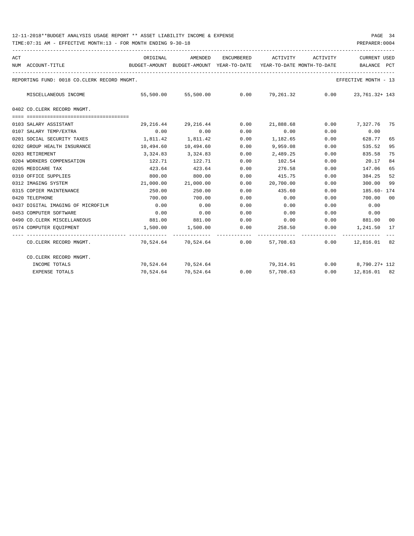| ACT |                                             | ORIGINAL                                 | AMENDED                  | ENCUMBERED | ACTIVITY                   | ACTIVITY                         | CURRENT USED         |                |
|-----|---------------------------------------------|------------------------------------------|--------------------------|------------|----------------------------|----------------------------------|----------------------|----------------|
|     | NUM ACCOUNT-TITLE                           | BUDGET-AMOUNT BUDGET-AMOUNT YEAR-TO-DATE |                          |            | YEAR-TO-DATE MONTH-TO-DATE |                                  | BALANCE              | PCT            |
|     | REPORTING FUND: 0018 CO.CLERK RECORD MNGMT. |                                          |                          |            |                            |                                  | EFFECTIVE MONTH - 13 |                |
|     | MISCELLANEOUS INCOME                        |                                          | 55,500.00 55,500.00      | 0.00       |                            | 79,261.32 0.00                   | 23, 761. 32+ 143     |                |
|     | 0402 CO. CLERK RECORD MNGMT.                |                                          |                          |            |                            |                                  |                      |                |
|     |                                             |                                          |                          |            |                            |                                  |                      |                |
|     | 0103 SALARY ASSISTANT                       | 29,216.44                                | 29,216.44                | 0.00       |                            | 21,888.68 0.00                   | 7,327.76 75          |                |
|     | 0107 SALARY TEMP/EXTRA                      | 0.00                                     | 0.00                     | 0.00       | 0.00                       | 0.00                             | 0.00                 |                |
|     | 0201 SOCIAL SECURITY TAXES                  | 1,811.42                                 | 1,811.42                 | 0.00       | 1,182.65                   | 0.00                             | 628.77               | 65             |
|     | 0202 GROUP HEALTH INSURANCE                 | 10,494.60                                | 10,494.60                | 0.00       | 9,959.08                   | 0.00                             | 535.52               | 95             |
|     | 0203 RETIREMENT                             | 3,324.83                                 | 3,324.83                 | 0.00       | 2,489.25                   | 0.00                             | 835.58               | 75             |
|     | 0204 WORKERS COMPENSATION                   | 122.71                                   | 122.71                   | 0.00       | 102.54                     | 0.00                             | 20.17                | 84             |
|     | 0205 MEDICARE TAX                           | 423.64                                   | 423.64                   | 0.00       | 276.58                     | 0.00                             | 147.06               | 65             |
|     | 0310 OFFICE SUPPLIES                        | 800.00                                   | 800.00                   | 0.00       | 415.75                     | 0.00                             | 384.25               | 52             |
|     | 0312 IMAGING SYSTEM                         |                                          | 21,000.00 21,000.00      | 0.00       | 20,700.00                  | 0.00                             | 300.00               | 99             |
|     | 0315 COPIER MAINTENANCE                     | 250.00                                   | 250.00                   | 0.00       | 435.60                     | 0.00                             | 185.60- 174          |                |
|     | 0420 TELEPHONE                              | 700.00                                   | 700.00                   | 0.00       | 0.00                       | 0.00                             | 700.00               | 00             |
|     | 0437 DIGITAL IMAGING OF MICROFILM           | 0.00                                     | 0.00                     | 0.00       | 0.00                       | 0.00                             | 0.00                 |                |
|     | 0453 COMPUTER SOFTWARE                      | 0.00                                     | 0.00                     | 0.00       | 0.00                       | 0.00                             | 0.00                 |                |
|     | 0490 CO. CLERK MISCELLANEOUS                | 881.00                                   | 881.00                   | 0.00       | $0.00$ 0.00                |                                  | 881.00               | 0 <sub>0</sub> |
|     | 0574 COMPUTER EQUIPMENT                     |                                          | 1,500.00 1,500.00        | 0.00       | 258.50                     | 0.00                             | 1,241.50             | 17             |
|     | CO.CLERK RECORD MNGMT.                      |                                          | 70,524.64 70,524.64 0.00 |            | 57,708.63                  |                                  | $0.00$ 12,816.01 82  |                |
|     | CO.CLERK RECORD MNGMT.                      |                                          |                          |            |                            |                                  |                      |                |
|     | INCOME TOTALS                               |                                          | 70,524.64 70,524.64      |            |                            | 79,314.91   0.00   8,790.27+ 112 |                      |                |
|     | <b>EXPENSE TOTALS</b>                       |                                          | 70,524.64 70,524.64 0.00 |            | 57,708.63                  |                                  | $0.00$ 12,816.01 82  |                |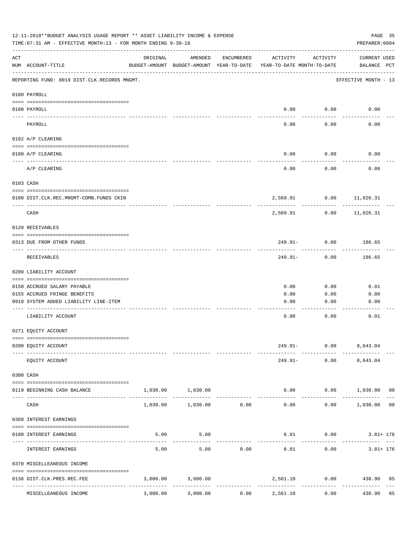| 12-11-2018**BUDGET ANALYSIS USAGE REPORT ** ASSET LIABILITY INCOME & EXPENSE<br>TIME: 07:31 AM - EFFECTIVE MONTH: 13 - FOR MONTH ENDING 9-30-18<br>PREPARER: 0004 |                                                                                      |          |                                                     |            |                                        |                                       |                                    |    |  |
|-------------------------------------------------------------------------------------------------------------------------------------------------------------------|--------------------------------------------------------------------------------------|----------|-----------------------------------------------------|------------|----------------------------------------|---------------------------------------|------------------------------------|----|--|
| ACT                                                                                                                                                               | NUM ACCOUNT-TITLE                                                                    | ORIGINAL | AMENDED<br>BUDGET-AMOUNT BUDGET-AMOUNT YEAR-TO-DATE | ENCUMBERED | ACTIVITY<br>YEAR-TO-DATE MONTH-TO-DATE | ACTIVITY                              | CURRENT USED<br>BALANCE PCT        |    |  |
|                                                                                                                                                                   | REPORTING FUND: 0019 DIST.CLK.RECORDS MNGMT.                                         |          |                                                     |            |                                        |                                       | EFFECTIVE MONTH - 13               |    |  |
|                                                                                                                                                                   | 0100 PAYROLL                                                                         |          |                                                     |            |                                        |                                       |                                    |    |  |
|                                                                                                                                                                   | 0100 PAYROLL<br>---- -------                                                         |          |                                                     |            | 0.00                                   | 0.00                                  | 0.00                               |    |  |
|                                                                                                                                                                   | PAYROLL                                                                              |          |                                                     |            | 0.00                                   | 0.00                                  | 0.00                               |    |  |
|                                                                                                                                                                   | 0102 A/P CLEARING                                                                    |          |                                                     |            |                                        |                                       |                                    |    |  |
|                                                                                                                                                                   | 0100 A/P CLEARING                                                                    |          |                                                     |            | 0.00                                   | 0.00                                  | 0.00                               |    |  |
|                                                                                                                                                                   | A/P CLEARING                                                                         |          |                                                     |            | 0.00                                   | 0.00                                  | 0.00                               |    |  |
|                                                                                                                                                                   | 0103 CASH                                                                            |          |                                                     |            |                                        |                                       |                                    |    |  |
|                                                                                                                                                                   | 0100 DIST.CLK.REC.MNGMT-COMB.FUNDS CKIN                                              |          |                                                     |            |                                        | 2,569.91 0.00 11,026.31               |                                    |    |  |
|                                                                                                                                                                   | CASH                                                                                 |          |                                                     |            | 2,569.91                               | 0.00                                  | ---------<br>11,026.31             |    |  |
|                                                                                                                                                                   | 0120 RECEIVABLES                                                                     |          |                                                     |            |                                        |                                       |                                    |    |  |
|                                                                                                                                                                   | 0313 DUE FROM OTHER FUNDS                                                            |          |                                                     |            |                                        | $249.91 - 0.00$                       | 186.65                             |    |  |
|                                                                                                                                                                   | RECEIVABLES                                                                          |          |                                                     |            | 249.91-                                | ---------<br>0.00                     | ---------<br>186.65                |    |  |
|                                                                                                                                                                   | 0200 LIABILITY ACCOUNT                                                               |          |                                                     |            |                                        |                                       |                                    |    |  |
|                                                                                                                                                                   | 0150 ACCRUED SALARY PAYABLE                                                          |          |                                                     |            | 0.00                                   | 0.00                                  | 0.01                               |    |  |
|                                                                                                                                                                   | 0155 ACCRUED FRINGE BENEFITS                                                         |          |                                                     |            | 0.00                                   | 0.00                                  | 0.00                               |    |  |
|                                                                                                                                                                   | 0910 SYSTEM ADDED LIABILITY LINE-ITEM                                                |          |                                                     |            | 0.00                                   | 0.00                                  | 0.00                               |    |  |
|                                                                                                                                                                   | LIABILITY ACCOUNT                                                                    |          |                                                     |            | 0.00                                   | 0.00                                  | 0.01                               |    |  |
|                                                                                                                                                                   | 0271 EQUITY ACCOUNT                                                                  |          |                                                     |            |                                        |                                       |                                    |    |  |
|                                                                                                                                                                   | 0200 EQUITY ACCOUNT                                                                  |          |                                                     |            |                                        | 249.91- 0.00 8,643.04                 |                                    |    |  |
|                                                                                                                                                                   | EQUITY ACCOUNT                                                                       |          |                                                     |            |                                        | ------------<br>249.91- 0.00 8,643.04 |                                    |    |  |
|                                                                                                                                                                   | 0300 CASH                                                                            |          |                                                     |            |                                        |                                       |                                    |    |  |
|                                                                                                                                                                   | 0119 BEGINNING CASH BALANCE                                                          |          | 1,030.00 1,030.00                                   |            |                                        |                                       | $0.00$ $0.00$ $1,030.00$ 00        |    |  |
|                                                                                                                                                                   | CASH                                                                                 |          | _____________<br>1,030.00 1,030.00 0.00             |            | .<br>0.00                              | ----------                            | ------------<br>$0.00$ 1,030.00 00 |    |  |
|                                                                                                                                                                   | 0360 INTEREST EARNINGS                                                               |          |                                                     |            |                                        |                                       |                                    |    |  |
|                                                                                                                                                                   | 0100 INTEREST EARNINGS                                                               |          | 5.00 5.00                                           |            |                                        |                                       | 8.81 0.00 3.81+ 176                |    |  |
|                                                                                                                                                                   | INTEREST EARNINGS                                                                    | 5.00     | 5.00                                                | 0.00       | 8.81                                   | 0.00                                  | $3.81 + 176$                       |    |  |
|                                                                                                                                                                   | 0370 MISCELLEANEOUS INCOME                                                           |          |                                                     |            |                                        |                                       |                                    |    |  |
|                                                                                                                                                                   |                                                                                      |          |                                                     |            |                                        |                                       |                                    |    |  |
|                                                                                                                                                                   | 0136 DIST.CLK.PRES.REC.FEE<br>----------------- --------------<br>------------------ |          | 3,000.00 3,000.00                                   |            | -----------------------------          | -------------                         | 2,561.10 0.00 438.90               | 85 |  |
|                                                                                                                                                                   | MISCELLEANEOUS INCOME                                                                | 3,000.00 | 3,000.00                                            | 0.00       | 2,561.10                               | 0.00                                  | 438.90                             | 85 |  |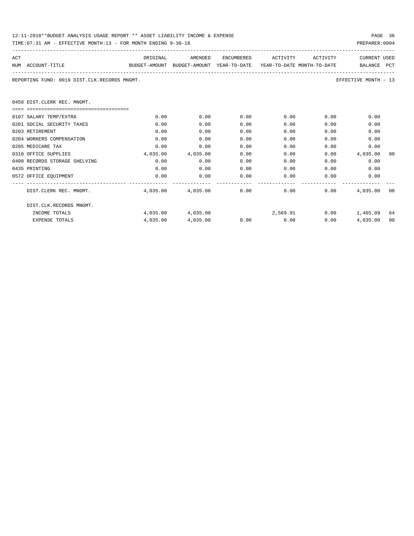| 12-11-2018**BUDGET ANALYSIS USAGE REPORT ** ASSET LIABILITY INCOME & EXPENSE | PAGE 36        |
|------------------------------------------------------------------------------|----------------|
| TIME: 07:31 AM - EFFECTIVE MONTH: 13 - FOR MONTH ENDING 9-30-18              | PREPARER: 0004 |

| ACT |                                              | ORIGINAL                                                            | AMENDED           |      | ENCUMBERED ACTIVITY ACTIVITY        |      | <b>CURRENT USED</b>  |    |
|-----|----------------------------------------------|---------------------------------------------------------------------|-------------------|------|-------------------------------------|------|----------------------|----|
|     | NUM ACCOUNT-TITLE                            | BUDGET-AMOUNT BUDGET-AMOUNT YEAR-TO-DATE YEAR-TO-DATE MONTH-TO-DATE |                   |      |                                     |      | BALANCE PCT          |    |
|     | REPORTING FUND: 0019 DIST.CLK.RECORDS MNGMT. |                                                                     |                   |      |                                     |      | EFFECTIVE MONTH - 13 |    |
|     | 0450 DIST.CLERK REC. MNGMT.                  |                                                                     |                   |      |                                     |      |                      |    |
|     | ======================================       |                                                                     |                   |      |                                     |      |                      |    |
|     | 0107 SALARY TEMP/EXTRA                       | 0.00                                                                | 0.00              | 0.00 | 0.00                                | 0.00 | 0.00                 |    |
|     | 0201 SOCIAL SECURITY TAXES                   | 0.00                                                                | 0.00              | 0.00 | 0.00                                | 0.00 | 0.00                 |    |
|     | 0203 RETIREMENT                              | 0.00                                                                | 0.00              | 0.00 | 0.00                                | 0.00 | 0.00                 |    |
|     | 0204 WORKERS COMPENSATION                    | 0.00                                                                | 0.00              | 0.00 | 0.00                                | 0.00 | 0.00                 |    |
|     | 0205 MEDICARE TAX                            | 0.00                                                                | 0.00              | 0.00 | 0.00                                | 0.00 | 0.00                 |    |
|     | 0310 OFFICE SUPPLIES                         | 4,035.00                                                            | 4,035.00          | 0.00 | 0.00                                | 0.00 | 4,035.00             | 00 |
|     | 0400 RECORDS STORAGE SHELVING                | 0.00                                                                | 0.00              | 0.00 | 0.00                                | 0.00 | 0.00                 |    |
|     | 0435 PRINTING                                | 0.00                                                                | 0.00              | 0.00 | 0.00                                | 0.00 | 0.00                 |    |
|     | 0572 OFFICE EQUIPMENT                        | 0.00                                                                | 0.00              | 0.00 | 0.00                                | 0.00 | 0.00                 |    |
|     | DIST.CLERK REC. MNGMT.                       |                                                                     |                   |      | $4,035.00$ $4,035.00$ $0.00$ $0.00$ | 0.00 | 4,035.00 00          |    |
|     | DIST.CLK.RECORDS MNGMT.                      |                                                                     |                   |      |                                     |      |                      |    |
|     | INCOME TOTALS                                |                                                                     | 4,035,00 4,035,00 |      | 2,569.91 0.00 1,465.09 64           |      |                      |    |
|     | <b>EXPENSE TOTALS</b>                        | 4,035.00                                                            | 4,035.00          | 0.00 | 0.00                                | 0.00 | 4,035.00             | 00 |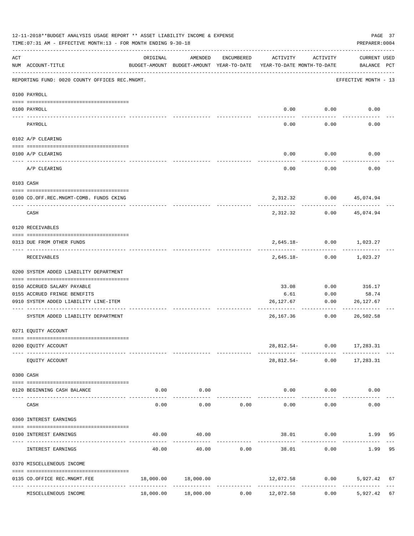|          | 12-11-2018**BUDGET ANALYSIS USAGE REPORT ** ASSET LIABILITY INCOME & EXPENSE<br>PAGE 37<br>TIME: 07:31 AM - EFFECTIVE MONTH: 13 - FOR MONTH ENDING 9-30-18<br>PREPARER: 0004 |          |                                                                                |            |                        |                   |                                                                     |    |  |  |  |  |
|----------|------------------------------------------------------------------------------------------------------------------------------------------------------------------------------|----------|--------------------------------------------------------------------------------|------------|------------------------|-------------------|---------------------------------------------------------------------|----|--|--|--|--|
| ACT      | NUM ACCOUNT-TITLE                                                                                                                                                            | ORIGINAL | AMENDED<br>BUDGET-AMOUNT BUDGET-AMOUNT YEAR-TO-DATE YEAR-TO-DATE MONTH-TO-DATE | ENCUMBERED | ACTIVITY               | ACTIVITY          | CURRENT USED<br>BALANCE PCT                                         |    |  |  |  |  |
|          | REPORTING FUND: 0020 COUNTY OFFICES REC.MNGMT.                                                                                                                               |          |                                                                                |            |                        |                   | EFFECTIVE MONTH - 13                                                |    |  |  |  |  |
|          | 0100 PAYROLL                                                                                                                                                                 |          |                                                                                |            |                        |                   |                                                                     |    |  |  |  |  |
|          | 0100 PAYROLL                                                                                                                                                                 |          |                                                                                |            |                        | $0.00$ $0.00$     | 0.00                                                                |    |  |  |  |  |
|          | -------------------------- -----------<br>---- ----<br>PAYROLL                                                                                                               |          |                                                                                |            | 0.00                   | 0.00              | 0.00                                                                |    |  |  |  |  |
|          | 0102 A/P CLEARING                                                                                                                                                            |          |                                                                                |            |                        |                   |                                                                     |    |  |  |  |  |
|          | 0100 A/P CLEARING                                                                                                                                                            |          |                                                                                |            | 0.00                   | 0.00              | 0.00                                                                |    |  |  |  |  |
|          | -------------------------------------<br>A/P CLEARING                                                                                                                        |          |                                                                                |            | 0.00                   | 0.00              | 0.00                                                                |    |  |  |  |  |
|          | 0103 CASH                                                                                                                                                                    |          |                                                                                |            |                        |                   |                                                                     |    |  |  |  |  |
|          | 0100 CO.OFF.REC.MNGMT-COMB. FUNDS CKING                                                                                                                                      |          |                                                                                |            |                        |                   | 2,312.32 0.00 45,074.94                                             |    |  |  |  |  |
|          | CASH                                                                                                                                                                         |          |                                                                                |            | 2,312.32               | 0.00              | 45,074.94                                                           |    |  |  |  |  |
|          | 0120 RECEIVABLES                                                                                                                                                             |          |                                                                                |            |                        |                   |                                                                     |    |  |  |  |  |
|          | 0313 DUE FROM OTHER FUNDS                                                                                                                                                    |          |                                                                                |            |                        |                   | 2,645.18- 0.00 1,023.27                                             |    |  |  |  |  |
|          | RECEIVABLES                                                                                                                                                                  |          |                                                                                |            |                        | $2,645.18 - 0.00$ | 1,023.27                                                            |    |  |  |  |  |
|          | 0200 SYSTEM ADDED LIABILITY DEPARTMENT                                                                                                                                       |          |                                                                                |            |                        |                   |                                                                     |    |  |  |  |  |
|          | 0150 ACCRUED SALARY PAYABLE                                                                                                                                                  |          |                                                                                |            | 33.08                  | 0.00              | 316.17                                                              |    |  |  |  |  |
|          | 0155 ACCRUED FRINGE BENEFITS                                                                                                                                                 |          |                                                                                |            | 6.61                   | 0.00              | 58.74                                                               |    |  |  |  |  |
|          | 0910 SYSTEM ADDED LIABILITY LINE-ITEM                                                                                                                                        |          |                                                                                |            | 26,127.67              | 0.00              | 26,127.67                                                           |    |  |  |  |  |
|          | SYSTEM ADDED LIABILITY DEPARTMENT                                                                                                                                            |          |                                                                                |            | 26,167.36              | 0.00              | 26,502.58                                                           |    |  |  |  |  |
|          | 0271 EQUITY ACCOUNT                                                                                                                                                          |          |                                                                                |            |                        |                   |                                                                     |    |  |  |  |  |
|          | 0200 EQUITY ACCOUNT                                                                                                                                                          |          |                                                                                |            |                        |                   | 28,812.54- 0.00 17,283.31                                           |    |  |  |  |  |
|          | EQUITY ACCOUNT                                                                                                                                                               |          |                                                                                |            |                        |                   | ---------- ------------ --------------<br>28,812.54- 0.00 17,283.31 |    |  |  |  |  |
|          | 0300 CASH                                                                                                                                                                    |          |                                                                                |            |                        |                   |                                                                     |    |  |  |  |  |
| ---- --- | 0120 BEGINNING CASH BALANCE                                                                                                                                                  | 0.00     | 0.00<br>-----------                                                            |            |                        | 0.00<br>0.00      | 0.00                                                                |    |  |  |  |  |
|          | CASH                                                                                                                                                                         | 0.00     | 0.00                                                                           | 0.00       | 0.00                   | 0.00              | 0.00                                                                |    |  |  |  |  |
|          | 0360 INTEREST EARNINGS                                                                                                                                                       |          |                                                                                |            |                        |                   |                                                                     |    |  |  |  |  |
|          | 0100 INTEREST EARNINGS                                                                                                                                                       | 40.00    | 40.00                                                                          |            |                        | 38.01 0.00        | 1.99                                                                | 95 |  |  |  |  |
|          | INTEREST EARNINGS                                                                                                                                                            | 40.00    | 40.00                                                                          | 0.00       | -------------<br>38.01 | 0.00              | 1.99                                                                | 95 |  |  |  |  |
|          | 0370 MISCELLENEOUS INCOME                                                                                                                                                    |          |                                                                                |            |                        |                   |                                                                     |    |  |  |  |  |
|          | 0135 CO.OFFICE REC.MNGMT.FEE                                                                                                                                                 |          | 18,000.00 18,000.00                                                            |            |                        |                   | 12,072.58 0.00 5,927.42 67                                          |    |  |  |  |  |
|          | MISCELLENEOUS INCOME                                                                                                                                                         |          | $18,000.00$ $18,000.00$ $0.00$ $12,072.58$                                     |            |                        |                   | ------------- -<br>$0.00$ 5,927.42 67                               |    |  |  |  |  |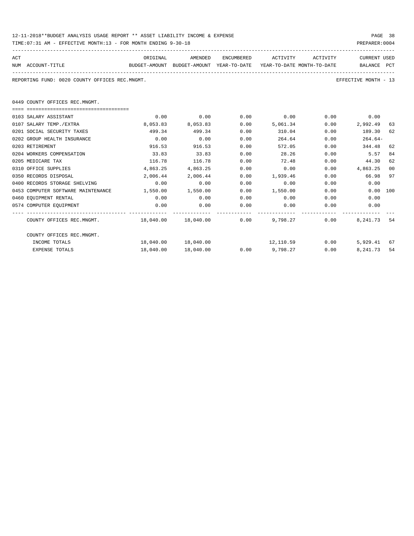| 12-11-2018**BUDGET ANALYSIS USAGE REPORT ** ASSET LIABILITY INCOME & EXPENSE | PAGE 38        |
|------------------------------------------------------------------------------|----------------|
| TIME: 07:31 AM - EFFECTIVE MONTH: 13 - FOR MONTH ENDING 9-30-18              | PREPARER: 0004 |

| ACT                                                                                      | ORIGINAL  | AMENDED                |      | ENCUMBERED ACTIVITY ACTIVITY |      | <b>CURRENT USED</b>  |     |
|------------------------------------------------------------------------------------------|-----------|------------------------|------|------------------------------|------|----------------------|-----|
| NUM ACCOUNT-TITLE<br>BUDGET-AMOUNT BUDGET-AMOUNT YEAR-TO-DATE YEAR-TO-DATE_MONTH-TO-DATE |           |                        |      |                              |      | BALANCE PCT          |     |
| REPORTING FUND: 0020 COUNTY OFFICES REC.MNGMT.                                           |           |                        |      |                              |      | EFFECTIVE MONTH - 13 |     |
| 0449 COUNTY OFFICES REC.MNGMT.                                                           |           |                        |      |                              |      |                      |     |
| 0103 SALARY ASSISTANT                                                                    | 0.00      | 0.00                   | 0.00 | 0.00                         |      | $0.00$ 0.00          |     |
| 0107 SALARY TEMP./EXTRA                                                                  | 8,053.83  | 8,053.83               | 0.00 | 5,061.34                     |      | 0.00<br>2,992.49     | 63  |
| 0201 SOCIAL SECURITY TAXES                                                               | 499.34    | 499.34                 | 0.00 | 310.04                       | 0.00 | 189.30               | 62  |
| 0202 GROUP HEALTH INSURANCE                                                              | 0.00      | 0.00                   | 0.00 | 264.64                       | 0.00 | $264.64-$            |     |
| 0203 RETIREMENT                                                                          | 916.53    | 916.53                 | 0.00 | 572.05                       | 0.00 | 344.48               | 62  |
| 0204 WORKERS COMPENSATION                                                                | 33.83     | 33.83                  | 0.00 | 28.26                        | 0.00 | 5.57                 | 84  |
| 0205 MEDICARE TAX                                                                        | 116.78    | 116.78                 | 0.00 | 72.48                        | 0.00 | 44.30                | 62  |
| 0310 OFFICE SUPPLIES                                                                     | 4,863.25  | 4,863.25               | 0.00 | 0.00                         |      | 0.00<br>4,863.25     | 00  |
| 0350 RECORDS DISPOSAL                                                                    |           | 2,006.44 2,006.44      | 0.00 | 1,939.46                     |      | $0.00$ 66.98         | 97  |
| 0400 RECORDS STORAGE SHELVING                                                            | 0.00      | 0.00                   | 0.00 | 0.00                         | 0.00 | 0.00                 |     |
| 0453 COMPUTER SOFTWARE MAINTENANCE 1,550.00 1,550.00                                     |           |                        | 0.00 | 1,550.00                     | 0.00 | 0.00                 | 100 |
| 0460 EQUIPMENT RENTAL                                                                    | 0.00      | 0.00                   | 0.00 | 0.00                         |      | 0.00<br>0.00         |     |
| 0574 COMPUTER EQUIPMENT                                                                  | 0.00      | 0.00                   | 0.00 | 0.00                         | 0.00 | 0.00                 |     |
| COUNTY OFFICES REC.MNGMT. 48,040.00 18,040.00 0.00 9,798.27                              |           |                        |      |                              |      | 0.00<br>8,241.73     | 54  |
| COUNTY OFFICES REC.MNGMT.                                                                |           |                        |      |                              |      |                      |     |
| INCOME TOTALS                                                                            |           | 18,040.00    18,040.00 |      | 12,110.59 0.00               |      | 5,929.41 67          |     |
| <b>EXPENSE TOTALS</b>                                                                    | 18,040.00 | 18,040.00              |      | $0.00$ 9,798.27              |      | 8,241.73<br>0.00     | 54  |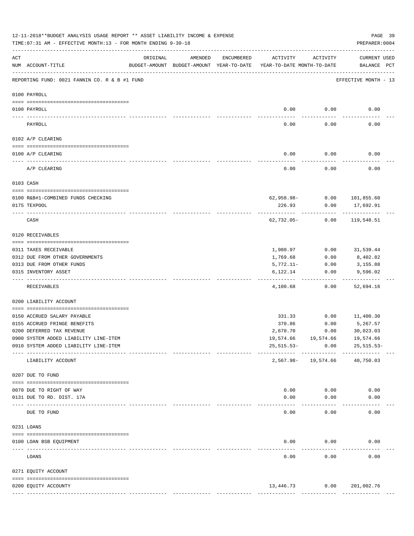|          | 12-11-2018**BUDGET ANALYSIS USAGE REPORT ** ASSET LIABILITY INCOME & EXPENSE<br>PAGE 39<br>TIME:07:31 AM - EFFECTIVE MONTH:13 - FOR MONTH ENDING 9-30-18<br>PREPARER: 0004 |                         |                                                     |            |                                        |                                       |                                    |  |  |  |  |
|----------|----------------------------------------------------------------------------------------------------------------------------------------------------------------------------|-------------------------|-----------------------------------------------------|------------|----------------------------------------|---------------------------------------|------------------------------------|--|--|--|--|
| ACT      | NUM ACCOUNT-TITLE                                                                                                                                                          | ORIGINAL                | AMENDED<br>BUDGET-AMOUNT BUDGET-AMOUNT YEAR-TO-DATE | ENCUMBERED | ACTIVITY<br>YEAR-TO-DATE MONTH-TO-DATE | ACTIVITY                              | <b>CURRENT USED</b><br>BALANCE PCT |  |  |  |  |
|          | REPORTING FUND: 0021 FANNIN CO. R & B #1 FUND                                                                                                                              |                         |                                                     |            |                                        |                                       | EFFECTIVE MONTH - 13               |  |  |  |  |
|          | 0100 PAYROLL                                                                                                                                                               |                         |                                                     |            |                                        |                                       |                                    |  |  |  |  |
| ---- --- | 0100 PAYROLL                                                                                                                                                               |                         |                                                     |            | 0.00                                   | 0.00                                  | 0.00                               |  |  |  |  |
|          | PAYROLL                                                                                                                                                                    |                         |                                                     |            | 0.00                                   | 0.00                                  | 0.00                               |  |  |  |  |
|          | 0102 A/P CLEARING                                                                                                                                                          |                         |                                                     |            |                                        |                                       |                                    |  |  |  |  |
|          | 0100 A/P CLEARING                                                                                                                                                          |                         |                                                     |            | 0.00                                   | 0.00                                  | 0.00                               |  |  |  |  |
|          | A/P CLEARING                                                                                                                                                               |                         |                                                     |            | 0.00                                   | 0.00                                  | 0.00                               |  |  |  |  |
|          | 0103 CASH                                                                                                                                                                  |                         |                                                     |            |                                        |                                       |                                    |  |  |  |  |
|          | 0100 R&B#1-COMBINED FUNDS CHECKING                                                                                                                                         |                         |                                                     |            |                                        | 62,958.98- 0.00 101,855.60            |                                    |  |  |  |  |
|          | 0175 TEXPOOL                                                                                                                                                               |                         |                                                     |            | 226.93                                 | 0.00                                  | 17,692.91                          |  |  |  |  |
|          | CASH                                                                                                                                                                       |                         |                                                     |            | 62,732.05-                             | 0.00                                  | 119,548.51                         |  |  |  |  |
|          | 0120 RECEIVABLES                                                                                                                                                           |                         |                                                     |            |                                        |                                       |                                    |  |  |  |  |
|          |                                                                                                                                                                            |                         |                                                     |            |                                        |                                       |                                    |  |  |  |  |
|          | 0311 TAXES RECEIVABLE                                                                                                                                                      |                         |                                                     |            | 1,980.97                               | 0.00                                  | 31,539.44                          |  |  |  |  |
|          | 0312 DUE FROM OTHER GOVERNMENTS                                                                                                                                            |                         |                                                     |            | 1,769.68                               | 0.00                                  | 8,402.82                           |  |  |  |  |
|          | 0313 DUE FROM OTHER FUNDS<br>0315 INVENTORY ASSET                                                                                                                          |                         |                                                     |            | 5,772.11-<br>6,122.14                  | 0.00<br>0.00                          | 3,155.88<br>9,596.02               |  |  |  |  |
|          | RECEIVABLES                                                                                                                                                                |                         |                                                     |            | 4,100.68                               | 0.00                                  | 52,694.16                          |  |  |  |  |
|          | 0200 LIABILITY ACCOUNT                                                                                                                                                     |                         |                                                     |            |                                        |                                       |                                    |  |  |  |  |
|          |                                                                                                                                                                            |                         |                                                     |            |                                        |                                       |                                    |  |  |  |  |
|          | 0150 ACCRUED SALARY PAYABLE                                                                                                                                                |                         |                                                     |            | 331.33                                 | 0.00                                  | 11,400.30                          |  |  |  |  |
|          | 0155 ACCRUED FRINGE BENEFITS                                                                                                                                               |                         |                                                     |            | 370.86                                 | 0.00                                  | 5,267.57                           |  |  |  |  |
|          | 0200 DEFERRED TAX REVENUE<br>0900 SYSTEM ADDED LIABILITY LINE-ITEM                                                                                                         |                         |                                                     |            | 2,670.70                               | 0.00<br>19,574.66 19,574.66 19,574.66 | 30,023.03                          |  |  |  |  |
|          | 0910 SYSTEM ADDED LIABILITY LINE-ITEM                                                                                                                                      |                         |                                                     |            | $25,515.53-$                           | 0.00                                  | 25,515.53-                         |  |  |  |  |
|          |                                                                                                                                                                            | --------- ------------- |                                                     |            |                                        | ------------                          |                                    |  |  |  |  |
|          | LIABILITY ACCOUNT                                                                                                                                                          |                         |                                                     |            | $2,567.98 -$                           | 19,574.66                             | 40,750.03                          |  |  |  |  |
|          | 0207 DUE TO FUND                                                                                                                                                           |                         |                                                     |            |                                        |                                       |                                    |  |  |  |  |
|          | 0070 DUE TO RIGHT OF WAY                                                                                                                                                   |                         |                                                     |            | 0.00                                   | 0.00                                  | 0.00                               |  |  |  |  |
|          | 0131 DUE TO RD. DIST. 17A                                                                                                                                                  |                         |                                                     |            | 0.00                                   | 0.00                                  | 0.00                               |  |  |  |  |
|          | ----------------------- -----------<br>DUE TO FUND                                                                                                                         |                         |                                                     |            | 0.00                                   | 0.00                                  | 0.00                               |  |  |  |  |
|          | 0231 LOANS                                                                                                                                                                 |                         |                                                     |            |                                        |                                       |                                    |  |  |  |  |
|          | 0100 LOAN BSB EQUIPMENT                                                                                                                                                    |                         |                                                     |            | 0.00                                   | 0.00                                  | 0.00                               |  |  |  |  |
|          | LOANS                                                                                                                                                                      |                         |                                                     |            | ---------<br>0.00                      | ---------<br>0.00                     | 0.00                               |  |  |  |  |
|          | 0271 EQUITY ACCOUNT                                                                                                                                                        |                         |                                                     |            |                                        |                                       |                                    |  |  |  |  |
|          |                                                                                                                                                                            |                         |                                                     |            |                                        |                                       |                                    |  |  |  |  |
|          | 0200 EQUITY ACCOUNTY                                                                                                                                                       |                         |                                                     |            | 13,446.73                              |                                       | 0.00 201,002.76                    |  |  |  |  |
|          |                                                                                                                                                                            |                         |                                                     |            |                                        |                                       |                                    |  |  |  |  |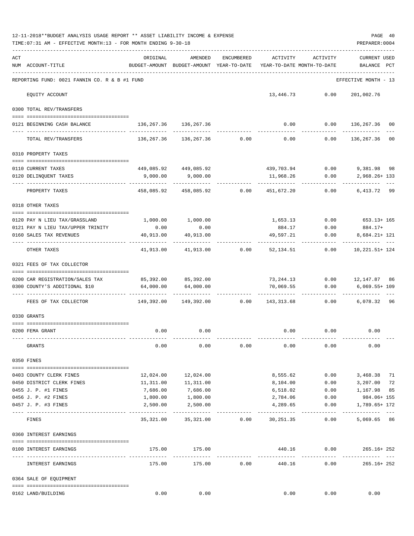|     | TIME: 07:31 AM - EFFECTIVE MONTH: 13 - FOR MONTH ENDING 9-30-18      |                                                                                 |                                                                                                                |            |                           |                                  | PREPARER: 0004                      |         |
|-----|----------------------------------------------------------------------|---------------------------------------------------------------------------------|----------------------------------------------------------------------------------------------------------------|------------|---------------------------|----------------------------------|-------------------------------------|---------|
| ACT | NUM ACCOUNT-TITLE                                                    | ORIGINAL<br>BUDGET-AMOUNT BUDGET-AMOUNT YEAR-TO-DATE YEAR-TO-DATE MONTH-TO-DATE | AMENDED                                                                                                        | ENCUMBERED |                           | ACTIVITY ACTIVITY                | CURRENT USED<br>BALANCE PCT         |         |
|     | REPORTING FUND: 0021 FANNIN CO. R & B #1 FUND                        |                                                                                 |                                                                                                                |            |                           |                                  | EFFECTIVE MONTH - 13                |         |
|     | EQUITY ACCOUNT                                                       |                                                                                 |                                                                                                                |            |                           | 13,446.73 0.00 201,002.76        |                                     |         |
|     | 0300 TOTAL REV/TRANSFERS                                             |                                                                                 |                                                                                                                |            |                           |                                  |                                     |         |
|     | 0121 BEGINNING CASH BALANCE                                          |                                                                                 | 136, 267. 36 136, 267. 36                                                                                      |            |                           | $0.00$ $0.00$ $136,267.36$       |                                     | 00      |
|     | TOTAL REV/TRANSFERS                                                  |                                                                                 | 136,267.36 136,267.36 0.00                                                                                     |            |                           | $0.00$ 0.00                      | 136,267.36 00                       |         |
|     | 0310 PROPERTY TAXES                                                  |                                                                                 |                                                                                                                |            |                           |                                  |                                     |         |
|     | 0110 CURRENT TAXES                                                   |                                                                                 | 449,085.92 449,085.92                                                                                          |            |                           | 439,703.94 0.00 9,381.98 98      |                                     |         |
|     | 0120 DELINQUENT TAXES                                                |                                                                                 | 9,000.00 9,000.00                                                                                              |            | 11,968.26                 | 0.00                             | 2,968.26+133                        |         |
|     | PROPERTY TAXES                                                       |                                                                                 | $458,085.92$ $458,085.92$ $0.00$ $451,672.20$ $0.00$                                                           |            |                           |                                  | 6,413.72 99                         |         |
|     | 0318 OTHER TAXES                                                     |                                                                                 |                                                                                                                |            |                           |                                  |                                     |         |
|     | 0120 PAY N LIEU TAX/GRASSLAND                                        |                                                                                 | 1,000.00 1,000.00                                                                                              |            |                           | 1,653.13 0.00 653.13+ 165        |                                     |         |
|     | 0121 PAY N LIEU TAX/UPPER TRINITY                                    | 0.00                                                                            | 0.00                                                                                                           |            |                           | 884.17 0.00 884.17+              |                                     |         |
|     | 0160 SALES TAX REVENUES                                              |                                                                                 | 40,913.00  40,913.00                                                                                           |            |                           | $49,597.21$ 0.00                 | 8,684.21+ 121                       |         |
|     | OTHER TAXES                                                          |                                                                                 | $41,913.00$ $41,913.00$ $0.00$ $52,134.51$ $0.00$ $10,221.51+124$                                              |            |                           |                                  |                                     |         |
|     | 0321 FEES OF TAX COLLECTOR<br>-------------------------------------- |                                                                                 |                                                                                                                |            |                           |                                  |                                     |         |
|     | 0200 CAR REGISTRATION/SALES TAX 85,392.00 85,392.00                  |                                                                                 |                                                                                                                |            |                           | 73, 244.13 0.00 12, 147.87 86    |                                     |         |
|     | 0300 COUNTY'S ADDITIONAL \$10                                        | $64,000.00$ $64,000.00$                                                         |                                                                                                                |            |                           | 70,069.55   0.00   6,069.55+ 109 | ____________                        | $- - -$ |
|     | FEES OF TAX COLLECTOR                                                |                                                                                 | 149,392.00 149,392.00             0.00            143,313.68            0.00            6,078.32            96 |            |                           |                                  |                                     |         |
|     | 0330 GRANTS                                                          |                                                                                 |                                                                                                                |            |                           |                                  |                                     |         |
|     | 0200 FEMA GRANT                                                      | 0.00                                                                            | 0.00                                                                                                           |            |                           | $0.00$ $0.00$ $0.00$ $0.00$      |                                     |         |
|     | GRANTS                                                               | 0.00                                                                            | 0.00                                                                                                           | 0.00       | 0.00                      | 0.00                             | 0.00                                |         |
|     | 0350 FINES                                                           |                                                                                 |                                                                                                                |            |                           |                                  |                                     |         |
|     | 0403 COUNTY CLERK FINES                                              |                                                                                 | 12,024.00    12,024.00                                                                                         |            | 8,555.62                  | 0.00                             | 3,468.38 71                         |         |
|     | 0450 DISTRICT CLERK FINES                                            | 11,311.00                                                                       | 11,311.00                                                                                                      |            | 8,104.00                  | 0.00                             | 3,207.00                            | 72      |
|     | 0455 J. P. #1 FINES                                                  | 7,686.00                                                                        | 7,686.00                                                                                                       |            | 6,518.02                  | 0.00                             | 1,167.98                            | 85      |
|     | 0456 J. P. #2 FINES                                                  |                                                                                 | 1,800.00 1,800.00                                                                                              |            | 2,784.06                  | 0.00                             | 984.06+ 155                         |         |
|     | 0457 J. P. #3 FINES                                                  | 2,500.00                                                                        | 2,500.00                                                                                                       |            | 4,289.65<br>------------- | 0.00<br>-------------            | 1,789.65+ 172<br>------------------ |         |
|     | FINES                                                                |                                                                                 | $35,321.00$ $35,321.00$ $0.00$ $30,251.35$ $0.00$                                                              |            |                           |                                  | 5,069.65 86                         |         |
|     | 0360 INTEREST EARNINGS                                               |                                                                                 |                                                                                                                |            |                           |                                  |                                     |         |
|     | 0100 INTEREST EARNINGS                                               |                                                                                 | 175.00 175.00                                                                                                  |            |                           | 440.16   0.00   265.16+ 252      |                                     |         |
|     | INTEREST EARNINGS                                                    |                                                                                 | 175.00 175.00 0.00                                                                                             |            |                           | 440.16   0.00   265.16+ 252      |                                     |         |
|     | 0364 SALE OF EQUIPMENT                                               |                                                                                 |                                                                                                                |            |                           |                                  |                                     |         |
|     | 0162 LAND/BUILDING                                                   | 0.00                                                                            | 0.00                                                                                                           |            |                           | $0.00$ 0.00                      | 0.00                                |         |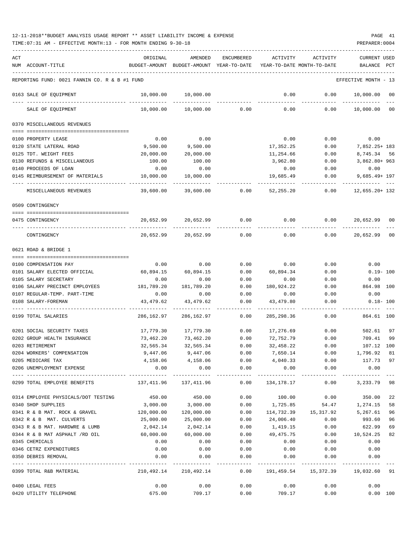| ACT |                                               | ORIGINAL      | AMENDED       | <b>ENCUMBERED</b>   | ACTIVITY                          | ACTIVITY             | <b>CURRENT USED</b>  |     |
|-----|-----------------------------------------------|---------------|---------------|---------------------|-----------------------------------|----------------------|----------------------|-----|
|     | NUM ACCOUNT-TITLE                             | BUDGET-AMOUNT | BUDGET-AMOUNT | YEAR-TO-DATE        | YEAR-TO-DATE MONTH-TO-DATE        |                      | BALANCE              | PCT |
|     |                                               |               |               |                     |                                   |                      |                      |     |
|     | REPORTING FUND: 0021 FANNIN CO. R & B #1 FUND |               |               |                     |                                   |                      | EFFECTIVE MONTH - 13 |     |
|     | 0163 SALE OF EQUIPMENT                        | 10,000.00     | 10,000.00     |                     | 0.00                              | 0.00                 | 10,000.00            | 00  |
|     | SALE OF EQUIPMENT                             | 10,000.00     | 10,000.00     | 0.00                | 0.00                              | 0.00                 | 10,000.00            | 00  |
|     | 0370 MISCELLANEOUS REVENUES                   |               |               |                     |                                   |                      |                      |     |
|     |                                               |               |               |                     |                                   |                      |                      |     |
|     | 0100 PROPERTY LEASE                           | 0.00          | 0.00          |                     | 0.00                              | 0.00                 | 0.00                 |     |
|     | 0120 STATE LATERAL ROAD                       | 9,500.00      | 9,500.00      |                     | 17,352.25                         | 0.00                 | 7,852.25+ 183        |     |
|     | 0125 TDT. WEIGHT FEES                         | 20,000.00     | 20,000.00     |                     | 11,254.66                         | 0.00                 | 8,745.34 56          |     |
|     | 0130 REFUNDS & MISCELLANEOUS                  | 100.00        | 100.00        |                     | 3,962.80                          | 0.00                 | 3,862.80+963         |     |
|     | 0140 PROCEEDS OF LOAN                         | 0.00          | 0.00          |                     | 0.00                              | 0.00                 | 0.00                 |     |
|     | 0145 REIMBURSEMENT OF MATERIALS               | 10,000.00     | 10,000.00     |                     | 19,685.49                         | 0.00                 | $9,685.49 + 197$     |     |
|     | MISCELLANEOUS REVENUES                        | 39,600.00     | 39,600.00     | 0.00                | 52, 255.20                        | 0.00                 | $12,655.20+132$      |     |
|     | 0509 CONTINGENCY                              |               |               |                     |                                   |                      |                      |     |
|     |                                               |               |               |                     |                                   |                      |                      |     |
|     | 0475 CONTINGENCY                              | 20,652.99     | 20,652.99     | 0.00                | 0.00                              | 0.00                 | 20,652.99            | 00  |
|     | CONTINGENCY                                   | 20,652.99     | 20,652.99     | 0.00                | 0.00                              | 0.00                 | 20,652.99            | 00  |
|     | 0621 ROAD & BRIDGE 1                          |               |               |                     |                                   |                      |                      |     |
|     |                                               |               |               |                     |                                   |                      |                      |     |
|     | 0100 COMPENSATION PAY                         | 0.00          | 0.00          | 0.00                | 0.00                              | 0.00                 | 0.00                 |     |
|     | 0101 SALARY ELECTED OFFICIAL                  | 60,894.15     | 60,894.15     | 0.00                | 60,894.34                         | 0.00                 | $0.19 - 100$         |     |
|     | 0105 SALARY SECRETARY                         | 0.00          | 0.00          | 0.00                | 0.00                              | 0.00                 | 0.00                 |     |
|     | 0106 SALARY PRECINCT EMPLOYEES                | 181,789.20    | 181,789.20    | 0.00                | 180,924.22                        | 0.00                 | 864.98               | 100 |
|     | 0107 REGULAR-TEMP. PART-TIME                  | 0.00          | 0.00          | 0.00                | 0.00                              | 0.00                 | 0.00                 |     |
|     | 0108 SALARY-FOREMAN                           | 43,479.62     | 43, 479.62    | 0.00                | 43,479.80                         | 0.00                 | $0.18 - 100$         |     |
|     | 0199 TOTAL SALARIES                           | 286,162.97    | 286,162.97    | 0.00                | 285, 298.36                       | 0.00                 | 864.61 100           |     |
|     | 0201 SOCIAL SECURITY TAXES                    | 17,779.30     | 17,779.30     | 0.00                | 17,276.69                         | 0.00                 | 502.61               | 97  |
|     | 0202 GROUP HEALTH INSURANCE                   | 73,462.20     | 73,462.20     | 0.00                | 72,752.79                         | 0.00                 | 709.41               | 99  |
|     | 0203 RETIREMENT                               | 32,565.34     | 32,565.34     | 0.00                | 32,458.22                         | 0.00                 | 107.12               | 100 |
|     | 0204 WORKERS' COMPENSATION                    | 9,447.06      | 9,447.06      | 0.00                | 7,650.14                          | 0.00                 | 1,796.92             | 81  |
|     | 0205 MEDICARE TAX                             | 4,158.06      | 4,158.06      | 0.00                | 4,040.33                          | 0.00                 | 117.73               | 97  |
|     | 0206 UNEMPLOYMENT EXPENSE                     | 0.00          | 0.00          | 0.00                | 0.00<br>------------ ------------ | 0.00                 | 0.00<br>----------   |     |
|     | 0299 TOTAL EMPLOYEE BENEFITS                  | 137,411.96    | 137,411.96    | 0.00                | 134,178.17                        | 0.00                 | 3,233.79             | 98  |
|     | 0314 EMPLOYEE PHYSICALS/DOT TESTING           | 450.00        | 450.00        | 0.00                | 100.00                            | 0.00                 | 350.00               | 22  |
|     | 0340 SHOP SUPPLIES                            | 3,000.00      | 3,000.00      | 0.00                | 1,725.85                          | 54.47                | 1,274.15             | 58  |
|     | 0341 R & B MAT. ROCK & GRAVEL                 | 120,000.00    | 120,000.00    | 0.00                |                                   | 114,732.39 15,317.92 | 5,267.61             | 96  |
|     | 0342 R & B MAT. CULVERTS                      | 25,000.00     | 25,000.00     | 0.00                | 24,006.40                         | 0.00                 | 993.60               | 96  |
|     | 0343 R & B MAT. HARDWRE & LUMB                | 2,042.14      | 2,042.14      | 0.00                | 1,419.15                          | 0.00                 | 622.99               | 69  |
|     | 0344 R & B MAT ASPHALT /RD OIL                | 60,000.00     | 60,000.00     | 0.00                | 49,475.75                         | 0.00                 | 10,524.25            | 82  |
|     | 0345 CHEMICALS                                | 0.00          | 0.00          | 0.00                | 0.00                              | 0.00                 | 0.00                 |     |
|     | 0346 CETRZ EXPENDITURES                       | 0.00          | 0.00          | 0.00                | 0.00                              | 0.00                 | 0.00                 |     |
|     | 0350 DEBRIS REMOVAL                           | 0.00          | 0.00          | 0.00                | 0.00                              | 0.00                 | 0.00                 |     |
|     | 0399 TOTAL R&B MATERIAL                       | 210,492.14    | 210,492.14    | -----------<br>0.00 | 191,459.54                        | 15,372.39            | 19,032.60 91         |     |
|     | 0400 LEGAL FEES                               | 0.00          | 0.00          | 0.00                | 0.00                              | 0.00                 | 0.00                 |     |
|     | 0420 UTILITY TELEPHONE                        | 675.00        | 709.17        | 0.00                | 709.17                            | 0.00                 | 0.00 100             |     |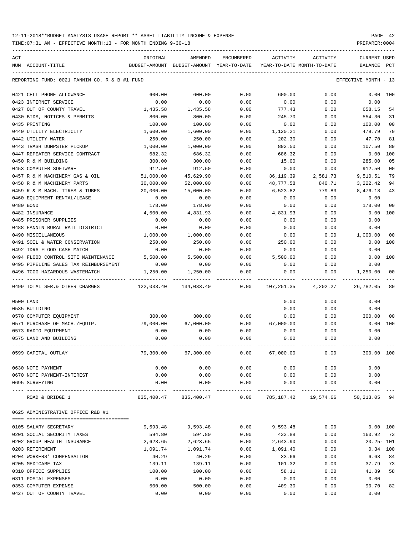TIME:07:31 AM - EFFECTIVE MONTH:13 - FOR MONTH ENDING 9-30-18 PREPARER:0004

| ACT |                                               | ORIGINAL      | AMENDED               | <b>ENCUMBERED</b>   | <b>ACTIVITY</b>            | ACTIVITY                             | <b>CURRENT USED</b>  |                |
|-----|-----------------------------------------------|---------------|-----------------------|---------------------|----------------------------|--------------------------------------|----------------------|----------------|
|     | NUM ACCOUNT-TITLE                             | BUDGET-AMOUNT | BUDGET-AMOUNT         | YEAR-TO-DATE        | YEAR-TO-DATE MONTH-TO-DATE |                                      | BALANCE              | PCT            |
|     | REPORTING FUND: 0021 FANNIN CO. R & B #1 FUND |               |                       |                     |                            |                                      | EFFECTIVE MONTH - 13 |                |
|     | 0421 CELL PHONE ALLOWANCE                     | 600.00        | 600.00                | 0.00                | 600.00                     | 0.00                                 | 0.00                 | 100            |
|     | 0423 INTERNET SERVICE                         | 0.00          | 0.00                  | 0.00                | 0.00                       | 0.00                                 | 0.00                 |                |
|     | 0427 OUT OF COUNTY TRAVEL                     | 1,435.58      | 1,435.58              | 0.00                | 777.43                     | 0.00                                 | 658.15               | 54             |
|     | 0430 BIDS, NOTICES & PERMITS                  | 800.00        | 800.00                | 0.00                | 245.70                     | 0.00                                 | 554.30               | 31             |
|     | 0435 PRINTING                                 | 100.00        | 100.00                | 0.00                | 0.00                       | 0.00                                 | 100.00               | 0 <sub>0</sub> |
|     | 0440 UTILITY ELECTRICITY                      | 1,600.00      | 1,600.00              | 0.00                | 1,120.21                   | 0.00                                 | 479.79               | 70             |
|     | 0442 UTILITY WATER                            | 250.00        | 250.00                | 0.00                | 202.30                     | 0.00                                 | 47.70                | 81             |
|     | 0443 TRASH DUMPSTER PICKUP                    | 1,000.00      | 1,000.00              | 0.00                | 892.50                     | 0.00                                 | 107.50               | 89             |
|     | 0447 REPEATER SERVICE CONTRACT                | 682.32        | 686.32                | 0.00                | 686.32                     | 0.00                                 | 0.00                 | 100            |
|     | 0450 R & M BUILDING                           | 300.00        | 300.00                | 0.00                | 15.00                      | 0.00                                 | 285.00               | 05             |
|     | 0453 COMPUTER SOFTWARE                        | 912.50        | 912.50                | 0.00                | 0.00                       | 0.00                                 | 912.50               | 0 <sub>0</sub> |
|     | 0457 R & M MACHINERY GAS & OIL                | 51,000.00     | 45,629.90             | 0.00                | 36, 119.39                 | 2,581.73                             | 9,510.51             | 79             |
|     | 0458 R & M MACHINERY PARTS                    | 30,000.00     | 52,000.00             | 0.00                | 48,777.58                  | 840.71                               | 3,222.42             | 94             |
|     | 0459 R & M MACH. TIRES & TUBES                | 20,000.00     | 15,000.00             | 0.00                | 6,523.82                   | 779.83                               | 8,476.18             | 43             |
|     | 0460 EQUIPMENT RENTAL/LEASE                   | 0.00          | 0.00                  | 0.00                | 0.00                       | 0.00                                 | 0.00                 |                |
|     | 0480 BOND                                     | 178.00        | 178.00                | 0.00                | 0.00                       | 0.00                                 | 178.00               | 0 <sub>0</sub> |
|     | 0482 INSURANCE                                | 4,500.00      | 4,831.93              | 0.00                | 4,831.93                   | 0.00                                 | 0.00                 | 100            |
|     | 0485 PRISONER SUPPLIES                        | 0.00          | 0.00                  | 0.00                | 0.00                       | 0.00                                 | 0.00                 |                |
|     | 0488 FANNIN RURAL RAIL DISTRICT               | 0.00          | 0.00                  | 0.00                | 0.00                       | 0.00                                 | 0.00                 |                |
|     | 0490 MISCELLANEOUS                            | 1,000.00      | 1,000.00              | 0.00                | 0.00                       | 0.00                                 | 1,000.00             | 00             |
|     | 0491 SOIL & WATER CONSERVATION                | 250.00        | 250.00                | 0.00                | 250.00                     | 0.00                                 | 0.00                 | 100            |
|     | 0492 TDRA FLOOD CASH MATCH                    | 0.00          | 0.00                  | 0.00                | 0.00                       | 0.00                                 | 0.00                 |                |
|     | 0494 FLOOD CONTROL SITE MAINTENANCE           | 5,500.00      | 5,500.00              | 0.00                | 5,500.00                   | 0.00                                 | 0.00                 | 100            |
|     | 0495 PIPELINE SALES TAX REIMBURSEMENT         | 0.00          | 0.00                  | 0.00                | 0.00                       | 0.00                                 | 0.00                 |                |
|     | 0496 TCOG HAZARDOUS WASTEMATCH                | 1,250.00      | 1,250.00              | 0.00                | 0.00                       | 0.00                                 | 1,250.00             | 0 <sub>0</sub> |
|     | 0499 TOTAL SER.& OTHER CHARGES                | 122,033.40    | 134,033.40            | 0.00                | 107,251.35                 | 4,202.27                             | 26,782.05            | 80             |
|     | 0500 LAND                                     |               |                       |                     | 0.00                       | 0.00                                 | 0.00                 |                |
|     | 0535 BUILDING                                 |               |                       |                     | 0.00                       | 0.00                                 | 0.00                 |                |
|     | 0570 COMPUTER EQUIPMENT                       | 300.00        | 300.00                | 0.00                | 0.00                       | 0.00                                 | 300.00               | 00             |
|     | 0571 PURCHASE OF MACH./EQUIP.                 | 79,000.00     | 67,000.00             | 0.00                | 67,000.00                  | 0.00                                 | 0.00                 | 100            |
|     | 0573 RADIO EQUIPMENT                          | 0.00          | 0.00                  | 0.00                | 0.00                       | 0.00                                 | 0.00                 |                |
|     | 0575 LAND AND BUILDING                        | 0.00          | 0.00                  | 0.00                | 0.00                       | 0.00                                 | 0.00                 |                |
|     | 0599 CAPITAL OUTLAY                           | 79,300.00     | 67,300.00             | 0.00                | 67,000.00                  | 0.00                                 | 300.00 100           |                |
|     | 0630 NOTE PAYMENT                             | 0.00          | 0.00                  | 0.00                | 0.00                       | 0.00                                 | 0.00                 |                |
|     | 0670 NOTE PAYMENT-INTEREST                    | 0.00          | 0.00                  | 0.00                | 0.00                       | 0.00                                 | 0.00                 |                |
|     | 0695 SURVEYING                                | 0.00          | 0.00                  | 0.00                | 0.00                       | 0.00                                 | 0.00                 |                |
|     | ROAD & BRIDGE 1                               |               | 835,400.47 835,400.47 | -----------<br>0.00 |                            | ------------<br>785,187.42 19,574.66 | 50,213.05            | 94             |
|     | 0625 ADMINISTRATIVE OFFICE R&B #1             |               |                       |                     |                            |                                      |                      |                |
|     |                                               |               |                       |                     |                            |                                      |                      |                |
|     | 0105 SALARY SECRETARY                         | 9,593.48      | 9,593.48              | 0.00                | 9,593.48                   | 0.00                                 | 0.00 100             |                |
|     | 0201 SOCIAL SECURITY TAXES                    | 594.80        | 594.80                | 0.00                | 433.88                     | 0.00                                 | 160.92               | 73             |
|     | 0202 GROUP HEALTH INSURANCE                   | 2,623.65      | 2,623.65              | 0.00                | 2,643.90                   | 0.00                                 | $20.25 - 101$        |                |
|     | 0203 RETIREMENT                               | 1,091.74      | 1,091.74              | 0.00                | 1,091.40                   | 0.00                                 | $0.34$ 100           |                |
|     | 0204 WORKERS' COMPENSATION                    | 40.29         | 40.29                 | 0.00                | 33.66                      | 0.00                                 | 6.63                 | 84             |
|     | 0205 MEDICARE TAX                             | 139.11        | 139.11                | 0.00                | 101.32                     | 0.00                                 | 37.79                | 73             |
|     | 0310 OFFICE SUPPLIES                          | 100.00        | 100.00                | 0.00                | 58.11                      | 0.00                                 | 41.89                | 58             |
|     | 0311 POSTAL EXPENSES                          | 0.00          | 0.00                  | 0.00                | 0.00                       | 0.00                                 | 0.00                 |                |
|     | 0353 COMPUTER EXPENSE                         | 500.00        | 500.00                | 0.00                | 409.30                     | 0.00                                 | 90.70                | 82             |

0427 OUT OF COUNTY TRAVEL 0.00 0.00 0.00 0.00 0.00 0.00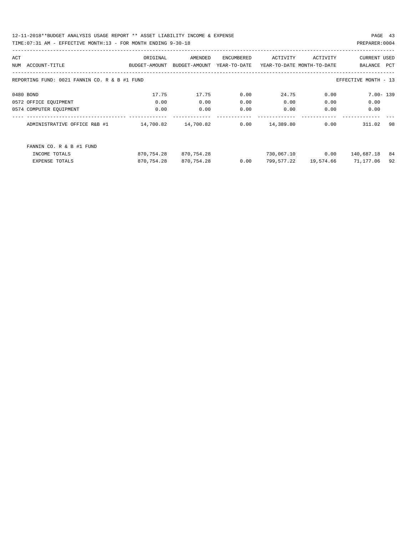12-11-2018\*\*BUDGET ANALYSIS USAGE REPORT \*\* ASSET LIABILITY INCOME & EXPENSE PAGE 43 TIME:07:31 AM - EFFECTIVE MONTH:13 - FOR MONTH ENDING 9-30-18 PREPARER:0004

| ACT |                                                                       | ORIGINAL      | AMENDED       | ENCUMBERED   | ACTIVITY                   | ACTIVITY  | <b>CURRENT USED</b> |     |  |
|-----|-----------------------------------------------------------------------|---------------|---------------|--------------|----------------------------|-----------|---------------------|-----|--|
| NUM | ACCOUNT-TITLE                                                         | BUDGET-AMOUNT | BUDGET-AMOUNT | YEAR-TO-DATE | YEAR-TO-DATE MONTH-TO-DATE |           | BALANCE             | PCT |  |
|     |                                                                       |               |               |              |                            |           |                     |     |  |
|     | REPORTING FUND: 0021 FANNIN CO. R & B #1 FUND<br>EFFECTIVE MONTH - 13 |               |               |              |                            |           |                     |     |  |
|     |                                                                       |               |               |              |                            |           |                     |     |  |
|     | 0480 BOND                                                             | 17.75         | 17.75         | 0.00         | 24.75                      | 0.00      | $7.00 - 139$        |     |  |
|     | 0572 OFFICE EQUIPMENT                                                 | 0.00          | 0.00          | 0.00         | 0.00                       | 0.00      | 0.00                |     |  |
|     | 0574 COMPUTER EQUIPMENT                                               | 0.00          | 0.00          | 0.00         | 0.00                       | 0.00      | 0.00                |     |  |
|     |                                                                       |               |               |              |                            |           |                     |     |  |
|     | ADMINISTRATIVE OFFICE R&B #1                                          | 14,700.82     | 14,700.82     | 0.00         | 14,389.80                  | 0.00      | 311.02              | 98  |  |
|     |                                                                       |               |               |              |                            |           |                     |     |  |
|     |                                                                       |               |               |              |                            |           |                     |     |  |
|     | FANNIN CO. R & B #1 FUND                                              |               |               |              |                            |           |                     |     |  |
|     | INCOME TOTALS                                                         | 870,754.28    | 870,754.28    |              | 730,067.10                 | 0.00      | 140,687.18          | 84  |  |
|     | <b>EXPENSE TOTALS</b>                                                 | 870,754.28    | 870,754.28    | 0.00         | 799,577.22                 | 19,574.66 | 71,177.06           | 92  |  |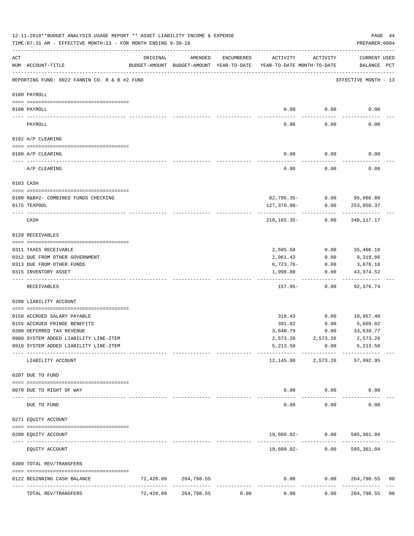|          | 12-11-2018**BUDGET ANALYSIS USAGE REPORT ** ASSET LIABILITY INCOME & EXPENSE<br>PAGE 44<br>TIME: 07:31 AM - EFFECTIVE MONTH: 13 - FOR MONTH ENDING 9-30-18<br>PREPARER: 0004 |           |                             |            |                                                                                 |                                      |                                    |                |  |  |  |  |
|----------|------------------------------------------------------------------------------------------------------------------------------------------------------------------------------|-----------|-----------------------------|------------|---------------------------------------------------------------------------------|--------------------------------------|------------------------------------|----------------|--|--|--|--|
| ACT      | NUM ACCOUNT-TITLE                                                                                                                                                            | ORIGINAL  | AMENDED                     | ENCUMBERED | ACTIVITY<br>BUDGET-AMOUNT BUDGET-AMOUNT YEAR-TO-DATE YEAR-TO-DATE MONTH-TO-DATE | ACTIVITY                             | CURRENT USED<br>BALANCE PCT        |                |  |  |  |  |
|          | REPORTING FUND: 0022 FANNIN CO. R & B #2 FUND                                                                                                                                |           |                             |            |                                                                                 |                                      | EFFECTIVE MONTH - 13               |                |  |  |  |  |
|          | 0100 PAYROLL                                                                                                                                                                 |           |                             |            |                                                                                 |                                      |                                    |                |  |  |  |  |
|          | 0100 PAYROLL                                                                                                                                                                 |           |                             |            |                                                                                 | $0.00$ 0.00                          | 0.00                               |                |  |  |  |  |
| -------- | PAYROLL                                                                                                                                                                      |           |                             |            | 0.00                                                                            | 0.00                                 | 0.00                               |                |  |  |  |  |
|          | 0102 A/P CLEARING                                                                                                                                                            |           |                             |            |                                                                                 |                                      |                                    |                |  |  |  |  |
|          | 0100 A/P CLEARING                                                                                                                                                            |           |                             |            | 0.00                                                                            | 0.00                                 | 0.00                               |                |  |  |  |  |
|          | A/P CLEARING                                                                                                                                                                 |           |                             |            | 0.00                                                                            | 0.00                                 | 0.00                               |                |  |  |  |  |
|          | 0103 CASH                                                                                                                                                                    |           |                             |            |                                                                                 |                                      |                                    |                |  |  |  |  |
|          |                                                                                                                                                                              |           |                             |            |                                                                                 |                                      |                                    |                |  |  |  |  |
|          | 0100 R&B#2- COMBINED FUNDS CHECKING<br>0175 TEXPOOL                                                                                                                          |           |                             |            | 127,370.00-                                                                     | 82,795.35- 0.00 95,066.80<br>0.00    | 253,050.37                         |                |  |  |  |  |
|          |                                                                                                                                                                              |           |                             |            |                                                                                 | -------                              |                                    |                |  |  |  |  |
|          | CASH                                                                                                                                                                         |           |                             |            | 210,165.35-                                                                     | 0.00                                 | 348,117.17                         |                |  |  |  |  |
|          | 0120 RECEIVABLES                                                                                                                                                             |           |                             |            |                                                                                 |                                      |                                    |                |  |  |  |  |
|          | 0311 TAXES RECEIVABLE                                                                                                                                                        |           |                             |            | 2,505.58                                                                        | 0.00                                 | 35,406.18                          |                |  |  |  |  |
|          | 0312 DUE FROM OTHER GOVERNMENT                                                                                                                                               |           |                             |            | 2,061.43                                                                        | 0.00                                 | 9,319.86                           |                |  |  |  |  |
|          | 0313 DUE FROM OTHER FUNDS                                                                                                                                                    |           |                             |            | 6,723.76-                                                                       | 0.00                                 | 3,676.18                           |                |  |  |  |  |
|          | 0315 INVENTORY ASSET                                                                                                                                                         |           |                             |            | 1,998.80                                                                        | 0.00                                 | 43,974.52<br>----------            |                |  |  |  |  |
|          | RECEIVABLES                                                                                                                                                                  |           |                             |            | 157.95-                                                                         | 0.00                                 | 92,376.74                          |                |  |  |  |  |
|          | 0200 LIABILITY ACCOUNT                                                                                                                                                       |           |                             |            |                                                                                 |                                      |                                    |                |  |  |  |  |
|          | 0150 ACCRUED SALARY PAYABLE                                                                                                                                                  |           |                             |            |                                                                                 | 318.43 0.00 10,957.40                |                                    |                |  |  |  |  |
|          | 0155 ACCRUED FRINGE BENEFITS                                                                                                                                                 |           |                             |            | 391.82                                                                          | 0.00                                 | 5,609.02                           |                |  |  |  |  |
|          | 0200 DEFERRED TAX REVENUE                                                                                                                                                    |           |                             |            | 3,648.79                                                                        | 0.00                                 | 33,639.77                          |                |  |  |  |  |
|          | 0900 SYSTEM ADDED LIABILITY LINE-ITEM                                                                                                                                        |           |                             |            |                                                                                 | 2,573.26 2,573.26 2,573.26           |                                    |                |  |  |  |  |
|          | 0910 SYSTEM ADDED LIABILITY LINE-ITEM                                                                                                                                        |           |                             |            | 5,213.50                                                                        | 0.00                                 | 5,213.50                           |                |  |  |  |  |
|          | LIABILITY ACCOUNT                                                                                                                                                            |           |                             |            | -----------                                                                     | ------------<br>12, 145.80 2, 573.26 | . _ _ _ _ _ _ _ _ _ _<br>57,992.95 |                |  |  |  |  |
|          | 0207 DUE TO FUND                                                                                                                                                             |           |                             |            |                                                                                 |                                      |                                    |                |  |  |  |  |
|          |                                                                                                                                                                              |           |                             |            |                                                                                 |                                      |                                    |                |  |  |  |  |
|          | 0070 DUE TO RIGHT OF WAY<br>-------------------- ------------                                                                                                                |           |                             |            |                                                                                 | $0.00$ $0.00$<br>----------          | 0.00                               |                |  |  |  |  |
|          | DUE TO FUND                                                                                                                                                                  |           |                             |            | 0.00                                                                            | 0.00                                 | 0.00                               |                |  |  |  |  |
|          | 0271 EQUITY ACCOUNT                                                                                                                                                          |           |                             |            |                                                                                 |                                      |                                    |                |  |  |  |  |
|          | 0200 EQUITY ACCOUNT                                                                                                                                                          |           |                             |            |                                                                                 | 19,609.02- 0.00 585,361.04           |                                    |                |  |  |  |  |
|          | EQUITY ACCOUNT                                                                                                                                                               |           |                             |            |                                                                                 | $19,609.02 - 0.00$                   | 585,361.04                         |                |  |  |  |  |
|          | 0300 TOTAL REV/TRANSFERS                                                                                                                                                     |           |                             |            |                                                                                 |                                      |                                    |                |  |  |  |  |
|          | 0122 BEGINNING CASH BALANCE                                                                                                                                                  | 72,428.09 | 264,798.55                  |            | 0.00                                                                            | 0.00                                 | 264,798.55                         | 00             |  |  |  |  |
|          | TOTAL REV/TRANSFERS                                                                                                                                                          | 72,428.09 | -------------<br>264,798.55 | 0.00       | 0.00                                                                            | 0.00                                 | -------------<br>264,798.55        | 0 <sub>0</sub> |  |  |  |  |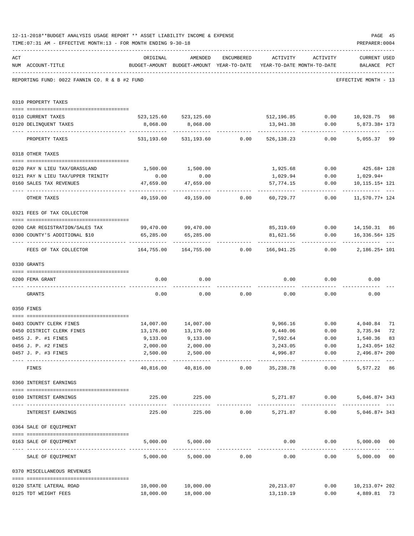|     | 12-11-2018**BUDGET ANALYSIS USAGE REPORT ** ASSET LIABILITY INCOME & EXPENSE<br>TIME: 07:31 AM - EFFECTIVE MONTH: 13 - FOR MONTH ENDING 9-30-18 |                                                      |                                                                                |                                         |                                    |                   | PAGE 45<br>PREPARER: 0004                                           |    |
|-----|-------------------------------------------------------------------------------------------------------------------------------------------------|------------------------------------------------------|--------------------------------------------------------------------------------|-----------------------------------------|------------------------------------|-------------------|---------------------------------------------------------------------|----|
| ACT | NUM ACCOUNT-TITLE                                                                                                                               | ORIGINAL                                             | AMENDED<br>BUDGET-AMOUNT BUDGET-AMOUNT YEAR-TO-DATE YEAR-TO-DATE MONTH-TO-DATE | ENCUMBERED                              |                                    | ACTIVITY ACTIVITY | <b>CURRENT USED</b><br>BALANCE PCT                                  |    |
|     | REPORTING FUND: 0022 FANNIN CO. R & B #2 FUND                                                                                                   |                                                      |                                                                                |                                         |                                    |                   | EFFECTIVE MONTH - 13                                                |    |
|     | 0310 PROPERTY TAXES                                                                                                                             |                                                      |                                                                                |                                         |                                    |                   |                                                                     |    |
|     | 0110 CURRENT TAXES                                                                                                                              | 523,125.60 523,125.60 512,196.85 0.00 10,928.75 98   |                                                                                |                                         |                                    |                   |                                                                     |    |
|     | 0120 DELINQUENT TAXES                                                                                                                           |                                                      | 8,068.00 8,068.00                                                              |                                         |                                    | 13,941.38 0.00    | 5,873.38+ 173                                                       |    |
|     | PROPERTY TAXES                                                                                                                                  |                                                      | 531,193.60 531,193.60 0.00                                                     |                                         |                                    | 526,138.23 0.00   | ----------- ---<br>5,055.37 99                                      |    |
|     | 0318 OTHER TAXES                                                                                                                                |                                                      |                                                                                |                                         |                                    |                   |                                                                     |    |
|     |                                                                                                                                                 |                                                      |                                                                                |                                         |                                    |                   |                                                                     |    |
|     | 0120 PAY N LIEU TAX/GRASSLAND                                                                                                                   |                                                      | 1,500.00 1,500.00                                                              |                                         |                                    |                   | 1,925.68 0.00 425.68+ 128                                           |    |
|     | 0121 PAY N LIEU TAX/UPPER TRINITY                                                                                                               | 0.00<br>47,659.00                                    | 0.00<br>47,659.00                                                              |                                         | 1,029.94<br>57,774.15              | 0.00<br>0.00      | 1,029.94+<br>10,115.15+ 121                                         |    |
|     | 0160 SALES TAX REVENUES                                                                                                                         |                                                      |                                                                                |                                         |                                    |                   |                                                                     |    |
|     | OTHER TAXES                                                                                                                                     |                                                      |                                                                                |                                         |                                    |                   | $49,159.00$ $49,159.00$ $0.00$ $60,729.77$ $0.00$ $11,570.77$ $124$ |    |
|     | 0321 FEES OF TAX COLLECTOR                                                                                                                      |                                                      |                                                                                |                                         |                                    |                   |                                                                     |    |
|     | 0200 CAR REGISTRATION/SALES TAX                                                                                                                 | 99,470.00 99,470.00                                  |                                                                                |                                         |                                    |                   | 85,319.69   0.00   14,150.31   86                                   |    |
|     | 0300 COUNTY'S ADDITIONAL \$10                                                                                                                   | 65, 285.00                                           | 65,285.00                                                                      |                                         | 81,621.56                          |                   | $0.00$ 16,336.56+ 125                                               |    |
|     | FEES OF TAX COLLECTOR                                                                                                                           | $164,755.00$ $164,755.00$ $0.00$ $166,941.25$ $0.00$ |                                                                                |                                         | -------------                      | ------------      | 2,186.25+ 101                                                       |    |
|     | 0330 GRANTS                                                                                                                                     |                                                      |                                                                                |                                         |                                    |                   |                                                                     |    |
|     | 0200 FEMA GRANT                                                                                                                                 | 0.00                                                 | 0.00                                                                           |                                         |                                    | $0.00$ 0.00       | 0.00                                                                |    |
|     | GRANTS                                                                                                                                          | 0.00                                                 |                                                                                |                                         | $0.00$ $0.00$ $0.00$ $0.00$ $0.00$ |                   | 0.00                                                                |    |
|     | 0350 FINES                                                                                                                                      |                                                      |                                                                                |                                         |                                    |                   |                                                                     |    |
|     | 0403 COUNTY CLERK FINES                                                                                                                         |                                                      | 14,007.00 14,007.00                                                            |                                         |                                    |                   | 9,966.16   0.00   4,040.84                                          | 71 |
|     | 0450 DISTRICT CLERK FINES                                                                                                                       | 13,176.00                                            | 13,176.00                                                                      |                                         | 9,440.06                           | 0.00              | 3,735.94                                                            | 72 |
|     | 0455 J. P. #1 FINES                                                                                                                             | 9,133.00                                             | 9,133.00                                                                       |                                         | 7,592.64                           | 0.00              | 1,540.36 83                                                         |    |
|     | 0456 J. P. #2 FINES                                                                                                                             | 2,000.00                                             | 2,000.00                                                                       |                                         | 3,243.05                           | 0.00              | 1,243.05+ 162                                                       |    |
|     | 0457 J. P. #3 FINES                                                                                                                             | 2,500.00<br>------------------- ------------         | 2,500.00<br>------------                                                       |                                         | 4,996.87<br>-------------          | 0.00              | 2,496.87+200                                                        |    |
|     | FINES                                                                                                                                           | 40,816.00                                            |                                                                                |                                         | 40,816.00   0.00   35,238.78       | 0.00              | 5,577.22 86                                                         |    |
|     | 0360 INTEREST EARNINGS                                                                                                                          |                                                      |                                                                                |                                         |                                    |                   |                                                                     |    |
|     | 0100 INTEREST EARNINGS                                                                                                                          |                                                      | 225.00<br>225.00                                                               |                                         |                                    | 5,271.87 0.00     | $5,046.87+343$                                                      |    |
|     | INTEREST EARNINGS                                                                                                                               | 225.00                                               |                                                                                | 225.00 0.00                             | 5,271.87                           |                   | 0.00<br>$5,046.87+343$                                              |    |
|     | 0364 SALE OF EQUIPMENT                                                                                                                          |                                                      |                                                                                |                                         |                                    |                   |                                                                     |    |
|     | --------------------------------------<br>0163 SALE OF EQUIPMENT                                                                                |                                                      | 5,000.00 5,000.00                                                              |                                         |                                    | 0.00              | 0.00<br>5,000.00 00                                                 |    |
|     | SALE OF EQUIPMENT                                                                                                                               | 5,000.00                                             | 5,000.00                                                                       | -------------------------------<br>0.00 | 0.00                               |                   | 5,000.00 00<br>0.00                                                 |    |
|     | 0370 MISCELLANEOUS REVENUES                                                                                                                     |                                                      |                                                                                |                                         |                                    |                   |                                                                     |    |
|     | 0120 STATE LATERAL ROAD                                                                                                                         | 10,000.00                                            | 10,000.00                                                                      |                                         | 20, 213.07                         | 0.00              | 10, 213.07+ 202                                                     |    |
|     | 0125 TDT WEIGHT FEES                                                                                                                            | 18,000.00                                            | 18,000.00                                                                      |                                         | 13,110.19                          | 0.00              | 4,889.81 73                                                         |    |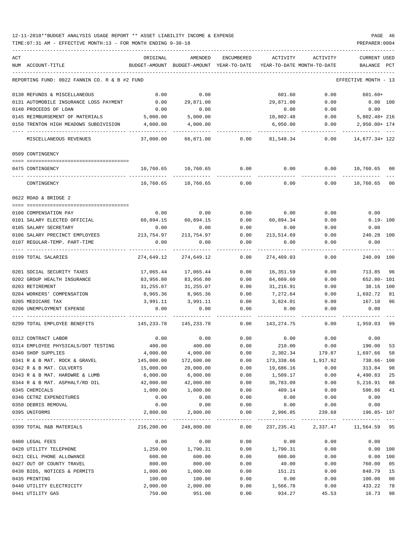| ACT                                              | ORIGINAL      | AMENDED                    | ENCUMBERED           | ACTIVITY    | ACTIVITY                            | <b>CURRENT USED</b>               |                |
|--------------------------------------------------|---------------|----------------------------|----------------------|-------------|-------------------------------------|-----------------------------------|----------------|
| NUM ACCOUNT-TITLE                                | BUDGET-AMOUNT | BUDGET-AMOUNT YEAR-TO-DATE |                      |             | YEAR-TO-DATE MONTH-TO-DATE          | BALANCE PCT                       |                |
| REPORTING FUND: 0022 FANNIN CO. R & B #2 FUND    |               |                            |                      |             |                                     | EFFECTIVE MONTH - 13              |                |
| 0130 REFUNDS & MISCELLANEOUS                     | 0.00          | 0.00                       |                      | 601.60      | 0.00                                | $601.60+$                         |                |
| 0131 AUTOMOBILE INSURANCE LOSS PAYMENT           | 0.00          | 29,871.00                  |                      | 29,871.00   | 0.00                                | $0.00$ 100                        |                |
| 0140 PROCEEDS OF LOAN                            | 0.00          | 0.00                       |                      | 0.00        | 0.00                                | 0.00                              |                |
| 0145 REIMBURSEMENT OF MATERIALS                  | 5,000.00      | 5,000.00                   |                      | 10,802.48   | 0.00                                | $5,802.48 + 216$                  |                |
| 0150 TRENTON HIGH MEADOWS SUBDIVISION            | 4,000.00      | 4,000.00                   |                      | 6,950.00    | 0.00                                | 2,950.00+ 174                     |                |
| MISCELLANEOUS REVENUES                           | 37,000.00     |                            | 66,871.00 0.00       |             | 81,548.34 0.00                      | 14,677.34+ 122                    |                |
| 0509 CONTINGENCY                                 |               |                            |                      |             |                                     |                                   |                |
| 0475 CONTINGENCY                                 | 10,760.65     | 10,760.65                  | 0.00                 | 0.00        | 0.00                                | 10,760.65                         | 00             |
|                                                  |               |                            |                      |             |                                     |                                   |                |
| CONTINGENCY                                      | 10,760.65     | 10,760.65                  | 0.00                 | 0.00        | 0.00                                | 10,760.65                         | 0 <sub>0</sub> |
| 0622 ROAD & BRIDGE 2                             |               |                            |                      |             |                                     |                                   |                |
| 0100 COMPENSATION PAY                            | 0.00          | 0.00                       |                      | $0.00$ 0.00 | 0.00                                | 0.00                              |                |
| 0101 SALARY ELECTED OFFICIAL 60,894.15 60,894.15 |               |                            | 0.00                 | 60,894.34   | 0.00                                | $0.19 - 100$                      |                |
| 0105 SALARY SECRETARY                            | 0.00          | 0.00                       | 0.00                 | 0.00        | 0.00                                | 0.00                              |                |
| 0106 SALARY PRECINCT EMPLOYEES                   | 213,754.97    | 213,754.97                 | 0.00                 | 213,514.69  | 0.00                                | 240.28 100                        |                |
| 0107 REGULAR-TEMP. PART-TIME                     | 0.00          | 0.00                       | 0.00                 | 0.00        | 0.00                                | 0.00                              |                |
| 0199 TOTAL SALARIES                              | 274,649.12    | 274,649.12                 | 0.00                 | 274,409.03  | 0.00                                | 240.09 100                        |                |
| 0201 SOCIAL SECURITY TAXES                       | 17,065.44     | 17,065.44                  | 0.00                 | 16,351.59   | 0.00                                | 713.85                            | 96             |
| 0202 GROUP HEALTH INSURANCE                      | 83,956.80     | 83,956.80                  | 0.00                 | 84,609.60   | 0.00                                | 652.80- 101                       |                |
| 0203 RETIREMENT                                  | 31,255.07     | 31,255.07                  | 0.00                 | 31,216.91   | 0.00                                | 38.16 100                         |                |
| 0204 WORKERS' COMPENSATION                       | 8,965.36      | 8,965.36                   | 0.00                 | 7,272.64    | 0.00                                | 1,692.72                          | 81             |
| 0205 MEDICARE TAX                                | 3,991.11      | 3,991.11                   | 0.00                 | 3,824.01    | 0.00                                | 167.10                            | 96             |
| 0206 UNEMPLOYMENT EXPENSE                        | 0.00          | 0.00                       | 0.00                 | 0.00        | 0.00                                | 0.00                              |                |
| 0299 TOTAL EMPLOYEE BENEFITS                     | 145,233.78    | 145,233.78                 | 0.00                 | 143,274.75  | 0.00                                | 1,959.03                          | 99             |
| 0312 CONTRACT LABOR                              | 0.00          | 0.00                       | 0.00                 | 0.00        | 0.00                                | 0.00                              |                |
| 0314 EMPLOYEE PHYSICALS/DOT TESTING              | 400.00        | 400.00                     | 0.00                 | 210.00      | 0.00                                | 190.00                            | 53             |
| 0340 SHOP SUPPLIES                               | 4,000.00      | 4,000.00                   | 0.00                 |             | 2,302.34 179.87                     | 1,697.66                          | -58            |
| 0341 R & B MAT. ROCK & GRAVEL                    | 145,000.00    | 172,600.00                 | 0.00                 |             | 173,338.66 1,917.92                 | 738.66- 100                       |                |
| 0342 R & B MAT. CULVERTS                         | 15,000.00     | 20,000.00                  | 0.00                 | 19,686.16   | 0.00                                | 313.84                            | 98             |
| 0343 R & B MAT. HARDWRE & LUMB                   | 6,000.00      | 6,000.00                   | 0.00                 | 1,509.17    | 0.00                                | 4,490.83                          | 25             |
| 0344 R & B MAT. ASPHALT/RD OIL                   | 42,000.00     | 42,000.00                  | 0.00                 | 36,783.09   | 0.00                                | 5,216.91                          | 88             |
| 0345 CHEMICALS                                   | 1,000.00      | 1,000.00                   | 0.00                 | 409.14      | 0.00                                | 590.86                            | 41             |
| 0346 CETRZ EXPENDITURES                          | 0.00          | 0.00                       | 0.00                 | 0.00        | 0.00                                | 0.00                              |                |
| 0350 DEBRIS REMOVAL                              | 0.00          | 0.00                       | 0.00                 | 0.00        | 0.00                                | 0.00                              |                |
| 0395 UNIFORMS                                    | 2,800.00      | 2,800.00<br>_____________  | 0.00<br>------------ | 2,996.85    | 239.68                              | 196.85- 107<br>------------------ |                |
| 0399 TOTAL R&B MATERIALS                         | 216,200.00    | 248,800.00                 | 0.00                 |             | 237, 235.41 2, 337.47 11, 564.59 95 |                                   |                |
| 0400 LEGAL FEES                                  | 0.00          | 0.00                       | 0.00                 | 0.00        | 0.00                                | 0.00                              |                |
| 0420 UTILITY TELEPHONE                           | 1,250.00      | 1,790.31                   | 0.00                 | 1,790.31    | 0.00                                | 0.00 100                          |                |
| 0421 CELL PHONE ALLOWANCE                        | 600.00        | 600.00                     | 0.00                 | 600.00      | 0.00                                | 0.00 100                          |                |
| 0427 OUT OF COUNTY TRAVEL                        | 800.00        | 800.00                     | 0.00                 | 40.00       | 0.00                                | 760.00                            | 0 <sub>5</sub> |
| 0430 BIDS, NOTICES & PERMITS                     | 1,000.00      | 1,000.00                   | 0.00                 | 151.21      | 0.00                                | 848.79                            | 15             |
| 0435 PRINTING                                    | 100.00        | 100.00                     | 0.00                 | 0.00        | 0.00                                | 100.00                            | 0 <sub>0</sub> |
| 0440 UTILITY ELECTRICITY                         | 2,000.00      | 2,000.00                   | 0.00                 | 1,566.78    | 0.00                                | 433.22                            | 78             |
| 0441 UTILITY GAS                                 | 750.00        | 951.00                     | 0.00                 | 934.27      | 45.53                               | 16.73                             | 98             |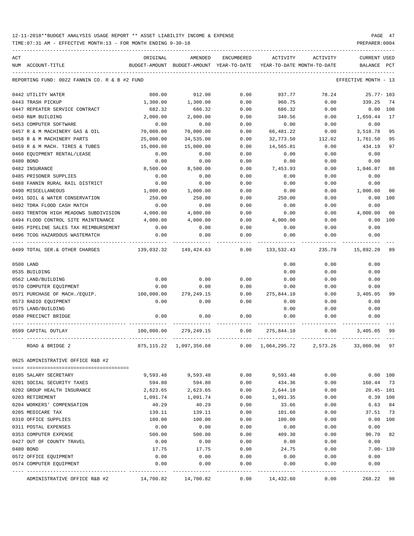| ACT |                                               | ORIGINAL                                 | AMENDED               | <b>ENCUMBERED</b> | ACTIVITY                   | ACTIVITY | <b>CURRENT USED</b>  |                |
|-----|-----------------------------------------------|------------------------------------------|-----------------------|-------------------|----------------------------|----------|----------------------|----------------|
|     | NUM ACCOUNT-TITLE                             | BUDGET-AMOUNT BUDGET-AMOUNT YEAR-TO-DATE |                       |                   | YEAR-TO-DATE MONTH-TO-DATE |          | <b>BALANCE</b>       | $_{\rm PCT}$   |
|     | REPORTING FUND: 0022 FANNIN CO. R & B #2 FUND |                                          |                       |                   |                            |          | EFFECTIVE MONTH - 13 |                |
|     | 0442 UTILITY WATER                            | 800.00                                   | 912.00                | 0.00              | 937.77                     | 78.24    | $25.77 - 103$        |                |
|     | 0443 TRASH PICKUP                             | 1,300.00                                 | 1,300.00              | 0.00              | 960.75                     | 0.00     | 339.25               | 74             |
|     | 0447 REPEATER SERVICE CONTRACT                | 682.32                                   | 686.32                | 0.00              | 686.32                     | 0.00     | 0.00 100             |                |
|     | 0450 R&M BUILDING                             | 2,000.00                                 | 2,000.00              | 0.00              | 340.56                     | 0.00     | 1,659.44             | 17             |
|     | 0453 COMPUTER SOFTWARE                        | 0.00                                     | 0.00                  | 0.00              | 0.00                       | 0.00     | 0.00                 |                |
|     | 0457 R & M MACHINERY GAS & OIL                | 70,000.00                                | 70,000.00             | 0.00              | 66,481.22                  | 0.00     | 3,518.78             | 95             |
|     | 0458 R & M MACHINERY PARTS                    | 25,000.00                                | 34,535.00             | 0.00              | 32,773.50                  | 112.02   | 1,761.50             | 95             |
|     | 0459 R & M MACH. TIRES & TUBES                | 15,000.00                                | 15,000.00             | 0.00              | 14,565.81                  | 0.00     | 434.19               | 97             |
|     | 0460 EQUIPMENT RENTAL/LEASE                   | 0.00                                     | 0.00                  | 0.00              | 0.00                       | 0.00     | 0.00                 |                |
|     | 0480 BOND                                     | 0.00                                     | 0.00                  | 0.00              | 0.00                       | 0.00     | 0.00                 |                |
|     | 0482 INSURANCE                                | 8,500.00                                 | 8,500.00              | 0.00              | 7,453.93                   | 0.00     | 1,046.07             | 88             |
|     | 0485 PRISONER SUPPLIES                        | 0.00                                     | 0.00                  | 0.00              | 0.00                       | 0.00     | 0.00                 |                |
|     | 0488 FANNIN RURAL RAIL DISTRICT               | 0.00                                     | 0.00                  | 0.00              | 0.00                       | 0.00     | 0.00                 |                |
|     | 0490 MISCELLANEOUS                            | 1,000.00                                 | 1,000.00              | 0.00              | 0.00                       | 0.00     | 1,000.00             | 0 <sub>0</sub> |
|     | 0491 SOIL & WATER CONSERVATION                | 250.00                                   | 250.00                | 0.00              | 250.00                     | 0.00     | 0.00                 | 100            |
|     | 0492 TDRA FLOOD CASH MATCH                    | 0.00                                     | 0.00                  | 0.00              | 0.00                       | 0.00     | 0.00                 |                |
|     | 0493 TRENTON HIGH MEADOWS SUBDIVISION         | 4,000.00                                 | 4,000.00              | 0.00              | 0.00                       | 0.00     | 4,000.00             | 00             |
|     | 0494 FLOOD CONTROL SITE MAINTENANCE           | 4,000.00                                 | 4,000.00              | 0.00              | 4,000.00                   | 0.00     | 0.00                 | 100            |
|     | 0495 PIPELINE SALES TAX REIMBURSEMENT         | 0.00                                     | 0.00                  | 0.00              | 0.00                       | 0.00     | 0.00                 |                |
|     | 0496 TCOG HAZARDOUS WASTEMATCH                | 0.00                                     | 0.00                  | 0.00              | 0.00                       | 0.00     | 0.00                 |                |
|     | 0499 TOTAL SER.& OTHER CHARGES                |                                          | 139,032.32 149,424.63 | 0.00              | 133,532.43                 | 235.79   | 15,892.20            | 89             |
|     |                                               |                                          |                       |                   |                            |          |                      |                |
|     | 0500 LAND                                     |                                          |                       |                   | 0.00                       | 0.00     | 0.00                 |                |
|     | 0535 BUILDING                                 |                                          |                       |                   | 0.00                       | 0.00     | 0.00                 |                |
|     | 0562 LAND/BUILDING                            | 0.00                                     | 0.00                  | 0.00              | 0.00                       | 0.00     | 0.00                 |                |
|     | 0570 COMPUTER EQUIPMENT                       | 0.00                                     | 0.00                  | 0.00              | 0.00                       | 0.00     | 0.00                 |                |
|     | 0571 PURCHASE OF MACH./EQUIP.                 | 100,000.00                               | 279,249.15            | 0.00              | 275,844.10                 | 0.00     | 3,405.05             | 99             |
|     | 0573 RADIO EQUIPMENT                          | 0.00                                     | 0.00                  | 0.00              | 0.00                       | 0.00     | 0.00                 |                |
|     | 0575 LAND/BUILDING                            |                                          |                       |                   | 0.00                       | 0.00     | 0.00                 |                |
|     | 0580 PRECINCT BRIDGE                          | 0.00                                     | 0.00                  | 0.00              | 0.00                       | 0.00     | 0.00                 |                |
|     | 0599 CAPITAL OUTLAY                           | 100,000.00                               | 279,249.15            | 0.00              | 275,844.10                 | 0.00     | 3,405.05             | 99             |
|     | ROAD & BRIDGE 2                               | 875,115.22                               | 1,097,356.68          | 0.00              | 1,064,295.72               | 2,573.26 | 33,060.96            | 97             |
|     | 0625 ADMINISTRATIVE OFFICE R&B #2             |                                          |                       |                   |                            |          |                      |                |
|     |                                               |                                          |                       |                   |                            |          |                      |                |
|     | 0105 SALARY SECRETARY                         | 9,593.48                                 | 9,593.48              | 0.00              | 9,593.48                   | 0.00     | 0.00 100             |                |
|     | 0201 SOCIAL SECURITY TAXES                    | 594.80                                   | 594.80                | 0.00              | 434.36                     | 0.00     | 160.44 73            |                |
|     | 0202 GROUP HEALTH INSURANCE                   | 2,623.65                                 | 2,623.65              | 0.00              | 2,644.10                   | 0.00     | $20.45 - 101$        |                |
|     | 0203 RETIREMENT                               | 1,091.74                                 | 1,091.74              | 0.00              | 1,091.35                   | 0.00     | $0.39$ 100           |                |
|     | 0204 WORKERS' COMPENSATION                    | 40.29                                    | 40.29                 | 0.00              | 33.66                      | 0.00     | 6.63                 | 84             |
|     | 0205 MEDICARE TAX                             | 139.11                                   | 139.11                | 0.00              | 101.60                     | 0.00     | 37.51                | 73             |
|     | 0310 OFFICE SUPPLIES                          | 100.00                                   | 100.00                | 0.00              | 100.00                     | 0.00     | 0.00 100             |                |
|     | 0311 POSTAL EXPENSES                          | 0.00                                     | 0.00                  | 0.00              | 0.00                       | 0.00     | 0.00                 |                |
|     | 0353 COMPUTER EXPENSE                         | 500.00                                   | 500.00                | 0.00              | 409.30                     | 0.00     | 90.70                | 82             |
|     | 0427 OUT OF COUNTY TRAVEL                     | 0.00                                     | 0.00                  | 0.00              | 0.00                       | 0.00     | 0.00                 |                |
|     | 0480 BOND                                     | 17.75                                    | 17.75                 | 0.00              | 24.75                      | 0.00     | $7.00 - 139$         |                |
|     | 0572 OFFICE EQUIPMENT                         | 0.00                                     | 0.00                  | 0.00              | 0.00                       | 0.00     | 0.00                 |                |
|     | 0574 COMPUTER EQUIPMENT                       | 0.00                                     | 0.00                  | 0.00<br>----      | 0.00                       | 0.00     | 0.00                 |                |
|     | ADMINISTRATIVE OFFICE R&B #2                  | 14,700.82                                | 14,700.82             | 0.00              | 14,432.60                  | 0.00     | 268.22               | 98             |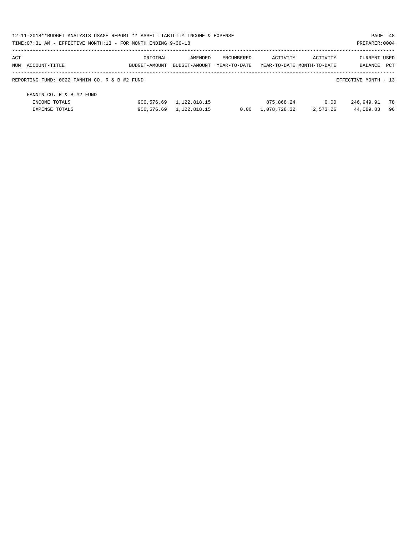| 12-11-2018**BUDGET ANALYSIS USAGE REPORT ** ASSET LIABILITY INCOME & EXPENSE |            |                             |              |                            |          | PAGE 48              |     |
|------------------------------------------------------------------------------|------------|-----------------------------|--------------|----------------------------|----------|----------------------|-----|
| TIME: 07:31 AM - EFFECTIVE MONTH: 13 - FOR MONTH ENDING 9-30-18              |            |                             |              |                            |          | PREPARER: 0004       |     |
| ACT                                                                          | ORIGINAL   | AMENDED                     | ENCUMBERED   | ACTIVITY                   | ACTIVITY | <b>CURRENT USED</b>  |     |
| NUM ACCOUNT-TITLE                                                            |            | BUDGET-AMOUNT BUDGET-AMOUNT | YEAR-TO-DATE | YEAR-TO-DATE MONTH-TO-DATE |          | BALANCE PCT          |     |
| REPORTING FUND: 0022 FANNIN CO. R & B #2 FUND                                |            |                             |              |                            |          | EFFECTIVE MONTH - 13 |     |
| FANNIN CO. R & B #2 FUND                                                     |            |                             |              |                            |          |                      |     |
| INCOME TOTALS                                                                | 900,576.69 | 1,122,818.15                |              | 875,868.24                 | 0.00     | 246,949.91           | -78 |
| EXPENSE TOTALS                                                               |            | 900.576.69 1.122.818.15     | 0.00         | 1,078,728.32               | 2,573.26 | 44,089.83            | 96  |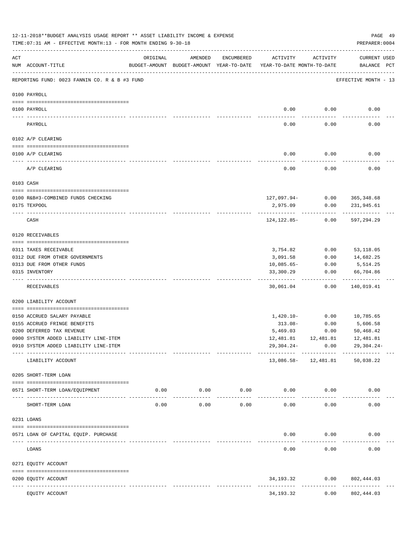|     | 12-11-2018**BUDGET ANALYSIS USAGE REPORT ** ASSET LIABILITY INCOME & EXPENSE<br>TIME: 07:31 AM - EFFECTIVE MONTH: 13 - FOR MONTH ENDING 9-30-18 |          |                  |                      |                                                                                 |                       | PAGE 49<br>PREPARER: 0004                          |  |
|-----|-------------------------------------------------------------------------------------------------------------------------------------------------|----------|------------------|----------------------|---------------------------------------------------------------------------------|-----------------------|----------------------------------------------------|--|
| ACT | NUM ACCOUNT-TITLE                                                                                                                               | ORIGINAL | AMENDED          | ENCUMBERED           | ACTIVITY<br>BUDGET-AMOUNT BUDGET-AMOUNT YEAR-TO-DATE YEAR-TO-DATE MONTH-TO-DATE | ACTIVITY              | CURRENT USED<br>BALANCE PCT                        |  |
|     | REPORTING FUND: 0023 FANNIN CO. R & B #3 FUND                                                                                                   |          |                  |                      |                                                                                 |                       | EFFECTIVE MONTH - 13                               |  |
|     | 0100 PAYROLL                                                                                                                                    |          |                  |                      |                                                                                 |                       |                                                    |  |
|     | 0100 PAYROLL                                                                                                                                    |          |                  |                      | 0.00                                                                            | 0.00                  | 0.00                                               |  |
|     | PAYROLL                                                                                                                                         |          |                  |                      | 0.00                                                                            | 0.00                  | 0.00                                               |  |
|     | 0102 A/P CLEARING                                                                                                                               |          |                  |                      |                                                                                 |                       |                                                    |  |
|     | 0100 A/P CLEARING                                                                                                                               |          |                  |                      | 0.00                                                                            | 0.00                  | 0.00                                               |  |
|     | A/P CLEARING                                                                                                                                    |          |                  |                      | 0.00                                                                            | 0.00                  | 0.00                                               |  |
|     | 0103 CASH                                                                                                                                       |          |                  |                      |                                                                                 |                       |                                                    |  |
|     |                                                                                                                                                 |          |                  |                      |                                                                                 |                       |                                                    |  |
|     | 0100 R&B#3-COMBINED FUNDS CHECKING<br>0175 TEXPOOL                                                                                              |          |                  |                      | 2,975.09                                                                        | 0.00                  | 127,097.94- 0.00 365,348.68<br>231,945.61          |  |
|     |                                                                                                                                                 |          |                  |                      |                                                                                 |                       |                                                    |  |
|     | CASH                                                                                                                                            |          |                  |                      | 124,122.85-                                                                     | 0.00                  | 597,294.29                                         |  |
|     | 0120 RECEIVABLES                                                                                                                                |          |                  |                      |                                                                                 |                       |                                                    |  |
|     | 0311 TAXES RECEIVABLE                                                                                                                           |          |                  |                      | 3,754.82                                                                        | 0.00                  | 53,118.05                                          |  |
|     | 0312 DUE FROM OTHER GOVERNMENTS                                                                                                                 |          |                  |                      | 3,091.58                                                                        | 0.00                  | 14,682.25                                          |  |
|     | 0313 DUE FROM OTHER FUNDS                                                                                                                       |          |                  |                      | $10,085.65-$                                                                    | 0.00                  | 5,514.25                                           |  |
|     | 0315 INVENTORY                                                                                                                                  |          |                  |                      | 33,300.29<br>---------                                                          | 0.00                  | 66,704.86<br>. _ _ _ _ _ _ _ _                     |  |
|     | RECEIVABLES                                                                                                                                     |          |                  |                      | 30,061.04                                                                       | 0.00                  | 140,019.41                                         |  |
|     | 0200 LIABILITY ACCOUNT                                                                                                                          |          |                  |                      |                                                                                 |                       |                                                    |  |
|     | 0150 ACCRUED SALARY PAYABLE                                                                                                                     |          |                  |                      | $1,420.10-$                                                                     | 0.00                  | 10,785.65                                          |  |
|     | 0155 ACCRUED FRINGE BENEFITS                                                                                                                    |          |                  |                      | 313.08-                                                                         | 0.00                  | 5,606.58                                           |  |
|     | 0200 DEFERRED TAX REVENUE                                                                                                                       |          |                  |                      | 5,469.03                                                                        | 0.00                  | 50,468.42                                          |  |
|     | 0900 SYSTEM ADDED LIABILITY LINE-ITEM                                                                                                           |          |                  |                      |                                                                                 |                       | $12,481.81$ $12,481.81$ $12,481.81$                |  |
|     | 0910 SYSTEM ADDED LIABILITY LINE-ITEM                                                                                                           |          |                  |                      | 29,304.24-                                                                      |                       | $0.00$ 29,304.24-                                  |  |
|     | LIABILITY ACCOUNT                                                                                                                               |          |                  |                      |                                                                                 | 13,086.58- 12,481.81  | ---------- ------------ -------------<br>50,038.22 |  |
|     | 0205 SHORT-TERM LOAN                                                                                                                            |          |                  |                      |                                                                                 |                       |                                                    |  |
|     | 0571 SHORT-TERM LOAN/EQUIPMENT                                                                                                                  |          | $0.00$ 0.00 0.00 |                      | $0.00$ 0.00                                                                     |                       | 0.00                                               |  |
|     | SHORT-TERM LOAN                                                                                                                                 | 0.00     | 0.00             | ------------<br>0.00 | -------------<br>0.00                                                           | ------------<br>0.00  | 0.00                                               |  |
|     | 0231 LOANS                                                                                                                                      |          |                  |                      |                                                                                 |                       |                                                    |  |
|     | 0571 LOAN OF CAPITAL EQUIP. PURCHASE                                                                                                            |          |                  |                      | 0.00                                                                            | 0.00                  | 0.00                                               |  |
|     | LOANS                                                                                                                                           |          |                  |                      | -------------<br>0.00                                                           | -----------<br>0.00   | 0.00                                               |  |
|     | 0271 EQUITY ACCOUNT                                                                                                                             |          |                  |                      |                                                                                 |                       |                                                    |  |
|     | 0200 EQUITY ACCOUNT                                                                                                                             |          |                  |                      |                                                                                 | 34, 193. 32 0.00      | 802,444.03                                         |  |
|     | EQUITY ACCOUNT                                                                                                                                  |          |                  |                      | 34,193.32                                                                       | -------------<br>0.00 | ------------<br>802,444.03                         |  |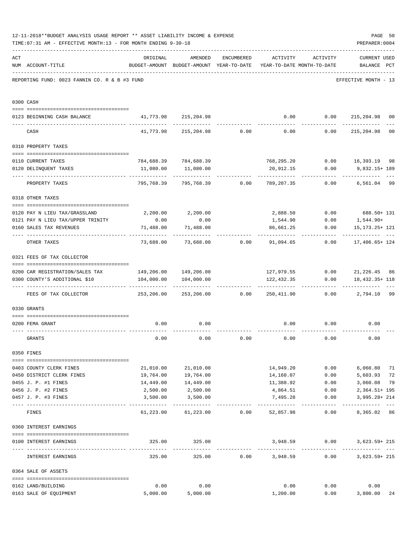|     | 12-11-2018**BUDGET ANALYSIS USAGE REPORT ** ASSET LIABILITY INCOME & EXPENSE<br>TIME: 07:31 AM - EFFECTIVE MONTH: 13 - FOR MONTH ENDING 9-30-18 |            |                                                     |                 |                                        |                              | PAGE 50<br>PREPARER: 0004          |                |
|-----|-------------------------------------------------------------------------------------------------------------------------------------------------|------------|-----------------------------------------------------|-----------------|----------------------------------------|------------------------------|------------------------------------|----------------|
| ACT | NUM ACCOUNT-TITLE                                                                                                                               | ORIGINAL   | AMENDED<br>BUDGET-AMOUNT BUDGET-AMOUNT YEAR-TO-DATE | ENCUMBERED      | ACTIVITY<br>YEAR-TO-DATE MONTH-TO-DATE | ACTIVITY                     | <b>CURRENT USED</b><br>BALANCE PCT |                |
|     | REPORTING FUND: 0023 FANNIN CO. R & B #3 FUND                                                                                                   |            |                                                     |                 |                                        |                              | EFFECTIVE MONTH - 13               |                |
|     | 0300 CASH                                                                                                                                       |            |                                                     |                 |                                        |                              |                                    |                |
|     | 0123 BEGINNING CASH BALANCE                                                                                                                     |            | 41,773.98 215,204.98                                |                 |                                        |                              | $0.00$ $0.00$ $215,204.98$         | 00             |
|     | CASH                                                                                                                                            |            | $41,773.98$ $215,204.98$ 0.00 0.00                  |                 |                                        | 0.00                         | 215,204.98                         | 0 <sub>0</sub> |
|     | 0310 PROPERTY TAXES                                                                                                                             |            |                                                     |                 |                                        |                              |                                    |                |
|     |                                                                                                                                                 |            |                                                     |                 |                                        |                              |                                    |                |
|     | 0110 CURRENT TAXES                                                                                                                              |            | 784,688.39 784,688.39                               |                 | 768,295.20                             |                              | $0.00$ 16,393.19                   | 98             |
|     | 0120 DELINQUENT TAXES                                                                                                                           | 11,080.00  | 11,080.00                                           |                 | 20,912.15<br>.                         | 0.00                         | 9,832.15+ 189                      |                |
|     | PROPERTY TAXES                                                                                                                                  | 795,768.39 |                                                     | 795,768.39 0.00 | 789,207.35                             | 0.00                         | 6,561.04                           | 99             |
|     | 0318 OTHER TAXES                                                                                                                                |            |                                                     |                 |                                        |                              |                                    |                |
|     | 0120 PAY N LIEU TAX/GRASSLAND                                                                                                                   |            | 2,200.00 2,200.00                                   |                 |                                        |                              | 2,888.50 0.00 688.50+ 131          |                |
|     | 0121 PAY N LIEU TAX/UPPER TRINITY                                                                                                               | 0.00       | 0.00                                                |                 | 1,544.90                               | 0.00                         | 1,544.90+                          |                |
|     | 0160 SALES TAX REVENUES                                                                                                                         | 71,488.00  | 71,488.00                                           |                 | 86,661.25                              | 0.00                         | 15,173.25+ 121                     |                |
|     | OTHER TAXES                                                                                                                                     | 73,688.00  | 73,688.00                                           | 0.00            | 91,094.65                              | 0.00                         | 17,406.65+ 124                     |                |
|     | 0321 FEES OF TAX COLLECTOR                                                                                                                      |            |                                                     |                 |                                        |                              |                                    |                |
|     | 0200 CAR REGISTRATION/SALES TAX                                                                                                                 |            | 149,206.00 149,206.00                               |                 |                                        |                              | 127,979.55 0.00 21,226.45 86       |                |
|     | 0300 COUNTY'S ADDITIONAL \$10                                                                                                                   | 104,000.00 | 104,000.00                                          |                 | 122,432.35                             | 0.00                         | 18,432.35+ 118                     |                |
|     | FEES OF TAX COLLECTOR                                                                                                                           | 253,206.00 | 253,206.00                                          | 0.00            |                                        | 250,411.90 0.00              | 2,794.10                           | 99             |
|     | 0330 GRANTS                                                                                                                                     |            |                                                     |                 |                                        |                              |                                    |                |
|     |                                                                                                                                                 |            |                                                     |                 |                                        |                              |                                    |                |
|     | 0200 FEMA GRANT                                                                                                                                 | 0.00       | 0.00                                                |                 | 0.00                                   | 0.00                         | 0.00                               |                |
|     | GRANTS                                                                                                                                          | 0.00       | 0.00                                                | 0.00            | 0.00                                   | 0.00                         | 0.00                               |                |
|     | 0350 FINES                                                                                                                                      |            |                                                     |                 |                                        |                              |                                    |                |
|     | 0403 COUNTY CLERK FINES                                                                                                                         |            | 21,010.00 21,010.00                                 |                 | 14,949.20                              | 0.00                         | 6,060.80                           | 71             |
|     | 0450 DISTRICT CLERK FINES                                                                                                                       | 19,764.00  | 19,764.00                                           |                 | 14,160.07                              | 0.00                         | 5,603.93                           | 72             |
|     | 0455 J. P. #1 FINES                                                                                                                             | 14,449.00  | 14,449.00                                           |                 | 11,388.92                              | 0.00                         | 3,060.08                           | 79             |
|     | 0456 J. P. #2 FINES                                                                                                                             | 2,500.00   | 2,500.00                                            |                 | 4,864.51                               | 0.00                         | $2,364.51+195$                     |                |
|     | 0457 J. P. #3 FINES                                                                                                                             | 3,500.00   | 3,500.00                                            |                 | 7,495.28                               | 0.00                         | $3,995.28 + 214$                   |                |
|     | FINES                                                                                                                                           |            | $61,223.00$ $61,223.00$ $0.00$ $52,857.98$ $0.00$   |                 |                                        |                              | ---------------<br>8,365.02 86     |                |
|     | 0360 INTEREST EARNINGS                                                                                                                          |            |                                                     |                 |                                        |                              |                                    |                |
|     |                                                                                                                                                 |            |                                                     |                 |                                        |                              |                                    |                |
|     | 0100 INTEREST EARNINGS                                                                                                                          |            | 325.00 325.00                                       |                 |                                        | 3,948.59 0.00<br>----------- | 3,623.59+ 215                      |                |
|     | INTEREST EARNINGS                                                                                                                               | 325.00     | 325.00                                              |                 | $0.00$ 3,948.59                        |                              | 0.00<br>$3,623.59+215$             |                |
|     | 0364 SALE OF ASSETS                                                                                                                             |            |                                                     |                 |                                        |                              |                                    |                |
|     | 0162 LAND/BUILDING                                                                                                                              | 0.00       | 0.00                                                |                 | 0.00                                   | 0.00                         | 0.00                               |                |
|     | 0163 SALE OF EQUIPMENT                                                                                                                          | 5,000.00   | 5,000.00                                            |                 | 1,200.00                               |                              | $0.00$ 3,800.00                    | 24             |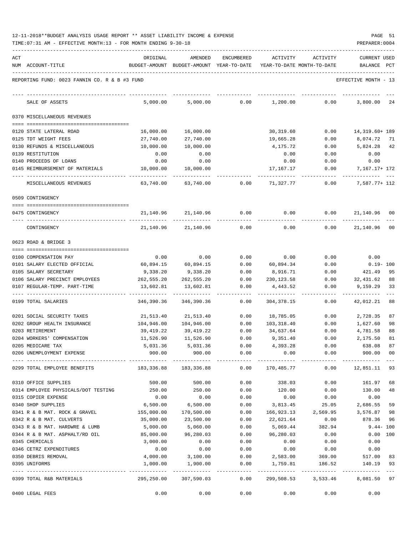| ACT                                           | ORIGINAL   | AMENDED                                   | <b>ENCUMBERED</b> | ACTIVITY    | ACTIVITY                   | CURRENT USED               |
|-----------------------------------------------|------------|-------------------------------------------|-------------------|-------------|----------------------------|----------------------------|
| NUM ACCOUNT-TITLE                             |            | BUDGET-AMOUNT BUDGET-AMOUNT YEAR-TO-DATE  |                   |             | YEAR-TO-DATE MONTH-TO-DATE | BALANCE<br>PCT             |
| REPORTING FUND: 0023 FANNIN CO. R & B #3 FUND |            |                                           |                   |             |                            | EFFECTIVE MONTH - 13       |
| SALE OF ASSETS                                | 5,000.00   | 5,000.00                                  | 0.00              | 1,200.00    | 0.00                       | 3,800.00<br>24             |
| 0370 MISCELLANEOUS REVENUES                   |            |                                           |                   |             |                            |                            |
| 0120 STATE LATERAL ROAD                       | 16,000.00  | 16,000.00                                 |                   | 30,319.60   | 0.00                       | 14,319.60+ 189             |
| 0125 TDT WEIGHT FEES                          | 27,740.00  | 27,740.00                                 |                   | 19,665.28   | 0.00                       | 8,074.72<br>-71            |
| 0130 REFUNDS & MISCELLANEOUS                  | 10,000.00  | 10,000.00                                 |                   | 4,175.72    | 0.00                       | 5,824.28<br>42             |
| 0139 RESTITUTION                              | 0.00       | 0.00                                      |                   | 0.00        | 0.00                       | 0.00                       |
| 0140 PROCEEDS OF LOANS                        | 0.00       | 0.00                                      |                   | 0.00        | 0.00                       | 0.00                       |
| 0145 REIMBURSEMENT OF MATERIALS               | 10,000.00  | 10,000.00                                 |                   | 17,167.17   | 0.00                       | 7,167.17+ 172              |
| MISCELLANEOUS REVENUES                        | 63,740.00  | 63,740.00                                 | 0.00              | 71,327.77   | 0.00                       | 7,587.77+ 112              |
| 0509 CONTINGENCY                              |            |                                           |                   |             |                            |                            |
| 0475 CONTINGENCY                              | 21,140.96  | 21,140.96                                 | 0.00              | 0.00        | 0.00                       | 21,140.96<br>00            |
| CONTINGENCY                                   | 21,140.96  | 21,140.96                                 | 0.00              | 0.00        | 0.00                       | 21,140.96<br>00            |
| 0623 ROAD & BRIDGE 3                          |            |                                           |                   |             |                            |                            |
| 0100 COMPENSATION PAY                         | 0.00       | 0.00                                      | 0.00              | 0.00        | 0.00                       | 0.00                       |
| 0101 SALARY ELECTED OFFICIAL                  | 60,894.15  | 60,894.15                                 | 0.00              | 60,894.34   | 0.00                       | $0.19 - 100$               |
| 0105 SALARY SECRETARY                         | 9,338.20   | 9,338.20                                  | 0.00              | 8,916.71    | 0.00                       | 421.49<br>95               |
| 0106 SALARY PRECINCT EMPLOYEES                | 262,555.20 | 262,555.20                                | 0.00              | 230,123.58  | 0.00                       | 32,431.62<br>88            |
| 0107 REGULAR-TEMP. PART-TIME                  | 13,602.81  | 13,602.81                                 | 0.00              | 4,443.52    | 0.00                       | 9,159.29<br>33             |
| 0199 TOTAL SALARIES                           | 346,390.36 | 346,390.36                                | 0.00              | 304, 378.15 | 0.00                       | $- - -$<br>42,012.21<br>88 |
| 0201 SOCIAL SECURITY TAXES                    | 21,513.40  | 21,513.40                                 | 0.00              | 18,785.05   | 0.00                       | 2,728.35<br>87             |
| 0202 GROUP HEALTH INSURANCE                   | 104,946.00 | 104,946.00                                | 0.00              | 103,318.40  | 0.00                       | 1,627.60<br>98             |
| 0203 RETIREMENT                               | 39,419.22  | 39,419.22                                 | 0.00              | 34,637.64   | 0.00                       | 88<br>4,781.58             |
| 0204 WORKERS' COMPENSATION                    | 11,526.90  | 11,526.90                                 | 0.00              | 9,351.40    | 0.00                       | 2,175.50<br>81             |
| 0205 MEDICARE TAX                             | 5,031.36   | 5,031.36                                  | 0.00              | 4,393.28    | 0.00                       | 638.08<br>87               |
| 0206 UNEMPLOYMENT EXPENSE                     | 900.00     | 900.00                                    | 0.00              | 0.00        | 0.00                       | 900.00<br>$_{00}$          |
| 0299 TOTAL EMPLOYEE BENEFITS                  |            | 183,336.88 183,336.88                     | 0.00              | 170,485.77  | 0.00                       | 12,851.11 93               |
| 0310 OFFICE SUPPLIES                          | 500.00     | 500.00                                    | 0.00              | 338.03      | 0.00                       | 161.97<br>68               |
| 0314 EMPLOYEE PHYSICALS/DOT TESTING           | 250.00     | 250.00                                    | 0.00              | 120.00      | 0.00                       | 130.00<br>48               |
| 0315 COPIER EXPENSE                           | 0.00       | 0.00                                      | 0.00              | 0.00        | 0.00                       | 0.00                       |
| 0340 SHOP SUPPLIES                            | 6,500.00   | 6,500.00                                  | 0.00              | 3,813.45    | 25.05                      | 2,686.55<br>59             |
| 0341 R & B MAT. ROCK & GRAVEL                 | 155,000.00 | 170,500.00                                | 0.00              | 166,923.13  | 2,569.95                   | 3,576.87<br>98             |
| 0342 R & B MAT. CULVERTS                      | 35,000.00  | 23,500.00                                 | 0.00              | 22,621.64   | 0.00                       | 878.36 96                  |
| 0343 R & B MAT. HARDWRE & LUMB                | 5,000.00   | 5,060.00                                  | 0.00              | 5,069.44    | 382.94                     | $9.44 - 100$               |
| 0344 R & B MAT. ASPHALT/RD OIL                | 85,000.00  | 96,280.03                                 | 0.00              | 96,280.03   | 0.00                       | 0.00 100                   |
| 0345 CHEMICALS                                | 3,000.00   | 0.00                                      | 0.00              | 0.00        | 0.00                       | 0.00                       |
| 0346 CETRZ EXPENDITURES                       | 0.00       | 0.00                                      | 0.00              | 0.00        | 0.00                       | 0.00                       |
| 0350 DEBRIS REMOVAL                           | 4,000.00   | 3,100.00                                  | 0.00              | 2,583.00    | 369.00                     | 517.00 83                  |
| 0395 UNIFORMS                                 | 1,000.00   | 1,900.00<br>----------------------------- | 0.00              | 1,759.81    | 186.52                     | 140.19 93                  |
| 0399 TOTAL R&B MATERIALS                      | 295,250.00 | 307,590.03                                | 0.00              |             | 299,508.53 3,533.46        | 8,081.50 97                |
| 0400 LEGAL FEES                               | 0.00       | 0.00                                      | 0.00              | 0.00        | 0.00                       | 0.00                       |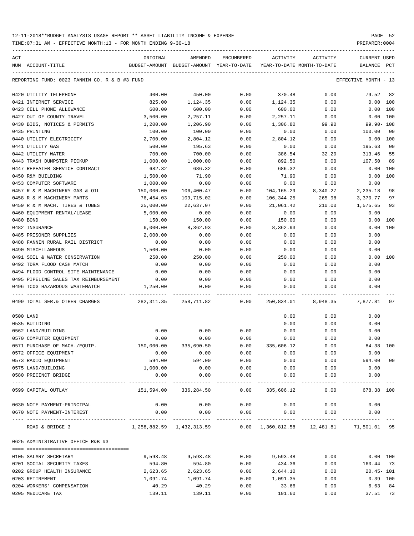TIME:07:31 AM - EFFECTIVE MONTH:13 - FOR MONTH ENDING 9-30-18 PREPARER:0004

| ACT |                                               | ORIGINAL                                 | AMENDED                   | ENCUMBERED | ACTIVITY                   | ACTIVITY                                 | <b>CURRENT USED</b>  |                |
|-----|-----------------------------------------------|------------------------------------------|---------------------------|------------|----------------------------|------------------------------------------|----------------------|----------------|
|     | NUM ACCOUNT-TITLE                             | BUDGET-AMOUNT BUDGET-AMOUNT YEAR-TO-DATE |                           |            | YEAR-TO-DATE MONTH-TO-DATE |                                          | BALANCE PCT          |                |
|     | REPORTING FUND: 0023 FANNIN CO. R & B #3 FUND |                                          |                           |            |                            |                                          | EFFECTIVE MONTH - 13 |                |
|     | 0420 UTILITY TELEPHONE                        | 400.00                                   | 450.00                    | 0.00       | 370.48                     | 0.00                                     | 79.52                | 82             |
|     | 0421 INTERNET SERVICE                         | 825.00                                   | 1,124.35                  | 0.00       | 1,124.35                   | 0.00                                     | 0.00 100             |                |
|     | 0423 CELL PHONE ALLOWANCE                     | 600.00                                   | 600.00                    | 0.00       | 600.00                     | 0.00                                     | 0.00 100             |                |
|     | 0427 OUT OF COUNTY TRAVEL                     | 3,500.00                                 | 2,257.11                  | 0.00       | 2,257.11                   | 0.00                                     | 0.00 100             |                |
|     | 0430 BIDS, NOTICES & PERMITS                  | 1,200.00                                 | 1,206.90                  | 0.00       | 1,306.80                   | 99.90                                    | $99.90 - 108$        |                |
|     | 0435 PRINTING                                 | 100.00                                   | 100.00                    | 0.00       | 0.00                       | 0.00                                     | 100.00               | 0 <sub>0</sub> |
|     | 0440 UTILITY ELECTRICITY                      | 2,700.00                                 | 2,804.12                  | 0.00       | 2,804.12                   | 0.00                                     | 0.00 100             |                |
|     | 0441 UTILITY GAS                              | 500.00                                   | 195.63                    | 0.00       | 0.00                       | 0.00                                     | 195.63               | 0 <sub>0</sub> |
|     | 0442 UTILITY WATER                            | 700.00                                   | 700.00                    | 0.00       | 386.54                     | 32.20                                    | 313.46               | 55             |
|     | 0443 TRASH DUMPSTER PICKUP                    | 1,000.00                                 | 1,000.00                  | 0.00       | 892.50                     | 0.00                                     | 107.50               | 89             |
|     | 0447 REPEATER SERVICE CONTRACT                | 682.32                                   | 686.32                    | 0.00       | 686.32                     | 0.00                                     | 0.00                 | 100            |
|     | 0450 R&M BUILDING                             | 1,500.00                                 | 71.90                     | 0.00       | 71.90                      | 0.00                                     | 0.00                 | 100            |
|     | 0453 COMPUTER SOFTWARE                        | 1,000.00                                 | 0.00                      | 0.00       | 0.00                       | 0.00                                     | 0.00                 |                |
|     | 0457 R & M MACHINERY GAS & OIL                | 150,000.00                               | 106,400.47                | 0.00       | 104,165.29                 | 8,340.27                                 | 2,235.18             | 98             |
|     | 0458 R & M MACHINERY PARTS                    | 76,454.03                                | 109,715.02                | 0.00       | 106,344.25                 | 265.98                                   | 3,370.77             | 97             |
|     | 0459 R & M MACH. TIRES & TUBES                | 25,000.00                                | 22,637.07                 | 0.00       | 21,061.42                  | 210.00                                   | 1,575.65             | 93             |
|     | 0460 EQUIPMENT RENTAL/LEASE                   | 5,000.00                                 | 0.00                      | 0.00       | 0.00                       | 0.00                                     | 0.00                 |                |
|     | 0480 BOND                                     | 150.00                                   | 150.00                    | 0.00       | 150.00                     | 0.00                                     | 0.00                 | 100            |
|     | 0482 INSURANCE                                | 6,000.00                                 | 8,362.93                  | 0.00       | 8,362.93                   | 0.00                                     | 0.00                 | 100            |
|     | 0485 PRISONER SUPPLIES                        | 2,000.00                                 | 0.00                      | 0.00       | 0.00                       | 0.00                                     | 0.00                 |                |
|     | 0488 FANNIN RURAL RAIL DISTRICT               |                                          |                           |            |                            |                                          |                      |                |
|     |                                               | 0.00                                     | 0.00                      | 0.00       | 0.00                       | 0.00                                     | 0.00                 |                |
|     | 0490 MISCELLANEOUS                            | 1,500.00                                 | 0.00                      | 0.00       | 0.00                       | 0.00                                     | 0.00                 |                |
|     | 0491 SOIL & WATER CONSERVATION                | 250.00                                   | 250.00                    | 0.00       | 250.00                     | 0.00                                     | 0.00                 | 100            |
|     | 0492 TDRA FLOOD CASH MATCH                    | 0.00                                     | 0.00                      | 0.00       | 0.00                       | 0.00                                     | 0.00                 |                |
|     | 0494 FLOOD CONTROL SITE MAINTENANCE           | 0.00                                     | 0.00                      | 0.00       | 0.00                       | 0.00                                     | 0.00                 |                |
|     | 0495 PIPELINE SALES TAX REIMBURSEMENT         | 0.00                                     | 0.00                      | 0.00       | 0.00                       | 0.00                                     | 0.00                 |                |
|     | 0496 TCOG HAZARDOUS WASTEMATCH                | 1,250.00                                 | 0.00                      | 0.00       | 0.00                       | 0.00                                     | 0.00                 |                |
|     | 0499 TOTAL SER.& OTHER CHARGES                | 282,311.35                               | 258,711.82                | 0.00       | 250,834.01                 | 8,948.35                                 | 7,877.81             | 97             |
|     | 0500 LAND                                     |                                          |                           |            | 0.00                       | 0.00                                     | 0.00                 |                |
|     | 0535 BUILDING                                 |                                          |                           |            | 0.00                       | 0.00                                     | 0.00                 |                |
|     | 0562 LAND/BUILDING                            | 0.00                                     | 0.00                      | 0.00       | 0.00                       | 0.00                                     | 0.00                 |                |
|     | 0570 COMPUTER EQUIPMENT                       | 0.00                                     | 0.00                      | 0.00       | 0.00                       | 0.00                                     | 0.00                 |                |
|     | 0571 PURCHASE OF MACH./EQUIP.                 | 150,000.00                               | 335,690.50                | 0.00       | 335,606.12                 | 0.00                                     | 84.38 100            |                |
|     | 0572 OFFICE EQUIPMENT                         | 0.00                                     | 0.00                      | 0.00       | 0.00                       | 0.00                                     | 0.00                 |                |
|     | 0573 RADIO EQUIPMENT                          | 594.00                                   | 594.00                    | 0.00       | 0.00                       | 0.00                                     | 594.00               | 0 <sub>0</sub> |
|     | 0575 LAND/BUILDING                            | 1,000.00                                 | 0.00                      | 0.00       | 0.00                       | 0.00                                     | 0.00                 |                |
|     | 0580 PRECINCT BRIDGE                          | 0.00                                     | 0.00                      | 0.00       | 0.00                       | 0.00                                     | 0.00                 |                |
|     |                                               | ----------                               | -----------               | -----      |                            | --------                                 |                      |                |
|     | 0599 CAPITAL OUTLAY                           | 151,594.00                               | 336,284.50                | 0.00       | 335,606.12                 | 0.00                                     | 678.38 100           |                |
|     | 0630 NOTE PAYMENT-PRINCIPAL                   | 0.00                                     | 0.00                      | 0.00       | 0.00                       | 0.00                                     | 0.00                 |                |
|     | 0670 NOTE PAYMENT-INTEREST                    | 0.00                                     | 0.00                      | 0.00       | 0.00                       | 0.00                                     | 0.00                 |                |
|     |                                               |                                          |                           | ---------  |                            |                                          |                      |                |
|     | ROAD & BRIDGE 3                               |                                          | 1,258,882.59 1,432,313.59 |            |                            | 0.00 1,360,812.58 12,481.81 71,501.01 95 |                      |                |
|     | 0625 ADMINISTRATIVE OFFICE R&B #3             |                                          |                           |            |                            |                                          |                      |                |
|     |                                               |                                          |                           |            |                            |                                          |                      |                |
|     | 0105 SALARY SECRETARY                         | 9,593.48                                 | 9,593.48                  | 0.00       | 9,593.48                   | 0.00                                     | $0.00$ 100           |                |
|     | 0201 SOCIAL SECURITY TAXES                    | 594.80                                   | 594.80                    | 0.00       | 434.36                     | 0.00                                     | 160.44 73            |                |
|     | 0202 GROUP HEALTH INSURANCE                   | 2,623.65                                 | 2,623.65                  | 0.00       | 2,644.10                   | 0.00                                     | $20.45 - 101$        |                |
|     | 0203 RETIREMENT                               | 1,091.74                                 | 1,091.74                  | 0.00       | 1,091.35                   | 0.00                                     | $0.39$ 100           |                |
|     | 0204 WORKERS' COMPENSATION                    | 40.29                                    | 40.29                     | 0.00       | 33.66                      | 0.00                                     | 6.63                 | 84             |

0205 MEDICARE TAX 6 139.11 139.11 139.11 0.00 101.60 0.00 37.51 73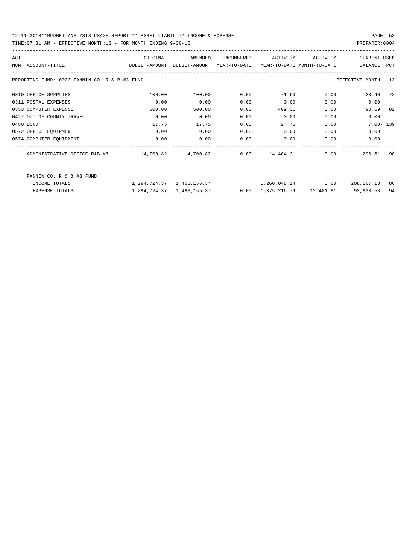TIME:07:31 AM - EFFECTIVE MONTH:13 - FOR MONTH ENDING 9-30-18 PREPARER:0004

| ACT        |                                               | ORIGINAL      | AMENDED                         | ENCUMBERED   | ACTIVITY                   | ACTIVITY | <b>CURRENT USED</b>  |            |
|------------|-----------------------------------------------|---------------|---------------------------------|--------------|----------------------------|----------|----------------------|------------|
| <b>NUM</b> | ACCOUNT-TITLE                                 | BUDGET-AMOUNT | BUDGET-AMOUNT                   | YEAR-TO-DATE | YEAR-TO-DATE MONTH-TO-DATE |          | BALANCE              | <b>PCT</b> |
|            | REPORTING FUND: 0023 FANNIN CO. R & B #3 FUND |               |                                 |              |                            |          | EFFECTIVE MONTH - 13 |            |
|            | 0310 OFFICE SUPPLIES                          | 100.00        | 100.00                          | 0.00         | 71.60                      | 0.00     | 28.40                | 72         |
|            | 0311 POSTAL EXPENSES                          | 0.00          | 0.00                            | 0.00         | 0.00                       | 0.00     | 0.00                 |            |
|            | 0353 COMPUTER EXPENSE                         | 500.00        | 500.00                          | 0.00         | 409.31                     | 0.00     | 90.69                | 82         |
|            | 0427 OUT OF COUNTY TRAVEL                     | 0.00          | 0.00                            | 0.00         | 0.00                       | 0.00     | 0.00                 |            |
|            | 0480 BOND                                     | 17.75         | 17.75                           | 0.00         | 24.75                      | 0.00     | $7.00 - 139$         |            |
|            | 0572 OFFICE EQUIPMENT                         | 0.00          | 0.00                            | 0.00         | 0.00                       | 0.00     | 0.00                 |            |
|            | 0574 COMPUTER EQUIPMENT                       | 0.00          | 0.00                            | 0.00         | 0.00                       | 0.00     | 0.00                 |            |
|            | ADMINISTRATIVE OFFICE R&B #3                  | 14,700.82     | 14,700.82                       | 0.00         | 14,404.21                  | 0.00     | 296.61               | 98         |
|            | FANNIN CO. R & B #3 FUND<br>INCOME TOTALS     |               | 1, 294, 724. 37 1, 468, 155. 37 |              | 1,260,048.24               | 0.00     | 208,107.13           | 86         |

EXPENSE TOTALS 1,294,724.37 1,468,155.37 0.00 1,375,216.79 12,481.81 92,938.58 94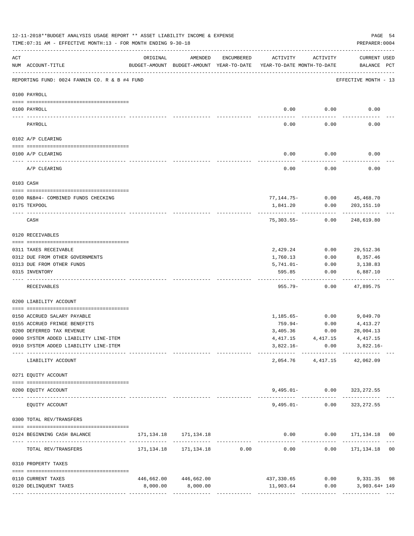|     | 12-11-2018**BUDGET ANALYSIS USAGE REPORT ** ASSET LIABILITY INCOME & EXPENSE<br>TIME: 07:31 AM - EFFECTIVE MONTH: 13 - FOR MONTH ENDING 9-30-18 |          |                                                     |            |                                        |                   | PAGE 54<br>PREPARER: 0004                                     |  |
|-----|-------------------------------------------------------------------------------------------------------------------------------------------------|----------|-----------------------------------------------------|------------|----------------------------------------|-------------------|---------------------------------------------------------------|--|
| ACT | NUM ACCOUNT-TITLE                                                                                                                               | ORIGINAL | AMENDED<br>BUDGET-AMOUNT BUDGET-AMOUNT YEAR-TO-DATE | ENCUMBERED | ACTIVITY<br>YEAR-TO-DATE MONTH-TO-DATE | ACTIVITY          | CURRENT USED<br>BALANCE PCT                                   |  |
|     | REPORTING FUND: 0024 FANNIN CO. R & B #4 FUND                                                                                                   |          |                                                     |            |                                        |                   | EFFECTIVE MONTH - 13                                          |  |
|     | 0100 PAYROLL                                                                                                                                    |          |                                                     |            |                                        |                   |                                                               |  |
|     |                                                                                                                                                 |          |                                                     |            |                                        |                   |                                                               |  |
|     | 0100 PAYROLL                                                                                                                                    |          |                                                     |            | 0.00                                   | 0.00              | 0.00                                                          |  |
|     | PAYROLL                                                                                                                                         |          |                                                     |            | 0.00                                   | 0.00              | 0.00                                                          |  |
|     | 0102 A/P CLEARING                                                                                                                               |          |                                                     |            |                                        |                   |                                                               |  |
|     | 0100 A/P CLEARING                                                                                                                               |          |                                                     |            | 0.00                                   | 0.00              | 0.00                                                          |  |
|     | A/P CLEARING                                                                                                                                    |          |                                                     |            | 0.00                                   | 0.00              | 0.00                                                          |  |
|     | 0103 CASH                                                                                                                                       |          |                                                     |            |                                        |                   |                                                               |  |
|     |                                                                                                                                                 |          |                                                     |            |                                        |                   | 77, 144. 75 - 0.00 45, 468. 70                                |  |
|     | 0100 R&B#4- COMBINED FUNDS CHECKING<br>0175 TEXPOOL                                                                                             |          |                                                     |            | 1,841.20                               | 0.00              | 203, 151. 10                                                  |  |
|     | CASH                                                                                                                                            |          |                                                     |            | 75,303.55-                             | 0.00              | 248,619.80                                                    |  |
|     | 0120 RECEIVABLES                                                                                                                                |          |                                                     |            |                                        |                   |                                                               |  |
|     | 0311 TAXES RECEIVABLE                                                                                                                           |          |                                                     |            | 2,429.24                               | 0.00              | 29,512.36                                                     |  |
|     | 0312 DUE FROM OTHER GOVERNMENTS                                                                                                                 |          |                                                     |            | 1,760.13                               | 0.00              | 8,357.46                                                      |  |
|     | 0313 DUE FROM OTHER FUNDS                                                                                                                       |          |                                                     |            | $5,741.01 -$                           | 0.00              | 3,138.83                                                      |  |
|     | 0315 INVENTORY                                                                                                                                  |          |                                                     |            | 595.85                                 | 0.00              | 6,887.10                                                      |  |
|     | RECEIVABLES                                                                                                                                     |          |                                                     |            | $955.79 -$                             | 0.00              | 47,895.75                                                     |  |
|     | 0200 LIABILITY ACCOUNT                                                                                                                          |          |                                                     |            |                                        |                   |                                                               |  |
|     | 0150 ACCRUED SALARY PAYABLE                                                                                                                     |          |                                                     |            |                                        |                   | 1, 185.65 - 0.00 9, 049.70                                    |  |
|     | 0155 ACCRUED FRINGE BENEFITS                                                                                                                    |          |                                                     |            | 759.94-                                | 0.00              | 4,413.27                                                      |  |
|     | 0200 DEFERRED TAX REVENUE                                                                                                                       |          |                                                     |            | 3,405.36                               | 0.00              | 28,004.13                                                     |  |
|     | 0900 SYSTEM ADDED LIABILITY LINE-ITEM                                                                                                           |          |                                                     |            |                                        |                   | $4,417.15$ $4,417.15$ $4,417.15$                              |  |
|     | 0910 SYSTEM ADDED LIABILITY LINE-ITEM                                                                                                           |          |                                                     |            |                                        |                   | $3,822.16 - 0.00$ $3,822.16 -$                                |  |
|     | LIABILITY ACCOUNT                                                                                                                               |          |                                                     |            |                                        |                   | 2,054.76 4,417.15 42,062.09                                   |  |
|     | 0271 EQUITY ACCOUNT                                                                                                                             |          |                                                     |            |                                        |                   |                                                               |  |
|     | 0200 EQUITY ACCOUNT                                                                                                                             |          |                                                     |            |                                        |                   | 9,495.01- 0.00 323,272.55                                     |  |
|     | EQUITY ACCOUNT                                                                                                                                  |          |                                                     |            |                                        | $9,495.01 - 0.00$ | 323,272.55                                                    |  |
|     | 0300 TOTAL REV/TRANSFERS                                                                                                                        |          |                                                     |            |                                        |                   |                                                               |  |
|     | 0124 BEGINNING CASH BALANCE                                                                                                                     |          | 171, 134. 18 171, 134. 18                           |            |                                        |                   | $0.00$ $0.00$ $171,134.18$ 00                                 |  |
|     | TOTAL REV/TRANSFERS                                                                                                                             |          |                                                     |            |                                        |                   | ------------ ------------- ---                                |  |
|     | 0310 PROPERTY TAXES                                                                                                                             |          |                                                     |            |                                        |                   |                                                               |  |
|     | 0110 CURRENT TAXES                                                                                                                              |          | 446,662.00 446,662.00                               |            |                                        |                   |                                                               |  |
|     | 0120 DELINQUENT TAXES                                                                                                                           | 8,000.00 | 8,000.00                                            |            |                                        |                   | 437,330.65 0.00 9,331.35 98<br>$11,903.64$ 0.00 3,903.64+ 149 |  |
|     |                                                                                                                                                 |          |                                                     |            |                                        |                   |                                                               |  |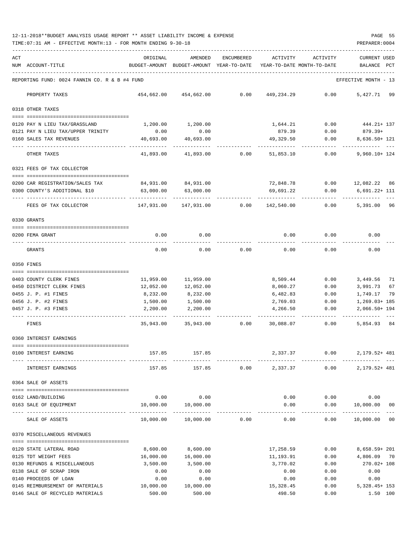| ACT |                                                      | ORIGINAL                                      | AMENDED                                  | ENCUMBERED | ACTIVITY                   | ACTIVITY     | <b>CURRENT USED</b>      |          |
|-----|------------------------------------------------------|-----------------------------------------------|------------------------------------------|------------|----------------------------|--------------|--------------------------|----------|
|     | NUM ACCOUNT-TITLE                                    |                                               | BUDGET-AMOUNT BUDGET-AMOUNT YEAR-TO-DATE |            | YEAR-TO-DATE MONTH-TO-DATE |              | BALANCE                  | PCT      |
|     | REPORTING FUND: 0024 FANNIN CO. R & B #4 FUND        |                                               |                                          |            |                            |              | EFFECTIVE MONTH - 13     |          |
|     | PROPERTY TAXES                                       | 454,662.00                                    | 454,662.00                               | 0.00       | 449,234.29                 | 0.00         | 5,427.71 99              |          |
|     | 0318 OTHER TAXES                                     |                                               |                                          |            |                            |              |                          |          |
|     | 0120 PAY N LIEU TAX/GRASSLAND                        | 1,200.00                                      | 1,200.00                                 |            | 1,644.21                   |              | $0.00$ $444.21 + 137$    |          |
|     | 0121 PAY N LIEU TAX/UPPER TRINITY                    | 0.00                                          | 0.00                                     |            | 879.39                     | 0.00         | 879.39+                  |          |
|     | 0160 SALES TAX REVENUES                              | 40,693.00                                     | 40,693.00                                |            | 49,329.50                  | 0.00         | 8,636.50+ 121            |          |
|     | OTHER TAXES                                          | 41,893.00                                     | 41,893.00                                | 0.00       | 51,853.10                  | 0.00         | $9,960.10 + 124$         |          |
|     | 0321 FEES OF TAX COLLECTOR                           |                                               |                                          |            |                            |              |                          |          |
|     |                                                      |                                               |                                          |            |                            |              |                          |          |
|     | 0200 CAR REGISTRATION/SALES TAX                      | 84,931.00                                     | 84,931.00                                |            | 72,848.78                  | 0.00         | 12,082.22 86             |          |
|     | 0300 COUNTY'S ADDITIONAL \$10                        | 63,000.00                                     | 63,000.00                                |            | 69,691.22                  | 0.00         | $6,691.22 + 111$         |          |
|     | FEES OF TAX COLLECTOR                                | 147,931.00                                    | 147,931.00                               | 0.00       | 142,540.00                 | 0.00         | 5,391.00 96              |          |
|     | 0330 GRANTS                                          |                                               |                                          |            |                            |              |                          |          |
|     | 0200 FEMA GRANT                                      | 0.00                                          | 0.00                                     |            | 0.00                       | 0.00         | 0.00                     |          |
|     | GRANTS                                               | 0.00                                          | 0.00                                     | 0.00       | 0.00                       | 0.00         | 0.00                     |          |
|     | 0350 FINES                                           |                                               |                                          |            |                            |              |                          |          |
|     |                                                      |                                               |                                          |            |                            |              |                          |          |
|     | 0403 COUNTY CLERK FINES<br>0450 DISTRICT CLERK FINES | 11,959.00<br>12,052.00                        | 11,959.00<br>12,052.00                   |            | 8,509.44<br>8,060.27       | 0.00<br>0.00 | 3,449.56<br>3,991.73     | 71<br>67 |
|     | 0455 J. P. #1 FINES                                  | 8,232.00                                      | 8,232.00                                 |            | 6,482.83                   | 0.00         | 1,749.17                 | 79       |
|     | 0456 J. P. #2 FINES                                  | 1,500.00                                      | 1,500.00                                 |            | 2,769.03                   | 0.00         | $1,269.03+185$           |          |
|     | 0457 J. P. #3 FINES                                  | 2,200.00                                      | 2,200.00                                 |            | 4,266.50                   | 0.00         | $2,066.50+194$           |          |
|     | FINES                                                | 35,943.00                                     | 35,943.00                                | 0.00       | 30,088.07                  | 0.00         | 5,854.93 84              |          |
|     | 0360 INTEREST EARNINGS                               |                                               |                                          |            |                            |              |                          |          |
|     | ----------------------------                         |                                               |                                          |            |                            |              |                          |          |
|     | 0100 INTEREST EARNING                                | 157.85                                        | 157.85                                   |            | 2,337.37                   | 0.00         | 2, 179. 52+ 481          |          |
|     | INTEREST EARNINGS                                    | 157.85                                        | 157.85                                   | 0.00       | 2,337.37                   | 0.00         | 2,179.52+ 481            |          |
|     | 0364 SALE OF ASSETS                                  |                                               |                                          |            |                            |              |                          |          |
|     | 0162 LAND/BUILDING                                   | 0.00                                          | 0.00                                     |            | 0.00                       | 0.00         | 0.00                     |          |
|     | 0163 SALE OF EQUIPMENT                               | 10,000.00                                     | 10,000.00                                |            | 0.00                       | 0.00         | 10,000.00                | 00       |
|     | SALE OF ASSETS                                       | ------------------ -------------<br>10,000.00 | -------------<br>10,000.00               | 0.00       | 0.00                       | 0.00         | -----------<br>10,000.00 | $00\,$   |
|     | 0370 MISCELLANEOUS REVENUES                          |                                               |                                          |            |                            |              |                          |          |
|     | 0120 STATE LATERAL ROAD                              | 8,600.00                                      | 8,600.00                                 |            | 17,258.59                  | 0.00         | 8,658.59+ 201            |          |
|     | 0125 TDT WEIGHT FEES                                 | 16,000.00                                     | 16,000.00                                |            | 11,193.91                  | 0.00         | 4,806.09 70              |          |
|     | 0130 REFUNDS & MISCELLANEOUS                         | 3,500.00                                      | 3,500.00                                 |            | 3,770.02                   | 0.00         | 270.02+ 108              |          |
|     | 0138 SALE OF SCRAP IRON                              | 0.00                                          | 0.00                                     |            | 0.00                       | 0.00         | 0.00                     |          |
|     | 0140 PROCEEDS OF LOAN                                | 0.00                                          | 0.00                                     |            | 0.00                       | 0.00         | 0.00                     |          |
|     | 0145 REIMBURSEMENT OF MATERIALS                      | 10,000.00                                     | 10,000.00                                |            | 15,328.45                  | 0.00         | $5,328.45+153$           |          |
|     | 0146 SALE OF RECYCLED MATERIALS                      | 500.00                                        | 500.00                                   |            | 498.50                     | 0.00         |                          | 1.50 100 |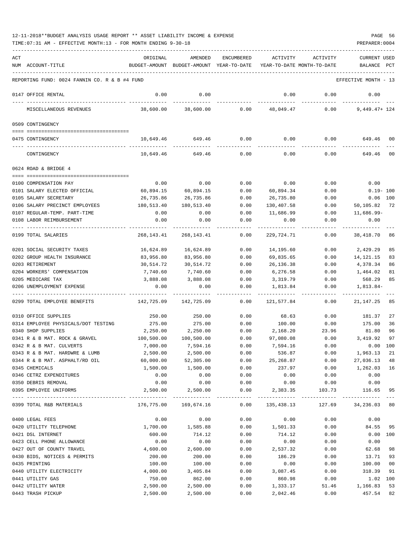| ACT |                                               | ORIGINAL               | AMENDED                                  | ENCUMBERED | ACTIVITY                   | ACTIVITY                            | <b>CURRENT USED</b>  |            |
|-----|-----------------------------------------------|------------------------|------------------------------------------|------------|----------------------------|-------------------------------------|----------------------|------------|
|     | NUM ACCOUNT-TITLE                             |                        | BUDGET-AMOUNT BUDGET-AMOUNT YEAR-TO-DATE |            | YEAR-TO-DATE MONTH-TO-DATE |                                     | BALANCE              | PCT        |
|     |                                               |                        |                                          |            |                            |                                     |                      |            |
|     | REPORTING FUND: 0024 FANNIN CO. R & B #4 FUND |                        |                                          |            |                            |                                     | EFFECTIVE MONTH - 13 |            |
|     | 0147 OFFICE RENTAL                            | 0.00                   | 0.00                                     |            | 0.00                       | 0.00                                | 0.00                 |            |
|     | MISCELLANEOUS REVENUES                        | 38,600.00              | 38,600.00                                | 0.00       | 48,049.47                  | 0.00                                | $9,449.47+124$       |            |
|     | 0509 CONTINGENCY                              |                        |                                          |            |                            |                                     |                      |            |
|     |                                               |                        |                                          |            |                            |                                     |                      |            |
|     | 0475 CONTINGENCY                              | 10,649.46              | 649.46                                   | 0.00       | 0.00                       |                                     | 0.00<br>649.46       | 00         |
|     | CONTINGENCY                                   | 10,649.46              | 649.46                                   | 0.00       | 0.00                       | 0.00                                | 649.46               | 00         |
|     | 0624 ROAD & BRIDGE 4                          |                        |                                          |            |                            |                                     |                      |            |
|     | 0100 COMPENSATION PAY                         |                        |                                          |            |                            |                                     | 0.00                 |            |
|     |                                               | 0.00                   | 0.00                                     | 0.00       | 0.00                       | 0.00                                |                      |            |
|     | 0101 SALARY ELECTED OFFICIAL                  | 60,894.15<br>26,735.86 | 60,894.15                                | 0.00       | 60,894.34                  | 0.00                                | $0.19 - 100$         |            |
|     | 0105 SALARY SECRETARY                         |                        | 26,735.86                                | 0.00       | 26,735.80                  | 0.00                                |                      | $0.06$ 100 |
|     | 0106 SALARY PRECINCT EMPLOYEES                | 180,513.40             | 180,513.40                               | 0.00       | 130,407.58                 | 0.00                                | 50,105.82 72         |            |
|     | 0107 REGULAR-TEMP. PART-TIME                  | 0.00                   | 0.00                                     | 0.00       | 11,686.99                  | 0.00                                | $11,686.99-$         |            |
|     | 0108 LABOR REIMBURSEMENT                      | 0.00                   | 0.00                                     | 0.00       | 0.00                       | 0.00                                | 0.00                 |            |
|     | 0199 TOTAL SALARIES                           | 268,143.41             | 268,143.41                               | 0.00       | 229,724.71                 | 0.00                                | 38,418.70            | 86         |
|     | 0201 SOCIAL SECURITY TAXES                    | 16,624.89              | 16,624.89                                | 0.00       | 14,195.60                  | 0.00                                | 2,429.29             | 85         |
|     | 0202 GROUP HEALTH INSURANCE                   | 83,956.80              | 83,956.80                                | 0.00       | 69,835.65                  | 0.00                                | 14,121.15            | 83         |
|     | 0203 RETIREMENT                               | 30,514.72              | 30,514.72                                | 0.00       | 26,136.38                  | 0.00                                | 4,378.34             | 86         |
|     | 0204 WORKERS' COMPENSATION                    | 7,740.60               | 7,740.60                                 | 0.00       | 6,276.58                   | 0.00                                | 1,464.02             | 81         |
|     | 0205 MEDICARE TAX                             | 3,888.08               | 3,888.08                                 | 0.00       | 3,319.79                   | 0.00                                | 568.29               | 85         |
|     | 0206 UNEMPLOYMENT EXPENSE                     | 0.00                   | 0.00                                     | 0.00       | 1,813.84                   | 0.00                                | $1,813.84-$          |            |
|     |                                               |                        |                                          |            |                            |                                     |                      |            |
|     | 0299 TOTAL EMPLOYEE BENEFITS                  | 142,725.09             | 142,725.09                               | 0.00       | 121,577.84                 | 0.00                                | 21, 147. 25          | 85         |
|     | 0310 OFFICE SUPPLIES                          | 250.00                 | 250.00                                   | 0.00       | 68.63                      | 0.00                                | 181.37               | 27         |
|     | 0314 EMPLOYEE PHYSICALS/DOT TESTING           | 275.00                 | 275.00                                   | 0.00       | 100.00                     | 0.00                                | 175.00               | 36         |
|     | 0340 SHOP SUPPLIES                            | 2,250.00               | 2,250.00                                 | 0.00       | 2,168.20                   | 23.96                               | 81.80                | 96         |
|     | 0341 R & B MAT. ROCK & GRAVEL                 | 100,500.00             | 100,500.00                               | 0.00       | 97,080.08                  | 0.00                                | 3,419.92             | 97         |
|     | 0342 R & B MAT. CULVERTS                      | 7,000.00               | 7,594.16                                 | 0.00       | 7,594.16                   | 0.00                                | 0.00                 | 100        |
|     | 0343 R & B MAT. HARDWRE & LUMB                | 2,500.00               | 2,500.00                                 | 0.00       | 536.87                     | 0.00                                | 1,963.13 21          |            |
|     | 0344 R & B MAT. ASPHALT/RD OIL                | 60,000.00              | 52,305.00                                | 0.00       | 25, 268.87                 | 0.00                                | 27,036.13            | 48         |
|     | 0345 CHEMICALS                                | 1,500.00               | 1,500.00                                 | 0.00       | 237.97                     | 0.00                                | 1,262.03             | 16         |
|     | 0346 CETRZ EXPENDITURES                       | 0.00                   | 0.00                                     | 0.00       | 0.00                       | 0.00                                | 0.00                 |            |
|     | 0350 DEBRIS REMOVAL                           | 0.00                   | 0.00                                     | 0.00       | 0.00                       | 0.00                                | 0.00                 |            |
|     | 0395 EMPLOYEE UNIFORMS                        | 2,500.00               | 2,500.00                                 | 0.00       | 2,383.35                   | 103.73                              | 116.65               | 95         |
|     | 0399 TOTAL R&B MATERIALS                      | 176,775.00             | 169,674.16                               | 0.00       | 135,438.13                 | -------------------------<br>127.69 | 34,236.03 80         |            |
|     | 0400 LEGAL FEES                               | 0.00                   | 0.00                                     | 0.00       | 0.00                       | 0.00                                | 0.00                 |            |
|     | 0420 UTILITY TELEPHONE                        | 1,700.00               | 1,585.88                                 | 0.00       | 1,501.33                   | 0.00                                | 84.55                | 95         |
|     | 0421 DSL INTERNET                             | 600.00                 | 714.12                                   | 0.00       | 714.12                     | 0.00                                |                      | 0.00 100   |
|     | 0423 CELL PHONE ALLOWANCE                     | 0.00                   | 0.00                                     | 0.00       | 0.00                       | 0.00                                | 0.00                 |            |
|     | 0427 OUT OF COUNTY TRAVEL                     | 4,600.00               | 2,600.00                                 | 0.00       | 2,537.32                   | 0.00                                | 62.68                | 98         |
|     | 0430 BIDS, NOTICES & PERMITS                  | 200.00                 | 200.00                                   | 0.00       | 186.29                     | 0.00                                | 13.71                | 93         |
|     | 0435 PRINTING                                 | 100.00                 | 100.00                                   | 0.00       | 0.00                       | 0.00                                | 100.00               | 00         |
|     | 0440 UTILITY ELECTRICITY                      | 4,000.00               | 3,405.84                                 | 0.00       | 3,087.45                   | 0.00                                | 318.39               | 91         |
|     | 0441 UTILITY GAS                              | 750.00                 | 862.00                                   | 0.00       | 860.98                     | 0.00                                |                      | 1.02 100   |
|     | 0442 UTILITY WATER                            | 2,500.00               | 2,500.00                                 | 0.00       | 1,333.17                   | 51.46                               | 1,166.83             | 53         |
|     | 0443 TRASH PICKUP                             | 2,500.00               | 2,500.00                                 | 0.00       | 2,042.46                   | 0.00                                | 457.54               | 82         |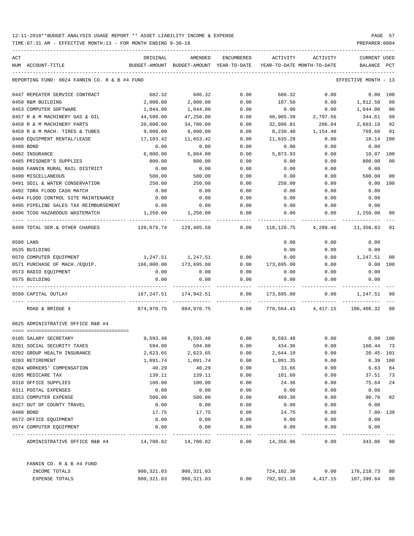TIME:07:31 AM - EFFECTIVE MONTH:13 - FOR MONTH ENDING 9-30-18 PREPARER:0004

| ACT |                                                                         | ORIGINAL          | AMENDED                                  | <b>ENCUMBERED</b> | ACTIVITY                   | ACTIVITY     | <b>CURRENT USED</b>  |                |
|-----|-------------------------------------------------------------------------|-------------------|------------------------------------------|-------------------|----------------------------|--------------|----------------------|----------------|
|     | NUM ACCOUNT-TITLE                                                       |                   | BUDGET-AMOUNT BUDGET-AMOUNT YEAR-TO-DATE |                   | YEAR-TO-DATE MONTH-TO-DATE |              | BALANCE PCT          |                |
|     | REPORTING FUND: 0024 FANNIN CO. R & B #4 FUND                           |                   |                                          |                   |                            |              | EFFECTIVE MONTH - 13 |                |
|     | 0447 REPEATER SERVICE CONTRACT                                          | 682.32            | 686.32                                   | 0.00              | 686.32                     | 0.00         | $0.00$ 100           |                |
|     | 0450 R&M BUILDING                                                       | 2,000.00          | 2,000.00                                 | 0.00              | 187.50                     | 0.00         | 1,812.50             | 09             |
|     | 0453 COMPUTER SOFTWARE                                                  | 1,044.00          | 1,044.00                                 | 0.00              | 0.00                       | 0.00         | 1,044.00             | 0 <sub>0</sub> |
|     | 0457 R & M MACHINERY GAS & OIL                                          | 44,500.00         | 47,250.00                                | 0.00              | 46,905.39                  | 2,797.56     | 344.61               | 99             |
|     | 0458 R & M MACHINERY PARTS                                              | 20,000.00         | 34,700.00                                | 0.00              | 32,096.81                  | 286.04       | 2,603.19             | 92             |
|     | 0459 R & M MACH. TIRES & TUBES                                          | 9,000.00          | 9,000.00                                 | 0.00              | 8,230.40                   | 1,154.40     | 769.60               | 91             |
|     | 0460 EQUIPMENT RENTAL/LEASE                                             | 17,103.42         | 11,653.42                                | 0.00              | 11,635.28                  | 0.00         | 18.14 100            |                |
|     | 0480 BOND                                                               | 0.00              | 0.00                                     | 0.00              | 0.00                       | 0.00         | 0.00                 |                |
|     | 0482 INSURANCE                                                          | 6,000.00          | 5,884.00                                 | 0.00              | 5,873.93                   | 0.00         | 10.07                | 100            |
|     | 0485 PRISONER'S SUPPLIES                                                | 800.00            | 800.00                                   | 0.00              | 0.00                       | 0.00         | 800.00               | 0 <sub>0</sub> |
|     | 0488 FANNIN RURAL RAIL DISTRICT                                         | 0.00              | 0.00                                     | 0.00              | 0.00                       | 0.00         | 0.00                 |                |
|     | 0490 MISCELLANEOUS                                                      | 500.00            | 500.00                                   | 0.00              | 0.00                       | 0.00         | 500.00               | 0 <sub>0</sub> |
|     | 0491 SOIL & WATER CONSERVATION                                          | 250.00            | 250.00                                   | 0.00              | 250.00                     | 0.00         | 0.00                 | 100            |
|     | 0492 TDRA FLOOD CASH MATCH                                              | 0.00              | 0.00                                     | 0.00              | 0.00                       | 0.00         | 0.00                 |                |
|     | 0494 FLOOD CONTROL SITE MAINTENANCE                                     | 0.00              | 0.00                                     | 0.00              | 0.00                       | 0.00         | 0.00                 |                |
|     | 0495 PIPELINE SALES TAX REIMBURSEMENT                                   | 0.00              | 0.00                                     | 0.00              | 0.00                       | 0.00         | 0.00                 |                |
|     | 0496 TCOG HAZARDOUS WASTEMATCH                                          | 1,250.00          | 1,250.00                                 | 0.00              | 0.00                       | 0.00         | 1,250.00             | 00             |
|     | 0499 TOTAL SER. & OTHER CHARGES                                         | 120,079.74        | 129,485.58                               | 0.00              | 118,128.75                 | 4,289.46     | 11,356.83            | 91             |
|     | 0500 LAND                                                               |                   |                                          |                   | 0.00                       | 0.00         | 0.00                 |                |
|     | 0535 BUILDING                                                           |                   |                                          |                   | 0.00                       | 0.00         | 0.00                 |                |
|     | 0570 COMPUTER EQUIPMENT                                                 | 1,247.51          | 1,247.51                                 | 0.00              | 0.00                       | 0.00         | 1,247.51             | 0 <sub>0</sub> |
|     | 0571 PURCHASE OF MACH./EQUIP.                                           | 166,000.00        | 173,695.00                               | 0.00              | 173,695.00                 | 0.00         | 0.00 100             |                |
|     | 0573 RADIO EQUIPMENT                                                    | 0.00              | 0.00                                     | 0.00              | 0.00                       | 0.00         | 0.00                 |                |
|     | 0575 BUILDING                                                           | 0.00              | 0.00                                     | 0.00<br>------    | 0.00                       | 0.00         | 0.00                 |                |
|     | 0599 CAPITAL OUTLAY                                                     | 167,247.51        | 174,942.51                               | 0.00              | 173,695.00                 | 0.00         | 1,247.51             | 99             |
|     | ROAD & BRIDGE 4                                                         | 874,970.75        | 884,970.75                               | 0.00              | 778,564.43                 | 4,417.15     | 106,406.32           | 88             |
|     | 0625 ADMINISTRATIVE OFFICE R&B #4                                       |                   |                                          |                   |                            |              |                      |                |
|     |                                                                         |                   |                                          |                   |                            |              |                      |                |
|     | 0105 SALARY SECRETARY                                                   | 9,593.48          | 9,593.48                                 | 0.00              | 9,593.48                   | 0.00         | $0.00$ $100$         |                |
|     | 0201 SOCIAL SECURITY TAXES                                              | 594.80            | 594.80                                   | 0.00              | 434.36                     | 0.00         | 160.44               | 73             |
|     | 0202 GROUP HEALTH INSURANCE<br>0203 RETIREMENT                          | 2,623.65          | 2,623.65                                 | 0.00              | 2,644.10                   | 0.00         | $20.45 - 101$        |                |
|     | 0204 WORKERS' COMPENSATION                                              | 1,091.74<br>40.29 | 1,091.74<br>40.29                        | 0.00<br>0.00      | 1,091.35                   | 0.00         | 0.39 100             | 84             |
|     | 0205 MEDICARE TAX                                                       |                   | 139.11                                   | 0.00              | 33.66<br>101.60            | 0.00<br>0.00 | 6.63<br>37.51        | 73             |
|     | 0310 OFFICE SUPPLIES                                                    | 139.11<br>100.00  | 100.00                                   | 0.00              | 24.36                      |              | 75.64                | 24             |
|     | 0311 POSTAL EXPENSES                                                    | 0.00              | 0.00                                     | 0.00              | 0.00                       | 0.00         | 0.00                 |                |
|     | 0353 COMPUTER EXPENSE                                                   | 500.00            | 500.00                                   | 0.00              | 409.30                     | 0.00<br>0.00 | 90.70                | 82             |
|     | 0427 OUT OF COUNTY TRAVEL                                               | 0.00              | 0.00                                     | 0.00              | 0.00                       |              | 0.00                 |                |
|     | 0480 BOND                                                               | 17.75             | 17.75                                    | 0.00              | 24.75                      | 0.00         | $7.00 - 139$         |                |
|     | 0572 OFFICE EQUIPMENT                                                   | 0.00              | 0.00                                     | 0.00              | 0.00                       | 0.00<br>0.00 | 0.00                 |                |
|     | 0574 COMPUTER EQUIPMENT                                                 | 0.00              | 0.00                                     | 0.00              | 0.00                       | 0.00         | 0.00                 |                |
|     | ADMINISTRATIVE OFFICE R&B #4 $14,700.82$ $14,700.82$ $0.00$ $14,356.96$ |                   |                                          |                   | ------------               | 0.00         | 343.86               | -98            |
|     | FANNIN CO. R & B #4 FUND                                                |                   |                                          |                   |                            |              |                      |                |
|     | INCOME TOTALS                                                           |                   | 900, 321.03 900, 321.03                  |                   | 724,102.30                 | 0.00         | 176,218.73           | 80             |

EXPENSE TOTALS 900,321.03 900,321.03 0.00 792,921.39 4,417.15 107,399.64 88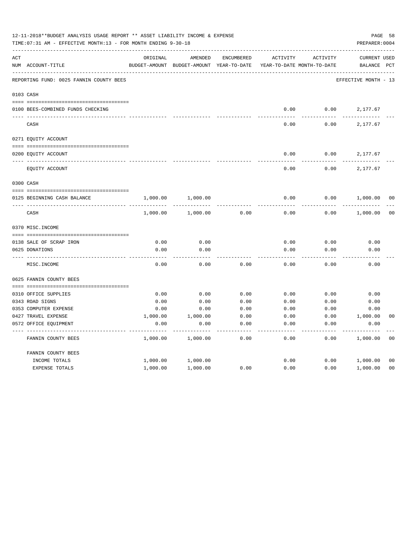|     | 12-11-2018**BUDGET ANALYSIS USAGE REPORT ** ASSET LIABILITY INCOME & EXPENSE<br>TIME: 07:31 AM - EFFECTIVE MONTH: 13 - FOR MONTH ENDING 9-30-18 |          |                                          |                   |                            |          |                      |                |  |  |
|-----|-------------------------------------------------------------------------------------------------------------------------------------------------|----------|------------------------------------------|-------------------|----------------------------|----------|----------------------|----------------|--|--|
| ACT |                                                                                                                                                 | ORIGINAL | AMENDED                                  | <b>ENCUMBERED</b> | <b>ACTIVITY</b>            | ACTIVITY | <b>CURRENT USED</b>  |                |  |  |
|     | NUM ACCOUNT-TITLE                                                                                                                               |          | BUDGET-AMOUNT BUDGET-AMOUNT YEAR-TO-DATE |                   | YEAR-TO-DATE MONTH-TO-DATE |          | BALANCE PCT          |                |  |  |
|     | REPORTING FUND: 0025 FANNIN COUNTY BEES                                                                                                         |          |                                          |                   |                            |          | EFFECTIVE MONTH - 13 |                |  |  |
|     | 0103 CASH                                                                                                                                       |          |                                          |                   |                            |          |                      |                |  |  |
|     |                                                                                                                                                 |          |                                          |                   |                            |          |                      |                |  |  |
|     | 0100 BEES-COMBINED FUNDS CHECKING                                                                                                               |          |                                          |                   | 0.00                       | 0.00     | 2,177.67             |                |  |  |
|     | CASH                                                                                                                                            |          |                                          |                   | 0.00                       | 0.00     | 2,177.67             |                |  |  |
|     | 0271 EQUITY ACCOUNT                                                                                                                             |          |                                          |                   |                            |          |                      |                |  |  |
|     |                                                                                                                                                 |          |                                          |                   |                            |          |                      |                |  |  |
|     | 0200 EQUITY ACCOUNT                                                                                                                             |          |                                          |                   | 0.00                       | 0.00     | 2,177.67             |                |  |  |
|     | EQUITY ACCOUNT                                                                                                                                  |          |                                          |                   | 0.00                       | 0.00     | 2,177.67             |                |  |  |
|     | 0300 CASH                                                                                                                                       |          |                                          |                   |                            |          |                      |                |  |  |
|     |                                                                                                                                                 |          |                                          |                   |                            |          |                      |                |  |  |
|     | 0125 BEGINNING CASH BALANCE                                                                                                                     | 1,000.00 | 1,000.00                                 |                   | 0.00                       | 0.00     | 1,000.00             | 00             |  |  |
|     | CASH                                                                                                                                            | 1,000.00 | 1,000.00                                 | 0.00              | 0.00                       | 0.00     | 1,000.00             | 0 <sub>0</sub> |  |  |
|     | 0370 MISC. INCOME                                                                                                                               |          |                                          |                   |                            |          |                      |                |  |  |
|     |                                                                                                                                                 |          |                                          |                   |                            |          |                      |                |  |  |
|     | 0138 SALE OF SCRAP IRON                                                                                                                         | 0.00     | 0.00                                     |                   | 0.00                       | 0.00     | 0.00                 |                |  |  |
|     | 0625 DONATIONS                                                                                                                                  | 0.00     | 0.00                                     |                   | 0.00                       | 0.00     | 0.00                 |                |  |  |
|     | MISC. INCOME                                                                                                                                    | 0.00     | 0.00                                     | 0.00              | 0.00                       | 0.00     | 0.00                 |                |  |  |
|     | 0625 FANNIN COUNTY BEES                                                                                                                         |          |                                          |                   |                            |          |                      |                |  |  |
|     |                                                                                                                                                 |          |                                          |                   |                            |          |                      |                |  |  |
|     | 0310 OFFICE SUPPLIES                                                                                                                            | 0.00     | 0.00                                     | 0.00              | 0.00                       | 0.00     | 0.00                 |                |  |  |
|     | 0343 ROAD SIGNS                                                                                                                                 | 0.00     | 0.00                                     | 0.00              | 0.00                       | 0.00     | 0.00                 |                |  |  |
|     | 0353 COMPUTER EXPENSE                                                                                                                           | 0.00     | 0.00                                     | 0.00              | 0.00                       | 0.00     | 0.00                 |                |  |  |
|     | 0427 TRAVEL EXPENSE                                                                                                                             | 1,000.00 | 1,000.00                                 | 0.00              | 0.00                       | 0.00     | 1,000.00             | 0 <sub>0</sub> |  |  |
|     | 0572 OFFICE EQUIPMENT                                                                                                                           | 0.00     | 0.00                                     | 0.00              | 0.00                       | 0.00     | 0.00                 |                |  |  |
|     | FANNIN COUNTY BEES                                                                                                                              | 1,000.00 | 1,000.00                                 | 0.00              | 0.00                       | 0.00     | 1,000.00             | 0 <sub>0</sub> |  |  |
|     | FANNIN COUNTY BEES                                                                                                                              |          |                                          |                   |                            |          |                      |                |  |  |
|     | INCOME TOTALS                                                                                                                                   | 1,000.00 | 1,000.00                                 |                   | 0.00                       | 0.00     | 1,000.00             | 0 <sub>0</sub> |  |  |
|     | EXPENSE TOTALS                                                                                                                                  | 1,000.00 | 1,000.00                                 | 0.00              | 0.00                       | 0.00     | 1,000.00             | 0 <sub>0</sub> |  |  |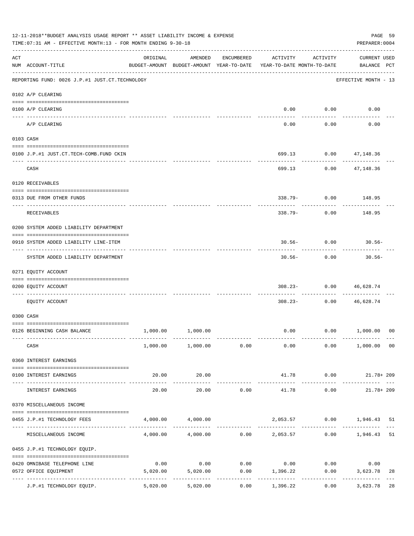|     | 12-11-2018**BUDGET ANALYSIS USAGE REPORT ** ASSET LIABILITY INCOME & EXPENSE<br>TIME: 07:31 AM - EFFECTIVE MONTH: 13 - FOR MONTH ENDING 9-30-18 |                                                                                 |                                                           |            |                                    |                                | PAGE 59<br>PREPARER: 0004           |    |
|-----|-------------------------------------------------------------------------------------------------------------------------------------------------|---------------------------------------------------------------------------------|-----------------------------------------------------------|------------|------------------------------------|--------------------------------|-------------------------------------|----|
| ACT | NUM ACCOUNT-TITLE                                                                                                                               | ORIGINAL<br>BUDGET-AMOUNT BUDGET-AMOUNT YEAR-TO-DATE YEAR-TO-DATE MONTH-TO-DATE | AMENDED                                                   | ENCUMBERED | ACTIVITY                           | ACTIVITY                       | <b>CURRENT USED</b><br>BALANCE PCT  |    |
|     | REPORTING FUND: 0026 J.P.#1 JUST.CT.TECHNOLOGY                                                                                                  |                                                                                 |                                                           |            |                                    |                                | EFFECTIVE MONTH - 13                |    |
|     | 0102 A/P CLEARING                                                                                                                               |                                                                                 |                                                           |            |                                    |                                |                                     |    |
|     | 0100 A/P CLEARING<br>---- ---------                                                                                                             |                                                                                 |                                                           |            |                                    | $0.00$ 0.00                    | 0.00                                |    |
|     | A/P CLEARING                                                                                                                                    |                                                                                 |                                                           |            | 0.00                               | 0.00                           | 0.00                                |    |
|     | 0103 CASH                                                                                                                                       |                                                                                 |                                                           |            |                                    |                                |                                     |    |
|     | 0100 J.P.#1 JUST.CT.TECH-COMB.FUND CKIN                                                                                                         |                                                                                 |                                                           |            | 699.13                             |                                | $0.00$ $47,148.36$<br>. <u>.</u> .  |    |
|     | CASH                                                                                                                                            |                                                                                 |                                                           |            | 699.13                             |                                | $0.00$ $47,148.36$                  |    |
|     | 0120 RECEIVABLES                                                                                                                                |                                                                                 |                                                           |            |                                    |                                |                                     |    |
|     | 0313 DUE FROM OTHER FUNDS                                                                                                                       |                                                                                 |                                                           |            |                                    | ------------                   | 338.79- 0.00 148.95<br>-----------  |    |
|     | RECEIVABLES                                                                                                                                     |                                                                                 |                                                           |            | 338.79-                            | 0.00                           | 148.95                              |    |
|     | 0200 SYSTEM ADDED LIABILITY DEPARTMENT                                                                                                          |                                                                                 |                                                           |            |                                    |                                |                                     |    |
|     | 0910 SYSTEM ADDED LIABILITY LINE-ITEM                                                                                                           |                                                                                 |                                                           |            |                                    | $30.56 - 0.00$<br>.            | $30.56-$<br>---------               |    |
|     | SYSTEM ADDED LIABILITY DEPARTMENT                                                                                                               |                                                                                 |                                                           |            | $30.56 -$                          | 0.00                           | $30.56 -$                           |    |
|     | 0271 EQUITY ACCOUNT                                                                                                                             |                                                                                 |                                                           |            |                                    |                                |                                     |    |
|     | 0200 EQUITY ACCOUNT<br>------------------- -------                                                                                              |                                                                                 |                                                           |            |                                    | $308.23 - 0.00$<br>----------- | 46,628.74                           |    |
|     | EQUITY ACCOUNT                                                                                                                                  |                                                                                 |                                                           |            | $308.23 -$                         | 0.00                           | 46,628.74                           |    |
|     | 0300 CASH                                                                                                                                       |                                                                                 |                                                           |            |                                    |                                |                                     |    |
|     | 0126 BEGINNING CASH BALANCE                                                                                                                     |                                                                                 | 1,000.00 1,000.00                                         |            |                                    |                                | $0.00$ $0.00$ $1,000.00$ 00         |    |
|     | CASH                                                                                                                                            |                                                                                 | $1,000.00$ $1,000.00$ 0.00                                |            | 0.00                               |                                | $0.00$ 1,000.00 00                  |    |
|     | 0360 INTEREST EARNINGS                                                                                                                          |                                                                                 |                                                           |            |                                    |                                |                                     |    |
|     | 0100 INTEREST EARNINGS<br>------------------- --------------                                                                                    | 20.00                                                                           | 20.00<br>-------------                                    |            | _______________                    | ------------                   | 41.78 0.00 21.78+209<br>----------- |    |
|     | INTEREST EARNINGS                                                                                                                               | 20.00                                                                           | 20.00                                                     | 0.00       | 41.78                              | 0.00                           | $21.78 + 209$                       |    |
|     | 0370 MISCELLANEOUS INCOME                                                                                                                       |                                                                                 |                                                           |            |                                    |                                |                                     |    |
|     | 0455 J.P.#1 TECHNOLOGY FEES                                                                                                                     |                                                                                 | 4,000.00 4,000.00                                         |            |                                    | -----------                    | 2,053.57 0.00 1,946.43 51           |    |
|     | MISCELLANEOUS INCOME                                                                                                                            |                                                                                 | $4,000.00$ $4,000.00$ $0.00$ $2,053.57$ $0.00$ $1,946.43$ |            |                                    |                                |                                     | 51 |
|     | 0455 J.P.#1 TECHNOLOGY EQUIP.                                                                                                                   |                                                                                 |                                                           |            |                                    |                                |                                     |    |
|     | 0420 OMNIBASE TELEPHONE LINE                                                                                                                    | 0.00                                                                            |                                                           |            | $0.00$ $0.00$ $0.00$ $0.00$ $0.00$ |                                | 0.00                                |    |
|     | 0572 OFFICE EQUIPMENT                                                                                                                           | 5,020.00                                                                        | 5,020.00                                                  | ---------- | $0.00$ 1,396.22<br>-----------     | -----------                    | 0.00<br>3,623.78<br>------------    | 28 |
|     | J.P.#1 TECHNOLOGY EQUIP.                                                                                                                        | 5,020.00                                                                        | 5,020.00                                                  | 0.00       | 1,396.22                           |                                | 0.00<br>3,623.78                    | 28 |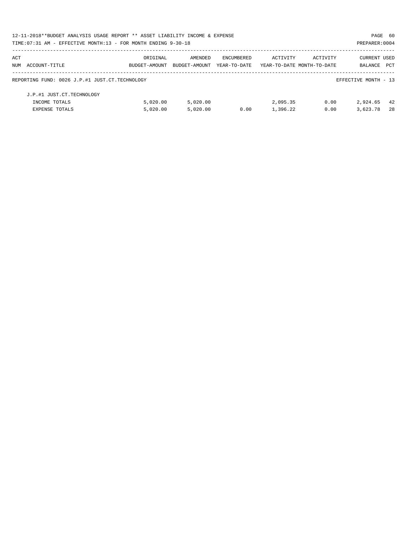| 12-11-2018**BUDGET ANALYSIS USAGE REPORT ** ASSET LIABILITY INCOME & EXPENSE |               |               |              |                            |          | PAGE 60              |     |
|------------------------------------------------------------------------------|---------------|---------------|--------------|----------------------------|----------|----------------------|-----|
| TIME: 07:31 AM - EFFECTIVE MONTH: 13 - FOR MONTH ENDING 9-30-18              |               |               |              |                            |          | PREPARER: 0004       |     |
| ACT                                                                          | ORIGINAL      | AMENDED       | ENCUMBERED   | ACTIVITY                   | ACTIVITY | <b>CURRENT USED</b>  |     |
| NUM ACCOUNT-TITLE                                                            | BUDGET-AMOUNT | BUDGET-AMOUNT | YEAR-TO-DATE | YEAR-TO-DATE MONTH-TO-DATE |          | BALANCE              | PCT |
| REPORTING FUND: 0026 J.P.#1 JUST.CT.TECHNOLOGY                               |               |               |              |                            |          | EFFECTIVE MONTH - 13 |     |
| J.P.#1 JUST.CT.TECHNOLOGY                                                    |               |               |              |                            |          |                      |     |
| INCOME TOTALS                                                                | 5.020.00      | 5.020.00      |              | 2,095.35                   | 0.00     | 2,924.65             | -42 |
| <b>EXPENSE TOTALS</b>                                                        | 5.020.00      | 5.020.00      | 0.00         | 1,396.22                   | 0.00     | 3,623.78             | 28  |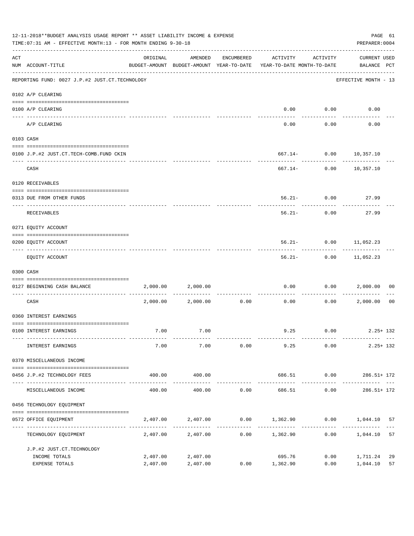|     | 12-11-2018**BUDGET ANALYSIS USAGE REPORT ** ASSET LIABILITY INCOME & EXPENSE<br>TIME: 07:31 AM - EFFECTIVE MONTH: 13 - FOR MONTH ENDING 9-30-18 |                      |                      |            |                                                                                 |               |                                    |                |  |  |
|-----|-------------------------------------------------------------------------------------------------------------------------------------------------|----------------------|----------------------|------------|---------------------------------------------------------------------------------|---------------|------------------------------------|----------------|--|--|
| ACT | NUM ACCOUNT-TITLE                                                                                                                               | ORIGINAL             | AMENDED              | ENCUMBERED | ACTIVITY<br>BUDGET-AMOUNT BUDGET-AMOUNT YEAR-TO-DATE YEAR-TO-DATE MONTH-TO-DATE | ACTIVITY      | <b>CURRENT USED</b><br>BALANCE PCT |                |  |  |
|     | REPORTING FUND: 0027 J.P.#2 JUST.CT.TECHNOLOGY                                                                                                  |                      |                      |            |                                                                                 |               | EFFECTIVE MONTH - 13               |                |  |  |
|     | 0102 A/P CLEARING                                                                                                                               |                      |                      |            |                                                                                 |               |                                    |                |  |  |
|     | 0100 A/P CLEARING<br>---- -------                                                                                                               |                      |                      |            | 0.00                                                                            | 0.00          | 0.00                               |                |  |  |
|     | A/P CLEARING                                                                                                                                    |                      |                      |            | 0.00                                                                            | 0.00          | 0.00                               |                |  |  |
|     | 0103 CASH                                                                                                                                       |                      |                      |            |                                                                                 |               |                                    |                |  |  |
|     | 0100 J.P.#2 JUST.CT.TECH-COMB.FUND CKIN                                                                                                         |                      |                      |            |                                                                                 |               | 667.14- 0.00 10,357.10             |                |  |  |
|     | CASH                                                                                                                                            |                      |                      |            | 667.14- 0.00                                                                    | -----------   | 10,357.10                          |                |  |  |
|     | 0120 RECEIVABLES                                                                                                                                |                      |                      |            |                                                                                 |               |                                    |                |  |  |
|     | 0313 DUE FROM OTHER FUNDS                                                                                                                       |                      |                      |            |                                                                                 |               | $56.21 - 0.00$ 27.99               |                |  |  |
|     | RECEIVABLES                                                                                                                                     |                      |                      |            | $56.21 -$                                                                       | 0.00          | 27.99                              |                |  |  |
|     | 0271 EQUITY ACCOUNT                                                                                                                             |                      |                      |            |                                                                                 |               |                                    |                |  |  |
|     | 0200 EQUITY ACCOUNT                                                                                                                             |                      |                      |            |                                                                                 |               | 56.21- 0.00 11,052.23              |                |  |  |
|     | EQUITY ACCOUNT                                                                                                                                  |                      |                      |            | $56.21 -$                                                                       |               | $0.00$ 11,052.23                   |                |  |  |
|     | 0300 CASH                                                                                                                                       |                      |                      |            |                                                                                 |               |                                    |                |  |  |
|     | 0127 BEGINNING CASH BALANCE                                                                                                                     | 2,000.00             | 2,000.00             |            | 0.00                                                                            | 0.00          | 2,000.00                           | 00             |  |  |
|     | CASH                                                                                                                                            |                      | 2,000.00 2,000.00    | 0.00       | 0.00                                                                            | 0.00          | 2,000.00                           | 0 <sub>0</sub> |  |  |
|     | 0360 INTEREST EARNINGS                                                                                                                          |                      |                      |            |                                                                                 |               |                                    |                |  |  |
|     | 0100 INTEREST EARNINGS                                                                                                                          | 7.00                 | 7.00                 |            |                                                                                 |               | $9.25$ 0.00 2.25+132               |                |  |  |
|     | INTEREST EARNINGS                                                                                                                               | 7.00                 | 7.00                 |            | $0.00$ 9.25                                                                     | 0.00          | $2.25 + 132$                       |                |  |  |
|     | 0370 MISCELLANEOUS INCOME                                                                                                                       |                      |                      |            |                                                                                 |               |                                    |                |  |  |
|     | 0456 J.P.#2 TECHNOLOGY FEES                                                                                                                     | 400.00               | 400.00               |            | 686.51 0.00                                                                     |               | 286.51+ 172                        |                |  |  |
|     | MISCELLANEOUS INCOME                                                                                                                            | 400.00               | 400.00               |            | 0.00<br>686.51                                                                  | 0.00          | $286.51 + 172$                     |                |  |  |
|     | 0456 TECHNOLOGY EQUIPMENT                                                                                                                       |                      |                      |            |                                                                                 |               |                                    |                |  |  |
|     | 0572 OFFICE EQUIPMENT                                                                                                                           |                      | 2,407.00 2,407.00    |            | $0.00$ $1,362.90$ $0.00$ $1,044.10$                                             |               |                                    | 57             |  |  |
|     | TECHNOLOGY EQUIPMENT                                                                                                                            |                      | 2,407.00 2,407.00    | 0.00       | 1,362.90 0.00                                                                   | ------------- | 1,044.10                           | 57             |  |  |
|     | J.P.#2 JUST.CT.TECHNOLOGY                                                                                                                       |                      |                      |            |                                                                                 |               |                                    |                |  |  |
|     | INCOME TOTALS<br>EXPENSE TOTALS                                                                                                                 | 2,407.00<br>2,407.00 | 2,407.00<br>2,407.00 | 0.00       | 695.76<br>1,362.90                                                              | 0.00<br>0.00  | 1,711.24<br>1,044.10               | 29<br>57       |  |  |
|     |                                                                                                                                                 |                      |                      |            |                                                                                 |               |                                    |                |  |  |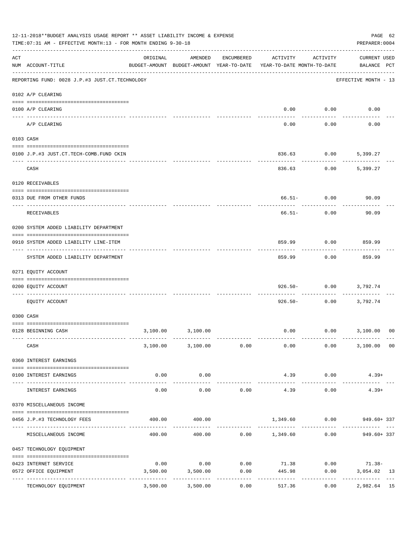|                    | 12-11-2018**BUDGET ANALYSIS USAGE REPORT ** ASSET LIABILITY INCOME & EXPENSE<br>TIME: 07:31 AM - EFFECTIVE MONTH: 13 - FOR MONTH ENDING 9-30-18 |                                                                                 |                        |                     |                        |                                | PAGE 62<br>PREPARER: 0004                      |    |
|--------------------|-------------------------------------------------------------------------------------------------------------------------------------------------|---------------------------------------------------------------------------------|------------------------|---------------------|------------------------|--------------------------------|------------------------------------------------|----|
| $\mathop{\rm ACT}$ | NUM ACCOUNT-TITLE                                                                                                                               | ORIGINAL<br>BUDGET-AMOUNT BUDGET-AMOUNT YEAR-TO-DATE YEAR-TO-DATE MONTH-TO-DATE | AMENDED                | ENCUMBERED          | ACTIVITY               | ACTIVITY                       | <b>CURRENT USED</b><br>BALANCE PCT             |    |
|                    | REPORTING FUND: 0028 J.P.#3 JUST.CT.TECHNOLOGY                                                                                                  |                                                                                 |                        |                     |                        |                                | EFFECTIVE MONTH - 13                           |    |
|                    | 0102 A/P CLEARING                                                                                                                               |                                                                                 |                        |                     |                        |                                |                                                |    |
|                    | 0100 A/P CLEARING                                                                                                                               |                                                                                 |                        |                     |                        | $0.00$ 0.00                    | 0.00                                           |    |
|                    | ---- --------<br>A/P CLEARING                                                                                                                   |                                                                                 |                        |                     | 0.00                   | 0.00                           | 0.00                                           |    |
|                    | 0103 CASH                                                                                                                                       |                                                                                 |                        |                     |                        |                                |                                                |    |
|                    | 0100 J.P.#3 JUST.CT.TECH-COMB.FUND CKIN                                                                                                         |                                                                                 |                        |                     | 836.63                 | 0.00                           | 5,399.27                                       |    |
|                    | CASH                                                                                                                                            |                                                                                 |                        |                     | 836.63                 | 0.00                           | 5,399.27                                       |    |
|                    | 0120 RECEIVABLES                                                                                                                                |                                                                                 |                        |                     |                        |                                |                                                |    |
|                    | 0313 DUE FROM OTHER FUNDS                                                                                                                       |                                                                                 |                        |                     |                        | $66.51 - 0.00$<br>-----------  | 90.09                                          |    |
|                    | RECEIVABLES                                                                                                                                     |                                                                                 |                        |                     | 66.51-                 | 0.00                           | 90.09                                          |    |
|                    | 0200 SYSTEM ADDED LIABILITY DEPARTMENT                                                                                                          |                                                                                 |                        |                     |                        |                                |                                                |    |
|                    | 0910 SYSTEM ADDED LIABILITY LINE-ITEM                                                                                                           |                                                                                 |                        |                     | 859.99                 | 0.00<br>.                      | 859.99<br>. <u>.</u>                           |    |
|                    | SYSTEM ADDED LIABILITY DEPARTMENT                                                                                                               |                                                                                 |                        |                     | 859.99                 | 0.00                           | 859.99                                         |    |
|                    | 0271 EQUITY ACCOUNT                                                                                                                             |                                                                                 |                        |                     |                        |                                |                                                |    |
|                    | 0200 EQUITY ACCOUNT<br>------------------ -----                                                                                                 |                                                                                 |                        |                     |                        | $926.50 - 0.00$<br>----------- | 3,792.74                                       |    |
|                    | EQUITY ACCOUNT                                                                                                                                  |                                                                                 |                        |                     | 926.50-                | 0.00                           | 3,792.74                                       |    |
|                    | 0300 CASH                                                                                                                                       |                                                                                 |                        |                     |                        |                                |                                                |    |
|                    | 0128 BEGINNING CASH                                                                                                                             |                                                                                 | 3,100.00 3,100.00      |                     |                        |                                | $0.00$ $0.00$ $3,100.00$ 00                    |    |
|                    | CASH                                                                                                                                            |                                                                                 | 3,100.00 3,100.00 0.00 |                     | 0.00                   |                                | 0.00<br>3,100.00 00                            |    |
|                    | 0360 INTEREST EARNINGS                                                                                                                          |                                                                                 |                        |                     |                        |                                |                                                |    |
|                    | 0100 INTEREST EARNINGS                                                                                                                          | 0.00                                                                            | 0.00<br>-----------    |                     | 4.39<br>-------------- | 0.00<br>-----------            | $4.39+$                                        |    |
|                    | INTEREST EARNINGS                                                                                                                               | 0.00                                                                            | 0.00                   | 0.00                | 4.39                   | 0.00                           | $4.39+$                                        |    |
|                    | 0370 MISCELLANEOUS INCOME                                                                                                                       |                                                                                 |                        |                     |                        |                                |                                                |    |
|                    | 0456 J.P.#3 TECHNOLOGY FEES                                                                                                                     | 400.00                                                                          | 400.00                 |                     |                        |                                | 1,349.60 0.00 949.60+337                       |    |
|                    | MISCELLANEOUS INCOME                                                                                                                            |                                                                                 | 400.00                 |                     |                        |                                | $400.00$ $0.00$ $1,349.60$ $0.00$ $949.60+337$ |    |
|                    | 0457 TECHNOLOGY EQUIPMENT                                                                                                                       |                                                                                 |                        |                     |                        |                                |                                                |    |
|                    | 0423 INTERNET SERVICE                                                                                                                           | 0.00                                                                            |                        |                     |                        |                                | $0.00$ $0.00$ $71.38$ $0.00$ $71.38$ $1.38$    |    |
|                    | 0572 OFFICE EQUIPMENT<br>----------------- -------------                                                                                        | 3,500.00                                                                        | 3,500.00               | 0.00<br>----------- | 445.98                 | ----------                     | 0.00<br>3,054.02 13<br>.                       |    |
|                    | TECHNOLOGY EQUIPMENT                                                                                                                            | 3,500.00                                                                        | 3,500.00               | 0.00                | 517.36                 | 0.00                           | 2,982.64                                       | 15 |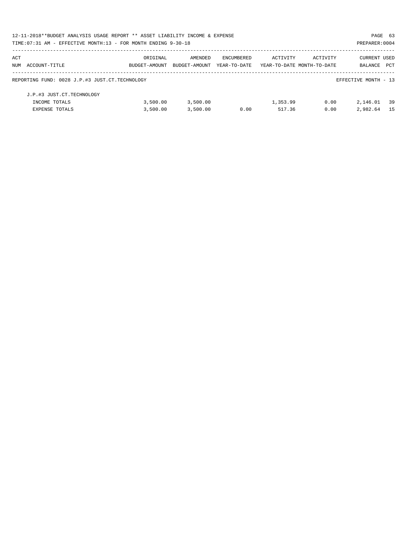| 12-11-2018**BUDGET ANALYSIS USAGE REPORT ** ASSET LIABILITY INCOME & EXPENSE |               |               |              |                            |          | PAGE 63              |            |
|------------------------------------------------------------------------------|---------------|---------------|--------------|----------------------------|----------|----------------------|------------|
| TIME: 07:31 AM - EFFECTIVE MONTH: 13 - FOR MONTH ENDING 9-30-18              |               |               |              |                            |          | PREPARER: 0004       |            |
| ACT                                                                          | ORIGINAL      | AMENDED       | ENCUMBERED   | ACTIVITY                   | ACTIVITY | <b>CURRENT USED</b>  |            |
| NUM ACCOUNT-TITLE                                                            | BUDGET-AMOUNT | BUDGET-AMOUNT | YEAR-TO-DATE | YEAR-TO-DATE MONTH-TO-DATE |          | BALANCE              | <b>PCT</b> |
| REPORTING FUND: 0028 J.P.#3 JUST.CT.TECHNOLOGY                               |               |               |              |                            |          | EFFECTIVE MONTH - 13 |            |
| J.P.#3 JUST.CT.TECHNOLOGY                                                    |               |               |              |                            |          |                      |            |
| INCOME TOTALS                                                                | 3.500.00      | 3,500.00      |              | 1,353.99                   | 0.00     | 2,146.01             | 39         |
| <b>EXPENSE TOTALS</b>                                                        | 3,500.00      | 3,500.00      | 0.00         | 517.36                     | 0.00     | 2,982.64             | -15        |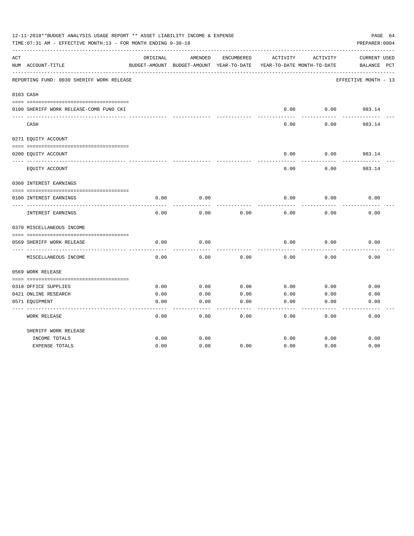|     | 12-11-2018**BUDGET ANALYSIS USAGE REPORT ** ASSET LIABILITY INCOME & EXPENSE<br>TIME: 07:31 AM - EFFECTIVE MONTH: 13 - FOR MONTH ENDING 9-30-18 |          |                                          |            |          |                            | PAGE 64<br>PREPARER: 0004 |
|-----|-------------------------------------------------------------------------------------------------------------------------------------------------|----------|------------------------------------------|------------|----------|----------------------------|---------------------------|
| ACT |                                                                                                                                                 | ORIGINAL | AMENDED                                  | ENCUMBERED | ACTIVITY | ACTIVITY                   | CURRENT USED              |
|     | NUM ACCOUNT-TITLE                                                                                                                               |          | BUDGET-AMOUNT BUDGET-AMOUNT YEAR-TO-DATE |            |          | YEAR-TO-DATE MONTH-TO-DATE | BALANCE<br>$_{\rm PCT}$   |
|     | REPORTING FUND: 0030 SHERIFF WORK RELEASE                                                                                                       |          |                                          |            |          |                            | EFFECTIVE MONTH - 13      |
|     | 0103 CASH                                                                                                                                       |          |                                          |            |          |                            |                           |
|     | 0100 SHERIFF WORK RELEASE-COMB FUND CKI                                                                                                         |          |                                          |            | 0.00     | 0.00                       | 983.14                    |
|     | CASH                                                                                                                                            |          |                                          |            | 0.00     | 0.00                       | 983.14                    |
|     | 0271 EQUITY ACCOUNT                                                                                                                             |          |                                          |            |          |                            |                           |
|     | 0200 EQUITY ACCOUNT                                                                                                                             |          |                                          |            | 0.00     | 0.00                       | 983.14                    |
|     | EQUITY ACCOUNT                                                                                                                                  |          |                                          |            | 0.00     | 0.00                       | 983.14                    |
|     | 0360 INTEREST EARNINGS                                                                                                                          |          |                                          |            |          |                            |                           |
|     | 0100 INTEREST EARNINGS                                                                                                                          | 0.00     | 0.00                                     |            | 0.00     | 0.00                       | 0.00                      |
|     | INTEREST EARNINGS                                                                                                                               | 0.00     | 0.00                                     | 0.00       | 0.00     | 0.00                       | 0.00                      |
|     | 0370 MISCELLANEOUS INCOME                                                                                                                       |          |                                          |            |          |                            |                           |
|     |                                                                                                                                                 |          |                                          |            |          |                            |                           |
|     | 0569 SHERIFF WORK RELEASE<br>-----------                                                                                                        | 0.00     | 0.00                                     |            | 0.00     | 0.00                       | 0.00                      |
|     | MISCELLANEOUS INCOME                                                                                                                            | 0.00     | 0.00                                     | 0.00       | 0.00     | 0.00                       | 0.00                      |
|     | 0569 WORK RELEASE                                                                                                                               |          |                                          |            |          |                            |                           |
|     |                                                                                                                                                 |          |                                          |            |          |                            |                           |
|     | 0310 OFFICE SUPPLIES                                                                                                                            | 0.00     | 0.00                                     | 0.00       | 0.00     | 0.00                       | 0.00                      |
|     | 0421 ONLINE RESEARCH                                                                                                                            | 0.00     | 0.00                                     | 0.00       | 0.00     | 0.00                       | 0.00                      |
|     | 0571 EQUIPMENT                                                                                                                                  | 0.00     | 0.00                                     | 0.00       | 0.00     | 0.00                       | 0.00                      |
|     | <b>WORK RELEASE</b>                                                                                                                             | 0.00     | 0.00                                     | 0.00       | 0.00     | 0.00                       | 0.00                      |
|     | SHERIFF WORK RELEASE                                                                                                                            |          |                                          |            |          |                            |                           |
|     | INCOME TOTALS                                                                                                                                   | 0.00     | 0.00                                     |            | 0.00     | 0.00                       | 0.00                      |
|     | <b>EXPENSE TOTALS</b>                                                                                                                           | 0.00     | 0.00                                     | 0.00       | 0.00     | 0.00                       | 0.00                      |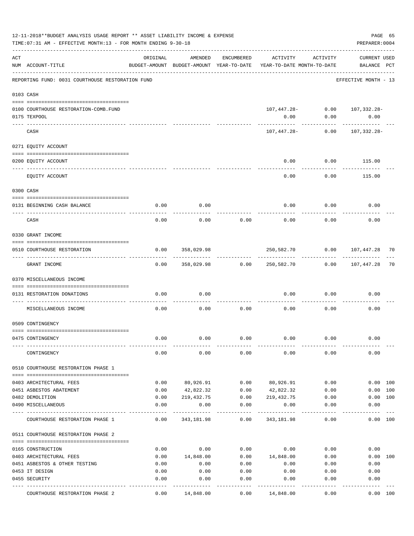|     | 12-11-2018**BUDGET ANALYSIS USAGE REPORT ** ASSET LIABILITY INCOME & EXPENSE<br>TIME: 07:31 AM - EFFECTIVE MONTH: 13 - FOR MONTH ENDING 9-30-18 |          |            |                   |                                                                                 |          | PAGE 65<br>PREPARER: 0004          |    |
|-----|-------------------------------------------------------------------------------------------------------------------------------------------------|----------|------------|-------------------|---------------------------------------------------------------------------------|----------|------------------------------------|----|
| ACT | NUM ACCOUNT-TITLE                                                                                                                               | ORIGINAL | AMENDED    | ENCUMBERED        | ACTIVITY<br>BUDGET-AMOUNT BUDGET-AMOUNT YEAR-TO-DATE YEAR-TO-DATE MONTH-TO-DATE | ACTIVITY | <b>CURRENT USED</b><br>BALANCE PCT |    |
|     | REPORTING FUND: 0031 COURTHOUSE RESTORATION FUND                                                                                                |          |            |                   |                                                                                 |          | EFFECTIVE MONTH - 13               |    |
|     | 0103 CASH                                                                                                                                       |          |            |                   |                                                                                 |          |                                    |    |
|     |                                                                                                                                                 |          |            |                   |                                                                                 |          |                                    |    |
|     | 0100 COURTHOUSE RESTORATION-COMB.FUND<br>0175 TEXPOOL                                                                                           |          |            |                   | 107,447.28- 0.00 107,332.28-<br>0.00                                            | 0.00     | 0.00                               |    |
|     | CASH                                                                                                                                            |          |            |                   | 107,447.28-                                                                     | 0.00     | 107,332.28-                        |    |
|     | 0271 EQUITY ACCOUNT                                                                                                                             |          |            |                   |                                                                                 |          |                                    |    |
|     | 0200 EQUITY ACCOUNT                                                                                                                             |          |            |                   | 0.00                                                                            | 0.00     | 115.00                             |    |
|     | EQUITY ACCOUNT                                                                                                                                  |          |            |                   | 0.00                                                                            | 0.00     | 115.00                             |    |
|     | 0300 CASH                                                                                                                                       |          |            |                   |                                                                                 |          |                                    |    |
|     | 0131 BEGINNING CASH BALANCE                                                                                                                     | 0.00     | 0.00       |                   | 0.00                                                                            | 0.00     | 0.00                               |    |
|     | ------------------------------                                                                                                                  |          |            |                   |                                                                                 |          |                                    |    |
|     | CASH                                                                                                                                            | 0.00     | 0.00       | 0.00              | 0.00                                                                            | 0.00     | 0.00                               |    |
|     | 0330 GRANT INCOME                                                                                                                               |          |            |                   |                                                                                 |          |                                    |    |
|     | 0510 COURTHOUSE RESTORATION                                                                                                                     | 0.00     | 358,029.98 |                   | 250,582.70                                                                      | 0.00     | 107,447.28                         | 70 |
|     | GRANT INCOME                                                                                                                                    | 0.00     | 358,029.98 | 0.00              | 250,582.70                                                                      | 0.00     | 107,447.28                         | 70 |
|     | 0370 MISCELLANEOUS INCOME                                                                                                                       |          |            |                   |                                                                                 |          |                                    |    |
|     | 0131 RESTORATION DONATIONS                                                                                                                      | 0.00     | 0.00       |                   | 0.00                                                                            | 0.00     | 0.00                               |    |
|     | MISCELLANEOUS INCOME                                                                                                                            | 0.00     | 0.00       | 0.00              | 0.00                                                                            | 0.00     | 0.00                               |    |
|     | 0509 CONTINGENCY                                                                                                                                |          |            |                   |                                                                                 |          |                                    |    |
|     | 0475 CONTINGENCY                                                                                                                                | 0.00     | 0.00       | 0.00              | 0.00                                                                            | 0.00     | 0.00                               |    |
|     | CONTINGENCY                                                                                                                                     | 0.00     | 0.00       | 0.00              | 0.00                                                                            | 0.00     | 0.00                               |    |
|     | 0510 COURTHOUSE RESTORATION PHASE 1                                                                                                             |          |            |                   |                                                                                 |          |                                    |    |
|     | 0403 ARCHITECTURAL FEES                                                                                                                         | 0.00     | 80,926.91  | 0.00              | 80,926.91                                                                       | 0.00     | 0.00 100                           |    |
|     | 0451 ASBESTOS ABATEMENT                                                                                                                         | 0.00     | 42,822.32  | 0.00              | 42,822.32                                                                       | 0.00     | 0.00 100                           |    |
|     | 0482 DEMOLITION                                                                                                                                 | 0.00     | 219,432.75 | 0.00              | 219,432.75                                                                      | 0.00     | 0.00 100                           |    |
|     | 0490 MISCELLANEOUS                                                                                                                              | 0.00     | 0.00       | 0.00              | 0.00                                                                            | 0.00     | 0.00                               |    |
|     | COURTHOUSE RESTORATION PHASE 1                                                                                                                  | 0.00     | 343,181.98 | 0.00              | 343,181.98                                                                      | 0.00     | 0.00 100                           |    |
|     | 0511 COURTHOUSE RESTORATION PHASE 2                                                                                                             |          |            |                   |                                                                                 |          |                                    |    |
|     | 0165 CONSTRUCTION                                                                                                                               | 0.00     | 0.00       | 0.00              | 0.00                                                                            | 0.00     | 0.00                               |    |
|     | 0403 ARCHITECTURAL FEES                                                                                                                         | 0.00     | 14,848.00  | 0.00              | 14,848.00                                                                       | 0.00     | 0.00 100                           |    |
|     | 0451 ASBESTOS & OTHER TESTING                                                                                                                   | 0.00     | 0.00       | 0.00              | 0.00                                                                            | 0.00     | 0.00                               |    |
|     | 0453 IT DESIGN                                                                                                                                  | 0.00     | 0.00       | 0.00              | 0.00                                                                            | 0.00     | 0.00                               |    |
|     | 0455 SECURITY                                                                                                                                   | 0.00     | 0.00       | 0.00<br>$--- - -$ | 0.00                                                                            | 0.00     | 0.00                               |    |
|     | COURTHOUSE RESTORATION PHASE 2                                                                                                                  | 0.00     | 14,848.00  | 0.00              | 14,848.00                                                                       | 0.00     | 0.00 100                           |    |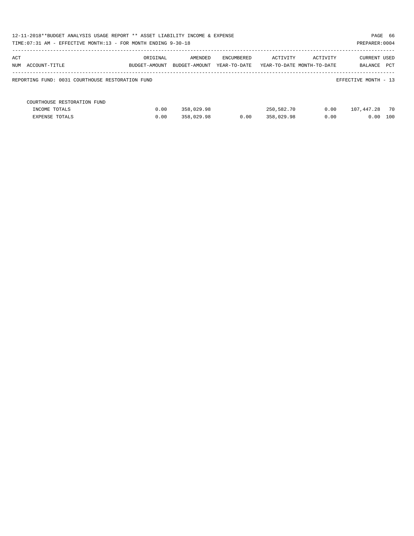| 12-11-2018**BUDGET ANALYSIS USAGE REPORT ** ASSET LIABILITY INCOME & EXPENSE<br>PAGE 66<br>TIME: 07:31 AM - EFFECTIVE MONTH: 13 - FOR MONTH ENDING 9-30-18<br>PREPARER: 0004 |                           |                          |                                   |            |                                        |                             |     |  |  |  |
|------------------------------------------------------------------------------------------------------------------------------------------------------------------------------|---------------------------|--------------------------|-----------------------------------|------------|----------------------------------------|-----------------------------|-----|--|--|--|
| ACT<br>NUM ACCOUNT-TITLE                                                                                                                                                     | ORIGINAL<br>BUDGET-AMOUNT | AMENDED<br>BUDGET-AMOUNT | <b>ENCUMBERED</b><br>YEAR-TO-DATE | ACTIVITY   | ACTIVITY<br>YEAR-TO-DATE MONTH-TO-DATE | CURRENT USED<br>BALANCE PCT |     |  |  |  |
| REPORTING FUND: 0031 COURTHOUSE RESTORATION FUND                                                                                                                             |                           |                          |                                   |            |                                        | EFFECTIVE MONTH - 13        |     |  |  |  |
| COURTHOUSE RESTORATION FUND<br>INCOME TOTALS                                                                                                                                 | 0.00                      | 358,029.98               |                                   | 250,582.70 | 0.00                                   | 107,447.28 70               |     |  |  |  |
| <b>EXPENSE TOTALS</b>                                                                                                                                                        | 0.00                      | 358,029.98               | 0.00                              | 358,029.98 | 0.00                                   | 0.00                        | 100 |  |  |  |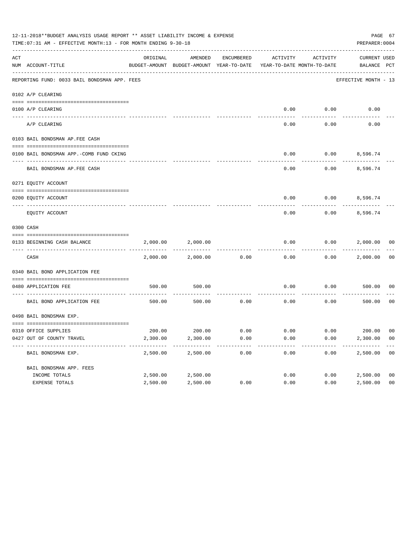|     | 12-11-2018**BUDGET ANALYSIS USAGE REPORT ** ASSET LIABILITY INCOME & EXPENSE<br>TIME: 07:31 AM - EFFECTIVE MONTH: 13 - FOR MONTH ENDING 9-30-18 |          |          |            |                                                                                 |                          |                             |                |  |  |
|-----|-------------------------------------------------------------------------------------------------------------------------------------------------|----------|----------|------------|---------------------------------------------------------------------------------|--------------------------|-----------------------------|----------------|--|--|
| ACT | NUM ACCOUNT-TITLE                                                                                                                               | ORIGINAL | AMENDED  | ENCUMBERED | ACTIVITY<br>BUDGET-AMOUNT BUDGET-AMOUNT YEAR-TO-DATE YEAR-TO-DATE MONTH-TO-DATE | ACTIVITY                 | CURRENT USED<br>BALANCE PCT |                |  |  |
|     | REPORTING FUND: 0033 BAIL BONDSMAN APP. FEES                                                                                                    |          |          |            |                                                                                 |                          | EFFECTIVE MONTH - 13        |                |  |  |
|     | 0102 A/P CLEARING                                                                                                                               |          |          |            |                                                                                 |                          |                             |                |  |  |
|     |                                                                                                                                                 |          |          |            |                                                                                 |                          |                             |                |  |  |
|     | 0100 A/P CLEARING<br>----- ---------                                                                                                            |          |          |            | 0.00                                                                            | 0.00                     | 0.00                        |                |  |  |
|     | A/P CLEARING                                                                                                                                    |          |          |            | 0.00                                                                            | 0.00                     | 0.00                        |                |  |  |
|     | 0103 BAIL BONDSMAN AP.FEE CASH                                                                                                                  |          |          |            |                                                                                 |                          |                             |                |  |  |
|     | 0100 BAIL BONDSMAN APP.-COMB FUND CKING                                                                                                         |          |          |            | 0.00                                                                            | $0.00$ 8,596.74          |                             |                |  |  |
|     | BAIL BONDSMAN AP.FEE CASH                                                                                                                       |          |          |            | 0.00                                                                            | 0.00                     | 8,596.74                    |                |  |  |
|     | 0271 EQUITY ACCOUNT                                                                                                                             |          |          |            |                                                                                 |                          |                             |                |  |  |
|     | 0200 EQUITY ACCOUNT                                                                                                                             |          |          |            |                                                                                 | $0.00$ $0.00$ $8,596.74$ |                             |                |  |  |
|     | EOUITY ACCOUNT                                                                                                                                  |          |          |            | 0.00                                                                            | 0.00                     | 8,596.74                    |                |  |  |
|     | 0300 CASH                                                                                                                                       |          |          |            |                                                                                 |                          |                             |                |  |  |
|     | 0133 BEGINNING CASH BALANCE                                                                                                                     | 2,000.00 | 2,000.00 |            | 0.00                                                                            | 0.00                     | 2,000.00 00                 |                |  |  |
|     | CASH                                                                                                                                            | 2,000.00 | 2,000.00 | 0.00       | 0.00                                                                            |                          | $0.00$ 2,000.00             | 0 <sub>0</sub> |  |  |
|     | 0340 BAIL BOND APPLICATION FEE                                                                                                                  |          |          |            |                                                                                 |                          |                             |                |  |  |
|     | 0480 APPLICATION FEE                                                                                                                            | 500.00   | 500.00   |            | 0.00                                                                            | 0.00                     | 500.00                      | 00             |  |  |
|     | BAIL BOND APPLICATION FEE                                                                                                                       | 500.00   | 500.00   | 0.00       | 0.00                                                                            | 0.00                     | 500.00                      | 0 <sub>0</sub> |  |  |
|     | 0498 BAIL BONDSMAN EXP.                                                                                                                         |          |          |            |                                                                                 |                          |                             |                |  |  |
|     | 0310 OFFICE SUPPLIES                                                                                                                            |          |          |            | $200.00$ $200.00$ $0.00$ $0.00$ $0.00$ $0.00$ $200.00$ $00$                     |                          |                             |                |  |  |
|     | 0427 OUT OF COUNTY TRAVEL                                                                                                                       | 2,300.00 | 2,300.00 | 0.00       | 0.00                                                                            | 0.00                     | 2,300.00                    | - 00           |  |  |
|     | BAIL BONDSMAN EXP.                                                                                                                              | 2,500.00 | 2,500.00 | 0.00       | 0.00                                                                            | 0.00                     | 2,500.00                    | 0 <sub>0</sub> |  |  |
|     |                                                                                                                                                 |          |          |            |                                                                                 |                          |                             |                |  |  |
|     | BAIL BONDSMAN APP. FEES                                                                                                                         |          |          |            |                                                                                 |                          |                             |                |  |  |
|     | INCOME TOTALS                                                                                                                                   | 2,500.00 | 2,500.00 |            | 0.00                                                                            | 0.00                     | 2,500.00                    | 0 <sub>0</sub> |  |  |
|     | EXPENSE TOTALS                                                                                                                                  | 2,500.00 | 2,500.00 | 0.00       | 0.00                                                                            | 0.00                     | 2,500.00                    | 0 <sub>0</sub> |  |  |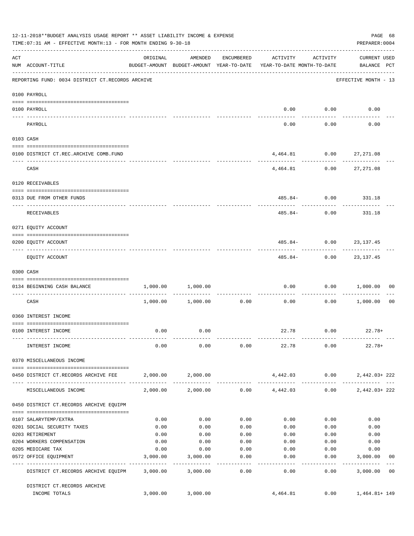|                    | 12-11-2018**BUDGET ANALYSIS USAGE REPORT ** ASSET LIABILITY INCOME & EXPENSE<br>TIME: 07:31 AM - EFFECTIVE MONTH: 13 - FOR MONTH ENDING 9-30-18 |                                        |                                                     |                      |                                                          |                             | PAGE 68<br>PREPARER: 0004   |                |
|--------------------|-------------------------------------------------------------------------------------------------------------------------------------------------|----------------------------------------|-----------------------------------------------------|----------------------|----------------------------------------------------------|-----------------------------|-----------------------------|----------------|
| $\mathop{\rm ACT}$ | NUM ACCOUNT-TITLE                                                                                                                               | ORIGINAL                               | AMENDED<br>BUDGET-AMOUNT BUDGET-AMOUNT YEAR-TO-DATE | ENCUMBERED           | ACTIVITY<br>YEAR-TO-DATE MONTH-TO-DATE                   | ACTIVITY                    | CURRENT USED<br>BALANCE PCT |                |
|                    | REPORTING FUND: 0034 DISTRICT CT.RECORDS ARCHIVE                                                                                                |                                        |                                                     |                      |                                                          |                             | EFFECTIVE MONTH - 13        |                |
|                    | 0100 PAYROLL                                                                                                                                    |                                        |                                                     |                      |                                                          |                             |                             |                |
|                    | 0100 PAYROLL                                                                                                                                    |                                        |                                                     |                      |                                                          | $0.00$ $0.00$               | 0.00                        |                |
|                    | PAYROLL                                                                                                                                         |                                        |                                                     |                      | 0.00                                                     | 0.00                        | 0.00                        |                |
|                    | 0103 CASH                                                                                                                                       |                                        |                                                     |                      |                                                          |                             |                             |                |
|                    | 0100 DISTRICT CT.REC.ARCHIVE COMB.FUND                                                                                                          |                                        |                                                     |                      |                                                          |                             | 4,464.81 0.00 27,271.08     |                |
|                    | CASH                                                                                                                                            |                                        |                                                     |                      |                                                          |                             | 4,464.81 0.00 27,271.08     |                |
|                    | 0120 RECEIVABLES                                                                                                                                |                                        |                                                     |                      |                                                          |                             |                             |                |
|                    | 0313 DUE FROM OTHER FUNDS                                                                                                                       |                                        |                                                     |                      |                                                          |                             | 485.84- 0.00 331.18         |                |
|                    | RECEIVABLES                                                                                                                                     |                                        |                                                     |                      | 485.84-                                                  | 0.00                        | 331.18                      |                |
|                    | 0271 EQUITY ACCOUNT                                                                                                                             |                                        |                                                     |                      |                                                          |                             |                             |                |
|                    | 0200 EQUITY ACCOUNT                                                                                                                             |                                        |                                                     |                      |                                                          |                             | 485.84 - 0.00 23,137.45     |                |
|                    | EQUITY ACCOUNT                                                                                                                                  |                                        |                                                     |                      | 485.84-                                                  |                             | $0.00$ 23,137.45            |                |
|                    | 0300 CASH                                                                                                                                       |                                        |                                                     |                      |                                                          |                             |                             |                |
|                    | 0134 BEGINNING CASH BALANCE                                                                                                                     | 1,000.00                               | 1,000.00                                            |                      | 0.00                                                     | 0.00                        | 1,000.00                    | 00             |
|                    | CASH                                                                                                                                            |                                        | 1,000.00 1,000.00                                   | ------------<br>0.00 | 0.00                                                     | . _ _ _ _ _ _ _ _ _<br>0.00 | 1,000.00                    | 00             |
|                    | 0360 INTEREST INCOME                                                                                                                            |                                        |                                                     |                      |                                                          |                             |                             |                |
|                    | 0100 INTEREST INCOME                                                                                                                            | 0.00                                   | 0.00                                                |                      |                                                          |                             | $22.78$ 0.00 22.78+         |                |
|                    | INTEREST INCOME                                                                                                                                 | 0.00                                   | 0.00                                                | 0.00                 | 22.78                                                    | 0.00                        | $22.78+$                    |                |
|                    | 0370 MISCELLANEOUS INCOME                                                                                                                       |                                        |                                                     |                      |                                                          |                             |                             |                |
|                    | 0450 DISTRICT CT.RECORDS ARCHIVE FEE                                                                                                            |                                        | 2,000.00 2,000.00                                   |                      |                                                          | 4,442.03 0.00               | 2,442.03+222                |                |
|                    | MISCELLANEOUS INCOME                                                                                                                            | ------------ ------------- ----------- | 2,000.00 2,000.00                                   |                      | ----------- ------------- -----------<br>$0.00$ 4,442.03 | 0.00                        | $2,442.03+222$              |                |
|                    | 0450 DISTRICT CT.RECORDS ARCHIVE EQUIPM                                                                                                         |                                        |                                                     |                      |                                                          |                             |                             |                |
|                    | 0107 SALARYTEMP/EXTRA                                                                                                                           | 0.00                                   | 0.00                                                | 0.00                 | 0.00                                                     | 0.00                        | 0.00                        |                |
|                    | 0201 SOCIAL SECURITY TAXES                                                                                                                      | 0.00                                   | 0.00                                                | 0.00                 | 0.00                                                     | 0.00                        | 0.00                        |                |
|                    | 0203 RETIREMENT                                                                                                                                 | 0.00                                   | 0.00                                                | 0.00                 | 0.00                                                     | 0.00                        | 0.00                        |                |
|                    | 0204 WORKERS COMPENSATION                                                                                                                       | 0.00                                   | 0.00                                                | 0.00                 | 0.00                                                     | 0.00                        | 0.00                        |                |
|                    | 0205 MEDICARE TAX                                                                                                                               | 0.00                                   | 0.00                                                | 0.00                 | 0.00                                                     | 0.00                        | 0.00                        |                |
|                    | 0572 OFFICE EQUIPMENT                                                                                                                           | 3,000.00                               | 3,000.00                                            | 0.00                 | 0.00                                                     | 0.00<br>--------            | 3,000.00<br>-----------     | 00             |
|                    | DISTRICT CT.RECORDS ARCHIVE EQUIPM                                                                                                              | 3,000.00                               | 3,000.00                                            | 0.00                 | 0.00                                                     | 0.00                        | 3,000.00                    | 0 <sup>0</sup> |
|                    | DISTRICT CT.RECORDS ARCHIVE<br>INCOME TOTALS                                                                                                    | 3,000.00                               | 3,000.00                                            |                      | 4,464.81                                                 | 0.00                        | 1,464.81+149                |                |
|                    |                                                                                                                                                 |                                        |                                                     |                      |                                                          |                             |                             |                |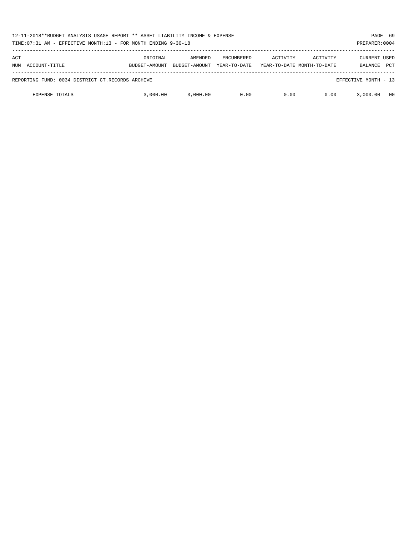| 12-11-2018**BUDGET ANALYSIS USAGE REPORT ** ASSET LIABILITY INCOME & EXPENSE<br>TIME: 07:31 AM - EFFECTIVE MONTH: 13 - FOR MONTH ENDING 9-30-18<br>PREPARER: 0004 |                           |                          |                                   |          |                                        |                                       |            |  |  |
|-------------------------------------------------------------------------------------------------------------------------------------------------------------------|---------------------------|--------------------------|-----------------------------------|----------|----------------------------------------|---------------------------------------|------------|--|--|
| ACT<br>ACCOUNT-TITLE<br>NUM                                                                                                                                       | ORIGINAL<br>BUDGET-AMOUNT | AMENDED<br>BUDGET-AMOUNT | <b>ENCUMBERED</b><br>YEAR-TO-DATE | ACTIVITY | ACTIVITY<br>YEAR-TO-DATE MONTH-TO-DATE | <b>CURRENT USED</b><br><b>BALANCE</b> | <b>PCT</b> |  |  |
| REPORTING FUND: 0034 DISTRICT CT.RECORDS ARCHIVE                                                                                                                  |                           |                          |                                   |          |                                        | EFFECTIVE MONTH - 13                  |            |  |  |
| <b>EXPENSE TOTALS</b>                                                                                                                                             | 3,000,00                  | 3,000.00                 | 0.00                              | 0.00     | 0.00                                   | 3,000,00                              | 00         |  |  |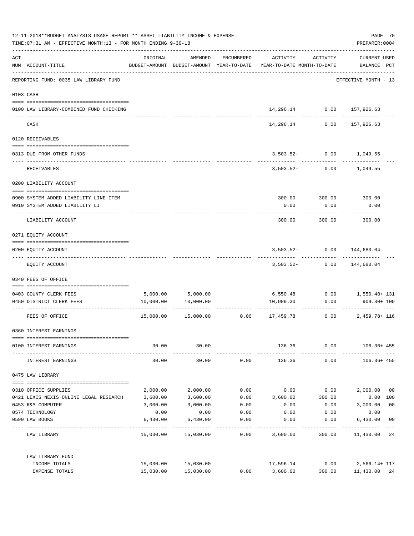| 12-11-2018**BUDGET ANALYSIS USAGE REPORT ** ASSET LIABILITY INCOME & EXPENSE<br>TIME: 07:31 AM - EFFECTIVE MONTH: 13 - FOR MONTH ENDING 9-30-18 |                                                 |          |                            |                      |                     |                                                                  |                      |                |
|-------------------------------------------------------------------------------------------------------------------------------------------------|-------------------------------------------------|----------|----------------------------|----------------------|---------------------|------------------------------------------------------------------|----------------------|----------------|
| ACT                                                                                                                                             | NUM ACCOUNT-TITLE                               | ORIGINAL | AMENDED                    |                      |                     | ENCUMBERED ACTIVITY ACTIVITY                                     | CURRENT USED         |                |
|                                                                                                                                                 | REPORTING FUND: 0035 LAW LIBRARY FUND           |          |                            |                      |                     |                                                                  | EFFECTIVE MONTH - 13 |                |
|                                                                                                                                                 | 0103 CASH                                       |          |                            |                      |                     |                                                                  |                      |                |
|                                                                                                                                                 | 0100 LAW LIBRARY-COMBINED FUND CHECKING         |          |                            |                      |                     | 14,296.14 0.00 157,926.63                                        | ------------         |                |
|                                                                                                                                                 | CASH                                            |          |                            |                      | 14,296.14           | 0.00                                                             | 157,926.63           |                |
|                                                                                                                                                 | 0120 RECEIVABLES                                |          |                            |                      |                     |                                                                  |                      |                |
|                                                                                                                                                 | 0313 DUE FROM OTHER FUNDS                       |          |                            |                      |                     | $3,503.52 - 0.00$ 1,049.55                                       |                      |                |
|                                                                                                                                                 | RECEIVABLES                                     |          |                            |                      |                     | 3,503.52- 0.00 1,049.55                                          |                      |                |
|                                                                                                                                                 | 0200 LIABILITY ACCOUNT                          |          |                            |                      |                     |                                                                  |                      |                |
|                                                                                                                                                 | 0900 SYSTEM ADDED LIABILITY LINE-ITEM           |          |                            |                      |                     | 300.00 300.00 300.00                                             |                      |                |
|                                                                                                                                                 | 0910 SYSTEM ADDED LIABILITY LI                  |          |                            |                      | 0.00                | 0.00                                                             | 0.00                 |                |
|                                                                                                                                                 | LIABILITY ACCOUNT                               |          |                            |                      | 300.00              | 300.00                                                           | 300.00               |                |
|                                                                                                                                                 | 0271 EQUITY ACCOUNT                             |          |                            |                      |                     |                                                                  |                      |                |
|                                                                                                                                                 | 0200 EQUITY ACCOUNT                             |          |                            |                      |                     | $3,503.52 - 0.00$                                                | 144,680.04           |                |
|                                                                                                                                                 | EQUITY ACCOUNT                                  |          |                            |                      |                     | $3,503.52 - 0.00$ 144,680.04                                     |                      |                |
|                                                                                                                                                 | 0340 FEES OF OFFICE                             |          |                            |                      |                     |                                                                  |                      |                |
|                                                                                                                                                 | 0403 COUNTY CLERK FEES                          |          | 5,000.00 5,000.00          |                      |                     | 6,550.48   0.00   1,550.48+ 131                                  |                      |                |
|                                                                                                                                                 | 0450 DISTRICT CLERK FEES                        |          | 10,000.00   10,000.00      |                      |                     | 10,909.30 0.00                                                   | 909.30+ 109          |                |
|                                                                                                                                                 | FEES OF OFFICE                                  |          |                            |                      |                     | $15,000.00$ $15,000.00$ $0.00$ $17,459.78$ $0.00$ $2,459.78+116$ |                      |                |
|                                                                                                                                                 | 0360 INTEREST EARNINGS                          |          |                            |                      |                     |                                                                  |                      |                |
|                                                                                                                                                 | 0100 INTEREST EARNINGS                          |          | 30.00<br>30.00             |                      |                     | 136.36 0.00 106.36+455                                           |                      |                |
|                                                                                                                                                 | INTEREST EARNINGS                               | 30.00    | 30.00                      | 0.00                 | 136.36              | 0.00                                                             | 106.36+ 455          |                |
|                                                                                                                                                 | 0475 LAW LIBRARY                                |          |                            |                      |                     |                                                                  |                      |                |
|                                                                                                                                                 | 0310 OFFICE SUPPLIES                            | 2,000.00 | 2,000.00                   | 0.00                 | 0.00                |                                                                  | $0.00$ $2,000.00$ 00 |                |
|                                                                                                                                                 | 0421 LEXIS NEXIS ONLINE LEGAL RESEARCH 3,600.00 |          | 3,600.00                   | 0.00                 | 3,600.00            | 300.00                                                           | $0.00$ 100           |                |
|                                                                                                                                                 | 0453 R&M COMPUTER                               | 3,000.00 | 3,000.00                   | 0.00                 | 0.00                | 0.00                                                             | 3,000.00             | 0 <sub>0</sub> |
|                                                                                                                                                 | 0574 TECHNOLOGY                                 | 0.00     | 0.00                       | 0.00                 | 0.00                | 0.00                                                             | 0.00                 |                |
|                                                                                                                                                 | 0590 LAW BOOKS                                  | 6,430.00 | 6,430.00<br>-------------  | 0.00<br>------------ | 0.00<br>----------- | 0.00<br>------------                                             | 6,430.00             | 0 <sub>0</sub> |
|                                                                                                                                                 | LAW LIBRARY                                     |          | 15,030.00  15,030.00  0.00 |                      | 3,600.00            |                                                                  | 300.00 11,430.00     | 24             |
|                                                                                                                                                 | LAW LIBRARY FUND                                |          |                            |                      |                     |                                                                  |                      |                |
|                                                                                                                                                 | INCOME TOTALS                                   |          | 15,030.00 15,030.00        |                      |                     | 17,596.14 0.00 2,566.14+117                                      |                      |                |
|                                                                                                                                                 | EXPENSE TOTALS                                  |          | 15,030.00 15,030.00        |                      |                     | $0.00$ $3,600.00$ $300.00$ $11,430.00$ $24$                      |                      |                |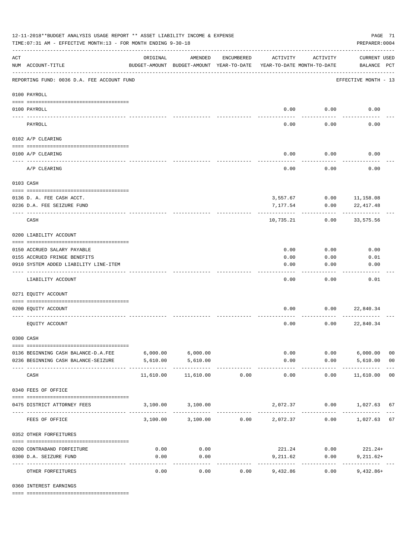| 12-11-2018**BUDGET ANALYSIS USAGE REPORT ** ASSET LIABILITY INCOME & EXPENSE<br>PAGE 71<br>TIME: 07:31 AM - EFFECTIVE MONTH: 13 - FOR MONTH ENDING 9-30-18<br>PREPARER: 0004 |                                            |                                                      |                            |            |                      |                                        |                                    |                |  |  |
|------------------------------------------------------------------------------------------------------------------------------------------------------------------------------|--------------------------------------------|------------------------------------------------------|----------------------------|------------|----------------------|----------------------------------------|------------------------------------|----------------|--|--|
| $\mathop{\rm ACT}$                                                                                                                                                           | NUM ACCOUNT-TITLE                          | ORIGINAL<br>BUDGET-AMOUNT BUDGET-AMOUNT YEAR-TO-DATE | AMENDED                    | ENCUMBERED | ACTIVITY             | ACTIVITY<br>YEAR-TO-DATE MONTH-TO-DATE | <b>CURRENT USED</b><br>BALANCE PCT |                |  |  |
|                                                                                                                                                                              | REPORTING FUND: 0036 D.A. FEE ACCOUNT FUND |                                                      |                            |            |                      |                                        | EFFECTIVE MONTH - 13               |                |  |  |
|                                                                                                                                                                              | 0100 PAYROLL                               |                                                      |                            |            |                      |                                        |                                    |                |  |  |
| ---- ---                                                                                                                                                                     | 0100 PAYROLL                               |                                                      |                            |            |                      | $0.00$ 0.00                            | 0.00                               |                |  |  |
|                                                                                                                                                                              | PAYROLL                                    |                                                      |                            |            | 0.00                 | 0.00                                   | 0.00                               |                |  |  |
|                                                                                                                                                                              | 0102 A/P CLEARING                          |                                                      |                            |            |                      |                                        |                                    |                |  |  |
|                                                                                                                                                                              | 0100 A/P CLEARING                          |                                                      |                            |            | 0.00                 | 0.00                                   | 0.00                               |                |  |  |
|                                                                                                                                                                              |                                            |                                                      |                            |            |                      |                                        |                                    |                |  |  |
|                                                                                                                                                                              | A/P CLEARING                               |                                                      |                            |            | 0.00                 | 0.00                                   | 0.00                               |                |  |  |
|                                                                                                                                                                              | 0103 CASH                                  |                                                      |                            |            |                      |                                        |                                    |                |  |  |
|                                                                                                                                                                              | 0136 D. A. FEE CASH ACCT.                  |                                                      |                            |            |                      |                                        | 3,557.67 0.00 11,158.08            |                |  |  |
|                                                                                                                                                                              | 0236 D.A. FEE SEIZURE FUND                 |                                                      |                            |            | 7,177.54             | 0.00                                   | 22, 417.48                         |                |  |  |
|                                                                                                                                                                              | CASH                                       |                                                      |                            |            | 10,735.21            | 0.00                                   | 33,575.56                          |                |  |  |
|                                                                                                                                                                              | 0200 LIABILITY ACCOUNT                     |                                                      |                            |            |                      |                                        |                                    |                |  |  |
|                                                                                                                                                                              | 0150 ACCRUED SALARY PAYABLE                |                                                      |                            |            | 0.00                 | 0.00                                   | 0.00                               |                |  |  |
|                                                                                                                                                                              | 0155 ACCRUED FRINGE BENEFITS               |                                                      |                            |            | 0.00                 | 0.00                                   | 0.01                               |                |  |  |
|                                                                                                                                                                              | 0910 SYSTEM ADDED LIABILITY LINE-ITEM      |                                                      |                            |            | 0.00                 | 0.00                                   | 0.00                               |                |  |  |
|                                                                                                                                                                              | LIABILITY ACCOUNT                          |                                                      |                            |            | 0.00                 | 0.00                                   | 0.01                               |                |  |  |
|                                                                                                                                                                              | 0271 EQUITY ACCOUNT                        |                                                      |                            |            |                      |                                        |                                    |                |  |  |
|                                                                                                                                                                              | 0200 EQUITY ACCOUNT                        |                                                      |                            |            | 0.00                 | 0.00                                   | 22,840.34                          |                |  |  |
|                                                                                                                                                                              | EQUITY ACCOUNT                             |                                                      |                            |            | 0.00                 | 0.00                                   | 22,840.34                          |                |  |  |
|                                                                                                                                                                              | 0300 CASH                                  |                                                      |                            |            |                      |                                        |                                    |                |  |  |
|                                                                                                                                                                              | 0136 BEGINNING CASH BALANCE-D.A.FEE        | $6,000.00$ $6,000.00$                                |                            |            |                      | 0.00                                   | $0.00$ 6,000.00                    | 0 <sub>0</sub> |  |  |
|                                                                                                                                                                              | 0236 BEGINNING CASH BALANCE-SEIZURE        | 5,610.00                                             | 5,610.00                   |            | 0.00                 |                                        | $0.00$ 5,610.00                    | 0 <sub>0</sub> |  |  |
|                                                                                                                                                                              | CASH                                       | 11,610.00                                            | -------------<br>11,610.00 | 0.00       | ------------<br>0.00 | 0.00                                   | .<br>11,610.00                     | 0 <sub>0</sub> |  |  |
|                                                                                                                                                                              | 0340 FEES OF OFFICE                        |                                                      |                            |            |                      |                                        |                                    |                |  |  |
|                                                                                                                                                                              | 0475 DISTRICT ATTORNEY FEES                |                                                      | 3,100.00 3,100.00          |            |                      |                                        | 2,072.37 0.00 1,027.63 67          |                |  |  |
|                                                                                                                                                                              | FEES OF OFFICE                             |                                                      | 3,100.00 3,100.00          | 0.00       | 2,072.37             | 0.00                                   | 1,027.63 67                        |                |  |  |
|                                                                                                                                                                              | 0352 OTHER FORFEITURES                     |                                                      |                            |            |                      |                                        |                                    |                |  |  |
|                                                                                                                                                                              | 0200 CONTRABAND FORFEITURE                 | 0.00                                                 | 0.00                       |            |                      | 221.24 0.00                            | $221.24+$                          |                |  |  |
|                                                                                                                                                                              | 0300 D.A. SEIZURE FUND                     | 0.00                                                 | 0.00                       |            | 9,211.62             | 0.00                                   | $9,211.62+$                        |                |  |  |
|                                                                                                                                                                              | OTHER FORFEITURES                          | 0.00                                                 | ----------<br>0.00         | 0.00       | 9,432.86             | 0.00                                   | $9,432.86+$                        |                |  |  |

0360 INTEREST EARNINGS

==== ===================================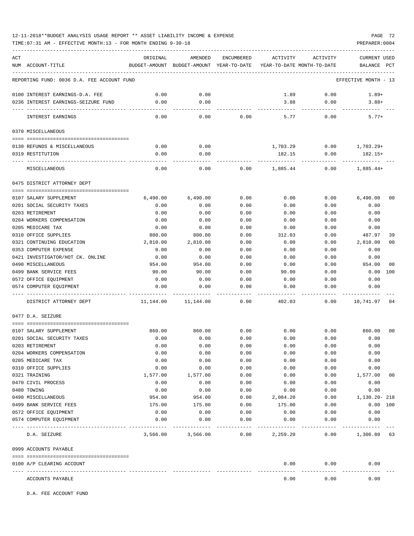# 12-11-2018\*\*BUDGET ANALYSIS USAGE REPORT \*\* ASSET LIABILITY INCOME & EXPENSE PAGE 72

TIME:07:31 AM - EFFECTIVE MONTH:13 - FOR MONTH ENDING 9-30-18 PREPARER:0004

| ACT<br>NUM ACCOUNT-TITLE                             | ORIGINAL         | AMENDED<br>BUDGET-AMOUNT BUDGET-AMOUNT YEAR-TO-DATE | <b>ENCUMBERED</b> | ACTIVITY     | ACTIVITY<br>YEAR-TO-DATE MONTH-TO-DATE | <b>CURRENT USED</b><br>BALANCE PCT |                |
|------------------------------------------------------|------------------|-----------------------------------------------------|-------------------|--------------|----------------------------------------|------------------------------------|----------------|
| REPORTING FUND: 0036 D.A. FEE ACCOUNT FUND           |                  |                                                     |                   |              |                                        | EFFECTIVE MONTH - 13               |                |
|                                                      |                  |                                                     |                   |              |                                        |                                    |                |
| 0100 INTEREST EARNINGS-D.A. FEE                      | 0.00             | 0.00                                                |                   | 1.89         | 0.00                                   | $1.89+$                            |                |
| 0236 INTEREST EARNINGS-SEIZURE FUND                  | 0.00             | 0.00                                                |                   | 3.88         | 0.00                                   | $3.88+$                            |                |
| INTEREST EARNINGS                                    | 0.00             | 0.00                                                | 0.00              | 5.77         | 0.00                                   | $5.77+$                            |                |
| 0370 MISCELLANEOUS                                   |                  |                                                     |                   |              |                                        |                                    |                |
|                                                      |                  |                                                     |                   |              |                                        |                                    |                |
| 0130 REFUNDS & MISCELLANEOUS                         | 0.00             | 0.00                                                |                   | 1,703.29     | 0.00                                   | $1,703.29+$                        |                |
| 0319 RESTITUTION                                     | 0.00             | 0.00                                                |                   | 182.15       | 0.00                                   | 182.15+                            |                |
| MISCELLANEOUS                                        | 0.00             | 0.00                                                | 0.00              | 1,885.44     | 0.00                                   | $1,885.44+$                        |                |
| 0475 DISTRICT ATTORNEY DEPT                          |                  |                                                     |                   |              |                                        |                                    |                |
|                                                      |                  |                                                     |                   |              |                                        |                                    |                |
| 0107 SALARY SUPPLEMENT<br>0201 SOCIAL SECURITY TAXES | 6,490.00<br>0.00 | 6,490.00<br>0.00                                    | 0.00<br>0.00      | 0.00<br>0.00 | 0.00<br>0.00                           | 6,490.00<br>0.00                   | 00             |
| 0203 RETIREMENT                                      | 0.00             | 0.00                                                | 0.00              | 0.00         | 0.00                                   | 0.00                               |                |
| 0204 WORKERS COMPENSATION                            | 0.00             | 0.00                                                | 0.00              | 0.00         | 0.00                                   | 0.00                               |                |
| 0205 MEDICARE TAX                                    | 0.00             | 0.00                                                | 0.00              | 0.00         | 0.00                                   | 0.00                               |                |
| 0310 OFFICE SUPPLIES                                 | 800.00           | 800.00                                              | 0.00              | 312.03       | 0.00                                   | 487.97                             | 39             |
| 0321 CONTINUING EDUCATION                            | 2,810.00         | 2,810.00                                            | 0.00              | 0.00         | 0.00                                   | 2,810.00                           | 0 <sub>0</sub> |
| 0353 COMPUTER EXPENSE                                | 0.00             | 0.00                                                | 0.00              | 0.00         | 0.00                                   | 0.00                               |                |
| 0421 INVESTIGATOR/HOT CK. ONLINE                     | 0.00             | 0.00                                                | 0.00              | 0.00         | 0.00                                   | 0.00                               |                |
| 0490 MISCELLANEOUS                                   | 954.00           | 954.00                                              | 0.00              | 0.00         | 0.00                                   | 954.00                             | 00             |
| 0499 BANK SERVICE FEES                               | 90.00            | 90.00                                               | 0.00              | 90.00        | 0.00                                   | 0.00                               | 100            |
| 0572 OFFICE EQUIPMENT                                | 0.00             | 0.00                                                | 0.00              | 0.00         | 0.00                                   | 0.00                               |                |
| 0574 COMPUTER EQUIPMENT                              | 0.00             | 0.00                                                | 0.00              | 0.00         | 0.00                                   | 0.00                               |                |
| DISTRICT ATTORNEY DEPT                               | 11,144.00        | 11,144.00                                           | 0.00              | 402.03       | 0.00                                   | 10,741.97                          | 04             |
| 0477 D.A. SEIZURE                                    |                  |                                                     |                   |              |                                        |                                    |                |
|                                                      |                  |                                                     |                   |              |                                        |                                    |                |
| 0107 SALARY SUPPLEMENT<br>0201 SOCIAL SECURITY TAXES | 860.00<br>0.00   | 860.00<br>0.00                                      | 0.00<br>0.00      | 0.00<br>0.00 | 0.00<br>0.00                           | 860.00<br>0.00                     | 00             |
| 0203 RETIREMENT                                      | 0.00             | 0.00                                                | 0.00              | 0.00         | 0.00                                   | 0.00                               |                |
| 0204 WORKERS COMPENSATION                            | 0.00             | 0.00                                                | 0.00              | 0.00         | 0.00                                   | 0.00                               |                |
| 0205 MEDICARE TAX                                    | 0.00             | 0.00                                                | 0.00              | 0.00         | 0.00                                   | 0.00                               |                |
| 0310 OFFICE SUPPLIES                                 | 0.00             | 0.00                                                | 0.00              | 0.00         | 0.00                                   | 0.00                               |                |
| 0321 TRAINING                                        | 1,577.00         | 1,577.00                                            | 0.00              | 0.00         | 0.00                                   | 1,577.00                           | 0 <sub>0</sub> |
| 0470 CIVIL PROCESS                                   | 0.00             | 0.00                                                | 0.00              | 0.00         | 0.00                                   | 0.00                               |                |
| 0480 TOWING                                          | 0.00             | 0.00                                                | 0.00              | 0.00         | 0.00                                   | 0.00                               |                |
| 0490 MISCELLANEOUS                                   | 954.00           | 954.00                                              | 0.00              | 2,084.20     | 0.00                                   | 1,130.20-218                       |                |
| 0499 BANK SERVICE FEES                               | 175.00           | 175.00                                              | 0.00              | 175.00       | 0.00                                   | 0.00 100                           |                |
| 0572 OFFICE EQUIPMENT                                | 0.00             | 0.00                                                | 0.00              | 0.00         | 0.00                                   | 0.00                               |                |
| 0574 COMPUTER EQUIPMENT                              | 0.00             | 0.00                                                | 0.00              | 0.00         | 0.00                                   | 0.00                               |                |
| D.A. SEIZURE                                         |                  | 3,566.00 3,566.00                                   | 0.00              | 2,259.20     | 0.00                                   | 1,306.80 63                        |                |
| 0999 ACCOUNTS PAYABLE                                |                  |                                                     |                   |              |                                        |                                    |                |
| 0100 A/P CLEARING ACCOUNT                            |                  |                                                     |                   | 0.00         | 0.00                                   | 0.00                               |                |
| ACCOUNTS PAYABLE                                     |                  |                                                     |                   | 0.00         | 0.00                                   | 0.00                               |                |

D.A. FEE ACCOUNT FUND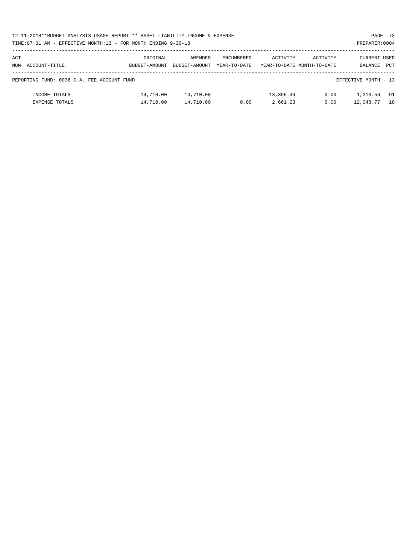| 12-11-2018**BUDGET ANALYSIS USAGE REPORT ** ASSET LIABILITY INCOME & EXPENSE | PAGE 73        |
|------------------------------------------------------------------------------|----------------|
| TIME: 07:31 AM - EFFECTIVE MONTH: 13 - FOR MONTH ENDING 9-30-18              | PREPARER: 0004 |

| ACT<br>NUM | ACCOUNT-TITLE                              | ORIGINAL<br>BUDGET-AMOUNT | AMENDED<br>BUDGET-AMOUNT | ENCUMBERED<br>YEAR-TO-DATE | ACTIVITY              | ACTIVITY<br>YEAR-TO-DATE MONTH-TO-DATE | CURRENT USED<br>BALANCE | <b>PCT</b> |
|------------|--------------------------------------------|---------------------------|--------------------------|----------------------------|-----------------------|----------------------------------------|-------------------------|------------|
|            | REPORTING FUND: 0036 D.A. FEE ACCOUNT FUND |                           |                          |                            |                       |                                        | EFFECTIVE MONTH - 13    |            |
|            | INCOME TOTALS<br><b>EXPENSE TOTALS</b>     | 14,710.00<br>14,710.00    | 14,710.00<br>14,710.00   | 0.00                       | 13,396.44<br>2,661.23 | 0.00<br>0.00                           | 1,313.56<br>12,048.77   | 91<br>18   |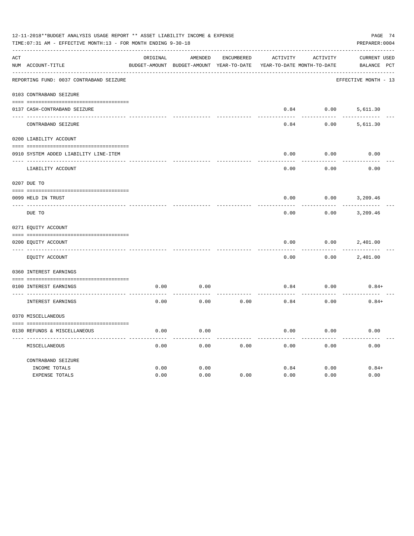| PAGE 74<br>PREPARER: 0004 |                                                                                                                                                                                                                                                                                                                                                                                                                             |         |                                                                         |                                                                                                                          |          |                                    |  |  |  |  |
|---------------------------|-----------------------------------------------------------------------------------------------------------------------------------------------------------------------------------------------------------------------------------------------------------------------------------------------------------------------------------------------------------------------------------------------------------------------------|---------|-------------------------------------------------------------------------|--------------------------------------------------------------------------------------------------------------------------|----------|------------------------------------|--|--|--|--|
|                           | ORIGINAL                                                                                                                                                                                                                                                                                                                                                                                                                    | AMENDED | <b>ENCUMBERED</b>                                                       | ACTIVITY                                                                                                                 | ACTIVITY | CURRENT USED                       |  |  |  |  |
|                           |                                                                                                                                                                                                                                                                                                                                                                                                                             |         |                                                                         |                                                                                                                          |          | BALANCE PCT                        |  |  |  |  |
|                           |                                                                                                                                                                                                                                                                                                                                                                                                                             |         |                                                                         |                                                                                                                          |          | EFFECTIVE MONTH - 13               |  |  |  |  |
|                           |                                                                                                                                                                                                                                                                                                                                                                                                                             |         |                                                                         |                                                                                                                          |          |                                    |  |  |  |  |
|                           |                                                                                                                                                                                                                                                                                                                                                                                                                             |         |                                                                         | 0.84                                                                                                                     | 0.00     | 5,611.30                           |  |  |  |  |
| CONTRABAND SEIZURE        |                                                                                                                                                                                                                                                                                                                                                                                                                             |         |                                                                         | 0.84                                                                                                                     | 0.00     | 5,611.30                           |  |  |  |  |
|                           |                                                                                                                                                                                                                                                                                                                                                                                                                             |         |                                                                         |                                                                                                                          |          |                                    |  |  |  |  |
|                           |                                                                                                                                                                                                                                                                                                                                                                                                                             |         |                                                                         | 0.00                                                                                                                     | 0.00     | 0.00                               |  |  |  |  |
| LIABILITY ACCOUNT         |                                                                                                                                                                                                                                                                                                                                                                                                                             |         |                                                                         | 0.00                                                                                                                     | 0.00     | 0.00                               |  |  |  |  |
|                           |                                                                                                                                                                                                                                                                                                                                                                                                                             |         |                                                                         |                                                                                                                          |          |                                    |  |  |  |  |
|                           |                                                                                                                                                                                                                                                                                                                                                                                                                             |         |                                                                         | 0.00                                                                                                                     | 0.00     | 3,209.46                           |  |  |  |  |
| DUE TO                    |                                                                                                                                                                                                                                                                                                                                                                                                                             |         |                                                                         | 0.00                                                                                                                     | 0.00     | 3,209.46                           |  |  |  |  |
|                           |                                                                                                                                                                                                                                                                                                                                                                                                                             |         |                                                                         |                                                                                                                          |          |                                    |  |  |  |  |
|                           |                                                                                                                                                                                                                                                                                                                                                                                                                             |         |                                                                         | 0.00                                                                                                                     | 0.00     | 2,401.00                           |  |  |  |  |
| EQUITY ACCOUNT            |                                                                                                                                                                                                                                                                                                                                                                                                                             |         |                                                                         | 0.00                                                                                                                     | 0.00     | 2,401.00                           |  |  |  |  |
|                           |                                                                                                                                                                                                                                                                                                                                                                                                                             |         |                                                                         |                                                                                                                          |          |                                    |  |  |  |  |
|                           | 0.00                                                                                                                                                                                                                                                                                                                                                                                                                        | 0.00    |                                                                         | 0.84                                                                                                                     | 0.00     | $0.84+$                            |  |  |  |  |
| INTEREST EARNINGS         | 0.00                                                                                                                                                                                                                                                                                                                                                                                                                        | 0.00    | 0.00                                                                    | 0.84                                                                                                                     | 0.00     | $0.84+$                            |  |  |  |  |
|                           |                                                                                                                                                                                                                                                                                                                                                                                                                             |         |                                                                         |                                                                                                                          |          |                                    |  |  |  |  |
|                           | 0.00                                                                                                                                                                                                                                                                                                                                                                                                                        | 0.00    |                                                                         | 0.00                                                                                                                     | 0.00     | 0.00                               |  |  |  |  |
| MISCELLANEOUS             | 0.00                                                                                                                                                                                                                                                                                                                                                                                                                        | 0.00    | 0.00                                                                    | 0.00                                                                                                                     | 0.00     | 0.00                               |  |  |  |  |
| CONTRABAND SEIZURE        |                                                                                                                                                                                                                                                                                                                                                                                                                             |         |                                                                         |                                                                                                                          |          |                                    |  |  |  |  |
| EXPENSE TOTALS            | 0.00                                                                                                                                                                                                                                                                                                                                                                                                                        | 0.00    | 0.00                                                                    | 0.00                                                                                                                     | 0.00     | $0.84+$<br>0.00                    |  |  |  |  |
|                           | NUM ACCOUNT-TITLE<br>REPORTING FUND: 0037 CONTRABAND SEIZURE<br>0103 CONTRABAND SEIZURE<br>0137 CASH-CONTRABAND SEIZURE<br>0200 LIABILITY ACCOUNT<br>0910 SYSTEM ADDED LIABILITY LINE-ITEM<br>0207 DUE TO<br>0099 HELD IN TRUST<br>$- - - - - - -$<br>0271 EQUITY ACCOUNT<br>0200 EQUITY ACCOUNT<br>0360 INTEREST EARNINGS<br>0100 INTEREST EARNINGS<br>0370 MISCELLANEOUS<br>0130 REFUNDS & MISCELLANEOUS<br>INCOME TOTALS | 0.00    | TIME: 07:31 AM - EFFECTIVE MONTH: 13 - FOR MONTH ENDING 9-30-18<br>0.00 | 12-11-2018**BUDGET ANALYSIS USAGE REPORT ** ASSET LIABILITY INCOME & EXPENSE<br>BUDGET-AMOUNT BUDGET-AMOUNT YEAR-TO-DATE | 0.84     | YEAR-TO-DATE MONTH-TO-DATE<br>0.00 |  |  |  |  |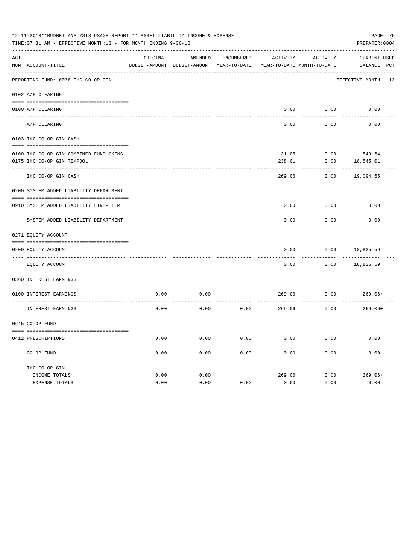| PAGE 75<br>12-11-2018**BUDGET ANALYSIS USAGE REPORT ** ASSET LIABILITY INCOME & EXPENSE<br>PREPARER: 0004<br>TIME: 07:31 AM - EFFECTIVE MONTH: 13 - FOR MONTH ENDING 9-30-18 |                                          |          |                                                     |                   |          |                                        |                                    |  |  |  |
|------------------------------------------------------------------------------------------------------------------------------------------------------------------------------|------------------------------------------|----------|-----------------------------------------------------|-------------------|----------|----------------------------------------|------------------------------------|--|--|--|
| ACT                                                                                                                                                                          | NUM ACCOUNT-TITLE                        | ORIGINAL | AMENDED<br>BUDGET-AMOUNT BUDGET-AMOUNT YEAR-TO-DATE | <b>ENCUMBERED</b> | ACTIVITY | ACTIVITY<br>YEAR-TO-DATE MONTH-TO-DATE | <b>CURRENT USED</b><br>BALANCE PCT |  |  |  |
|                                                                                                                                                                              | REPORTING FUND: 0038 IHC CO-OP GIN       |          |                                                     |                   |          |                                        | EFFECTIVE MONTH - 13               |  |  |  |
|                                                                                                                                                                              | 0102 A/P CLEARING                        |          |                                                     |                   |          |                                        |                                    |  |  |  |
|                                                                                                                                                                              | 0100 A/P CLEARING                        |          |                                                     |                   | 0.00     | 0.00                                   | 0.00                               |  |  |  |
|                                                                                                                                                                              | A/P CLEARING                             |          |                                                     |                   | 0.00     | 0.00                                   | 0.00                               |  |  |  |
|                                                                                                                                                                              | 0103 IHC CO-OP GIN CASH                  |          |                                                     |                   |          |                                        |                                    |  |  |  |
|                                                                                                                                                                              | 0100 IHC CO-OP GIN-COMBINED FUND CKING   |          |                                                     |                   | 31.05    | 0.00                                   | 549.64                             |  |  |  |
|                                                                                                                                                                              | 0175 IHC CO-OP GIN TEXPOOL               |          |                                                     |                   | 238.01   | 0.00                                   | 18,545.01                          |  |  |  |
|                                                                                                                                                                              | IHC CO-OP GIN CASH                       |          |                                                     |                   | 269.06   | 0.00                                   | 19,094.65                          |  |  |  |
|                                                                                                                                                                              | 0200 SYSTEM ADDED LIABILITY DEPARTMENT   |          |                                                     |                   |          |                                        |                                    |  |  |  |
|                                                                                                                                                                              |                                          |          |                                                     |                   |          |                                        |                                    |  |  |  |
|                                                                                                                                                                              | 0910 SYSTEM ADDED LIABILITY LINE-ITEM    |          |                                                     |                   | 0.00     | 0.00                                   | 0.00                               |  |  |  |
|                                                                                                                                                                              | SYSTEM ADDED LIABILITY DEPARTMENT        |          |                                                     |                   | 0.00     | 0.00                                   | 0.00                               |  |  |  |
|                                                                                                                                                                              | 0271 EQUITY ACCOUNT                      |          |                                                     |                   |          |                                        |                                    |  |  |  |
|                                                                                                                                                                              |                                          |          |                                                     |                   |          |                                        |                                    |  |  |  |
|                                                                                                                                                                              | 0200 EQUITY ACCOUNT<br>---- ------------ |          |                                                     |                   | 0.00     | 0.00                                   | 18,825.59                          |  |  |  |
|                                                                                                                                                                              | EQUITY ACCOUNT                           |          |                                                     |                   | 0.00     | 0.00                                   | 18,825.59                          |  |  |  |
|                                                                                                                                                                              | 0360 INTEREST EARNINGS                   |          |                                                     |                   |          |                                        |                                    |  |  |  |
|                                                                                                                                                                              | 0100 INTEREST EARNINGS                   | 0.00     | 0.00                                                |                   | 269.06   | 0.00                                   | $269.06+$                          |  |  |  |
|                                                                                                                                                                              | INTEREST EARNINGS                        | 0.00     | 0.00                                                | 0.00              | 269.06   | 0.00                                   | $269.06+$                          |  |  |  |
|                                                                                                                                                                              | 0645 CO-OP FUND                          |          |                                                     |                   |          |                                        |                                    |  |  |  |
|                                                                                                                                                                              | 0412 PRESCRIPTIONS                       | 0.00     | 0.00                                                | 0.00              | 0.00     | 0.00                                   | 0.00                               |  |  |  |
|                                                                                                                                                                              | CO-OP FUND                               | 0.00     | 0.00                                                | 0.00              | 0.00     | 0.00                                   | 0.00                               |  |  |  |
|                                                                                                                                                                              | IHC CO-OP GIN                            |          |                                                     |                   |          |                                        |                                    |  |  |  |
|                                                                                                                                                                              | INCOME TOTALS                            | 0.00     | 0.00                                                |                   | 269.06   | 0.00                                   | $269.06+$                          |  |  |  |
|                                                                                                                                                                              | <b>EXPENSE TOTALS</b>                    | 0.00     | 0.00                                                | 0.00              | 0.00     | 0.00                                   | 0.00                               |  |  |  |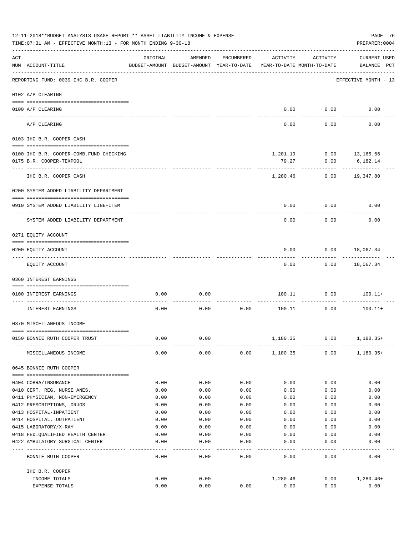|     | 12-11-2018**BUDGET ANALYSIS USAGE REPORT ** ASSET LIABILITY INCOME & EXPENSE<br>PAGE 76<br>TIME: 07:31 AM - EFFECTIVE MONTH: 13 - FOR MONTH ENDING 9-30-18<br>PREPARER: 0004 |          |                                                     |               |                                        |          |                                    |  |  |  |
|-----|------------------------------------------------------------------------------------------------------------------------------------------------------------------------------|----------|-----------------------------------------------------|---------------|----------------------------------------|----------|------------------------------------|--|--|--|
| ACT | NUM ACCOUNT-TITLE                                                                                                                                                            | ORIGINAL | AMENDED<br>BUDGET-AMOUNT BUDGET-AMOUNT YEAR-TO-DATE | ENCUMBERED    | ACTIVITY<br>YEAR-TO-DATE MONTH-TO-DATE | ACTIVITY | <b>CURRENT USED</b><br>BALANCE PCT |  |  |  |
|     | REPORTING FUND: 0039 IHC B.R. COOPER                                                                                                                                         |          |                                                     |               |                                        |          | EFFECTIVE MONTH - 13               |  |  |  |
|     | 0102 A/P CLEARING                                                                                                                                                            |          |                                                     |               |                                        |          |                                    |  |  |  |
|     | 0100 A/P CLEARING                                                                                                                                                            |          |                                                     |               | 0.00                                   | 0.00     | 0.00                               |  |  |  |
|     | ---- ---------<br>A/P CLEARING                                                                                                                                               |          |                                                     |               | 0.00                                   | 0.00     | 0.00                               |  |  |  |
|     | 0103 IHC B.R. COOPER CASH                                                                                                                                                    |          |                                                     |               |                                        |          |                                    |  |  |  |
|     |                                                                                                                                                                              |          |                                                     |               |                                        |          |                                    |  |  |  |
|     | 0100 IHC B.R. COOPER-COMB.FUND CHECKING                                                                                                                                      |          |                                                     |               |                                        |          |                                    |  |  |  |
|     | 0175 B.R. COOPER-TEXPOOL                                                                                                                                                     |          |                                                     |               | 79.27                                  | 0.00     | 6,182.14                           |  |  |  |
|     | IHC B.R. COOPER CASH                                                                                                                                                         |          |                                                     |               | 1,280.46                               | 0.00     | 19,347.80                          |  |  |  |
|     | 0200 SYSTEM ADDED LIABILITY DEPARTMENT                                                                                                                                       |          |                                                     |               |                                        |          |                                    |  |  |  |
|     | 0910 SYSTEM ADDED LIABILITY LINE-ITEM                                                                                                                                        |          |                                                     |               | 0.00                                   | 0.00     | 0.00                               |  |  |  |
|     | SYSTEM ADDED LIABILITY DEPARTMENT                                                                                                                                            |          |                                                     |               | 0.00                                   | 0.00     | 0.00                               |  |  |  |
|     | 0271 EQUITY ACCOUNT                                                                                                                                                          |          |                                                     |               |                                        |          |                                    |  |  |  |
|     |                                                                                                                                                                              |          |                                                     |               |                                        |          |                                    |  |  |  |
|     | 0200 EQUITY ACCOUNT                                                                                                                                                          |          |                                                     |               | 0.00                                   | 0.00     | 18,067.34                          |  |  |  |
|     | EQUITY ACCOUNT                                                                                                                                                               |          |                                                     |               | 0.00                                   |          | $0.00$ 18,067.34                   |  |  |  |
|     | 0360 INTEREST EARNINGS                                                                                                                                                       |          |                                                     |               |                                        |          |                                    |  |  |  |
|     | 0100 INTEREST EARNINGS                                                                                                                                                       | 0.00     | 0.00                                                |               | 100.11                                 | 0.00     | $100.11+$                          |  |  |  |
|     | <b>INTEREST EARNINGS</b>                                                                                                                                                     | 0.00     | 0.00                                                | 0.00          | 100.11                                 | 0.00     | $100.11+$                          |  |  |  |
|     | 0370 MISCELLANEOUS INCOME                                                                                                                                                    |          |                                                     |               |                                        |          |                                    |  |  |  |
|     |                                                                                                                                                                              |          |                                                     |               |                                        |          |                                    |  |  |  |
|     | 0150 BONNIE RUTH COOPER TRUST                                                                                                                                                | 0.00     | 0.00                                                |               | 1,180.35                               | 0.00     | 1,180.35+                          |  |  |  |
|     | MISCELLANEOUS INCOME                                                                                                                                                         | 0.00     | 0.00                                                |               | 0.00 1,180.35                          | 0.00     | $1,180.35+$                        |  |  |  |
|     | 0645 BONNIE RUTH COOPER                                                                                                                                                      |          |                                                     |               |                                        |          |                                    |  |  |  |
|     | 0404 COBRA/INSURANCE                                                                                                                                                         | 0.00     | 0.00                                                | 0.00          | 0.00                                   | 0.00     | 0.00                               |  |  |  |
|     | 0410 CERT. REG. NURSE ANES.                                                                                                                                                  | 0.00     | 0.00                                                | 0.00          | 0.00                                   | 0.00     | 0.00                               |  |  |  |
|     | 0411 PHYSICIAN, NON-EMERGENCY                                                                                                                                                | 0.00     | 0.00                                                | 0.00          | 0.00                                   | 0.00     | 0.00                               |  |  |  |
|     | 0412 PRESCRIPTIONS, DRUGS                                                                                                                                                    | 0.00     | 0.00                                                | 0.00          | 0.00                                   | 0.00     | 0.00                               |  |  |  |
|     | 0413 HOSPITAL-INPATIENT                                                                                                                                                      | 0.00     | 0.00                                                | 0.00          | 0.00                                   | 0.00     | 0.00                               |  |  |  |
|     | 0414 HOSPITAL, OUTPATIENT                                                                                                                                                    | 0.00     | 0.00                                                | 0.00          | 0.00                                   | 0.00     | 0.00                               |  |  |  |
|     | 0415 LABORATORY/X-RAY                                                                                                                                                        | 0.00     | 0.00                                                | 0.00          | 0.00                                   | 0.00     | 0.00                               |  |  |  |
|     | 0418 FED.QUALIFIED HEALTH CENTER                                                                                                                                             | 0.00     | 0.00                                                | 0.00          | 0.00                                   | 0.00     | 0.00                               |  |  |  |
|     | 0422 AMBULATORY SURGICAL CENTER                                                                                                                                              | 0.00     | 0.00<br>$- - - - -$                                 | 0.00<br>$---$ | 0.00                                   | 0.00     | 0.00                               |  |  |  |
|     | BONNIE RUTH COOPER                                                                                                                                                           | 0.00     | 0.00                                                | 0.00          | 0.00                                   | 0.00     | 0.00                               |  |  |  |
|     | IHC B.R. COOPER                                                                                                                                                              |          |                                                     |               |                                        |          |                                    |  |  |  |
|     | INCOME TOTALS                                                                                                                                                                | 0.00     | 0.00                                                |               | 1,280.46                               | 0.00     | 1,280.46+                          |  |  |  |
|     | EXPENSE TOTALS                                                                                                                                                               | 0.00     | 0.00                                                | 0.00          | 0.00                                   | 0.00     | 0.00                               |  |  |  |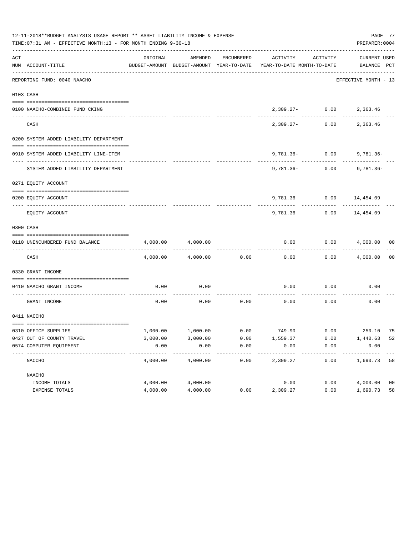|     | 12-11-2018**BUDGET ANALYSIS USAGE REPORT ** ASSET LIABILITY INCOME & EXPENSE<br>PAGE 77<br>TIME: 07:31 AM - EFFECTIVE MONTH: 13 - FOR MONTH ENDING 9-30-18<br>PREPARER: 0004 |          |          |            |                                                                                 |                                |                             |                |  |  |  |
|-----|------------------------------------------------------------------------------------------------------------------------------------------------------------------------------|----------|----------|------------|---------------------------------------------------------------------------------|--------------------------------|-----------------------------|----------------|--|--|--|
| ACT | NUM ACCOUNT-TITLE                                                                                                                                                            | ORIGINAL | AMENDED  | ENCUMBERED | ACTIVITY<br>BUDGET-AMOUNT BUDGET-AMOUNT YEAR-TO-DATE YEAR-TO-DATE MONTH-TO-DATE | ACTIVITY                       | CURRENT USED<br>BALANCE PCT |                |  |  |  |
|     | REPORTING FUND: 0040 NAACHO                                                                                                                                                  |          |          |            |                                                                                 |                                | EFFECTIVE MONTH - 13        |                |  |  |  |
|     | 0103 CASH                                                                                                                                                                    |          |          |            |                                                                                 |                                |                             |                |  |  |  |
|     |                                                                                                                                                                              |          |          |            |                                                                                 |                                |                             |                |  |  |  |
|     | 0100 NAACHO-COMBINED FUND CKING                                                                                                                                              |          |          |            |                                                                                 | 2,309.27- 0.00 2,363.46        |                             |                |  |  |  |
|     | CASH                                                                                                                                                                         |          |          |            | 2,309.27-                                                                       | 0.00                           | 2,363.46                    |                |  |  |  |
|     | 0200 SYSTEM ADDED LIABILITY DEPARTMENT                                                                                                                                       |          |          |            |                                                                                 |                                |                             |                |  |  |  |
|     | 0910 SYSTEM ADDED LIABILITY LINE-ITEM                                                                                                                                        |          |          |            |                                                                                 | $9,781.36 - 0.00$ $9,781.36 -$ |                             |                |  |  |  |
|     |                                                                                                                                                                              |          |          |            |                                                                                 | ------------                   |                             |                |  |  |  |
|     | SYSTEM ADDED LIABILITY DEPARTMENT                                                                                                                                            |          |          |            |                                                                                 | $9,781,36 - 0.00$              | 9,781.36-                   |                |  |  |  |
|     | 0271 EQUITY ACCOUNT                                                                                                                                                          |          |          |            |                                                                                 |                                |                             |                |  |  |  |
|     |                                                                                                                                                                              |          |          |            |                                                                                 |                                |                             |                |  |  |  |
|     | 0200 EOUITY ACCOUNT                                                                                                                                                          |          |          |            |                                                                                 | 9,781.36 0.00 14,454.09        |                             |                |  |  |  |
|     | EQUITY ACCOUNT                                                                                                                                                               |          |          |            | 9,781.36                                                                        | 0.00                           | 14,454.09                   |                |  |  |  |
|     | 0300 CASH                                                                                                                                                                    |          |          |            |                                                                                 |                                |                             |                |  |  |  |
|     |                                                                                                                                                                              |          |          |            |                                                                                 |                                |                             |                |  |  |  |
|     | 0110 UNENCUMBERED FUND BALANCE                                                                                                                                               | 4,000.00 | 4,000.00 |            | 0.00                                                                            |                                | $0.00$ $4,000.00$ 00        |                |  |  |  |
|     | CASH                                                                                                                                                                         | 4,000.00 | 4,000.00 | 0.00       | 0.00                                                                            |                                | $0.00$ $4,000.00$           | 00             |  |  |  |
|     | 0330 GRANT INCOME                                                                                                                                                            |          |          |            |                                                                                 |                                |                             |                |  |  |  |
|     | 0410 NAACHO GRANT INCOME                                                                                                                                                     | 0.00     | 0.00     |            | 0.00                                                                            | 0.00                           | 0.00                        |                |  |  |  |
|     | GRANT INCOME                                                                                                                                                                 | 0.00     | 0.00     | 0.00       | 0.00                                                                            | 0.00                           | 0.00                        |                |  |  |  |
|     | 0411 NACCHO                                                                                                                                                                  |          |          |            |                                                                                 |                                |                             |                |  |  |  |
|     | 0310 OFFICE SUPPLIES                                                                                                                                                         |          |          |            | $1,000.00$ $1,000.00$ $0.00$ $749.90$ $0.00$ $250.10$ $75$                      |                                |                             |                |  |  |  |
|     | 0427 OUT OF COUNTY TRAVEL                                                                                                                                                    | 3,000.00 | 3,000.00 | 0.00       | 1,559.37                                                                        | 0.00                           | 1,440.63 52                 |                |  |  |  |
|     | 0574 COMPUTER EQUIPMENT                                                                                                                                                      | 0.00     | 0.00     | 0.00       | 0.00                                                                            | 0.00                           | 0.00                        |                |  |  |  |
|     | NACCHO                                                                                                                                                                       | 4,000.00 | 4,000.00 | 0.00       | -------<br>2,309.27                                                             | 0.00                           | 1,690.73                    | 58             |  |  |  |
|     | NAACHO                                                                                                                                                                       |          |          |            |                                                                                 |                                |                             |                |  |  |  |
|     | INCOME TOTALS                                                                                                                                                                | 4,000.00 | 4,000.00 |            | 0.00                                                                            | 0.00                           | 4,000.00                    | 0 <sub>0</sub> |  |  |  |
|     | EXPENSE TOTALS                                                                                                                                                               | 4,000.00 | 4,000.00 | 0.00       | 2,309.27                                                                        | 0.00                           | 1,690.73                    | 58             |  |  |  |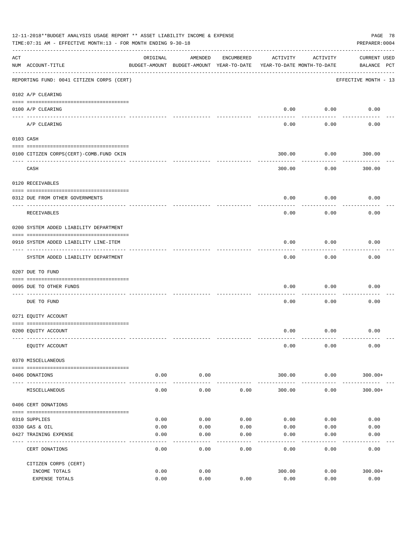|     | 12-11-2018**BUDGET ANALYSIS USAGE REPORT ** ASSET LIABILITY INCOME & EXPENSE<br>PAGE 78<br>TIME: 07:31 AM - EFFECTIVE MONTH: 13 - FOR MONTH ENDING 9-30-18<br>PREPARER: 0004 |              |                                                     |              |                                        |                   |                                    |  |  |  |  |
|-----|------------------------------------------------------------------------------------------------------------------------------------------------------------------------------|--------------|-----------------------------------------------------|--------------|----------------------------------------|-------------------|------------------------------------|--|--|--|--|
| ACT | NUM ACCOUNT-TITLE                                                                                                                                                            | ORIGINAL     | AMENDED<br>BUDGET-AMOUNT BUDGET-AMOUNT YEAR-TO-DATE | ENCUMBERED   | ACTIVITY<br>YEAR-TO-DATE MONTH-TO-DATE | ACTIVITY          | <b>CURRENT USED</b><br>BALANCE PCT |  |  |  |  |
|     | REPORTING FUND: 0041 CITIZEN CORPS (CERT)                                                                                                                                    |              |                                                     |              |                                        |                   | EFFECTIVE MONTH - 13               |  |  |  |  |
|     | 0102 A/P CLEARING                                                                                                                                                            |              |                                                     |              |                                        |                   |                                    |  |  |  |  |
|     | 0100 A/P CLEARING                                                                                                                                                            |              |                                                     |              | 0.00                                   | 0.00              | 0.00                               |  |  |  |  |
|     | A/P CLEARING                                                                                                                                                                 |              |                                                     |              | 0.00                                   | 0.00              | 0.00                               |  |  |  |  |
|     | 0103 CASH                                                                                                                                                                    |              |                                                     |              |                                        |                   |                                    |  |  |  |  |
|     | 0100 CITIZEN CORPS(CERT)-COMB.FUND CKIN                                                                                                                                      |              |                                                     |              | 300.00                                 | 0.00              | 300.00                             |  |  |  |  |
|     | CASH                                                                                                                                                                         |              |                                                     |              | 300.00                                 | 0.00              | 300.00                             |  |  |  |  |
|     | 0120 RECEIVABLES                                                                                                                                                             |              |                                                     |              |                                        |                   |                                    |  |  |  |  |
|     | 0312 DUE FROM OTHER GOVERNMENTS                                                                                                                                              |              |                                                     |              | 0.00                                   | 0.00              | 0.00                               |  |  |  |  |
|     | RECEIVABLES                                                                                                                                                                  |              |                                                     |              | 0.00                                   | 0.00              | 0.00                               |  |  |  |  |
|     | 0200 SYSTEM ADDED LIABILITY DEPARTMENT                                                                                                                                       |              |                                                     |              |                                        |                   |                                    |  |  |  |  |
|     | 0910 SYSTEM ADDED LIABILITY LINE-ITEM                                                                                                                                        |              |                                                     |              | 0.00                                   | 0.00              | 0.00                               |  |  |  |  |
|     | SYSTEM ADDED LIABILITY DEPARTMENT                                                                                                                                            |              |                                                     |              | 0.00                                   | 0.00              | 0.00                               |  |  |  |  |
|     | 0207 DUE TO FUND                                                                                                                                                             |              |                                                     |              |                                        |                   |                                    |  |  |  |  |
|     | 0095 DUE TO OTHER FUNDS                                                                                                                                                      |              |                                                     |              | 0.00                                   | 0.00              | 0.00                               |  |  |  |  |
|     | DUE TO FUND                                                                                                                                                                  |              |                                                     |              | 0.00                                   | 0.00              | 0.00                               |  |  |  |  |
|     | 0271 EQUITY ACCOUNT                                                                                                                                                          |              |                                                     |              |                                        |                   |                                    |  |  |  |  |
|     | 0200 EQUITY ACCOUNT                                                                                                                                                          |              |                                                     |              | 0.00                                   | 0.00              | 0.00                               |  |  |  |  |
|     | EQUITY ACCOUNT                                                                                                                                                               |              |                                                     |              | 0.00                                   | 0.00              | 0.00                               |  |  |  |  |
|     | 0370 MISCELLANEOUS                                                                                                                                                           |              |                                                     |              |                                        |                   |                                    |  |  |  |  |
|     | 0406 DONATIONS                                                                                                                                                               | 0.00         | 0.00                                                |              | 300.00                                 | 0.00              | $300.00+$                          |  |  |  |  |
|     | MISCELLANEOUS                                                                                                                                                                | 0.00         | ---------<br>0.00                                   | 0.00         | 300.00                                 | ---------<br>0.00 | $300.00+$                          |  |  |  |  |
|     | 0406 CERT DONATIONS                                                                                                                                                          |              |                                                     |              |                                        |                   |                                    |  |  |  |  |
|     |                                                                                                                                                                              |              |                                                     |              |                                        |                   |                                    |  |  |  |  |
|     | 0310 SUPPLIES                                                                                                                                                                | 0.00         | 0.00                                                | 0.00         | 0.00                                   | 0.00              | 0.00                               |  |  |  |  |
|     | 0330 GAS & OIL<br>0427 TRAINING EXPENSE                                                                                                                                      | 0.00<br>0.00 | 0.00<br>0.00                                        | 0.00<br>0.00 | 0.00<br>0.00                           | 0.00<br>0.00      | 0.00<br>0.00                       |  |  |  |  |
|     | CERT DONATIONS                                                                                                                                                               | 0.00         | 0.00                                                | 0.00         | 0.00                                   | 0.00              | 0.00                               |  |  |  |  |
|     | CITIZEN CORPS (CERT)                                                                                                                                                         |              |                                                     |              |                                        |                   |                                    |  |  |  |  |
|     | INCOME TOTALS                                                                                                                                                                | 0.00         | 0.00                                                |              | 300.00                                 | 0.00              | $300.00+$                          |  |  |  |  |
|     | EXPENSE TOTALS                                                                                                                                                               | 0.00         | 0.00                                                | 0.00         | 0.00                                   | 0.00              | 0.00                               |  |  |  |  |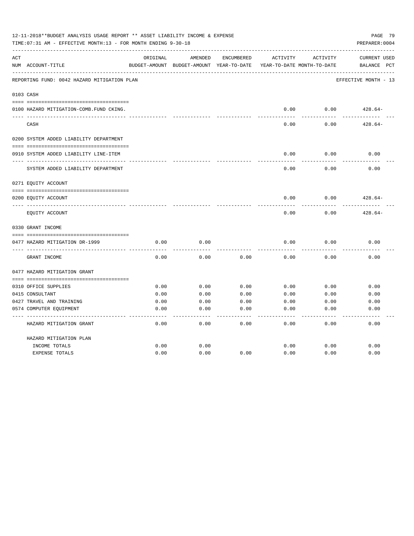| 12-11-2018**BUDGET ANALYSIS USAGE REPORT ** ASSET LIABILITY INCOME & EXPENSE<br>TIME: 07:31 AM - EFFECTIVE MONTH: 13 - FOR MONTH ENDING 9-30-18<br>PREPARER: 0004 |                                             |          |                                                     |            |          |                                        |                                                |  |  |
|-------------------------------------------------------------------------------------------------------------------------------------------------------------------|---------------------------------------------|----------|-----------------------------------------------------|------------|----------|----------------------------------------|------------------------------------------------|--|--|
| ACT                                                                                                                                                               | NUM ACCOUNT-TITLE                           | ORIGINAL | AMENDED<br>BUDGET-AMOUNT BUDGET-AMOUNT YEAR-TO-DATE | ENCUMBERED | ACTIVITY | ACTIVITY<br>YEAR-TO-DATE MONTH-TO-DATE | <b>CURRENT USED</b><br>$_{\rm PCT}$<br>BALANCE |  |  |
|                                                                                                                                                                   | REPORTING FUND: 0042 HAZARD MITIGATION PLAN |          |                                                     |            |          |                                        | EFFECTIVE MONTH - 13                           |  |  |
|                                                                                                                                                                   | 0103 CASH                                   |          |                                                     |            |          |                                        |                                                |  |  |
|                                                                                                                                                                   | 0100 HAZARD MITIGATION-COMB.FUND CKING.     |          |                                                     |            | 0.00     | 0.00                                   | $428.64-$                                      |  |  |
|                                                                                                                                                                   | CASH                                        |          |                                                     |            | 0.00     | 0.00                                   | $428.64-$                                      |  |  |
|                                                                                                                                                                   | 0200 SYSTEM ADDED LIABILITY DEPARTMENT      |          |                                                     |            |          |                                        |                                                |  |  |
|                                                                                                                                                                   |                                             |          |                                                     |            |          |                                        |                                                |  |  |
|                                                                                                                                                                   | 0910 SYSTEM ADDED LIABILITY LINE-ITEM       |          |                                                     |            | 0.00     | 0.00                                   | 0.00                                           |  |  |
|                                                                                                                                                                   | SYSTEM ADDED LIABILITY DEPARTMENT           |          |                                                     |            | 0.00     | 0.00                                   | 0.00                                           |  |  |
|                                                                                                                                                                   | 0271 EQUITY ACCOUNT                         |          |                                                     |            |          |                                        |                                                |  |  |
|                                                                                                                                                                   | 0200 EQUITY ACCOUNT                         |          |                                                     |            | 0.00     | 0.00                                   | $428.64-$                                      |  |  |
|                                                                                                                                                                   | EOUITY ACCOUNT                              |          |                                                     |            | 0.00     | 0.00                                   | $428.64-$                                      |  |  |
|                                                                                                                                                                   | 0330 GRANT INCOME                           |          |                                                     |            |          |                                        |                                                |  |  |
|                                                                                                                                                                   |                                             |          |                                                     |            |          |                                        |                                                |  |  |
|                                                                                                                                                                   | 0477 HAZARD MITIGATION DR-1999              | 0.00     | 0.00                                                |            | 0.00     | 0.00                                   | 0.00                                           |  |  |
|                                                                                                                                                                   | GRANT INCOME                                | 0.00     | 0.00                                                | 0.00       | 0.00     | 0.00                                   | 0.00                                           |  |  |
|                                                                                                                                                                   | 0477 HAZARD MITIGATION GRANT                |          |                                                     |            |          |                                        |                                                |  |  |
|                                                                                                                                                                   | 0310 OFFICE SUPPLIES                        | 0.00     | 0.00                                                | 0.00       | 0.00     | 0.00                                   | 0.00                                           |  |  |
|                                                                                                                                                                   | 0415 CONSULTANT                             | 0.00     | 0.00                                                | 0.00       | 0.00     | 0.00                                   | 0.00                                           |  |  |
|                                                                                                                                                                   | 0427 TRAVEL AND TRAINING                    | 0.00     | 0.00                                                | 0.00       | 0.00     | 0.00                                   | 0.00                                           |  |  |
|                                                                                                                                                                   | 0574 COMPUTER EQUIPMENT                     | 0.00     | 0.00                                                | 0.00       | 0.00     | 0.00                                   | 0.00                                           |  |  |
|                                                                                                                                                                   | HAZARD MITIGATION GRANT                     | 0.00     | 0.00                                                | 0.00       | 0.00     | 0.00                                   | 0.00                                           |  |  |
|                                                                                                                                                                   |                                             |          |                                                     |            |          |                                        |                                                |  |  |
|                                                                                                                                                                   | HAZARD MITIGATION PLAN<br>INCOME TOTALS     | 0.00     | 0.00                                                |            | 0.00     | 0.00                                   | 0.00                                           |  |  |
|                                                                                                                                                                   | <b>EXPENSE TOTALS</b>                       | 0.00     | 0.00                                                | 0.00       | 0.00     | 0.00                                   | 0.00                                           |  |  |
|                                                                                                                                                                   |                                             |          |                                                     |            |          |                                        |                                                |  |  |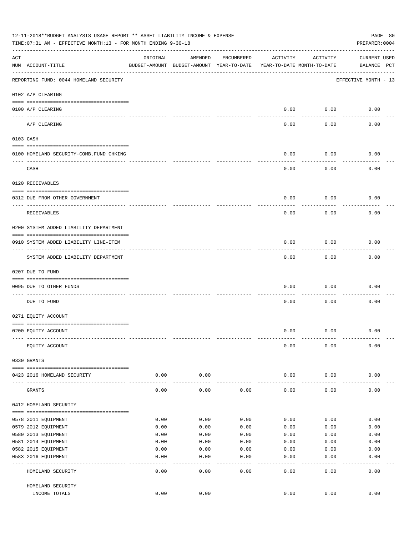|     | 12-11-2018**BUDGET ANALYSIS USAGE REPORT ** ASSET LIABILITY INCOME & EXPENSE<br>PAGE 80<br>TIME: 07:31 AM - EFFECTIVE MONTH: 13 - FOR MONTH ENDING 9-30-18<br>PREPARER: 0004 |               |                                                     |            |                                        |               |                                    |  |  |  |  |
|-----|------------------------------------------------------------------------------------------------------------------------------------------------------------------------------|---------------|-----------------------------------------------------|------------|----------------------------------------|---------------|------------------------------------|--|--|--|--|
| ACT | NUM ACCOUNT-TITLE                                                                                                                                                            | ORIGINAL      | AMENDED<br>BUDGET-AMOUNT BUDGET-AMOUNT YEAR-TO-DATE | ENCUMBERED | ACTIVITY<br>YEAR-TO-DATE MONTH-TO-DATE | ACTIVITY      | <b>CURRENT USED</b><br>BALANCE PCT |  |  |  |  |
|     | REPORTING FUND: 0044 HOMELAND SECURITY                                                                                                                                       |               |                                                     |            |                                        |               | EFFECTIVE MONTH - 13               |  |  |  |  |
|     | 0102 A/P CLEARING                                                                                                                                                            |               |                                                     |            |                                        |               |                                    |  |  |  |  |
|     | 0100 A/P CLEARING<br>---- ---------                                                                                                                                          |               |                                                     |            | 0.00                                   | 0.00          | 0.00                               |  |  |  |  |
|     | A/P CLEARING                                                                                                                                                                 |               |                                                     |            | 0.00                                   | 0.00          | 0.00                               |  |  |  |  |
|     | 0103 CASH                                                                                                                                                                    |               |                                                     |            |                                        |               |                                    |  |  |  |  |
|     | 0100 HOMELAND SECURITY-COMB. FUND CHKING                                                                                                                                     |               |                                                     |            | 0.00                                   | 0.00          | 0.00                               |  |  |  |  |
|     | ----------------------------<br>CASH                                                                                                                                         |               |                                                     |            | 0.00                                   | 0.00          | 0.00                               |  |  |  |  |
|     | 0120 RECEIVABLES                                                                                                                                                             |               |                                                     |            |                                        |               |                                    |  |  |  |  |
|     | 0312 DUE FROM OTHER GOVERNMENT                                                                                                                                               |               |                                                     |            | 0.00                                   | 0.00          | 0.00                               |  |  |  |  |
|     | RECEIVABLES                                                                                                                                                                  |               |                                                     |            | 0.00                                   | 0.00          | 0.00                               |  |  |  |  |
|     | 0200 SYSTEM ADDED LIABILITY DEPARTMENT                                                                                                                                       |               |                                                     |            |                                        |               |                                    |  |  |  |  |
|     | 0910 SYSTEM ADDED LIABILITY LINE-ITEM                                                                                                                                        |               |                                                     |            | 0.00                                   | 0.00          | 0.00                               |  |  |  |  |
|     | ------------------<br>SYSTEM ADDED LIABILITY DEPARTMENT                                                                                                                      |               |                                                     |            | 0.00                                   | 0.00          | 0.00                               |  |  |  |  |
|     | 0207 DUE TO FUND                                                                                                                                                             |               |                                                     |            |                                        |               |                                    |  |  |  |  |
|     | 0095 DUE TO OTHER FUNDS                                                                                                                                                      |               |                                                     |            | 0.00                                   | 0.00          | 0.00                               |  |  |  |  |
|     | DUE TO FUND                                                                                                                                                                  |               |                                                     |            | 0.00                                   | 0.00          | 0.00                               |  |  |  |  |
|     | 0271 EQUITY ACCOUNT                                                                                                                                                          |               |                                                     |            |                                        |               |                                    |  |  |  |  |
|     | 0200 EQUITY ACCOUNT                                                                                                                                                          |               |                                                     |            | 0.00                                   | 0.00          | 0.00                               |  |  |  |  |
|     | EQUITY ACCOUNT                                                                                                                                                               |               |                                                     |            | 0.00                                   | 0.00          | 0.00                               |  |  |  |  |
|     | 0330 GRANTS                                                                                                                                                                  |               |                                                     |            |                                        |               |                                    |  |  |  |  |
|     | 0423 2016 HOMELAND SECURITY                                                                                                                                                  | 0.00          | 0.00                                                |            | 0.00                                   | 0.00          | 0.00                               |  |  |  |  |
|     | GRANTS                                                                                                                                                                       | -----<br>0.00 | 0.00                                                | 0.00       | 0.00                                   | 0.00          | 0.00                               |  |  |  |  |
|     | 0412 HOMELAND SECURITY                                                                                                                                                       |               |                                                     |            |                                        |               |                                    |  |  |  |  |
|     | 0578 2011 EQUIPMENT                                                                                                                                                          | 0.00          | 0.00                                                | 0.00       | 0.00                                   | 0.00          | 0.00                               |  |  |  |  |
|     | 0579 2012 EQUIPMENT                                                                                                                                                          | 0.00          | 0.00                                                | 0.00       | 0.00                                   | 0.00          | 0.00                               |  |  |  |  |
|     | 0580 2013 EQUIPMENT                                                                                                                                                          | 0.00          | 0.00                                                | 0.00       | 0.00                                   | 0.00          | 0.00                               |  |  |  |  |
|     | 0581 2014 EQUIPMENT                                                                                                                                                          | 0.00          | 0.00                                                | 0.00       | 0.00                                   | 0.00          | 0.00                               |  |  |  |  |
|     | 0582 2015 EQUIPMENT                                                                                                                                                          | 0.00          | 0.00                                                | 0.00       | 0.00                                   | 0.00          | 0.00                               |  |  |  |  |
|     | 0583 2016 EQUIPMENT                                                                                                                                                          | 0.00          | 0.00                                                | 0.00       | 0.00                                   | 0.00          | 0.00                               |  |  |  |  |
|     | HOMELAND SECURITY                                                                                                                                                            | 0.00          | 0.00                                                | 0.00       | 0.00                                   | $---$<br>0.00 | 0.00                               |  |  |  |  |
|     | HOMELAND SECURITY                                                                                                                                                            |               |                                                     |            |                                        |               |                                    |  |  |  |  |
|     | INCOME TOTALS                                                                                                                                                                | 0.00          | 0.00                                                |            | 0.00                                   | 0.00          | 0.00                               |  |  |  |  |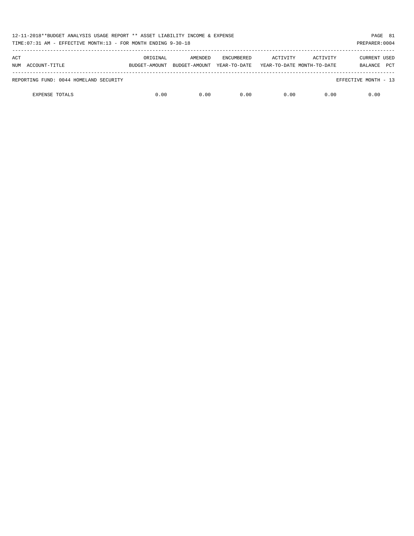| 12-11-2018**BUDGET ANALYSIS USAGE REPORT ** ASSET LIABILITY INCOME & EXPENSE<br>TIME: 07:31 AM - EFFECTIVE MONTH: 13 - FOR MONTH ENDING 9-30-18<br>PREPARER: 0004 |                           |                          |                                   |                                        |          |                         |            |
|-------------------------------------------------------------------------------------------------------------------------------------------------------------------|---------------------------|--------------------------|-----------------------------------|----------------------------------------|----------|-------------------------|------------|
| ACT<br>NUM ACCOUNT-TITLE                                                                                                                                          | ORIGINAL<br>BUDGET-AMOUNT | AMENDED<br>BUDGET-AMOUNT | <b>ENCUMBERED</b><br>YEAR-TO-DATE | ACTIVITY<br>YEAR-TO-DATE MONTH-TO-DATE | ACTIVITY | CURRENT USED<br>BALANCE | <b>PCT</b> |
| REPORTING FUND: 0044 HOMELAND SECURITY                                                                                                                            |                           |                          |                                   |                                        |          | EFFECTIVE MONTH - 13    |            |
| <b>EXPENSE TOTALS</b>                                                                                                                                             | 0.00                      | 0.00                     | 0.00                              | 0.00                                   | 0.00     | 0.00                    |            |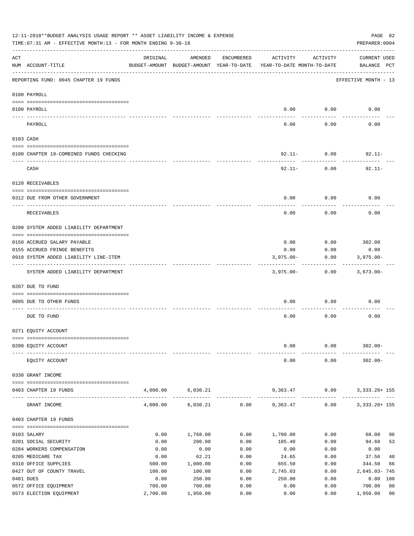|     | 12-11-2018**BUDGET ANALYSIS USAGE REPORT ** ASSET LIABILITY INCOME & EXPENSE<br>PAGE 82<br>TIME: 07:31 AM - EFFECTIVE MONTH: 13 - FOR MONTH ENDING 9-30-18<br>PREPARER: 0004 |                |                                                     |              |                                        |                  |                                       |  |  |  |
|-----|------------------------------------------------------------------------------------------------------------------------------------------------------------------------------|----------------|-----------------------------------------------------|--------------|----------------------------------------|------------------|---------------------------------------|--|--|--|
| ACT | NUM ACCOUNT-TITLE                                                                                                                                                            | ORIGINAL       | AMENDED<br>BUDGET-AMOUNT BUDGET-AMOUNT YEAR-TO-DATE | ENCUMBERED   | ACTIVITY<br>YEAR-TO-DATE MONTH-TO-DATE | ACTIVITY         | <b>CURRENT USED</b><br>BALANCE PCT    |  |  |  |
|     | REPORTING FUND: 0045 CHAPTER 19 FUNDS                                                                                                                                        |                |                                                     |              |                                        |                  | EFFECTIVE MONTH - 13                  |  |  |  |
|     | 0100 PAYROLL                                                                                                                                                                 |                |                                                     |              |                                        |                  |                                       |  |  |  |
|     | 0100 PAYROLL                                                                                                                                                                 |                |                                                     |              | 0.00                                   | 0.00             | 0.00                                  |  |  |  |
|     | PAYROLL                                                                                                                                                                      |                |                                                     |              | 0.00                                   | 0.00             | 0.00                                  |  |  |  |
|     | 0103 CASH                                                                                                                                                                    |                |                                                     |              |                                        |                  |                                       |  |  |  |
|     | 0100 CHAPTER 19-COMBINED FUNDS CHECKING                                                                                                                                      |                |                                                     |              | $92.11 - 0.00$                         |                  | $92.11 -$                             |  |  |  |
|     | CASH                                                                                                                                                                         |                |                                                     |              | 92.11-                                 | --------<br>0.00 | $92.11 -$                             |  |  |  |
|     | 0120 RECEIVABLES                                                                                                                                                             |                |                                                     |              |                                        |                  |                                       |  |  |  |
|     | 0312 DUE FROM OTHER GOVERNMENT                                                                                                                                               |                |                                                     |              | 0.00                                   | 0.00             | 0.00                                  |  |  |  |
|     |                                                                                                                                                                              |                |                                                     |              |                                        |                  |                                       |  |  |  |
|     | RECEIVABLES                                                                                                                                                                  |                |                                                     |              | 0.00                                   | 0.00             | 0.00                                  |  |  |  |
|     | 0200 SYSTEM ADDED LIABILITY DEPARTMENT                                                                                                                                       |                |                                                     |              |                                        |                  |                                       |  |  |  |
|     | 0150 ACCRUED SALARY PAYABLE                                                                                                                                                  |                |                                                     |              | 0.00                                   |                  | $0.00$ 302.00                         |  |  |  |
|     | 0155 ACCRUED FRINGE BENEFITS                                                                                                                                                 |                |                                                     |              | 0.00                                   | 0.00             | 0.00                                  |  |  |  |
|     | 0910 SYSTEM ADDED LIABILITY LINE-ITEM                                                                                                                                        |                |                                                     |              | $3,975.00 -$                           | 0.00             | $3,975.00 -$                          |  |  |  |
|     | SYSTEM ADDED LIABILITY DEPARTMENT                                                                                                                                            |                |                                                     |              | 3,975.00-                              | 0.00             | 3,673.00-                             |  |  |  |
|     | 0207 DUE TO FUND                                                                                                                                                             |                |                                                     |              |                                        |                  |                                       |  |  |  |
|     | 0095 DUE TO OTHER FUNDS                                                                                                                                                      |                |                                                     |              | 0.00                                   | 0.00             | 0.00                                  |  |  |  |
|     | DUE TO FUND                                                                                                                                                                  |                |                                                     |              | 0.00                                   | 0.00             | 0.00                                  |  |  |  |
|     | 0271 EQUITY ACCOUNT                                                                                                                                                          |                |                                                     |              |                                        |                  |                                       |  |  |  |
|     |                                                                                                                                                                              |                |                                                     |              |                                        |                  |                                       |  |  |  |
|     | 0200 EQUITY ACCOUNT                                                                                                                                                          |                |                                                     |              | 0.00                                   | 0.00             | $302.00 -$                            |  |  |  |
|     | EQUITY ACCOUNT                                                                                                                                                               |                |                                                     |              | 0.00                                   | 0.00             | $302.00 -$                            |  |  |  |
|     | 0330 GRANT INCOME                                                                                                                                                            |                |                                                     |              |                                        |                  |                                       |  |  |  |
|     | 0403 CHAPTER 19 FUNDS                                                                                                                                                        |                | 4,000.00 6,030.21                                   |              | 9,363.47                               | 0.00             | 3, 333. 26+ 155<br>------------------ |  |  |  |
|     | GRANT INCOME                                                                                                                                                                 | 4,000.00       | 6,030.21                                            | 0.00         | 9,363.47                               | 0.00             | 3, 333. 26+ 155                       |  |  |  |
|     | 0403 CHAPTER 19 FUNDS                                                                                                                                                        |                |                                                     |              |                                        |                  |                                       |  |  |  |
|     | 0103 SALARY                                                                                                                                                                  | 0.00           | 1,768.00                                            | 0.00         | 1,700.00                               | 0.00             | 68.00<br>96                           |  |  |  |
|     | 0201 SOCIAL SECURITY                                                                                                                                                         | 0.00           | 200.00                                              | 0.00         | 105.40                                 | 0.00             | 53<br>94.60                           |  |  |  |
|     | 0204 WORKERS COMPENSATION                                                                                                                                                    | 0.00           | 0.00                                                | 0.00         | 0.00                                   | 0.00             | 0.00                                  |  |  |  |
|     | 0205 MEDICARE TAX                                                                                                                                                            | 0.00           | 62.21                                               | 0.00         | 24.65                                  | 0.00             | 37.56<br>40                           |  |  |  |
|     | 0310 OFFICE SUPPLIES                                                                                                                                                         | 500.00         | 1,000.00                                            | 0.00         | 655.50                                 | 0.00             | 344.50<br>66                          |  |  |  |
|     | 0427 OUT OF COUNTY TRAVEL                                                                                                                                                    | 100.00         | 100.00                                              | 0.00         | 2,745.03                               | 0.00             | 2,645.03-745                          |  |  |  |
|     | 0481 DUES<br>0572 OFFICE EQUIPMENT                                                                                                                                           | 0.00<br>700.00 | 250.00<br>700.00                                    | 0.00<br>0.00 | 250.00<br>0.00                         | 0.00<br>0.00     | 0.00 100<br>0 <sub>0</sub><br>700.00  |  |  |  |
|     | 0573 ELECTION EQUIPMENT                                                                                                                                                      | 2,700.00       | 1,950.00                                            | 0.00         | 0.00                                   | 0.00             | 1,950.00<br>0 <sub>0</sub>            |  |  |  |
|     |                                                                                                                                                                              |                |                                                     |              |                                        |                  |                                       |  |  |  |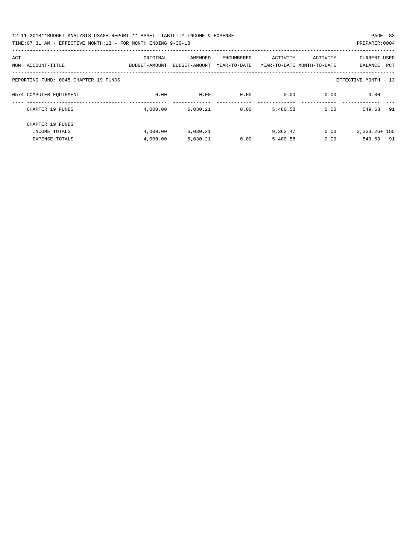| 12-11-2018**BUDGET ANALYSIS USAGE REPORT ** ASSET LIABILITY INCOME & EXPENSE | PAGE 83        |  |
|------------------------------------------------------------------------------|----------------|--|
| TIME: 07:31 AM - EFFECTIVE MONTH: 13 - FOR MONTH ENDING 9-30-18              | PREPARER: 0004 |  |

| ACT                                   | ORIGINAL      | AMENDED       | ENCUMBERED   | ACTIVITY | ACTIVITY                   | <b>CURRENT USED</b>  |
|---------------------------------------|---------------|---------------|--------------|----------|----------------------------|----------------------|
| ACCOUNT-TITLE<br>NUM                  | BUDGET-AMOUNT | BUDGET-AMOUNT | YEAR-TO-DATE |          | YEAR-TO-DATE MONTH-TO-DATE | PCT<br>BALANCE       |
| REPORTING FUND: 0045 CHAPTER 19 FUNDS |               |               |              |          |                            | EFFECTIVE MONTH - 13 |
| 0574 COMPUTER EQUIPMENT               | 0.00          | 0.00          | 0.00         | 0.00     | 0.00                       | 0.00                 |
| CHAPTER 19 FUNDS                      | 4,000.00      | 6,030.21      | 0.00         | 5,480.58 | 0.00                       | 549.63<br>91         |
| CHAPTER 19 FUNDS                      |               |               |              |          |                            |                      |
| INCOME TOTALS                         | 4,000.00      | 6,030.21      |              | 9,363.47 | 0.00                       | $3,333,26+155$       |
| <b>EXPENSE TOTALS</b>                 | 4,000.00      | 6.030.21      | 0.00         | 5,480.58 | 0.00                       | 549.63<br>- 91       |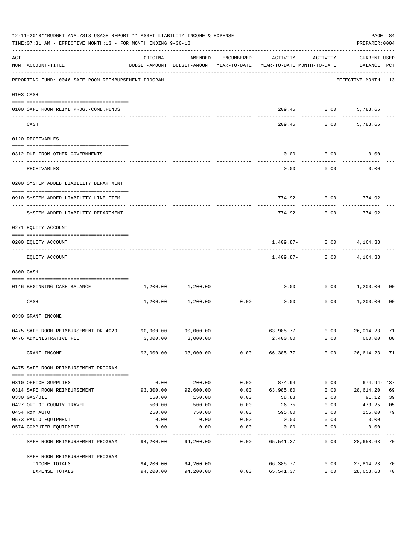|     | 12-11-2018**BUDGET ANALYSIS USAGE REPORT ** ASSET LIABILITY INCOME & EXPENSE<br>TIME: 07:31 AM - EFFECTIVE MONTH: 13 - FOR MONTH ENDING 9-30-18 |                                                                                 |                     |             |           |             | PREPARER: 0004                     | PAGE 84        |
|-----|-------------------------------------------------------------------------------------------------------------------------------------------------|---------------------------------------------------------------------------------|---------------------|-------------|-----------|-------------|------------------------------------|----------------|
| ACT | NUM ACCOUNT-TITLE                                                                                                                               | ORIGINAL<br>BUDGET-AMOUNT BUDGET-AMOUNT YEAR-TO-DATE YEAR-TO-DATE MONTH-TO-DATE | AMENDED             | ENCUMBERED  | ACTIVITY  | ACTIVITY    | <b>CURRENT USED</b><br>BALANCE PCT |                |
|     | REPORTING FUND: 0046 SAFE ROOM REIMBURSEMENT PROGRAM                                                                                            |                                                                                 |                     |             |           |             | EFFECTIVE MONTH - 13               |                |
|     | 0103 CASH                                                                                                                                       |                                                                                 |                     |             |           |             |                                    |                |
|     | 0100 SAFE ROOM REIMB.PROG.-COMB.FUNDS                                                                                                           |                                                                                 |                     |             |           | 209.45 0.00 | 5,783.65                           |                |
|     | CASH                                                                                                                                            |                                                                                 |                     |             | 209.45    | 0.00        | 5,783.65                           |                |
|     | 0120 RECEIVABLES                                                                                                                                |                                                                                 |                     |             |           |             |                                    |                |
|     | 0312 DUE FROM OTHER GOVERNMENTS                                                                                                                 |                                                                                 |                     |             | 0.00      | 0.00        | 0.00                               |                |
|     | RECEIVABLES                                                                                                                                     |                                                                                 |                     |             | 0.00      | 0.00        | 0.00                               |                |
|     | 0200 SYSTEM ADDED LIABILITY DEPARTMENT                                                                                                          |                                                                                 |                     |             |           |             |                                    |                |
|     | 0910 SYSTEM ADDED LIABILITY LINE-ITEM                                                                                                           |                                                                                 |                     |             | 774.92    | 0.00        | 774.92                             |                |
|     | SYSTEM ADDED LIABILITY DEPARTMENT                                                                                                               |                                                                                 |                     |             | 774.92    | 0.00        | 774.92                             |                |
|     | 0271 EQUITY ACCOUNT                                                                                                                             |                                                                                 |                     |             |           |             |                                    |                |
|     |                                                                                                                                                 |                                                                                 |                     |             |           |             |                                    |                |
|     | 0200 EQUITY ACCOUNT                                                                                                                             |                                                                                 |                     |             |           |             | $1,409.87 - 0.00$ $4,164.33$       |                |
|     | EQUITY ACCOUNT                                                                                                                                  |                                                                                 |                     |             |           |             | $1,409.87 - 0.00$ $4,164.33$       |                |
|     | 0300 CASH                                                                                                                                       |                                                                                 |                     |             |           |             |                                    |                |
|     | 0146 BEGINNING CASH BALANCE                                                                                                                     | 1,200.00                                                                        | 1,200.00            | ----------- | 0.00      | 0.00        | 1,200.00                           | 00             |
|     | CASH                                                                                                                                            | 1,200.00                                                                        | 1,200.00            | 0.00        | 0.00      | 0.00        | 1,200.00                           | 0 <sub>0</sub> |
|     | 0330 GRANT INCOME                                                                                                                               |                                                                                 |                     |             |           |             |                                    |                |
|     | 0475 SAFE ROOM REIMBURSEMENT DR-4029                                                                                                            | 90,000.00                                                                       | 90,000.00           |             |           |             | 63,985.77 0.00 26,014.23 71        |                |
|     | 0476 ADMINISTRATIVE FEE                                                                                                                         | 3,000.00                                                                        | 3,000.00            |             | 2,400.00  | 0.00        | 600.00                             | 80             |
|     | GRANT INCOME                                                                                                                                    |                                                                                 | 93,000.00 93,000.00 | 0.00        | 66,385.77 | 0.00        | 26,614.23 71                       |                |
|     | 0475 SAFE ROOM REIMBURSEMENT PROGRAM                                                                                                            |                                                                                 |                     |             |           |             |                                    |                |
|     | 0310 OFFICE SUPPLIES                                                                                                                            | 0.00                                                                            | 200.00              | 0.00        | 874.94    | 0.00        | 674.94-437                         |                |
|     | 0314 SAFE ROOM REIMBURSEMENT                                                                                                                    | 93,300.00                                                                       | 92,600.00           | 0.00        | 63,985.80 | 0.00        | 28,614.20                          | 69             |
|     | 0330 GAS/OIL                                                                                                                                    | 150.00                                                                          | 150.00              | 0.00        | 58.88     | 0.00        | 91.12                              | 39             |
|     | 0427 OUT OF COUNTY TRAVEL                                                                                                                       | 500.00                                                                          | 500.00              | 0.00        | 26.75     | 0.00        | 473.25                             | 05             |
|     | 0454 R&M AUTO                                                                                                                                   | 250.00                                                                          | 750.00              | 0.00        | 595.00    | 0.00        | 155.00                             | 79             |
|     | 0573 RADIO EQUIPMENT                                                                                                                            | 0.00                                                                            | 0.00                | 0.00        | 0.00      | 0.00        | 0.00                               |                |
|     | 0574 COMPUTER EQUIPMENT                                                                                                                         | 0.00                                                                            | 0.00                | 0.00        | 0.00      | 0.00        | 0.00                               |                |
|     | SAFE ROOM REIMBURSEMENT PROGRAM                                                                                                                 | 94,200.00                                                                       | 94,200.00           | 0.00        | 65,541.37 | 0.00        | 28,658.63                          | 70             |
|     | SAFE ROOM REIMBURSEMENT PROGRAM                                                                                                                 |                                                                                 |                     |             |           |             |                                    |                |
|     | INCOME TOTALS                                                                                                                                   | 94,200.00                                                                       | 94,200.00           |             | 66,385.77 | 0.00        | 27,814.23                          | 70             |
|     | EXPENSE TOTALS                                                                                                                                  | 94,200.00                                                                       | 94,200.00           | 0.00        | 65,541.37 | 0.00        | 28,658.63                          | 70             |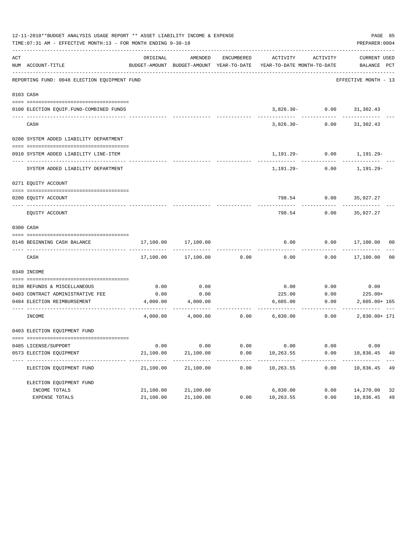|     | 12-11-2018**BUDGET ANALYSIS USAGE REPORT ** ASSET LIABILITY INCOME & EXPENSE<br>TIME: 07:31 AM - EFFECTIVE MONTH: 13 - FOR MONTH ENDING 9-30-18 |                   |                   |              |                                                                     |                                | PAGE 85<br>PREPARER: 0004 |                |
|-----|-------------------------------------------------------------------------------------------------------------------------------------------------|-------------------|-------------------|--------------|---------------------------------------------------------------------|--------------------------------|---------------------------|----------------|
| ACT |                                                                                                                                                 | ORIGINAL          | AMENDED           | ENCUMBERED   | ACTIVITY                                                            | ACTIVITY                       | CURRENT USED              |                |
|     | NUM ACCOUNT-TITLE                                                                                                                               |                   |                   |              | BUDGET-AMOUNT BUDGET-AMOUNT YEAR-TO-DATE YEAR-TO-DATE MONTH-TO-DATE |                                | BALANCE PCT               |                |
|     | REPORTING FUND: 0048 ELECTION EQUIPMENT FUND                                                                                                    |                   |                   |              |                                                                     |                                | EFFECTIVE MONTH - 13      |                |
|     | 0103 CASH                                                                                                                                       |                   |                   |              |                                                                     |                                |                           |                |
|     |                                                                                                                                                 |                   |                   |              |                                                                     |                                |                           |                |
|     | 0100 ELECTION EQUIP. FUND-COMBINED FUNDS<br>___________________________                                                                         |                   |                   |              |                                                                     | $3,826.30 - 0.00$ $31,302.43$  |                           |                |
|     | CASH                                                                                                                                            |                   |                   |              | 3,826.30-                                                           | 0.00                           | 31,302.43                 |                |
|     | 0200 SYSTEM ADDED LIABILITY DEPARTMENT                                                                                                          |                   |                   |              |                                                                     |                                |                           |                |
|     | 0910 SYSTEM ADDED LIABILITY LINE-ITEM                                                                                                           |                   |                   |              |                                                                     | $1,191.29 - 0.00$ $1,191.29 -$ |                           |                |
|     | SYSTEM ADDED LIABILITY DEPARTMENT                                                                                                               |                   |                   |              |                                                                     | $1,191.29 - 0.00$ $1,191.29 -$ |                           |                |
|     | 0271 EQUITY ACCOUNT                                                                                                                             |                   |                   |              |                                                                     |                                |                           |                |
|     | 0200 EOUITY ACCOUNT                                                                                                                             |                   |                   |              |                                                                     | 798.54 0.00 35.927.27          |                           |                |
|     | EQUITY ACCOUNT                                                                                                                                  |                   |                   |              | 798.54                                                              | 0.00                           | 35,927.27                 |                |
|     | 0300 CASH                                                                                                                                       |                   |                   |              |                                                                     |                                |                           |                |
|     | 0148 BEGINNING CASH BALANCE                                                                                                                     | 17,100.00         | 17,100.00         |              | 0.00                                                                |                                | $0.00$ 17,100.00 00       |                |
|     | CASH                                                                                                                                            | 17,100.00         | 17,100.00         | 0.00         | 0.00                                                                |                                | $0.00$ 17,100.00          | 0 <sub>0</sub> |
|     | 0340 INCOME                                                                                                                                     |                   |                   |              |                                                                     |                                |                           |                |
|     | 0130 REFUNDS & MISCELLANEOUS                                                                                                                    | 0.00              | 0.00              |              | 0.00                                                                | 0.00                           | 0.00                      |                |
|     | 0403 CONTRACT ADMINISTRATIVE FEE                                                                                                                | 0.00              | 0.00              |              | 225.00                                                              | 0.00                           | $225.00+$                 |                |
|     | 0484 ELECTION REIMBURSEMENT                                                                                                                     | 4,000.00          | 4,000.00          |              | 6,605.00                                                            | 0.00                           | $2,605.00+165$            |                |
|     | INCOME                                                                                                                                          |                   |                   |              | $4,000.00$ $4,000.00$ $0.00$ $6,830.00$                             | 0.00                           | 2,830.00+ 171             |                |
|     | 0403 ELECTION EQUIPMENT FUND                                                                                                                    |                   |                   |              |                                                                     |                                |                           |                |
|     |                                                                                                                                                 |                   |                   |              |                                                                     |                                |                           |                |
|     | 0485 LICENSE/SUPPORT<br>0573 ELECTION EQUIPMENT                                                                                                 | 0.00<br>21,100.00 | 0.00<br>21,100.00 | 0.00<br>0.00 | 0.00<br>10,263.55                                                   | 0.00<br>0.00                   | 0.00<br>10,836.45         | 49             |
|     | ------------------------------- ---                                                                                                             | ----------        |                   |              | ----------                                                          |                                |                           |                |
|     | ELECTION EQUIPMENT FUND                                                                                                                         | 21,100.00         | 21,100.00         | 0.00         | 10,263.55                                                           | 0.00                           | 10,836.45                 | 49             |
|     | ELECTION EQUIPMENT FUND                                                                                                                         |                   |                   |              |                                                                     |                                |                           |                |
|     | INCOME TOTALS                                                                                                                                   | 21,100.00         | 21,100.00         |              | 6,830.00                                                            | 0.00                           | 14,270.00                 | 32             |
|     | EXPENSE TOTALS                                                                                                                                  | 21,100.00         | 21,100.00         | 0.00         | 10,263.55                                                           | 0.00                           | 10,836.45                 | 49             |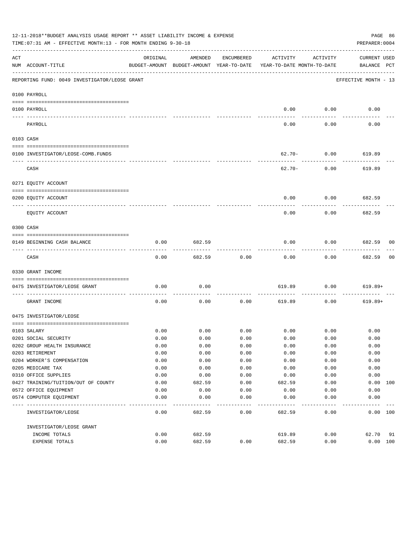|     | 12-11-2018**BUDGET ANALYSIS USAGE REPORT ** ASSET LIABILITY INCOME & EXPENSE<br>TIME: 07:31 AM - EFFECTIVE MONTH: 13 - FOR MONTH ENDING 9-30-18 |              |              |            |                                                                                 |          | PAGE 86<br>PREPARER: 0004   |    |
|-----|-------------------------------------------------------------------------------------------------------------------------------------------------|--------------|--------------|------------|---------------------------------------------------------------------------------|----------|-----------------------------|----|
| ACT | NUM ACCOUNT-TITLE                                                                                                                               | ORIGINAL     | AMENDED      | ENCUMBERED | ACTIVITY<br>BUDGET-AMOUNT BUDGET-AMOUNT YEAR-TO-DATE YEAR-TO-DATE MONTH-TO-DATE | ACTIVITY | CURRENT USED<br>BALANCE PCT |    |
|     | REPORTING FUND: 0049 INVESTIGATOR/LEOSE GRANT                                                                                                   |              |              |            |                                                                                 |          | EFFECTIVE MONTH - 13        |    |
|     | 0100 PAYROLL                                                                                                                                    |              |              |            |                                                                                 |          |                             |    |
|     | 0100 PAYROLL                                                                                                                                    |              |              |            | 0.00                                                                            | 0.00     | 0.00                        |    |
|     | ------------------------- --------                                                                                                              |              |              |            |                                                                                 |          |                             |    |
|     | PAYROLL                                                                                                                                         |              |              |            | 0.00                                                                            | 0.00     | 0.00                        |    |
|     | 0103 CASH                                                                                                                                       |              |              |            |                                                                                 |          |                             |    |
|     |                                                                                                                                                 |              |              |            |                                                                                 |          |                             |    |
|     | 0100 INVESTIGATOR/LEOSE-COMB.FUNDS                                                                                                              |              |              |            | $62.70 -$                                                                       | 0.00     | 619.89                      |    |
|     | CASH                                                                                                                                            |              |              |            | 62.70-                                                                          | 0.00     | 619.89                      |    |
|     | 0271 EQUITY ACCOUNT                                                                                                                             |              |              |            |                                                                                 |          |                             |    |
|     | 0200 EOUITY ACCOUNT                                                                                                                             |              |              |            | 0.00                                                                            | 0.00     | 682.59                      |    |
|     | EQUITY ACCOUNT                                                                                                                                  |              |              |            | 0.00                                                                            | 0.00     | 682.59                      |    |
|     | 0300 CASH                                                                                                                                       |              |              |            |                                                                                 |          |                             |    |
|     | 0149 BEGINNING CASH BALANCE                                                                                                                     | 0.00         | 682.59       |            | 0.00                                                                            | 0.00     | 682.59 00                   |    |
|     | CASH                                                                                                                                            | 0.00         | 682.59       | 0.00       | 0.00                                                                            | 0.00     | 682.59                      | 00 |
|     | 0330 GRANT INCOME                                                                                                                               |              |              |            |                                                                                 |          |                             |    |
|     | 0475 INVESTIGATOR/LEOSE GRANT                                                                                                                   | 0.00         | 0.00         |            | 619.89                                                                          | 0.00     | 619.89+                     |    |
|     | GRANT INCOME                                                                                                                                    | 0.00         | 0.00         | 0.00       | 619.89                                                                          | 0.00     | $619.89+$                   |    |
|     | 0475 INVESTIGATOR/LEOSE                                                                                                                         |              |              |            |                                                                                 |          |                             |    |
|     |                                                                                                                                                 |              |              | 0.00       |                                                                                 |          |                             |    |
|     | 0103 SALARY<br>0201 SOCIAL SECURITY                                                                                                             | 0.00<br>0.00 | 0.00<br>0.00 | 0.00       | $0.00$ 0.00<br>0.00                                                             | 0.00     | 0.00<br>0.00                |    |
|     | 0202 GROUP HEALTH INSURANCE                                                                                                                     | 0.00         | 0.00         | 0.00       | 0.00                                                                            | 0.00     | 0.00                        |    |
|     | 0203 RETIREMENT                                                                                                                                 | 0.00         | 0.00         | 0.00       | 0.00                                                                            | 0.00     | 0.00                        |    |
|     | 0204 WORKER'S COMPENSATION                                                                                                                      | 0.00         | 0.00         | 0.00       | 0.00                                                                            | 0.00     | 0.00                        |    |
|     | 0205 MEDICARE TAX                                                                                                                               | 0.00         | 0.00         | 0.00       | 0.00                                                                            | 0.00     | 0.00                        |    |
|     | 0310 OFFICE SUPPLIES                                                                                                                            | 0.00         | 0.00         | 0.00       | 0.00                                                                            | 0.00     | 0.00                        |    |
|     | 0427 TRAINING/TUITION/OUT OF COUNTY                                                                                                             | 0.00         | 682.59       | 0.00       | 682.59                                                                          | 0.00     | 0.00 100                    |    |
|     | 0572 OFFICE EQUIPMENT                                                                                                                           | 0.00         | 0.00         | 0.00       | 0.00                                                                            | 0.00     | 0.00                        |    |
|     | 0574 COMPUTER EQUIPMENT                                                                                                                         | 0.00         | 0.00         | 0.00       | 0.00                                                                            | 0.00     | 0.00                        |    |
|     | INVESTIGATOR/LEOSE                                                                                                                              | 0.00         | 682.59       | 0.00       | 682.59                                                                          | 0.00     | 0.00 100                    |    |
|     |                                                                                                                                                 |              |              |            |                                                                                 |          |                             |    |
|     | INVESTIGATOR/LEOSE GRANT                                                                                                                        |              |              |            |                                                                                 |          |                             |    |
|     | INCOME TOTALS                                                                                                                                   | 0.00         | 682.59       |            | 619.89                                                                          | 0.00     | 62.70                       | 91 |
|     | EXPENSE TOTALS                                                                                                                                  | 0.00         | 682.59       | 0.00       | 682.59                                                                          | 0.00     | 0.00 100                    |    |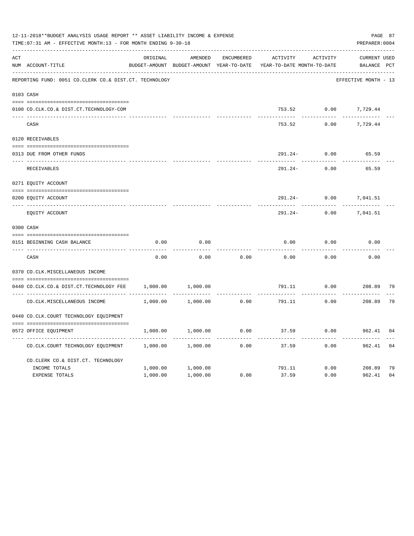|     | 12-11-2018**BUDGET ANALYSIS USAGE REPORT ** ASSET LIABILITY INCOME & EXPENSE<br>TIME: 07:31 AM - EFFECTIVE MONTH: 13 - FOR MONTH ENDING 9-30-18 |          |                                          |            |                            |                           | PAGE 87<br>PREPARER: 0004 |    |
|-----|-------------------------------------------------------------------------------------------------------------------------------------------------|----------|------------------------------------------|------------|----------------------------|---------------------------|---------------------------|----|
| ACT |                                                                                                                                                 | ORIGINAL | AMENDED                                  | ENCUMBERED | ACTIVITY                   | ACTIVITY                  | <b>CURRENT USED</b>       |    |
|     | NUM ACCOUNT-TITLE                                                                                                                               |          | BUDGET-AMOUNT BUDGET-AMOUNT YEAR-TO-DATE |            | YEAR-TO-DATE MONTH-TO-DATE |                           | BALANCE PCT               |    |
|     | REPORTING FUND: 0051 CO.CLERK CO.& DIST.CT. TECHNOLOGY                                                                                          |          |                                          |            |                            |                           | EFFECTIVE MONTH - 13      |    |
|     | 0103 CASH                                                                                                                                       |          |                                          |            |                            |                           |                           |    |
|     | 0100 CO.CLK.CO.& DIST.CT.TECHNOLOGY-COM                                                                                                         |          |                                          |            |                            | 753.52 0.00 7,729.44      |                           |    |
|     | CASH                                                                                                                                            |          |                                          |            | 753.52                     | 0.00                      | 7,729.44                  |    |
|     | 0120 RECEIVABLES                                                                                                                                |          |                                          |            |                            |                           |                           |    |
|     | 0313 DUE FROM OTHER FUNDS                                                                                                                       |          |                                          |            | 291.24-                    | 0.00                      | 65.59                     |    |
|     | RECEIVABLES                                                                                                                                     |          |                                          |            | $291.24-$                  | 0.00                      | 65.59                     |    |
|     | 0271 EQUITY ACCOUNT                                                                                                                             |          |                                          |            |                            |                           |                           |    |
|     | 0200 EQUITY ACCOUNT                                                                                                                             |          |                                          |            | 291.24-                    | 0.00                      | 7,041.51                  |    |
|     | ---- -----------------------<br>EQUITY ACCOUNT                                                                                                  |          |                                          |            | 291.24-                    | 0.00                      | 7,041.51                  |    |
|     | 0300 CASH                                                                                                                                       |          |                                          |            |                            |                           |                           |    |
|     | 0151 BEGINNING CASH BALANCE                                                                                                                     | 0.00     | 0.00                                     |            | 0.00                       | 0.00                      | 0.00                      |    |
|     | CASH                                                                                                                                            | 0.00     | 0.00                                     | 0.00       | 0.00                       | 0.00                      | 0.00                      |    |
|     | 0370 CO.CLK.MISCELLANEOUS INCOME                                                                                                                |          |                                          |            |                            |                           |                           |    |
|     | 0440 CO.CLK.CO.& DIST.CT.TECHNOLOGY FEE                                                                                                         | 1,000.00 | 1,000.00                                 |            |                            | 791.11 0.00               | 208.89                    | 79 |
|     | CO. CLK. MISCELLANEOUS INCOME                                                                                                                   | 1,000.00 | 1,000.00                                 | 0.00       |                            | . <u>.</u><br>791.11 0.00 | 208.89                    | 79 |
|     | 0440 CO.CLK.COURT TECHNOLOGY EQUIPMENT                                                                                                          |          |                                          |            |                            |                           |                           |    |
|     | 0572 OFFICE EQUIPMENT                                                                                                                           | 1,000.00 | 1,000.00                                 | 0.00       | 37.59                      | 0.00                      | 962.41                    | 04 |
|     | CO.CLK.COURT TECHNOLOGY EQUIPMENT                                                                                                               | 1,000.00 | 1,000.00                                 | 0.00       | 37.59                      | $- - - - -$<br>0.00       | --------<br>962.41        | 04 |
|     | CO. CLERK CO.& DIST. CT. TECHNOLOGY                                                                                                             |          |                                          |            |                            |                           |                           |    |
|     | INCOME TOTALS                                                                                                                                   | 1,000.00 | 1,000.00                                 |            | 791.11                     |                           | $0.00$ 208.89             | 79 |
|     | <b>EXPENSE TOTALS</b>                                                                                                                           | 1,000.00 | 1,000.00                                 | 0.00       | 37.59                      | 0.00                      | 962.41                    | 04 |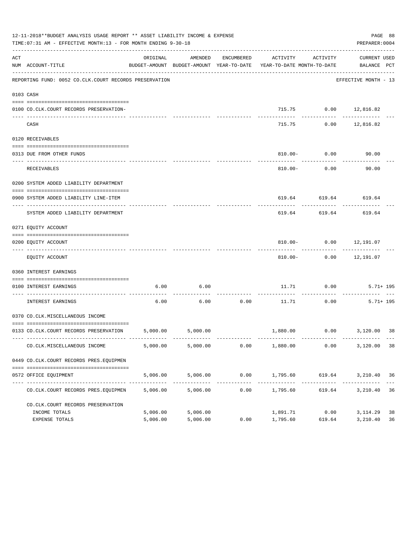|     | 12-11-2018**BUDGET ANALYSIS USAGE REPORT ** ASSET LIABILITY INCOME & EXPENSE<br>TIME: 07:31 AM - EFFECTIVE MONTH: 13 - FOR MONTH ENDING 9-30-18 |          |          |            |                                                                                 |                        | PAGE 88<br>PREPARER: 0004       |    |
|-----|-------------------------------------------------------------------------------------------------------------------------------------------------|----------|----------|------------|---------------------------------------------------------------------------------|------------------------|---------------------------------|----|
| ACT | NUM ACCOUNT-TITLE                                                                                                                               | ORIGINAL | AMENDED  | ENCUMBERED | BUDGET-AMOUNT BUDGET-AMOUNT YEAR-TO-DATE YEAR-TO-DATE MONTH-TO-DATE BALANCE PCT | ACTIVITY ACTIVITY      | CURRENT USED                    |    |
|     | REPORTING FUND: 0052 CO.CLK.COURT RECORDS PRESERVATION                                                                                          |          |          |            |                                                                                 |                        | EFFECTIVE MONTH - 13            |    |
|     | 0103 CASH                                                                                                                                       |          |          |            |                                                                                 |                        |                                 |    |
|     | 0100 CO.CLK.COURT RECORDS PRESERVATION-                                                                                                         |          |          |            |                                                                                 | 715.75 0.00 12,816.82  |                                 |    |
|     | CASH                                                                                                                                            |          |          |            | 715.75                                                                          |                        | --------<br>$0.00$ 12,816.82    |    |
|     | 0120 RECEIVABLES                                                                                                                                |          |          |            |                                                                                 |                        |                                 |    |
|     | 0313 DUE FROM OTHER FUNDS                                                                                                                       |          |          |            |                                                                                 | $810.00 - 0.00$        | 90.00                           |    |
|     | <b>RECEIVABLES</b>                                                                                                                              |          |          |            |                                                                                 | $810.00 - 0.00$        | 90.00                           |    |
|     | 0200 SYSTEM ADDED LIABILITY DEPARTMENT                                                                                                          |          |          |            |                                                                                 |                        |                                 |    |
|     | 0900 SYSTEM ADDED LIABILITY LINE-ITEM                                                                                                           |          |          |            |                                                                                 | 619.64 619.64 619.64   |                                 |    |
|     | SYSTEM ADDED LIABILITY DEPARTMENT                                                                                                               |          |          |            | 619.64                                                                          | 619.64                 | 619.64                          |    |
|     | 0271 EQUITY ACCOUNT                                                                                                                             |          |          |            |                                                                                 |                        |                                 |    |
|     | 0200 EQUITY ACCOUNT                                                                                                                             |          |          |            |                                                                                 | 810.00- 0.00 12,191.07 |                                 |    |
|     | EQUITY ACCOUNT                                                                                                                                  |          |          |            |                                                                                 | 810.00- 0.00 12,191.07 |                                 |    |
|     | 0360 INTEREST EARNINGS                                                                                                                          |          |          |            |                                                                                 |                        |                                 |    |
|     | 0100 INTEREST EARNINGS                                                                                                                          | 6.00     | 6.00     |            |                                                                                 | 11.71 0.00             | $5.71 + 195$                    |    |
|     | -------------------- --------------<br>INTEREST EARNINGS                                                                                        | 6.00     | 6.00     | 0.00       | 11.71                                                                           | 0.00                   | $5.71 + 195$                    |    |
|     | 0370 CO.CLK.MISCELLANEOUS INCOME                                                                                                                |          |          |            |                                                                                 |                        |                                 |    |
|     | 0133 CO.CLK.COURT RECORDS PRESERVATION 5,000.00 5,000.00                                                                                        |          |          |            |                                                                                 |                        | 1,880.00   0.00   3,120.00   38 |    |
|     | CO.CLK.MISCELLANEOUS INCOME                                                                                                                     | 5,000.00 | 5,000.00 | 0.00       |                                                                                 | 1,880.00 0.00          | 3,120.00 38                     |    |
|     | 0449 CO.CLK.COURT RECORDS PRES.EQUIPMEN                                                                                                         |          |          |            |                                                                                 |                        |                                 |    |
|     | 0572 OFFICE EQUIPMENT                                                                                                                           | 5,006.00 | 5,006.00 |            | $0.00$ 1,795.60                                                                 |                        | 619.64 3,210.40 36              |    |
|     | CO.CLK.COURT RECORDS PRES.EQUIPMEN                                                                                                              | 5,006.00 | 5,006.00 | 0.00       | 1,795.60                                                                        | 619.64                 | 3,210.40                        | 36 |
|     | CO. CLK. COURT RECORDS PRESERVATION                                                                                                             |          |          |            |                                                                                 |                        |                                 |    |
|     | INCOME TOTALS                                                                                                                                   | 5,006.00 | 5,006.00 |            | 1,891.71                                                                        | 0.00                   | 3,114.29                        | 38 |
|     | EXPENSE TOTALS                                                                                                                                  | 5,006.00 | 5,006.00 | 0.00       | 1,795.60                                                                        | 619.64                 | 3,210.40                        | 36 |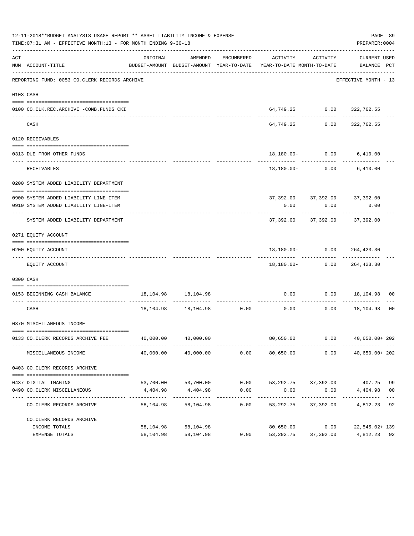|     | 12-11-2018**BUDGET ANALYSIS USAGE REPORT ** ASSET LIABILITY INCOME & EXPENSE<br>TIME: 07:31 AM - EFFECTIVE MONTH: 13 - FOR MONTH ENDING 9-30-18 |                             |                           |                   |                                                                                                                 |                                       | PREPARER: 0004                             | PAGE 89        |
|-----|-------------------------------------------------------------------------------------------------------------------------------------------------|-----------------------------|---------------------------|-------------------|-----------------------------------------------------------------------------------------------------------------|---------------------------------------|--------------------------------------------|----------------|
| ACT | NUM ACCOUNT-TITLE                                                                                                                               | ORIGINAL                    | AMENDED                   |                   | ENCUMBERED ACTIVITY ACTIVITY<br>BUDGET-AMOUNT BUDGET-AMOUNT YEAR-TO-DATE YEAR-TO-DATE MONTH-TO-DATE BALANCE PCT |                                       | CURRENT USED                               |                |
|     | REPORTING FUND: 0053 CO.CLERK RECORDS ARCHIVE                                                                                                   |                             |                           |                   |                                                                                                                 |                                       | EFFECTIVE MONTH - 13                       |                |
|     | 0103 CASH                                                                                                                                       |                             |                           |                   |                                                                                                                 |                                       |                                            |                |
|     | 0100 CO.CLK.REC.ARCHIVE -COMB.FUNDS CKI                                                                                                         |                             |                           |                   |                                                                                                                 |                                       | 64,749.25 0.00 322,762.55                  |                |
|     | CASH                                                                                                                                            |                             |                           |                   |                                                                                                                 | -------------                         | -------------<br>64,749.25 0.00 322,762.55 |                |
|     | 0120 RECEIVABLES                                                                                                                                |                             |                           |                   |                                                                                                                 |                                       |                                            |                |
|     | 0313 DUE FROM OTHER FUNDS                                                                                                                       |                             |                           |                   |                                                                                                                 |                                       | 18,180.00- 0.00 6,410.00                   |                |
|     | RECEIVABLES                                                                                                                                     |                             |                           |                   |                                                                                                                 |                                       | 18,180.00 - 0.00 6,410.00                  |                |
|     | 0200 SYSTEM ADDED LIABILITY DEPARTMENT                                                                                                          |                             |                           |                   |                                                                                                                 |                                       |                                            |                |
|     | 0900 SYSTEM ADDED LIABILITY LINE-ITEM                                                                                                           |                             |                           |                   |                                                                                                                 |                                       | 37, 392.00 37, 392.00 37, 392.00           |                |
|     | 0910 SYSTEM ADDED LIABILITY LINE-ITEM                                                                                                           |                             |                           |                   | 0.00                                                                                                            | 0.00                                  | 0.00                                       |                |
|     | SYSTEM ADDED LIABILITY DEPARTMENT                                                                                                               |                             |                           |                   |                                                                                                                 |                                       | 37,392.00 37,392.00 37,392.00              |                |
|     | 0271 EQUITY ACCOUNT                                                                                                                             |                             |                           |                   |                                                                                                                 |                                       |                                            |                |
|     | 0200 EQUITY ACCOUNT                                                                                                                             |                             |                           |                   |                                                                                                                 |                                       | 18,180.00 - 0.00 264,423.30                |                |
|     | EQUITY ACCOUNT                                                                                                                                  |                             |                           |                   |                                                                                                                 |                                       | 18,180.00- 0.00 264,423.30                 |                |
|     | 0300 CASH                                                                                                                                       |                             |                           |                   |                                                                                                                 |                                       |                                            |                |
|     | 0153 BEGINNING CASH BALANCE                                                                                                                     |                             | 18, 104. 98   18, 104. 98 |                   |                                                                                                                 |                                       | $0.00$ $0.00$ $18,104.98$ 00               |                |
|     | CASH                                                                                                                                            |                             |                           |                   | $18,104.98$ $18,104.98$ $0.00$ $0.00$ $0.00$ $18,104.98$                                                        |                                       |                                            | 0 <sub>0</sub> |
|     | 0370 MISCELLANEOUS INCOME                                                                                                                       |                             |                           |                   |                                                                                                                 |                                       |                                            |                |
|     | 0133 CO.CLERK RECORDS ARCHIVE FEE                                                                                                               | 40,000.00                   | 40,000.00                 |                   | 80,650.00                                                                                                       | 0.00                                  | 40,650.00+ 202                             |                |
|     | MISCELLANEOUS INCOME                                                                                                                            | 40,000.00                   | 40,000.00                 | 0.00              | 80,650.00                                                                                                       | 0.00                                  | 40,650.00+ 202                             |                |
|     | 0403 CO. CLERK RECORDS ARCHIVE                                                                                                                  |                             |                           |                   |                                                                                                                 |                                       |                                            |                |
|     | 0437 DIGITAL IMAGING                                                                                                                            |                             | 53,700.00 53,700.00       |                   | $0.00$ $53,292.75$ $37,392.00$ $407.25$                                                                         |                                       |                                            | 99             |
|     | 0490 CO. CLERK MISCELLANEOUS                                                                                                                    |                             | 4,404.98 4,404.98         | 0.00              | 0.00                                                                                                            | 0.00                                  | 4,404.98                                   | 0 <sub>0</sub> |
|     | CO.CLERK RECORDS ARCHIVE                                                                                                                        | --------------<br>58,104.98 | . <u>.</u> .<br>58,104.98 | ---------<br>0.00 |                                                                                                                 | ----------<br>53, 292. 75 37, 392. 00 | -----------<br>4,812.23 92                 |                |
|     | CO. CLERK RECORDS ARCHIVE                                                                                                                       |                             |                           |                   |                                                                                                                 |                                       |                                            |                |
|     | INCOME TOTALS<br>EXPENSE TOTALS                                                                                                                 | 58,104.98<br>58,104.98      | 58,104.98<br>58,104.98    | 0.00              | 80,650.00<br>53,292.75                                                                                          | 37,392.00                             | $0.00$ 22,545.02+139<br>4,812.23 92        |                |
|     |                                                                                                                                                 |                             |                           |                   |                                                                                                                 |                                       |                                            |                |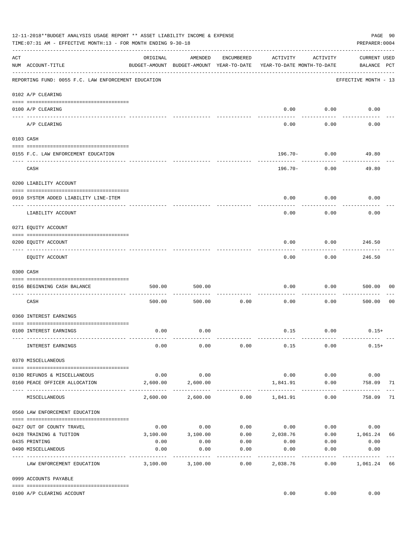|     | 12-11-2018**BUDGET ANALYSIS USAGE REPORT ** ASSET LIABILITY INCOME & EXPENSE<br>TIME:07:31 AM - EFFECTIVE MONTH:13 - FOR MONTH ENDING 9-30-18 |                     |                                                     |                       |                                        |                      | PAGE 90<br>PREPARER: 0004          |                |
|-----|-----------------------------------------------------------------------------------------------------------------------------------------------|---------------------|-----------------------------------------------------|-----------------------|----------------------------------------|----------------------|------------------------------------|----------------|
| ACT | NUM ACCOUNT-TITLE                                                                                                                             | ORIGINAL            | AMENDED<br>BUDGET-AMOUNT BUDGET-AMOUNT YEAR-TO-DATE | ENCUMBERED            | ACTIVITY<br>YEAR-TO-DATE MONTH-TO-DATE | ACTIVITY             | <b>CURRENT USED</b><br>BALANCE PCT |                |
|     | REPORTING FUND: 0055 F.C. LAW ENFORCEMENT EDUCATION                                                                                           |                     |                                                     |                       |                                        |                      | EFFECTIVE MONTH - 13               |                |
|     | 0102 A/P CLEARING                                                                                                                             |                     |                                                     |                       |                                        |                      |                                    |                |
|     | 0100 A/P CLEARING<br>---- ---------                                                                                                           |                     |                                                     |                       | 0.00                                   | 0.00                 | 0.00                               |                |
|     | A/P CLEARING                                                                                                                                  |                     |                                                     |                       | 0.00                                   | 0.00                 | 0.00                               |                |
|     | 0103 CASH                                                                                                                                     |                     |                                                     |                       |                                        |                      |                                    |                |
|     | 0155 F.C. LAW ENFORCEMENT EDUCATION                                                                                                           |                     |                                                     |                       | 196.70-                                | 0.00                 | 49.80                              |                |
|     | CASH                                                                                                                                          |                     |                                                     |                       | 196.70-                                | 0.00                 | 49.80                              |                |
|     | 0200 LIABILITY ACCOUNT                                                                                                                        |                     |                                                     |                       |                                        |                      |                                    |                |
|     | 0910 SYSTEM ADDED LIABILITY LINE-ITEM                                                                                                         |                     |                                                     |                       | 0.00                                   | 0.00                 | 0.00                               |                |
|     | ---- --------------<br>LIABILITY ACCOUNT                                                                                                      |                     |                                                     |                       | 0.00                                   | 0.00                 | 0.00                               |                |
|     | 0271 EQUITY ACCOUNT                                                                                                                           |                     |                                                     |                       |                                        |                      |                                    |                |
|     | 0200 EQUITY ACCOUNT                                                                                                                           |                     |                                                     |                       | 0.00                                   | 0.00                 | 246.50                             |                |
|     | EQUITY ACCOUNT                                                                                                                                |                     |                                                     |                       | 0.00                                   | 0.00                 | 246.50                             |                |
|     | 0300 CASH                                                                                                                                     |                     |                                                     |                       |                                        |                      |                                    |                |
|     | 0156 BEGINNING CASH BALANCE                                                                                                                   | 500.00              | 500.00                                              |                       | 0.00                                   | 0.00                 | 500.00                             | 00             |
|     | CASH                                                                                                                                          | 500.00              | 500.00                                              | 0.00                  | 0.00                                   | 0.00                 | 500.00                             | 0 <sub>0</sub> |
|     | 0360 INTEREST EARNINGS                                                                                                                        |                     |                                                     |                       |                                        |                      |                                    |                |
|     | 0100 INTEREST EARNINGS                                                                                                                        | 0.00                | 0.00                                                |                       |                                        | $0.15$ 0.00          | $0.15+$                            |                |
|     | INTEREST EARNINGS                                                                                                                             | 0.00                | 0.00                                                | 0.00                  | 0.15                                   | 0.00                 | $0.15+$                            |                |
|     | 0370 MISCELLANEOUS                                                                                                                            |                     |                                                     |                       |                                        |                      |                                    |                |
|     | 0130 REFUNDS & MISCELLANEOUS                                                                                                                  | 0.00                | 0.00                                                |                       | 0.00                                   | 0.00                 | 0.00                               |                |
|     | 0160 PEACE OFFICER ALLOCATION                                                                                                                 | 2,600.00            | 2,600.00                                            |                       | 1,841.91                               | 0.00<br>------------ | 758.09<br>. _ _ _ _ _ _ _ _ _ _    | 71             |
|     | MISCELLANEOUS                                                                                                                                 | 2,600.00            | 2,600.00                                            |                       | $0.00$ 1,841.91                        | 0.00                 | 758.09                             | 71             |
|     | 0560 LAW ENFORCEMENT EDUCATION                                                                                                                |                     |                                                     |                       |                                        |                      |                                    |                |
|     | 0427 OUT OF COUNTY TRAVEL                                                                                                                     | 0.00                | 0.00                                                |                       | $0.00$ $0.00$ $0.00$                   |                      | 0.00                               |                |
|     | 0428 TRAINING & TUITION                                                                                                                       | 3,100.00            | 3,100.00                                            |                       | $0.00$ $2,038.76$ $0.00$ $1,061.24$    |                      |                                    | 66             |
|     | 0435 PRINTING                                                                                                                                 | 0.00                | 0.00                                                | 0.00                  | 0.00                                   | 0.00                 | 0.00                               |                |
|     | 0490 MISCELLANEOUS                                                                                                                            | 0.00<br>----------- | 0.00                                                | 0.00<br>$- - - - - -$ | 0.00<br>---------                      | 0.00<br>.            | 0.00<br>----------                 |                |
|     | LAW ENFORCEMENT EDUCATION                                                                                                                     | 3,100.00            | 3,100.00                                            | 0.00                  | 2,038.76                               | 0.00                 | 1,061.24                           | 66             |
|     | 0999 ACCOUNTS PAYABLE                                                                                                                         |                     |                                                     |                       |                                        |                      |                                    |                |
|     | 0100 A/P CLEARING ACCOUNT                                                                                                                     |                     |                                                     |                       | 0.00                                   | 0.00                 | 0.00                               |                |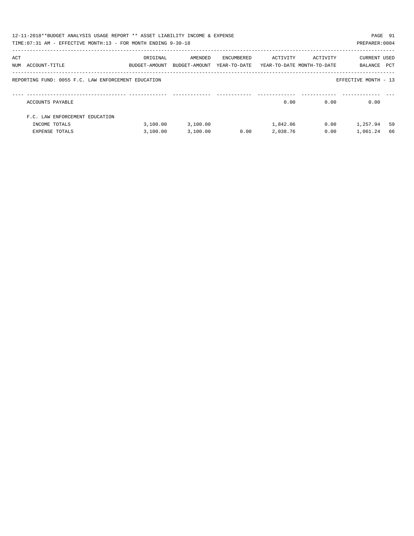|     | 12-11-2018**BUDGET ANALYSIS USAGE REPORT ** ASSET LIABILITY INCOME & EXPENSE<br>TIME: 07:31 AM - EFFECTIVE MONTH: 13 - FOR MONTH ENDING 9-30-18 |                           |                          |                            |                                        |          | PAGE 91<br>PREPARER: 0004 |     |
|-----|-------------------------------------------------------------------------------------------------------------------------------------------------|---------------------------|--------------------------|----------------------------|----------------------------------------|----------|---------------------------|-----|
| ACT | NUM ACCOUNT-TITLE                                                                                                                               | ORIGINAL<br>BUDGET-AMOUNT | AMENDED<br>BUDGET-AMOUNT | ENCUMBERED<br>YEAR-TO-DATE | ACTIVITY<br>YEAR-TO-DATE MONTH-TO-DATE | ACTIVITY | CURRENT USED<br>BALANCE   | PCT |
|     | REPORTING FUND: 0055 F.C. LAW ENFORCEMENT EDUCATION                                                                                             |                           |                          |                            |                                        |          | EFFECTIVE MONTH - 13      |     |
|     | ACCOUNTS PAYABLE                                                                                                                                |                           |                          |                            | 0.00                                   | 0.00     | 0.00                      |     |
|     | F.C. LAW ENFORCEMENT EDUCATION                                                                                                                  |                           |                          |                            |                                        |          |                           |     |
|     | INCOME TOTALS                                                                                                                                   | 3,100.00                  | 3,100.00                 |                            | 1,842.06                               | 0.00     | 1,257.94                  | 59  |
|     | <b>EXPENSE TOTALS</b>                                                                                                                           | 3.100.00                  | 3,100.00                 | 0.00                       | 2,038.76                               | 0.00     | 1,061.24                  | 66  |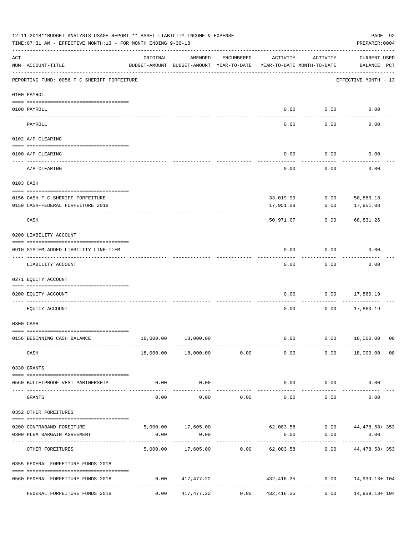|          | 12-11-2018**BUDGET ANALYSIS USAGE REPORT ** ASSET LIABILITY INCOME & EXPENSE<br>TIME: 07:31 AM - EFFECTIVE MONTH: 13 - FOR MONTH ENDING 9-30-18 |          |                                                     |               |                                        |                    | PAGE 92<br>PREPARER: 0004                            |                |
|----------|-------------------------------------------------------------------------------------------------------------------------------------------------|----------|-----------------------------------------------------|---------------|----------------------------------------|--------------------|------------------------------------------------------|----------------|
| ACT      | NUM ACCOUNT-TITLE                                                                                                                               | ORIGINAL | AMENDED<br>BUDGET-AMOUNT BUDGET-AMOUNT YEAR-TO-DATE | ENCUMBERED    | ACTIVITY<br>YEAR-TO-DATE MONTH-TO-DATE | ACTIVITY           | <b>CURRENT USED</b><br>BALANCE PCT                   |                |
|          | REPORTING FUND: 0056 F C SHERIFF FORFEITURE                                                                                                     |          |                                                     |               |                                        |                    | EFFECTIVE MONTH - 13                                 |                |
|          | 0100 PAYROLL                                                                                                                                    |          |                                                     |               |                                        |                    |                                                      |                |
|          | 0100 PAYROLL                                                                                                                                    |          |                                                     |               | 0.00                                   | 0.00               | 0.00                                                 |                |
| ---- --- | PAYROLL                                                                                                                                         |          |                                                     |               | 0.00                                   | 0.00               | 0.00                                                 |                |
|          | 0102 A/P CLEARING                                                                                                                               |          |                                                     |               |                                        |                    |                                                      |                |
|          | 0100 A/P CLEARING                                                                                                                               |          |                                                     |               | 0.00                                   | 0.00               | 0.00                                                 |                |
|          | A/P CLEARING                                                                                                                                    |          |                                                     |               | 0.00                                   | 0.00               | 0.00                                                 |                |
|          | 0103 CASH                                                                                                                                       |          |                                                     |               |                                        |                    |                                                      |                |
|          | 0156 CASH-F C SHERIFF FORFEITURE                                                                                                                |          |                                                     |               |                                        |                    | 33,019.99 0.00 50,880.18                             |                |
|          | 0159 CASH-FEDERAL FORFEITURE 2018                                                                                                               |          |                                                     |               | 17,951.08                              | 0.00               | 17,951.08                                            |                |
|          | CASH                                                                                                                                            |          |                                                     |               | 50,971.07                              | 0.00               | 68,831.26                                            |                |
|          | 0200 LIABILITY ACCOUNT                                                                                                                          |          |                                                     |               |                                        |                    |                                                      |                |
|          | 0910 SYSTEM ADDED LIABILITY LINE-ITEM                                                                                                           |          |                                                     |               | 0.00                                   | 0.00               | 0.00                                                 |                |
|          | LIABILITY ACCOUNT                                                                                                                               |          |                                                     |               | 0.00                                   | 0.00               | 0.00                                                 |                |
|          | 0271 EQUITY ACCOUNT                                                                                                                             |          |                                                     |               |                                        |                    |                                                      |                |
|          | 0200 EQUITY ACCOUNT                                                                                                                             |          |                                                     |               | 0.00                                   | 0.00               | 17,860.19                                            |                |
|          | EQUITY ACCOUNT                                                                                                                                  |          |                                                     |               | 0.00                                   | 0.00               | 17,860.19                                            |                |
|          | 0300 CASH                                                                                                                                       |          |                                                     |               |                                        |                    |                                                      |                |
|          | 0156 BEGINNING CASH BALANCE<br>------------ ------                                                                                              |          | 18,000.00  18,000.00<br>-------------               | ------------  | 0.00                                   |                    | $0.00$ 18,000.00 00                                  |                |
|          | CASH                                                                                                                                            |          | $18,000.00$ $18,000.00$ $0.00$ $0.00$ $0.00$        |               |                                        |                    | $0.00$ 18,000.00                                     | 0 <sub>0</sub> |
|          | 0330 GRANTS                                                                                                                                     |          |                                                     |               |                                        |                    |                                                      |                |
|          | 0560 BULLETPROOF VEST PARTNERSHIP                                                                                                               | 0.00     | 0.00                                                |               |                                        | $0.00$ $0.00$      | 0.00                                                 |                |
|          | ----------------------- ------------<br>GRANTS                                                                                                  | 0.00     | -----------<br>0.00                                 | 0.00          | -------------<br>0.00                  | ----------<br>0.00 | 0.00                                                 |                |
|          | 0352 OTHER FOREITURES                                                                                                                           |          |                                                     |               |                                        |                    |                                                      |                |
|          | 0200 CONTRABAND FOREITURE                                                                                                                       |          |                                                     |               |                                        |                    | $5,000.00$ 17,605.00 62,083.58 0.00 44,478.58 353    |                |
|          | 0300 PLEA BARGAIN AGREEMENT                                                                                                                     | 0.00     | 0.00                                                |               | 0.00                                   | 0.00               | 0.00                                                 |                |
|          | OTHER FOREITURES                                                                                                                                |          | -----------                                         | ------------- |                                        |                    | 5,000.00 17,605.00 0.00 62,083.58 0.00 44,478.58 353 |                |
|          | 0355 FEDERAL FORFEITURE FUNDS 2018                                                                                                              |          |                                                     |               |                                        |                    |                                                      |                |
|          | 0560 FEDERAL FORFEITURE FUNDS 2018                                                                                                              | 0.00     | 417,477.22                                          |               |                                        |                    | 432,416.35 0.00 14,939.13+104                        |                |
|          | FEDERAL FORFEITURE FUNDS 2018                                                                                                                   |          | $0.00$ $417,477.22$                                 |               | $0.00$ $432,416.35$                    | 0.00               | ------------- -<br>14,939.13+ 104                    |                |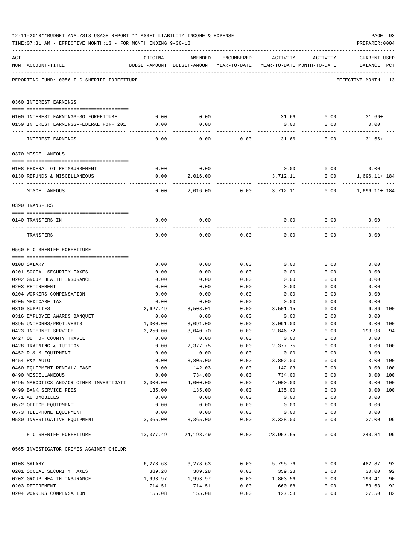|     | 12-11-2018**BUDGET ANALYSIS USAGE REPORT ** ASSET LIABILITY INCOME & EXPENSE    |              |                                                               |              |                  |                            |                      | PAGE 93 |
|-----|---------------------------------------------------------------------------------|--------------|---------------------------------------------------------------|--------------|------------------|----------------------------|----------------------|---------|
|     | TIME:07:31 AM - EFFECTIVE MONTH:13 - FOR MONTH ENDING 9-30-18                   |              |                                                               |              |                  |                            | PREPARER: 0004       |         |
| ACT |                                                                                 | ORIGINAL     | AMENDED                                                       | ENCUMBERED   | ACTIVITY         | ACTIVITY                   | CURRENT USED         |         |
|     | NUM ACCOUNT-TITLE                                                               |              | BUDGET-AMOUNT BUDGET-AMOUNT YEAR-TO-DATE                      |              |                  | YEAR-TO-DATE MONTH-TO-DATE | BALANCE PCT          |         |
|     | REPORTING FUND: 0056 F C SHERIFF FORFEITURE                                     |              |                                                               |              |                  |                            | EFFECTIVE MONTH - 13 |         |
|     | 0360 INTEREST EARNINGS                                                          |              |                                                               |              |                  |                            |                      |         |
|     |                                                                                 |              |                                                               |              |                  |                            |                      |         |
|     | 0100 INTEREST EARNINGS-SO FORFEITURE<br>0159 INTEREST EARNINGS-FEDERAL FORF 201 | 0.00<br>0.00 | 0.00<br>0.00                                                  |              |                  |                            | 31.66 0.00 31.66+    |         |
|     |                                                                                 |              |                                                               |              | 0.00             | 0.00                       | 0.00                 |         |
|     | INTEREST EARNINGS                                                               | 0.00         | 0.00                                                          | 0.00         | 31.66            | 0.00                       | $31.66+$             |         |
|     | 0370 MISCELLANEOUS                                                              |              |                                                               |              |                  |                            |                      |         |
|     | 0108 FEDERAL OT REIMBURSEMENT                                                   | 0.00         | 0.00                                                          |              | 0.00             |                            | 0.00                 |         |
|     | 0130 REFUNDS & MISCELLANEOUS                                                    | 0.00         | 2,016.00                                                      |              | 3,712.11         | 0.00                       | $0.00$ 1,696.11+184  |         |
|     |                                                                                 |              |                                                               |              |                  |                            |                      |         |
|     | MISCELLANEOUS                                                                   | 0.00         | 2,016.00                                                      | 0.00         | 3,712.11         | 0.00                       | 1,696.11+ 184        |         |
|     | 0390 TRANSFERS                                                                  |              |                                                               |              |                  |                            |                      |         |
|     | 0140 TRANSFERS IN                                                               | 0.00         | 0.00                                                          |              | 0.00             | 0.00                       | 0.00                 |         |
|     | TRANSFERS                                                                       | 0.00         | 0.00                                                          | 0.00         | 0.00             | 0.00                       | 0.00                 |         |
|     | 0560 F C SHERIFF FORFEITURE                                                     |              |                                                               |              |                  |                            |                      |         |
|     |                                                                                 |              |                                                               |              |                  |                            |                      |         |
|     | 0108 SALARY                                                                     | 0.00         | 0.00                                                          | 0.00         | 0.00             | 0.00                       | 0.00                 |         |
|     | 0201 SOCIAL SECURITY TAXES                                                      | 0.00         | 0.00                                                          | 0.00         | 0.00             | 0.00                       | 0.00                 |         |
|     | 0202 GROUP HEALTH INSURANCE                                                     | 0.00         | 0.00                                                          | 0.00         | 0.00             | 0.00                       | 0.00                 |         |
|     | 0203 RETIREMENT                                                                 | 0.00         | 0.00                                                          | 0.00         | 0.00             | 0.00                       | 0.00                 |         |
|     | 0204 WORKERS COMPENSATION                                                       | 0.00         | 0.00                                                          | 0.00         | 0.00             | 0.00                       | 0.00                 |         |
|     | 0205 MEDICARE TAX                                                               | 0.00         | 0.00                                                          | 0.00         | 0.00             | 0.00                       | 0.00                 |         |
|     | 0310 SUPPLIES                                                                   | 2,627.49     | 3,508.01                                                      | 0.00         | 3,501.15         | 0.00                       | 6.86 100             |         |
|     | 0316 EMPLOYEE AWARDS BANQUET                                                    | 0.00         | 0.00                                                          | 0.00         | 0.00             | 0.00                       | 0.00                 |         |
|     | 0395 UNIFORMS/PROT.VESTS                                                        | 1,000.00     | 3,091.00                                                      | 0.00         | 3,091.00         | 0.00                       | 0.00 100             |         |
|     | 0423 INTERNET SERVICE                                                           | 3,250.00     | 3,040.70                                                      | 0.00         | 2,846.72         | 0.00                       | 193.98               | 94      |
|     | 0427 OUT OF COUNTY TRAVEL                                                       | 0.00         | 0.00                                                          | 0.00         | 0.00             | 0.00                       | 0.00                 |         |
|     | 0428 TRAINING & TUITION                                                         | 0.00         | 2,377.75<br>0.00                                              | 0.00<br>0.00 | 2,377.75         | 0.00                       | 0.00 100             |         |
|     | 0452 R & M EQUIPMENT<br>0454 R&M AUTO                                           | 0.00<br>0.00 | 3,805.00                                                      | 0.00         | 0.00<br>3,802.00 | 0.00<br>0.00               | 0.00<br>3.00 100     |         |
|     | 0460 EQUIPMENT RENTAL/LEASE                                                     | 0.00         | 142.03                                                        | 0.00         | 142.03           | 0.00                       | 0.00 100             |         |
|     | 0490 MISCELLANEOUS                                                              | 0.00         | 734.00                                                        | 0.00         | 734.00           | 0.00                       | 0.00 100             |         |
|     | 0495 NARCOTICS AND/OR OTHER INVESTIGATI 3,000.00                                |              | 4,000.00                                                      | 0.00         | 4,000.00         | 0.00                       | 0.00 100             |         |
|     | 0499 BANK SERVICE FEES                                                          | 135.00       | 135.00                                                        | 0.00         | 135.00           | 0.00                       | 0.00 100             |         |
|     | 0571 AUTOMOBILES                                                                | 0.00         | 0.00                                                          | 0.00         | 0.00             | 0.00                       | 0.00                 |         |
|     | 0572 OFFICE EQUIPMENT                                                           | 0.00         | 0.00                                                          | 0.00         | 0.00             | 0.00                       | 0.00                 |         |
|     | 0573 TELEPHONE EQUIPMENT                                                        | 0.00         | 0.00                                                          | 0.00         | 0.00             | 0.00                       | 0.00                 |         |
|     | 0580 INVESTIGATIVE EQUIPMENT                                                    | 3,365.00     | 3,365.00                                                      | 0.00         | 3,328.00         | 0.00                       | 37.00                | 99      |
|     |                                                                                 |              |                                                               |              |                  |                            |                      |         |
|     | F C SHERIFF FORFEITURE                                                          |              | $13,377.49$ $24,198.49$ $0.00$ $23,957.65$ $0.00$ $240.84$ 99 |              |                  |                            |                      |         |
|     | 0565 INVESTIGATOR CRIMES AGAINST CHILDR                                         |              |                                                               |              |                  |                            |                      |         |
|     | 0108 SALARY                                                                     | 6,278.63     | 6,278.63                                                      | 0.00         | 5,795.76         | 0.00                       | 482.87               | 92      |
|     | 0201 SOCIAL SECURITY TAXES                                                      | 389.28       | 389.28                                                        | 0.00         | 359.28           | 0.00                       | 30.00                | 92      |
|     | 0202 GROUP HEALTH INSURANCE                                                     | 1,993.97     | 1,993.97                                                      | 0.00         | 1,803.56         | 0.00                       | 190.41               | 90      |
|     | 0203 RETIREMENT                                                                 | 714.51       | 714.51                                                        | 0.00         | 660.88           | 0.00                       | 53.63                | 92      |
|     | 0204 WORKERS COMPENSATION                                                       | 155.08       | 155.08                                                        | 0.00         | 127.58           | 0.00                       | 27.50                | 82      |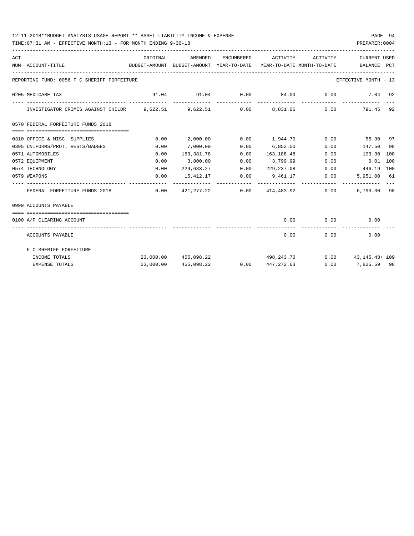### 12-11-2018\*\*BUDGET ANALYSIS USAGE REPORT \*\* ASSET LIABILITY INCOME & EXPENSE PAGE 94

TIME:07:31 AM - EFFECTIVE MONTH:13 - FOR MONTH ENDING 9-30-18 PREPARER:0004

| ACT |                                                                         | ORIGINAL |                                                                                 |      | AMENDED ENCUMBERED ACTIVITY ACTIVITY |      | <b>CURRENT USED</b>                          |  |
|-----|-------------------------------------------------------------------------|----------|---------------------------------------------------------------------------------|------|--------------------------------------|------|----------------------------------------------|--|
|     | NUM ACCOUNT-TITLE                                                       |          | BUDGET-AMOUNT BUDGET-AMOUNT YEAR-TO-DATE YEAR-TO-DATE MONTH-TO-DATE BALANCE PCT |      |                                      |      |                                              |  |
|     | REPORTING FUND: 0056 F C SHERIFF FORFEITURE                             |          |                                                                                 |      |                                      |      | EFFECTIVE MONTH - 13                         |  |
|     | 0205 MEDICARE TAX                                                       |          | $91.04$ $91.04$ $0.00$ $84.00$ $0.00$                                           |      |                                      |      | $7.04$ 92<br>-------------                   |  |
|     | INVESTIGATOR CRIMES AGAINST CHILDR 9,622.51 9,622.51 0.00 8,831.06 0.00 |          |                                                                                 |      |                                      |      | 791.45 92                                    |  |
|     | 0570 FEDERAL FORFEITURE FUNDS 2018                                      |          |                                                                                 |      |                                      |      |                                              |  |
|     | -------------------------------------<br>0310 OFFICE & MISC. SUPPLIES   | 0.00     | 2,000.00                                                                        |      |                                      |      | $0.00$ $1.944.70$ $0.00$ $55.30$ $97$        |  |
|     | 0395 UNIFORMS/PROT. VESTS/BADGES                                        | 0.00     | 7,000.00                                                                        | 0.00 | 6,852.50                             |      | 0.00<br>147.50 98                            |  |
|     | 0571 AUTOMOBILES                                                        | 0.00     | 163,381.78                                                                      | 0.00 | 163,188.48                           | 0.00 | 193.30 100                                   |  |
|     | 0572 EOUIPMENT                                                          | 0.00     | 3,800.00                                                                        | 0.00 | 3,799.99                             |      | $0.00$ $0.01$ 100                            |  |
|     | 0574 TECHNOLOGY                                                         | 0.00     |                                                                                 |      |                                      |      | 229,683.27 0.00 229,237.08 0.00 446.19 100   |  |
|     | 0579 WEAPONS                                                            | 0.00     |                                                                                 |      | $15,412.17$ $0.00$ $9,461.17$ $0.00$ |      | 5,951.00 61                                  |  |
|     | FEDERAL FORFEITURE FUNDS 2018                                           |          | $0.00$ $421,277.22$ $0.00$ $414,483.92$ $0.00$                                  |      |                                      |      | 6,793.30 98                                  |  |
|     | 0999 ACCOUNTS PAYABLE                                                   |          |                                                                                 |      |                                      |      |                                              |  |
|     | 0100 A/P CLEARING ACCOUNT                                               |          |                                                                                 |      |                                      |      | $0.00$ $0.00$ $0.00$ $0.00$                  |  |
|     | ACCOUNTS PAYABLE                                                        |          |                                                                                 |      | --------------<br>0.00               |      | ------------- --------------<br>0.00<br>0.00 |  |
|     | F C SHERIFF FORFEITURE                                                  |          |                                                                                 |      |                                      |      |                                              |  |
|     | INCOME TOTALS                                                           |          | 23,000.00 455,098.22                                                            |      |                                      |      | 498, 243. 70 0.00 43, 145. 48+ 109           |  |
|     | <b>EXPENSE TOTALS</b>                                                   |          | 23,000.00 455,098.22                                                            |      |                                      |      | $0.00$ $447,272.63$ $0.00$ $7,825.59$ $98$   |  |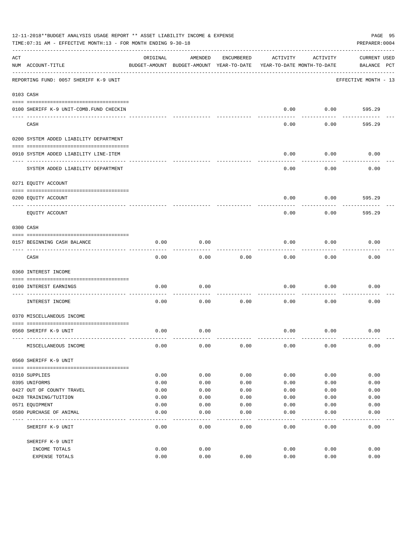|     | 12-11-2018**BUDGET ANALYSIS USAGE REPORT ** ASSET LIABILITY INCOME & EXPENSE<br>TIME: 07:31 AM - EFFECTIVE MONTH: 13 - FOR MONTH ENDING 9-30-18 |          |                                                     |            |          |                                        | PAGE 95<br>PREPARER: 0004          |
|-----|-------------------------------------------------------------------------------------------------------------------------------------------------|----------|-----------------------------------------------------|------------|----------|----------------------------------------|------------------------------------|
| ACT | NUM ACCOUNT-TITLE                                                                                                                               | ORIGINAL | AMENDED<br>BUDGET-AMOUNT BUDGET-AMOUNT YEAR-TO-DATE | ENCUMBERED | ACTIVITY | ACTIVITY<br>YEAR-TO-DATE MONTH-TO-DATE | <b>CURRENT USED</b><br>BALANCE PCT |
|     | REPORTING FUND: 0057 SHERIFF K-9 UNIT                                                                                                           |          |                                                     |            |          |                                        | EFFECTIVE MONTH - 13               |
|     | 0103 CASH                                                                                                                                       |          |                                                     |            |          |                                        |                                    |
|     | 0100 SHERIFF K-9 UNIT-COMB.FUND CHECKIN                                                                                                         |          |                                                     |            | 0.00     | 0.00                                   | 595.29                             |
|     | CASH                                                                                                                                            |          |                                                     |            | 0.00     | 0.00                                   | 595.29                             |
|     | 0200 SYSTEM ADDED LIABILITY DEPARTMENT                                                                                                          |          |                                                     |            |          |                                        |                                    |
|     | 0910 SYSTEM ADDED LIABILITY LINE-ITEM                                                                                                           |          |                                                     |            | 0.00     | 0.00                                   | 0.00                               |
|     | SYSTEM ADDED LIABILITY DEPARTMENT                                                                                                               |          |                                                     |            | 0.00     | 0.00                                   | 0.00                               |
|     | 0271 EQUITY ACCOUNT                                                                                                                             |          |                                                     |            |          |                                        |                                    |
|     | 0200 EQUITY ACCOUNT<br>---- ----------                                                                                                          |          |                                                     |            | 0.00     | 0.00                                   | 595.29                             |
|     | EQUITY ACCOUNT                                                                                                                                  |          |                                                     |            | 0.00     | 0.00                                   | 595.29                             |
|     | 0300 CASH                                                                                                                                       |          |                                                     |            |          |                                        |                                    |
|     | 0157 BEGINNING CASH BALANCE                                                                                                                     | 0.00     | 0.00                                                |            | 0.00     | 0.00                                   | 0.00                               |
|     | CASH                                                                                                                                            | 0.00     | 0.00                                                | 0.00       | 0.00     | 0.00                                   | 0.00                               |
|     | 0360 INTEREST INCOME                                                                                                                            |          |                                                     |            |          |                                        |                                    |
|     | 0100 INTEREST EARNINGS                                                                                                                          | 0.00     | 0.00                                                |            | 0.00     | 0.00                                   | 0.00                               |
|     | INTEREST INCOME                                                                                                                                 | 0.00     | 0.00                                                | 0.00       | 0.00     | 0.00                                   | 0.00                               |
|     | 0370 MISCELLANEOUS INCOME                                                                                                                       |          |                                                     |            |          |                                        |                                    |
|     | 0560 SHERIFF K-9 UNIT                                                                                                                           | 0.00     | 0.00                                                |            | 0.00     | 0.00                                   | 0.00                               |
|     | MISCELLANEOUS INCOME                                                                                                                            | 0.00     | 0.00                                                | 0.00       | 0.00     | 0.00                                   | 0.00                               |
|     | 0560 SHERIFF K-9 UNIT                                                                                                                           |          |                                                     |            |          |                                        |                                    |
|     | 0310 SUPPLIES                                                                                                                                   | 0.00     | 0.00                                                | 0.00       | 0.00     | 0.00                                   | 0.00                               |
|     | 0395 UNIFORMS                                                                                                                                   | 0.00     | 0.00                                                | 0.00       | 0.00     | 0.00                                   | 0.00                               |
|     | 0427 OUT OF COUNTY TRAVEL                                                                                                                       | 0.00     | 0.00                                                | 0.00       | 0.00     | 0.00                                   | 0.00                               |
|     | 0428 TRAINING/TUITION                                                                                                                           | 0.00     | 0.00                                                | 0.00       | 0.00     | 0.00                                   | 0.00                               |
|     | 0571 EQUIPMENT                                                                                                                                  | 0.00     | 0.00                                                | 0.00       | 0.00     | 0.00                                   | 0.00                               |
|     | 0580 PURCHASE OF ANIMAL                                                                                                                         | 0.00     | 0.00                                                | 0.00       | 0.00     | 0.00                                   | 0.00                               |
|     | SHERIFF K-9 UNIT                                                                                                                                | 0.00     | 0.00                                                | 0.00       | 0.00     | 0.00                                   | 0.00                               |
|     | SHERIFF K-9 UNIT                                                                                                                                |          |                                                     |            |          |                                        |                                    |
|     | INCOME TOTALS                                                                                                                                   | 0.00     | 0.00                                                |            | 0.00     | 0.00                                   | 0.00                               |
|     | EXPENSE TOTALS                                                                                                                                  | 0.00     | 0.00                                                | 0.00       | 0.00     | 0.00                                   | 0.00                               |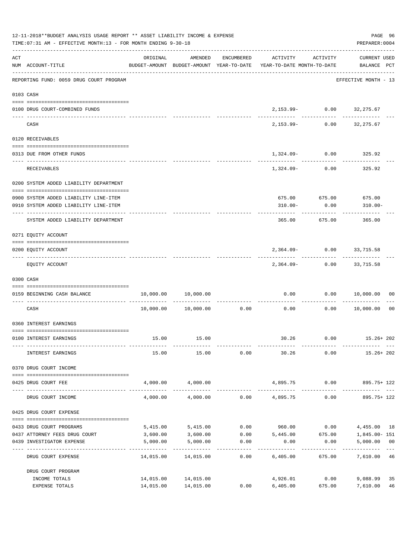|     | 12-11-2018**BUDGET ANALYSIS USAGE REPORT ** ASSET LIABILITY INCOME & EXPENSE<br>TIME: 07:31 AM - EFFECTIVE MONTH: 13 - FOR MONTH ENDING 9-30-18<br>-------------------------------- |                        |                        |            |                                                                                 |                       |                                      |                |  |  |  |
|-----|-------------------------------------------------------------------------------------------------------------------------------------------------------------------------------------|------------------------|------------------------|------------|---------------------------------------------------------------------------------|-----------------------|--------------------------------------|----------------|--|--|--|
| ACT | NUM ACCOUNT-TITLE                                                                                                                                                                   | ORIGINAL               | AMENDED                | ENCUMBERED | ACTIVITY<br>BUDGET-AMOUNT BUDGET-AMOUNT YEAR-TO-DATE YEAR-TO-DATE MONTH-TO-DATE | ACTIVITY              | CURRENT USED<br>BALANCE PCT          |                |  |  |  |
|     | REPORTING FUND: 0059 DRUG COURT PROGRAM                                                                                                                                             |                        |                        |            |                                                                                 |                       | EFFECTIVE MONTH - 13                 |                |  |  |  |
|     | 0103 CASH                                                                                                                                                                           |                        |                        |            |                                                                                 |                       |                                      |                |  |  |  |
|     | 0100 DRUG COURT-COMBINED FUNDS                                                                                                                                                      |                        |                        |            |                                                                                 |                       | 2,153.99- 0.00 32,275.67             |                |  |  |  |
|     | CASH                                                                                                                                                                                |                        |                        |            | ----------- -------------                                                       |                       | .<br>2, 153.99 - 0.00 32, 275.67     |                |  |  |  |
|     | 0120 RECEIVABLES                                                                                                                                                                    |                        |                        |            |                                                                                 |                       |                                      |                |  |  |  |
|     | 0313 DUE FROM OTHER FUNDS                                                                                                                                                           |                        |                        |            | $1,324.09 - 0.00$ 325.92                                                        |                       |                                      |                |  |  |  |
|     | RECEIVABLES                                                                                                                                                                         |                        |                        |            | ----------- ------------                                                        |                       | -----------<br>1,324.09- 0.00 325.92 |                |  |  |  |
|     | 0200 SYSTEM ADDED LIABILITY DEPARTMENT                                                                                                                                              |                        |                        |            |                                                                                 |                       |                                      |                |  |  |  |
|     | 0900 SYSTEM ADDED LIABILITY LINE-ITEM                                                                                                                                               |                        |                        |            |                                                                                 |                       | 675.00 675.00 675.00                 |                |  |  |  |
|     | 0910 SYSTEM ADDED LIABILITY LINE-ITEM                                                                                                                                               |                        |                        |            | $310.00 -$                                                                      | 0.00                  | $310.00 -$                           |                |  |  |  |
|     | SYSTEM ADDED LIABILITY DEPARTMENT                                                                                                                                                   |                        |                        |            | 365.00                                                                          | -----------<br>675.00 | 365.00                               |                |  |  |  |
|     | 0271 EQUITY ACCOUNT                                                                                                                                                                 |                        |                        |            |                                                                                 |                       |                                      |                |  |  |  |
|     | 0200 EQUITY ACCOUNT                                                                                                                                                                 |                        |                        |            |                                                                                 |                       | 2,364.09- 0.00 33,715.58             |                |  |  |  |
|     | EQUITY ACCOUNT                                                                                                                                                                      |                        |                        |            |                                                                                 |                       | 2,364.09- 0.00 33,715.58             |                |  |  |  |
|     | 0300 CASH                                                                                                                                                                           |                        |                        |            |                                                                                 |                       |                                      |                |  |  |  |
|     | 0159 BEGINNING CASH BALANCE                                                                                                                                                         |                        | 10,000.00   10,000.00  |            | ------------ -------------                                                      | ---------             | $0.00$ $0.00$ $10,000.00$            | 00             |  |  |  |
|     | CASH                                                                                                                                                                                |                        | 10,000.00    10,000.00 | 0.00       | 0.00                                                                            | 0.00                  | 10,000.00                            | 0 <sub>0</sub> |  |  |  |
|     | 0360 INTEREST EARNINGS                                                                                                                                                              |                        |                        |            |                                                                                 |                       |                                      |                |  |  |  |
|     | 0100 INTEREST EARNINGS                                                                                                                                                              | 15.00                  | 15.00                  |            | 30.26                                                                           | 0.00                  | 15.26+ 202                           |                |  |  |  |
|     | INTEREST EARNINGS                                                                                                                                                                   | 15.00                  | 15.00                  | 0.00       | 30.26                                                                           | 0.00                  | 15.26+ 202                           |                |  |  |  |
|     | 0370 DRUG COURT INCOME                                                                                                                                                              |                        |                        |            |                                                                                 |                       |                                      |                |  |  |  |
|     | 0425 DRUG COURT FEE<br>------------------- ------------ --                                                                                                                          | 4,000.00               | 4,000.00               |            | 4,895.75 0.00                                                                   | -----------           | 895.75+ 122                          |                |  |  |  |
|     | DRUG COURT INCOME                                                                                                                                                                   | 4,000.00               | 4,000.00               |            | $0.00$ 4,895.75                                                                 | 0.00                  | 895.75+ 122                          |                |  |  |  |
|     | 0425 DRUG COURT EXPENSE                                                                                                                                                             |                        |                        |            |                                                                                 |                       |                                      |                |  |  |  |
|     | 0433 DRUG COURT PROGRAMS                                                                                                                                                            | 5,415.00               | 5,415.00               | 0.00       | 960.00                                                                          | 0.00                  | 4,455.00 18                          |                |  |  |  |
|     | 0437 ATTORNEY FEES DRUG COURT                                                                                                                                                       | 3,600.00               | 3,600.00               |            | $0.00$ 5,445.00                                                                 | 675.00                | 1,845.00- 151                        |                |  |  |  |
|     | 0439 INVESTIGATOR EXPENSE                                                                                                                                                           | 5,000.00<br>---------- | 5,000.00               | 0.00       | 0.00                                                                            | 0.00                  | 5,000.00 00<br>--------------        | $- - -$        |  |  |  |
|     | DRUG COURT EXPENSE                                                                                                                                                                  | 14,015.00              | 14,015.00              | 0.00       | 6,405.00                                                                        | 675.00                | 7,610.00 46                          |                |  |  |  |
|     | DRUG COURT PROGRAM<br>INCOME TOTALS                                                                                                                                                 |                        | 14,015.00 14,015.00    |            | 4,926.01                                                                        | 0.00                  | 9,088.99                             | 35             |  |  |  |
|     | EXPENSE TOTALS                                                                                                                                                                      | 14,015.00              | 14,015.00              | 0.00       | 6,405.00                                                                        | 675.00                | 7,610.00                             | 46             |  |  |  |
|     |                                                                                                                                                                                     |                        |                        |            |                                                                                 |                       |                                      |                |  |  |  |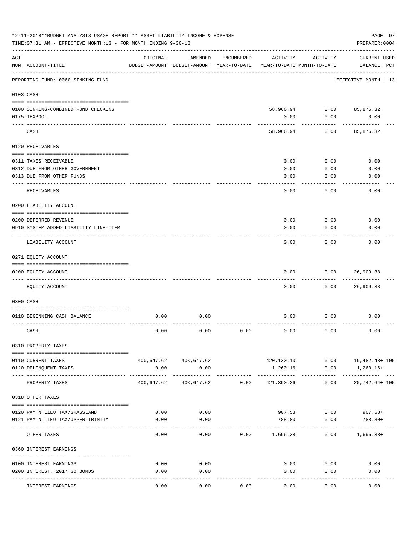|     | 12-11-2018**BUDGET ANALYSIS USAGE REPORT ** ASSET LIABILITY INCOME & EXPENSE<br>TIME: 07:31 AM - EFFECTIVE MONTH: 13 - FOR MONTH ENDING 9-30-18 |            |                                                     |                 |                               |                                        | PAGE 97<br>PREPARER: 0004          |
|-----|-------------------------------------------------------------------------------------------------------------------------------------------------|------------|-----------------------------------------------------|-----------------|-------------------------------|----------------------------------------|------------------------------------|
| ACT | NUM ACCOUNT-TITLE                                                                                                                               | ORIGINAL   | AMENDED<br>BUDGET-AMOUNT BUDGET-AMOUNT YEAR-TO-DATE | ENCUMBERED      | ACTIVITY                      | ACTIVITY<br>YEAR-TO-DATE MONTH-TO-DATE | <b>CURRENT USED</b><br>BALANCE PCT |
|     | REPORTING FUND: 0060 SINKING FUND                                                                                                               |            |                                                     |                 |                               |                                        | EFFECTIVE MONTH - 13               |
|     | 0103 CASH                                                                                                                                       |            |                                                     |                 |                               |                                        |                                    |
|     | 0100 SINKING-COMBINED FUND CHECKING                                                                                                             |            |                                                     |                 | 58,966.94                     | 0.00                                   | 85,876.32                          |
|     | 0175 TEXPOOL                                                                                                                                    |            |                                                     |                 | 0.00                          | 0.00                                   | 0.00                               |
|     | CASH                                                                                                                                            |            |                                                     |                 | 58,966.94                     | 0.00                                   | 85,876.32                          |
|     | 0120 RECEIVABLES                                                                                                                                |            |                                                     |                 |                               |                                        |                                    |
|     | 0311 TAXES RECEIVABLE                                                                                                                           |            |                                                     |                 | 0.00                          | 0.00                                   | 0.00                               |
|     | 0312 DUE FROM OTHER GOVERNMENT                                                                                                                  |            |                                                     |                 | 0.00                          | 0.00                                   | 0.00                               |
|     | 0313 DUE FROM OTHER FUNDS                                                                                                                       |            |                                                     |                 | 0.00                          | 0.00                                   | 0.00                               |
|     | RECEIVABLES                                                                                                                                     |            |                                                     |                 | 0.00                          | 0.00                                   | 0.00                               |
|     | 0200 LIABILITY ACCOUNT                                                                                                                          |            |                                                     |                 |                               |                                        |                                    |
|     | 0200 DEFERRED REVENUE                                                                                                                           |            |                                                     |                 | 0.00                          | 0.00                                   | 0.00                               |
|     | 0910 SYSTEM ADDED LIABILITY LINE-ITEM                                                                                                           |            |                                                     |                 | 0.00                          | 0.00                                   | 0.00                               |
|     | LIABILITY ACCOUNT                                                                                                                               |            |                                                     |                 | 0.00                          | 0.00                                   | 0.00                               |
|     | 0271 EQUITY ACCOUNT                                                                                                                             |            |                                                     |                 |                               |                                        |                                    |
|     | 0200 EQUITY ACCOUNT                                                                                                                             |            |                                                     |                 | 0.00                          | 0.00                                   | 26,909.38                          |
|     | EQUITY ACCOUNT                                                                                                                                  |            |                                                     |                 | 0.00                          | 0.00                                   | 26,909.38                          |
|     | 0300 CASH                                                                                                                                       |            |                                                     |                 |                               |                                        |                                    |
|     | 0110 BEGINNING CASH BALANCE                                                                                                                     | 0.00       | 0.00                                                |                 | 0.00                          | 0.00                                   | 0.00                               |
|     | CASH                                                                                                                                            | 0.00       | 0.00                                                | 0.00            | 0.00                          | 0.00                                   | 0.00                               |
|     | 0310 PROPERTY TAXES                                                                                                                             |            |                                                     |                 |                               |                                        |                                    |
|     | 0110 CURRENT TAXES                                                                                                                              |            | 400,647.62 400,647.62                               |                 |                               |                                        | 420,130.10   0.00   19,482.48+ 105 |
|     | 0120 DELINQUENT TAXES                                                                                                                           | 0.00       | 0.00                                                |                 | 1,260.16                      | 0.00                                   | 1,260.16+                          |
|     | ---- -------------<br>PROPERTY TAXES                                                                                                            | 400,647.62 | -------------                                       | 400,647.62 0.00 | 421,390.26                    | 0.00                                   | ----------------<br>20,742.64+ 105 |
|     | 0318 OTHER TAXES                                                                                                                                |            |                                                     |                 |                               |                                        |                                    |
|     | 0120 PAY N LIEU TAX/GRASSLAND                                                                                                                   | 0.00       | 0.00                                                |                 |                               |                                        | 907.58 0.00 907.58+                |
|     | 0121 PAY N LIEU TAX/UPPER TRINITY                                                                                                               | 0.00       | 0.00                                                |                 | 788.80                        | 0.00                                   | 788.80+                            |
|     | OTHER TAXES                                                                                                                                     | 0.00       | 0.00                                                |                 | . <u>.</u><br>$0.00$ 1,696.38 |                                        | 0.00<br>$1,696.38+$                |
|     | 0360 INTEREST EARNINGS                                                                                                                          |            |                                                     |                 |                               |                                        |                                    |
|     |                                                                                                                                                 |            |                                                     |                 |                               |                                        |                                    |
|     | 0100 INTEREST EARNINGS                                                                                                                          | 0.00       | 0.00                                                |                 | 0.00                          | 0.00                                   | 0.00                               |
|     | 0200 INTEREST, 2017 GO BONDS                                                                                                                    | 0.00       | 0.00                                                |                 | 0.00                          | 0.00                                   | 0.00                               |
|     | <b>INTEREST EARNINGS</b>                                                                                                                        | 0.00       | ----<br>0.00                                        | 0.00            | 0.00                          | 0.00                                   | 0.00                               |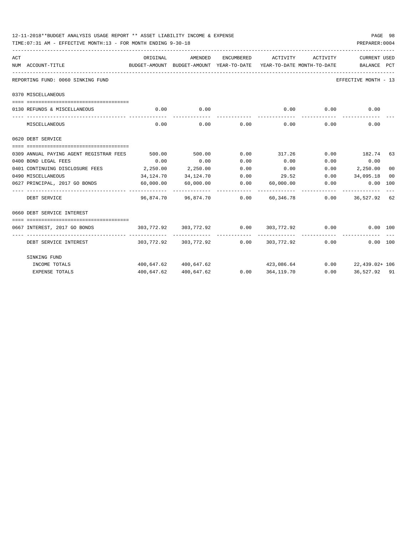|                    | 12-11-2018**BUDGET ANALYSIS USAGE REPORT ** ASSET LIABILITY INCOME & EXPENSE<br>TIME: 07:31 AM - EFFECTIVE MONTH: 13 - FOR MONTH ENDING 9-30-18 |            |                                                      |                   |                                      |                    | PREPARER: 0004                                                                    | PAGE 98 |
|--------------------|-------------------------------------------------------------------------------------------------------------------------------------------------|------------|------------------------------------------------------|-------------------|--------------------------------------|--------------------|-----------------------------------------------------------------------------------|---------|
| ACT                |                                                                                                                                                 | ORIGINAL   | AMENDED                                              | <b>ENCUMBERED</b> | ACTIVITY                             | ACTIVITY           | <b>CURRENT USED</b>                                                               |         |
| NUM ACCOUNT-TITLE  |                                                                                                                                                 |            |                                                      |                   |                                      |                    | BUDGET-AMOUNT BUDGET-AMOUNT YEAR-TO-DATE YEAR-TO-DATE_MONTH-TO-DATE _____________ |         |
|                    | REPORTING FUND: 0060 SINKING FUND                                                                                                               |            |                                                      |                   |                                      |                    | EFFECTIVE MONTH - 13                                                              |         |
| 0370 MISCELLANEOUS |                                                                                                                                                 |            |                                                      |                   |                                      |                    |                                                                                   |         |
|                    |                                                                                                                                                 |            |                                                      |                   |                                      |                    |                                                                                   |         |
|                    | 0130 REFUNDS & MISCELLANEOUS                                                                                                                    | 0.00       | 0.00                                                 |                   | 0.00                                 | 0.00               | 0.00                                                                              |         |
|                    | MISCELLANEOUS                                                                                                                                   | 0.00       | 0.00                                                 | 0.00              | ------------- --------------<br>0.00 | ----------<br>0.00 | 0.00                                                                              |         |
| 0620 DEBT SERVICE  |                                                                                                                                                 |            |                                                      |                   |                                      |                    |                                                                                   |         |
|                    |                                                                                                                                                 |            |                                                      |                   |                                      |                    |                                                                                   |         |
|                    | 0309 ANNUAL PAYING AGENT REGISTRAR FEES                                                                                                         | 500.00     | 500.00                                               | 0.00              | 317.26                               |                    | $0.00$ 182.74 63                                                                  |         |
|                    | 0400 BOND LEGAL FEES                                                                                                                            | 0.00       | 0.00                                                 | 0.00              | 0.00                                 | 0.00               | 0.00                                                                              |         |
|                    | 0401 CONTINUING DISCLOSURE FEES                                                                                                                 | 2, 250.00  | 2,250.00                                             | 0.00              | 0.00                                 | 0.00               | 2,250.00                                                                          | 00      |
| 0490 MISCELLANEOUS |                                                                                                                                                 | 34,124.70  | 34,124.70                                            |                   |                                      |                    | $0.00$ $29.52$ $0.00$ $34,095.18$                                                 | 00      |
|                    | 0627 PRINCIPAL, 2017 GO BONDS                                                                                                                   | 60,000.00  | 60,000.00                                            |                   | $0.00$ 60,000.00 0.00                |                    | 0.00 100                                                                          |         |
|                    | ----------------- --------------<br>DEBT SERVICE                                                                                                |            | --------------<br>96,874.70 96,874.70 0.00 60,346.78 |                   |                                      |                    | $0.00$ 36,527,92 62                                                               |         |
|                    | 0660 DEBT SERVICE INTEREST                                                                                                                      |            |                                                      |                   |                                      |                    |                                                                                   |         |
|                    | ====================================                                                                                                            |            |                                                      |                   |                                      |                    |                                                                                   |         |
|                    | 0667 INTEREST, 2017 GO BONDS                                                                                                                    |            | $303,772.92$ $303,772.92$ $0.00$ $303,772.92$ $0.00$ |                   |                                      |                    | $0.00$ 100                                                                        |         |
|                    | DEBT SERVICE INTEREST                                                                                                                           |            | 303,772.92 303,772.92 0.00                           |                   | 303,772.92                           | 0.00               | ----------<br>0.00 100                                                            |         |
|                    | SINKING FUND                                                                                                                                    |            |                                                      |                   |                                      |                    |                                                                                   |         |
|                    | INCOME TOTALS                                                                                                                                   |            | 400,647.62 400,647.62                                |                   |                                      |                    | $423,086.64$ 0.00 22,439.02+ 106                                                  |         |
|                    | <b>EXPENSE TOTALS</b>                                                                                                                           | 400,647.62 | 400,647.62                                           |                   | 0.0000364,119.70                     |                    | $0.00$ 36,527.92 91                                                               |         |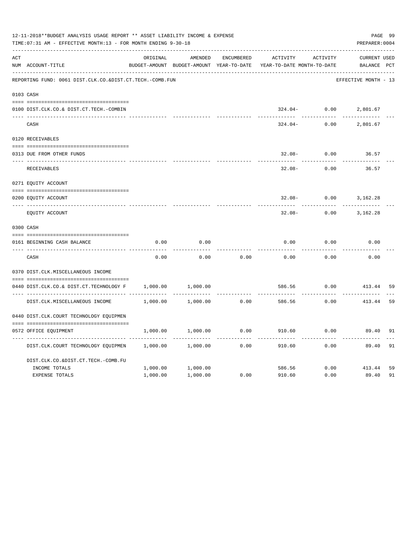|     | 12-11-2018**BUDGET ANALYSIS USAGE REPORT ** ASSET LIABILITY INCOME & EXPENSE<br>TIME: 07:31 AM - EFFECTIVE MONTH: 13 - FOR MONTH ENDING 9-30-18 |          |                                                     |            |                                        |                    | PREPARER: 0004                     | PAGE 99 |
|-----|-------------------------------------------------------------------------------------------------------------------------------------------------|----------|-----------------------------------------------------|------------|----------------------------------------|--------------------|------------------------------------|---------|
| ACT | NUM ACCOUNT-TITLE                                                                                                                               | ORIGINAL | AMENDED<br>BUDGET-AMOUNT BUDGET-AMOUNT YEAR-TO-DATE | ENCUMBERED | ACTIVITY<br>YEAR-TO-DATE MONTH-TO-DATE | ACTIVITY           | <b>CURRENT USED</b><br>BALANCE PCT |         |
|     | REPORTING FUND: 0061 DIST.CLK.CO.&DIST.CT.TECH.-COMB.FUN                                                                                        |          |                                                     |            |                                        |                    | EFFECTIVE MONTH - 13               |         |
|     | 0103 CASH                                                                                                                                       |          |                                                     |            |                                        |                    |                                    |         |
|     | 0100 DIST.CLK.CO.& DIST.CT.TECH.-COMBIN                                                                                                         |          |                                                     |            |                                        |                    | $324.04 - 0.00$ 2,801.67           |         |
|     | CASH                                                                                                                                            |          |                                                     |            | 324.04-                                | 0.00               | 2,801.67                           |         |
|     | 0120 RECEIVABLES                                                                                                                                |          |                                                     |            |                                        |                    |                                    |         |
|     | 0313 DUE FROM OTHER FUNDS                                                                                                                       |          |                                                     |            | $32.08 -$                              | 0.00               | 36.57                              |         |
|     | RECEIVABLES                                                                                                                                     |          |                                                     |            | $32.08 -$                              | 0.00               | 36.57                              |         |
|     | 0271 EQUITY ACCOUNT                                                                                                                             |          |                                                     |            |                                        |                    |                                    |         |
|     | 0200 EQUITY ACCOUNT                                                                                                                             |          |                                                     |            | $32.08 -$                              | 0.00               | 3,162.28                           |         |
|     | ---- -------------------------<br>EQUITY ACCOUNT                                                                                                |          |                                                     |            | $32.08 -$                              | 0.00               | 3,162.28                           |         |
|     | 0300 CASH                                                                                                                                       |          |                                                     |            |                                        |                    |                                    |         |
|     | 0161 BEGINNING CASH BALANCE                                                                                                                     | 0.00     | 0.00                                                |            | 0.00                                   | 0.00               | 0.00                               |         |
|     | CASH                                                                                                                                            | 0.00     | 0.00                                                | 0.00       | 0.00                                   | 0.00               | 0.00                               |         |
|     | 0370 DIST.CLK.MISCELLANEOUS INCOME                                                                                                              |          |                                                     |            |                                        |                    |                                    |         |
|     | 0440 DIST.CLK.CO.& DIST.CT.TECHNOLOGY F                                                                                                         | 1,000.00 | 1,000.00                                            |            | 586.56                                 | 0.00               | 413.44                             | 59      |
|     | DIST.CLK.MISCELLANEOUS INCOME                                                                                                                   | 1,000.00 | 1,000.00                                            | 0.00       | 586.56                                 | . <u>.</u><br>0.00 | 413.44                             | 59      |
|     | 0440 DIST.CLK.COURT TECHNOLOGY EQUIPMEN                                                                                                         |          |                                                     |            |                                        |                    |                                    |         |
|     | 0572 OFFICE EQUIPMENT                                                                                                                           | 1,000.00 | 1,000.00                                            | 0.00       | 910.60                                 | 0.00               | 89.40                              | 91      |
|     | DIST.CLK.COURT TECHNOLOGY EQUIPMEN                                                                                                              | 1,000.00 | 1,000.00                                            | 0.00       | 910.60                                 | .<br>0.00          | 89.40                              | 91      |
|     | DIST.CLK.CO.&DIST.CT.TECH.-COMB.FU                                                                                                              |          |                                                     |            |                                        |                    |                                    |         |
|     | INCOME TOTALS                                                                                                                                   | 1,000.00 | 1,000.00                                            |            | 586.56                                 |                    | $0.00$ 413.44                      | 59      |
|     | <b>EXPENSE TOTALS</b>                                                                                                                           | 1,000.00 | 1,000.00                                            | 0.00       | 910.60                                 | 0.00               | 89.40                              | 91      |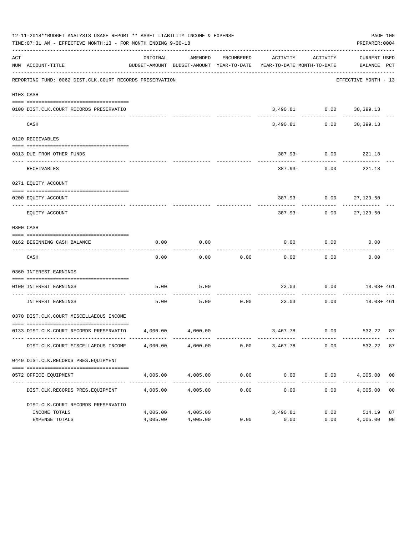|     | 12-11-2018**BUDGET ANALYSIS USAGE REPORT ** ASSET LIABILITY INCOME & EXPENSE<br>TIME: 07:31 AM - EFFECTIVE MONTH: 13 - FOR MONTH ENDING 9-30-18 |                      |                             |                               |                                                                                 |                         | PAGE 100<br>PREPARER: 0004            |                      |
|-----|-------------------------------------------------------------------------------------------------------------------------------------------------|----------------------|-----------------------------|-------------------------------|---------------------------------------------------------------------------------|-------------------------|---------------------------------------|----------------------|
| ACT | NUM ACCOUNT-TITLE                                                                                                                               | ORIGINAL             | AMENDED                     | ENCUMBERED                    | ACTIVITY<br>BUDGET-AMOUNT BUDGET-AMOUNT YEAR-TO-DATE YEAR-TO-DATE MONTH-TO-DATE | ACTIVITY                | CURRENT USED<br>BALANCE PCT           |                      |
|     | REPORTING FUND: 0062 DIST.CLK.COURT RECORDS PRESERVATION                                                                                        |                      |                             |                               |                                                                                 |                         | EFFECTIVE MONTH - 13                  |                      |
|     | 0103 CASH                                                                                                                                       |                      |                             |                               |                                                                                 |                         |                                       |                      |
|     | 0100 DIST.CLK.COURT RECORDS PRESERVATIO                                                                                                         |                      | -------------- ------------ |                               | ---------- ------------                                                         | 3,490.81 0.00 30,399.13 | .                                     |                      |
|     | CASH                                                                                                                                            |                      |                             |                               |                                                                                 | 3,490.81 0.00 30,399.13 |                                       |                      |
|     | 0120 RECEIVABLES                                                                                                                                |                      |                             |                               |                                                                                 |                         |                                       |                      |
|     | 0313 DUE FROM OTHER FUNDS                                                                                                                       |                      |                             |                               |                                                                                 | 387.93- 0.00 221.18     |                                       |                      |
|     | RECEIVABLES                                                                                                                                     |                      |                             |                               | ----------- ------------                                                        | 387.93- 0.00            | -----------<br>221.18                 |                      |
|     | 0271 EQUITY ACCOUNT                                                                                                                             |                      |                             |                               |                                                                                 |                         |                                       |                      |
|     | 0200 EQUITY ACCOUNT                                                                                                                             |                      |                             |                               |                                                                                 | 387.93- 0.00 27,129.50  |                                       |                      |
|     | EQUITY ACCOUNT                                                                                                                                  |                      |                             |                               | $387.93 -$                                                                      |                         | -------------<br>$0.00$ 27,129.50     |                      |
|     | 0300 CASH                                                                                                                                       |                      |                             |                               |                                                                                 |                         |                                       |                      |
|     | 0162 BEGINNING CASH BALANCE                                                                                                                     | 0.00                 | 0.00                        |                               | 0.00                                                                            | 0.00                    | 0.00                                  |                      |
|     | CASH                                                                                                                                            | 0.00                 | -----------<br>0.00         | 0.00                          | .<br>0.00                                                                       | 0.00                    | 0.00                                  |                      |
|     | 0360 INTEREST EARNINGS                                                                                                                          |                      |                             |                               |                                                                                 |                         |                                       |                      |
|     | 0100 INTEREST EARNINGS                                                                                                                          | 5.00                 | 5.00                        |                               |                                                                                 |                         | 23.03 0.00 18.03+461<br>----------- - |                      |
|     | .<br>INTEREST EARNINGS                                                                                                                          | 5.00                 | 5.00                        | - - - - - - - - - - -<br>0.00 | 23.03                                                                           | ------------<br>0.00    | 18.03+ 461                            |                      |
|     | 0370 DIST.CLK.COURT MISCELLAEOUS INCOME                                                                                                         |                      |                             |                               |                                                                                 |                         |                                       |                      |
|     | 0133 DIST.CLK.COURT RECORDS PRESERVATIO 4,000.00 4,000.00                                                                                       |                      |                             |                               |                                                                                 |                         | 3,467.78 0.00 532.22 87               |                      |
|     | DIST.CLK.COURT MISCELLAEOUS INCOME                                                                                                              |                      | 4,000.00 4,000.00           | 0.00                          | 3,467.78                                                                        | 0.00                    | 532.22 87                             |                      |
|     | 0449 DIST.CLK.RECORDS PRES.EQUIPMENT                                                                                                            |                      |                             |                               |                                                                                 |                         |                                       |                      |
|     | 0572 OFFICE EQUIPMENT                                                                                                                           | 4,005.00             | 4,005.00                    | 0.00                          | 0.00                                                                            |                         | $0.00$ 4,005.00 00                    |                      |
|     | DIST.CLK.RECORDS PRES.EQUIPMENT                                                                                                                 | 4,005.00             | 4,005.00                    | ------------<br>0.00          | 0.00                                                                            | 0.00                    | --------------<br>4,005.00            | 00                   |
|     | DIST.CLK.COURT RECORDS PRESERVATIO                                                                                                              |                      |                             |                               |                                                                                 |                         |                                       |                      |
|     | INCOME TOTALS<br>EXPENSE TOTALS                                                                                                                 | 4,005.00<br>4,005.00 | 4,005.00<br>4,005.00        | 0.00                          | 3,490.81<br>0.00                                                                | 0.00<br>0.00            | 514.19<br>4,005.00                    | 87<br>0 <sub>0</sub> |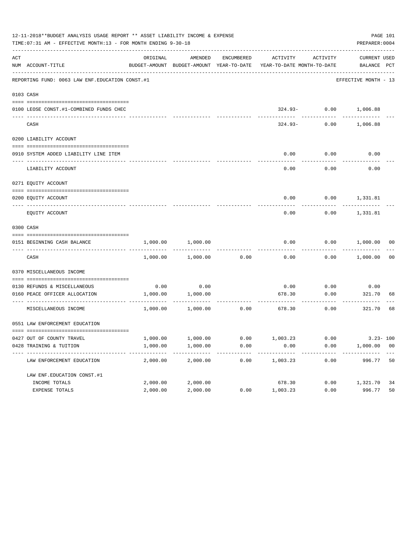|     | 12-11-2018**BUDGET ANALYSIS USAGE REPORT ** ASSET LIABILITY INCOME & EXPENSE<br>TIME: 07:31 AM - EFFECTIVE MONTH: 13 - FOR MONTH ENDING 9-30-18<br>PREPARER: 0004<br>ACTIVITY ACTIVITY |          |                              |            |                                                                                 |                       |                                     |                |  |
|-----|----------------------------------------------------------------------------------------------------------------------------------------------------------------------------------------|----------|------------------------------|------------|---------------------------------------------------------------------------------|-----------------------|-------------------------------------|----------------|--|
| ACT | NUM ACCOUNT-TITLE                                                                                                                                                                      | ORIGINAL | AMENDED                      | ENCUMBERED | BUDGET-AMOUNT BUDGET-AMOUNT YEAR-TO-DATE YEAR-TO-DATE MONTH-TO-DATE BALANCE PCT |                       | CURRENT USED                        |                |  |
|     | REPORTING FUND: 0063 LAW ENF. EDUCATION CONST. #1                                                                                                                                      |          |                              |            |                                                                                 |                       | EFFECTIVE MONTH - 13                |                |  |
|     | 0103 CASH                                                                                                                                                                              |          |                              |            |                                                                                 |                       |                                     |                |  |
|     | 0100 LEOSE CONST.#1-COMBINED FUNDS CHEC                                                                                                                                                |          |                              |            |                                                                                 |                       | 324.93- 0.00 1,006.88               |                |  |
|     | CASH                                                                                                                                                                                   |          |                              |            | $324.93-$                                                                       | 0.00                  | 1,006.88                            |                |  |
|     | 0200 LIABILITY ACCOUNT                                                                                                                                                                 |          |                              |            |                                                                                 |                       |                                     |                |  |
|     | 0910 SYSTEM ADDED LIABILITY LINE ITEM                                                                                                                                                  |          |                              |            | 0.00                                                                            | 0.00                  | 0.00                                |                |  |
|     | LIABILITY ACCOUNT                                                                                                                                                                      |          |                              |            | ---------<br>0.00                                                               | ---------<br>0.00     | 0.00                                |                |  |
|     | 0271 EQUITY ACCOUNT                                                                                                                                                                    |          |                              |            |                                                                                 |                       |                                     |                |  |
|     | 0200 EOUITY ACCOUNT                                                                                                                                                                    |          |                              |            | 0.00                                                                            |                       | $0.00$ 1,331.81                     |                |  |
|     | EQUITY ACCOUNT                                                                                                                                                                         |          |                              |            | 0.00                                                                            |                       | $0.00$ 1,331.81                     |                |  |
|     | 0300 CASH                                                                                                                                                                              |          |                              |            |                                                                                 |                       |                                     |                |  |
|     | 0151 BEGINNING CASH BALANCE                                                                                                                                                            |          | 1,000.00 1,000.00            |            | 0.00                                                                            |                       | $0.00$ $1,000.00$ 00<br>----------- |                |  |
|     | CASH                                                                                                                                                                                   |          | 1,000.00 1,000.00            | 0.00       | 0.00                                                                            |                       | $0.00$ 1,000.00                     | 00             |  |
|     | 0370 MISCELLANEOUS INCOME                                                                                                                                                              |          |                              |            |                                                                                 |                       |                                     |                |  |
|     | 0130 REFUNDS & MISCELLANEOUS                                                                                                                                                           | 0.00     | 0.00                         |            | 0.00                                                                            | 0.00                  | 0.00                                |                |  |
|     | 0160 PEACE OFFICER ALLOCATION                                                                                                                                                          | 1,000.00 | 1,000.00                     |            | 678.30                                                                          | 0.00<br>------------- | 321.70<br>-------------             | 68             |  |
|     | MISCELLANEOUS INCOME                                                                                                                                                                   |          | $1,000.00$ $1,000.00$ $0.00$ |            | 678.30                                                                          | 0.00                  | 321.70                              | 68             |  |
|     | 0551 LAW ENFORCEMENT EDUCATION                                                                                                                                                         |          |                              |            |                                                                                 |                       |                                     |                |  |
|     | 0427 OUT OF COUNTY TRAVEL                                                                                                                                                              | 1,000.00 | 1,000.00                     | 0.00       | 1,003.23                                                                        | 0.00                  | $3.23 - 100$                        |                |  |
|     | 0428 TRAINING & TUITION                                                                                                                                                                | 1,000.00 | 1,000.00                     | 0.00       | 0.00<br>.                                                                       | 0.00                  | 1,000.00                            | 0 <sub>0</sub> |  |
|     | LAW ENFORCEMENT EDUCATION                                                                                                                                                              | 2,000.00 | 2,000.00                     | 0.00       | 1,003.23                                                                        | 0.00                  | 996.77                              | 50             |  |
|     | LAW ENF. EDUCATION CONST. #1                                                                                                                                                           |          |                              |            |                                                                                 |                       |                                     |                |  |
|     | INCOME TOTALS                                                                                                                                                                          | 2,000.00 | 2,000.00                     |            | 678.30                                                                          | 0.00                  | 1,321.70                            | 34             |  |
|     | EXPENSE TOTALS                                                                                                                                                                         | 2,000.00 | 2,000.00                     | 0.00       | 1,003.23                                                                        | 0.00                  | 996.77                              | 50             |  |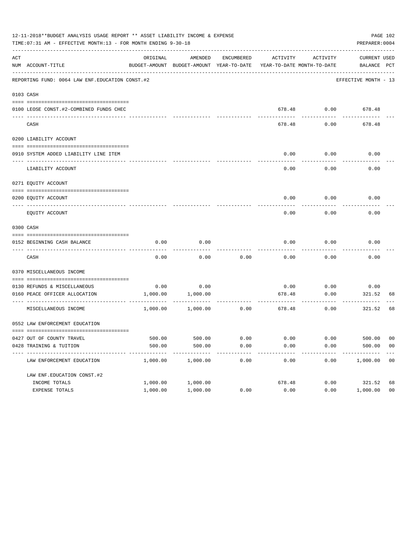|     | 12-11-2018**BUDGET ANALYSIS USAGE REPORT ** ASSET LIABILITY INCOME & EXPENSE<br>TIME: 07:31 AM - EFFECTIVE MONTH: 13 - FOR MONTH ENDING 9-30-18 |          |                   |            |        |                    | PAGE 102<br>PREPARER: 0004                                                                      |                |
|-----|-------------------------------------------------------------------------------------------------------------------------------------------------|----------|-------------------|------------|--------|--------------------|-------------------------------------------------------------------------------------------------|----------------|
| ACT | NUM ACCOUNT-TITLE                                                                                                                               | ORIGINAL | AMENDED           | ENCUMBERED |        | ACTIVITY ACTIVITY  | CURRENT USED<br>BUDGET-AMOUNT BUDGET-AMOUNT YEAR-TO-DATE YEAR-TO-DATE MONTH-TO-DATE BALANCE PCT |                |
|     | REPORTING FUND: 0064 LAW ENF. EDUCATION CONST. #2                                                                                               |          |                   |            |        |                    | EFFECTIVE MONTH - 13                                                                            |                |
|     | 0103 CASH                                                                                                                                       |          |                   |            |        |                    |                                                                                                 |                |
|     | 0100 LEOSE CONST.#2-COMBINED FUNDS CHEC<br>___________________________________                                                                  |          |                   |            |        | 678.48 0.00 678.48 |                                                                                                 |                |
|     | CASH                                                                                                                                            |          |                   |            | 678.48 | 0.00               | 678.48                                                                                          |                |
|     | 0200 LIABILITY ACCOUNT                                                                                                                          |          |                   |            |        |                    |                                                                                                 |                |
|     | 0910 SYSTEM ADDED LIABILITY LINE ITEM                                                                                                           |          |                   |            | 0.00   | 0.00               | 0.00                                                                                            |                |
|     | LIABILITY ACCOUNT                                                                                                                               |          |                   |            | 0.00   | 0.00               | 0.00                                                                                            |                |
|     | 0271 EQUITY ACCOUNT                                                                                                                             |          |                   |            |        |                    |                                                                                                 |                |
|     | 0200 EQUITY ACCOUNT                                                                                                                             |          |                   |            | 0.00   |                    | $0.00$ 0.00                                                                                     |                |
|     | EQUITY ACCOUNT                                                                                                                                  |          |                   |            | 0.00   | 0.00               | 0.00                                                                                            |                |
|     | 0300 CASH                                                                                                                                       |          |                   |            |        |                    |                                                                                                 |                |
|     | 0152 BEGINNING CASH BALANCE                                                                                                                     | 0.00     | 0.00              |            | 0.00   | 0.00               | 0.00                                                                                            |                |
|     | CASH                                                                                                                                            | 0.00     | 0.00              | 0.00       | 0.00   | 0.00               | 0.00                                                                                            |                |
|     | 0370 MISCELLANEOUS INCOME                                                                                                                       |          |                   |            |        |                    |                                                                                                 |                |
|     | 0130 REFUNDS & MISCELLANEOUS                                                                                                                    | 0.00     | 0.00              |            | 0.00   | 0.00               | 0.00                                                                                            |                |
|     | 0160 PEACE OFFICER ALLOCATION                                                                                                                   | 1,000.00 | 1,000.00          |            | 678.48 | 0.00<br>---------- | 321.52<br>----------                                                                            | 68             |
|     | MISCELLANEOUS INCOME                                                                                                                            |          | 1,000.00 1,000.00 | 0.00       | 678.48 | 0.00               | 321.52                                                                                          | 68             |
|     | 0552 LAW ENFORCEMENT EDUCATION                                                                                                                  |          |                   |            |        |                    |                                                                                                 |                |
|     | 0427 OUT OF COUNTY TRAVEL                                                                                                                       | 500.00   | 500.00            | 0.00       | 0.00   | 0.00               | 500.00                                                                                          | 00             |
|     | 0428 TRAINING & TUITION                                                                                                                         | 500.00   | 500.00            | 0.00       | 0.00   | 0.00               | 500.00                                                                                          | 0 <sub>0</sub> |
|     | LAW ENFORCEMENT EDUCATION                                                                                                                       | 1,000.00 | 1,000.00          | 0.00       | 0.00   | 0.00               | 1,000.00                                                                                        | 00             |
|     | LAW ENF. EDUCATION CONST. #2                                                                                                                    |          |                   |            |        |                    |                                                                                                 |                |
|     | INCOME TOTALS                                                                                                                                   | 1,000.00 | 1,000.00          |            | 678.48 | 0.00               | 321.52                                                                                          | 68             |
|     | EXPENSE TOTALS                                                                                                                                  | 1,000.00 | 1,000.00          | 0.00       | 0.00   | 0.00               | 1,000.00                                                                                        | 0 <sub>0</sub> |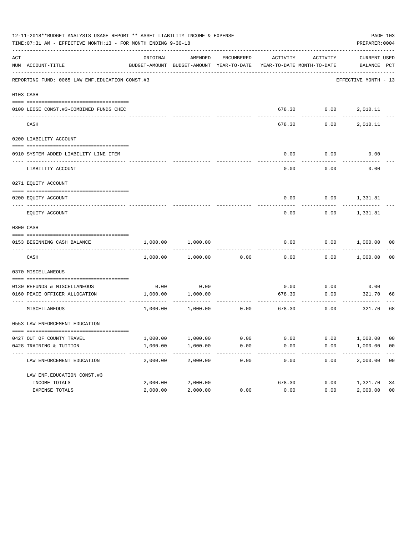|     | 12-11-2018**BUDGET ANALYSIS USAGE REPORT ** ASSET LIABILITY INCOME & EXPENSE<br>TIME: 07:31 AM - EFFECTIVE MONTH: 13 - FOR MONTH ENDING 9-30-18 |          |                                                                                |      |        |                              | PAGE 103<br>PREPARER: 0004         |                |
|-----|-------------------------------------------------------------------------------------------------------------------------------------------------|----------|--------------------------------------------------------------------------------|------|--------|------------------------------|------------------------------------|----------------|
| ACT | NUM ACCOUNT-TITLE                                                                                                                               | ORIGINAL | AMENDED<br>BUDGET-AMOUNT BUDGET-AMOUNT YEAR-TO-DATE YEAR-TO-DATE MONTH-TO-DATE |      |        | ENCUMBERED ACTIVITY ACTIVITY | <b>CURRENT USED</b><br>BALANCE PCT |                |
|     | REPORTING FUND: 0065 LAW ENF. EDUCATION CONST. #3                                                                                               |          |                                                                                |      |        |                              | EFFECTIVE MONTH - 13               |                |
|     | 0103 CASH                                                                                                                                       |          |                                                                                |      |        |                              |                                    |                |
|     | 0100 LEOSE CONST.#3-COMBINED FUNDS CHEC                                                                                                         |          |                                                                                |      |        | 678.30   0.00   2,010.11     |                                    |                |
|     | CASH                                                                                                                                            |          |                                                                                |      | 678.30 | 0.00                         | 2,010.11                           |                |
|     | 0200 LIABILITY ACCOUNT                                                                                                                          |          |                                                                                |      |        |                              |                                    |                |
|     | 0910 SYSTEM ADDED LIABILITY LINE ITEM                                                                                                           |          |                                                                                |      | 0.00   | 0.00                         | 0.00                               |                |
|     | LIABILITY ACCOUNT                                                                                                                               |          |                                                                                |      | 0.00   | 0.00                         | 0.00                               |                |
|     | 0271 EOUITY ACCOUNT                                                                                                                             |          |                                                                                |      |        |                              |                                    |                |
|     | 0200 EQUITY ACCOUNT                                                                                                                             |          |                                                                                |      |        | $0.00$ $0.00$ $1,331.81$     |                                    |                |
|     | EQUITY ACCOUNT                                                                                                                                  |          |                                                                                |      | 0.00   | 0.00                         | 1,331.81                           |                |
|     | 0300 CASH                                                                                                                                       |          |                                                                                |      |        |                              |                                    |                |
|     | 0153 BEGINNING CASH BALANCE                                                                                                                     | 1,000.00 | 1,000.00                                                                       |      | 0.00   | 0.00                         | 1,000.00 00                        |                |
|     | CASH                                                                                                                                            | 1,000.00 | 1,000.00                                                                       | 0.00 | 0.00   |                              | $0.00$ 1,000.00                    | 0 <sub>0</sub> |
|     | 0370 MISCELLANEOUS                                                                                                                              |          |                                                                                |      |        |                              |                                    |                |
|     | 0130 REFUNDS & MISCELLANEOUS                                                                                                                    | 0.00     | 0.00                                                                           |      | 0.00   | 0.00                         | 0.00                               |                |
|     | 0160 PEACE OFFICER ALLOCATION                                                                                                                   | 1,000.00 | 1,000.00                                                                       |      | 678.30 | 0.00<br>-----------          | 321.70                             | 68             |
|     | MISCELLANEOUS                                                                                                                                   | 1,000.00 | 1,000.00                                                                       | 0.00 | 678.30 | 0.00                         | 321.70                             | 68             |
|     | 0553 LAW ENFORCEMENT EDUCATION                                                                                                                  |          |                                                                                |      |        |                              |                                    |                |
|     | 0427 OUT OF COUNTY TRAVEL                                                                                                                       | 1,000.00 | 1,000.00                                                                       | 0.00 | 0.00   | 0.00                         | 1,000.00                           | 00             |
|     | 0428 TRAINING & TUITION                                                                                                                         | 1,000.00 | 1,000.00                                                                       | 0.00 | 0.00   | 0.00                         | 1,000.00                           | 0 <sub>0</sub> |
|     | LAW ENFORCEMENT EDUCATION                                                                                                                       | 2,000.00 | 2,000.00                                                                       | 0.00 | 0.00   | 0.00                         | 2,000.00                           | 0 <sub>0</sub> |
|     | LAW ENF. EDUCATION CONST. #3                                                                                                                    |          |                                                                                |      |        |                              |                                    |                |
|     | INCOME TOTALS                                                                                                                                   | 2,000.00 | 2,000.00                                                                       |      | 678.30 | 0.00                         | 1,321.70                           | 34             |
|     | EXPENSE TOTALS                                                                                                                                  | 2,000.00 | 2,000.00                                                                       | 0.00 | 0.00   | 0.00                         | 2,000.00                           | 0 <sub>0</sub> |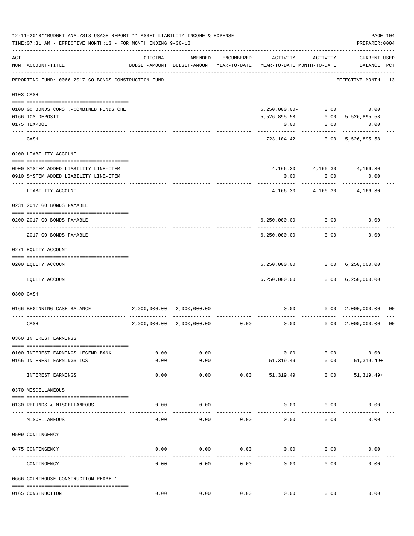|     | 12-11-2018**BUDGET ANALYSIS USAGE REPORT ** ASSET LIABILITY INCOME & EXPENSE<br>TIME: 07:31 AM - EFFECTIVE MONTH: 13 - FOR MONTH ENDING 9-30-18 |                               |                                                     |                   |                            |                       | PREPARER: 0004                      | PAGE 104       |
|-----|-------------------------------------------------------------------------------------------------------------------------------------------------|-------------------------------|-----------------------------------------------------|-------------------|----------------------------|-----------------------|-------------------------------------|----------------|
| ACT | NUM ACCOUNT-TITLE                                                                                                                               | ORIGINAL                      | AMENDED<br>BUDGET-AMOUNT BUDGET-AMOUNT YEAR-TO-DATE | ENCUMBERED        | YEAR-TO-DATE MONTH-TO-DATE | ACTIVITY ACTIVITY     | <b>CURRENT USED</b><br>BALANCE PCT  |                |
|     | REPORTING FUND: 0066 2017 GO BONDS-CONSTRUCTION FUND                                                                                            |                               |                                                     |                   |                            |                       | EFFECTIVE MONTH - 13                |                |
|     | 0103 CASH                                                                                                                                       |                               |                                                     |                   |                            |                       |                                     |                |
|     |                                                                                                                                                 |                               |                                                     |                   |                            |                       |                                     |                |
|     | 0100 GO BONDS CONST. - COMBINED FUNDS CHE                                                                                                       |                               |                                                     |                   | $6,250,000.00-$            |                       | $0.00$ 0.00                         |                |
|     | 0166 ICS DEPOSIT                                                                                                                                |                               |                                                     |                   | 5,526,895.58               | 0.00                  | 5,526,895.58                        |                |
|     | 0175 TEXPOOL                                                                                                                                    |                               |                                                     |                   | 0.00                       |                       | $0.00$ 0.00                         |                |
|     | CASH                                                                                                                                            |                               |                                                     |                   |                            |                       | 723, 104. 42 - 0.00 5, 526, 895. 58 |                |
|     | 0200 LIABILITY ACCOUNT                                                                                                                          |                               |                                                     |                   |                            |                       |                                     |                |
|     |                                                                                                                                                 |                               |                                                     |                   |                            |                       |                                     |                |
|     | 0900 SYSTEM ADDED LIABILITY LINE-ITEM                                                                                                           |                               |                                                     |                   |                            |                       | 4, 166.30 4, 166.30 4, 166.30       |                |
|     | 0910 SYSTEM ADDED LIABILITY LINE-ITEM                                                                                                           |                               |                                                     |                   | 0.00                       | 0.00<br>. <u>.</u> .  | 0.00                                |                |
|     | LIABILITY ACCOUNT                                                                                                                               |                               |                                                     |                   |                            | 4, 166. 30 4, 166. 30 | 4,166.30                            |                |
|     | 0231 2017 GO BONDS PAYABLE                                                                                                                      |                               |                                                     |                   |                            |                       |                                     |                |
|     |                                                                                                                                                 |                               |                                                     |                   |                            |                       | 0.00                                |                |
|     | 0200 2017 GO BONDS PAYABLE                                                                                                                      |                               |                                                     |                   | $6, 250, 000.00 - 0.00$    |                       |                                     |                |
|     | 2017 GO BONDS PAYABLE                                                                                                                           |                               |                                                     |                   | $6, 250, 000.00 - 0.00$    |                       | 0.00                                |                |
|     | 0271 EQUITY ACCOUNT                                                                                                                             |                               |                                                     |                   |                            |                       |                                     |                |
|     | 0200 EQUITY ACCOUNT                                                                                                                             |                               |                                                     |                   |                            |                       | 6,250,000.00   0.00   6,250,000.00  |                |
|     | ------------------------ -----------<br>---- -----------                                                                                        |                               |                                                     |                   |                            | -------------         | -------------                       |                |
|     | EQUITY ACCOUNT                                                                                                                                  |                               |                                                     |                   |                            |                       | 6,250,000.00   0.00   6,250,000.00  |                |
|     | 0300 CASH                                                                                                                                       |                               |                                                     |                   |                            |                       |                                     |                |
|     | 0166 BEGINNING CASH BALANCE                                                                                                                     | $2,000,000.00$ $2,000,000.00$ |                                                     |                   |                            |                       | $0.00$ $0.00$ $2,000,000.00$        | 00             |
|     | CASH                                                                                                                                            | 2,000,000.00                  |                                                     | 2,000,000.00 0.00 | 0.00                       |                       | $0.00 \quad 2,000,000.00$           | 0 <sub>0</sub> |
|     | 0360 INTEREST EARNINGS                                                                                                                          |                               |                                                     |                   |                            |                       |                                     |                |
|     |                                                                                                                                                 |                               |                                                     |                   |                            |                       |                                     |                |
|     | 0100 INTEREST EARNINGS LEGEND BANK                                                                                                              | 0.00                          | 0.00                                                |                   | 0.00                       | 0.00                  | 0.00                                |                |
|     | 0166 INTEREST EARNINGS ICS                                                                                                                      | 0.00                          | 0.00<br>$- - - -$                                   |                   | 51,319.49                  | 0.00                  | $51, 319.49+$                       |                |
|     | INTEREST EARNINGS                                                                                                                               | 0.00                          | 0.00                                                | 0.00              | 51, 319.49                 | 0.00                  | $51,319.49+$                        |                |
|     | 0370 MISCELLANEOUS                                                                                                                              |                               |                                                     |                   |                            |                       |                                     |                |
|     |                                                                                                                                                 |                               |                                                     |                   |                            |                       |                                     |                |
|     | 0130 REFUNDS & MISCELLANEOUS                                                                                                                    | 0.00                          | 0.00                                                |                   | 0.00                       | 0.00                  | 0.00                                |                |
|     | MISCELLANEOUS                                                                                                                                   | 0.00                          | 0.00                                                | 0.00              | 0.00                       | 0.00                  | 0.00                                |                |
|     | 0509 CONTINGENCY                                                                                                                                |                               |                                                     |                   |                            |                       |                                     |                |
|     | 0475 CONTINGENCY                                                                                                                                | 0.00                          | 0.00                                                | 0.00              | 0.00                       | 0.00                  | 0.00                                |                |
|     |                                                                                                                                                 |                               |                                                     |                   |                            |                       |                                     |                |
|     | CONTINGENCY                                                                                                                                     | 0.00                          | 0.00                                                | 0.00              | 0.00                       | 0.00                  | 0.00                                |                |
|     | 0666 COURTHOUSE CONSTRUCTION PHASE 1                                                                                                            |                               |                                                     |                   |                            |                       |                                     |                |
|     | 0165 CONSTRUCTION                                                                                                                               | 0.00                          | 0.00                                                | 0.00              | 0.00                       | 0.00                  | 0.00                                |                |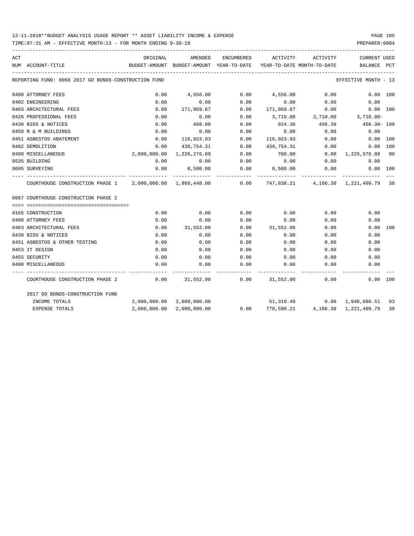## 12-11-2018\*\*BUDGET ANALYSIS USAGE REPORT \*\* ASSET LIABILITY INCOME & EXPENSE PAGE 105

TIME:07:31 AM - EFFECTIVE MONTH:13 - FOR MONTH ENDING 9-30-18 PREPARER:0004

| ACT |                                                                                                    | ORIGINAL                                                                        | AMENDED                   |               |                    | ENCUMBERED ACTIVITY ACTIVITY                              | CURRENT USED                       |    |
|-----|----------------------------------------------------------------------------------------------------|---------------------------------------------------------------------------------|---------------------------|---------------|--------------------|-----------------------------------------------------------|------------------------------------|----|
|     | NUM ACCOUNT-TITLE                                                                                  | BUDGET-AMOUNT BUDGET-AMOUNT YEAR-TO-DATE YEAR-TO-DATE MONTH-TO-DATE BALANCE PCT |                           |               |                    |                                                           |                                    |    |
|     | REPORTING FUND: 0066 2017 GO BONDS-CONSTRUCTION FUND                                               |                                                                                 |                           |               |                    |                                                           | EFFECTIVE MONTH - 13               |    |
|     | 0400 ATTORNEY FEES                                                                                 | 0.00                                                                            | 4,556.00                  |               |                    | $0.00$ 4,556.00 0.00                                      | 0.00 100                           |    |
|     | 0402 ENGINEERING                                                                                   | 0.00                                                                            | 0.00                      | 0.00          | 0.00               | 0.00                                                      | 0.00                               |    |
|     | 0403 ARCHITECTURAL FEES                                                                            | 0.00                                                                            | 171,969.67                |               |                    | $0.00$ 171,969.67 0.00                                    | 0.00 100                           |    |
|     | 0426 PROFESSIONAL FEES                                                                             | 0.00                                                                            |                           |               |                    | $0.00$ $0.00$ $3,710.00$ $3,710.00$ $3,710.00$ $3,710.00$ |                                    |    |
|     | 0430 BIDS & NOTICES                                                                                | 0.00                                                                            |                           | 468.00 0.00   |                    | $924.30$ $456.30$ $456.30$ $456.30$ $198$                 |                                    |    |
|     | 0450 R & M BUILDINGS                                                                               | 0.00                                                                            |                           | $0.00$ 0.00   | 0.00               | 0.00                                                      | 0.00                               |    |
|     | 0451 ASBESTOS ABATEMENT                                                                            | 0.00                                                                            | 116,923.93 0.00           |               | 116,923.93         | 0.00                                                      | $0.00$ 100                         |    |
|     | 0482 DEMOLITION                                                                                    | 0.00                                                                            | 439,754.31                | 0.00          | 439,754.31         | 0.00                                                      | 0.00 100                           |    |
|     | 0490 MISCELLANEOUS                                                                                 |                                                                                 | 2,000,000.00 1,226,276.09 | 0.00          | 700.00             |                                                           | $0.00 \quad 1,225,576.09 \quad 00$ |    |
|     | 0535 BUILDING                                                                                      | 0.00                                                                            | 0.00                      | 0.00          | 0.00               |                                                           | $0.00$ 0.00                        |    |
|     | 0695 SURVEYING                                                                                     |                                                                                 | $0.00$ $8,500.00$         |               |                    | $0.00$ $8,500.00$ $0.00$                                  | $0.00$ 100                         |    |
|     | COURTHOUSE CONSTRUCTION PHASE 1 2,000,000.00 1,968,448.00 0.00 747,038.21 4,166.30 1,221,409.79 38 |                                                                                 |                           | ------------- |                    |                                                           |                                    |    |
|     | 0667 COURTHOUSE CONSTRUCTION PHASE 2                                                               |                                                                                 |                           |               |                    |                                                           |                                    |    |
|     | 0165 CONSTRUCTION                                                                                  | 0.00                                                                            | 0.00                      |               |                    | $0.00$ 0.00 0.00                                          | 0.00                               |    |
|     | 0400 ATTORNEY FEES                                                                                 | 0.00                                                                            | 0.00                      | 0.00          | 0.00               | 0.00                                                      | 0.00                               |    |
|     | 0403 ARCHITECTURAL FEES                                                                            | 0.00                                                                            | 31,552.00                 |               | $0.00$ $31,552.00$ | 0.00                                                      | 0.00 100                           |    |
|     | 0430 BIDS & NOTICES                                                                                | 0.00                                                                            | 0.00                      | 0.00          | 0.00               | 0.00                                                      | 0.00                               |    |
|     | 0451 ASBESTOS & OTHER TESTING                                                                      | 0.00                                                                            | 0.00                      | 0.00          | 0.00               | 0.00                                                      | 0.00                               |    |
|     | 0453 IT DESIGN                                                                                     | 0.00                                                                            | 0.00                      | 0.00          | 0.00               | 0.00                                                      | 0.00                               |    |
|     | 0455 SECURITY                                                                                      | 0.00                                                                            | 0.00                      | 0.00          | 0.00               | 0.00                                                      | 0.00                               |    |
|     | 0490 MISCELLANEOUS                                                                                 | 0.00                                                                            | 0.00                      | 0.00          | 0.00               | 0.00                                                      | 0.00                               |    |
|     | COURTHOUSE CONSTRUCTION PHASE 2                                                                    | $0.00$ $31,552.00$ $0.00$ $31,552.00$ $0.00$ $0.00$ $0.00$                      |                           |               |                    |                                                           |                                    |    |
|     | 2017 GO BONDS-CONSTRUCTION FUND                                                                    |                                                                                 |                           |               |                    |                                                           |                                    |    |
|     | INCOME TOTALS                                                                                      |                                                                                 | 2,000,000.00 2,000,000.00 |               |                    | 51,319.49   0.00   1,948,680.51   03                      |                                    |    |
|     | <b>EXPENSE TOTALS</b>                                                                              |                                                                                 | 2,000,000.00 2,000,000.00 |               | 0.00 778,590.21    |                                                           | 4,166.30 1,221,409.79              | 39 |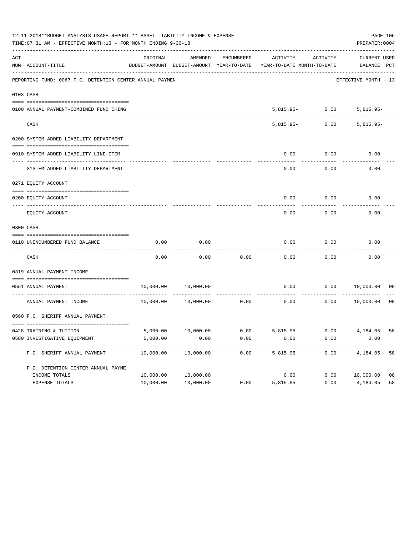| 12-11-2018**BUDGET ANALYSIS USAGE REPORT ** ASSET LIABILITY INCOME & EXPENSE<br>PAGE 106<br>TIME: 07:31 AM - EFFECTIVE MONTH: 13 - FOR MONTH ENDING 9-30-18<br>PREPARER: 0004 |                                                          |           |           |            |                                                                     |                   |                      |                |  |
|-------------------------------------------------------------------------------------------------------------------------------------------------------------------------------|----------------------------------------------------------|-----------|-----------|------------|---------------------------------------------------------------------|-------------------|----------------------|----------------|--|
| ACT                                                                                                                                                                           |                                                          | ORIGINAL  | AMENDED   | ENCUMBERED | ACTIVITY                                                            | ACTIVITY          | CURRENT USED         |                |  |
|                                                                                                                                                                               | NUM ACCOUNT-TITLE                                        |           |           |            | BUDGET-AMOUNT BUDGET-AMOUNT YEAR-TO-DATE YEAR-TO-DATE MONTH-TO-DATE |                   | BALANCE PCT          |                |  |
|                                                                                                                                                                               | REPORTING FUND: 0067 F.C. DETENTION CENTER ANNUAL PAYMEN |           |           |            |                                                                     |                   | EFFECTIVE MONTH - 13 |                |  |
|                                                                                                                                                                               | 0103 CASH                                                |           |           |            |                                                                     |                   |                      |                |  |
|                                                                                                                                                                               | 0100 ANNUAL PAYMENT-COMBINED FUND CKING                  |           |           |            |                                                                     | $5,815.95 - 0.00$ | $5,815.95-$          |                |  |
|                                                                                                                                                                               | CASH                                                     |           |           |            | $5.815.95 -$                                                        | 0.00              | $5,815.95-$          |                |  |
|                                                                                                                                                                               | 0200 SYSTEM ADDED LIABILITY DEPARTMENT                   |           |           |            |                                                                     |                   |                      |                |  |
|                                                                                                                                                                               | 0910 SYSTEM ADDED LIABILITY LINE-ITEM                    |           |           |            | 0.00                                                                | 0.00              | 0.00                 |                |  |
|                                                                                                                                                                               | SYSTEM ADDED LIABILITY DEPARTMENT                        |           |           |            | 0.00                                                                | 0.00              | 0.00                 |                |  |
|                                                                                                                                                                               | 0271 EQUITY ACCOUNT                                      |           |           |            |                                                                     |                   |                      |                |  |
|                                                                                                                                                                               | 0200 EQUITY ACCOUNT                                      |           |           |            | 0.00                                                                | 0.00              | 0.00                 |                |  |
|                                                                                                                                                                               | EQUITY ACCOUNT                                           |           |           |            | 0.00                                                                | 0.00              | 0.00                 |                |  |
|                                                                                                                                                                               | 0300 CASH                                                |           |           |            |                                                                     |                   |                      |                |  |
|                                                                                                                                                                               |                                                          |           |           |            |                                                                     |                   |                      |                |  |
|                                                                                                                                                                               | 0110 UNENCUMBERED FUND BALANCE                           | 0.00      | 0.00      |            | 0.00                                                                | 0.00              | 0.00                 |                |  |
|                                                                                                                                                                               | CASH                                                     | 0.00      | 0.00      | 0.00       | 0.00                                                                | 0.00              | 0.00                 |                |  |
|                                                                                                                                                                               | 0319 ANNUAL PAYMENT INCOME                               |           |           |            |                                                                     |                   |                      |                |  |
|                                                                                                                                                                               | 0551 ANNUAL PAYMENT                                      | 10,000.00 | 10,000.00 |            | 0.00                                                                | 0.00              | 10,000.00            | 00             |  |
|                                                                                                                                                                               | . <u>.</u><br>ANNUAL PAYMENT INCOME                      | 10,000.00 | 10,000.00 | 0.00       | 0.00                                                                | 0.00              | 10,000.00            | 0 <sub>0</sub> |  |
|                                                                                                                                                                               | 0560 F.C. SHERIFF ANNUAL PAYMENT                         |           |           |            |                                                                     |                   |                      |                |  |
|                                                                                                                                                                               |                                                          |           |           |            |                                                                     |                   |                      |                |  |
|                                                                                                                                                                               | 0428 TRAINING & TUITION                                  |           |           |            | 5,000.00 10,000.00 0.00 5,815.95 0.00 4,184.05                      |                   |                      | 58             |  |
|                                                                                                                                                                               | 0580 INVESTIGATIVE EQUIPMENT                             | 5,000.00  | 0.00      | 0.00       | 0.00                                                                | 0.00              | 0.00                 |                |  |
|                                                                                                                                                                               | F.C. SHERIFF ANNUAL PAYMENT                              | 10,000.00 | 10,000.00 | 0.00       | 5,815.95                                                            | 0.00              | 4,184.05             | 58             |  |
|                                                                                                                                                                               | F.C. DETENTION CENTER ANNUAL PAYME                       |           |           |            |                                                                     |                   |                      |                |  |
|                                                                                                                                                                               | INCOME TOTALS                                            | 10,000.00 | 10,000.00 |            | 0.00                                                                | 0.00              | 10,000.00            | 0 <sub>0</sub> |  |
|                                                                                                                                                                               | EXPENSE TOTALS                                           | 10,000.00 | 10,000.00 | 0.00       | 5,815.95                                                            | 0.00              | 4,184.05             | 58             |  |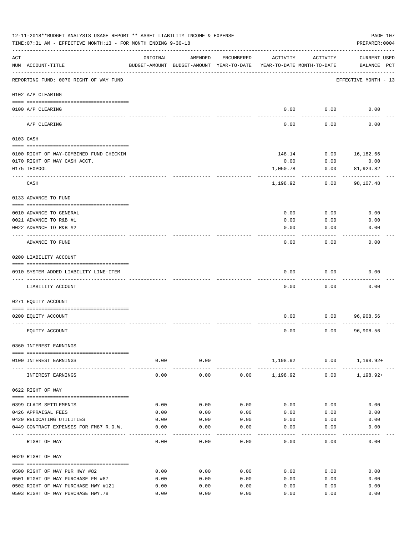| 12-11-2018**BUDGET ANALYSIS USAGE REPORT ** ASSET LIABILITY INCOME & EXPENSE<br>TIME: 07:31 AM - EFFECTIVE MONTH: 13 - FOR MONTH ENDING 9-30-18 |                                                                         |          |                                                     |            |                                        |              |                                    |  |
|-------------------------------------------------------------------------------------------------------------------------------------------------|-------------------------------------------------------------------------|----------|-----------------------------------------------------|------------|----------------------------------------|--------------|------------------------------------|--|
| ACT                                                                                                                                             | NUM ACCOUNT-TITLE                                                       | ORIGINAL | AMENDED<br>BUDGET-AMOUNT BUDGET-AMOUNT YEAR-TO-DATE | ENCUMBERED | ACTIVITY<br>YEAR-TO-DATE MONTH-TO-DATE | ACTIVITY     | <b>CURRENT USED</b><br>BALANCE PCT |  |
|                                                                                                                                                 | REPORTING FUND: 0070 RIGHT OF WAY FUND                                  |          |                                                     |            |                                        |              | EFFECTIVE MONTH - 13               |  |
|                                                                                                                                                 | 0102 A/P CLEARING                                                       |          |                                                     |            |                                        |              |                                    |  |
|                                                                                                                                                 | 0100 A/P CLEARING                                                       |          |                                                     |            | 0.00                                   | 0.00         | 0.00                               |  |
|                                                                                                                                                 | ---- ---------<br>A/P CLEARING                                          |          |                                                     |            | 0.00                                   | 0.00         | 0.00                               |  |
|                                                                                                                                                 | 0103 CASH                                                               |          |                                                     |            |                                        |              |                                    |  |
|                                                                                                                                                 |                                                                         |          |                                                     |            |                                        |              |                                    |  |
|                                                                                                                                                 | 0100 RIGHT OF WAY-COMBINED FUND CHECKIN<br>0170 RIGHT OF WAY CASH ACCT. |          |                                                     |            | 148.14<br>0.00                         | 0.00<br>0.00 | 16,182.66<br>0.00                  |  |
|                                                                                                                                                 | 0175 TEXPOOL                                                            |          |                                                     |            | 1,050.78                               | 0.00         | 81,924.82                          |  |
|                                                                                                                                                 |                                                                         |          |                                                     |            |                                        |              |                                    |  |
|                                                                                                                                                 | CASH                                                                    |          |                                                     |            | 1,198.92                               | 0.00         | 98,107.48                          |  |
|                                                                                                                                                 | 0133 ADVANCE TO FUND                                                    |          |                                                     |            |                                        |              |                                    |  |
|                                                                                                                                                 | 0010 ADVANCE TO GENERAL                                                 |          |                                                     |            | 0.00                                   | 0.00         | 0.00                               |  |
|                                                                                                                                                 | 0021 ADVANCE TO R&B #1                                                  |          |                                                     |            | 0.00                                   | 0.00         | 0.00                               |  |
|                                                                                                                                                 | 0022 ADVANCE TO R&B #2                                                  |          |                                                     |            | 0.00                                   | 0.00         | 0.00                               |  |
|                                                                                                                                                 | ADVANCE TO FUND                                                         |          |                                                     |            | 0.00                                   | 0.00         | 0.00                               |  |
|                                                                                                                                                 | 0200 LIABILITY ACCOUNT                                                  |          |                                                     |            |                                        |              |                                    |  |
|                                                                                                                                                 |                                                                         |          |                                                     |            |                                        |              |                                    |  |
|                                                                                                                                                 | 0910 SYSTEM ADDED LIABILITY LINE-ITEM                                   |          |                                                     |            | 0.00                                   | 0.00         | 0.00                               |  |
|                                                                                                                                                 | LIABILITY ACCOUNT                                                       |          |                                                     |            | 0.00                                   | 0.00         | 0.00                               |  |
|                                                                                                                                                 | 0271 EQUITY ACCOUNT                                                     |          |                                                     |            |                                        |              |                                    |  |
|                                                                                                                                                 |                                                                         |          |                                                     |            |                                        |              |                                    |  |
|                                                                                                                                                 | 0200 EQUITY ACCOUNT                                                     |          |                                                     |            | 0.00                                   | 0.00         | 96,908.56                          |  |
|                                                                                                                                                 | EQUITY ACCOUNT                                                          |          |                                                     |            | 0.00                                   | 0.00         | 96,908.56                          |  |
|                                                                                                                                                 | 0360 INTEREST EARNINGS                                                  |          |                                                     |            |                                        |              |                                    |  |
|                                                                                                                                                 | 0100 INTEREST EARNINGS                                                  | 0.00     | 0.00                                                |            |                                        |              | $1,198.92$ 0.00 1,198.92+          |  |
|                                                                                                                                                 | INTEREST EARNINGS                                                       | 0.00     | ------------<br>0.00                                |            | $0.00$ 1,198.92                        | 0.00         | 1,198.92+                          |  |
|                                                                                                                                                 | 0622 RIGHT OF WAY                                                       |          |                                                     |            |                                        |              |                                    |  |
|                                                                                                                                                 | 0399 CLAIM SETTLEMENTS                                                  | 0.00     | 0.00                                                | 0.00       | 0.00                                   | 0.00         | 0.00                               |  |
|                                                                                                                                                 | 0426 APPRAISAL FEES                                                     | 0.00     | 0.00                                                | 0.00       | 0.00                                   | 0.00         | 0.00                               |  |
|                                                                                                                                                 | 0429 RELOCATING UTILITIES                                               | 0.00     | 0.00                                                | 0.00       | 0.00                                   | 0.00         | 0.00                               |  |
|                                                                                                                                                 | 0449 CONTRACT EXPENSES FOR FM87 R.O.W.                                  | 0.00     | 0.00                                                | 0.00       | 0.00                                   | 0.00         | 0.00                               |  |
|                                                                                                                                                 | RIGHT OF WAY                                                            | 0.00     | 0.00                                                | 0.00       | 0.00                                   | 0.00         | 0.00                               |  |
|                                                                                                                                                 | 0629 RIGHT OF WAY                                                       |          |                                                     |            |                                        |              |                                    |  |
|                                                                                                                                                 | 0500 RIGHT OF WAY PUR HWY #82                                           | 0.00     | 0.00                                                | 0.00       | 0.00                                   | 0.00         | 0.00                               |  |
|                                                                                                                                                 | 0501 RIGHT OF WAY PURCHASE FM #87                                       | 0.00     | 0.00                                                | 0.00       | 0.00                                   | 0.00         | 0.00                               |  |
|                                                                                                                                                 | 0502 RIGHT OF WAY PURCHASE HWY #121                                     | 0.00     | 0.00                                                | 0.00       | 0.00                                   | 0.00         | 0.00                               |  |
|                                                                                                                                                 | 0503 RIGHT OF WAY PURCHASE HWY.78                                       | 0.00     | 0.00                                                | 0.00       | 0.00                                   | 0.00         | 0.00                               |  |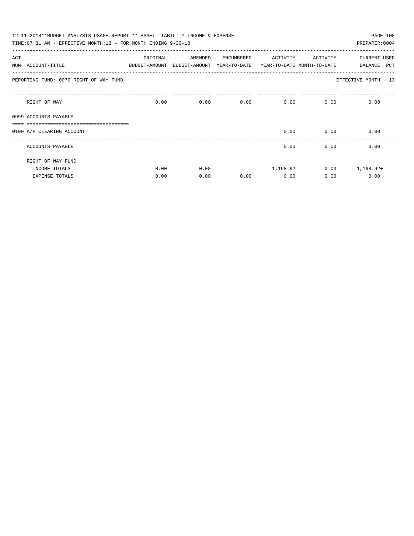|     | 12-11-2018**BUDGET ANALYSIS USAGE REPORT ** ASSET LIABILITY INCOME & EXPENSE<br>TIME: 07:31 AM - EFFECTIVE MONTH: 13 - FOR MONTH ENDING 9-30-18 |          |                                                                     |            |                   |                   | PAGE 108<br>PREPARER: 0004 |
|-----|-------------------------------------------------------------------------------------------------------------------------------------------------|----------|---------------------------------------------------------------------|------------|-------------------|-------------------|----------------------------|
| ACT |                                                                                                                                                 | ORIGINAL | AMENDED                                                             | ENCUMBERED | ACTIVITY ACTIVITY |                   | CURRENT USED               |
|     | NUM ACCOUNT-TITLE                                                                                                                               |          | BUDGET-AMOUNT BUDGET-AMOUNT YEAR-TO-DATE YEAR-TO-DATE MONTH-TO-DATE |            |                   |                   | <b>PCT</b><br>BALANCE      |
|     | REPORTING FUND: 0070 RIGHT OF WAY FUND                                                                                                          |          |                                                                     |            |                   |                   | EFFECTIVE MONTH - 13       |
|     | RIGHT OF WAY                                                                                                                                    | 0.00     |                                                                     | 0.00       | 0.00              | $0.00$ and $0.00$ | 0.00<br>0.00               |
|     | 0999 ACCOUNTS PAYABLE                                                                                                                           |          |                                                                     |            |                   |                   |                            |
|     |                                                                                                                                                 |          |                                                                     |            |                   |                   |                            |
|     | 0100 A/P CLEARING ACCOUNT                                                                                                                       |          |                                                                     |            | 0.00              | 0.00              | 0.00                       |
|     | ACCOUNTS PAYABLE                                                                                                                                |          |                                                                     |            | 0.00              | 0.00              | 0.00                       |
|     | RIGHT OF WAY FUND                                                                                                                               |          |                                                                     |            |                   |                   |                            |
|     | INCOME TOTALS                                                                                                                                   | 0.00     | 0.00                                                                |            |                   | 1,198.92 0.00     | 1,198.92+                  |
|     | <b>EXPENSE TOTALS</b>                                                                                                                           | 0.00     | 0.00                                                                | 0.00       | 0.00              | 0.00              | 0.00                       |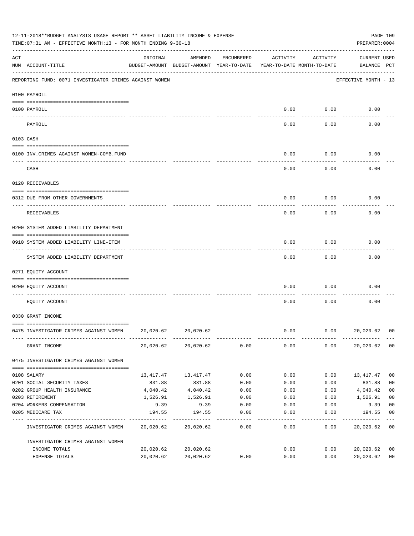|     | 12-11-2018**BUDGET ANALYSIS USAGE REPORT ** ASSET LIABILITY INCOME & EXPENSE<br>TIME: 07:31 AM - EFFECTIVE MONTH: 13 - FOR MONTH ENDING 9-30-18 |           |                                                                                |            |          |          | PREPARER: 0004              | PAGE 109       |
|-----|-------------------------------------------------------------------------------------------------------------------------------------------------|-----------|--------------------------------------------------------------------------------|------------|----------|----------|-----------------------------|----------------|
| ACT | NUM ACCOUNT-TITLE                                                                                                                               | ORIGINAL  | AMENDED<br>BUDGET-AMOUNT BUDGET-AMOUNT YEAR-TO-DATE YEAR-TO-DATE MONTH-TO-DATE | ENCUMBERED | ACTIVITY | ACTIVITY | CURRENT USED<br>BALANCE PCT |                |
|     | REPORTING FUND: 0071 INVESTIGATOR CRIMES AGAINST WOMEN                                                                                          |           |                                                                                |            |          |          | EFFECTIVE MONTH - 13        |                |
|     | 0100 PAYROLL                                                                                                                                    |           |                                                                                |            |          |          |                             |                |
|     | 0100 PAYROLL                                                                                                                                    |           |                                                                                |            | 0.00     | 0.00     | 0.00                        |                |
|     | PAYROLL                                                                                                                                         |           |                                                                                |            | 0.00     | 0.00     | 0.00                        |                |
|     | 0103 CASH                                                                                                                                       |           |                                                                                |            |          |          |                             |                |
|     | 0100 INV. CRIMES AGAINST WOMEN-COMB. FUND                                                                                                       |           |                                                                                |            | 0.00     | 0.00     | 0.00                        |                |
|     | CASH                                                                                                                                            |           |                                                                                |            | 0.00     | 0.00     | 0.00                        |                |
|     | 0120 RECEIVABLES                                                                                                                                |           |                                                                                |            |          |          |                             |                |
|     | 0312 DUE FROM OTHER GOVERNMENTS                                                                                                                 |           |                                                                                |            | 0.00     | 0.00     | 0.00                        |                |
|     | RECEIVABLES                                                                                                                                     |           |                                                                                |            | 0.00     | 0.00     | 0.00                        |                |
|     | 0200 SYSTEM ADDED LIABILITY DEPARTMENT                                                                                                          |           |                                                                                |            |          |          |                             |                |
|     | 0910 SYSTEM ADDED LIABILITY LINE-ITEM                                                                                                           |           |                                                                                |            | 0.00     | 0.00     | 0.00                        |                |
|     | SYSTEM ADDED LIABILITY DEPARTMENT                                                                                                               |           |                                                                                |            | 0.00     | 0.00     | 0.00                        |                |
|     | 0271 EQUITY ACCOUNT                                                                                                                             |           |                                                                                |            |          |          |                             |                |
|     | 0200 EQUITY ACCOUNT                                                                                                                             |           |                                                                                |            | 0.00     | 0.00     | 0.00                        |                |
|     | EOUITY ACCOUNT                                                                                                                                  |           |                                                                                |            | 0.00     | 0.00     | 0.00                        |                |
|     | 0330 GRANT INCOME                                                                                                                               |           |                                                                                |            |          |          |                             |                |
|     | 0475 INVESTIGATOR CRIMES AGAINST WOMEN 20,020.62                                                                                                |           | 20,020.62                                                                      |            | 0.00     | 0.00     | 20,020.62                   | 00             |
|     | GRANT INCOME                                                                                                                                    |           | 20,020.62 20,020.62                                                            | 0.00       | 0.00     | 0.00     | 20,020.62                   | 0 <sub>0</sub> |
|     | 0475 INVESTIGATOR CRIMES AGAINST WOMEN                                                                                                          |           |                                                                                |            |          |          |                             |                |
|     | 0108 SALARY                                                                                                                                     |           | 13, 417. 47 13, 417. 47                                                        | 0.00       | 0.00     | 0.00     | 13,417.47                   | 0 <sub>0</sub> |
|     | 0201 SOCIAL SECURITY TAXES                                                                                                                      | 831.88    | 831.88                                                                         | 0.00       | 0.00     | 0.00     | 831.88                      | 0 <sub>0</sub> |
|     | 0202 GROUP HEALTH INSURANCE                                                                                                                     | 4,040.42  | 4,040.42                                                                       | 0.00       | 0.00     | 0.00     | 4,040.42                    | 0 <sub>0</sub> |
|     | 0203 RETIREMENT                                                                                                                                 | 1,526.91  | 1,526.91                                                                       | 0.00       | 0.00     | 0.00     | 1,526.91                    | 0 <sub>0</sub> |
|     | 0204 WORKERS COMPENSATION                                                                                                                       | 9.39      | 9.39                                                                           | 0.00       | 0.00     | 0.00     | 9.39                        | 0 <sub>0</sub> |
|     | 0205 MEDICARE TAX                                                                                                                               | 194.55    | 194.55                                                                         | 0.00       | 0.00     | 0.00     | 194.55                      | 0 <sub>0</sub> |
|     | INVESTIGATOR CRIMES AGAINST WOMEN                                                                                                               |           | 20,020.62 20,020.62                                                            | 0.00       | 0.00     | 0.00     | 20,020.62                   | 0 <sub>0</sub> |
|     | INVESTIGATOR CRIMES AGAINST WOMEN                                                                                                               |           |                                                                                |            |          |          |                             |                |
|     | INCOME TOTALS                                                                                                                                   | 20,020.62 | 20,020.62                                                                      |            | 0.00     | 0.00     | 20,020.62                   | 0 <sub>0</sub> |
|     | EXPENSE TOTALS                                                                                                                                  | 20,020.62 | 20,020.62                                                                      | 0.00       | 0.00     | 0.00     | 20,020.62                   | 0 <sub>0</sub> |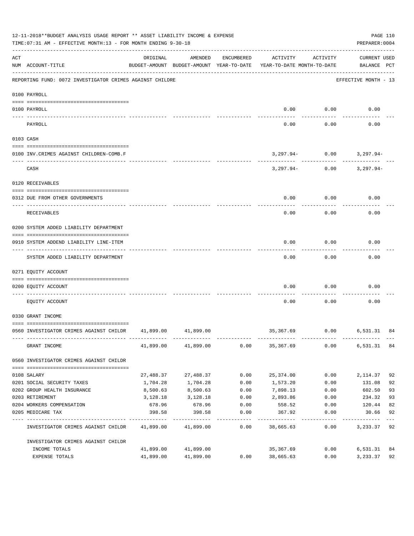|     | 12-11-2018**BUDGET ANALYSIS USAGE REPORT ** ASSET LIABILITY INCOME & EXPENSE<br>TIME: 07:31 AM - EFFECTIVE MONTH: 13 - FOR MONTH ENDING 9-30-18 |           |                     |            |                                                                                 |                    | PAGE 110<br>PREPARER: 0004                                  |    |
|-----|-------------------------------------------------------------------------------------------------------------------------------------------------|-----------|---------------------|------------|---------------------------------------------------------------------------------|--------------------|-------------------------------------------------------------|----|
| ACT | NUM ACCOUNT-TITLE                                                                                                                               | ORIGINAL  | AMENDED             | ENCUMBERED | ACTIVITY<br>BUDGET-AMOUNT BUDGET-AMOUNT YEAR-TO-DATE YEAR-TO-DATE MONTH-TO-DATE | ACTIVITY           | <b>CURRENT USED</b><br>BALANCE PCT<br>--------------------- |    |
|     | REPORTING FUND: 0072 INVESTIGATOR CRIMES AGAINST CHILDRE                                                                                        |           |                     |            |                                                                                 |                    | EFFECTIVE MONTH - 13                                        |    |
|     | 0100 PAYROLL                                                                                                                                    |           |                     |            |                                                                                 |                    |                                                             |    |
|     | 0100 PAYROLL                                                                                                                                    |           |                     |            |                                                                                 | $0.00$ 0.00        | 0.00                                                        |    |
|     | PAYROLL                                                                                                                                         |           |                     |            | 0.00                                                                            | ----------<br>0.00 | 0.00                                                        |    |
|     | 0103 CASH                                                                                                                                       |           |                     |            |                                                                                 |                    |                                                             |    |
|     | 0100 INV. CRIMES AGAINST CHILDREN-COMB.F                                                                                                        |           |                     |            |                                                                                 |                    | $3,297.94 - 0.00$ $3,297.94 -$                              |    |
|     | CASH                                                                                                                                            |           |                     |            |                                                                                 |                    | $3,297.94 - 0.00$ $3,297.94 -$                              |    |
|     | 0120 RECEIVABLES                                                                                                                                |           |                     |            |                                                                                 |                    |                                                             |    |
|     | 0312 DUE FROM OTHER GOVERNMENTS                                                                                                                 |           |                     |            | 0.00                                                                            | 0.00               | 0.00                                                        |    |
|     | RECEIVABLES                                                                                                                                     |           |                     |            | 0.00                                                                            | 0.00               | 0.00                                                        |    |
|     | 0200 SYSTEM ADDED LIABILITY DEPARTMENT                                                                                                          |           |                     |            |                                                                                 |                    |                                                             |    |
|     | 0910 SYSTEM ADDEND LIABILITY LINE-ITEM                                                                                                          |           |                     |            | 0.00                                                                            | 0.00<br>---------  | 0.00                                                        |    |
|     | SYSTEM ADDED LIABILITY DEPARTMENT                                                                                                               |           |                     |            | 0.00                                                                            | 0.00               | 0.00                                                        |    |
|     | 0271 EQUITY ACCOUNT                                                                                                                             |           |                     |            |                                                                                 |                    |                                                             |    |
|     | 0200 EOUITY ACCOUNT                                                                                                                             |           |                     |            | 0.00                                                                            | 0.00               | 0.00                                                        |    |
|     | EQUITY ACCOUNT                                                                                                                                  |           |                     |            | 0.00                                                                            | 0.00               | 0.00                                                        |    |
|     | 0330 GRANT INCOME                                                                                                                               |           |                     |            |                                                                                 |                    |                                                             |    |
|     | 0560 INVESTIGATOR CRIMES AGAINST CHILDR 41,899.00 41,899.00                                                                                     |           |                     |            |                                                                                 |                    | 35,367.69 0.00 6,531.31                                     | 84 |
|     | GRANT INCOME                                                                                                                                    |           | 41,899.00 41,899.00 | 0.00       | 35,367.69                                                                       | 0.00               | 6,531.31 84                                                 |    |
|     | 0560 INVESTIGATOR CRIMES AGAINST CHILDR                                                                                                         |           |                     |            |                                                                                 |                    |                                                             |    |
|     | 0108 SALARY                                                                                                                                     | 27,488.37 | 27,488.37           | 0.00       | 25,374.00                                                                       | 0.00               | 2,114.37                                                    | 92 |
|     | 0201 SOCIAL SECURITY TAXES                                                                                                                      | 1,704.28  | 1,704.28            | 0.00       | 1,573.20                                                                        | 0.00               | 131.08                                                      | 92 |
|     | 0202 GROUP HEALTH INSURANCE                                                                                                                     | 8,500.63  | 8,500.63            | 0.00       | 7,898.13                                                                        | 0.00               | 602.50                                                      | 93 |
|     | 0203 RETIREMENT                                                                                                                                 | 3,128.18  | 3,128.18            | 0.00       | 2,893.86                                                                        | 0.00               | 234.32                                                      | 93 |
|     | 0204 WORKERS COMPENSATION                                                                                                                       | 678.96    | 678.96              | 0.00       | 558.52                                                                          | 0.00               | 120.44                                                      | 82 |
|     | 0205 MEDICARE TAX                                                                                                                               | 398.58    | 398.58              | 0.00       | 367.92                                                                          | 0.00               | 30.66                                                       | 92 |
|     | INVESTIGATOR CRIMES AGAINST CHILDR                                                                                                              |           | 41,899.00 41,899.00 | 0.00       | 38,665.63                                                                       | 0.00               | 3,233.37                                                    | 92 |
|     | INVESTIGATOR CRIMES AGAINST CHILDR                                                                                                              |           |                     |            |                                                                                 |                    |                                                             |    |
|     | INCOME TOTALS                                                                                                                                   | 41,899.00 | 41,899.00           |            | 35,367.69                                                                       | 0.00               | 6,531.31                                                    | 84 |
|     | EXPENSE TOTALS                                                                                                                                  | 41,899.00 | 41,899.00           | 0.00       | 38,665.63                                                                       | 0.00               | 3,233.37                                                    | 92 |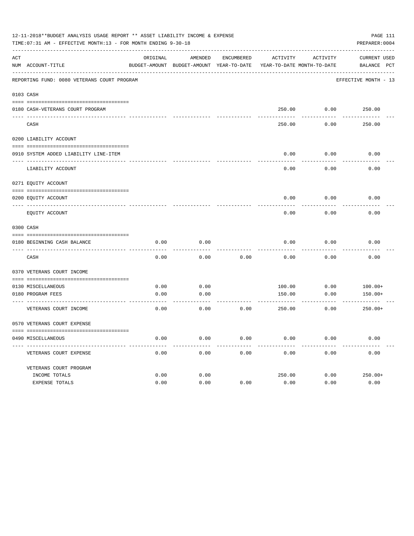|     | 12-11-2018**BUDGET ANALYSIS USAGE REPORT ** ASSET LIABILITY INCOME & EXPENSE<br>TIME: 07:31 AM - EFFECTIVE MONTH: 13 - FOR MONTH ENDING 9-30-18 |          |                                                     |            |                                        |                    | PAGE 111<br>PREPARER: 0004  |
|-----|-------------------------------------------------------------------------------------------------------------------------------------------------|----------|-----------------------------------------------------|------------|----------------------------------------|--------------------|-----------------------------|
| ACT | NUM ACCOUNT-TITLE                                                                                                                               | ORIGINAL | AMENDED<br>BUDGET-AMOUNT BUDGET-AMOUNT YEAR-TO-DATE | ENCUMBERED | ACTIVITY<br>YEAR-TO-DATE MONTH-TO-DATE | ACTIVITY           | CURRENT USED<br>BALANCE PCT |
|     | REPORTING FUND: 0080 VETERANS COURT PROGRAM                                                                                                     |          |                                                     |            |                                        |                    | EFFECTIVE MONTH - 13        |
|     | 0103 CASH                                                                                                                                       |          |                                                     |            |                                        |                    |                             |
|     |                                                                                                                                                 |          |                                                     |            |                                        |                    |                             |
|     | 0180 CASH-VETERANS COURT PROGRAM                                                                                                                |          |                                                     |            |                                        | 250.00 0.00 250.00 |                             |
|     | CASH                                                                                                                                            |          |                                                     |            | 250.00                                 | 0.00               | 250.00                      |
|     | 0200 LIABILITY ACCOUNT                                                                                                                          |          |                                                     |            |                                        |                    |                             |
|     |                                                                                                                                                 |          |                                                     |            |                                        |                    |                             |
|     | 0910 SYSTEM ADDED LIABILITY LINE-ITEM                                                                                                           |          |                                                     |            | 0.00                                   | 0.00               | 0.00                        |
|     | LIABILITY ACCOUNT                                                                                                                               |          |                                                     |            | 0.00                                   | 0.00               | 0.00                        |
|     | 0271 EQUITY ACCOUNT                                                                                                                             |          |                                                     |            |                                        |                    |                             |
|     | 0200 EQUITY ACCOUNT                                                                                                                             |          |                                                     |            | 0.00                                   | 0.00               | 0.00                        |
|     | EQUITY ACCOUNT                                                                                                                                  |          |                                                     |            | 0.00                                   | 0.00               | 0.00                        |
|     | 0300 CASH                                                                                                                                       |          |                                                     |            |                                        |                    |                             |
|     |                                                                                                                                                 |          |                                                     |            |                                        |                    |                             |
|     | 0180 BEGINNING CASH BALANCE                                                                                                                     | 0.00     | 0.00                                                |            | 0.00                                   | 0.00               | 0.00                        |
|     | CASH                                                                                                                                            | 0.00     | 0.00                                                | 0.00       | 0.00                                   | 0.00               | 0.00                        |
|     | 0370 VETERANS COURT INCOME                                                                                                                      |          |                                                     |            |                                        |                    |                             |
|     | 0130 MISCELLANEOUS                                                                                                                              | 0.00     | 0.00                                                |            | 100.00                                 | 0.00               | $100.00+$                   |
|     | 0180 PROGRAM FEES                                                                                                                               | 0.00     | 0.00                                                |            | 150.00                                 | 0.00               | $150.00+$                   |
|     | ___________________________________<br>VETERANS COURT INCOME                                                                                    | 0.00     | 0.00                                                | 0.00       | 250.00                                 | 0.00               | $250.00+$                   |
|     | 0570 VETERANS COURT EXPENSE                                                                                                                     |          |                                                     |            |                                        |                    |                             |
|     | 0490 MISCELLANEOUS                                                                                                                              | 0.00     | 0.00                                                | 0.00       | 0.00                                   | 0.00               | 0.00                        |
|     | VETERANS COURT EXPENSE                                                                                                                          | 0.00     | 0.00                                                | 0.00       | 0.00                                   | 0.00               | 0.00                        |
|     | VETERANS COURT PROGRAM                                                                                                                          |          |                                                     |            |                                        |                    |                             |
|     | INCOME TOTALS                                                                                                                                   | 0.00     | 0.00                                                |            | 250.00                                 | 0.00               | $250.00+$                   |
|     | EXPENSE TOTALS                                                                                                                                  | 0.00     | 0.00                                                | 0.00       | 0.00                                   | 0.00               | 0.00                        |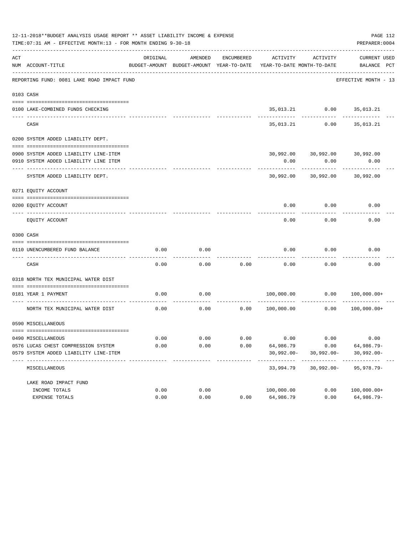|     | 12-11-2018**BUDGET ANALYSIS USAGE REPORT ** ASSET LIABILITY INCOME & EXPENSE<br>TIME: 07:31 AM - EFFECTIVE MONTH: 13 - FOR MONTH ENDING 9-30-18 |          |                                                     |            |                                                        |                               | PAGE 112<br>PREPARER: 0004         |
|-----|-------------------------------------------------------------------------------------------------------------------------------------------------|----------|-----------------------------------------------------|------------|--------------------------------------------------------|-------------------------------|------------------------------------|
| ACT | NUM ACCOUNT-TITLE                                                                                                                               | ORIGINAL | AMENDED<br>BUDGET-AMOUNT BUDGET-AMOUNT YEAR-TO-DATE | ENCUMBERED | ACTIVITY<br>YEAR-TO-DATE MONTH-TO-DATE                 | ACTIVITY                      | <b>CURRENT USED</b><br>BALANCE PCT |
|     | REPORTING FUND: 0081 LAKE ROAD IMPACT FUND                                                                                                      |          |                                                     |            |                                                        |                               | EFFECTIVE MONTH - 13               |
|     | 0103 CASH                                                                                                                                       |          |                                                     |            |                                                        |                               |                                    |
|     |                                                                                                                                                 |          |                                                     |            |                                                        |                               |                                    |
|     | 0100 LAKE-COMBINED FUNDS CHECKING                                                                                                               |          |                                                     |            |                                                        | 35,013.21 0.00 35,013.21      |                                    |
|     | CASH                                                                                                                                            |          |                                                     |            |                                                        | 35,013.21 0.00 35,013.21      |                                    |
|     | 0200 SYSTEM ADDED LIABILITY DEPT.                                                                                                               |          |                                                     |            |                                                        |                               |                                    |
|     |                                                                                                                                                 |          |                                                     |            |                                                        |                               |                                    |
|     | 0900 SYSTEM ADDED LIABILITY LINE-ITEM                                                                                                           |          |                                                     |            |                                                        | 30,992.00 30,992.00 30,992.00 |                                    |
|     | 0910 SYSTEM ADDED LIABILITY LINE ITEM                                                                                                           |          |                                                     |            | 0.00<br>---------                                      | 0.00<br>----------            | 0.00                               |
|     | SYSTEM ADDED LIABILITY DEPT.                                                                                                                    |          |                                                     |            | 30,992.00                                              | 30,992.00                     | 30,992.00                          |
|     | 0271 EQUITY ACCOUNT                                                                                                                             |          |                                                     |            |                                                        |                               |                                    |
|     | 0200 EQUITY ACCOUNT                                                                                                                             |          |                                                     |            | 0.00                                                   | 0.00                          | 0.00                               |
|     | EQUITY ACCOUNT                                                                                                                                  |          |                                                     |            | 0.00                                                   | 0.00                          | 0.00                               |
|     | 0300 CASH                                                                                                                                       |          |                                                     |            |                                                        |                               |                                    |
|     |                                                                                                                                                 |          |                                                     |            |                                                        |                               |                                    |
|     | 0110 UNENCUMBERED FUND BALANCE                                                                                                                  | 0.00     | 0.00<br>-----                                       |            | 0.00                                                   | 0.00                          | 0.00                               |
|     | CASH                                                                                                                                            | 0.00     | 0.00                                                | 0.00       | 0.00                                                   | 0.00                          | 0.00                               |
|     | 0318 NORTH TEX MUNICIPAL WATER DIST                                                                                                             |          |                                                     |            |                                                        |                               |                                    |
|     | 0181 YEAR 1 PAYMENT                                                                                                                             | 0.00     | 0.00                                                |            |                                                        |                               |                                    |
|     | NORTH TEX MUNICIPAL WATER DIST                                                                                                                  | 0.00     |                                                     |            | $0.00$ $0.00$ $100,000.00$ $0.00$ $0.00$ $100,000.00+$ |                               |                                    |
|     | 0590 MISCELLANEOUS                                                                                                                              |          |                                                     |            |                                                        |                               |                                    |
|     | 0490 MISCELLANEOUS                                                                                                                              | 0.00     | 0.00                                                | 0.00       | 0.00                                                   | 0.00                          | 0.00                               |
|     | 0576 LUCAS CHEST COMPRESSION SYSTEM                                                                                                             | 0.00     | 0.00                                                | 0.00       |                                                        |                               |                                    |
|     | 0579 SYSTEM ADDED LIABILITY LINE-ITEM                                                                                                           |          |                                                     |            | 64,986.79<br>$30,992.00 -$                             | 0.00<br>$30,992.00 -$         | 64,986.79-<br>$30,992.00 -$        |
|     |                                                                                                                                                 |          |                                                     |            |                                                        |                               |                                    |
|     | MISCELLANEOUS                                                                                                                                   |          |                                                     |            | 33,994.79                                              | $30,992.00 -$                 | $95,978.79 -$                      |
|     | LAKE ROAD IMPACT FUND                                                                                                                           |          |                                                     |            |                                                        |                               |                                    |
|     | INCOME TOTALS                                                                                                                                   | 0.00     | 0.00                                                |            | 100,000.00                                             | 0.00                          | $100,000.00+$                      |
|     | EXPENSE TOTALS                                                                                                                                  | 0.00     | 0.00                                                | 0.00       | 64,986.79                                              | 0.00                          | 64,986.79-                         |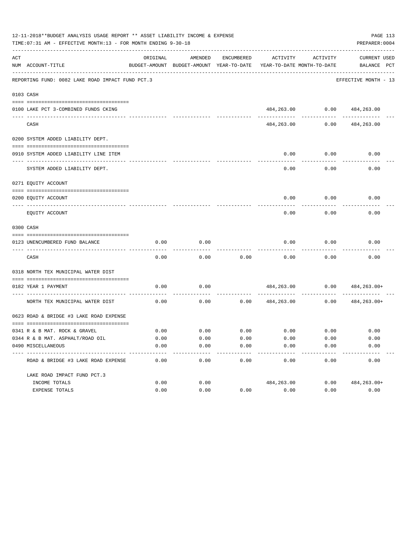|     | 12-11-2018**BUDGET ANALYSIS USAGE REPORT ** ASSET LIABILITY INCOME & EXPENSE<br>TIME: 07:31 AM - EFFECTIVE MONTH: 13 - FOR MONTH ENDING 9-30-18 |                     |                                                     |                                           |                                        |                      | PAGE 113<br>PREPARER: 0004         |
|-----|-------------------------------------------------------------------------------------------------------------------------------------------------|---------------------|-----------------------------------------------------|-------------------------------------------|----------------------------------------|----------------------|------------------------------------|
| ACT | NUM ACCOUNT-TITLE                                                                                                                               | ORIGINAL            | AMENDED<br>BUDGET-AMOUNT BUDGET-AMOUNT YEAR-TO-DATE | ENCUMBERED                                | ACTIVITY<br>YEAR-TO-DATE MONTH-TO-DATE | ACTIVITY             | <b>CURRENT USED</b><br>BALANCE PCT |
|     | REPORTING FUND: 0082 LAKE ROAD IMPACT FUND PCT.3                                                                                                |                     |                                                     |                                           |                                        |                      | EFFECTIVE MONTH - 13               |
|     | 0103 CASH                                                                                                                                       |                     |                                                     |                                           |                                        |                      |                                    |
|     | 0100 LAKE PCT 3-COMBINED FUNDS CKING                                                                                                            |                     |                                                     |                                           |                                        |                      | 484,263.00 0.00 484,263.00         |
|     | CASH                                                                                                                                            |                     |                                                     |                                           | 484,263.00                             | 0.00                 | 484,263.00                         |
|     | 0200 SYSTEM ADDED LIABILITY DEPT.                                                                                                               |                     |                                                     |                                           |                                        |                      |                                    |
|     | 0910 SYSTEM ADDED LIABILITY LINE ITEM                                                                                                           |                     |                                                     |                                           | 0.00                                   | 0.00                 | 0.00                               |
|     | SYSTEM ADDED LIABILITY DEPT.                                                                                                                    |                     |                                                     |                                           | 0.00                                   | 0.00                 | 0.00                               |
|     | 0271 EQUITY ACCOUNT                                                                                                                             |                     |                                                     |                                           |                                        |                      |                                    |
|     | 0200 EQUITY ACCOUNT                                                                                                                             |                     |                                                     |                                           | 0.00                                   | 0.00                 | 0.00                               |
|     | EQUITY ACCOUNT                                                                                                                                  |                     |                                                     |                                           | 0.00                                   | 0.00                 | 0.00                               |
|     | 0300 CASH                                                                                                                                       |                     |                                                     |                                           |                                        |                      |                                    |
|     | 0123 UNENCUMBERED FUND BALANCE                                                                                                                  | 0.00                | 0.00                                                |                                           | 0.00                                   | 0.00                 | 0.00                               |
|     | CASH                                                                                                                                            | 0.00                | 0.00                                                | 0.00                                      | 0.00                                   | 0.00                 | 0.00                               |
|     | 0318 NORTH TEX MUNICIPAL WATER DIST                                                                                                             |                     |                                                     |                                           |                                        |                      |                                    |
|     | 0182 YEAR 1 PAYMENT                                                                                                                             | 0.00                | 0.00                                                |                                           | 484,263.00                             |                      | $0.00$ $484,263.00+$               |
|     | NORTH TEX MUNICIPAL WATER DIST                                                                                                                  | 0.00                | 0.00                                                | 0.00                                      | 484,263.00                             | 0.00                 | 484,263.00+                        |
|     | 0623 ROAD & BRIDGE #3 LAKE ROAD EXPENSE                                                                                                         |                     |                                                     |                                           |                                        |                      |                                    |
|     | 0341 R & B MAT. ROCK & GRAVEL                                                                                                                   | 0.00                |                                                     | $0.00$ $0.00$ $0.00$ $0.00$ $0.00$ $0.00$ |                                        |                      | 0.00                               |
|     | 0344 R & B MAT. ASPHALT/ROAD OIL                                                                                                                | 0.00                | 0.00                                                | 0.00                                      | 0.00                                   | 0.00                 | 0.00                               |
|     | 0490 MISCELLANEOUS                                                                                                                              | 0.00<br>$- - - - -$ | 0.00<br>-----------                                 | 0.00<br>--------                          | 0.00<br>-------------                  | 0.00<br>------------ | 0.00<br>------------               |
|     | ROAD & BRIDGE #3 LAKE ROAD EXPENSE                                                                                                              | 0.00                | 0.00                                                | 0.00                                      | 0.00                                   | 0.00                 | 0.00                               |
|     | LAKE ROAD IMPACT FUND PCT.3                                                                                                                     |                     |                                                     |                                           |                                        |                      |                                    |
|     | INCOME TOTALS                                                                                                                                   | 0.00                | 0.00                                                |                                           | 484,263.00                             | 0.00                 | 484,263.00+                        |
|     | EXPENSE TOTALS                                                                                                                                  | 0.00                | 0.00                                                | 0.00                                      | 0.00                                   | 0.00                 | 0.00                               |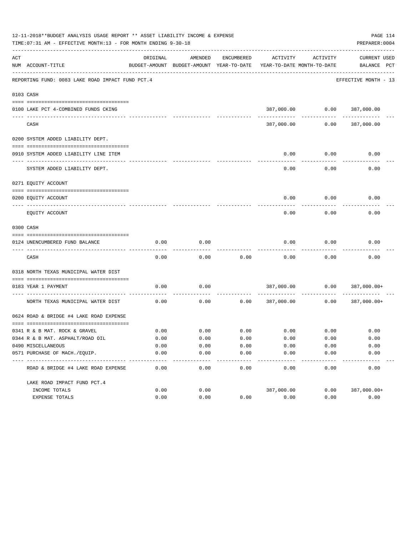|     | 12-11-2018**BUDGET ANALYSIS USAGE REPORT ** ASSET LIABILITY INCOME & EXPENSE<br>TIME: 07:31 AM - EFFECTIVE MONTH: 13 - FOR MONTH ENDING 9-30-18 |          |                                                     |                  |                                        |                                | PAGE 114<br>PREPARER: 0004         |
|-----|-------------------------------------------------------------------------------------------------------------------------------------------------|----------|-----------------------------------------------------|------------------|----------------------------------------|--------------------------------|------------------------------------|
| ACT | NUM ACCOUNT-TITLE                                                                                                                               | ORIGINAL | AMENDED<br>BUDGET-AMOUNT BUDGET-AMOUNT YEAR-TO-DATE | ENCUMBERED       | ACTIVITY<br>YEAR-TO-DATE MONTH-TO-DATE | ACTIVITY                       | <b>CURRENT USED</b><br>BALANCE PCT |
|     | REPORTING FUND: 0083 LAKE ROAD IMPACT FUND PCT.4                                                                                                |          |                                                     |                  |                                        |                                | EFFECTIVE MONTH - 13               |
|     | 0103 CASH                                                                                                                                       |          |                                                     |                  |                                        |                                |                                    |
|     | 0100 LAKE PCT 4-COMBINED FUNDS CKING                                                                                                            |          |                                                     |                  |                                        | 387,000.00   0.00   387,000.00 |                                    |
|     |                                                                                                                                                 |          |                                                     |                  |                                        |                                |                                    |
|     | CASH                                                                                                                                            |          |                                                     |                  | 387,000.00                             | 0.00                           | 387,000.00                         |
|     | 0200 SYSTEM ADDED LIABILITY DEPT.                                                                                                               |          |                                                     |                  |                                        |                                |                                    |
|     | 0910 SYSTEM ADDED LIABILITY LINE ITEM                                                                                                           |          |                                                     |                  | 0.00                                   | 0.00                           | 0.00                               |
|     | SYSTEM ADDED LIABILITY DEPT.                                                                                                                    |          |                                                     |                  | 0.00                                   | 0.00                           | 0.00                               |
|     | 0271 EQUITY ACCOUNT                                                                                                                             |          |                                                     |                  |                                        |                                |                                    |
|     | 0200 EQUITY ACCOUNT                                                                                                                             |          |                                                     |                  | 0.00                                   | 0.00                           | 0.00                               |
|     | EQUITY ACCOUNT                                                                                                                                  |          |                                                     |                  | 0.00                                   | 0.00                           | 0.00                               |
|     | 0300 CASH                                                                                                                                       |          |                                                     |                  |                                        |                                |                                    |
|     | 0124 UNENCUMBERED FUND BALANCE                                                                                                                  | 0.00     | 0.00                                                |                  | 0.00                                   | 0.00                           | 0.00                               |
|     | CASH                                                                                                                                            | 0.00     | 0.00                                                | 0.00             | 0.00                                   | 0.00                           | 0.00                               |
|     | 0318 NORTH TEXAS MUNICIPAL WATER DIST                                                                                                           |          |                                                     |                  |                                        |                                |                                    |
|     | 0183 YEAR 1 PAYMENT                                                                                                                             | 0.00     | 0.00                                                |                  |                                        |                                | 387,000.00   0.00   387,000.00+    |
|     | NORTH TEXAS MUNICIPAL WATER DIST                                                                                                                | 0.00     | 0.00                                                |                  | 0.0000387,000.00                       | ----------<br>0.00             | 387,000.00+                        |
|     | 0624 ROAD & BRIDGE #4 LAKE ROAD EXPENSE                                                                                                         |          |                                                     |                  |                                        |                                |                                    |
|     | 0341 R & B MAT. ROCK & GRAVEL                                                                                                                   | 0.00     | 0.00                                                | 0.00             | $0.00$ 0.00                            |                                | 0.00                               |
|     | 0344 R & B MAT. ASPHALT/ROAD OIL                                                                                                                | 0.00     | 0.00                                                | 0.00             | 0.00                                   | 0.00                           | 0.00                               |
|     | 0490 MISCELLANEOUS                                                                                                                              | 0.00     | 0.00                                                | 0.00             | 0.00                                   | 0.00                           | 0.00                               |
|     | 0571 PURCHASE OF MACH./EQUIP.                                                                                                                   | 0.00     | 0.00                                                | 0.00             | 0.00                                   | 0.00                           | 0.00                               |
|     | ROAD & BRIDGE #4 LAKE ROAD EXPENSE                                                                                                              | 0.00     | $- - - -$<br>0.00                                   | $-- - -$<br>0.00 | 0.00                                   | -----<br>0.00                  | 0.00                               |
|     | LAKE ROAD IMPACT FUND PCT. 4                                                                                                                    |          |                                                     |                  |                                        |                                |                                    |
|     | INCOME TOTALS                                                                                                                                   | 0.00     | 0.00                                                |                  | 387,000.00                             | 0.00                           | 387,000.00+                        |
|     | EXPENSE TOTALS                                                                                                                                  | 0.00     | 0.00                                                | 0.00             | 0.00                                   | 0.00                           | 0.00                               |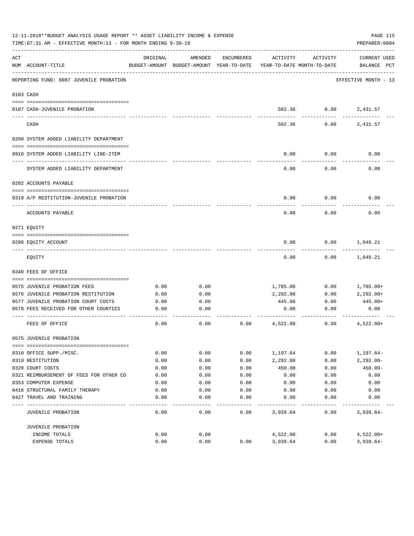|     | 12-11-2018**BUDGET ANALYSIS USAGE REPORT ** ASSET LIABILITY INCOME & EXPENSE<br>TIME: 07:31 AM - EFFECTIVE MONTH: 13 - FOR MONTH ENDING 9-30-18 |          |                                                     |            |                                        |          | PAGE 115<br>PREPARER: 0004         |
|-----|-------------------------------------------------------------------------------------------------------------------------------------------------|----------|-----------------------------------------------------|------------|----------------------------------------|----------|------------------------------------|
| ACT | NUM ACCOUNT-TITLE                                                                                                                               | ORIGINAL | AMENDED<br>BUDGET-AMOUNT BUDGET-AMOUNT YEAR-TO-DATE | ENCUMBERED | ACTIVITY<br>YEAR-TO-DATE MONTH-TO-DATE | ACTIVITY | <b>CURRENT USED</b><br>BALANCE PCT |
|     | REPORTING FUND: 0087 JUVENILE PROBATION                                                                                                         |          |                                                     |            |                                        |          | EFFECTIVE MONTH - 13               |
|     | 0103 CASH                                                                                                                                       |          |                                                     |            |                                        |          |                                    |
|     | 0187 CASH-JUVENILE PROBATION                                                                                                                    |          |                                                     |            | 582.36                                 | 0.00     | 2,431.57                           |
|     | CASH                                                                                                                                            |          |                                                     |            | 582.36                                 | 0.00     | 2,431.57                           |
|     | 0200 SYSTEM ADDED LIABILITY DEPARTMENT                                                                                                          |          |                                                     |            |                                        |          |                                    |
|     | 0910 SYSTEM ADDED LIABILITY LINE-ITEM                                                                                                           |          |                                                     |            | 0.00                                   | 0.00     | 0.00                               |
|     | SYSTEM ADDED LIABILITY DEPARTMENT                                                                                                               |          |                                                     |            | 0.00                                   | 0.00     | 0.00                               |
|     | 0202 ACCOUNTS PAYABLE                                                                                                                           |          |                                                     |            |                                        |          |                                    |
|     | 0319 A/P RESTITUTION-JUVENILE PROBATION                                                                                                         |          |                                                     |            | 0.00                                   | 0.00     | 0.00                               |
|     | ACCOUNTS PAYABLE                                                                                                                                |          |                                                     |            | 0.00                                   | 0.00     | 0.00                               |
|     | 0271 EOUITY                                                                                                                                     |          |                                                     |            |                                        |          |                                    |
|     | 0200 EQUITY ACCOUNT                                                                                                                             |          |                                                     |            | 0.00                                   | 0.00     | 1,849.21                           |
|     | EQUITY                                                                                                                                          |          |                                                     |            | 0.00                                   | 0.00     | 1,849.21                           |
|     | 0340 FEES OF OFFICE                                                                                                                             |          |                                                     |            |                                        |          |                                    |
|     | 0575 JUVENILE PROBATION FEES                                                                                                                    | 0.00     | 0.00                                                |            |                                        | 0.00     |                                    |
|     | 0576 JUVENILE PROBATION RESTITUTION                                                                                                             | 0.00     | 0.00                                                |            | 1,785.00<br>2,292.00                   | 0.00     | 1,785.00+<br>$2,292.00+$           |
|     | 0577 JUVENILE PROBATION COURT COSTS                                                                                                             | 0.00     | 0.00                                                |            | 445.00                                 | 0.00     | $445.00+$                          |
|     | 0578 FEES RECEIVED FOR OTHER COUNTIES                                                                                                           | 0.00     | 0.00                                                |            | 0.00                                   | 0.00     | 0.00                               |
|     | FEES OF OFFICE                                                                                                                                  | 0.00     | 0.00                                                | 0.00       | 4,522.00                               | 0.00     | $4,522.00+$                        |
|     | 0575 JUVENILE PROBATION                                                                                                                         |          |                                                     |            |                                        |          |                                    |
|     |                                                                                                                                                 |          |                                                     |            |                                        |          |                                    |
|     |                                                                                                                                                 |          |                                                     |            |                                        |          |                                    |
|     | 0310 OFFICE SUPP./MISC.                                                                                                                         | 0.00     | 0.00                                                | 0.00       | 1,197.64                               | 0.00     | $1, 197.64 -$                      |
|     | 0319 RESTITUTION                                                                                                                                | 0.00     | 0.00                                                | 0.00       | 2,292.00                               | 0.00     | $2,292.00-$                        |
|     | 0320 COURT COSTS<br>0321 REIMBURSEMENT OF FEES FOR OTHER CO                                                                                     | 0.00     | 0.00                                                | 0.00       | 450.00                                 | 0.00     | $450.00 -$                         |
|     |                                                                                                                                                 | 0.00     | 0.00                                                | 0.00       | 0.00                                   | 0.00     | 0.00                               |
|     | 0353 COMPUTER EXPENSE<br>0416 STRUCTURAL FAMILY THERAPY                                                                                         | 0.00     | 0.00                                                | 0.00       | 0.00                                   | 0.00     | 0.00                               |
|     |                                                                                                                                                 | 0.00     | 0.00                                                | 0.00       | 0.00                                   | 0.00     | 0.00                               |
|     | 0427 TRAVEL AND TRAINING                                                                                                                        | 0.00     | 0.00                                                | 0.00       | 0.00                                   | 0.00     | 0.00                               |
|     | JUVENILE PROBATION                                                                                                                              | 0.00     | 0.00                                                | 0.00       | 3,939.64                               | 0.00     | $3,939.64-$                        |
|     | JUVENILE PROBATION                                                                                                                              |          |                                                     |            |                                        |          |                                    |
|     | INCOME TOTALS                                                                                                                                   | 0.00     | 0.00                                                |            | 4,522.00                               | 0.00     | $4,522.00+$                        |
|     | EXPENSE TOTALS                                                                                                                                  | 0.00     | 0.00                                                | 0.00       | 3,939.64                               | 0.00     | $3,939.64-$                        |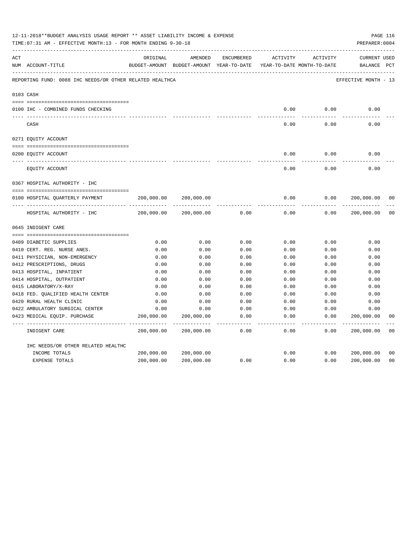|     | 12-11-2018**BUDGET ANALYSIS USAGE REPORT ** ASSET LIABILITY INCOME & EXPENSE<br>TIME: 07:31 AM - EFFECTIVE MONTH: 13 - FOR MONTH ENDING 9-30-18 |            |                                                                                |               |                     |                     | PREPARER: 0004                     | PAGE 116       |
|-----|-------------------------------------------------------------------------------------------------------------------------------------------------|------------|--------------------------------------------------------------------------------|---------------|---------------------|---------------------|------------------------------------|----------------|
| ACT | NUM ACCOUNT-TITLE                                                                                                                               | ORIGINAL   | AMENDED<br>BUDGET-AMOUNT BUDGET-AMOUNT YEAR-TO-DATE YEAR-TO-DATE MONTH-TO-DATE | ENCUMBERED    | ACTIVITY            | ACTIVITY            | <b>CURRENT USED</b><br>BALANCE PCT |                |
|     | REPORTING FUND: 0088 IHC NEEDS/OR OTHER RELATED HEALTHCA                                                                                        |            |                                                                                |               |                     |                     | EFFECTIVE MONTH - 13               |                |
|     | 0103 CASH                                                                                                                                       |            |                                                                                |               |                     |                     |                                    |                |
|     | 0100 IHC - COMBINED FUNDS CHECKING                                                                                                              |            |                                                                                |               | 0.00                | 0.00                | 0.00                               |                |
|     | CASH                                                                                                                                            |            |                                                                                |               | -----<br>0.00       | --------<br>0.00    | 0.00                               |                |
|     | 0271 EQUITY ACCOUNT                                                                                                                             |            |                                                                                |               |                     |                     |                                    |                |
|     | 0200 EQUITY ACCOUNT                                                                                                                             |            |                                                                                |               | 0.00                | 0.00                | 0.00                               |                |
|     | EQUITY ACCOUNT                                                                                                                                  |            |                                                                                |               | 0.00                | 0.00                | 0.00                               |                |
|     | 0367 HOSPITAL AUTHORITY - IHC                                                                                                                   |            |                                                                                |               |                     |                     |                                    |                |
|     |                                                                                                                                                 |            |                                                                                |               |                     |                     |                                    |                |
|     | 0100 HOSPITAL QUARTERLY PAYMENT                                                                                                                 | 200,000.00 | 200,000.00                                                                     |               | 0.00                | 0.00                | 200,000.00                         | 0 <sub>0</sub> |
|     |                                                                                                                                                 |            |                                                                                |               | $- - - - -$         |                     |                                    |                |
|     | HOSPITAL AUTHORITY - IHC                                                                                                                        | 200,000.00 | 200,000.00                                                                     | 0.00          | 0.00                | 0.00                | 200,000.00                         | 0 <sub>0</sub> |
|     | 0645 INDIGENT CARE                                                                                                                              |            |                                                                                |               |                     |                     |                                    |                |
|     |                                                                                                                                                 |            |                                                                                |               |                     |                     |                                    |                |
|     | 0409 DIABETIC SUPPLIES                                                                                                                          | 0.00       | 0.00                                                                           | 0.00          | 0.00                | 0.00                | 0.00                               |                |
|     | 0410 CERT. REG. NURSE ANES.                                                                                                                     | 0.00       | 0.00                                                                           | 0.00          | 0.00                | 0.00                | 0.00                               |                |
|     | 0411 PHYSICIAN, NON-EMERGENCY                                                                                                                   | 0.00       | 0.00                                                                           | 0.00          | 0.00                | 0.00                | 0.00                               |                |
|     | 0412 PRESCRIPTIONS, DRUGS                                                                                                                       | 0.00       | 0.00                                                                           | 0.00          | 0.00                | 0.00                | 0.00                               |                |
|     | 0413 HOSPITAL, INPATIENT                                                                                                                        | 0.00       | 0.00                                                                           | 0.00          | 0.00                | 0.00                | 0.00                               |                |
|     | 0414 HOSPITAL, OUTPATIENT                                                                                                                       | 0.00       | 0.00                                                                           | 0.00          | 0.00                | 0.00                | 0.00                               |                |
|     | 0415 LABORATORY/X-RAY                                                                                                                           | 0.00       | 0.00                                                                           | 0.00          | 0.00                | 0.00                | 0.00                               |                |
|     | 0418 FED. QUALIFIED HEALTH CENTER                                                                                                               | 0.00       | 0.00                                                                           | 0.00          | 0.00                | 0.00                | 0.00                               |                |
|     | 0420 RURAL HEALTH CLINIC                                                                                                                        | 0.00       | 0.00                                                                           | 0.00          | 0.00                | 0.00                | 0.00                               |                |
|     | 0422 AMBULATORY SURGICAL CENTER                                                                                                                 | 0.00       | 0.00                                                                           | 0.00          | 0.00                | 0.00                | 0.00                               |                |
|     | 0423 MEDICAL EQUIP. PURCHASE                                                                                                                    | 200,000.00 | 200,000.00<br>---------- --------------                                        | 0.00<br>----- | 0.00<br>$- - - - -$ | 0.00<br>$- - - - -$ | 200,000.00<br>-----------          | 0 <sub>0</sub> |
|     | INDIGENT CARE                                                                                                                                   | 200,000.00 | 200,000.00                                                                     | 0.00          | 0.00                | 0.00                | 200,000.00                         | 0 <sub>0</sub> |
|     | IHC NEEDS/OR OTHER RELATED HEALTHC                                                                                                              |            |                                                                                |               |                     |                     |                                    |                |
|     | INCOME TOTALS                                                                                                                                   | 200,000.00 | 200,000.00                                                                     |               | 0.00                | 0.00                | 200,000.00                         | 0 <sub>0</sub> |
|     | EXPENSE TOTALS                                                                                                                                  | 200,000.00 | 200,000.00                                                                     | 0.00          | 0.00                | 0.00                | 200,000.00                         | 0 <sub>0</sub> |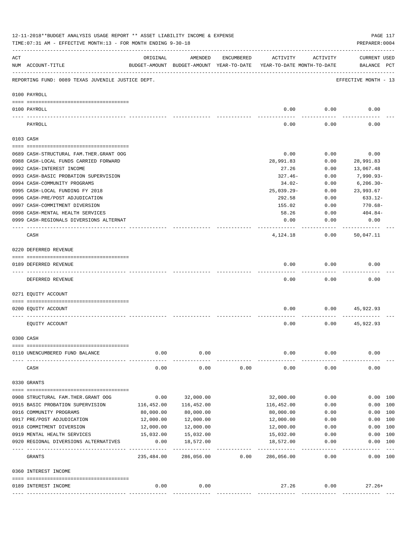|                | 12-11-2018**BUDGET ANALYSIS USAGE REPORT ** ASSET LIABILITY INCOME & EXPENSE<br>TIME: 07:31 AM - EFFECTIVE MONTH: 13 - FOR MONTH ENDING 9-30-18 |                                  |                                                     |            |                                        |                   | PAGE 117<br>PREPARER: 0004         |         |
|----------------|-------------------------------------------------------------------------------------------------------------------------------------------------|----------------------------------|-----------------------------------------------------|------------|----------------------------------------|-------------------|------------------------------------|---------|
| $\mathtt{ACT}$ | NUM ACCOUNT-TITLE                                                                                                                               | ORIGINAL                         | AMENDED<br>BUDGET-AMOUNT BUDGET-AMOUNT YEAR-TO-DATE | ENCUMBERED | ACTIVITY<br>YEAR-TO-DATE MONTH-TO-DATE | ACTIVITY          | <b>CURRENT USED</b><br>BALANCE PCT |         |
|                | REPORTING FUND: 0089 TEXAS JUVENILE JUSTICE DEPT.                                                                                               |                                  |                                                     |            |                                        |                   | EFFECTIVE MONTH - 13               |         |
|                | 0100 PAYROLL                                                                                                                                    |                                  |                                                     |            |                                        |                   |                                    |         |
|                | 0100 PAYROLL                                                                                                                                    |                                  |                                                     |            | 0.00                                   | 0.00              | 0.00                               |         |
|                | PAYROLL                                                                                                                                         |                                  |                                                     |            | 0.00                                   | 0.00              | 0.00                               |         |
|                | 0103 CASH                                                                                                                                       |                                  |                                                     |            |                                        |                   |                                    |         |
|                | 0689 CASH-STRUCTURAL FAM.THER.GRANT OOG                                                                                                         |                                  |                                                     |            | 0.00                                   | 0.00              | 0.00                               |         |
|                | 0988 CASH-LOCAL FUNDS CARRIED FORWARD                                                                                                           |                                  |                                                     |            | 28,991.83                              | 0.00              | 28,991.83                          |         |
|                | 0992 CASH-INTEREST INCOME                                                                                                                       |                                  |                                                     |            | 27.26                                  | 0.00              | 13,067.48                          |         |
|                | 0993 CASH-BASIC PROBATION SUPERVISION                                                                                                           |                                  |                                                     |            | $327.46-$                              | 0.00              | 7,990.93-                          |         |
|                | 0994 CASH-COMMUNITY PROGRAMS                                                                                                                    |                                  |                                                     |            | 34.02-                                 | 0.00              | $6, 206.30 -$                      |         |
|                | 0995 CASH-LOCAL FUNDING FY 2018                                                                                                                 |                                  |                                                     |            | $25,039.29 -$                          | 0.00              | 23,993.67                          |         |
|                | 0996 CASH-PRE/POST ADJUDICATION                                                                                                                 |                                  |                                                     |            | 292.58                                 | 0.00              | 633.12-                            |         |
|                | 0997 CASH-COMMITMENT DIVERSION                                                                                                                  |                                  |                                                     |            | 155.02                                 | 0.00              | $770.68 -$                         |         |
|                | 0998 CASH-MENTAL HEALTH SERVICES                                                                                                                |                                  |                                                     |            | 58.26                                  | 0.00              | 404.84-                            |         |
|                | 0999 CASH-REGIONALS DIVERSIONS ALTERNAT                                                                                                         |                                  |                                                     |            | 0.00                                   | 0.00              | 0.00                               |         |
|                | CASH                                                                                                                                            |                                  |                                                     |            | 4,124.18                               | 0.00              | 50,047.11                          |         |
|                | 0220 DEFERRED REVENUE                                                                                                                           |                                  |                                                     |            |                                        |                   |                                    |         |
|                | 0189 DEFERRED REVENUE                                                                                                                           |                                  |                                                     |            | 0.00                                   | 0.00              | 0.00                               |         |
|                | DEFERRED REVENUE                                                                                                                                |                                  |                                                     |            | 0.00                                   | 0.00              | 0.00                               |         |
|                | 0271 EQUITY ACCOUNT                                                                                                                             |                                  |                                                     |            |                                        |                   |                                    |         |
|                | 0200 EQUITY ACCOUNT                                                                                                                             |                                  |                                                     |            | 0.00                                   | 0.00              | 45,922.93                          |         |
|                | EQUITY ACCOUNT                                                                                                                                  |                                  |                                                     |            | 0.00                                   | 0.00              | 45,922.93                          |         |
|                | 0300 CASH                                                                                                                                       |                                  |                                                     |            |                                        |                   |                                    |         |
|                | 0110 UNENCUMBERED FUND BALANCE                                                                                                                  | 0.00                             | 0.00                                                |            | 0.00                                   | 0.00              | 0.00                               |         |
|                |                                                                                                                                                 |                                  |                                                     |            |                                        |                   |                                    |         |
|                | CASH                                                                                                                                            | 0.00                             | 0.00                                                | 0.00       | 0.00                                   | 0.00              | 0.00                               |         |
|                | 0330 GRANTS                                                                                                                                     |                                  |                                                     |            |                                        |                   |                                    |         |
|                | 0908 STRUCTURAL FAM. THER. GRANT OOG                                                                                                            | 0.00                             | 32,000.00                                           |            | 32,000.00                              | 0.00              | 0.00 100                           |         |
|                | 0915 BASIC PROBATION SUPERVISION                                                                                                                | 116,452.00                       | 116,452.00                                          |            | 116,452.00                             | 0.00              | 0.00 100                           |         |
|                | 0916 COMMUNITY PROGRAMS                                                                                                                         | 80,000.00                        | 80,000.00                                           |            | 80,000.00                              | 0.00              | 0.00 100                           |         |
|                | 0917 PRE/POST ADJUDICATION                                                                                                                      | 12,000.00                        | 12,000.00                                           |            | 12,000.00                              | 0.00              | 0.00 100                           |         |
|                | 0918 COMMITMENT DIVERSION                                                                                                                       | 12,000.00                        | 12,000.00                                           |            | 12,000.00                              | 0.00              | 0.00 100                           |         |
|                | 0919 MENTAL HEALTH SERVICES                                                                                                                     | 15,032.00                        | 15,032.00                                           |            | 15,032.00                              | 0.00              | 0.00                               | 100     |
|                | 0920 REGIONAL DIVERSIONS ALTERNATIVES                                                                                                           | 0.00                             | 18,572.00                                           |            | 18,572.00                              | 0.00              | 0.00 100                           |         |
|                | GRANTS                                                                                                                                          | --- --------------<br>235,484.00 | -------------<br>286,056.00                         | 0.00       | .<br>286,056.00                        | ---------<br>0.00 | 0.00 100                           | $- - -$ |
|                | 0360 INTEREST INCOME                                                                                                                            |                                  |                                                     |            |                                        |                   |                                    |         |
|                |                                                                                                                                                 |                                  |                                                     |            |                                        |                   |                                    |         |
|                | 0189 INTEREST INCOME                                                                                                                            | 0.00                             | 0.00                                                |            | 27.26                                  | 0.00              | $27.26+$                           |         |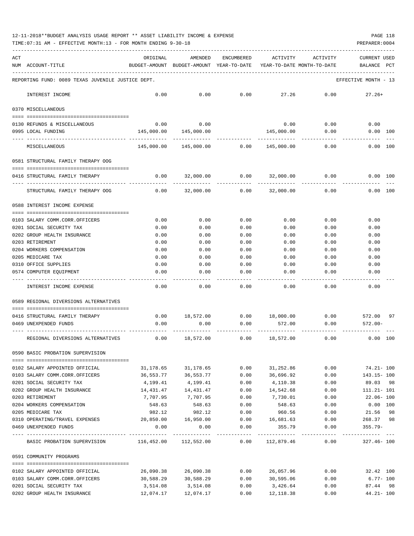## 12-11-2018\*\*BUDGET ANALYSIS USAGE REPORT \*\* ASSET LIABILITY INCOME & EXPENSE PAGE 118

TIME:07:31 AM - EFFECTIVE MONTH:13 - FOR MONTH ENDING 9-30-18 PREPARER:0004

| ACT |                                                                        | ORIGINAL   | AMENDED                                           | ENCUMBERED | ACTIVITY                              | ACTIVITY | <b>CURRENT USED</b>            |    |
|-----|------------------------------------------------------------------------|------------|---------------------------------------------------|------------|---------------------------------------|----------|--------------------------------|----|
|     | NUM ACCOUNT-TITLE                                                      |            | BUDGET-AMOUNT BUDGET-AMOUNT YEAR-TO-DATE          |            | YEAR-TO-DATE MONTH-TO-DATE            |          | BALANCE PCT                    |    |
|     | REPORTING FUND: 0089 TEXAS JUVENILE JUSTICE DEPT.                      |            |                                                   |            |                                       |          | EFFECTIVE MONTH - 13           |    |
|     | INTEREST INCOME                                                        | 0.00       | 0.00                                              | 0.00       | 27.26                                 | 0.00     | $27.26+$                       |    |
|     | 0370 MISCELLANEOUS                                                     |            |                                                   |            |                                       |          |                                |    |
|     | 0130 REFUNDS & MISCELLANEOUS                                           | 0.00       | 0.00                                              |            | 0.00                                  | 0.00     | 0.00                           |    |
|     | 0995 LOCAL FUNDING                                                     | 145,000.00 | 145,000.00                                        |            | 145,000.00                            | 0.00     | 0.00 100                       |    |
|     | MISCELLANEOUS                                                          |            | 145,000.00  145,000.00  0.00                      |            | 145,000.00                            | 0.00     | 0.00 100                       |    |
|     | 0581 STRUCTURAL FAMILY THERAPY OOG                                     |            |                                                   |            |                                       |          |                                |    |
|     | 0416 STRUCTURAL FAMILY THERAPY                                         | 0.00       | 32,000.00                                         | 0.00       | 32,000.00                             | 0.00     | 0.00 100                       |    |
|     | STRUCTURAL FAMILY THERAPY OOG                                          | 0.00       | 32,000.00                                         | 0.00       | 32,000.00                             | 0.00     | 0.00 100                       |    |
|     | 0588 INTEREST INCOME EXPENSE                                           |            |                                                   |            |                                       |          |                                |    |
|     | 0103 SALARY COMM.CORR.OFFICERS                                         | 0.00       | 0.00                                              | 0.00       | 0.00                                  | 0.00     | 0.00                           |    |
|     | 0201 SOCIAL SECURITY TAX                                               | 0.00       | 0.00                                              | 0.00       | 0.00                                  | 0.00     | 0.00                           |    |
|     | 0202 GROUP HEALTH INSURANCE                                            | 0.00       | 0.00                                              | 0.00       | 0.00                                  | 0.00     | 0.00                           |    |
|     | 0203 RETIREMENT                                                        | 0.00       | 0.00                                              | 0.00       | 0.00                                  | 0.00     | 0.00                           |    |
|     | 0204 WORKERS COMPENSATION                                              | 0.00       | 0.00                                              | 0.00       | 0.00                                  | 0.00     | 0.00                           |    |
|     | 0205 MEDICARE TAX                                                      | 0.00       | 0.00                                              | 0.00       | 0.00                                  | 0.00     | 0.00                           |    |
|     | 0310 OFFICE SUPPLIES                                                   | 0.00       | 0.00                                              | 0.00       | 0.00                                  | 0.00     | 0.00                           |    |
|     | 0574 COMPUTER EQUIPMENT                                                | 0.00       | 0.00                                              | 0.00       | 0.00                                  | 0.00     | 0.00                           |    |
|     | INTEREST INCOME EXPENSE                                                | 0.00       | 0.00                                              | 0.00       | 0.00                                  | 0.00     | 0.00                           |    |
|     | 0589 REGIONAL DIVERSIONS ALTERNATIVES                                  |            |                                                   |            |                                       |          |                                |    |
|     | 0416 STRUCTURAL FAMILY THERAPY                                         | 0.00       |                                                   |            | $18,572.00$ $0.00$ $18,000.00$ $0.00$ |          | 572.00                         | 97 |
|     | 0469 UNEXPENDED FUNDS                                                  | 0.00       | 0.00                                              | 0.00       | 572.00                                | 0.00     | $572.00 -$                     |    |
|     | REGIONAL DIVERSIONS ALTERNATIVES                                       | 0.00       | 18,572.00                                         | 0.00       | 18,572.00                             | 0.00     | 0.00 100                       |    |
|     | 0590 BASIC PROBATION SUPERVISION                                       |            |                                                   |            |                                       |          |                                |    |
|     | 0102 SALARY APPOINTED OFFICIAL                                         |            | 31,178.65 31,178.65                               | 0.00       | 31,252.86                             | 0.00     | 74.21- 100                     |    |
|     | 0103 SALARY COMM.CORR.OFFICERS                                         | 36,553.77  | 36,553.77                                         | 0.00       | 36,696.92                             | 0.00     | 143.15- 100                    |    |
|     | 0201 SOCIAL SECURITY TAX                                               | 4,199.41   | 4,199.41                                          | 0.00       | 4,110.38                              | 0.00     | 89.03 98                       |    |
|     | 0202 GROUP HEALTH INSURANCE 14,431.47 14,431.47                        |            |                                                   |            | $0.00$ 14,542.68                      | 0.00     | 111.21- 101                    |    |
|     | 0203 RETIREMENT                                                        | 7,707.95   | 7,707.95                                          | 0.00       | 7,730.01                              | 0.00     | 22.06- 100                     |    |
|     | 0204 WORKERS COMPENSATION                                              | 548.63     | 548.63                                            | 0.00       | 548.63                                | 0.00     | $0.00$ 100                     |    |
|     | 0205 MEDICARE TAX                                                      | 982.12     | 982.12                                            | 0.00       | 960.56                                | 0.00     | 21.56 98                       |    |
|     | 0310 OPERATING/TRAVEL EXPENSES                                         |            | 20,850.00   16,950.00                             |            | $0.00$ 16,681.63                      | 0.00     | 268.37 98                      |    |
|     | 0469 UNEXPENDED FUNDS                                                  | 0.00       | 0.00                                              | 0.00       | 355.79                                | 0.00     | $355.79 -$<br>------------ --- |    |
|     | BASIC PROBATION SUPERVISION 116,452.00 112,552.00 0.00 112,879.46 0.00 |            |                                                   |            |                                       |          | 327.46- 100                    |    |
|     | 0591 COMMUNITY PROGRAMS                                                |            |                                                   |            |                                       |          |                                |    |
|     | 0102 SALARY APPOINTED OFFICIAL                                         |            |                                                   |            |                                       |          |                                |    |
|     | 0103 SALARY COMM.CORR.OFFICERS                                         |            | $30,588.29$ $30,588.29$ $0.00$ $30,595.06$ $0.00$ |            |                                       |          | $6.77 - 100$                   |    |
|     | 0201 SOCIAL SECURITY TAX                                               | 3,514.08   | 3,514.08                                          | 0.00       | 3,426.64                              | 0.00     | 87.44 98                       |    |

0202 GROUP HEALTH INSURANCE 12,074.17 12,074.17 0.00 12,118.38 0.00 44.21- 100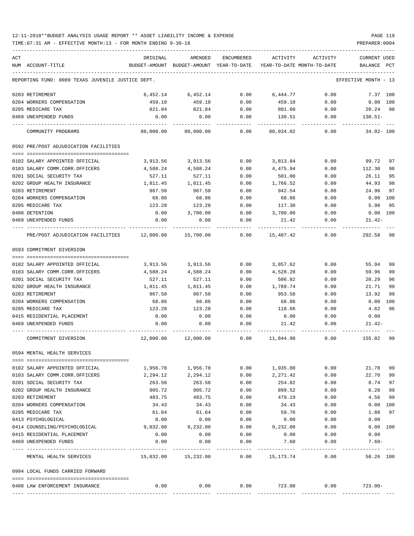## 12-11-2018\*\*BUDGET ANALYSIS USAGE REPORT \*\* ASSET LIABILITY INCOME & EXPENSE PAGE 119

TIME:07:31 AM - EFFECTIVE MONTH:13 - FOR MONTH ENDING 9-30-18 PREPARER:0004

| ACT |                                                   | ORIGINAL  | AMENDED                                    | ENCUMBERED | ACTIVITY                   | ACTIVITY                                 | CURRENT USED         |
|-----|---------------------------------------------------|-----------|--------------------------------------------|------------|----------------------------|------------------------------------------|----------------------|
|     | NUM ACCOUNT-TITLE                                 |           | BUDGET-AMOUNT BUDGET-AMOUNT YEAR-TO-DATE   |            | YEAR-TO-DATE MONTH-TO-DATE |                                          | PCT<br>BALANCE       |
|     | REPORTING FUND: 0089 TEXAS JUVENILE JUSTICE DEPT. |           |                                            |            |                            |                                          | EFFECTIVE MONTH - 13 |
|     | 0203 RETIREMENT                                   | 6,452.14  | 6,452.14                                   | 0.00       | 6,444.77                   | 0.00                                     | 7.37 100             |
|     | 0204 WORKERS COMPENSATION                         | 459.10    | 459.10                                     | 0.00       | 459.10                     | 0.00                                     | $0.00$ $100$         |
|     | 0205 MEDICARE TAX                                 | 821.84    | 821.84                                     | 0.00       | 801.60                     | 0.00                                     | 20.24 98             |
|     | 0469 UNEXPENDED FUNDS                             | 0.00      | 0.00                                       | 0.00       | 130.51                     | 0.00                                     | $130.51-$            |
|     | COMMUNITY PROGRAMS                                | 80,000.00 | 80,000.00                                  | 0.00       | 80,034.02                  | 0.00                                     | $34.02 - 100$        |
|     | 0592 PRE/POST ADJUDICATION FACILITIES             |           |                                            |            |                            |                                          |                      |
|     |                                                   |           |                                            |            |                            |                                          |                      |
|     | 0102 SALARY APPOINTED OFFICIAL                    | 3,913.56  | 3,913.56                                   | 0.00       | 3,813.84                   | 0.00                                     | 99.72<br>97          |
|     | 0103 SALARY COMM.CORR.OFFICERS                    | 4,588.24  | 4,588.24                                   | 0.00       | 4,475.94                   | 0.00                                     | 112.30<br>98         |
|     | 0201 SOCIAL SECURITY TAX                          | 527.11    | 527.11                                     | 0.00       | 501.00                     | 0.00                                     | 95<br>26.11          |
|     | 0202 GROUP HEALTH INSURANCE                       | 1,811.45  | 1,811.45                                   | 0.00       | 1,766.52                   | 0.00                                     | 44.93<br>98          |
|     | 0203 RETIREMENT                                   | 967.50    | 967.50                                     | 0.00       | 942.54                     | 0.00                                     | 24.96<br>97          |
|     | 0204 WORKERS COMPENSATION                         | 68.86     | 68.86                                      | 0.00       | 68.86                      | 0.00                                     | 0.00<br>100          |
|     | 0205 MEDICARE TAX                                 | 123.28    | 123.28                                     | 0.00       | 117.30                     | 0.00                                     | 5.98<br>95           |
|     | 0408 DETENTION                                    | 0.00      | 3,700.00                                   | 0.00       | 3,700.00                   | 0.00                                     | $0.00$ 100           |
|     | 0469 UNEXPENDED FUNDS                             | 0.00      | 0.00                                       | 0.00       | 21.42                      | 0.00                                     | $21.42-$             |
|     | PRE/POST ADJUDICATION FACILITIES                  | 12,000.00 | 15,700.00                                  | 0.00       | 15,407.42                  | 0.00                                     | 292.58 98            |
|     | 0593 COMMITMENT DIVERSION                         |           |                                            |            |                            |                                          |                      |
|     |                                                   |           |                                            |            |                            |                                          |                      |
|     | 0102 SALARY APPOINTED OFFICIAL                    | 3,913.56  | 3,913.56                                   | 0.00       | 3,857.62                   | 0.00                                     | 55.94<br>99          |
|     | 0103 SALARY COMM.CORR.OFFICERS                    | 4,588.24  | 4,588.24                                   | 0.00       | 4,528.28                   | 0.00                                     | 59.96<br>99          |
|     | 0201 SOCIAL SECURITY TAX                          | 527.11    | 527.11                                     | 0.00       | 506.82                     | 0.00                                     | 20.29<br>96          |
|     | 0202 GROUP HEALTH INSURANCE                       | 1,811.45  | 1,811.45                                   | 0.00       | 1,789.74                   | 0.00                                     | 99<br>21.71          |
|     | 0203 RETIREMENT                                   | 967.50    | 967.50                                     | 0.00       | 953.58                     | 0.00                                     | 13.92<br>99          |
|     | 0204 WORKERS COMPENSATION                         | 68.86     | 68.86                                      | 0.00       | 68.86                      | 0.00                                     | 0.00<br>100          |
|     | 0205 MEDICARE TAX                                 | 123.28    | 123.28                                     | 0.00       | 118.66                     | 0.00                                     | 96<br>4.62           |
|     | 0415 RESIDENTIAL PLACEMENT                        | 0.00      | 0.00                                       | 0.00       | 0.00                       | 0.00                                     | 0.00                 |
|     | 0469 UNEXPENDED FUNDS                             | 0.00      | 0.00                                       | 0.00       | 21.42                      | 0.00                                     | $21.42-$             |
|     |                                                   |           |                                            |            |                            |                                          |                      |
|     | COMMITMENT DIVERSION                              | 12,000.00 | 12,000.00                                  | 0.00       | 11,844.98                  | 0.00                                     | 155.02<br>-99        |
|     | 0594 MENTAL HEALTH SERVICES                       |           |                                            |            |                            |                                          |                      |
|     | 0102 SALARY APPOINTED OFFICIAL                    | 1,956.78  | 1,956.78                                   | 0.00       | 1,935.00                   | 0.00                                     | 21.78 99             |
|     | 0103 SALARY COMM.CORR.OFFICERS                    | 2,294.12  | 2,294.12                                   | 0.00       | 2,271.42                   | 0.00                                     | 22.70<br>99          |
|     | 0201 SOCIAL SECURITY TAX                          | 263.56    | 263.56                                     | 0.00       | 254.82                     | 0.00                                     | 8.74<br>97           |
|     | 0202 GROUP HEALTH INSURANCE                       | 905.72    | 905.72                                     | 0.00       | 899.52                     | 0.00                                     | 99<br>6.20           |
|     | 0203 RETIREMENT                                   | 483.75    | 483.75                                     | 0.00       | 479.19                     | 0.00                                     | 4.56<br>99           |
|     | 0204 WORKERS COMPENSATION                         | 34.43     | 34.43                                      | 0.00       | 34.43                      | 0.00                                     | 0.00 100             |
|     | 0205 MEDICARE TAX                                 | 61.64     | 61.64                                      | 0.00       | 59.76                      | 0.00                                     | 97<br>1.88           |
|     | 0413 PSYCHOLOGICAL                                | 0.00      | 0.00                                       | 0.00       | 0.00                       | 0.00                                     | 0.00                 |
|     | 0414 COUNSELING/PSYCHOLOGICAL                     | 9,032.00  | 9,232.00                                   | 0.00       | 9,232.00                   | 0.00                                     | 0.00 100             |
|     | 0415 RESIDENTIAL PLACEMENT                        | 0.00      | 0.00                                       | 0.00       | 0.00                       | 0.00                                     | 0.00                 |
|     | 0469 UNEXPENDED FUNDS                             | 0.00      | 0.00                                       | 0.00       | 7.60                       | 0.00                                     | $7.60 -$             |
|     |                                                   |           |                                            |            |                            |                                          |                      |
|     | MENTAL HEALTH SERVICES                            |           | $15,032.00$ $15,232.00$ $0.00$ $15,173.74$ |            |                            | 0.00                                     | 58.26 100            |
|     | 0994 LOCAL FUNDS CARRIED FORWARD                  |           |                                            |            |                            |                                          |                      |
|     |                                                   |           |                                            |            |                            |                                          |                      |
|     | 0488 LAW ENFORCEMENT INSURANCE                    | 0.00      | 0.00                                       |            |                            | $0.00$ $723.00$ $0.00$ $723.00$ $123.00$ |                      |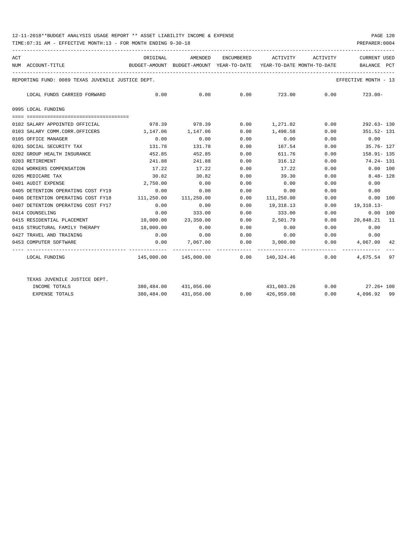## 12-11-2018\*\*BUDGET ANALYSIS USAGE REPORT \*\* ASSET LIABILITY INCOME & EXPENSE PAGE 120

TIME:07:31 AM - EFFECTIVE MONTH:13 - FOR MONTH ENDING 9-30-18 PREPARER:0004

| ACT |                                                   | ORIGINAL                                                      | AMENDED               |      | ENCUMBERED ACTIVITY ACTIVITY                     |             | <b>CURRENT USED</b>                                                             |
|-----|---------------------------------------------------|---------------------------------------------------------------|-----------------------|------|--------------------------------------------------|-------------|---------------------------------------------------------------------------------|
|     | NUM ACCOUNT-TITLE                                 |                                                               |                       |      |                                                  |             | BUDGET-AMOUNT BUDGET-AMOUNT YEAR-TO-DATE YEAR-TO-DATE MONTH-TO-DATE BALANCE PCT |
|     | REPORTING FUND: 0089 TEXAS JUVENILE JUSTICE DEPT. |                                                               |                       |      |                                                  |             | EFFECTIVE MONTH - 13                                                            |
|     | LOCAL FUNDS CARRIED FORWARD                       | $0.00$ $0.00$ $0.00$ $0.00$ $723.00$ $0.00$ $723.00$ $723.00$ |                       |      |                                                  |             |                                                                                 |
|     | 0995 LOCAL FUNDING                                |                                                               |                       |      |                                                  |             |                                                                                 |
|     |                                                   |                                                               |                       |      |                                                  |             |                                                                                 |
|     | 0102 SALARY APPOINTED OFFICIAL                    |                                                               |                       |      | $978.39$ $978.39$ 0.00 $1,271.02$ 0.00           |             | 292.63- 130                                                                     |
|     | 0103 SALARY COMM.CORR.OFFICERS                    | 1, 147, 06 1, 147, 06                                         |                       | 0.00 | 1,498.58 0.00                                    |             | 351.52-131                                                                      |
|     | 0105 OFFICE MANAGER                               | 0.00                                                          | 0.00                  | 0.00 | 0.00                                             | 0.00        | 0.00                                                                            |
|     | 0201 SOCIAL SECURITY TAX                          | 131.78                                                        | 131.78                | 0.00 | 167.54                                           | 0.00        | 35.76- 127                                                                      |
|     | 0202 GROUP HEALTH INSURANCE                       | 452.85                                                        | 452.85                | 0.00 | 611.76                                           | 0.00        | $158.91 - 135$                                                                  |
|     | 0203 RETIREMENT                                   | 241.88                                                        | 241.88                | 0.00 | 316.12                                           | 0.00        | 74.24- 131                                                                      |
|     | 0204 WORKERS COMPENSATION                         |                                                               | 17.22 17.22           | 0.00 | 17.22                                            | 0.00        | $0.00$ 100                                                                      |
|     | 0205 MEDICARE TAX                                 | 30.82                                                         | 30.82                 | 0.00 | 39.30                                            | 0.00        | $8.48 - 128$                                                                    |
|     | 0401 AUDIT EXPENSE                                | 2,750.00                                                      | 0.00                  | 0.00 | 0.00                                             | 0.00        | 0.00                                                                            |
|     | 0405 DETENTION OPERATING COST FY19                | 0.00                                                          | 0.00                  | 0.00 | 0.00                                             | 0.00        | 0.00                                                                            |
|     | 0406 DETENTION OPERATING COST FY18                | 111,250.00                                                    | 111,250.00            | 0.00 | 111,250.00                                       | 0.00        | 0.00 100                                                                        |
|     | 0407 DETENTION OPERATING COST FY17                | 0.00                                                          | 0.00                  |      | $0.00$ 19,318.13                                 |             | $0.00$ 19,318.13-                                                               |
|     | 0414 COUNSELING                                   |                                                               | $0.00$ 333.00         | 0.00 | 333.00                                           | 0.00        | $0.00$ 100                                                                      |
|     | 0415 RESIDENTIAL PLACEMENT                        |                                                               | 10,000.00 23,350.00   | 0.00 | 2,501.79                                         |             | $0.00$ 20,848.21 11                                                             |
|     | 0416 STRUCTURAL FAMILY THERAPY 18,000.00          |                                                               | 0.00                  | 0.00 |                                                  | $0.00$ 0.00 | 0.00                                                                            |
|     | 0427 TRAVEL AND TRAINING                          | 0.00                                                          |                       |      | $0.00$ $0.00$ $0.00$ $0.00$ $0.00$ $0.00$ $0.00$ |             |                                                                                 |
|     | 0453 COMPUTER SOFTWARE                            |                                                               |                       |      |                                                  |             | $0.00$ $7.067.00$ $0.00$ $3.000.00$ $0.00$ $4.067.00$ $42$                      |
|     | LOCAL FUNDING                                     |                                                               |                       |      |                                                  |             | $145,000.00$ $145,000.00$ 0.00 $140,324.46$ 0.00 $4,675.54$ 97                  |
|     | TEXAS JUVENILE JUSTICE DEPT.                      |                                                               |                       |      |                                                  |             |                                                                                 |
|     | INCOME TOTALS                                     |                                                               | 380,484.00 431,056.00 |      |                                                  |             | 431,083.26 0.00 27.26+100                                                       |
|     | <b>EXPENSE TOTALS</b>                             |                                                               | 380,484.00 431,056.00 |      | 0.0000426,959.08                                 | 0.00        | 4,096.92 99                                                                     |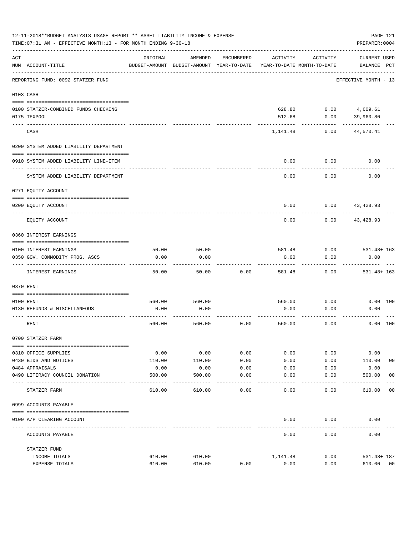|                | 12-11-2018**BUDGET ANALYSIS USAGE REPORT ** ASSET LIABILITY INCOME & EXPENSE<br>TIME: 07:31 AM - EFFECTIVE MONTH: 13 - FOR MONTH ENDING 9-30-18 |          |                                                     |            |          |                                        | PAGE 121<br>PREPARER: 0004         |
|----------------|-------------------------------------------------------------------------------------------------------------------------------------------------|----------|-----------------------------------------------------|------------|----------|----------------------------------------|------------------------------------|
| $\mathtt{ACT}$ | NUM ACCOUNT-TITLE                                                                                                                               | ORIGINAL | AMENDED<br>BUDGET-AMOUNT BUDGET-AMOUNT YEAR-TO-DATE | ENCUMBERED | ACTIVITY | ACTIVITY<br>YEAR-TO-DATE MONTH-TO-DATE | <b>CURRENT USED</b><br>BALANCE PCT |
|                | REPORTING FUND: 0092 STATZER FUND                                                                                                               |          |                                                     |            |          |                                        | EFFECTIVE MONTH - 13               |
|                | 0103 CASH                                                                                                                                       |          |                                                     |            |          |                                        |                                    |
|                | 0100 STATZER-COMBINED FUNDS CHECKING                                                                                                            |          |                                                     |            |          | 628.80   0.00   4,609.61               |                                    |
|                | 0175 TEXPOOL                                                                                                                                    |          |                                                     |            | 512.68   | 0.00                                   | 39,960.80                          |
|                | CASH                                                                                                                                            |          |                                                     |            | 1,141.48 | 0.00                                   | 44,570.41                          |
|                | 0200 SYSTEM ADDED LIABILITY DEPARTMENT                                                                                                          |          |                                                     |            |          |                                        |                                    |
|                |                                                                                                                                                 |          |                                                     |            |          |                                        |                                    |
|                | 0910 SYSTEM ADDED LIABILITY LINE-ITEM                                                                                                           |          |                                                     |            | 0.00     | 0.00                                   | 0.00                               |
|                | SYSTEM ADDED LIABILITY DEPARTMENT                                                                                                               |          |                                                     |            | 0.00     | 0.00                                   | 0.00                               |
|                | 0271 EQUITY ACCOUNT                                                                                                                             |          |                                                     |            |          |                                        |                                    |
|                | 0200 EQUITY ACCOUNT                                                                                                                             |          |                                                     |            | 0.00     |                                        | $0.00$ 43,428.93                   |
|                | EQUITY ACCOUNT                                                                                                                                  |          |                                                     |            | 0.00     | 0.00                                   | 43,428.93                          |
|                | 0360 INTEREST EARNINGS                                                                                                                          |          |                                                     |            |          |                                        |                                    |
|                | 0100 INTEREST EARNINGS                                                                                                                          | 50.00    | 50.00                                               |            | 581.48   | 0.00                                   | $531.48 + 163$                     |
|                | 0350 GOV. COMMODITY PROG. ASCS                                                                                                                  | 0.00     | 0.00                                                |            | 0.00     | 0.00                                   | 0.00                               |
|                | INTEREST EARNINGS                                                                                                                               | 50.00    | 50.00                                               | 0.00       | 581.48   | 0.00                                   | $531.48 + 163$                     |
|                | 0370 RENT                                                                                                                                       |          |                                                     |            |          |                                        |                                    |
|                |                                                                                                                                                 |          |                                                     |            |          |                                        |                                    |
|                | 0100 RENT                                                                                                                                       | 560.00   | 560.00                                              |            | 560.00   | 0.00                                   | 0.00 100                           |
|                | 0130 REFUNDS & MISCELLANEOUS                                                                                                                    | 0.00     | 0.00                                                |            | 0.00     | 0.00                                   | 0.00                               |
|                | RENT                                                                                                                                            | 560.00   | 560.00                                              | 0.00       | 560.00   | 0.00                                   | 0.00 100                           |
|                | 0700 STATZER FARM                                                                                                                               |          |                                                     |            |          |                                        |                                    |
|                | 0310 OFFICE SUPPLIES                                                                                                                            | 0.00     | 0.00                                                | 0.00       | 0.00     | 0.00                                   | 0.00                               |
|                | 0430 BIDS AND NOTICES                                                                                                                           | 110.00   | 110.00                                              | 0.00       | 0.00     | 0.00                                   | 0 <sub>0</sub><br>110.00           |
|                | 0484 APPRAISALS                                                                                                                                 | 0.00     | 0.00                                                | 0.00       | 0.00     | 0.00                                   | 0.00                               |
|                | 0490 LITERACY COUNCIL DONATION                                                                                                                  | 500.00   | 500.00                                              | 0.00       | 0.00     | 0.00                                   | 0 <sub>0</sub><br>500.00           |
|                | STATZER FARM                                                                                                                                    | 610.00   | 610.00                                              | 0.00       | 0.00     | 0.00                                   | 0 <sub>0</sub><br>610.00           |
|                | 0999 ACCOUNTS PAYABLE                                                                                                                           |          |                                                     |            |          |                                        |                                    |
|                | 0100 A/P CLEARING ACCOUNT                                                                                                                       |          |                                                     |            | 0.00     | 0.00                                   | 0.00                               |
|                | ACCOUNTS PAYABLE                                                                                                                                |          |                                                     |            | 0.00     | 0.00                                   | 0.00                               |
|                | STATZER FUND                                                                                                                                    |          |                                                     |            |          |                                        |                                    |
|                | INCOME TOTALS                                                                                                                                   | 610.00   | 610.00                                              |            | 1,141.48 | 0.00                                   | 531.48+ 187                        |
|                | EXPENSE TOTALS                                                                                                                                  | 610.00   | 610.00                                              | 0.00       | 0.00     | 0.00                                   | 610.00<br>00                       |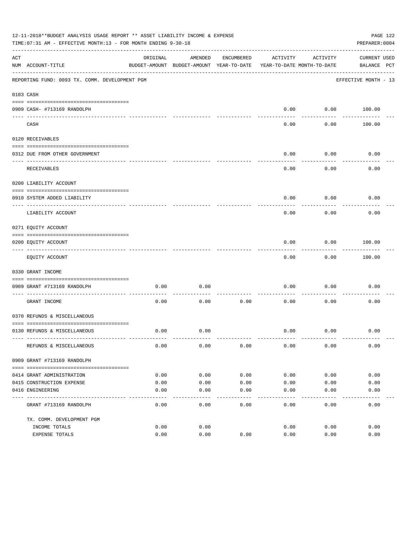|     | 12-11-2018**BUDGET ANALYSIS USAGE REPORT ** ASSET LIABILITY INCOME & EXPENSE<br>PAGE 122<br>TIME: 07:31 AM - EFFECTIVE MONTH: 13 - FOR MONTH ENDING 9-30-18<br>PREPARER: 0004 |          |                                          |            |                            |           |                      |  |  |
|-----|-------------------------------------------------------------------------------------------------------------------------------------------------------------------------------|----------|------------------------------------------|------------|----------------------------|-----------|----------------------|--|--|
| ACT |                                                                                                                                                                               | ORIGINAL | AMENDED                                  | ENCUMBERED | ACTIVITY                   | ACTIVITY  | <b>CURRENT USED</b>  |  |  |
|     | NUM ACCOUNT-TITLE                                                                                                                                                             |          | BUDGET-AMOUNT BUDGET-AMOUNT YEAR-TO-DATE |            | YEAR-TO-DATE MONTH-TO-DATE |           | BALANCE PCT          |  |  |
|     | REPORTING FUND: 0093 TX. COMM. DEVELOPMENT PGM                                                                                                                                |          |                                          |            |                            |           | EFFECTIVE MONTH - 13 |  |  |
|     | 0103 CASH                                                                                                                                                                     |          |                                          |            |                            |           |                      |  |  |
|     |                                                                                                                                                                               |          |                                          |            |                            |           |                      |  |  |
|     | 0909 CASH- #713169 RANDOLPH                                                                                                                                                   |          |                                          |            | 0.00                       | --------- | $0.00$ 100.00        |  |  |
|     | CASH                                                                                                                                                                          |          |                                          |            | 0.00                       | 0.00      | 100.00               |  |  |
|     | 0120 RECEIVABLES                                                                                                                                                              |          |                                          |            |                            |           |                      |  |  |
|     | 0312 DUE FROM OTHER GOVERNMENT                                                                                                                                                |          |                                          |            | 0.00                       | 0.00      | 0.00                 |  |  |
|     |                                                                                                                                                                               |          |                                          |            |                            | --------  |                      |  |  |
|     | RECEIVABLES                                                                                                                                                                   |          |                                          |            | 0.00                       | 0.00      | 0.00                 |  |  |
|     | 0200 LIABILITY ACCOUNT                                                                                                                                                        |          |                                          |            |                            |           |                      |  |  |
|     | 0910 SYSTEM ADDED LIABILITY                                                                                                                                                   |          |                                          |            | 0.00                       | 0.00      | 0.00                 |  |  |
|     | LIABILITY ACCOUNT                                                                                                                                                             |          |                                          |            | 0.00                       | 0.00      | 0.00                 |  |  |
|     | 0271 EQUITY ACCOUNT                                                                                                                                                           |          |                                          |            |                            |           |                      |  |  |
|     | 0200 EQUITY ACCOUNT                                                                                                                                                           |          |                                          |            | 0.00                       | 0.00      | 100.00               |  |  |
|     | EQUITY ACCOUNT                                                                                                                                                                |          |                                          |            | 0.00                       | 0.00      | 100.00               |  |  |
|     | 0330 GRANT INCOME                                                                                                                                                             |          |                                          |            |                            |           |                      |  |  |
|     |                                                                                                                                                                               |          |                                          |            |                            |           |                      |  |  |
|     | 0909 GRANT #713169 RANDOLPH<br>---------------------- -----                                                                                                                   | 0.00     | 0.00                                     |            | 0.00                       | 0.00      | 0.00                 |  |  |
|     | GRANT INCOME                                                                                                                                                                  | 0.00     | 0.00                                     | 0.00       | 0.00                       | 0.00      | 0.00                 |  |  |
|     | 0370 REFUNDS & MISCELLANEOUS                                                                                                                                                  |          |                                          |            |                            |           |                      |  |  |
|     |                                                                                                                                                                               |          |                                          |            |                            |           |                      |  |  |
|     | 0130 REFUNDS & MISCELLANEOUS                                                                                                                                                  | 0.00     | 0.00                                     |            | 0.00                       | 0.00      | 0.00                 |  |  |
|     | REFUNDS & MISCELLANEOUS                                                                                                                                                       | 0.00     | 0.00                                     | 0.00       | 0.00                       | 0.00      | 0.00                 |  |  |
|     | 0909 GRANT #713169 RANDOLPH                                                                                                                                                   |          |                                          |            |                            |           |                      |  |  |
|     |                                                                                                                                                                               |          |                                          |            |                            |           |                      |  |  |
|     | 0414 GRANT ADMINISTRATION                                                                                                                                                     | 0.00     | 0.00                                     | 0.00       | 0.00                       | 0.00      | 0.00                 |  |  |
|     | 0415 CONSTRUCTION EXPENSE                                                                                                                                                     | 0.00     | 0.00                                     | 0.00       | 0.00                       | 0.00      | 0.00                 |  |  |
|     | 0416 ENGINEERING                                                                                                                                                              | 0.00     | 0.00                                     | 0.00       | 0.00                       | 0.00      | 0.00                 |  |  |
|     | GRANT #713169 RANDOLPH                                                                                                                                                        | 0.00     | 0.00                                     | 0.00       | 0.00                       | 0.00      | 0.00                 |  |  |
|     | TX. COMM. DEVELOPMENT PGM                                                                                                                                                     |          |                                          |            |                            |           |                      |  |  |
|     | INCOME TOTALS                                                                                                                                                                 | 0.00     | 0.00                                     |            | 0.00                       | 0.00      | 0.00                 |  |  |
|     | EXPENSE TOTALS                                                                                                                                                                | 0.00     | 0.00                                     | 0.00       | 0.00                       | 0.00      | 0.00                 |  |  |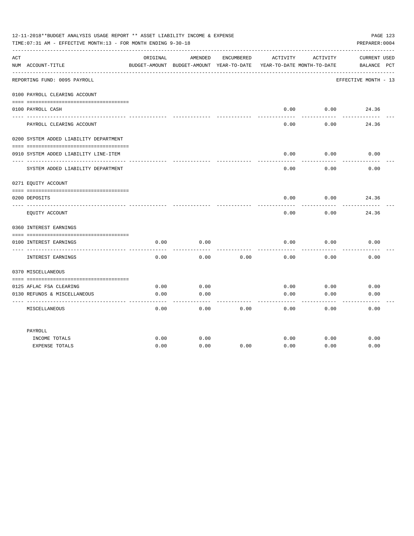| PAGE 123<br>12-11-2018**BUDGET ANALYSIS USAGE REPORT ** ASSET LIABILITY INCOME & EXPENSE<br>TIME: 07:31 AM - EFFECTIVE MONTH: 13 - FOR MONTH ENDING 9-30-18<br>PREPARER: 0004 |                                                         |              |                                                     |            |              |                                        |                                    |  |
|-------------------------------------------------------------------------------------------------------------------------------------------------------------------------------|---------------------------------------------------------|--------------|-----------------------------------------------------|------------|--------------|----------------------------------------|------------------------------------|--|
| ACT                                                                                                                                                                           | NUM ACCOUNT-TITLE                                       | ORIGINAL     | AMENDED<br>BUDGET-AMOUNT BUDGET-AMOUNT YEAR-TO-DATE | ENCUMBERED | ACTIVITY     | ACTIVITY<br>YEAR-TO-DATE MONTH-TO-DATE | <b>CURRENT USED</b><br>BALANCE PCT |  |
|                                                                                                                                                                               | REPORTING FUND: 0095 PAYROLL                            |              |                                                     |            |              |                                        | EFFECTIVE MONTH - 13               |  |
|                                                                                                                                                                               | 0100 PAYROLL CLEARING ACCOUNT                           |              |                                                     |            |              |                                        |                                    |  |
|                                                                                                                                                                               | 0100 PAYROLL CASH                                       |              |                                                     |            | 0.00         | 0.00                                   | 24.36                              |  |
|                                                                                                                                                                               |                                                         |              |                                                     |            |              |                                        |                                    |  |
|                                                                                                                                                                               | PAYROLL CLEARING ACCOUNT                                |              |                                                     |            | 0.00         | 0.00                                   | 24.36                              |  |
|                                                                                                                                                                               | 0200 SYSTEM ADDED LIABILITY DEPARTMENT                  |              |                                                     |            |              |                                        |                                    |  |
|                                                                                                                                                                               | 0910 SYSTEM ADDED LIABILITY LINE-ITEM                   |              |                                                     |            | 0.00         | 0.00                                   | 0.00                               |  |
|                                                                                                                                                                               | SYSTEM ADDED LIABILITY DEPARTMENT                       |              |                                                     |            | 0.00         | 0.00                                   | 0.00                               |  |
|                                                                                                                                                                               | 0271 EQUITY ACCOUNT                                     |              |                                                     |            |              |                                        |                                    |  |
|                                                                                                                                                                               | 0200 DEPOSITS                                           |              |                                                     |            | 0.00         | 0.00                                   | 24.36                              |  |
|                                                                                                                                                                               | EQUITY ACCOUNT                                          |              |                                                     |            | 0.00         | 0.00                                   | 24.36                              |  |
|                                                                                                                                                                               | 0360 INTEREST EARNINGS                                  |              |                                                     |            |              |                                        |                                    |  |
|                                                                                                                                                                               |                                                         |              |                                                     |            |              |                                        |                                    |  |
|                                                                                                                                                                               | 0100 INTEREST EARNINGS                                  | 0.00         | 0.00                                                |            | 0.00         | 0.00                                   | 0.00                               |  |
|                                                                                                                                                                               | INTEREST EARNINGS                                       | 0.00         | 0.00                                                | 0.00       | 0.00         | 0.00                                   | 0.00                               |  |
|                                                                                                                                                                               | 0370 MISCELLANEOUS                                      |              |                                                     |            |              |                                        |                                    |  |
|                                                                                                                                                                               |                                                         |              |                                                     |            |              |                                        |                                    |  |
|                                                                                                                                                                               | 0125 AFLAC FSA CLEARING<br>0130 REFUNDS & MISCELLANEOUS | 0.00<br>0.00 | 0.00<br>0.00                                        |            | 0.00<br>0.00 | 0.00<br>0.00                           | 0.00<br>0.00                       |  |
|                                                                                                                                                                               |                                                         |              | ----                                                |            |              |                                        |                                    |  |
|                                                                                                                                                                               | MISCELLANEOUS                                           | 0.00         | 0.00                                                | 0.00       | 0.00         | 0.00                                   | 0.00                               |  |
|                                                                                                                                                                               | PAYROLL                                                 |              |                                                     |            |              |                                        |                                    |  |
|                                                                                                                                                                               | INCOME TOTALS                                           | 0.00         | 0.00                                                |            | 0.00         | 0.00                                   | 0.00                               |  |
|                                                                                                                                                                               | <b>EXPENSE TOTALS</b>                                   | 0.00         | 0.00                                                | 0.00       | 0.00         | 0.00                                   | 0.00                               |  |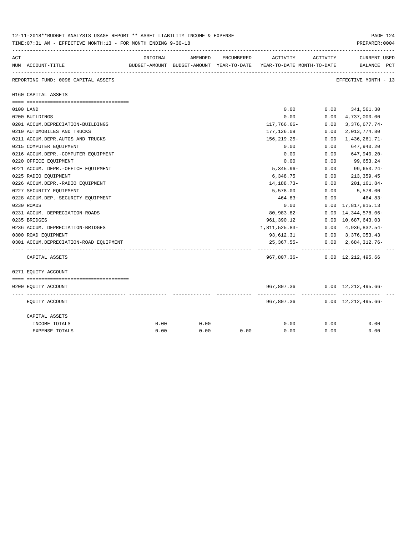|     | 12-11-2018**BUDGET ANALYSIS USAGE REPORT ** ASSET LIABILITY INCOME & EXPENSE<br>PAGE 124<br>TIME: 07:31 AM - EFFECTIVE MONTH: 13 - FOR MONTH ENDING 9-30-18<br>PREPARER: 0004 |          |         |            |                                                                                 |          |                                            |  |  |  |  |
|-----|-------------------------------------------------------------------------------------------------------------------------------------------------------------------------------|----------|---------|------------|---------------------------------------------------------------------------------|----------|--------------------------------------------|--|--|--|--|
| ACT | NUM ACCOUNT-TITLE                                                                                                                                                             | ORIGINAL | AMENDED | ENCUMBERED | ACTIVITY<br>BUDGET-AMOUNT BUDGET-AMOUNT YEAR-TO-DATE YEAR-TO-DATE MONTH-TO-DATE | ACTIVITY | <b>CURRENT USED</b><br>BALANCE PCT         |  |  |  |  |
|     | REPORTING FUND: 0098 CAPITAL ASSETS                                                                                                                                           |          |         |            |                                                                                 |          | EFFECTIVE MONTH - 13                       |  |  |  |  |
|     | 0160 CAPITAL ASSETS                                                                                                                                                           |          |         |            |                                                                                 |          |                                            |  |  |  |  |
|     |                                                                                                                                                                               |          |         |            |                                                                                 |          |                                            |  |  |  |  |
|     | 0100 LAND                                                                                                                                                                     |          |         |            | 0.00                                                                            |          | $0.00$ $341,561.30$                        |  |  |  |  |
|     | 0200 BUILDINGS                                                                                                                                                                |          |         |            | 0.00                                                                            | 0.00     | 4,737,000.00                               |  |  |  |  |
|     | 0201 ACCUM.DEPRECIATION-BUILDINGS                                                                                                                                             |          |         |            | 117,766.66-                                                                     | 0.00     | $3,376,677.74-$                            |  |  |  |  |
|     | 0210 AUTOMOBILES AND TRUCKS                                                                                                                                                   |          |         |            | 177,126.09                                                                      | 0.00     | 2,013,774.80                               |  |  |  |  |
|     | 0211 ACCUM.DEPR.AUTOS AND TRUCKS                                                                                                                                              |          |         |            | $156, 219.25 -$                                                                 | 0.00     | 1,436,261.71-                              |  |  |  |  |
|     | 0215 COMPUTER EQUIPMENT                                                                                                                                                       |          |         |            | 0.00                                                                            | 0.00     | 647,940.20                                 |  |  |  |  |
|     | 0216 ACCUM.DEPR.-COMPUTER EQUIPMENT                                                                                                                                           |          |         |            | 0.00                                                                            | 0.00     | 647,940.20-                                |  |  |  |  |
|     | 0220 OFFICE EQUIPMENT                                                                                                                                                         |          |         |            | 0.00                                                                            | 0.00     | 99,653.24                                  |  |  |  |  |
|     | 0221 ACCUM. DEPR. - OFFICE EQUIPMENT                                                                                                                                          |          |         |            | $5,345.96 -$                                                                    | 0.00     | 99,653.24-                                 |  |  |  |  |
|     | 0225 RADIO EQUIPMENT                                                                                                                                                          |          |         |            | 6,348.75                                                                        | 0.00     | 213,359.45                                 |  |  |  |  |
|     | 0226 ACCUM.DEPR.-RADIO EQUIPMENT                                                                                                                                              |          |         |            | 14, 188. 73-                                                                    | 0.00     | 201,161.84-                                |  |  |  |  |
|     | 0227 SECURITY EQUIPMENT                                                                                                                                                       |          |         |            | 5,578.00                                                                        | 0.00     | 5,578.00                                   |  |  |  |  |
|     | 0228 ACCUM.DEP. - SECURITY EOUIPMENT                                                                                                                                          |          |         |            | $464.83-$                                                                       | 0.00     | 464.83-                                    |  |  |  |  |
|     | 0230 ROADS                                                                                                                                                                    |          |         |            | 0.00                                                                            |          | $0.00 \quad 17,817,815.13$                 |  |  |  |  |
|     | 0231 ACCUM. DEPRECIATION-ROADS                                                                                                                                                |          |         |            | 80,983.82-                                                                      |          | $0.00 \quad 14,344,578.06 -$               |  |  |  |  |
|     | 0235 BRIDGES                                                                                                                                                                  |          |         |            | 961,390.12                                                                      |          | 0.00 10,687,643.03                         |  |  |  |  |
|     | 0236 ACCUM. DEPRECIATION-BRIDGES                                                                                                                                              |          |         |            | 1,811,525.83-                                                                   |          | $0.00 \quad 4,936,832.54$ -                |  |  |  |  |
|     | 0300 ROAD EQUIPMENT                                                                                                                                                           |          |         |            | 93,612.31                                                                       |          | $0.00 \quad 3,376,053.43$                  |  |  |  |  |
|     | 0301 ACCUM.DEPRECIATION-ROAD EOUIPMENT                                                                                                                                        |          |         |            | $25,367.55 -$                                                                   |          | $0.00 \quad 2,684,312.76$<br>------------- |  |  |  |  |
|     | CAPITAL ASSETS                                                                                                                                                                |          |         |            | 967,807.36-                                                                     |          | $0.00 \quad 12,212,495.66$                 |  |  |  |  |
|     | 0271 EQUITY ACCOUNT                                                                                                                                                           |          |         |            |                                                                                 |          |                                            |  |  |  |  |
|     |                                                                                                                                                                               |          |         |            |                                                                                 |          |                                            |  |  |  |  |
|     | 0200 EQUITY ACCOUNT                                                                                                                                                           |          |         |            | 967,807.36                                                                      | .        | $0.00 \quad 12,212,495.66-$                |  |  |  |  |
|     | EQUITY ACCOUNT                                                                                                                                                                |          |         |            | 967,807.36                                                                      |          | $0.00 \quad 12,212,495.66 -$               |  |  |  |  |
|     | CAPITAL ASSETS                                                                                                                                                                |          |         |            |                                                                                 |          |                                            |  |  |  |  |
|     | INCOME TOTALS                                                                                                                                                                 | 0.00     | 0.00    |            | 0.00                                                                            | 0.00     | 0.00                                       |  |  |  |  |
|     | <b>EXPENSE TOTALS</b>                                                                                                                                                         | 0.00     | 0.00    | 0.00       | 0.00                                                                            | 0.00     | 0.00                                       |  |  |  |  |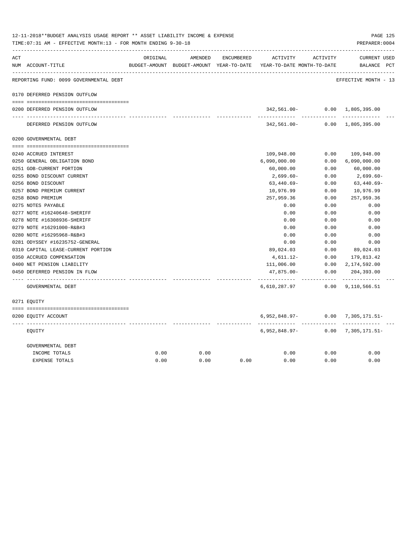|     | TIME: 07:31 AM - EFFECTIVE MONTH: 13 - FOR MONTH ENDING 9-30-18 |          |         |            |                                                                     |                  | PREPARER: 0004                |  |
|-----|-----------------------------------------------------------------|----------|---------|------------|---------------------------------------------------------------------|------------------|-------------------------------|--|
| ACT |                                                                 | ORIGINAL | AMENDED | ENCUMBERED | ACTIVITY                                                            | ACTIVITY         | CURRENT USED                  |  |
|     | NUM ACCOUNT-TITLE                                               |          |         |            | BUDGET-AMOUNT BUDGET-AMOUNT YEAR-TO-DATE YEAR-TO-DATE MONTH-TO-DATE |                  | BALANCE PCT                   |  |
|     | REPORTING FUND: 0099 GOVERNMENTAL DEBT                          |          |         |            |                                                                     |                  | EFFECTIVE MONTH - 13          |  |
|     | 0170 DEFERRED PENSION OUTFLOW                                   |          |         |            |                                                                     |                  |                               |  |
|     | 0200 DEFERRED PENSION OUTFLOW                                   |          |         |            |                                                                     | ---------        | 342,561.00- 0.00 1,805,395.00 |  |
|     | DEFERRED PENSION OUTFLOW                                        |          |         |            |                                                                     |                  | 342,561.00- 0.00 1,805,395.00 |  |
|     | 0200 GOVERNMENTAL DEBT                                          |          |         |            |                                                                     |                  |                               |  |
|     |                                                                 |          |         |            |                                                                     |                  |                               |  |
|     | 0240 ACCRUED INTEREST                                           |          |         |            | 109,948.00                                                          | 0.00             | 109,948.00                    |  |
|     | 0250 GENERAL OBLIGATION BOND                                    |          |         |            | 6,090,000.00                                                        | 0.00             | 6,090,000.00                  |  |
|     | 0251 GOB-CURRENT PORTION                                        |          |         |            | 60,000.00                                                           | 0.00             | 60,000.00                     |  |
|     | 0255 BOND DISCOUNT CURRENT                                      |          |         |            | 2,699.60-                                                           | 0.00             | 2,699.60-                     |  |
|     | 0256 BOND DISCOUNT                                              |          |         |            | $63,440.69-$                                                        | 0.00             | $63,440.69-$                  |  |
|     | 0257 BOND PREMIUM CURRENT                                       |          |         |            | 10,976.99                                                           | 0.00             | 10,976.99                     |  |
|     | 0258 BOND PREMIUM                                               |          |         |            | 257,959.36                                                          | 0.00             | 257,959.36                    |  |
|     | 0275 NOTES PAYABLE                                              |          |         |            | 0.00                                                                | 0.00             | 0.00                          |  |
|     | 0277 NOTE #16240648-SHERIFF                                     |          |         |            | 0.00                                                                | 0.00             | 0.00                          |  |
|     | 0278 NOTE #16308936-SHERIFF                                     |          |         |            | 0.00                                                                | 0.00             | 0.00                          |  |
|     | 0279 NOTE #16291000-R&B#3                                       |          |         |            | 0.00                                                                | 0.00             | 0.00                          |  |
|     | 0280 NOTE #16295968-R&B#3                                       |          |         |            | 0.00                                                                | 0.00             | 0.00                          |  |
|     | 0281 ODYSSEY #16235752-GENERAL                                  |          |         |            | 0.00                                                                | 0.00             | 0.00                          |  |
|     | 0310 CAPITAL LEASE-CURRENT PORTION                              |          |         |            | 89,024.03                                                           | 0.00             | 89,024.03                     |  |
|     | 0350 ACCRUED COMPENSATION                                       |          |         |            | 4,611.12-                                                           | 0.00             | 179,813.42                    |  |
|     | 0400 NET PENSION LIABILITY                                      |          |         |            | 111,006.00                                                          | 0.00             | 2,174,592.00                  |  |
|     | 0450 DEFERRED PENSION IN FLOW                                   |          |         |            | 47,875.00-<br>.                                                     | 0.00<br>-------- | 204,393.00<br>-----------     |  |
|     | GOVERNMENTAL DEBT                                               |          |         |            | 6,610,287.97                                                        |                  | $0.00$ 9, 110, 566.51         |  |
|     | 0271 EQUITY                                                     |          |         |            |                                                                     |                  |                               |  |
|     | 0200 EQUITY ACCOUNT                                             |          |         |            | 6,952,848.97-                                                       |                  | $0.00$ 7,305,171.51-          |  |
|     | EOUITY                                                          |          |         |            | .<br>6,952,848.97-                                                  | 0.00             | 7,305,171.51-                 |  |
|     | GOVERNMENTAL DEBT                                               |          |         |            |                                                                     |                  |                               |  |
|     | INCOME TOTALS                                                   | 0.00     | 0.00    |            | 0.00                                                                | 0.00             | 0.00                          |  |
|     | <b>EXPENSE TOTALS</b>                                           | 0.00     | 0.00    | 0.00       | 0.00                                                                | 0.00             | 0.00                          |  |